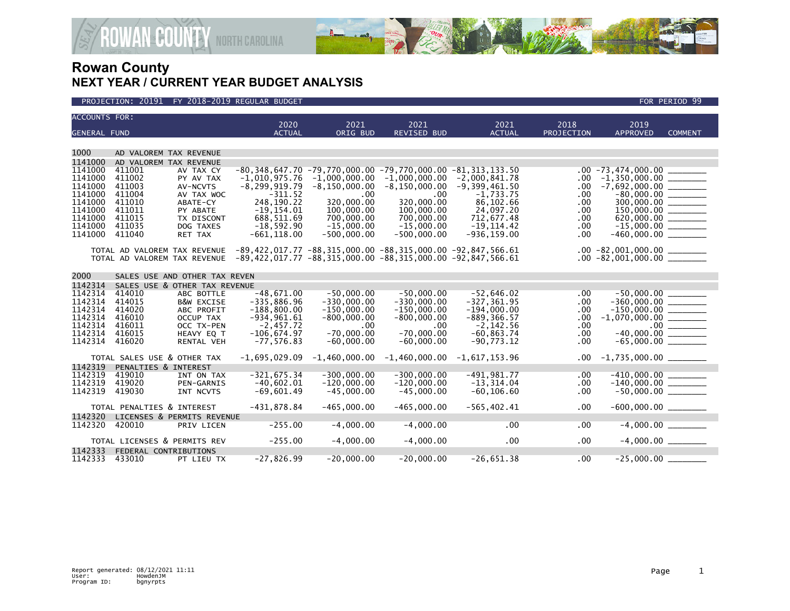



| <b>ACCOUNTS FOR:</b> |                                  |                               | 2020                                                                                     | 2021              | 2021               | 2021            | 2018              | 2019                           |                |
|----------------------|----------------------------------|-------------------------------|------------------------------------------------------------------------------------------|-------------------|--------------------|-----------------|-------------------|--------------------------------|----------------|
| <b>GENERAL FUND</b>  |                                  |                               | <b>ACTUAL</b>                                                                            | ORIG BUD          | <b>REVISED BUD</b> | <b>ACTUAL</b>   | <b>PROJECTION</b> | <b>APPROVED</b>                | <b>COMMENT</b> |
|                      |                                  |                               |                                                                                          |                   |                    |                 |                   |                                |                |
| 1000                 | AD VALOREM TAX REVENUE           |                               |                                                                                          |                   |                    |                 |                   |                                |                |
| 1141000              |                                  |                               |                                                                                          |                   |                    |                 |                   |                                |                |
| 1141000              | AD VALOREM TAX REVENUE<br>411001 | AV TAX CY                     | $-80, 348, 647.70 - 79, 770, 000.00 - 79, 770, 000.00 - 81, 313, 133.50$                 |                   |                    |                 |                   |                                |                |
| 1141000              | 411002                           | PY AV TAX                     | $-1,010,975.76$                                                                          | $-1,000,000.00$   | $-1,000,000.00$    | $-2,000,841.78$ | .00               | $-1,350,000.00$ _______        |                |
| 1141000              | 411003                           | AV-NCVTS                      | $-8, 299, 919.79$                                                                        | $-8, 150, 000.00$ | $-8, 150, 000.00$  | $-9,399,461.50$ | .00               | $-7,692,000.00$ _________      |                |
| 1141000              | 411004                           | AV TAX WOC                    | $-311.52$                                                                                | .00               | .00                | $-1,733.75$     | .00               |                                |                |
| 1141000              | 411010                           | ABATE-CY                      | 248,190.22                                                                               | 320,000.00        | 320,000.00         | 86,102.66       | .00               | $300,000.00$ _________         |                |
| 1141000              | 411011                           | PY ABATE                      | $-19.154.01$                                                                             | 100,000,00        | 100,000.00         | 24,097.20       | .00               | 150,000.00                     |                |
| 1141000              | 411015                           | TX DISCONT                    | 688,511.69                                                                               | 700,000.00        | 700,000.00         | 712,677.48      | .00               | $620,000.00$ ________          |                |
| 1141000              | 411035                           | DOG TAXES                     | $-18,592.90$                                                                             | $-15,000.00$      | $-15,000.00$       | $-19, 114.42$   | .00.              | $-15,000.00$ ________          |                |
| 1141000              | 411040                           | RET TAX                       | $-661, 118.00$                                                                           | $-500,000.00$     | $-500,000.00$      | $-936, 159.00$  | .00               |                                |                |
|                      |                                  |                               |                                                                                          |                   |                    |                 |                   |                                |                |
|                      |                                  |                               | TOTAL AD VALOREM TAX REVENUE -89,422,017.77 -88,315,000.00 -88,315,000.00 -92,847,566.61 |                   |                    |                 |                   | $.00 - 82,001,000.00$ ________ |                |
|                      |                                  |                               | TOTAL AD VALOREM TAX REVENUE -89,422,017.77 -88,315,000.00 -88,315,000.00 -92,847,566.61 |                   |                    |                 |                   |                                |                |
|                      |                                  |                               |                                                                                          |                   |                    |                 |                   |                                |                |
| 2000                 |                                  | SALES USE AND OTHER TAX REVEN |                                                                                          |                   |                    |                 |                   |                                |                |
| 1142314              |                                  | SALES USE & OTHER TAX REVENUE |                                                                                          |                   |                    |                 |                   |                                |                |
| 1142314              | 414010                           | ABC BOTTLE                    | $-48,671.00$                                                                             | $-50.000.00$      | $-50,000.00$       | $-52,646.02$    | .00               | $-50.000.00$                   |                |
| 1142314              | 414015                           | <b>B&amp;W EXCISE</b>         | $-335,886.96$                                                                            | $-330.000.00$     | $-330,000.00$      | $-327, 361.95$  | .00               |                                |                |
| 1142314              | 414020                           | ABC PROFIT                    | $-188,800.00$                                                                            | $-150,000.00$     | $-150,000.00$      | $-194,000.00$   | .00               | $-150,000.00$ _________        |                |
| 1142314              | 416010                           | OCCUP TAX                     | $-934,961.61$                                                                            | $-800,000.00$     | $-800,000.00$      | $-889, 366.57$  | .00               | $-1,070,000.00$ ________       |                |
| 1142314              | 416011                           | OCC TX-PEN                    | $-2,457.72$                                                                              | .00               | .00                | $-2, 142.56$    | .00               |                                |                |
| 1142314              | 416015                           | HEAVY EQ T                    | $-106.674.97$                                                                            | $-70.000.00$      | $-70.000.00$       | $-60, 863, 74$  | .00               | $-40.000.00$                   |                |
| 1142314              | 416020                           | RENTAL VEH                    | $-77, 576.83$                                                                            | $-60,000.00$      | $-60,000.00$       | $-90,773.12$    | .00               |                                |                |
|                      |                                  |                               |                                                                                          |                   |                    |                 |                   |                                |                |
|                      | TOTAL SALES USE & OTHER TAX      |                               | $-1,695,029.09$                                                                          | $-1,460,000.00$   | $-1,460,000.00$    | $-1,617,153.96$ | $.00 \,$          | $-1,735,000.00$ _________      |                |
| 1142319              | PENALTIES & INTEREST             |                               |                                                                                          |                   |                    |                 |                   |                                |                |
| 1142319              | 419010                           | INT ON TAX                    | $-321,675.34$                                                                            | $-300,000.00$     | $-300,000.00$      | $-491,981.77$   | .00               |                                |                |
| 1142319              | 419020                           | PEN-GARNIS                    | $-40,602.01$                                                                             | $-120,000.00$     | $-120,000.00$      | $-13, 314.04$   | .00               |                                |                |
| 1142319              | 419030                           | INT NCVTS                     | $-69,601.49$                                                                             | $-45,000.00$      | $-45,000.00$       | $-60, 106.60$   | .00               | $-50,000.00$ ________          |                |
|                      | TOTAL PENALTIES & INTEREST       |                               | $-431,878.84$                                                                            | $-465.000.00$     | $-465,000.00$      | $-565, 402.41$  | .00               |                                |                |
|                      |                                  |                               |                                                                                          |                   |                    |                 |                   |                                |                |
| 1142320<br>1142320   |                                  | LICENSES & PERMITS REVENUE    | $-255.00$                                                                                | $-4.000.00$       | $-4.000.00$        | .00             |                   |                                |                |
|                      | 420010                           | PRIV LICEN                    |                                                                                          |                   |                    |                 | .00               |                                |                |
|                      | TOTAL LICENSES & PERMITS REV     |                               | $-255.00$                                                                                | $-4,000.00$       | $-4,000.00$        | .00             | .00               | $-4,000.00$ ________           |                |
| 1142333              | FEDERAL CONTRIBUTIONS            |                               |                                                                                          |                   |                    |                 |                   |                                |                |
| 1142333              | 433010                           |                               | $-27,826.99$                                                                             | $-20,000.00$      | $-20,000.00$       | $-26,651.38$    | .00               | $-25,000.00$                   |                |
|                      |                                  | PT LIEU TX                    |                                                                                          |                   |                    |                 |                   |                                |                |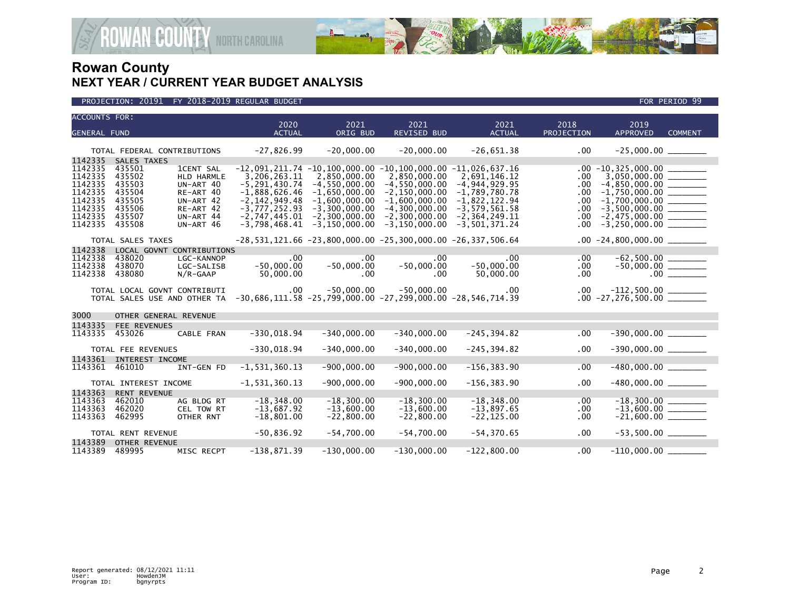

| <b>ACCOUNTS FOR:</b> |                              |                                | 2020                      | 2021                                                                                | 2021                         | 2021                | 2018             | 2019                                                                |  |
|----------------------|------------------------------|--------------------------------|---------------------------|-------------------------------------------------------------------------------------|------------------------------|---------------------|------------------|---------------------------------------------------------------------|--|
| <b>GENERAL FUND</b>  |                              |                                | <b>ACTUAL</b>             | ORIG BUD                                                                            | REVISED BUD                  | <b>ACTUAL</b>       | PROJECTION       | <b>APPROVED</b><br><b>COMMENT</b>                                   |  |
|                      |                              |                                |                           |                                                                                     |                              |                     |                  |                                                                     |  |
|                      | TOTAL FEDERAL CONTRIBUTIONS  |                                | $-27,826.99$              | $-20,000.00$                                                                        | $-20,000.00$                 | $-26,651.38$        | .00              |                                                                     |  |
| 1142335              | SALES TAXES                  |                                |                           |                                                                                     |                              |                     |                  |                                                                     |  |
| 1142335<br>1142335   | 435501<br>435502             | <b>1CENT SAL</b><br>HLD HARMLE | 3,206,263.11              | $-12,091,211.74$ $-10,100,000.00$ $-10,100,000.00$ $-11,026,637.16$<br>2,850,000.00 | 2,850,000.00                 | 2,691,146.12        | .00.             | $3,050,000.00$ ________                                             |  |
| 1142335              | 435503                       | UN-ART 40                      | $-5, 291, 430.74$         | $-4,550,000.00$                                                                     | $-4,550,000.00$              | $-4, 944, 929.95$   | .00.             | $-4,850,000.00$ ________                                            |  |
| 1142335              | 435504                       | RE-ART 40                      | $-1,888,626.46$           | $-1,650,000.00$                                                                     | $-2, 150, 000.00$            | $-1,789,780.78$     | $.00 \,$         | $-1,750,000.00$ _________                                           |  |
| 1142335              | 435505                       | UN-ART 42                      | $-2, 142, 949.48$         | $-1,600,000.00$                                                                     | $-1,600,000.00$              | $-1,822,122.94$     | .00.             | $-1,700,000.00$ _________                                           |  |
| 1142335              | 435506                       | RE-ART 42                      | $-3,777,252.93$           | $-3,300,000.00$                                                                     | $-4, 300, 000.00$            | $-3,579,561.58$     | $.00 \,$         | $-3,500,000.00$ ________                                            |  |
| 1142335              | 435507                       | UN-ART 44                      | $-2,747,445.01$           | $-2,300,000.00$                                                                     | $-2,300,000.00$              | $-2, 364, 249.11$   | $.00 \,$         |                                                                     |  |
| 1142335              | 435508                       | UN-ART 46                      | $-3,798,468.41$           | $-3, 150, 000.00$                                                                   | $-3, 150, 000.00$            | $-3,501,371.24$     | .00              | $-3,250,000.00$ _________                                           |  |
|                      | TOTAL SALES TAXES            |                                |                           | $-28, 531, 121.66 -23, 800, 000.00 -25, 300, 000.00 -26, 337, 506.64$               |                              |                     |                  | $.00 -24,800,000.00$ ________                                       |  |
| 1142338              | LOCAL GOVNT CONTRIBUTIONS    |                                |                           |                                                                                     |                              |                     |                  |                                                                     |  |
| 1142338              | 438020                       | LGC-KANNOP                     | $.00 \,$                  | .00                                                                                 | $\sim$ 00                    | .00<br>$-50.000.00$ | $.00 \,$         | $-62,500.00$<br>$-50,000.00$<br>$\overline{\qquad \qquad }$<br>$00$ |  |
| 1142338<br>1142338   | 438070<br>438080             | LGC-SALISB<br>$N/R$ -GAAP      | $-50,000.00$<br>50,000.00 | $-50,000.00$<br>$.00 \,$                                                            | $-50,000.00$<br>$.00 \times$ | 50,000.00           | $.00 \,$<br>.00. |                                                                     |  |
|                      |                              |                                |                           |                                                                                     |                              |                     |                  |                                                                     |  |
|                      | TOTAL LOCAL GOVNT CONTRIBUTI |                                | $.00 \,$                  | $-50.000.00$                                                                        | $-50.000.00$                 | $.00\,$             |                  |                                                                     |  |
|                      | TOTAL SALES USE AND OTHER TA |                                |                           | $-30,686,111.58 - 25,799,000.00 - 27,299,000.00 - 28,546,714.39$                    |                              |                     |                  |                                                                     |  |
| 3000                 |                              |                                |                           |                                                                                     |                              |                     |                  |                                                                     |  |
| 1143335              | OTHER GENERAL REVENUE        |                                |                           |                                                                                     |                              |                     |                  |                                                                     |  |
| 1143335              | FEE REVENUES<br>453026       | CABLE FRAN                     | $-330,018.94$             | $-340,000.00$                                                                       | $-340,000.00$                | $-245, 394.82$      | .00              | $-390,000.00$ ________                                              |  |
|                      |                              |                                |                           |                                                                                     |                              |                     |                  |                                                                     |  |
|                      | TOTAL FEE REVENUES           |                                | $-330,018.94$             | $-340,000.00$                                                                       | $-340,000.00$                | $-245, 394.82$      | .00              | $-390,000.00$ ________                                              |  |
| 1143361              | INTEREST INCOME              |                                |                           |                                                                                     |                              |                     |                  |                                                                     |  |
| 1143361              | 461010                       | INT-GEN FD                     | $-1, 531, 360.13$         | $-900,000.00$                                                                       | $-900,000.00$                | $-156, 383.90$      | .00              | $-480,000.00$ ________                                              |  |
|                      | TOTAL INTEREST INCOME        |                                | $-1, 531, 360.13$         | $-900,000.00$                                                                       | $-900.000.00$                | $-156, 383.90$      | .00              | $-480,000.00$ ________                                              |  |
| 1143363              | <b>RENT REVENUE</b>          |                                |                           |                                                                                     |                              |                     |                  |                                                                     |  |
| 1143363              | 462010                       | AG BLDG RT                     | $-18, 348.00$             | $-18, 300.00$                                                                       | $-18, 300.00$                | $-18, 348.00$       | .00              | $-18,300.00$<br>$-13,600.00$<br>$-21,600.00$                        |  |
| 1143363              | 462020                       | CEL TOW RT                     | $-13,687.92$              | $-13,600.00$                                                                        | $-13,600.00$                 | $-13,897.65$        | .00.             |                                                                     |  |
| 1143363              | 462995                       | OTHER RNT                      | $-18,801.00$              | $-22,800.00$                                                                        | $-22,800.00$                 | $-22, 125.00$       | .00              |                                                                     |  |
|                      | TOTAL RENT REVENUE           |                                | $-50,836.92$              | $-54,700.00$                                                                        | $-54,700.00$                 | $-54,370.65$        | .00              | $-53,500.00$ ________                                               |  |
| 1143389              | OTHER REVENUE                |                                |                           |                                                                                     |                              |                     |                  |                                                                     |  |
| 1143389              | 489995                       | MISC RECPT                     | $-138,871.39$             | $-130,000.00$                                                                       | $-130,000.00$                | $-122,800.00$       | .00              |                                                                     |  |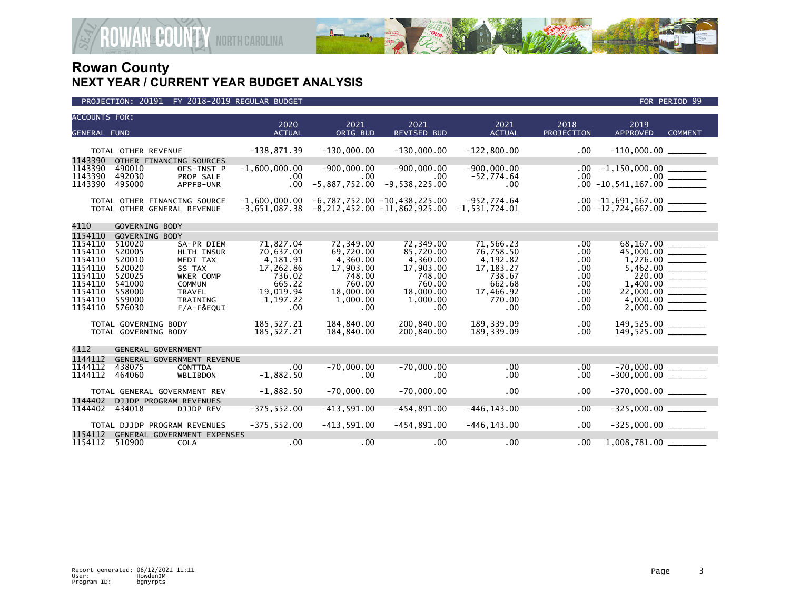

| <b>ACCOUNTS FOR:</b><br><b>GENERAL FUND</b>                                                     |                                                                                        |                                                                                                                                                        | 2020<br><b>ACTUAL</b>                                                                                             | 2021<br>ORIG BUD                                                                                                  | 2021<br>REVISED BUD                                                                                               | 2021<br><b>ACTUAL</b>                                                                                             | 2018<br>PROJECTION                                                  | 2019<br><b>APPROVED</b><br><b>COMMENT</b>                                                                              |
|-------------------------------------------------------------------------------------------------|----------------------------------------------------------------------------------------|--------------------------------------------------------------------------------------------------------------------------------------------------------|-------------------------------------------------------------------------------------------------------------------|-------------------------------------------------------------------------------------------------------------------|-------------------------------------------------------------------------------------------------------------------|-------------------------------------------------------------------------------------------------------------------|---------------------------------------------------------------------|------------------------------------------------------------------------------------------------------------------------|
|                                                                                                 |                                                                                        | TOTAL OTHER REVENUE                                                                                                                                    | $-138,871.39$                                                                                                     | $-130,000.00$                                                                                                     | $-130,000.00$                                                                                                     | $-122,800.00$                                                                                                     | .00                                                                 | $-110,000.00$ ________                                                                                                 |
| 1143390<br>1143390<br>1143390<br>1143390                                                        | 490010<br>492030<br>495000                                                             | OTHER FINANCING SOURCES<br>OFS-INST P<br>PROP SALE<br>APPFB-UNR                                                                                        | $-1.600.000.00$<br>$.00 \,$<br>$.00 \,$                                                                           | $-900,000.00$<br>$.00 \,$<br>$-5,887,752.00$                                                                      | $-900,000.00$<br>.00<br>$-9,538,225.00$                                                                           | $-900.000.00$<br>-52,774.64<br>$.00 \,$                                                                           | $.00 \,$                                                            | $.00$ $-1,150,000.00$ $\_\_$<br>$.00 - 10, 541, 167.00$ ________                                                       |
|                                                                                                 |                                                                                        | TOTAL OTHER FINANCING SOURCE<br>TOTAL OTHER GENERAL REVENUE                                                                                            | $-1,600,000.00$<br>$-3,651,087.38$                                                                                |                                                                                                                   | $-6,787,752.00 -10,438,225.00$<br>$-8, 212, 452.00 -11, 862, 925.00$                                              | $-952,774.64$<br>$-1, 531, 724.01$                                                                                |                                                                     |                                                                                                                        |
| 4110                                                                                            |                                                                                        | <b>GOVERNING BODY</b>                                                                                                                                  |                                                                                                                   |                                                                                                                   |                                                                                                                   |                                                                                                                   |                                                                     |                                                                                                                        |
| 1154110                                                                                         |                                                                                        | <b>GOVERNING BODY</b>                                                                                                                                  |                                                                                                                   |                                                                                                                   |                                                                                                                   |                                                                                                                   |                                                                     |                                                                                                                        |
| 1154110<br>1154110<br>1154110<br>1154110<br>1154110<br>1154110<br>1154110<br>1154110<br>1154110 | 510020<br>520005<br>520010<br>520020<br>520025<br>541000<br>558000<br>559000<br>576030 | SA-PR DIEM<br>HLTH INSUR<br>MEDI TAX<br>SS TAX<br><b>WKER COMP</b><br><b>COMMUN</b><br><b>TRAVEL</b><br>TRAINING<br>F/A-F&EQUI<br>TOTAL GOVERNING BODY | 71,827.04<br>70,637.00<br>4,181.91<br>17,262.86<br>736.02<br>665.22<br>19,019.94<br>1,197.22<br>.00<br>185,527.21 | 72,349.00<br>69,720.00<br>4,360.00<br>17,903.00<br>748.00<br>760.00<br>18,000.00<br>1,000.00<br>.00<br>184,840,00 | 72,349.00<br>85,720.00<br>4,360.00<br>17,903.00<br>748.00<br>760.00<br>18,000.00<br>1,000.00<br>.00<br>200,840.00 | 71,566.23<br>76,758.50<br>4,192.82<br>17, 183. 27<br>738.67<br>662.68<br>17,466.92<br>770.00<br>.00<br>189,339.09 | .00<br>.00<br>.00<br>.00<br>.00<br>.00.<br>.00<br>.00<br>.00<br>.00 | $68,167.00$<br>45,000.00<br>$220.00$ $\frac{\phantom{0}}{\phantom{0}}$<br>149,525.00 _________<br>149,525.00 _________ |
|                                                                                                 |                                                                                        | TOTAL GOVERNING BODY                                                                                                                                   | 185,527.21                                                                                                        | 184,840.00                                                                                                        | 200,840.00                                                                                                        | 189,339.09                                                                                                        | .00.                                                                |                                                                                                                        |
| 4112                                                                                            |                                                                                        | GENERAL GOVERNMENT                                                                                                                                     |                                                                                                                   |                                                                                                                   |                                                                                                                   |                                                                                                                   |                                                                     |                                                                                                                        |
| 1144112                                                                                         |                                                                                        | GENERAL GOVERNMENT REVENUE                                                                                                                             |                                                                                                                   |                                                                                                                   |                                                                                                                   |                                                                                                                   |                                                                     |                                                                                                                        |
| 1144112<br>1144112                                                                              | 438075<br>464060                                                                       | CONTTDA<br>WBLIBDON                                                                                                                                    | .00<br>$-1,882.50$                                                                                                | $-70,000.00$<br>.00                                                                                               | $-70,000.00$<br>.00                                                                                               | .00<br>$.00 \times$                                                                                               | .00<br>.00                                                          | $-70,000.00$<br>$-300,000.00$                                                                                          |
|                                                                                                 |                                                                                        | TOTAL GENERAL GOVERNMENT REV                                                                                                                           | $-1,882.50$                                                                                                       | $-70,000.00$                                                                                                      | $-70,000.00$                                                                                                      | $.00 \,$                                                                                                          | .00                                                                 | $-370,000.00$ ________                                                                                                 |
| 1144402                                                                                         |                                                                                        | <b>DJJDP PROGRAM REVENUES</b>                                                                                                                          |                                                                                                                   |                                                                                                                   |                                                                                                                   |                                                                                                                   |                                                                     |                                                                                                                        |
| 1144402                                                                                         | 434018                                                                                 | <b>DJJDP REV</b>                                                                                                                                       | $-375, 552.00$                                                                                                    | $-413,591.00$                                                                                                     | $-454,891.00$                                                                                                     | $-446, 143.00$                                                                                                    | .00                                                                 |                                                                                                                        |
|                                                                                                 |                                                                                        | TOTAL DJJDP PROGRAM REVENUES                                                                                                                           | $-375, 552.00$                                                                                                    | $-413,591.00$                                                                                                     | $-454,891.00$                                                                                                     | $-446, 143.00$                                                                                                    | .00                                                                 | $-325,000.00$ ________                                                                                                 |
| 1154112<br>1154112                                                                              | 510900                                                                                 | GENERAL GOVERNMENT EXPENSES<br><b>COLA</b>                                                                                                             | .00                                                                                                               | .00                                                                                                               | .00                                                                                                               | .00                                                                                                               | .00                                                                 |                                                                                                                        |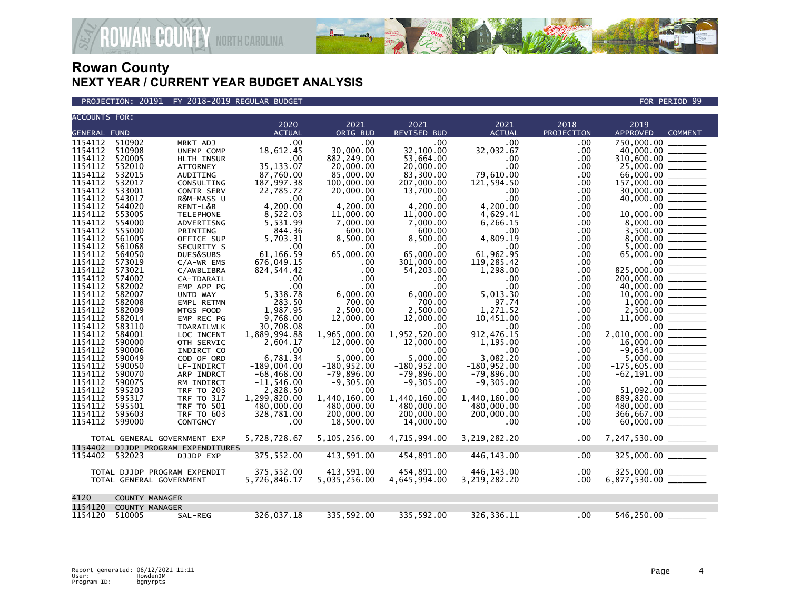

PROJECTION: 20191 FY 2018-2019 REGULAR BUDGET FOR PERIOD 99

| <b>ACCOUNTS FOR:</b>                                                      |                                                                    |                                                                                                     |                                                                               |                                                                                    |                                                                                |                                                                                   |                                               |                                                                                                                                                         |
|---------------------------------------------------------------------------|--------------------------------------------------------------------|-----------------------------------------------------------------------------------------------------|-------------------------------------------------------------------------------|------------------------------------------------------------------------------------|--------------------------------------------------------------------------------|-----------------------------------------------------------------------------------|-----------------------------------------------|---------------------------------------------------------------------------------------------------------------------------------------------------------|
| <b>GENERAL FUND</b>                                                       |                                                                    |                                                                                                     | 2020<br><b>ACTUAL</b>                                                         | 2021<br>ORIG BUD                                                                   | 2021<br><b>REVISED BUD</b>                                                     | 2021<br><b>ACTUAL</b>                                                             | 2018<br>PROJECTION                            | 2019<br><b>APPROVED</b><br><b>COMMENT</b>                                                                                                               |
| 1154112<br>1154112<br>1154112<br>1154112<br>1154112<br>1154112            | 510902<br>510908<br>520005<br>532010<br>532015<br>532017           | MRKT ADJ<br>UNEMP COMP<br>HLTH INSUR<br><b>ATTORNEY</b><br>AUDITING<br>CONSULTING                   | .00<br>18,612.45<br>.00<br>35, 133.07<br>87,760.00<br>187,997.38              | .00<br>30,000.00<br>882,249.00<br>20,000.00<br>85,000.00<br>100,000.00             | .00<br>32,100.00<br>53,664.00<br>20,000.00<br>83,300.00<br>207,000.00          | .00<br>32,032.67<br>.00<br>.00<br>79,610.00<br>121,594.50                         | .00<br>.00<br>.00<br>.00<br>.00<br>.00        | 750,000.00<br>40,000.00<br>310,600.00<br>25,000.00<br>66,000.00<br>157,000.00                                                                           |
| 1154112<br>1154112<br>1154112<br>1154112<br>1154112<br>1154112            | 533001<br>543017<br>544020<br>553005<br>554000<br>555000           | <b>CONTR SERV</b><br>R&M-MASS U<br>RENT-L&B<br><b>TELEPHONE</b><br>ADVERTISNG<br>PRINTING           | 22,785.72<br>.00<br>4,200.00<br>8,522.03<br>5,531.99<br>844.36                | 20,000.00<br>$.00 \,$<br>4,200.00<br>11,000.00<br>7.000.00<br>600.00               | 13,700.00<br>.00<br>4.200.00<br>11,000.00<br>7,000.00<br>600.00                | $.00 \,$<br>.00<br>4,200.00<br>4,629.41<br>6,266.15<br>$.00 \times$               | .00<br>.00<br>.00<br>$.00 \,$<br>.00<br>.00   | 30,000.00<br>40,000.00<br>$.00 \,$<br>10,000.00<br>8,000.00<br>3.500.00                                                                                 |
| 1154112<br>1154112<br>1154112<br>1154112<br>1154112<br>1154112<br>1154112 | 561005<br>561068<br>564050<br>573019<br>573021<br>574002<br>582002 | OFFICE SUP<br>SECURITY S<br>DUES&SUBS<br>$C/A-WR$ EMS<br>C/AWBLIBRA<br>CA-TDARAIL<br>EMP APP PG     | 5,703.31<br>.00<br>61,166.59<br>676,049.15<br>824, 544.42<br>.00<br>.00       | 8,500.00<br>.00<br>65,000.00<br>.00.<br>$.00 \,$<br>$.00 \,$<br>$.00 \,$           | 8,500.00<br>.00<br>65,000.00<br>301,000.00<br>54,203.00<br>.00<br>.00.         | 4,809.19<br>.00<br>61,962.95<br>119,285.42<br>1,298.00<br>.00<br>.00              | .00<br>.00<br>.00<br>.00<br>.00<br>.00<br>.00 | 8,000,00<br>5,000.00<br>65,000.00<br>.00 <sub>1</sub><br>825,000.00<br>200,000.00<br>40,000.00                                                          |
| 1154112<br>1154112<br>1154112<br>1154112<br>1154112<br>1154112            | 582007<br>582008<br>582009<br>582014<br>583110<br>584001           | UNTD WAY<br>EMPL RETMN<br>MTGS FOOD<br>EMP REC PG<br>TDARAILWLK<br>LOC INCENT                       | 5,338.78<br>283.50<br>1,987.95<br>9.768.00<br>30,708.08<br>1,889,994.88       | 6,000.00<br>700.00<br>2,500.00<br>12,000.00<br>$.00 \times$<br>1,965,000.00        | 6,000.00<br>700.00<br>2,500.00<br>12,000.00<br>$.00 \,$<br>1,952,520.00        | 5,013.30<br>97.74<br>1,271.52<br>10,451.00<br>.00<br>912,476.15                   | .00<br>.00<br>.00<br>.00<br>.00<br>.00        | 10,000.00<br>1,000.00<br>2,500.00<br>11,000.00<br>$.00 \,$<br>2,010,000.00                                                                              |
| 1154112<br>1154112<br>1154112<br>1154112<br>1154112<br>1154112            | 590000<br>590006<br>590049<br>590050<br>590070<br>590075           | OTH SERVIC<br>INDIRCT CO<br>COD OF ORD<br>LF-INDIRCT<br>ARP INDRCT<br>RM INDIRCT                    | 2,604.17<br>.00<br>6,781.34<br>$-189,004.00$<br>$-68, 468.00$<br>$-11,546.00$ | 12,000.00<br>$.00 \,$<br>5,000.00<br>$-180, 952.00$<br>$-79,896.00$<br>$-9,305.00$ | 12,000.00<br>.00.<br>5,000.00<br>$-180, 952.00$<br>$-79,896.00$<br>$-9,305.00$ | 1,195.00<br>$.00 \,$<br>3,082.20<br>$-180, 952.00$<br>$-79,896.00$<br>$-9,305.00$ | .00<br>.00<br>.00<br>.00<br>.00<br>.00        | 16,000,00<br>$-9,634.00$<br>$-62, 191.00$<br>$.00 \,$                                                                                                   |
| 1154112<br>1154112<br>1154112<br>1154112<br>1154112                       | 595203<br>595317<br>595501<br>595603<br>599000                     | <b>TRF TO 203</b><br><b>TRF TO 317</b><br><b>TRF TO 501</b><br><b>TRF TO 603</b><br><b>CONTGNCY</b> | 2,828.50<br>1,299,820.00<br>480,000.00<br>328,781.00<br>.00.                  | .00<br>1,440,160.00<br>480,000.00<br>200,000.00<br>18,500.00                       | .00<br>1,440,160.00<br>480,000.00<br>200,000.00<br>14,000.00                   | .00<br>1.440.160.00<br>480,000.00<br>200,000.00<br>.00                            | .00<br>.00<br>.00<br>.00<br>.00.              | 51,092.00<br>889,820.00<br>480,000.00<br>366,667.00                                                                                                     |
| 1154402                                                                   |                                                                    | TOTAL GENERAL GOVERNMENT EXP<br>DJJDP PROGRAM EXPENDITURES                                          | 5,728,728.67                                                                  | 5,105,256.00                                                                       | 4,715,994.00                                                                   | 3,219,282.20                                                                      | $.00 \cdot$                                   |                                                                                                                                                         |
| 1154402                                                                   | 532023                                                             | DJJDP EXP<br>TOTAL DJJDP PROGRAM EXPENDIT<br>TOTAL GENERAL GOVERNMENT                               | 375,552.00<br>375,552.00<br>5,726,846.17                                      | 413,591.00<br>413,591.00<br>5,035,256.00                                           | 454,891.00<br>454,891.00<br>4,645,994.00                                       | 446,143.00<br>446,143.00<br>3, 219, 282. 20                                       | .00<br>.00<br>$.00 \cdot$                     | $\begin{array}{c} 325,000.00 \ \underline{\hspace{1cm}} \rule{2.9cm}{0.2cm} \\ 6,877,530.00 \ \underline{\hspace{1cm}} \rule{2.9cm}{0.2cm} \end{array}$ |
| 4120                                                                      | <b>COUNTY MANAGER</b>                                              |                                                                                                     |                                                                               |                                                                                    |                                                                                |                                                                                   |                                               |                                                                                                                                                         |
| 1154120<br>1154120                                                        | <b>COUNTY MANAGER</b><br>510005                                    | SAL-REG                                                                                             | 326,037.18                                                                    | 335,592.00                                                                         | 335,592.00                                                                     | 326, 336. 11                                                                      | $.00 \,$                                      | 546,250.00                                                                                                                                              |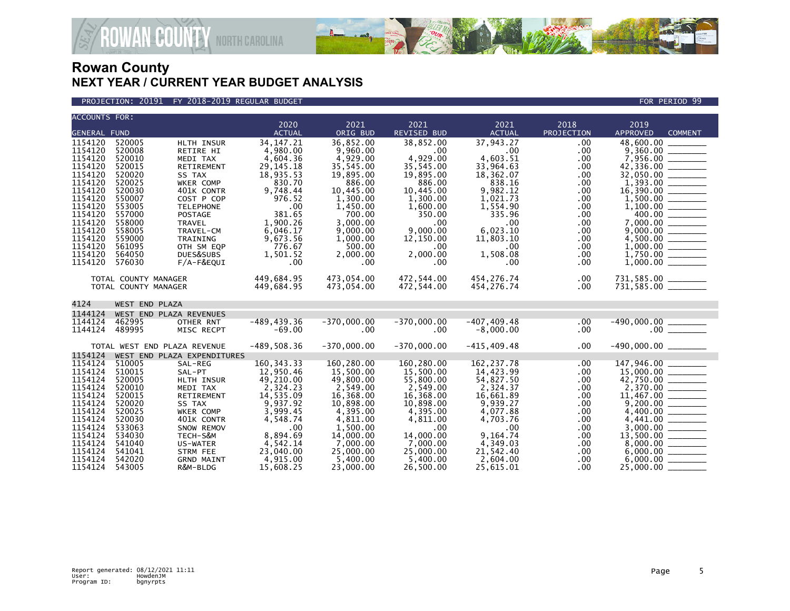

### PROJECTION: 20191 FY 2018-2019 REGULAR BUDGET FOR PERIOD 99

| <b>ACCOUNTS FOR:</b>                                                                                                                                                         |                                                                                                                                                              |                                                                                                                                                                                                                    | 2020                                                                                                                                                                              | 2021                                                                                                                                                                                  | 2021                                                                                                                                                                                    | 2021                                                                                                                                                                     | 2018                                                                                                                     | 2019                                                                                      |
|------------------------------------------------------------------------------------------------------------------------------------------------------------------------------|--------------------------------------------------------------------------------------------------------------------------------------------------------------|--------------------------------------------------------------------------------------------------------------------------------------------------------------------------------------------------------------------|-----------------------------------------------------------------------------------------------------------------------------------------------------------------------------------|---------------------------------------------------------------------------------------------------------------------------------------------------------------------------------------|-----------------------------------------------------------------------------------------------------------------------------------------------------------------------------------------|--------------------------------------------------------------------------------------------------------------------------------------------------------------------------|--------------------------------------------------------------------------------------------------------------------------|-------------------------------------------------------------------------------------------|
| <b>GENERAL FUND</b>                                                                                                                                                          |                                                                                                                                                              |                                                                                                                                                                                                                    | <b>ACTUAL</b>                                                                                                                                                                     | ORIG BUD                                                                                                                                                                              | <b>REVISED BUD</b>                                                                                                                                                                      | <b>ACTUAL</b>                                                                                                                                                            | PROJECTION                                                                                                               | <b>APPROVED</b><br><b>COMMENT</b>                                                         |
| 1154120<br>1154120<br>1154120<br>1154120<br>1154120<br>1154120<br>1154120<br>1154120<br>1154120<br>1154120<br>1154120<br>1154120<br>1154120<br>1154120<br>1154120<br>1154120 | 520005<br>520008<br>520010<br>520015<br>520020<br>520025<br>520030<br>550007<br>553005<br>557000<br>558000<br>558005<br>559000<br>561095<br>564050<br>576030 | HLTH INSUR<br>RETIRE HI<br>MEDI TAX<br>RETIREMENT<br>SS TAX<br>WKER COMP<br>401K CONTR<br>COST P COP<br><b>TELEPHONE</b><br>POSTAGE<br>TRAVEL<br>TRAVEL-CM<br>TRAINING<br>OTH SM EQP<br>DUES&SUBS<br>$F/A-F\&EQUI$ | 34, 147. 21<br>4,980.00<br>4,604.36<br>29, 145. 18<br>18,935.53<br>830.70<br>9,748.44<br>976.52<br>.00<br>381.65<br>1,900.26<br>6,046.17<br>9,673.56<br>776.67<br>1,501.52<br>.00 | 36,852.00<br>9,960.00<br>4,929.00<br>35,545.00<br>19,895.00<br>886.00<br>10,445.00<br>1.300.00<br>1,450.00<br>700.00<br>3,000.00<br>9,000.00<br>1,000.00<br>500.00<br>2,000.00<br>.00 | 38,852.00<br>$.00 \times$<br>4,929.00<br>35,545.00<br>19,895.00<br>886.00<br>10,445.00<br>1,300.00<br>1,600.00<br>350.00<br>.00<br>9,000.00<br>12,150.00<br>$.00 \,$<br>2,000.00<br>.00 | 37,943.27<br>.00<br>4,603.51<br>33,964.63<br>18,362.07<br>838.16<br>9,982.12<br>1,021.73<br>1,554.90<br>335.96<br>.00<br>6,023.10<br>11,803.10<br>.00<br>1,508.08<br>.00 | .00<br>.00<br>.00<br>.00<br>.00.<br>.00<br>.00.<br>.00<br>.00<br>.00.<br>.00.<br>.00.<br>$.00 \,$<br>.00<br>.00.<br>.00. | 48,600.00<br>9,360.00<br>400.00<br>$4,500.00$ ________<br>$1,000.00$ ________<br>1,750.00 |
|                                                                                                                                                                              | TOTAL COUNTY MANAGER<br>TOTAL COUNTY MANAGER                                                                                                                 |                                                                                                                                                                                                                    | 449,684.95<br>449,684.95                                                                                                                                                          | 473,054.00<br>473,054.00                                                                                                                                                              | 472,544.00<br>472,544.00                                                                                                                                                                | 454,276.74<br>454,276.74                                                                                                                                                 | $.00 \,$<br>.00.                                                                                                         |                                                                                           |
| 4124                                                                                                                                                                         | WEST END PLAZA                                                                                                                                               |                                                                                                                                                                                                                    |                                                                                                                                                                                   |                                                                                                                                                                                       |                                                                                                                                                                                         |                                                                                                                                                                          |                                                                                                                          |                                                                                           |
| 1144124<br>1144124<br>1144124                                                                                                                                                | 462995<br>489995                                                                                                                                             | WEST END PLAZA REVENUES<br>OTHER RNT<br>MISC RECPT<br>TOTAL WEST END PLAZA REVENUE                                                                                                                                 | $-489, 439.36$<br>$-69.00$<br>$-489,508.36$                                                                                                                                       | $-370,000.00$<br>$.00 \,$<br>$-370,000.00$                                                                                                                                            | $-370,000.00$<br>$.00 \,$<br>$-370,000.00$                                                                                                                                              | $-407, 409.48$<br>$-8,000.00$<br>$-415, 409.48$                                                                                                                          | .00.<br>.00<br>$.00 \,$                                                                                                  |                                                                                           |
| 1154124                                                                                                                                                                      |                                                                                                                                                              | WEST END PLAZA EXPENDITURES                                                                                                                                                                                        |                                                                                                                                                                                   |                                                                                                                                                                                       |                                                                                                                                                                                         |                                                                                                                                                                          |                                                                                                                          |                                                                                           |
| 1154124<br>1154124<br>1154124<br>1154124<br>1154124<br>1154124<br>1154124<br>1154124<br>1154124<br>1154124<br>1154124<br>1154124                                             | 510005<br>510015<br>520005<br>520010<br>520015<br>520020<br>520025<br>520030<br>533063<br>534030<br>541040<br>541041                                         | SAL-REG<br>SAL-PT<br>HLTH INSUR<br>MEDI TAX<br>RETIREMENT<br>SS TAX<br>WKER COMP<br>401K CONTR<br>SNOW REMOV<br>TECH-S&M<br>US-WATER<br><b>STRM FEE</b>                                                            | 160, 343. 33<br>12,950.46<br>49,210.00<br>2,324.23<br>14,535.09<br>9,937.92<br>3,999.45<br>4,548.74<br>.00<br>8,894.69<br>4,542.14<br>23,040.00                                   | 160,280.00<br>15,500.00<br>49,800.00<br>2,549.00<br>16,368.00<br>10,898.00<br>4,395.00<br>4,811.00<br>1,500.00<br>14,000.00<br>7,000.00<br>25,000.00                                  | 160,280.00<br>15,500.00<br>55,800.00<br>2,549.00<br>16,368.00<br>10,898.00<br>4,395.00<br>4,811.00<br>$.00 \cdot$<br>14,000.00<br>7,000.00<br>25,000.00                                 | 162,237.78<br>14,423.99<br>54,827.50<br>2,324.37<br>16,661.89<br>9,939.27<br>4,077.88<br>4,703.76<br>$.00 \,$<br>9,164.74<br>4,349.03<br>21,542.40                       | .00.<br>.00.<br>$.00 \,$<br>.00<br>.00.<br>.00.<br>.00<br>.00.<br>.00<br>.00<br>.00<br>.00                               | $15,000.00$<br>$42,750.00$<br>$2,370.00$<br>$8,000.00$ _________                          |
| 1154124<br>1154124                                                                                                                                                           | 542020<br>543005                                                                                                                                             | <b>GRND MAINT</b><br>R&M-BLDG                                                                                                                                                                                      | 4,915.00<br>15,608.25                                                                                                                                                             | 5,400.00<br>23,000.00                                                                                                                                                                 | 5,400.00<br>26,500,00                                                                                                                                                                   | 2,604.00<br>25,615.01                                                                                                                                                    | .00.<br>.00 <sub>1</sub>                                                                                                 | 6,000.00<br>25,000,00                                                                     |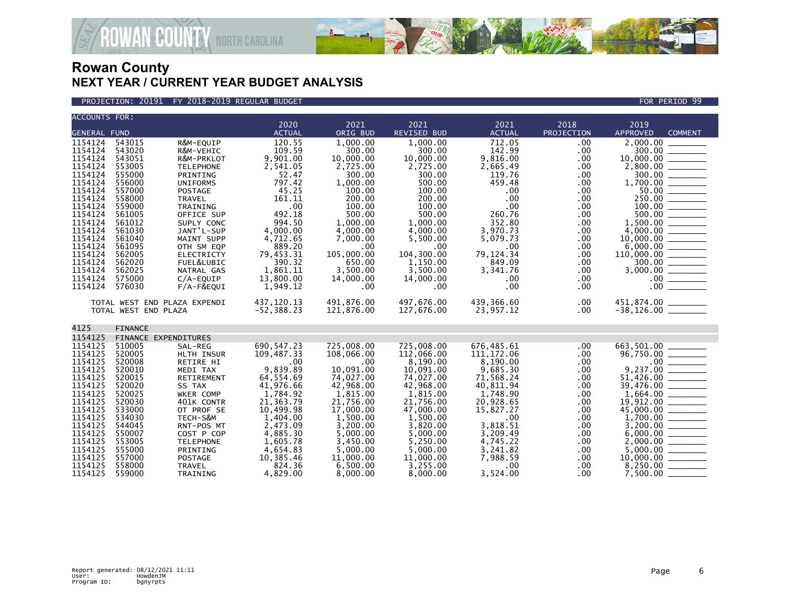

**GOUNTY** NORTH CAROLINA

| <b>ACCOUNTS FOR:</b> |                      |                                 |                       |                       |                            |                       |                    |                                                                                                                                                                                       |
|----------------------|----------------------|---------------------------------|-----------------------|-----------------------|----------------------------|-----------------------|--------------------|---------------------------------------------------------------------------------------------------------------------------------------------------------------------------------------|
| <b>GENERAL FUND</b>  |                      |                                 | 2020<br><b>ACTUAL</b> | 2021<br>ORIG BUD      | 2021<br><b>REVISED BUD</b> | 2021<br><b>ACTUAL</b> | 2018<br>PROJECTION | 2019<br><b>APPROVED</b><br><b>COMMENT</b>                                                                                                                                             |
| 1154124              | 543015               | R&M-EOUIP                       | 120.55                | 1.000.00              | 1.000.00                   | 712.05                | .00                |                                                                                                                                                                                       |
| 1154124              | 543020               | R&M-VEHIC                       | 109.59                | 300.00                | 300.00                     | 142.99                | .00                | $\frac{2,000.00}{300.00}$                                                                                                                                                             |
| 1154124              | 543051               | R&M-PRKLOT                      | 9,901.00              | 10,000.00             | 10,000.00                  | 9,816.00              | .00                |                                                                                                                                                                                       |
| 1154124              | 553005               | <b>TELEPHONE</b>                | 2,541.05              | 2,725.00              | 2,725.00                   | 2,665.49              | .00                |                                                                                                                                                                                       |
| 1154124              | 555000               | PRINTING                        | 52.47                 | 300.00                | 300.00                     | 119.76                | .00                |                                                                                                                                                                                       |
| 1154124              | 556000               | <b>UNIFORMS</b>                 | 797.42                | 1.000.00              | 500.00                     | 459.48                | $.00 \,$           |                                                                                                                                                                                       |
| 1154124              | 557000               | POSTAGE                         | 45.25                 | 100.00                | 100.00                     | $.00 \,$              | $.00 \,$           | $\begin{array}{r} 300.00 \ -2,800.00 \ -2,800.00 \ -300.00 \ -1,700.00 \ -1,700.00 \ -1,00.00 \ -1,00.00 \ -1,500.00 \ -1,500.00 \ -1,000.00 \ -1,0,000.00 \ -1,0,000.00 \end{array}$ |
| 1154124              | 558000               | <b>TRAVEL</b>                   | 161.11                | 200.00                | 200.00                     | $.00 \,$              | $.00 \,$           |                                                                                                                                                                                       |
| 1154124              | 559000               | TRAINING                        | .00                   | 100.00                | 100.00                     | .00.                  | $.00 \,$           |                                                                                                                                                                                       |
| 1154124              | 561005               | OFFICE SUP                      | 492.18                | 500.00                | 500.00                     | 260.76                | .00                |                                                                                                                                                                                       |
| 1154124              | 561012               | SUPLY CONC                      | 994.50                | 1.000.00              | 1.000.00                   | 352.80                | $.00 \,$           |                                                                                                                                                                                       |
| 1154124              | 561030               | JANT'L-SUP                      | 4,000.00              | 4,000.00              | 4,000.00                   | 3,970.73              | $.00 \,$           |                                                                                                                                                                                       |
| 1154124              | 561040               | MAINT SUPP                      | 4,712.65              | 7,000.00              | 5,500.00                   | 5,079.73              | .00                |                                                                                                                                                                                       |
| 1154124              | 561095               | OTH SM EQP                      | 889.20                | $.00 \times$          | .00.<br>104,300.00         | .00<br>79,124.34      | .00                |                                                                                                                                                                                       |
| 1154124<br>1154124   | 562005<br>562020     | <b>ELECTRICTY</b><br>FUEL&LUBIC | 79,453.31<br>390.32   | 105,000.00<br>650.00  | 1,150.00                   | 849.09                | .00<br>.00.        |                                                                                                                                                                                       |
| 1154124              | 562025               | NATRAL GAS                      | 1,861.11              | 3,500.00              | 3,500.00                   | 3,341.76              | $.00 \,$           |                                                                                                                                                                                       |
| 1154124              | 575000               | $C/A$ -EQUIP                    | 13,800.00             | 14,000.00             | 14,000.00                  | $.00 \,$              | $.00 \,$           |                                                                                                                                                                                       |
| 1154124              | 576030               | F/A-F&EQUI                      | 1,949.12              | .00 <sub>1</sub>      | .00.                       | .00                   | .00.               | $110,000.00$<br>$300.00$<br>$300.00$<br>$3,000.00$<br>$00$<br>$00$<br>$00$                                                                                                            |
|                      |                      |                                 |                       |                       |                            |                       |                    |                                                                                                                                                                                       |
|                      |                      | TOTAL WEST END PLAZA EXPENDI    | 437, 120. 13          | 491.876.00            | 497.676.00                 | 439,366.60            | .00.               | 451,874.00                                                                                                                                                                            |
|                      | TOTAL WEST END PLAZA |                                 | $-52, 388.23$         | 121,876.00            | 127,676.00                 | 23,957.12             | $.00 \,$           |                                                                                                                                                                                       |
|                      |                      |                                 |                       |                       |                            |                       |                    |                                                                                                                                                                                       |
| 4125                 | <b>FINANCE</b>       |                                 |                       |                       |                            |                       |                    |                                                                                                                                                                                       |
| 1154125              | FINANCE EXPENDITURES |                                 |                       |                       |                            |                       |                    |                                                                                                                                                                                       |
| 1154125              | 510005               | SAL-REG                         | 690, 547.23           | 725,008.00            | 725,008.00                 | 676,485.61            | .00                | $\begin{array}{r} 663, 501.00 \\ 96, 750.00 \\ .00 \\ .9, 237.00 \\ 51, 426.00 \\ .00 \\ .00 \\ .00 \\ .00 \\ .00 \\ .00 \\ .00 \\ .00 \\ .00$                                        |
| 1154125              | 520005               | HLTH INSUR                      | 109,487.33            | 108,066.00            | 112,066.00                 | 111, 172.06           | .00.               |                                                                                                                                                                                       |
| 1154125              | 520008               | RETIRE HI                       | .00                   | .00                   | 8,190.00                   | 8,190.00              | $.00 \,$           |                                                                                                                                                                                       |
| 1154125              | 520010               | MEDI TAX                        | 9,839.89              | 10,091.00             | 10,091.00                  | 9,685.30              | $.00 \,$           |                                                                                                                                                                                       |
| 1154125              | 520015               | RETIREMENT                      | 64,554.69             | 74,027.00             | 74,027.00                  | 71,568.24             | $.00 \,$           |                                                                                                                                                                                       |
| 1154125<br>1154125   | 520020<br>520025     | SS TAX<br>WKER COMP             | 41,976.66<br>1,784.92 | 42,968.00<br>1,815.00 | 42,968.00<br>1,815.00      | 40,811.94<br>1.748.90 | .00<br>.00         |                                                                                                                                                                                       |
| 1154125              | 520030               | 401K CONTR                      | 21,363.79             | 21,756.00             | 21,756.00                  | 20,928.65             | .00                |                                                                                                                                                                                       |
| 1154125              | 533000               | OT PROF SE                      | 10,499.98             | 17,000.00             | 47,000.00                  | 15.827.27             | $.00 \,$           |                                                                                                                                                                                       |
| 1154125              | 534030               | TECH-S&M                        | 1,404.00              | 1,500.00              | 1,500.00                   | $.00 \times$          | $.00 \,$           | $\begin{array}{r} 39,476.00 \ \hline 1,664.00 \ \hline 19,912.00 \ \hline 45,000.00 \ \hline 1,700.00 \ \hline \end{array}$                                                           |
| 1154125              | 544045               | RNT-POS MT                      | 2,473.09              | 3,200.00              | 3,820.00                   | 3.818.51              | .00                |                                                                                                                                                                                       |
| 1154125              | 550007               | COST P COP                      | 4,885.30              | 5,000.00              | 5,000.00                   | 3,209.49              | $.00 \,$           |                                                                                                                                                                                       |
| 1154125              | 553005               | <b>TELEPHONE</b>                | 1,605.78              | 3,450.00              | 5,250.00                   | 4,745.22              | $.00 \,$           |                                                                                                                                                                                       |
| 1154125              | 555000               | PRINTING                        | 4,654.83              | 5,000.00              | 5,000.00                   | 3,241.82              | $.00 \,$           |                                                                                                                                                                                       |
| 1154125              | 557000               | POSTAGE                         | 10,385.46             | 11,000.00             | 11,000.00                  | 7,988.59              | .00                |                                                                                                                                                                                       |
| 1154125              | 558000               | TRAVEL                          | 824.36                | 6,500.00              | 3,255.00                   | $.00 \,$              | $.00 \,$           |                                                                                                                                                                                       |
| 1154125              | 559000               | TRAINING                        | 4,829.00              | 8,000.00              | 8.000.00                   | 3,524.00              | .00.               | 7,500.00                                                                                                                                                                              |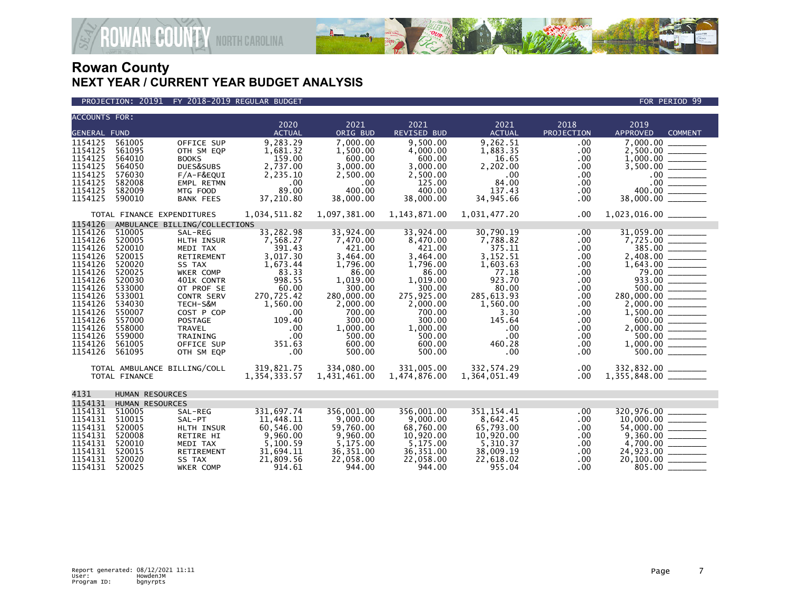

**ECOUNTY** NORTH CAROLINA

| <b>ACCOUNTS FOR:</b> |                           |                               |                      |                      |                      |                       |                    |                                                                                                                                                                                                                                                                                                                                            |
|----------------------|---------------------------|-------------------------------|----------------------|----------------------|----------------------|-----------------------|--------------------|--------------------------------------------------------------------------------------------------------------------------------------------------------------------------------------------------------------------------------------------------------------------------------------------------------------------------------------------|
| <b>GENERAL FUND</b>  |                           |                               | 2020                 | 2021<br>ORIG BUD     | 2021<br>REVISED BUD  | 2021<br><b>ACTUAL</b> | 2018<br>PROJECTION | 2019<br><b>APPROVED</b><br><b>COMMENT</b>                                                                                                                                                                                                                                                                                                  |
|                      |                           |                               | <b>ACTUAL</b>        |                      |                      |                       |                    | 7.000.00                                                                                                                                                                                                                                                                                                                                   |
| 1154125<br>1154125   | 561005<br>561095          | OFFICE SUP                    | 9,283.29<br>1,681.32 | 7.000.00<br>1,500.00 | 9,500.00<br>4,000.00 | 9,262.51<br>1,883.35  | .00<br>.00         | 2.500.00                                                                                                                                                                                                                                                                                                                                   |
| 1154125              | 564010                    | OTH SM EQP<br><b>BOOKS</b>    | 159.00               | 600.00               | 600.00               | 16.65                 | .00                |                                                                                                                                                                                                                                                                                                                                            |
| 1154125              | 564050                    | DUES&SUBS                     | 2,737.00             | 3,000.00             | 3,000.00             | 2,202.00              | .00                | 3,500.00<br>$\begin{array}{cccccccccc} \hline \end{array} \hspace{0.27em} \begin{array}{cccccccccc} \hline \end{array} \hspace{0.27em} \begin{array}{cccccccccc} \hline \end{array} \hspace{0.27em} \begin{array}{cccccccccc} \hline \end{array} \hspace{0.27em} \begin{array}{cccccccccc} \hline \end{array} \hspace{0.27em} \end{array}$ |
| 1154125              | 576030                    | $F/A-F&EQUI$                  | 2,235.10             | 2,500.00             | 2,500.00             | .00                   | .00                | $.00 \,$                                                                                                                                                                                                                                                                                                                                   |
| 1154125              | 582008                    | EMPL RETMN                    | .00                  | .00                  | 125.00               | 84.00                 | .00                | .00 <sub>1</sub>                                                                                                                                                                                                                                                                                                                           |
| 1154125              | 582009                    | MTG FOOD                      | 89.00                | 400.00               | 400.00               | 137.43                | .00                | $\begin{tabular}{ c c c c } \hline \quad \quad & \quad \quad & \quad \quad \\ \hline \quad \quad & \quad \quad & \quad \quad \\ \hline \quad \quad & \quad \quad & \quad \quad \\ \hline \quad \quad & \quad \quad & \quad \quad \\ \hline \end{tabular}$<br>400.00                                                                        |
| 1154125              | 590010                    | <b>BANK FEES</b>              | 37,210.80            | 38,000.00            | 38,000.00            | 34,945.66             | .00                | 38,000.00 _______                                                                                                                                                                                                                                                                                                                          |
|                      |                           |                               |                      |                      |                      |                       |                    |                                                                                                                                                                                                                                                                                                                                            |
|                      |                           | TOTAL FINANCE EXPENDITURES    | 1,034,511.82         | 1,097,381.00         | 1, 143, 871.00       | 1,031,477.20          | .00                |                                                                                                                                                                                                                                                                                                                                            |
| 1154126              |                           | AMBULANCE BILLING/COLLECTIONS |                      |                      |                      |                       |                    |                                                                                                                                                                                                                                                                                                                                            |
| 1154126              | 510005                    | SAL-REG                       | 33,282.98            | 33,924.00            | 33,924.00            | 30,790.19             | .00.               | 31,059.00                                                                                                                                                                                                                                                                                                                                  |
| 1154126              | 520005                    | HLTH INSUR                    | 7,568.27             | 7,470.00             | 8,470.00             | 7,788.82              | .00                |                                                                                                                                                                                                                                                                                                                                            |
| 1154126<br>1154126   | 520010<br>520015          | MEDI TAX<br><b>RETIREMENT</b> | 391.43<br>3,017.30   | 421.00               | 421.00<br>3,464.00   | 375.11<br>3,152.51    | .00                | $\begin{array}{r} \n 7.385 \cdot 00 \\  2,408 \cdot 00 \\  1,643 \cdot 00 \\  \hline\n \end{array}$                                                                                                                                                                                                                                        |
| 1154126              | 520020                    | SS TAX                        | 1,673.44             | 3,464.00<br>1,796.00 | 1,796.00             | 1,603.63              | .00<br>.00         |                                                                                                                                                                                                                                                                                                                                            |
| 1154126              | 520025                    | WKER COMP                     | 83.33                | 86.00                | 86.00                | 77.18                 | .00                | 79.00                                                                                                                                                                                                                                                                                                                                      |
| 1154126              | 520030                    | 401K CONTR                    | 998.55               | 1,019.00             | 1,019.00             | 923.70                | .00                | 933.00                                                                                                                                                                                                                                                                                                                                     |
| 1154126              | 533000                    | OT PROF SE                    | 60.00                | 300.00               | 300.00               | 80.00                 | .00                | 500.00                                                                                                                                                                                                                                                                                                                                     |
| 1154126              | 533001                    | CONTR SERV                    | 270,725.42           | 280,000,00           | 275,925.00           | 285,613.93            | $.00 \,$           | 280,000.00                                                                                                                                                                                                                                                                                                                                 |
| 1154126              | 534030                    | TECH-S&M                      | 1,560.00             | 2,000.00             | 2,000.00             | 1,560.00              | .00                |                                                                                                                                                                                                                                                                                                                                            |
| 1154126              | 550007                    | COST P COP                    | .00                  | 700.00               | 700.00               | 3.30                  | .00                | 1,500.00                                                                                                                                                                                                                                                                                                                                   |
| 1154126              | 557000                    | <b>POSTAGE</b>                | 109.40               | 300.00               | 300.00               | 145.64                | .00                |                                                                                                                                                                                                                                                                                                                                            |
| 1154126              | 558000                    | <b>TRAVEL</b>                 | .00                  | 1,000.00             | 1,000.00             | .00                   | .00                |                                                                                                                                                                                                                                                                                                                                            |
| 1154126              | 559000                    | TRAINING                      | .00                  | 500.00               | 500.00               | .00                   | .00                | 500.00                                                                                                                                                                                                                                                                                                                                     |
| 1154126              | 561005                    | OFFICE SUP                    | 351.63               | 600.00               | 600.00               | 460.28                | .00                | 1,000.00                                                                                                                                                                                                                                                                                                                                   |
| 1154126              | 561095                    | OTH SM EQP                    | .00                  | 500.00               | 500.00               | .00                   | .00                | 500.00                                                                                                                                                                                                                                                                                                                                     |
|                      |                           | TOTAL AMBULANCE BILLING/COLL  | 319,821.75           | 334,080.00           | 331.005.00           | 332,574.29            | .00                | 332,832.00 _______                                                                                                                                                                                                                                                                                                                         |
|                      | TOTAL FINANCE             |                               | 1,354,333.57         | 1,431,461.00         | 1,474,876.00         | 1,364,051.49          | .00                | $1,355,848.00$ _________                                                                                                                                                                                                                                                                                                                   |
| 4131                 | HUMAN RESOURCES           |                               |                      |                      |                      |                       |                    |                                                                                                                                                                                                                                                                                                                                            |
|                      |                           |                               |                      |                      |                      |                       |                    |                                                                                                                                                                                                                                                                                                                                            |
| 1154131<br>1154131   | HUMAN RESOURCES<br>510005 | SAL-REG                       | 331,697.74           | 356,001,00           | 356,001.00           | 351.154.41            | .00                | 320.976.00                                                                                                                                                                                                                                                                                                                                 |
| 1154131              | 510015                    | SAL-PT                        | 11,448.11            | 9,000.00             | 9,000.00             | 8,642.45              | .00                |                                                                                                                                                                                                                                                                                                                                            |
| 1154131              | 520005                    | HLTH INSUR                    | 60,546.00            | 59,760.00            | 68,760.00            | 65,793.00             | .00                | 54,000.00                                                                                                                                                                                                                                                                                                                                  |
| 1154131              | 520008                    | RETIRE HI                     | 9.960.00             | 9,960.00             | 10,920.00            | 10,920.00             | .00                |                                                                                                                                                                                                                                                                                                                                            |
| 1154131              | 520010                    | MEDI TAX                      | 5,100.59             | 5,175.00             | 5,175.00             | 5,310.37              | .00                | 4,700.00                                                                                                                                                                                                                                                                                                                                   |
| 1154131              | 520015                    | RETIREMENT                    | 31,694.11            | 36, 351.00           | 36,351.00            | 38,009.19             | .00                |                                                                                                                                                                                                                                                                                                                                            |
| 1154131              | 520020                    | SS TAX                        | 21,809.56            | 22,058.00            | 22,058.00            | 22,618.02             | .00                | 20,100.00                                                                                                                                                                                                                                                                                                                                  |
| 1154131              | 520025                    | <b>WKER COMP</b>              | 914.61               | 944.00               | 944.00               | 955.04                | .00 <sub>1</sub>   | $805.00$ $-$                                                                                                                                                                                                                                                                                                                               |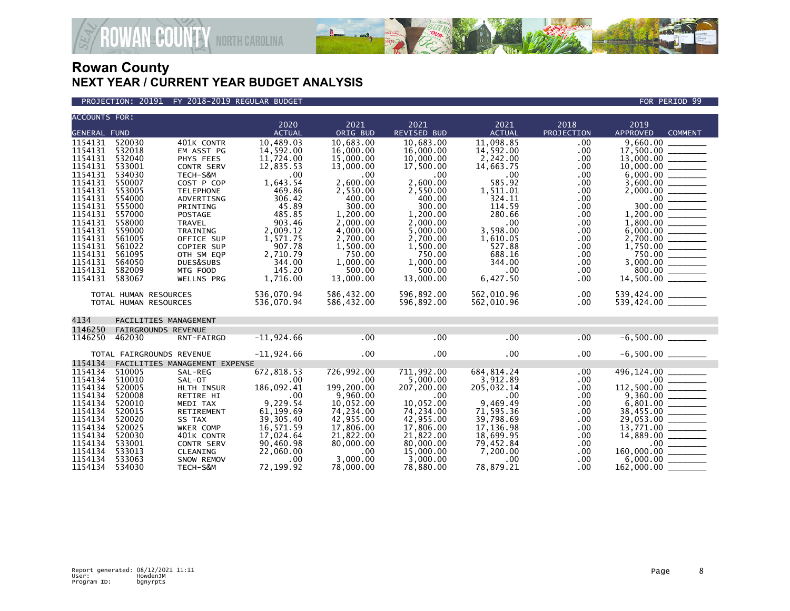

PROJECTION: 20191 FY 2018-2019 REGULAR BUDGET FOR PERIOD 99

| <b>ACCOUNTS FOR:</b> |                           |                                | 2020                   | 2021                   | 2021                   | 2021                    | 2018        | 2019                                                              |
|----------------------|---------------------------|--------------------------------|------------------------|------------------------|------------------------|-------------------------|-------------|-------------------------------------------------------------------|
| <b>GENERAL FUND</b>  |                           |                                | <b>ACTUAL</b>          | ORIG BUD               | REVISED BUD            | <b>ACTUAL</b>           | PROJECTION  | APPROVED<br><b>COMMENT</b>                                        |
| 1154131              | 520030                    | 401K CONTR                     | 10,489.03              | 10,683.00              | 10,683.00              | 11,098.85               | .00         | 9,660.00                                                          |
| 1154131              | 532018                    | EM ASST PG                     | 14,592.00              | 16,000.00              | 16,000.00              | 14,592.00               | .00         | 17,500.00                                                         |
| 1154131              | 532040                    | PHYS FEES                      | 11,724.00              | 15,000.00              | 10,000.00              | 2,242.00                | .00         |                                                                   |
| 1154131              | 533001                    | CONTR SERV                     | 12,835.53              | 13,000.00              | 17,500.00              | 14,663.75               | .00         |                                                                   |
| 1154131              | 534030                    | TECH-S&M                       | .00                    | .00                    | $.00 \,$               | .00                     | .00         |                                                                   |
| 1154131              | 550007                    | COST P COP                     | 1,643.54               | 2,600.00               | 2,600.00               | 585.92                  | .00         |                                                                   |
| 1154131<br>1154131   | 553005<br>554000          | <b>TELEPHONE</b><br>ADVERTISNG | 469.86<br>306.42       | 2,550.00<br>400.00     | 2,550.00<br>400.00     | 1,511.01<br>324.11      | .00.<br>.00 |                                                                   |
| 1154131              | 555000                    | PRINTING                       | 45.89                  | 300.00                 | 300.00                 | 114.59                  | .00.        | 300.00                                                            |
| 1154131              | 557000                    | POSTAGE                        | 485.85                 | 1,200.00               | 1,200.00               | 280.66                  | .00.        |                                                                   |
| 1154131              | 558000                    | <b>TRAVEL</b>                  | 903.46                 | 2.000.00               | 2.000.00               | .00                     | .00.        |                                                                   |
| 1154131              | 559000                    | TRAINING                       | 2,009.12               | 4,000.00               | 5,000.00               | 3,598.00                | .00         |                                                                   |
| 1154131              | 561005                    | OFFICE SUP                     | 1,571.75               | 2,700.00               | 2.700.00               | 1,610.05                | .00         |                                                                   |
| 1154131<br>1154131   | 561022<br>561095          | <b>COPIER SUP</b>              | 907.78                 | 1,500.00<br>750.00     | 1,500.00<br>750.00     | 527.88<br>688.16        | .00         |                                                                   |
| 1154131              | 564050                    | OTH SM EQP<br>DUES&SUBS        | 2,710.79<br>344.00     | 1,000.00               | 1,000.00               | 344.00                  | .00<br>.00. | $750.00$<br>3,000.00                                              |
| 1154131              | 582009                    | MTG FOOD                       | 145.20                 | 500.00                 | 500.00                 | .00                     | .00         |                                                                   |
| 1154131              | 583067                    | WELLNS PRG                     | 1,716.00               | 13,000.00              | 13,000.00              | 6,427.50                | .00.        |                                                                   |
|                      |                           |                                |                        |                        |                        |                         |             |                                                                   |
|                      | TOTAL HUMAN RESOURCES     |                                | 536,070.94             | 586,432.00             | 596,892.00             | 562,010.96              | .00.        |                                                                   |
|                      | TOTAL HUMAN RESOURCES     |                                | 536,070.94             | 586,432.00             | 596,892.00             | 562,010.96              | .00         |                                                                   |
| 4134                 |                           | FACILITIES MANAGEMENT          |                        |                        |                        |                         |             |                                                                   |
| 1146250              | FAIRGROUNDS REVENUE       |                                |                        |                        |                        |                         |             |                                                                   |
| 1146250              | 462030                    | RNT-FAIRGD                     | $-11,924.66$           | .00                    | .00 <sub>1</sub>       | $.00 \,$                | .00         |                                                                   |
|                      |                           |                                |                        |                        |                        |                         |             |                                                                   |
|                      | TOTAL FAIRGROUNDS REVENUE |                                | $-11,924.66$           | $.00 \,$               | $.00 \,$               | $.00 \,$                | .00.        |                                                                   |
| 1154134              |                           | FACILITIES MANAGEMENT EXPENSE  |                        |                        |                        |                         |             |                                                                   |
| 1154134<br>1154134   | 510005<br>510010          | SAL-REG<br>SAL-OT              | 672,818.53<br>.00      | 726,992.00<br>.00      | 711,992.00<br>5.000.00 | 684, 814.24<br>3,912.89 | .00<br>.00. |                                                                   |
| 1154134              | 520005                    | HLTH INSUR                     | 186,092.41             | 199,200.00             | 207,200.00             | 205,032.14              | .00         |                                                                   |
| 1154134              | 520008                    | RETIRE HI                      | .00                    | 9,960.00               | .00 <sub>1</sub>       | $.00 \,$                | .00         | $\begin{array}{r} 112,500.00 \\ 9,360.00 \\ 6,801.00 \end{array}$ |
| 1154134              | 520010                    | MEDI TAX                       | 9,229.54               | 10,052.00              | 10,052.00              | 9,469.49                | .00         |                                                                   |
| 1154134              | 520015                    | RETIREMENT                     | 61,199.69              | 74,234.00              | 74,234.00              | 71,595.36               | .00         | 38,455.00 ______                                                  |
| 1154134              | 520020                    | SS TAX                         | 39,305.40              | 42,955.00              | 42,955.00              | 39,798.69               | .00.        |                                                                   |
| 1154134              | 520025                    | WKER COMP                      | 16,571.59              | 17,806.00              | 17,806.00              | 17,136.98               | .00         |                                                                   |
| 1154134<br>1154134   | 520030<br>533001          | 401K CONTR<br>CONTR SERV       | 17,024.64<br>90,460.98 | 21.822.00<br>80,000.00 | 21,822.00<br>80,000.00 | 18,699.95<br>79,452.84  | .00<br>.00  | 14,889.00 ______                                                  |
| 1154134              | 533013                    | CLEANING                       | 22,060.00              | .00                    | 15,000.00              | 7,200.00                | .00.        | 160,000.00                                                        |
| 1154134              | 533063                    | SNOW REMOV                     | .00                    | 3,000.00               | 3,000.00               | $.00 \,$                | .00         | 6,000.00                                                          |
| 1154134              | 534030                    | TECH-S&M                       | 72,199.92              | 78,000.00              | 78.880.00              | 78,879.21               | .00         | 162,000.00                                                        |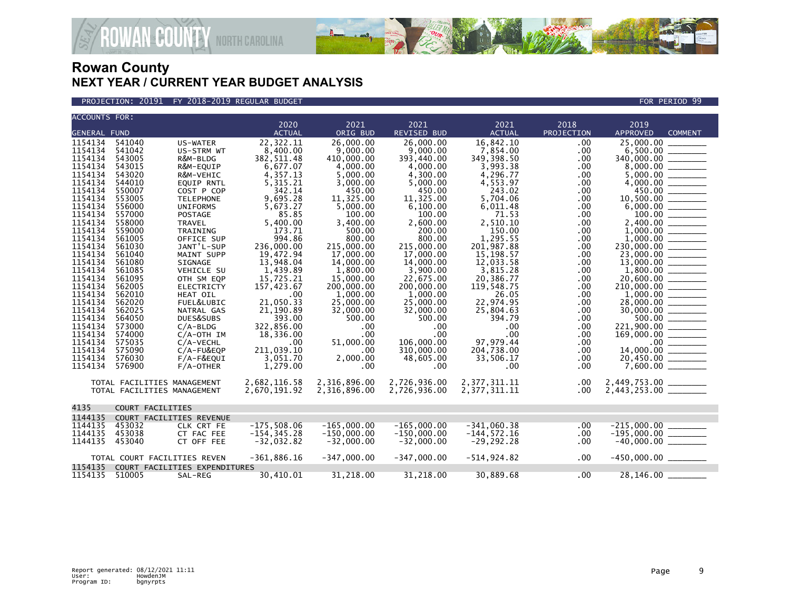

PROJECTION: 20191 FY 2018-2019 REGULAR BUDGET FOR PERIOD 99

| <b>ACCOUNTS FOR:</b> |                              |                               |                  |                       |                       |                    |             |                                                  |  |
|----------------------|------------------------------|-------------------------------|------------------|-----------------------|-----------------------|--------------------|-------------|--------------------------------------------------|--|
|                      |                              |                               | 2020             | 2021                  | 2021                  | 2021               | 2018        | 2019                                             |  |
| <b>GENERAL FUND</b>  |                              |                               | <b>ACTUAL</b>    | ORIG BUD              | REVISED BUD           | <b>ACTUAL</b>      | PROJECTION  | <b>APPROVED</b><br><b>COMMENT</b>                |  |
| 1154134              | 541040                       | US-WATER                      | 22,322.11        | 26,000,00             | 26,000,00             | 16,842.10          | .00         | 25.000.00                                        |  |
| 1154134              | 541042                       | US-STRM WT                    | 8,400.00         | 9,000.00              | 9,000.00              | 7,854.00           | .00         |                                                  |  |
| 1154134              | 543005                       | R&M-BLDG                      | 382, 511.48      | 410,000.00            | 393,440,00            | 349.398.50         | .00         | 340,000.00 _______                               |  |
| 1154134              | 543015                       | R&M-EQUIP                     | 6,677.07         | 4,000.00              | 4,000.00              | 3,993.38           | .00         |                                                  |  |
| 1154134              | 543020                       | R&M-VEHIC                     | 4,357.13         | 5,000.00              | 4,300.00              | 4,296.77           | .00         |                                                  |  |
| 1154134              | 544010                       | <b>EQUIP RNTL</b>             | 5,315.21         | 3,000.00              | 5,000.00              | 4,553.97           | .00         |                                                  |  |
| 1154134              | 550007                       | COST P COP                    | 342.14           | 450.00                | 450.00                | 243.02             | .00         | 450.00 _______                                   |  |
| 1154134              | 553005                       | <b>TELEPHONE</b>              | 9,695.28         | 11,325.00             | 11,325.00             | 5.704.06           | .00         | $10,500.00$ ________                             |  |
| 1154134              | 556000                       | <b>UNIFORMS</b>               | 5,673.27         | 5,000.00              | 6,100.00              | 6,011.48           | .00         |                                                  |  |
| 1154134              | 557000                       | <b>POSTAGE</b>                | 85.85            | 100.00                | 100.00                | 71.53              | .00         |                                                  |  |
| 1154134              | 558000                       | <b>TRAVEL</b>                 | 5,400.00         | 3,400.00              | 2,600.00              | 2,510.10           | .00         |                                                  |  |
| 1154134              | 559000                       | <b>TRAINING</b>               | 173.71           | 500.00                | 200.00                | 150.00             | .00         |                                                  |  |
| 1154134              | 561005                       | OFFICE SUP                    | 994.86           | 800.00                | 800.00                | 1,295.55           | .00         |                                                  |  |
| 1154134              | 561030                       | JANT'L-SUP                    | 236.000.00       | 215,000.00            | 215,000,00            | 201.987.88         | .00         | 230,000.00                                       |  |
| 1154134              | 561040                       | MAINT SUPP                    | 19,472.94        | 17,000.00             | 17,000.00             | 15, 198.57         | .00         |                                                  |  |
| 1154134              | 561080                       | <b>SIGNAGE</b>                | 13,948.04        | 14,000.00             | 14,000,00             | 12,033.58          | .00         |                                                  |  |
| 1154134              | 561085                       | VEHICLE SU                    | 1,439.89         | 1,800.00              | 3,900.00              | 3,815.28           | .00         |                                                  |  |
| 1154134              | 561095                       | OTH SM EQP                    | 15,725.21        | 15,000.00             | 22.675.00             | 20.386.77          | .00         |                                                  |  |
| 1154134<br>1154134   | 562005                       | ELECTRICTY                    | 157,423.67       | 200,000.00            | 200,000.00            | 119,548.75         | .00         | $210,000.00$ ________                            |  |
| 1154134              | 562010<br>562020             | <b>HEAT OIL</b><br>FUEL&LUBIC | .00<br>21,050.33 | 1,000.00<br>25,000.00 | 1.000.00<br>25,000.00 | 26.05<br>22,974.95 | .00<br>.00  |                                                  |  |
| 1154134              | 562025                       | NATRAL GAS                    | 21,190.89        | 32,000.00             | 32,000.00             | 25,804.63          | .00         |                                                  |  |
| 1154134              | 564050                       | DUES&SUBS                     | 393.00           | 500.00                | 500.00                | 394.79             | .00         | 500.00 _______                                   |  |
| 1154134              | 573000                       | $C/A-BLDG$                    | 322,856.00       | .00                   | $.00 \,$              | .00                | .00         |                                                  |  |
| 1154134              | 574000                       | $C/A$ -OTH IM                 | 18,336.00        | .00                   | .00                   | .00                | .00         | $169,000.00$ _______                             |  |
| 1154134              | 575035                       | C/A-VECHL                     | .00              | 51,000.00             | 106,000.00            | 97,979.44          | .00         |                                                  |  |
| 1154134              | 575090                       | $C/A$ -FU&EQP                 | 211.039.10       | .00                   | 310,000.00            | 204,738.00         | .00         |                                                  |  |
| 1154134              | 576030                       | F/A-F&EQUI                    | 3,051.70         | 2,000,00              | 48,605.00             | 33,506.17          | .00         |                                                  |  |
| 1154134              | 576900                       | $F/A$ -OTHER                  | 1,279.00         | .00                   | .00.                  | .00                | .00         |                                                  |  |
|                      |                              |                               |                  |                       |                       |                    |             |                                                  |  |
|                      | TOTAL FACILITIES MANAGEMENT  |                               | 2,682,116.58     | 2,316,896.00          | 2,726,936.00          | 2, 377, 311.11     | .00.        |                                                  |  |
|                      | TOTAL FACILITIES MANAGEMENT  |                               | 2,670,191.92     | 2,316,896.00          | 2,726,936.00          | 2, 377, 311, 11    | $.00 \cdot$ | 2,449,753.00 _________<br>2,443,253.00 _________ |  |
|                      |                              |                               |                  |                       |                       |                    |             |                                                  |  |
| 4135                 | <b>COURT FACILITIES</b>      |                               |                  |                       |                       |                    |             |                                                  |  |
| 1144135              |                              | COURT FACILITIES REVENUE      |                  |                       |                       |                    |             |                                                  |  |
| 1144135              | 453032                       | CLK CRT FE                    | $-175.508.06$    | $-165.000.00$         | $-165.000.00$         | $-341.060.38$      | $.00 \,$    |                                                  |  |
| 1144135              | 453038                       | CT FAC FEE                    | $-154, 345.28$   | $-150,000.00$         | $-150,000.00$         | $-144, 572.16$     | .00.        | $-195,000.00$ _________                          |  |
| 1144135              | 453040                       | CT OFF FEE                    | $-32,032.82$     | $-32,000.00$          | $-32.000.00$          | $-29, 292.28$      | .00         | $-40,000.00$ _________                           |  |
|                      | TOTAL COURT FACILITIES REVEN |                               | $-361,886.16$    | $-347,000.00$         | $-347,000.00$         | $-514, 924.82$     | $.00 \,$    | $-450,000.00$ _________                          |  |
| 1154135              |                              | COURT FACILITIES EXPENDITURES |                  |                       |                       |                    |             |                                                  |  |
| 1154135              | 510005                       | SAL-REG                       | 30,410.01        | 31,218.00             | 31,218.00             | 30,889.68          | .00         | 28,146.00                                        |  |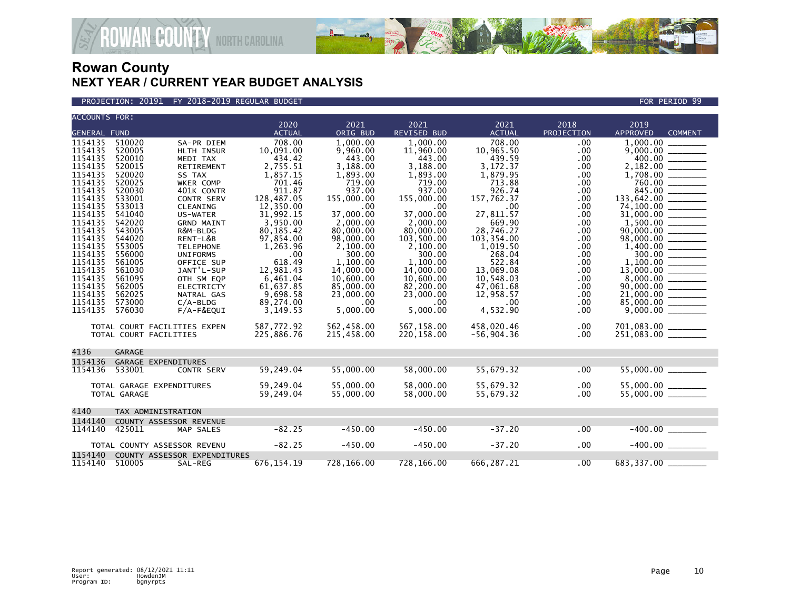

### PROJECTION: 20191 FY 2018-2019 REGULAR BUDGET FOR PERIOD 99

| <b>ACCOUNTS FOR:</b>                                                                                                                                                                                                                 |                                                                                                                                                                                            |                                                                                                                                                                                                                                                                                         | 2020                                                                                                                                                                                                                                        | 2021                                                                                                                                                                                                                                    | 2021                                                                                                                                                                                                                                                | 2021                                                                                                                                                                                                                                     | 2018                                                                                                                                                | 2019                                                                                                                                                             |  |
|--------------------------------------------------------------------------------------------------------------------------------------------------------------------------------------------------------------------------------------|--------------------------------------------------------------------------------------------------------------------------------------------------------------------------------------------|-----------------------------------------------------------------------------------------------------------------------------------------------------------------------------------------------------------------------------------------------------------------------------------------|---------------------------------------------------------------------------------------------------------------------------------------------------------------------------------------------------------------------------------------------|-----------------------------------------------------------------------------------------------------------------------------------------------------------------------------------------------------------------------------------------|-----------------------------------------------------------------------------------------------------------------------------------------------------------------------------------------------------------------------------------------------------|------------------------------------------------------------------------------------------------------------------------------------------------------------------------------------------------------------------------------------------|-----------------------------------------------------------------------------------------------------------------------------------------------------|------------------------------------------------------------------------------------------------------------------------------------------------------------------|--|
|                                                                                                                                                                                                                                      |                                                                                                                                                                                            |                                                                                                                                                                                                                                                                                         |                                                                                                                                                                                                                                             |                                                                                                                                                                                                                                         |                                                                                                                                                                                                                                                     |                                                                                                                                                                                                                                          |                                                                                                                                                     |                                                                                                                                                                  |  |
| <b>GENERAL FUND</b><br>1154135<br>1154135<br>1154135<br>1154135<br>1154135<br>1154135<br>1154135<br>1154135<br>1154135<br>1154135<br>1154135<br>1154135<br>1154135<br>1154135<br>1154135<br>1154135<br>1154135<br>1154135<br>1154135 | 510020<br>520005<br>520010<br>520015<br>520020<br>520025<br>520030<br>533001<br>533013<br>541040<br>542020<br>543005<br>544020<br>553005<br>556000<br>561005<br>561030<br>561095<br>562005 | SA-PR DIEM<br>HLTH INSUR<br>MEDI TAX<br>RETIREMENT<br>SS TAX<br>WKER COMP<br>401K CONTR<br><b>CONTR SERV</b><br>CLEANING<br>US-WATER<br><b>GRND MAINT</b><br>R&M-BLDG<br>RENT-L&B<br><b>TELEPHONE</b><br><b>UNIFORMS</b><br>OFFICE SUP<br>JANT'L-SUP<br>OTH SM EQP<br><b>ELECTRICTY</b> | <b>ACTUAL</b><br>708.00<br>10,091.00<br>434.42<br>2,755.51<br>1,857.15<br>701.46<br>911.87<br>128,487.05<br>12,350.00<br>31,992.15<br>3,950.00<br>80,185.42<br>97,854.00<br>1,263.96<br>.00<br>618.49<br>12,981.43<br>6,461.04<br>61,637.85 | ORIG BUD<br>1,000.00<br>9,960.00<br>443.00<br>3,188.00<br>1,893.00<br>719.00<br>937.00<br>155,000.00<br>.00<br>37,000.00<br>2,000.00<br>80,000.00<br>98,000.00<br>2,100.00<br>300.00<br>1,100.00<br>14,000.00<br>10,600.00<br>85,000.00 | <b>REVISED BUD</b><br>1.000.00<br>11,960.00<br>443.00<br>3,188.00<br>1,893.00<br>719.00<br>937.00<br>155,000.00<br>.00<br>37,000.00<br>2,000.00<br>80,000.00<br>103,500.00<br>2,100.00<br>300.00<br>1,100.00<br>14,000,00<br>10,600.00<br>82,200.00 | <b>ACTUAL</b><br>708.00<br>10,965.50<br>439.59<br>3,172.37<br>1,879.95<br>713.88<br>926.74<br>157,762.37<br>.00<br>27,811.57<br>669.90<br>28,746.27<br>103,354.00<br>1,019.50<br>268.04<br>522.84<br>13.069.08<br>10,548.03<br>47,061.68 | PROJECTION<br>.00<br>.00<br>.00<br>.00<br>.00.<br>.00<br>.00<br>.00<br>.00<br>.00<br>.00.<br>.00.<br>.00<br>.00<br>.00<br>.00<br>.00<br>.00.<br>.00 | <b>APPROVED</b><br><b>COMMENT</b><br>$400.00$ $\frac{1}{200}$<br>2,182.00<br>760.00<br>845.00 _______<br>133,642.00<br>74,100.00 _______<br>$98,000.00$ ________ |  |
| 1154135<br>1154135<br>1154135                                                                                                                                                                                                        | 562025<br>573000<br>576030<br>TOTAL COURT FACILITIES EXPEN                                                                                                                                 | NATRAL GAS<br>$C/A-BLDG$<br>$F/A-F&EQUI$                                                                                                                                                                                                                                                | 9,698.58<br>89,274.00<br>3,149.53<br>587,772.92                                                                                                                                                                                             | 23,000.00<br>$.00 \,$<br>5,000.00<br>562,458.00                                                                                                                                                                                         | 23,000.00<br>$.00 \,$<br>5,000.00<br>567,158.00                                                                                                                                                                                                     | 12,958.57<br>$.00 \,$<br>4,532.90<br>458,020.46                                                                                                                                                                                          | .00.<br>.00.<br>.00<br>.00.                                                                                                                         | 701,083.00 _______                                                                                                                                               |  |
|                                                                                                                                                                                                                                      | TOTAL COURT FACILITIES                                                                                                                                                                     |                                                                                                                                                                                                                                                                                         | 225,886.76                                                                                                                                                                                                                                  | 215,458.00                                                                                                                                                                                                                              | 220,158.00                                                                                                                                                                                                                                          | $-56,904.36$                                                                                                                                                                                                                             | .00.                                                                                                                                                | 251,083.00 ______                                                                                                                                                |  |
| 4136<br>1154136                                                                                                                                                                                                                      | <b>GARAGE</b><br>GARAGE EXPENDITURES                                                                                                                                                       |                                                                                                                                                                                                                                                                                         |                                                                                                                                                                                                                                             |                                                                                                                                                                                                                                         |                                                                                                                                                                                                                                                     |                                                                                                                                                                                                                                          |                                                                                                                                                     |                                                                                                                                                                  |  |
| 1154136                                                                                                                                                                                                                              | 533001<br>TOTAL GARAGE EXPENDITURES<br>TOTAL GARAGE                                                                                                                                        | <b>CONTR SERV</b>                                                                                                                                                                                                                                                                       | 59,249.04<br>59,249.04<br>59,249.04                                                                                                                                                                                                         | 55,000,00<br>55,000.00<br>55,000.00                                                                                                                                                                                                     | 58,000,00<br>58,000.00<br>58,000.00                                                                                                                                                                                                                 | 55,679.32<br>55,679.32<br>55,679.32                                                                                                                                                                                                      | .00<br>.00<br>.00.                                                                                                                                  |                                                                                                                                                                  |  |
|                                                                                                                                                                                                                                      |                                                                                                                                                                                            |                                                                                                                                                                                                                                                                                         |                                                                                                                                                                                                                                             |                                                                                                                                                                                                                                         |                                                                                                                                                                                                                                                     |                                                                                                                                                                                                                                          |                                                                                                                                                     |                                                                                                                                                                  |  |
| 4140<br>1144140                                                                                                                                                                                                                      | TAX ADMINISTRATION                                                                                                                                                                         |                                                                                                                                                                                                                                                                                         |                                                                                                                                                                                                                                             |                                                                                                                                                                                                                                         |                                                                                                                                                                                                                                                     |                                                                                                                                                                                                                                          |                                                                                                                                                     |                                                                                                                                                                  |  |
| 1144140                                                                                                                                                                                                                              | COUNTY ASSESSOR REVENUE<br>425011                                                                                                                                                          | MAP SALES                                                                                                                                                                                                                                                                               | $-82.25$                                                                                                                                                                                                                                    | $-450.00$                                                                                                                                                                                                                               | $-450.00$                                                                                                                                                                                                                                           | $-37.20$                                                                                                                                                                                                                                 | .00                                                                                                                                                 |                                                                                                                                                                  |  |
|                                                                                                                                                                                                                                      | TOTAL COUNTY ASSESSOR REVENU                                                                                                                                                               |                                                                                                                                                                                                                                                                                         | $-82.25$                                                                                                                                                                                                                                    | $-450.00$                                                                                                                                                                                                                               | $-450.00$                                                                                                                                                                                                                                           | $-37.20$                                                                                                                                                                                                                                 | .00                                                                                                                                                 |                                                                                                                                                                  |  |
| 1154140<br>1154140 510005                                                                                                                                                                                                            |                                                                                                                                                                                            | COUNTY ASSESSOR EXPENDITURES<br>SAL-REG                                                                                                                                                                                                                                                 | 676,154.19                                                                                                                                                                                                                                  | 728,166.00                                                                                                                                                                                                                              | 728,166.00                                                                                                                                                                                                                                          | 666.287.21                                                                                                                                                                                                                               | .00                                                                                                                                                 | 683,337.00                                                                                                                                                       |  |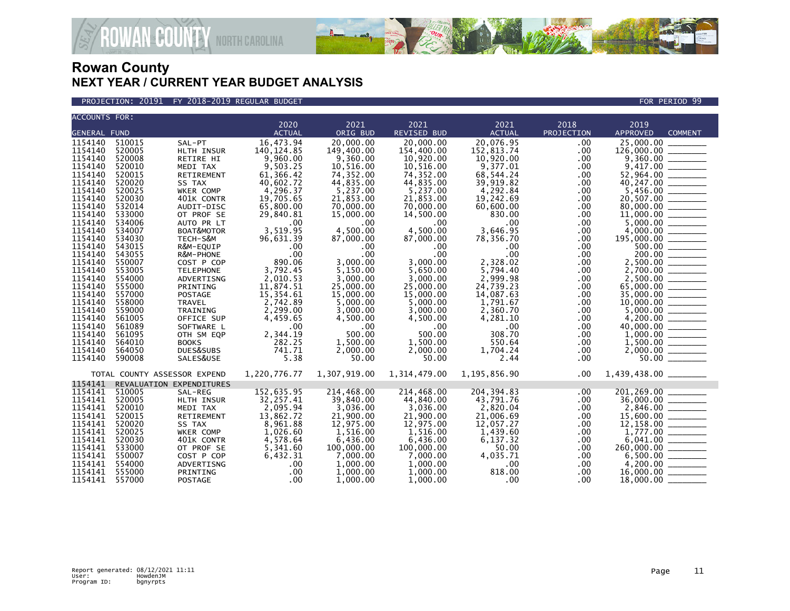

PROJECTION: 20191 FY 2018-2019 REGULAR BUDGET FOR PERIOD 99

| <b>ACCOUNTS FOR:</b> |        |                              |               |              |                    |               |            |                                                                                                                  |  |
|----------------------|--------|------------------------------|---------------|--------------|--------------------|---------------|------------|------------------------------------------------------------------------------------------------------------------|--|
|                      |        |                              | 2020          | 2021         | 2021               | 2021          | 2018       | 2019                                                                                                             |  |
| <b>GENERAL FUND</b>  |        |                              | <b>ACTUAL</b> | ORIG BUD     | <b>REVISED BUD</b> | <b>ACTUAL</b> | PROJECTION | <b>APPROVED</b><br><b>COMMENT</b>                                                                                |  |
| 1154140              | 510015 | SAL-PT                       | 16,473.94     | 20,000.00    | 20,000.00          | 20,076.95     | .00        | 25,000,00                                                                                                        |  |
| 1154140              | 520005 | HLTH INSUR                   | 140, 124.85   | 149,400.00   | 154,400.00         | 152,813.74    | .00        |                                                                                                                  |  |
| 1154140              | 520008 | RETIRE HI                    | 9,960.00      | 9,360.00     | 10,920.00          | 10,920.00     | .00        |                                                                                                                  |  |
| 1154140              | 520010 | MEDI TAX                     | 9,503.25      | 10,516.00    | 10,516.00          | 9,377.01      | .00        |                                                                                                                  |  |
| 1154140              | 520015 | RETIREMENT                   | 61,366.42     | 74,352.00    | 74,352.00          | 68,544.24     | .00        | 52,964.00<br>$\frac{1}{1}$                                                                                       |  |
| 1154140              | 520020 | SS TAX                       | 40,602.72     | 44,835.00    | 44,835.00          | 39,919.82     | .00        |                                                                                                                  |  |
| 1154140              | 520025 | WKER COMP                    | 4,296.37      | 5,237.00     | 5,237.00           | 4,292.84      | .00        |                                                                                                                  |  |
| 1154140              | 520030 | 401K CONTR                   | 19,705.65     | 21,853.00    | 21,853.00          | 19,242.69     | .00.       | 20,507.00                                                                                                        |  |
| 1154140              | 532014 | AUDIT-DISC                   | 65,800.00     | 70,000.00    | 70,000.00          | 60,600.00     | .00        | 80,000.00 ______                                                                                                 |  |
| 1154140              | 533000 | OT PROF SE                   | 29,840.81     | 15,000.00    | 14.500.00          | 830.00        | .00        |                                                                                                                  |  |
| 1154140              | 534006 | AUTO PR LT                   | .00           | .00          | .00                | .00           | .00        |                                                                                                                  |  |
| 1154140              | 534007 | BOAT&MOTOR                   | 3,519.95      | 4,500.00     | 4,500.00           | 3,646.95      | .00        |                                                                                                                  |  |
| 1154140              | 534030 | TECH-S&M                     | 96,631.39     | 87,000.00    | 87,000.00          | 78,356.70     | .00        |                                                                                                                  |  |
| 1154140              | 543015 | R&M-EQUIP                    | .00           | .00          | $.00 \,$           | .00           | .00        | 500.00 ________                                                                                                  |  |
| 1154140              | 543055 | R&M-PHONE                    | .00           | .00          | .00                | .00           | .00        |                                                                                                                  |  |
| 1154140              | 550007 | COST P COP                   | 890.06        | 3,000.00     | 3,000.00           | 2,328.02      | .00        |                                                                                                                  |  |
| 1154140              | 553005 | <b>TELEPHONE</b>             | 3,792.45      | 5,150.00     | 5,650.00           | 5,794.40      | .00        |                                                                                                                  |  |
| 1154140              | 554000 | ADVERTISNG                   | 2,010.53      | 3,000.00     | 3,000.00           | 2.999.98      | .00        |                                                                                                                  |  |
| 1154140              | 555000 | PRINTING                     | 11,874.51     | 25,000.00    | 25,000.00          | 24,739.23     | .00        |                                                                                                                  |  |
| 1154140              | 557000 | POSTAGE                      | 15,354.61     | 15,000.00    | 15,000.00          | 14,087.63     | .00        |                                                                                                                  |  |
| 1154140              | 558000 | <b>TRAVEL</b>                | 2,742.89      | 5,000.00     | 5,000.00           | 1,791.67      | .00        |                                                                                                                  |  |
| 1154140              | 559000 | TRAINING                     | 2,299.00      | 3,000.00     | 3,000.00           | 2,360.70      | .00        |                                                                                                                  |  |
| 1154140              | 561005 | OFFICE SUP                   | 4,459.65      | 4,500.00     | 4,500.00           | 4,281.10      | .00        |                                                                                                                  |  |
| 1154140              | 561089 | SOFTWARE L                   | .00           | .00          | $.00 \,$           | .00           | .00        | $40,000.00$ _________                                                                                            |  |
| 1154140              | 561095 | OTH SM EQP                   | 2,344.19      | 500.00       | 500.00             | 308.70        | .00.       |                                                                                                                  |  |
| 1154140              | 564010 | <b>BOOKS</b>                 | 282.25        | 1.500.00     | 1,500.00           | 550.64        | .00        |                                                                                                                  |  |
| 1154140              | 564050 | DUES&SUBS                    | 741.71        | 2,000.00     | 2,000.00           | 1,704.24      | .00        |                                                                                                                  |  |
| 1154140              | 590008 | SALES&USE                    | 5.38          | 50.00        | 50.00              | 2.44          | .00        |                                                                                                                  |  |
|                      |        |                              |               |              |                    |               |            |                                                                                                                  |  |
|                      |        | TOTAL COUNTY ASSESSOR EXPEND | 1,220,776.77  | 1,307,919.00 | 1,314,479.00       | 1,195,856.90  | .00        |                                                                                                                  |  |
| 1154141              |        | REVALUATION EXPENDITURES     |               |              |                    |               |            |                                                                                                                  |  |
| 1154141              | 510005 | SAL-REG                      | 152,635.95    | 214,468.00   | 214,468,00         | 204, 394.83   | .00        |                                                                                                                  |  |
| 1154141              | 520005 | HLTH INSUR                   | 32,257.41     | 39,840.00    | 44,840.00          | 43,791.76     | .00.       |                                                                                                                  |  |
| 1154141              | 520010 | MEDI TAX                     | 2,095.94      | 3,036.00     | 3,036.00           | 2,820.04      | .00        |                                                                                                                  |  |
| 1154141              | 520015 | RETIREMENT                   | 13,862.72     | 21,900.00    | 21,900.00          | 21,006.69     | .00        |                                                                                                                  |  |
| 1154141              | 520020 | SS TAX                       | 8,961.88      | 12,975.00    | 12,975.00          | 12,057.27     | .00        |                                                                                                                  |  |
| 1154141              | 520025 | WKER COMP                    | 1,026.60      | 1,516.00     | 1,516.00           | 1,439.60      | .00        |                                                                                                                  |  |
| 1154141              | 520030 | 401K CONTR                   | 4,578.64      | 6,436.00     | 6,436.00           | 6,137.32      | .00        |                                                                                                                  |  |
| 1154141              | 533000 | OT PROF SE                   | 5,341.60      | 100,000.00   | 100,000.00         | 50.00         | .00        | 260,000.00 _______                                                                                               |  |
| 1154141              | 550007 | COST P COP                   | 6,432.31      | 7,000.00     | 7,000.00           | 4,035.71      | .00        |                                                                                                                  |  |
| 1154141              | 554000 | ADVERTISNG                   | .00           | 1,000.00     | 1,000.00           | .00           | .00        | $\frac{1}{2} \left( \frac{1}{2} \right)^2 \left( \frac{1}{2} \right)^2 \left( \frac{1}{2} \right)^2$<br>4,200.00 |  |
| 1154141              | 555000 | PRINTING                     | .00           | 1.000.00     | 1.000.00           | 818.00        | .00        | 16,000,00                                                                                                        |  |
| 1154141              | 557000 | POSTAGE                      | .00           | 1,000.00     | 1.000.00           | .00           | .00        | 18,000.00                                                                                                        |  |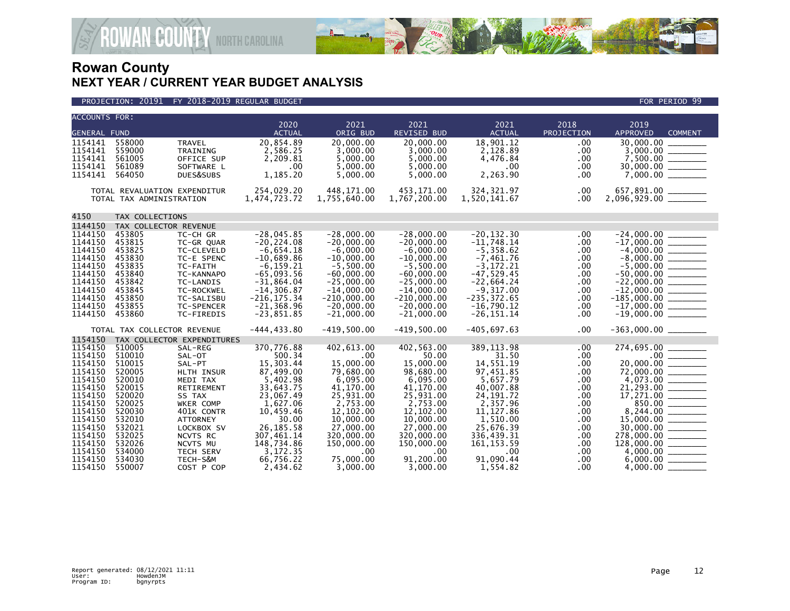

#### PROJECTION: 20191 FY 2018-2019 REGULAR BUDGET FOR PERIOD 99

| <b>ACCOUNTS FOR:</b> |                              |                              | 2020                         | 2021                         |                              | 2021                          | 2018        | 2019                                 |
|----------------------|------------------------------|------------------------------|------------------------------|------------------------------|------------------------------|-------------------------------|-------------|--------------------------------------|
| <b>GENERAL FUND</b>  |                              |                              | <b>ACTUAL</b>                | ORIG BUD                     | 2021<br>REVISED BUD          | <b>ACTUAL</b>                 | PROJECTION  | <b>APPROVED</b><br><b>COMMENT</b>    |
| 1154141              | 558000                       | TRAVEL                       | 20,854.89                    | 20,000.00                    | 20,000.00                    | 18,901.12                     | .00         | 30,000.00                            |
| 1154141              | 559000                       | TRAINING                     | 2,586.25                     | 3.000.00                     | 3.000.00                     | 2,128.89                      | .00         |                                      |
| 1154141              | 561005                       | OFFICE SUP                   | 2,209.81                     | 5,000.00                     | 5,000.00                     | 4,476.84                      | .00         |                                      |
| 1154141              | 561089                       | SOFTWARE L                   | .00                          | 5,000.00                     | 5,000.00                     | $.00 \,$                      | .00.        |                                      |
| 1154141              | 564050                       | DUES&SUBS                    | 1,185.20                     | 5,000.00                     | 5,000.00                     | 2,263.90                      | .00.        |                                      |
|                      | TOTAL REVALUATION EXPENDITUR |                              | 254,029.20                   | 448,171.00                   | 453,171.00                   | 324, 321.97                   | .00.        | 657,891.00 _______                   |
|                      | TOTAL TAX ADMINISTRATION     |                              | 1,474,723.72                 | 1,755,640.00                 | 1,767,200.00                 | 1,520,141.67                  | .00         | $2,096,929.00$ ________              |
|                      |                              |                              |                              |                              |                              |                               |             |                                      |
| 4150                 | TAX COLLECTIONS              |                              |                              |                              |                              |                               |             |                                      |
| 1144150              | TAX COLLECTOR REVENUE        |                              |                              |                              |                              |                               |             |                                      |
| 1144150<br>1144150   | 453805<br>453815             | TC-CH GR                     | $-28,045.85$                 | $-28.000.00$<br>$-20.000.00$ | $-28.000.00$<br>$-20.000.00$ | $-20, 132.30$<br>$-11.748.14$ | .00         | -24.000.00                           |
| 1144150              | 453825                       | TC-GR QUAR<br>TC-CLEVELD     | $-20, 224.08$<br>$-6,654.18$ | $-6,000.00$                  | $-6,000.00$                  | $-5, 358.62$                  | .00<br>.00  |                                      |
| 1144150              | 453830                       | TC-E SPENC                   | $-10,689.86$                 | $-10,000.00$                 | $-10,000.00$                 | $-7,461.76$                   | .00         |                                      |
| 1144150              | 453835                       | TC-FAITH                     | $-6, 159.21$                 | $-5.500.00$                  | $-5.500.00$                  | $-3.172.21$                   | .00         |                                      |
| 1144150              | 453840                       | TC-KANNAPO                   | $-65,093.56$                 | $-60,000.00$                 | $-60,000.00$                 | $-47,529.45$                  | .00         | $-5,000.00$<br>$-50,000.00$          |
| 1144150              | 453842                       | TC-LANDIS                    | $-31,864.04$                 | $-25,000.00$                 | $-25,000.00$                 | $-22,664.24$                  | .00         | $-22,000.00$<br>$-12,000.00$         |
| 1144150              | 453845                       | TC-ROCKWEL                   | $-14, 306.87$                | $-14,000.00$                 | $-14,000.00$                 | $-9,317.00$                   | .00         |                                      |
| 1144150              | 453850                       | TC-SALISBU                   | $-216, 175.34$               | $-210,000.00$                | $-210.000.00$                | $-235, 372.65$                | .00         | $-185,000.00$ _________              |
| 1144150              | 453855                       | TC-SPENCER                   | $-21, 368.96$                | $-20,000.00$                 | $-20,000.00$                 | $-16,790.12$                  | .00.        |                                      |
| 1144150              | 453860                       | TC-FIREDIS                   | $-23,851.85$                 | $-21,000.00$                 | $-21,000.00$                 | $-26, 151.14$                 | .00.        |                                      |
|                      | TOTAL TAX COLLECTOR REVENUE  |                              | $-444, 433.80$               | $-419.500.00$                | $-419.500.00$                | $-405.697.63$                 | $.00 \,$    |                                      |
| 1154150              |                              | TAX COLLECTOR EXPENDITURES   |                              |                              |                              |                               |             |                                      |
| 1154150              | 510005                       | SAL-REG                      | 370,776.88                   | 402,613.00                   | 402,563.00                   | 389, 113.98                   | .00.        |                                      |
| 1154150              | 510010                       | SAL-OT                       | 500.34                       | .00                          | 50.00                        | 31.50                         | $.00 \,$    |                                      |
| 1154150<br>1154150   | 510015<br>520005             | SAL-PT<br>HLTH INSUR         | 15,303.44<br>87,499.00       | 15,000.00<br>79,680.00       | 15,000.00<br>98,680.00       | 14,551.19<br>97,451.85        | .00<br>.00. |                                      |
| 1154150              | 520010                       | MEDI TAX                     | 5,402.98                     | 6,095.00                     | 6,095.00                     | 5,657.79                      | .00.        |                                      |
| 1154150              | 520015                       | RETIREMENT                   | 33,643.75                    | 41.170.00                    | 41.170.00                    | 40,007.88                     | .00         |                                      |
| 1154150              | 520020                       | SS TAX                       | 23,067.49                    | 25,931.00                    | 25,931.00                    | 24, 191. 72                   | .00         |                                      |
| 1154150              | 520025                       | WKER COMP                    | 1,627.06                     | 2,753.00                     | 2.753.00                     | 2,357.96                      | .00         | $\frac{17,271.00}{850.00}$           |
| 1154150              | 520030                       | 401K CONTR                   | 10,459.46                    | 12,102.00                    | 12,102.00                    | 11, 127.86                    | .00         |                                      |
| 1154150              | 532010                       | <b>ATTORNEY</b>              | 30.00                        | 10,000.00                    | 10,000.00                    | 1,510.00                      | .00         |                                      |
| 1154150              | 532021                       | LOCKBOX SV                   | 26, 185. 58                  | 27,000.00                    | 27,000.00                    | 25,676.39                     | .00         | $8,244.00$<br>15,000.00              |
| 1154150              | 532025                       | NCVTS RC                     | 307, 461.14                  | 320,000.00                   | 320,000,00                   | 336,439.31                    | .00         |                                      |
| 1154150<br>1154150   | 532026<br>534000             | NCVTS MU                     | 148,734.86                   | 150,000.00<br>.00            | 150,000.00<br>.00            | 161, 153.59<br>$.00 \,$       | .00.        | 278,000.00<br>128,000.00<br>4,000.00 |
| 1154150              | 534030                       | <b>TECH SERV</b><br>TECH-S&M | 3,172.35<br>66,756.22        | 75,000.00                    | 91.200.00                    | 91,090.44                     | .00.<br>.00 |                                      |
| 1154150              | 550007                       | COST P COP                   | 2.434.62                     | 3.000.00                     | 3.000.00                     | 1.554.82                      | .00         | 4.000.00                             |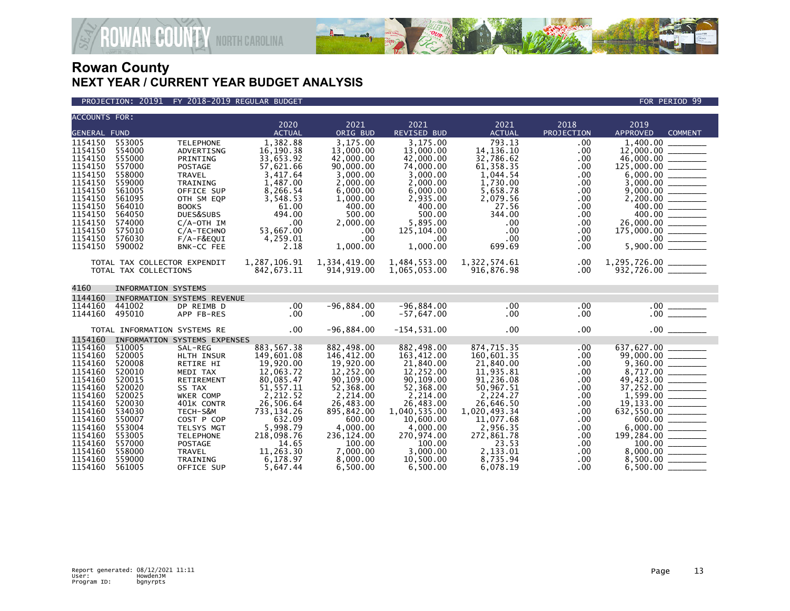

**COUNTY NORTH CAROLINA** 

| <b>ACCOUNTS FOR:</b>                                                                                                                                   |                                                                                                                                          |                                                                                                                                                                                                        | 2020                                                                                                                                                                | 2021                                                                                                                                                               | 2021                                                                                                                                                                               | 2021                                                                                                                                                                  | 2018                                                                                                                      | 2019                                                                                                            |
|--------------------------------------------------------------------------------------------------------------------------------------------------------|------------------------------------------------------------------------------------------------------------------------------------------|--------------------------------------------------------------------------------------------------------------------------------------------------------------------------------------------------------|---------------------------------------------------------------------------------------------------------------------------------------------------------------------|--------------------------------------------------------------------------------------------------------------------------------------------------------------------|------------------------------------------------------------------------------------------------------------------------------------------------------------------------------------|-----------------------------------------------------------------------------------------------------------------------------------------------------------------------|---------------------------------------------------------------------------------------------------------------------------|-----------------------------------------------------------------------------------------------------------------|
| <b>GENERAL FUND</b>                                                                                                                                    |                                                                                                                                          |                                                                                                                                                                                                        | <b>ACTUAL</b>                                                                                                                                                       | ORIG BUD                                                                                                                                                           | REVISED BUD                                                                                                                                                                        | <b>ACTUAL</b>                                                                                                                                                         | PROJECTION                                                                                                                | <b>APPROVED</b><br><b>COMMENT</b>                                                                               |
| 1154150<br>1154150<br>1154150<br>1154150<br>1154150<br>1154150<br>1154150<br>1154150<br>1154150<br>1154150<br>1154150<br>1154150<br>1154150<br>1154150 | 553005<br>554000<br>555000<br>557000<br>558000<br>559000<br>561005<br>561095<br>564010<br>564050<br>574000<br>575010<br>576030<br>590002 | <b>TELEPHONE</b><br>ADVERTISNG<br>PRINTING<br><b>POSTAGE</b><br>TRAVEL<br>TRAINING<br>OFFICE SUP<br>OTH SM EQP<br><b>BOOKS</b><br>DUES&SUBS<br>$C/A$ -OTH IM<br>C/A-TECHNO<br>F/A-F&EQUI<br>BNK-CC FEE | 1.382.88<br>16,190.38<br>33,653.92<br>57,621.66<br>3,417.64<br>1,487.00<br>8,266.54<br>3,548.53<br>61.00<br>494.00<br>.00<br>53,667.00<br>4,259.01<br>2.18          | 3.175.00<br>13,000.00<br>42,000.00<br>90,000.00<br>3,000.00<br>2,000.00<br>6,000.00<br>1,000.00<br>400.00<br>500.00<br>2,000.00<br>.00<br>.00<br>1,000.00          | 3.175.00<br>13,000.00<br>42,000.00<br>74,000.00<br>3,000.00<br>2,000.00<br>6,000.00<br>2,935.00<br>400.00<br>500.00<br>5,895.00<br>125,104.00<br>.00<br>1,000.00                   | 793.13<br>14, 136. 10<br>32,786.62<br>61,358.35<br>1,044.54<br>1,730.00<br>5,658.78<br>2,079.56<br>27.56<br>344.00<br>$.00 \,$<br>.00<br>.00<br>699.69                | .00<br>.00<br>.00<br>.00<br>.00<br>.00<br>.00.<br>$.00 \,$<br>$.00 \,$<br>.00<br>$.00 \,$<br>$.00 \,$<br>$.00 \,$<br>.00. | 1.400.00<br>$2,200.00$ $\overline{\hspace{1cm}}$<br>400.00 ________<br>26,000.00 ______<br>$175,000.00$ _______ |
|                                                                                                                                                        | TOTAL TAX COLLECTOR EXPENDIT<br>TOTAL TAX COLLECTIONS                                                                                    |                                                                                                                                                                                                        | 1,287,106.91<br>842,673.11                                                                                                                                          | 1,334,419.00<br>914, 919.00                                                                                                                                        | 1,484,553.00<br>1,065,053.00                                                                                                                                                       | 1,322,574.61<br>916,876.98                                                                                                                                            | $.00 \,$<br>$.00 \,$                                                                                                      |                                                                                                                 |
| 4160                                                                                                                                                   | <b>INFORMATION SYSTEMS</b>                                                                                                               |                                                                                                                                                                                                        |                                                                                                                                                                     |                                                                                                                                                                    |                                                                                                                                                                                    |                                                                                                                                                                       |                                                                                                                           |                                                                                                                 |
| 1144160<br>1144160<br>1144160                                                                                                                          | 441002<br>495010                                                                                                                         | INFORMATION SYSTEMS REVENUE<br>DP REIMB D<br>APP FB-RES                                                                                                                                                | $.00 \,$<br>$.00 \,$                                                                                                                                                | $-96,884.00$<br>$.00 \,$                                                                                                                                           | $-96,884.00$<br>$-57,647.00$                                                                                                                                                       | $.00 \,$<br>$.00 \,$                                                                                                                                                  | .00<br>$.00 \,$                                                                                                           |                                                                                                                 |
|                                                                                                                                                        | TOTAL INFORMATION SYSTEMS RE                                                                                                             |                                                                                                                                                                                                        | .00                                                                                                                                                                 | $-96,884.00$                                                                                                                                                       | $-154, 531.00$                                                                                                                                                                     | .00                                                                                                                                                                   | $.00 \,$                                                                                                                  | .00                                                                                                             |
| 1154160<br>1154160<br>1154160<br>1154160<br>1154160<br>1154160<br>1154160<br>1154160<br>1154160<br>1154160<br>1154160<br>1154160<br>1154160<br>1154160 | 510005<br>520005<br>520008<br>520010<br>520015<br>520020<br>520025<br>520030<br>534030<br>550007<br>553004<br>553005<br>557000           | SAL-REG<br>HLTH INSUR<br><b>RETIRE HI</b><br>MEDI TAX<br>RETIREMENT<br>SS TAX<br>WKER COMP<br>401K CONTR<br>TECH-S&M<br>COST P COP<br>TELSYS MGT<br><b>TELEPHONE</b><br>POSTAGE                        | 883,567.38<br>149,601.08<br>19.920.00<br>12,063.72<br>80,085.47<br>51, 557. 11<br>2,212.52<br>26,506.64<br>733, 134.26<br>632.09<br>5,998.79<br>218,098.76<br>14.65 | 882,498.00<br>146, 412.00<br>19,920.00<br>12,252.00<br>90,109.00<br>52,368.00<br>2,214.00<br>26,483.00<br>895,842.00<br>600.00<br>4,000.00<br>236,124.00<br>100.00 | 882,498.00<br>163,412.00<br>21,840,00<br>12,252.00<br>90,109.00<br>52,368.00<br>2,214.00<br>26,483.00<br>1,040,535.00<br>10,600.00<br>4.000.00<br>270,974.00<br>100.00<br>3.000.00 | 874,715.35<br>160,601.35<br>21,840,00<br>11,935.81<br>91,236.08<br>50,967.51<br>2,224.27<br>26,646.50<br>1.020.493.34<br>11,077.68<br>2,956.35<br>272,861.78<br>23.53 | .00<br>.00.<br>.00<br>.00<br>$.00 \,$<br>.00<br>.00<br>.00<br>.00<br>$.00 \,$<br>$.00 \,$<br>.00<br>$.00 \,$              | 637,627.00<br>$8,717.00$ $\longrightarrow$ 49,423.00<br>600.00<br>$199,284.00$<br>100.00                        |
| 1154160<br>1154160                                                                                                                                     | 558000<br>559000<br>561005                                                                                                               | TRAVEL<br><b>TRAINING</b><br>OFFICE SUP                                                                                                                                                                | 11,263.30<br>6.178.97<br>5,647.44                                                                                                                                   | 7,000.00<br>8.000.00<br>6,500.00                                                                                                                                   | 10.500.00<br>6,500.00                                                                                                                                                              | 2,133.01<br>8.735.94<br>6,078.19                                                                                                                                      | $.00 \,$<br>.00<br>$.00 \,$                                                                                               | 6,500.00                                                                                                        |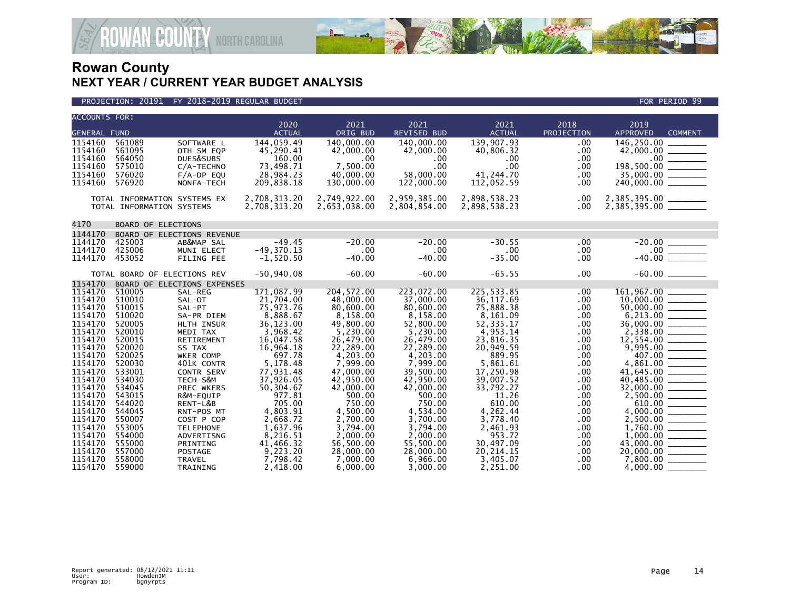



| <b>ACCOUNTS FOR:</b>                                                                                                                                                         |                                                                                                                                                              |                                                                                                                                                                                                       | 2020                                                                                                                                                                                             | 2021                                                                                                                                                                                               | 2021                                                                                                                                                                                               | 2021                                                                                                                                                                                              | 2018                                                                                                                                                                          | 2019                                                                                                                                                                                                                                                                                                        |
|------------------------------------------------------------------------------------------------------------------------------------------------------------------------------|--------------------------------------------------------------------------------------------------------------------------------------------------------------|-------------------------------------------------------------------------------------------------------------------------------------------------------------------------------------------------------|--------------------------------------------------------------------------------------------------------------------------------------------------------------------------------------------------|----------------------------------------------------------------------------------------------------------------------------------------------------------------------------------------------------|----------------------------------------------------------------------------------------------------------------------------------------------------------------------------------------------------|---------------------------------------------------------------------------------------------------------------------------------------------------------------------------------------------------|-------------------------------------------------------------------------------------------------------------------------------------------------------------------------------|-------------------------------------------------------------------------------------------------------------------------------------------------------------------------------------------------------------------------------------------------------------------------------------------------------------|
| <b>GENERAL FUND</b>                                                                                                                                                          |                                                                                                                                                              |                                                                                                                                                                                                       | <b>ACTUAL</b>                                                                                                                                                                                    | ORIG BUD                                                                                                                                                                                           | <b>REVISED BUD</b>                                                                                                                                                                                 | <b>ACTUAL</b>                                                                                                                                                                                     | PROJECTION                                                                                                                                                                    | <b>APPROVED</b><br><b>COMMENT</b>                                                                                                                                                                                                                                                                           |
| 1154160<br>1154160<br>1154160<br>1154160<br>1154160<br>1154160                                                                                                               | 561089<br>561095<br>564050<br>575010<br>576020<br>576920                                                                                                     | SOFTWARE L<br>OTH SM EQP<br>DUES&SUBS<br>C/A-TECHNO<br>$F/A-DP$ EQU<br>NONFA-TECH                                                                                                                     | 144,059.49<br>45,290.41<br>160.00<br>73,498.71<br>28,984.23<br>209,838.18                                                                                                                        | 140,000.00<br>42,000.00<br>$.00 \,$<br>7,500.00<br>40,000.00<br>130,000.00                                                                                                                         | 140,000.00<br>42,000.00<br>.00.<br>$.00 \,$<br>58,000.00<br>122,000.00                                                                                                                             | 139,907.93<br>40,806.32<br>$.00 \,$<br>.00.<br>41,244.70<br>112,052.59                                                                                                                            | .00<br>$.00 \,$<br>.00<br>.00<br>.00<br>$.00 \cdot$                                                                                                                           | $\overline{1}$ 46,250.00<br>198,500.00<br>$35,000.00$<br>240,000.00                                                                                                                                                                                                                                         |
|                                                                                                                                                                              | TOTAL INFORMATION SYSTEMS EX<br>TOTAL INFORMATION SYSTEMS                                                                                                    |                                                                                                                                                                                                       | 2,708,313.20<br>2,708,313.20                                                                                                                                                                     | 2,749,922.00<br>2,653,038.00                                                                                                                                                                       | 2,959,385.00<br>2,804,854.00                                                                                                                                                                       | 2,898,538.23<br>2,898,538.23                                                                                                                                                                      | $.00 \,$<br>$.00 \,$                                                                                                                                                          | 2,385,395.00 _________<br>2,385,395.00 _________                                                                                                                                                                                                                                                            |
| 4170                                                                                                                                                                         | <b>BOARD OF ELECTIONS</b>                                                                                                                                    |                                                                                                                                                                                                       |                                                                                                                                                                                                  |                                                                                                                                                                                                    |                                                                                                                                                                                                    |                                                                                                                                                                                                   |                                                                                                                                                                               |                                                                                                                                                                                                                                                                                                             |
| 1144170                                                                                                                                                                      |                                                                                                                                                              | BOARD OF ELECTIONS REVENUE                                                                                                                                                                            |                                                                                                                                                                                                  |                                                                                                                                                                                                    |                                                                                                                                                                                                    |                                                                                                                                                                                                   |                                                                                                                                                                               |                                                                                                                                                                                                                                                                                                             |
| 1144170<br>1144170<br>1144170                                                                                                                                                | 425003<br>425006<br>453052                                                                                                                                   | AB&MAP SAL<br>MUNI ELECT<br><b>FILING FEE</b>                                                                                                                                                         | $-49.45$<br>$-49,370.13$<br>$-1,520.50$                                                                                                                                                          | $-20.00$<br>.00<br>$-40.00$                                                                                                                                                                        | $-20.00$<br>$.00 \times$<br>$-40.00$                                                                                                                                                               | $-30.55$<br>$.00 \,$<br>$-35.00$                                                                                                                                                                  | .00<br>$.00 \,$<br>$.00 \,$                                                                                                                                                   |                                                                                                                                                                                                                                                                                                             |
|                                                                                                                                                                              | TOTAL BOARD OF ELECTIONS REV                                                                                                                                 |                                                                                                                                                                                                       | $-50,940.08$                                                                                                                                                                                     | $-60.00$                                                                                                                                                                                           | $-60.00$                                                                                                                                                                                           | $-65.55$                                                                                                                                                                                          | $.00 \,$                                                                                                                                                                      |                                                                                                                                                                                                                                                                                                             |
| 1154170                                                                                                                                                                      |                                                                                                                                                              | BOARD OF ELECTIONS EXPENSES                                                                                                                                                                           |                                                                                                                                                                                                  |                                                                                                                                                                                                    |                                                                                                                                                                                                    |                                                                                                                                                                                                   |                                                                                                                                                                               |                                                                                                                                                                                                                                                                                                             |
| 1154170<br>1154170<br>1154170<br>1154170<br>1154170<br>1154170<br>1154170<br>1154170<br>1154170<br>1154170<br>1154170<br>1154170<br>1154170<br>1154170<br>1154170<br>1154170 | 510005<br>510010<br>510015<br>510020<br>520005<br>520010<br>520015<br>520020<br>520025<br>520030<br>533001<br>534030<br>534045<br>543015<br>544020<br>544045 | SAL-REG<br>SAL-OT<br>SAL-PT<br>SA-PR DIEM<br>HLTH INSUR<br>MEDI TAX<br>RETIREMENT<br>SS TAX<br>WKER COMP<br>401K CONTR<br>CONTR SERV<br>TECH-S&M<br>PREC WKERS<br>R&M-EQUIP<br>RENT-L&B<br>RNT-POS MT | 171.087.99<br>21,704.00<br>75,973.76<br>8,888.67<br>36,123.00<br>3,968.42<br>16,047.58<br>16,964.18<br>697.78<br>5,178.48<br>77,931.48<br>37,926.05<br>50,304.67<br>977.81<br>705.00<br>4,803.91 | 204.572.00<br>48,000.00<br>80,600.00<br>8,158.00<br>49,800.00<br>5,230.00<br>26,479.00<br>22,289.00<br>4,203.00<br>7,999.00<br>47,000.00<br>42,950.00<br>42,000.00<br>500.00<br>750.00<br>4,500.00 | 223.072.00<br>37,000.00<br>80,600.00<br>8,158.00<br>52,800.00<br>5,230.00<br>26,479.00<br>22,289.00<br>4,203.00<br>7,999.00<br>39,500.00<br>42,950.00<br>42,000.00<br>500.00<br>750.00<br>4,534.00 | 225.533.85<br>36, 117.69<br>75,888.38<br>8,161.09<br>52, 335.17<br>4,953.14<br>23,816.35<br>20,949.59<br>889.95<br>5,861.61<br>17,250.98<br>39,007.52<br>33,792.27<br>11.26<br>610.00<br>4,262.44 | .00<br>$.00 \,$<br>$.00 \,$<br>$.00 \,$<br>$.00 \,$<br>$.00 \,$<br>.00<br>.00<br>$.00 \,$<br>$.00 \,$<br>$.00 \,$<br>$.00 \,$<br>$.00 \,$<br>$.00 \,$<br>$.00 \,$<br>$.00 \,$ | 161,967.00<br>$10,000.00$<br>$50,000.00$<br>$6,213.00$<br>$36,000.00$<br>$2,338.00$<br>12,554.00<br>9,995.00<br>407.00<br>$4,861.00$ $\frac{\phantom{2}}{2}$<br>$\begin{array}{r} 41,645.00 \ \hline 40,485.00 \ \hline 32,000.00 \ \hline 2,500.00 \ \hline 610.00 \ \hline 4,000.00 \ \hline \end{array}$ |
| 1154170<br>1154170<br>1154170<br>1154170<br>1154170<br>1154170<br>1154170                                                                                                    | 550007<br>553005<br>554000<br>555000<br>557000<br>558000<br>559000                                                                                           | COST P COP<br><b>TELEPHONE</b><br>ADVERTISNG<br>PRINTING<br><b>POSTAGE</b><br><b>TRAVEL</b><br>TRAINING                                                                                               | 2,668.72<br>1,637.96<br>8,216.51<br>41,466.32<br>9,223.20<br>7,798.42<br>2,418.00                                                                                                                | 2,700.00<br>3,794.00<br>2,000.00<br>56,500.00<br>28,000.00<br>7,000.00<br>6,000.00                                                                                                                 | 3,700.00<br>3,794.00<br>2,000.00<br>55,500.00<br>28,000.00<br>6,966.00<br>3.000.00                                                                                                                 | 3,778.40<br>2,461.93<br>953.72<br>30,497.09<br>20, 214.15<br>3,405.07<br>2,251.00                                                                                                                 | $.00 \,$<br>.00<br>.00<br>$.00 \,$<br>$.00 \,$<br>$.00 \,$<br>$.00 \,$                                                                                                        |                                                                                                                                                                                                                                                                                                             |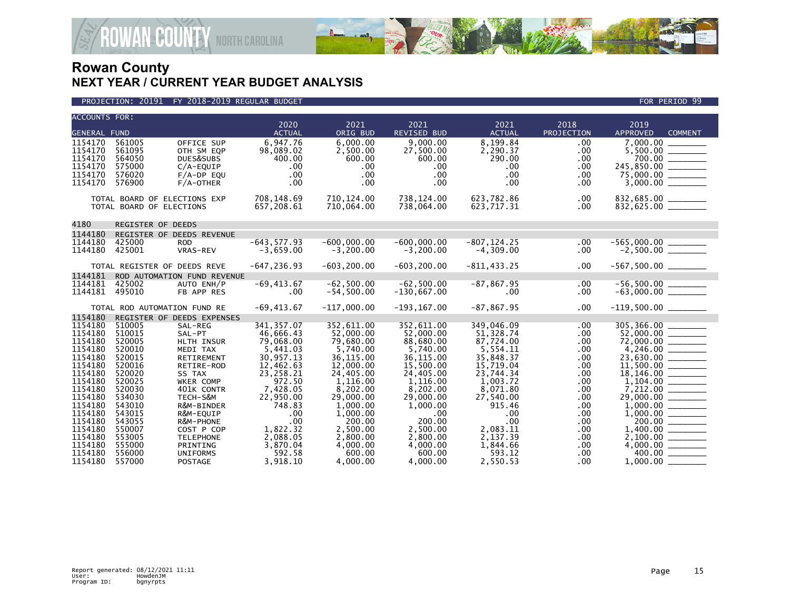



| <b>ACCOUNTS FOR:</b> |                              |                              |                     |                       |                        |                        |            |                                                                 |
|----------------------|------------------------------|------------------------------|---------------------|-----------------------|------------------------|------------------------|------------|-----------------------------------------------------------------|
|                      |                              |                              | 2020                | 2021                  | 2021                   | 2021                   | 2018       | 2019                                                            |
| <b>GENERAL FUND</b>  |                              |                              | <b>ACTUAL</b>       | ORIG BUD              | <b>REVISED BUD</b>     | <b>ACTUAL</b>          | PROJECTION | <b>APPROVED</b><br><b>COMMENT</b>                               |
| 1154170              | 561005                       | OFFICE SUP                   | 6,947.76            | 6,000.00              | 9.000.00               | 8,199.84               | .00        |                                                                 |
| 1154170              | 561095                       | OTH SM EQP                   | 98,089.02           | 2,500.00              | 27,500.00              | 2,290.37               | .00        |                                                                 |
| 1154170              | 564050                       | DUES&SUBS                    | 400.00              | 600.00                | 600.00                 | 290.00                 | .00        |                                                                 |
| 1154170              | 575000                       | $C/A$ -EQUIP                 | .00<br>.00          | .00                   | .00                    | $.00 \,$<br>.00        | .00        | 245,850.00 ______                                               |
| 1154170<br>1154170   | 576020<br>576900             | $F/A-DP$ EQU<br>$F/A$ -OTHER | .00                 | .00<br>.00            | $.00 \,$<br>$.00 \,$   | $.00 \,$               | .00<br>.00 |                                                                 |
|                      |                              |                              |                     |                       |                        |                        |            |                                                                 |
|                      | TOTAL BOARD OF ELECTIONS EXP |                              | 708,148.69          | 710, 124.00           | 738,124.00             | 623,782.86             | .00        |                                                                 |
|                      | TOTAL BOARD OF ELECTIONS     |                              | 657,208.61          | 710,064.00            | 738,064.00             | 623,717.31             | .00        | 832,685.00 _________<br>832,625.00 _________                    |
|                      |                              |                              |                     |                       |                        |                        |            |                                                                 |
| 4180                 | REGISTER OF DEEDS            |                              |                     |                       |                        |                        |            |                                                                 |
| 1144180              |                              | REGISTER OF DEEDS REVENUE    |                     |                       |                        |                        |            |                                                                 |
| 1144180              | 425000                       | <b>ROD</b>                   | $-643, 577.93$      | $-600,000.00$         | $-600.000.00$          | $-807, 124.25$         | .00        |                                                                 |
| 1144180              | 425001                       | VRAS-REV                     | $-3,659.00$         | $-3,200.00$           | $-3,200.00$            | $-4,309.00$            | .00        |                                                                 |
|                      | TOTAL REGISTER OF DEEDS REVE |                              | $-647, 236.93$      | $-603.200.00$         | $-603.200.00$          | $-811, 433.25$         | $.00 \,$   | $-567,500.00$ ________                                          |
| 1144181              |                              | ROD AUTOMATION FUND REVENUE  |                     |                       |                        |                        |            |                                                                 |
| 1144181              | 425002                       | AUTO ENH/P                   | $-69, 413.67$       | $-62,500.00$          | $-62,500.00$           | $-87, 867, 95$         | .00        |                                                                 |
| 1144181              | 495010                       | FB APP RES                   | $.00 \,$            | $-54,500.00$          | $-130,667.00$          | $.00 \,$               | $.00 \,$   | $-63,000.00$ _________                                          |
|                      |                              |                              |                     |                       |                        |                        |            |                                                                 |
|                      | TOTAL ROD AUTOMATION FUND RE |                              | $-69, 413.67$       | $-117,000.00$         | $-193, 167.00$         | $-87, 867.95$          | $.00 \,$   |                                                                 |
| 1154180              |                              | REGISTER OF DEEDS EXPENSES   |                     |                       |                        |                        |            |                                                                 |
| 1154180              | 510005                       | SAL-REG                      | 341, 357.07         | 352,611.00            | 352,611.00             | 349.046.09             | $.00 \,$   | 305,366.00 ______                                               |
| 1154180              | 510015                       | SAL-PT                       | 46,666.43           | 52,000.00             | 52,000.00              | 51,328.74              | .00        | $\frac{52,000.00}{72,000.00} \overline{\hspace{1.5cm} 22.0000}$ |
| 1154180              | 520005                       | HLTH INSUR                   | 79,068.00           | 79,680.00             | 88,680.00              | 87,724.00              | .00.       |                                                                 |
| 1154180              | 520010                       | MEDI TAX                     | 5,441.03            | 5.740.00              | 5,740.00               | 5,554.11               | .00        |                                                                 |
| 1154180              | 520015                       | RETIREMENT                   | 30,957.13           | 36, 115.00            | 36, 115.00             | 35,848.37              | .00        | $23,630.00$ _________                                           |
| 1154180<br>1154180   | 520016<br>520020             | RETIRE-ROD<br>SS TAX         | 12,462.63           | 12,000.00             | 15,500.00<br>24,405.00 | 15,719.04<br>23,744.34 | .00        | $\frac{11,500.00}{18,146.00}$                                   |
| 1154180              | 520025                       | <b>WKER COMP</b>             | 23,258.21<br>972.50 | 24,405.00<br>1,116.00 | 1,116.00               | 1,003.72               | .00<br>.00 |                                                                 |
| 1154180              | 520030                       | 401K CONTR                   | 7,428.05            | 8,202.00              | 8,202.00               | 8,071.80               | .00        |                                                                 |
| 1154180              | 534030                       | TECH-S&M                     | 22,950.00           | 29,000.00             | 29,000.00              | 27,540.00              | .00        |                                                                 |
| 1154180              | 543010                       | R&M-BINDER                   | 748.83              | 1,000.00              | 1,000.00               | 915.46                 | .00        |                                                                 |
| 1154180              | 543015                       | R&M-EQUIP                    | .00                 | 1,000.00              | $.00 \,$               | $.00 \,$               | .00        |                                                                 |
| 1154180              | 543055                       | R&M-PHONE                    | .00                 | 200.00                | 200.00                 | $.00 \,$               | .00.       |                                                                 |
| 1154180              | 550007                       | COST P COP                   | 1,822.32            | 2,500.00              | 2,500.00               | 2,083.11               | .00        |                                                                 |
| 1154180              | 553005                       | <b>TELEPHONE</b>             | 2,088.05            | 2,800.00              | 2,800.00               | 2,137.39               | .00        | $2,100.00$ _______<br>4,000.00 ________                         |
| 1154180              | 555000                       | PRINTING                     | 3,870.04            | 4,000.00              | 4,000.00               | 1,844.66               | .00.       |                                                                 |
| 1154180              | 556000                       | <b>UNIFORMS</b>              | 592.58              | 600.00                | 600.00                 | 593.12                 | .00        | 400.00                                                          |
| 1154180              | 557000                       | <b>POSTAGE</b>               | 3.918.10            | 4.000.00              | 4.000.00               | 2,550.53               | .00.       |                                                                 |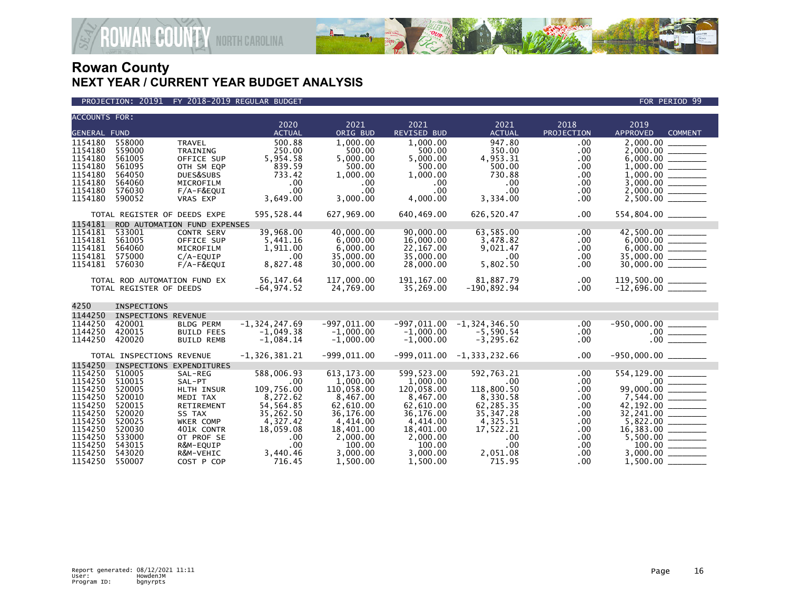

#### PROJECTION: 20191 FY 2018-2019 REGULAR BUDGET FOR PERIOD 99

| <b>ACCOUNTS FOR:</b>          |                                                         |                                              | 2020                              | 2021                              | 2021                                | 2021                              | 2018               | 2019                                         |
|-------------------------------|---------------------------------------------------------|----------------------------------------------|-----------------------------------|-----------------------------------|-------------------------------------|-----------------------------------|--------------------|----------------------------------------------|
| <b>GENERAL FUND</b>           |                                                         |                                              | <b>ACTUAL</b>                     | ORIG BUD                          | <b>REVISED BUD</b>                  | <b>ACTUAL</b>                     | PROJECTION         | <b>APPROVED</b><br><b>COMMENT</b>            |
| 1154180<br>1154180            | 558000<br>559000                                        | <b>TRAVEL</b><br>TRAINING                    | 500.88<br>250.00                  | 1,000.00<br>500.00                | 1,000.00<br>500.00                  | 947.80<br>350.00                  | .00<br>.00         | 2.000.00                                     |
| 1154180<br>1154180<br>1154180 | 561005<br>561095<br>564050                              | OFFICE SUP<br>OTH SM EQP<br>DUES&SUBS        | 5,954.58<br>839.59<br>733.42      | 5,000.00<br>500.00<br>1,000.00    | 5,000.00<br>500.00<br>1,000.00      | 4,953.31<br>500.00<br>730.88      | .00<br>.00<br>.00  |                                              |
| 1154180<br>1154180            | 564060<br>576030                                        | MICROFILM<br>F/A-F&EQUI                      | .00<br>.00                        | $.00 \,$<br>$.00 \,$              | $.00 \,$<br>.00                     | .00<br>$.00 \times$               | .00<br>.00         |                                              |
| 1154180                       | 590052                                                  | VRAS EXP                                     | 3,649.00                          | 3,000.00                          | 4,000.00                            | 3,334.00                          | .00                |                                              |
|                               | TOTAL REGISTER OF DEEDS EXPE                            |                                              | 595,528.44                        | 627,969.00                        | 640,469.00                          | 626,520.47                        | .00.               | 554,804.00 _______                           |
| 1154181                       |                                                         | ROD AUTOMATION FUND EXPENSES                 |                                   |                                   |                                     |                                   |                    |                                              |
| 1154181<br>1154181<br>1154181 | 533001<br>561005<br>564060                              | <b>CONTR SERV</b><br>OFFICE SUP<br>MICROFILM | 39,968.00<br>5,441.16<br>1,911.00 | 40.000.00<br>6,000.00<br>6,000.00 | 90.000.00<br>16,000.00<br>22,167.00 | 63,585.00<br>3,478.82<br>9,021.47 | .00<br>.00.<br>.00 |                                              |
| 1154181<br>1154181            | 575000<br>576030                                        | C/A-EQUIP<br>F/A-F&EQUI                      | .00<br>8,827.48                   | 35,000,00<br>30,000.00            | 35,000,00<br>28,000.00              | .00<br>5,802.50                   | .00<br>.00         | 35.000.00                                    |
|                               | TOTAL ROD AUTOMATION FUND EX<br>TOTAL REGISTER OF DEEDS |                                              | 56,147.64<br>$-64, 974.52$        | 117,000.00<br>24,769.00           | 191, 167.00<br>35,269.00            | 81,887.79<br>$-190,892.94$        | .00<br>.00         | $119,500.00$ ________<br>-12,696.00 ________ |
| 4250                          | INSPECTIONS                                             |                                              |                                   |                                   |                                     |                                   |                    |                                              |
| 1144250                       | INSPECTIONS REVENUE                                     |                                              |                                   |                                   |                                     |                                   |                    |                                              |
| 1144250                       | 420001                                                  | <b>BLDG PERM</b>                             | $-1, 324, 247.69$                 | $-997,011.00$                     | $-997.011.00$                       | $-1.324.346.50$                   | .00                | $-950.000.00$                                |
| 1144250<br>1144250            | 420015<br>420020                                        | <b>BUILD FEES</b><br><b>BUILD REMB</b>       | $-1,049.38$<br>$-1,084.14$        | $-1,000.00$<br>$-1,000.00$        | $-1,000.00$<br>$-1,000.00$          | $-5,590.54$<br>$-3, 295.62$       | .00.<br>.00        |                                              |
|                               | TOTAL INSPECTIONS REVENUE                               |                                              | $-1,326,381.21$                   | $-999,011.00$                     |                                     | $-999,011.00 -1,333,232.66$       | .00.               | $-950,000.00$ ________                       |
| 1154250                       |                                                         | INSPECTIONS EXPENDITURES                     |                                   |                                   |                                     |                                   |                    |                                              |
| 1154250<br>1154250            | 510005<br>510015                                        | SAL-REG<br>SAL-PT                            | 588,006.93<br>.00                 | 613, 173.00<br>1,000.00           | 599,523.00<br>1,000.00              | 592,763.21<br>.00                 | .00.<br>.00        | 554,129.00 ________                          |
| 1154250                       | 520005                                                  | HLTH INSUR                                   | 109,756.00                        | 110,058.00                        | 120,058.00                          | 118,800.50                        | .00.               | 99,000.00                                    |
| 1154250<br>1154250            | 520010<br>520015                                        | MEDI TAX<br>RETIREMENT                       | 8,272.62<br>54,564.85             | 8,467.00<br>62,610.00             | 8,467.00<br>62,610.00               | 8,330.58<br>62,285.35             | .00<br>.00         |                                              |
| 1154250                       | 520020                                                  | SS TAX                                       | 35,262.50                         | 36,176.00                         | 36,176.00                           | 35, 347.28                        | .00                |                                              |
| 1154250                       | 520025                                                  | WKER COMP                                    | 4,327.42                          | 4,414.00                          | 4,414.00                            | 4,325.51                          | .00                |                                              |
| 1154250<br>1154250            | 520030<br>533000                                        | 401K CONTR<br>OT PROF SE                     | 18,059.08<br>.00                  | 18,401.00<br>2,000.00             | 18,401.00<br>2,000.00               | 17,522.21<br>.00                  | .00<br>.00         |                                              |
| 1154250                       | 543015                                                  | R&M-EQUIP                                    | .00                               | 100.00                            | 100.00                              | .00                               | .00                |                                              |
| 1154250<br>1154250            | 543020<br>550007                                        | R&M-VEHIC<br>COST P COP                      | 3,440.46<br>716.45                | 3,000.00<br>1.500.00              | 3,000.00<br>1.500.00                | 2,051.08<br>715.95                | .00<br>.00         | 3,000.00 _______<br>$1,500.00$ $-$           |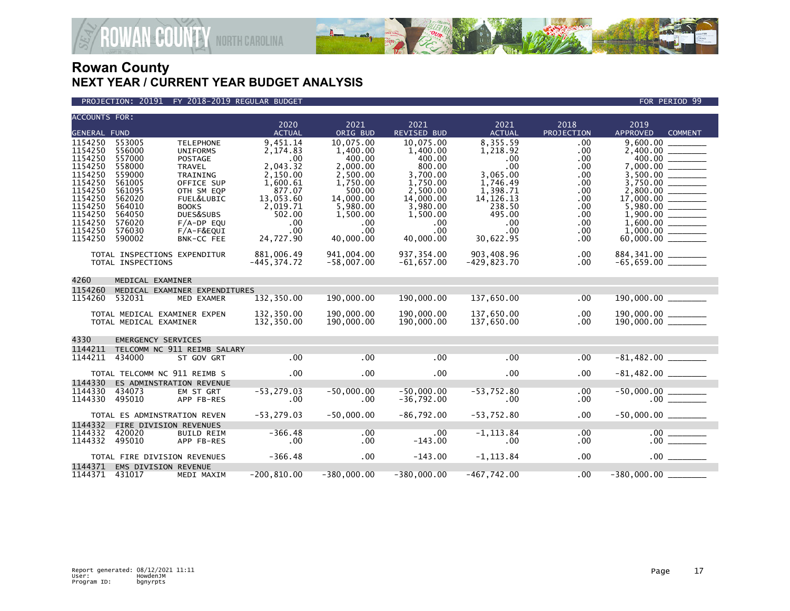

### PROJECTION: 20191 FY 2018-2019 REGULAR BUDGET FOR PERIOD 99

| <b>ACCOUNTS FOR:</b>                                                      |                                                                    |                                                                                                      | 2020                                                                 | 2021                                                                             | 2021                                                                           | 2021                                                                   | 2018                                          | 2019                                           |  |
|---------------------------------------------------------------------------|--------------------------------------------------------------------|------------------------------------------------------------------------------------------------------|----------------------------------------------------------------------|----------------------------------------------------------------------------------|--------------------------------------------------------------------------------|------------------------------------------------------------------------|-----------------------------------------------|------------------------------------------------|--|
| <b>GENERAL FUND</b>                                                       |                                                                    |                                                                                                      | <b>ACTUAL</b>                                                        | ORIG BUD                                                                         | <b>REVISED BUD</b>                                                             | <b>ACTUAL</b>                                                          | PROJECTION                                    | <b>APPROVED</b><br><b>COMMENT</b>              |  |
| 1154250<br>1154250<br>1154250<br>1154250<br>1154250<br>1154250            | 553005<br>556000<br>557000<br>558000<br>559000<br>561005           | <b>TELEPHONE</b><br><b>UNIFORMS</b><br><b>POSTAGE</b><br><b>TRAVEL</b><br>TRAINING<br>OFFICE SUP     | 9,451.14<br>2,174.83<br>.00<br>2,043.32<br>2,150.00<br>1,600.61      | 10.075.00<br>1,400.00<br>400.00<br>2,000.00<br>2.500.00<br>1,750.00              | 10.075.00<br>1,400.00<br>400.00<br>800.00<br>3,700.00<br>1,750.00              | 8,355.59<br>1,218.92<br>.00<br>.00<br>3,065.00<br>1,746.49             | .00<br>.00<br>.00<br>.00<br>.00<br>.00        | 9.600.00<br>3.500.00                           |  |
| 1154250<br>1154250<br>1154250<br>1154250<br>1154250<br>1154250<br>1154250 | 561095<br>562020<br>564010<br>564050<br>576020<br>576030<br>590002 | OTH SM EQP<br>FUEL&LUBIC<br><b>BOOKS</b><br>DUES&SUBS<br>$F/A-DP$ EQU<br>$F/A-F\&EQUI$<br>BNK-CC FEE | 877.07<br>13,053.60<br>2,019.71<br>502.00<br>.00<br>.00<br>24,727.90 | 500.00<br>14,000.00<br>5,980.00<br>1,500.00<br>$.00 \,$<br>$.00 \,$<br>40,000.00 | 2,500.00<br>14,000.00<br>3,980.00<br>1,500.00<br>.00.<br>$.00 \,$<br>40,000.00 | 1,398.71<br>14, 126. 13<br>238.50<br>495.00<br>.00<br>.00<br>30,622.95 | .00<br>.00<br>.00<br>.00<br>.00<br>.00<br>.00 | 17.000.00                                      |  |
|                                                                           | TOTAL INSPECTIONS EXPENDITUR<br>TOTAL INSPECTIONS                  |                                                                                                      | 881,006.49<br>$-445, 374.72$                                         | 941,004.00<br>$-58,007.00$                                                       | 937, 354.00<br>$-61,657.00$                                                    | 903,408.96<br>$-429,823.70$                                            | .00<br>$.00 \,$                               | 884, 341.00 ________<br>$-65,659.00$ _________ |  |
| 4260                                                                      | MEDICAL EXAMINER                                                   |                                                                                                      |                                                                      |                                                                                  |                                                                                |                                                                        |                                               |                                                |  |
| 1154260<br>1154260                                                        | 532031                                                             | MEDICAL EXAMINER EXPENDITURES<br>MED EXAMER                                                          | 132,350.00                                                           | 190,000.00                                                                       | 190.000.00                                                                     | 137,650.00                                                             | .00                                           |                                                |  |
|                                                                           | TOTAL MEDICAL EXAMINER EXPEN<br>TOTAL MEDICAL EXAMINER             |                                                                                                      | 132,350.00<br>132,350.00                                             | 190,000.00<br>190,000.00                                                         | 190,000,00<br>190,000.00                                                       | 137,650.00<br>137,650.00                                               | .00<br>.00                                    |                                                |  |
| 4330                                                                      | <b>EMERGENCY SERVICES</b>                                          |                                                                                                      |                                                                      |                                                                                  |                                                                                |                                                                        |                                               |                                                |  |
| 1144211                                                                   |                                                                    | TELCOMM NC 911 REIMB SALARY                                                                          |                                                                      |                                                                                  |                                                                                |                                                                        |                                               |                                                |  |
| 1144211                                                                   | 434000                                                             | ST GOV GRT                                                                                           | .00                                                                  | .00                                                                              | .00                                                                            | .00                                                                    | .00                                           |                                                |  |
|                                                                           | TOTAL TELCOMM NC 911 REIMB S                                       |                                                                                                      | .00                                                                  | $.00 \,$                                                                         | $.00 \times$                                                                   | $.00 \times$                                                           | .00                                           |                                                |  |
| 1144330<br>1144330<br>1144330                                             | ES ADMINSTRATION REVENUE<br>434073<br>495010                       | EM ST GRT<br>APP FB-RES                                                                              | $-53, 279.03$<br>.00                                                 | $-50,000.00$<br>$.00 \,$                                                         | $-50,000.00$<br>$-36,792.00$                                                   | $-53,752.80$<br>.00                                                    | .00<br>.00.                                   |                                                |  |
|                                                                           | TOTAL ES ADMINSTRATION REVEN                                       |                                                                                                      | $-53, 279.03$                                                        | $-50,000.00$                                                                     | $-86,792.00$                                                                   | $-53,752.80$                                                           | .00                                           | $-50,000.00$ _________                         |  |
| 1144332<br>1144332<br>1144332                                             | FIRE DIVISION REVENUES<br>420020<br>495010                         | <b>BUILD REIM</b><br>APP FB-RES                                                                      | $-366.48$<br>.00                                                     | $.00 \,$<br>$.00 \,$                                                             | $.00 \times$<br>$-143.00$                                                      | $-1, 113.84$<br>.00                                                    | .00.<br>$.00 \,$                              |                                                |  |
|                                                                           | TOTAL FIRE DIVISION REVENUES                                       |                                                                                                      | $-366.48$                                                            | $.00 \times$                                                                     | $-143.00$                                                                      | $-1, 113.84$                                                           | .00                                           |                                                |  |
| 1144371<br>1144371 431017                                                 | <b>EMS DIVISION REVENUE</b>                                        | MEDI MAXIM                                                                                           | $-200, 810.00$                                                       | $-380,000.00$                                                                    | $-380,000.00$                                                                  | $-467,742.00$                                                          | .00                                           |                                                |  |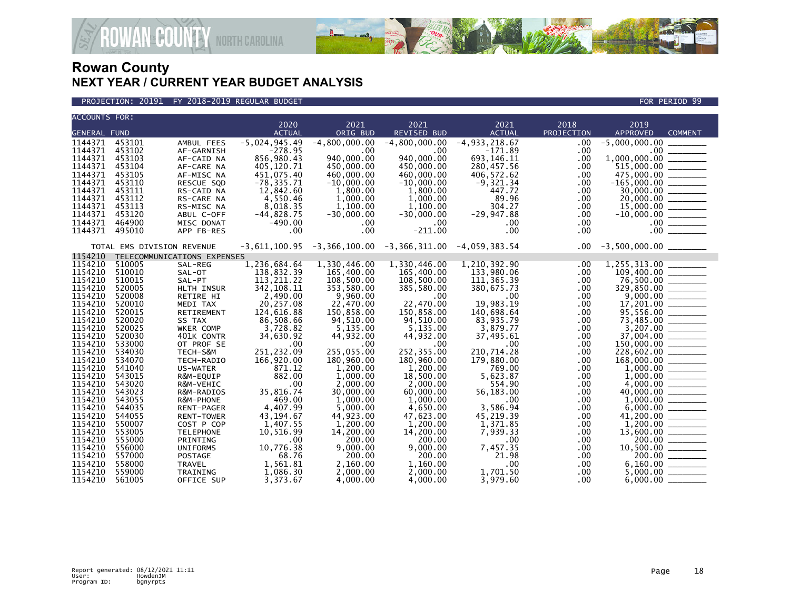

**AN&COUNTY NORTH CAROLINA** 

| <b>ACCOUNTS FOR:</b> |        |                             |                 |                 |                                                                 |                   |                   |                                                                                                                                                                     |
|----------------------|--------|-----------------------------|-----------------|-----------------|-----------------------------------------------------------------|-------------------|-------------------|---------------------------------------------------------------------------------------------------------------------------------------------------------------------|
|                      |        |                             | 2020            | 2021            | 2021                                                            | 2021              | 2018              | 2019                                                                                                                                                                |
| <b>GENERAL FUND</b>  |        |                             | <b>ACTUAL</b>   | ORIG BUD        | <b>REVISED BUD</b>                                              | <b>ACTUAL</b>     | <b>PROJECTION</b> | <b>APPROVED</b><br><b>COMMENT</b>                                                                                                                                   |
| 1144371              | 453101 | AMBUL FEES                  | $-5,024,945.49$ | $-4,800,000.00$ | $-4,800,000.00$                                                 | $-4, 933, 218.67$ | .00               |                                                                                                                                                                     |
| 1144371              | 453102 | AF-GARNISH                  | $-278.95$       | .00             | .00                                                             | $-171.89$         | .00               |                                                                                                                                                                     |
| 1144371              | 453103 | AF-CAID NA                  | 856,980.43      | 940,000.00      | 940,000.00                                                      | 693,146.11        | .00               | 1.000.000.00                                                                                                                                                        |
| 1144371              | 453104 | AF-CARE NA                  | 405,120.71      | 450,000.00      | 450,000.00                                                      | 280,457.56        | .00.              |                                                                                                                                                                     |
| 1144371              | 453105 | AF-MISC NA                  | 451,075.40      | 460,000.00      | 460,000.00                                                      | 406,572.62        | .00               | $515,000.00$<br>475,000.00 ________                                                                                                                                 |
| 1144371              | 453110 | RESCUE SQD                  | $-78, 335.71$   | $-10,000.00$    | $-10,000.00$                                                    | $-9,321.34$       | .00               |                                                                                                                                                                     |
| 1144371              | 453111 | RS-CAID NA                  | 12,842.60       | 1,800.00        | 1,800.00                                                        | 447.72            | .00.              |                                                                                                                                                                     |
| 1144371              | 453112 | RS-CARE NA                  | 4,550.46        | 1,000.00        | 1,000.00                                                        | 89.96             | .00               |                                                                                                                                                                     |
| 1144371              | 453113 | RS-MISC NA                  | 8,018.35        | 1.100.00        | 1.100.00                                                        | 304.27            | .00.              |                                                                                                                                                                     |
| 1144371              | 453120 | ABUL C-OFF                  | $-44,828.75$    | $-30,000.00$    | $-30,000.00$                                                    | $-29,947.88$      | .00.              |                                                                                                                                                                     |
| 1144371              | 464900 | MISC DONAT                  | $-490.00$       | .00             | $.00 \,$                                                        | $.00 \,$          | $.00 \times$      |                                                                                                                                                                     |
| 1144371              | 495010 | APP FB-RES                  | $.00 \,$        | .00             | $-211.00$                                                       | .00               | $.00 \times$      | $-165,000.00$<br>$30,000.00$<br>$20,000.00$<br>$15,000.00$<br>$-10,000.00$<br>$-10,000.00$<br>$00$                                                                  |
|                      |        | TOTAL EMS DIVISION REVENUE  |                 |                 | $-3,611,100.95$ $-3,366,100.00$ $-3,366,311.00$ $-4,059,383.54$ |                   | $.00\,$           |                                                                                                                                                                     |
| 1154210              |        | TELECOMMUNICATIONS EXPENSES |                 |                 |                                                                 |                   |                   |                                                                                                                                                                     |
| 1154210              | 510005 | SAL-REG                     | 1,236,684.64    | 1,330,446.00    | 1,330,446.00                                                    | 1,210,392.90      | .00               |                                                                                                                                                                     |
| 1154210              | 510010 | SAL-OT                      | 138,832.39      | 165,400.00      | 165,400.00                                                      | 133,980.06        | .00               | $\begin{array}{r} \n 109,400.00 \n 76,500.00 \n 329,850.00 \n 9,000.00 \n \end{array}$                                                                              |
| 1154210              | 510015 | SAL-PT                      | 113, 211. 22    | 108,500.00      | 108,500.00                                                      | 111,365.39        | .00.              |                                                                                                                                                                     |
| 1154210              | 520005 | HLTH INSUR                  | 342, 108.11     | 353,580.00      | 385,580.00                                                      | 380,675.73        | .00               |                                                                                                                                                                     |
| 1154210              | 520008 | RETIRE HI                   | 2,490.00        | 9,960.00        | .00                                                             | $.00 \,$          | $.00 \,$          |                                                                                                                                                                     |
| 1154210              | 520010 | MEDI TAX                    | 20,257.08       | 22,470.00       | 22,470.00                                                       | 19,983.19         | .00               | $\begin{array}{r} 17,201.00 \ \hline 19,201.00 \ \hline 95,556.00 \ \hline 73,485.00 \ \hline 3,207.00 \ \hline 37,004.00 \ \hline 150,000.00 \ \hline \end{array}$ |
| 1154210              | 520015 | RETIREMENT                  | 124,616.88      | 150,858.00      | 150,858.00                                                      | 140,698.64        | .00.              |                                                                                                                                                                     |
| 1154210              | 520020 | SS TAX                      | 86,508.66       | 94,510.00       | 94,510.00                                                       | 83,935.79         | .00.              |                                                                                                                                                                     |
| 1154210              | 520025 | WKER COMP                   | 3,728.82        | 5,135.00        | 5,135.00                                                        | 3,879.77          | .00               |                                                                                                                                                                     |
| 1154210              | 520030 | 401K CONTR                  | 34,630.92       | 44,932.00       | 44,932.00                                                       | 37,495.61         | .00.              |                                                                                                                                                                     |
| 1154210              | 533000 | OT PROF SE                  | .00             | .00             | .00                                                             | $.00 \,$          | .00.              |                                                                                                                                                                     |
| 1154210              | 534030 | TECH-S&M                    | 251,232.09      | 255.055.00      | 252,355.00                                                      | 210.714.28        | .00               | 228,602.00 ______                                                                                                                                                   |
| 1154210              | 534070 | TECH-RADIO                  | 166,920.00      | 180,960.00      | 180,960.00                                                      | 179,880.00        | .00.              |                                                                                                                                                                     |
| 1154210              | 541040 | US-WATER                    | 871.12          | 1,200.00        | 1,200.00                                                        | 769.00            | .00               |                                                                                                                                                                     |
| 1154210              | 543015 | R&M-EQUIP                   | 882.00          | 1.000.00        | 18,500.00                                                       | 5.623.87          | .00.              | $168,000.00$<br>$1,000.00$<br>$1,000.00$<br>$4,000.00$<br>$40,000.00$                                                                                               |
| 1154210              | 543020 | R&M-VEHIC                   | .00             | 2,000.00        | 2,000.00                                                        | 554.90            | .00               |                                                                                                                                                                     |
| 1154210              | 543023 | R&M-RADIOS                  | 35,816.74       | 30,000.00       | 60,000.00                                                       | 56,183.00         | .00               |                                                                                                                                                                     |
| 1154210              | 543055 | R&M-PHONE                   | 469.00          | 1.000.00        | 1.000.00                                                        | .00               | .00               |                                                                                                                                                                     |
| 1154210              | 544035 | <b>RENT-PAGER</b>           | 4.407.99        | 5.000.00        | 4.650.00                                                        | 3.586.94          | .00.              |                                                                                                                                                                     |
| 1154210              | 544055 | <b>RENT-TOWER</b>           | 43, 194. 67     | 44,923.00       | 47,623.00                                                       | 45,219.39         | .00.              |                                                                                                                                                                     |
| 1154210              | 550007 | COST P COP                  | 1,407.55        | 1,200.00        | 1,200.00                                                        | 1,371.85          | .00               |                                                                                                                                                                     |
| 1154210              | 553005 | <b>TELEPHONE</b>            | 10,516.99       | 14,200.00       | 14,200.00                                                       | 7,939.33          | .00               |                                                                                                                                                                     |
| 1154210              | 555000 | PRINTING                    | .00             | 200.00          | 200.00                                                          | $.00 \,$          | .00.              | $\frac{41,200.00}{1,200.00}$<br>1,200.00<br>13,600.00<br>200.00<br>10,500.00<br>10,500.00                                                                           |
| 1154210              | 556000 | <b>UNIFORMS</b>             | 10,776.38       | 9,000.00        | 9,000.00                                                        | 7,457.35          | .00               |                                                                                                                                                                     |
| 1154210              | 557000 | POSTAGE                     | 68.76           | 200.00          | 200.00                                                          | 21.98             | .00.              |                                                                                                                                                                     |
| 1154210              | 558000 | TRAVEL                      | 1,561.81        | 2,160.00        | 1,160.00                                                        | $.00 \,$          | .00.              |                                                                                                                                                                     |
| 1154210              | 559000 | TRAINING                    | 1,086.30        | 2,000.00        | 2,000.00                                                        | 1.701.50          | .00               |                                                                                                                                                                     |
| 1154210              | 561005 | OFFICE SUP                  | 3,373.67        | 4,000.00        | 4,000.00                                                        | 3,979.60          | .00.              | $6,000.00$ $-$                                                                                                                                                      |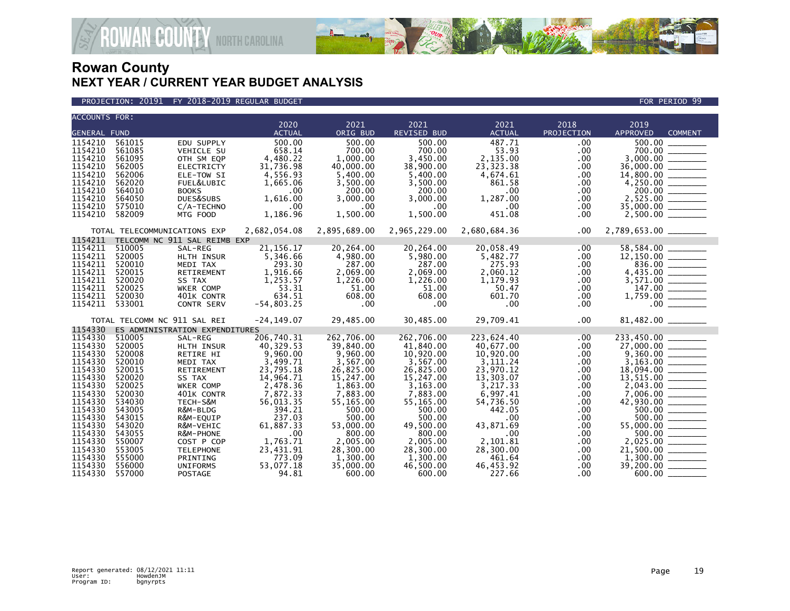

**AN<sup>&</sup>COUNTY** NORTH CAROLINA

| <b>ACCOUNTS FOR:</b>                                                                                                                                                                                                                                      |                                                                                                                                                                                                                          |                                                                                                                                                                                                                                                                                 |                                                                                                                                                                                                                                                                |                                                                                                                                                                                                                                                 |                                                                                                                                                                                                                                                  |                                                                                                                                                                                                                                                         |                                                                                                                                                             |                                                                                                                                                                                                                                    |  |
|-----------------------------------------------------------------------------------------------------------------------------------------------------------------------------------------------------------------------------------------------------------|--------------------------------------------------------------------------------------------------------------------------------------------------------------------------------------------------------------------------|---------------------------------------------------------------------------------------------------------------------------------------------------------------------------------------------------------------------------------------------------------------------------------|----------------------------------------------------------------------------------------------------------------------------------------------------------------------------------------------------------------------------------------------------------------|-------------------------------------------------------------------------------------------------------------------------------------------------------------------------------------------------------------------------------------------------|--------------------------------------------------------------------------------------------------------------------------------------------------------------------------------------------------------------------------------------------------|---------------------------------------------------------------------------------------------------------------------------------------------------------------------------------------------------------------------------------------------------------|-------------------------------------------------------------------------------------------------------------------------------------------------------------|------------------------------------------------------------------------------------------------------------------------------------------------------------------------------------------------------------------------------------|--|
|                                                                                                                                                                                                                                                           |                                                                                                                                                                                                                          |                                                                                                                                                                                                                                                                                 | 2020                                                                                                                                                                                                                                                           | 2021                                                                                                                                                                                                                                            | 2021                                                                                                                                                                                                                                             | 2021                                                                                                                                                                                                                                                    | 2018                                                                                                                                                        | 2019                                                                                                                                                                                                                               |  |
| <b>GENERAL FUND</b>                                                                                                                                                                                                                                       |                                                                                                                                                                                                                          |                                                                                                                                                                                                                                                                                 | <b>ACTUAL</b>                                                                                                                                                                                                                                                  | ORIG BUD                                                                                                                                                                                                                                        | <b>REVISED BUD</b>                                                                                                                                                                                                                               | <b>ACTUAL</b>                                                                                                                                                                                                                                           | PROJECTION                                                                                                                                                  | <b>APPROVED</b><br><b>COMMENT</b>                                                                                                                                                                                                  |  |
| 1154210                                                                                                                                                                                                                                                   | 561015                                                                                                                                                                                                                   | EDU SUPPLY                                                                                                                                                                                                                                                                      | 500.00                                                                                                                                                                                                                                                         | 500.00                                                                                                                                                                                                                                          | 500.00                                                                                                                                                                                                                                           | 487.71                                                                                                                                                                                                                                                  | .00                                                                                                                                                         |                                                                                                                                                                                                                                    |  |
| 1154210                                                                                                                                                                                                                                                   | 561085                                                                                                                                                                                                                   | VEHICLE SU                                                                                                                                                                                                                                                                      | 658.14                                                                                                                                                                                                                                                         | 700.00                                                                                                                                                                                                                                          | 700.00                                                                                                                                                                                                                                           | 53.93                                                                                                                                                                                                                                                   | .00                                                                                                                                                         | 700.00                                                                                                                                                                                                                             |  |
| 1154210                                                                                                                                                                                                                                                   | 561095                                                                                                                                                                                                                   | OTH SM EQP                                                                                                                                                                                                                                                                      | 4,480.22                                                                                                                                                                                                                                                       | 1,000.00                                                                                                                                                                                                                                        | 3,450.00                                                                                                                                                                                                                                         | 2,135.00                                                                                                                                                                                                                                                | .00                                                                                                                                                         |                                                                                                                                                                                                                                    |  |
| 1154210                                                                                                                                                                                                                                                   | 562005                                                                                                                                                                                                                   | <b>ELECTRICTY</b>                                                                                                                                                                                                                                                               | 31,736.98                                                                                                                                                                                                                                                      | 40,000.00                                                                                                                                                                                                                                       | 38,900.00                                                                                                                                                                                                                                        | 23,323.38                                                                                                                                                                                                                                               | .00                                                                                                                                                         |                                                                                                                                                                                                                                    |  |
| 1154210                                                                                                                                                                                                                                                   | 562006                                                                                                                                                                                                                   | ELE-TOW SI                                                                                                                                                                                                                                                                      | 4,556.93                                                                                                                                                                                                                                                       | 5,400.00                                                                                                                                                                                                                                        | 5,400.00                                                                                                                                                                                                                                         | 4,674.61                                                                                                                                                                                                                                                | .00                                                                                                                                                         |                                                                                                                                                                                                                                    |  |
| 1154210                                                                                                                                                                                                                                                   | 562020                                                                                                                                                                                                                   | FUEL&LUBIC                                                                                                                                                                                                                                                                      | 1,665.06                                                                                                                                                                                                                                                       | 3,500.00                                                                                                                                                                                                                                        | 3,500.00                                                                                                                                                                                                                                         | 861.58                                                                                                                                                                                                                                                  | .00                                                                                                                                                         |                                                                                                                                                                                                                                    |  |
| 1154210                                                                                                                                                                                                                                                   | 564010                                                                                                                                                                                                                   | <b>BOOKS</b>                                                                                                                                                                                                                                                                    | .00                                                                                                                                                                                                                                                            | 200.00                                                                                                                                                                                                                                          | 200.00                                                                                                                                                                                                                                           | $.00 \,$                                                                                                                                                                                                                                                | .00                                                                                                                                                         | $\frac{4,250.00}{200.00}$                                                                                                                                                                                                          |  |
| 1154210                                                                                                                                                                                                                                                   | 564050                                                                                                                                                                                                                   | DUES&SUBS                                                                                                                                                                                                                                                                       | 1,616.00                                                                                                                                                                                                                                                       | 3,000.00                                                                                                                                                                                                                                        | 3,000.00                                                                                                                                                                                                                                         | 1,287.00                                                                                                                                                                                                                                                | .00                                                                                                                                                         | $2,525.00$<br>35,000.00                                                                                                                                                                                                            |  |
| 1154210                                                                                                                                                                                                                                                   | 575010                                                                                                                                                                                                                   | C/A-TECHNO                                                                                                                                                                                                                                                                      | .00                                                                                                                                                                                                                                                            | .00.                                                                                                                                                                                                                                            | .00                                                                                                                                                                                                                                              | $.00 \,$                                                                                                                                                                                                                                                | .00                                                                                                                                                         |                                                                                                                                                                                                                                    |  |
| 1154210                                                                                                                                                                                                                                                   | 582009                                                                                                                                                                                                                   | MTG FOOD                                                                                                                                                                                                                                                                        | 1,186.96                                                                                                                                                                                                                                                       | 1,500.00                                                                                                                                                                                                                                        | 1,500.00                                                                                                                                                                                                                                         | 451.08                                                                                                                                                                                                                                                  | .00                                                                                                                                                         |                                                                                                                                                                                                                                    |  |
|                                                                                                                                                                                                                                                           |                                                                                                                                                                                                                          | TOTAL TELECOMMUNICATIONS EXP                                                                                                                                                                                                                                                    | 2,682,054.08                                                                                                                                                                                                                                                   | 2,895,689.00                                                                                                                                                                                                                                    | 2,965,229.00                                                                                                                                                                                                                                     | 2,680,684.36                                                                                                                                                                                                                                            | .00                                                                                                                                                         | 2,789,653.00 ________                                                                                                                                                                                                              |  |
| 1154211                                                                                                                                                                                                                                                   |                                                                                                                                                                                                                          | TELCOMM NC 911 SAL REIMB EXP                                                                                                                                                                                                                                                    |                                                                                                                                                                                                                                                                |                                                                                                                                                                                                                                                 |                                                                                                                                                                                                                                                  |                                                                                                                                                                                                                                                         |                                                                                                                                                             |                                                                                                                                                                                                                                    |  |
| 1154211                                                                                                                                                                                                                                                   | 510005                                                                                                                                                                                                                   | SAL-REG                                                                                                                                                                                                                                                                         | 21, 156. 17                                                                                                                                                                                                                                                    | 20,264.00                                                                                                                                                                                                                                       | 20,264.00                                                                                                                                                                                                                                        | 20,058.49                                                                                                                                                                                                                                               | .00                                                                                                                                                         | 58,584.00                                                                                                                                                                                                                          |  |
| 1154211                                                                                                                                                                                                                                                   | 520005                                                                                                                                                                                                                   | HLTH INSUR                                                                                                                                                                                                                                                                      | 5,346.66                                                                                                                                                                                                                                                       | 4,980.00                                                                                                                                                                                                                                        | 5,980.00                                                                                                                                                                                                                                         | 5,482.77                                                                                                                                                                                                                                                | .00                                                                                                                                                         |                                                                                                                                                                                                                                    |  |
| 1154211                                                                                                                                                                                                                                                   | 520010                                                                                                                                                                                                                   | MEDI TAX                                                                                                                                                                                                                                                                        | 293.30                                                                                                                                                                                                                                                         | 287.00                                                                                                                                                                                                                                          | 287.00                                                                                                                                                                                                                                           | 275.93                                                                                                                                                                                                                                                  | .00                                                                                                                                                         |                                                                                                                                                                                                                                    |  |
| 1154211                                                                                                                                                                                                                                                   | 520015                                                                                                                                                                                                                   | RETIREMENT                                                                                                                                                                                                                                                                      | 1,916.66                                                                                                                                                                                                                                                       | 2,069.00                                                                                                                                                                                                                                        | 2,069.00                                                                                                                                                                                                                                         | 2,060.12                                                                                                                                                                                                                                                | .00                                                                                                                                                         |                                                                                                                                                                                                                                    |  |
|                                                                                                                                                                                                                                                           |                                                                                                                                                                                                                          | SS TAX                                                                                                                                                                                                                                                                          |                                                                                                                                                                                                                                                                | 1,226.00                                                                                                                                                                                                                                        | 1,226.00                                                                                                                                                                                                                                         | 1,179.93                                                                                                                                                                                                                                                | .00                                                                                                                                                         |                                                                                                                                                                                                                                    |  |
|                                                                                                                                                                                                                                                           |                                                                                                                                                                                                                          | WKER COMP                                                                                                                                                                                                                                                                       |                                                                                                                                                                                                                                                                |                                                                                                                                                                                                                                                 |                                                                                                                                                                                                                                                  |                                                                                                                                                                                                                                                         |                                                                                                                                                             |                                                                                                                                                                                                                                    |  |
|                                                                                                                                                                                                                                                           |                                                                                                                                                                                                                          |                                                                                                                                                                                                                                                                                 |                                                                                                                                                                                                                                                                |                                                                                                                                                                                                                                                 |                                                                                                                                                                                                                                                  |                                                                                                                                                                                                                                                         |                                                                                                                                                             |                                                                                                                                                                                                                                    |  |
|                                                                                                                                                                                                                                                           |                                                                                                                                                                                                                          |                                                                                                                                                                                                                                                                                 |                                                                                                                                                                                                                                                                |                                                                                                                                                                                                                                                 |                                                                                                                                                                                                                                                  |                                                                                                                                                                                                                                                         |                                                                                                                                                             |                                                                                                                                                                                                                                    |  |
|                                                                                                                                                                                                                                                           |                                                                                                                                                                                                                          | TOTAL TELCOMM NC 911 SAL REI                                                                                                                                                                                                                                                    | $-24, 149.07$                                                                                                                                                                                                                                                  | 29,485.00                                                                                                                                                                                                                                       | 30,485.00                                                                                                                                                                                                                                        | 29,709.41                                                                                                                                                                                                                                               | .00                                                                                                                                                         | 81,482.00                                                                                                                                                                                                                          |  |
|                                                                                                                                                                                                                                                           |                                                                                                                                                                                                                          | ES ADMINISTRATION EXPENDITURES                                                                                                                                                                                                                                                  |                                                                                                                                                                                                                                                                |                                                                                                                                                                                                                                                 |                                                                                                                                                                                                                                                  |                                                                                                                                                                                                                                                         |                                                                                                                                                             |                                                                                                                                                                                                                                    |  |
|                                                                                                                                                                                                                                                           |                                                                                                                                                                                                                          |                                                                                                                                                                                                                                                                                 |                                                                                                                                                                                                                                                                |                                                                                                                                                                                                                                                 |                                                                                                                                                                                                                                                  |                                                                                                                                                                                                                                                         |                                                                                                                                                             | 233,450.00                                                                                                                                                                                                                         |  |
|                                                                                                                                                                                                                                                           |                                                                                                                                                                                                                          |                                                                                                                                                                                                                                                                                 |                                                                                                                                                                                                                                                                |                                                                                                                                                                                                                                                 |                                                                                                                                                                                                                                                  |                                                                                                                                                                                                                                                         |                                                                                                                                                             |                                                                                                                                                                                                                                    |  |
|                                                                                                                                                                                                                                                           |                                                                                                                                                                                                                          |                                                                                                                                                                                                                                                                                 |                                                                                                                                                                                                                                                                |                                                                                                                                                                                                                                                 |                                                                                                                                                                                                                                                  |                                                                                                                                                                                                                                                         |                                                                                                                                                             |                                                                                                                                                                                                                                    |  |
|                                                                                                                                                                                                                                                           |                                                                                                                                                                                                                          |                                                                                                                                                                                                                                                                                 |                                                                                                                                                                                                                                                                |                                                                                                                                                                                                                                                 |                                                                                                                                                                                                                                                  |                                                                                                                                                                                                                                                         |                                                                                                                                                             |                                                                                                                                                                                                                                    |  |
|                                                                                                                                                                                                                                                           |                                                                                                                                                                                                                          |                                                                                                                                                                                                                                                                                 |                                                                                                                                                                                                                                                                |                                                                                                                                                                                                                                                 |                                                                                                                                                                                                                                                  |                                                                                                                                                                                                                                                         |                                                                                                                                                             |                                                                                                                                                                                                                                    |  |
|                                                                                                                                                                                                                                                           |                                                                                                                                                                                                                          |                                                                                                                                                                                                                                                                                 |                                                                                                                                                                                                                                                                |                                                                                                                                                                                                                                                 |                                                                                                                                                                                                                                                  |                                                                                                                                                                                                                                                         |                                                                                                                                                             |                                                                                                                                                                                                                                    |  |
|                                                                                                                                                                                                                                                           |                                                                                                                                                                                                                          |                                                                                                                                                                                                                                                                                 |                                                                                                                                                                                                                                                                |                                                                                                                                                                                                                                                 |                                                                                                                                                                                                                                                  |                                                                                                                                                                                                                                                         |                                                                                                                                                             |                                                                                                                                                                                                                                    |  |
|                                                                                                                                                                                                                                                           |                                                                                                                                                                                                                          |                                                                                                                                                                                                                                                                                 |                                                                                                                                                                                                                                                                |                                                                                                                                                                                                                                                 |                                                                                                                                                                                                                                                  |                                                                                                                                                                                                                                                         |                                                                                                                                                             |                                                                                                                                                                                                                                    |  |
|                                                                                                                                                                                                                                                           |                                                                                                                                                                                                                          |                                                                                                                                                                                                                                                                                 |                                                                                                                                                                                                                                                                |                                                                                                                                                                                                                                                 |                                                                                                                                                                                                                                                  |                                                                                                                                                                                                                                                         |                                                                                                                                                             |                                                                                                                                                                                                                                    |  |
|                                                                                                                                                                                                                                                           |                                                                                                                                                                                                                          |                                                                                                                                                                                                                                                                                 |                                                                                                                                                                                                                                                                |                                                                                                                                                                                                                                                 |                                                                                                                                                                                                                                                  |                                                                                                                                                                                                                                                         |                                                                                                                                                             |                                                                                                                                                                                                                                    |  |
|                                                                                                                                                                                                                                                           |                                                                                                                                                                                                                          |                                                                                                                                                                                                                                                                                 |                                                                                                                                                                                                                                                                |                                                                                                                                                                                                                                                 |                                                                                                                                                                                                                                                  |                                                                                                                                                                                                                                                         |                                                                                                                                                             |                                                                                                                                                                                                                                    |  |
|                                                                                                                                                                                                                                                           |                                                                                                                                                                                                                          |                                                                                                                                                                                                                                                                                 |                                                                                                                                                                                                                                                                |                                                                                                                                                                                                                                                 |                                                                                                                                                                                                                                                  |                                                                                                                                                                                                                                                         |                                                                                                                                                             |                                                                                                                                                                                                                                    |  |
|                                                                                                                                                                                                                                                           |                                                                                                                                                                                                                          |                                                                                                                                                                                                                                                                                 |                                                                                                                                                                                                                                                                |                                                                                                                                                                                                                                                 |                                                                                                                                                                                                                                                  |                                                                                                                                                                                                                                                         |                                                                                                                                                             |                                                                                                                                                                                                                                    |  |
|                                                                                                                                                                                                                                                           |                                                                                                                                                                                                                          |                                                                                                                                                                                                                                                                                 |                                                                                                                                                                                                                                                                |                                                                                                                                                                                                                                                 |                                                                                                                                                                                                                                                  |                                                                                                                                                                                                                                                         |                                                                                                                                                             |                                                                                                                                                                                                                                    |  |
|                                                                                                                                                                                                                                                           |                                                                                                                                                                                                                          |                                                                                                                                                                                                                                                                                 |                                                                                                                                                                                                                                                                |                                                                                                                                                                                                                                                 |                                                                                                                                                                                                                                                  |                                                                                                                                                                                                                                                         |                                                                                                                                                             |                                                                                                                                                                                                                                    |  |
|                                                                                                                                                                                                                                                           |                                                                                                                                                                                                                          |                                                                                                                                                                                                                                                                                 |                                                                                                                                                                                                                                                                |                                                                                                                                                                                                                                                 |                                                                                                                                                                                                                                                  |                                                                                                                                                                                                                                                         |                                                                                                                                                             |                                                                                                                                                                                                                                    |  |
|                                                                                                                                                                                                                                                           |                                                                                                                                                                                                                          |                                                                                                                                                                                                                                                                                 |                                                                                                                                                                                                                                                                |                                                                                                                                                                                                                                                 |                                                                                                                                                                                                                                                  |                                                                                                                                                                                                                                                         |                                                                                                                                                             |                                                                                                                                                                                                                                    |  |
| 1154211<br>1154211<br>1154211<br>1154211<br>1154330<br>1154330<br>1154330<br>1154330<br>1154330<br>1154330<br>1154330<br>1154330<br>1154330<br>1154330<br>1154330<br>1154330<br>1154330<br>1154330<br>1154330<br>1154330<br>1154330<br>1154330<br>1154330 | 520020<br>520025<br>520030<br>533001<br>510005<br>520005<br>520008<br>520010<br>520015<br>520020<br>520025<br>520030<br>534030<br>543005<br>543015<br>543020<br>543055<br>550007<br>553005<br>555000<br>556000<br>557000 | 401K CONTR<br><b>CONTR SERV</b><br>SAL-REG<br>HLTH INSUR<br>RETIRE HI<br>MEDI TAX<br>RETIREMENT<br>SS TAX<br>WKER COMP<br>401K CONTR<br>TECH-S&M<br>R&M-BLDG<br>R&M-EQUIP<br>R&M-VEHIC<br>R&M-PHONE<br>COST P COP<br><b>TELEPHONE</b><br>PRINTING<br><b>UNIFORMS</b><br>POSTAGE | 1,253.57<br>53.31<br>634.51<br>$-54,803.25$<br>206,740.31<br>40,329.53<br>9,960.00<br>3,499.71<br>23,795.18<br>14,964.71<br>2,478.36<br>7,872.33<br>56,013.35<br>394.21<br>237.03<br>61,887.33<br>.00<br>1,763.71<br>23,431.91<br>773.09<br>53,077.18<br>94.81 | 51.00<br>608.00<br>.00<br>262,706.00<br>39,840.00<br>9,960.00<br>3,567.00<br>26,825.00<br>15,247.00<br>1,863.00<br>7,883.00<br>55,165.00<br>500.00<br>500.00<br>53.000.00<br>800.00<br>2,005.00<br>28,300.00<br>1,300.00<br>35,000.00<br>600.00 | 51.00<br>608.00<br>.00<br>262,706.00<br>41,840.00<br>10,920.00<br>3,567.00<br>26,825.00<br>15,247.00<br>3,163.00<br>7,883.00<br>55,165.00<br>500.00<br>500.00<br>49,500.00<br>800.00<br>2,005.00<br>28,300.00<br>1,300.00<br>46,500.00<br>600.00 | 50.47<br>601.70<br>$.00 \,$<br>223,624.40<br>40,677.00<br>10,920.00<br>3,111.24<br>23,970.12<br>13,303.07<br>3,217.33<br>6,997.41<br>54,736.50<br>442.05<br>$.00 \,$<br>43,871.69<br>$.00 \,$<br>2,101.81<br>28,300.00<br>461.64<br>46,453.92<br>227.66 | .00<br>.00.<br>.00<br>.00<br>.00<br>.00<br>.00<br>.00<br>.00<br>.00<br>$.00 \,$<br>.00<br>.00<br>.00<br>.00<br>.00<br>.00<br>$.00 \,$<br>.00.<br>.00<br>.00 | $12,150.00$ $836.00$ $4,435.00$ $3,571.00$ $147.00$ $147.00$<br>$7,043.00$<br>$7,006.00$<br>$42,930.00$<br>$500.00$<br>$500.00$ ______<br>$55,000.00$ $500.00$ $2,025.00$ $2.025.00$<br>21,500.00 _______<br>$39,200.00$ _________ |  |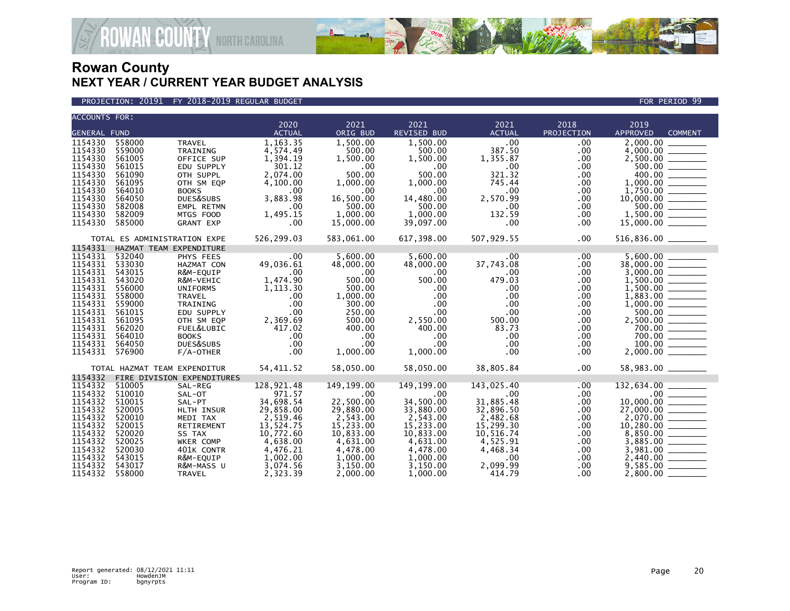

PROJECTION: 20191 FY 2018-2019 REGULAR BUDGET FOR PERIOD 99

| <b>ACCOUNTS FOR:</b> |                              |                            | 2020          | 2021                  | 2021               | 2021          | 2018       | 2019                      |                   |
|----------------------|------------------------------|----------------------------|---------------|-----------------------|--------------------|---------------|------------|---------------------------|-------------------|
| <b>GENERAL FUND</b>  |                              |                            | <b>ACTUAL</b> | ORIG BUD              | <b>REVISED BUD</b> | <b>ACTUAL</b> | PROJECTION | <b>APPROVED</b>           | <b>COMMENT</b>    |
| 1154330              | 558000                       | <b>TRAVEL</b>              | 1,163.35      | 1,500.00              | 1,500.00           | .00           | .00        | 2,000.00                  |                   |
| 1154330              | 559000                       | TRAINING                   | 4,574.49      | 500.00                | 500.00             | 387.50        | .00        | 4,000.00                  |                   |
| 1154330              | 561005                       | OFFICE SUP                 | 1,394.19      | 1,500.00              | 1,500.00           | 1,355.87      | .00        |                           |                   |
| 1154330              | 561015                       | EDU SUPPLY                 | 301.12        | $.00 \,$              | $.00 \,$           | $.00 \,$      | .00        |                           |                   |
| 1154330              | 561090                       | OTH SUPPL                  | 2,074.00      | 500.00                | 500.00             | 321.32        | .00        | 400.00                    |                   |
| 1154330              | 561095                       | OTH SM EQP                 | 4,100.00      | 1,000.00              | 1,000.00           | 745.44        | .00        | 1,000.00                  |                   |
| 1154330              | 564010                       | <b>BOOKS</b>               | .00           | $.00 \,$              | $.00 \,$           | .00           | .00        | 1,750.00                  |                   |
| 1154330              | 564050                       | DUES&SUBS                  | 3,883.98      | 16,500.00             | 14,480.00          | 2,570.99      | .00        | $10,000.00$ ________      |                   |
| 1154330              | 582008                       | EMPL RETMN                 | .00           | 500.00                | 500.00             | $.00 \,$      | .00        |                           |                   |
| 1154330              | 582009                       | MTGS FOOD                  | 1,495.15      | 1,000.00              | 1,000.00           | 132.59        | .00        | $\frac{500.00}{1,500.00}$ |                   |
| 1154330              | 585000                       | <b>GRANT EXP</b>           | .00           | 15,000.00             | 39,097.00          | .00           | .00        |                           |                   |
|                      |                              |                            |               |                       |                    |               |            |                           |                   |
|                      | TOTAL ES ADMINISTRATION EXPE |                            | 526,299.03    | 583,061.00            | 617,398.00         | 507,929.55    | .00        | $516,836.00$ _______      |                   |
| 1154331              | HAZMAT TEAM EXPENDITURE      |                            |               |                       |                    |               |            |                           |                   |
| 1154331              | 532040                       | PHYS FEES                  | .00           | 5,600.00              | 5,600.00           | $.00 \,$      | .00        | 5.600.00                  |                   |
| 1154331              | 533030                       | HAZMAT CON                 | 49,036.61     | 48,000.00             | 48,000.00          | 37,743.08     | .00        |                           |                   |
| 1154331              | 543015                       | R&M-EQUIP                  | .00           | $.00 \,$              | $.00 \,$           | $.00 \,$      | .00.       |                           |                   |
| 1154331              | 543020                       | R&M-VEHIC                  | 1,474.90      | 500.00                | 500.00             | 479.03        | .00        |                           |                   |
| 1154331              | 556000                       | <b>UNIFORMS</b>            | 1,113.30      | 500.00                | $.00 \,$           | .00           | .00        |                           |                   |
| 1154331              | 558000                       | <b>TRAVEL</b>              | .00           | 1,000.00              | $.00 \cdot$        | .00           | .00        |                           |                   |
| 1154331 559000       |                              | TRAINING                   | .00           | 300.00                | $.00 \cdot$        | .00           | .00        |                           |                   |
| 1154331              | 561015                       | EDU SUPPLY                 | .00           | 250.00                | $.00 \cdot$        | $.00 \,$      | .00        |                           | $500.00$ ________ |
| 1154331              | 561095                       | OTH SM EQP                 | 2,369.69      | 500.00                | 2,550.00           | 500.00        | .00        | $2,500.00$ _________      |                   |
| 1154331              | 562020                       | FUEL&LUBIC                 | 417.02        | 400.00                | 400.00             | 83.73         | .00        |                           | 700.00            |
| 1154331              | 564010                       | <b>BOOKS</b>               | .00           | $.00 \,$              | $.00 \times$       | .00           | .00        | 700.00                    |                   |
| 1154331              | 564050                       | DUES&SUBS                  | .00           | .00 <sub>1</sub>      | .00 <sub>1</sub>   | $.00 \,$      | .00        | 100.00                    |                   |
| 1154331              | 576900                       | $F/A$ -OTHER               | .00           | 1,000.00              | 1,000.00           | $.00 \times$  | .00        |                           |                   |
|                      | TOTAL HAZMAT TEAM EXPENDITUR |                            | 54,411.52     | 58,050.00             | 58,050.00          | 38,805.84     | .00        | 58,983.00                 |                   |
| 1154332              |                              | FIRE DIVISION EXPENDITURES |               |                       |                    |               |            |                           |                   |
| 1154332              | 510005                       | SAL-REG                    | 128,921.48    | 149,199.00            | 149,199.00         | 143,025.40    | .00        | 132,634.00                |                   |
| 1154332              | 510010                       | SAL-OT                     | 971.57        | $.00 \,$              | $.00 \times$       | .00           | .00        |                           | $.00$ $\qquad$    |
| 1154332              | 510015                       | SAL-PT                     | 34,698.54     | 22,500.00             | 34,500.00          | 31,885.48     | .00        | 10,000.00                 |                   |
| 1154332              | 520005                       | HLTH INSUR                 | 29,858.00     | 29,880.00<br>2,543.00 | 33,880.00          | 32,896.50     | .00        |                           |                   |
| 1154332              | 520010                       | MEDI TAX                   | 2,519.46      |                       | 2,543.00           | 2,482.68      | .00        |                           |                   |
| 1154332              | 520015                       | RETIREMENT                 | 13,524.75     | 15,233.00             | 15,233.00          | 15,299.30     | .00        | 10,280.00                 |                   |
| 1154332              | 520020                       | SS TAX                     | 10,772.60     | 10,833.00             | 10.833.00          | 10.516.74     | .00        | 8,850.00                  |                   |
| 1154332              | 520025                       | WKER COMP                  | 4,638.00      | 4,631.00              | 4,631.00           | 4,525.91      | .00        |                           |                   |
| 1154332              | 520030                       | 401K CONTR                 | 4,476.21      | 4,478.00              | 4,478.00           | 4,468.34      | .00        | 3,981.00                  |                   |
| 1154332              | 543015                       | R&M-EQUIP                  | 1,002.00      | 1,000.00              | 1,000.00           | $.00 \,$      | .00        | 2,440.00                  |                   |
| 1154332              | 543017                       | R&M-MASS U                 | 3,074.56      | 3,150.00              | 3,150.00           | 2,099.99      | .00        | 9,585.00                  |                   |
| 1154332              | 558000                       | <b>TRAVEL</b>              | 2,323.39      | 2,000.00              | 1.000.00           | 414.79        | $.00 \,$   | 2.800.00                  |                   |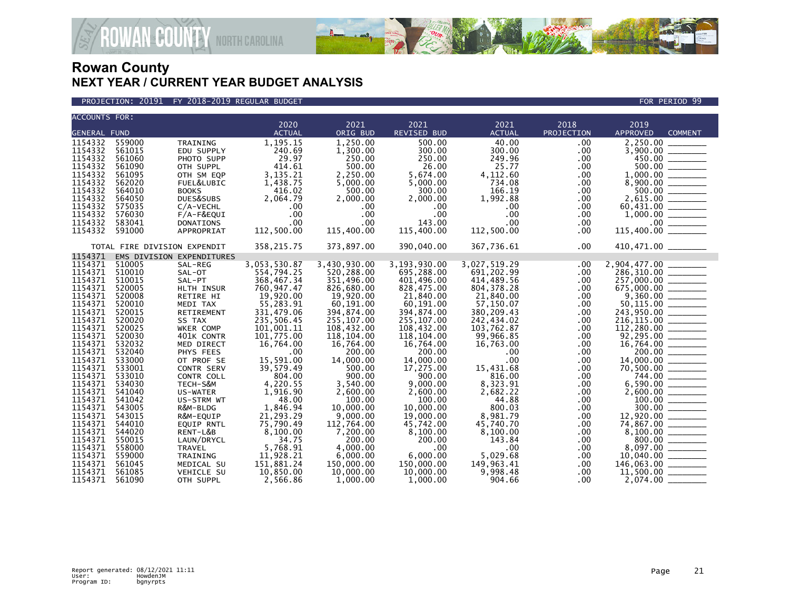

#### PROJECTION: 20191 FY 2018-2019 REGULAR BUDGET FOR PERIOD 99

| <b>ACCOUNTS FOR:</b>                                                                                                                                                                                                                                      |                                                                                                                                                                                                                          |                                                                                                                                                                                                                                                                                                                                | 2020                                                                                                                                                                                                                                                                                | 2021                                                                                                                                                                                                                                                                                  | 2021                                                                                                                                                                                                                                                                                     | 2021                                                                                                                                                                                                                                                                             | 2018                                                                                                                                                                        | 2019                                                                                                                                                                                                                                                                                                                                                    |
|-----------------------------------------------------------------------------------------------------------------------------------------------------------------------------------------------------------------------------------------------------------|--------------------------------------------------------------------------------------------------------------------------------------------------------------------------------------------------------------------------|--------------------------------------------------------------------------------------------------------------------------------------------------------------------------------------------------------------------------------------------------------------------------------------------------------------------------------|-------------------------------------------------------------------------------------------------------------------------------------------------------------------------------------------------------------------------------------------------------------------------------------|---------------------------------------------------------------------------------------------------------------------------------------------------------------------------------------------------------------------------------------------------------------------------------------|------------------------------------------------------------------------------------------------------------------------------------------------------------------------------------------------------------------------------------------------------------------------------------------|----------------------------------------------------------------------------------------------------------------------------------------------------------------------------------------------------------------------------------------------------------------------------------|-----------------------------------------------------------------------------------------------------------------------------------------------------------------------------|---------------------------------------------------------------------------------------------------------------------------------------------------------------------------------------------------------------------------------------------------------------------------------------------------------------------------------------------------------|
| <b>GENERAL FUND</b>                                                                                                                                                                                                                                       |                                                                                                                                                                                                                          |                                                                                                                                                                                                                                                                                                                                | <b>ACTUAL</b>                                                                                                                                                                                                                                                                       | ORIG BUD                                                                                                                                                                                                                                                                              | <b>REVISED BUD</b>                                                                                                                                                                                                                                                                       | <b>ACTUAL</b>                                                                                                                                                                                                                                                                    | PROJECTION                                                                                                                                                                  | <b>APPROVED</b><br><b>COMMENT</b>                                                                                                                                                                                                                                                                                                                       |
| 1154332<br>1154332<br>1154332<br>1154332<br>1154332<br>1154332<br>1154332<br>1154332<br>1154332<br>1154332<br>1154332                                                                                                                                     | 559000<br>561015<br>561060<br>561090<br>561095<br>562020<br>564010<br>564050<br>575035<br>576030<br>583041                                                                                                               | TRAINING<br>EDU SUPPLY<br>PHOTO SUPP<br>OTH SUPPL<br>OTH SM EQP<br>FUEL&LUBIC<br><b>BOOKS</b><br>DUES&SUBS<br>$C/A-VECHL$<br>$F/A-F\&EQUI$                                                                                                                                                                                     | 1,195.15<br>240.69<br>29.97<br>414.61<br>3, 135. 21<br>1,438.75<br>416.02<br>2,064.79<br>.00<br>.00<br>.00                                                                                                                                                                          | 1,250.00<br>1,300.00<br>250.00<br>500.00<br>2,250.00<br>5,000.00<br>500.00<br>2,000.00<br>.00<br>.00<br>.00 <sub>1</sub>                                                                                                                                                              | 500.00<br>300.00<br>250.00<br>26.00<br>5,674.00<br>5,000.00<br>300.00<br>2,000.00<br>.00.<br>$.00 \times$<br>143.00                                                                                                                                                                      | 40.00<br>300.00<br>249.96<br>25.77<br>4,112.60<br>734.08<br>166.19<br>1,992.88<br>$.00 \,$<br>.00 <sub>1</sub><br>.00 <sub>1</sub>                                                                                                                                               | .00.<br>.00.<br>.00.<br>.00<br>.00.<br>$.00 \,$<br>.00<br>.00<br>.00<br>.00.<br>.00                                                                                         | 2,250.00<br>$\frac{450.00}{500.00}$<br>$\frac{500.00}{8,900.00}$<br>$2,615.00$<br>60,431.00<br>1,000.00                                                                                                                                                                                                                                                 |
| 1154332                                                                                                                                                                                                                                                   | 591000                                                                                                                                                                                                                   | <b>DONATIONS</b><br>APPROPRIAT                                                                                                                                                                                                                                                                                                 | 112,500.00                                                                                                                                                                                                                                                                          | 115,400.00                                                                                                                                                                                                                                                                            | 115,400.00                                                                                                                                                                                                                                                                               | 112,500.00                                                                                                                                                                                                                                                                       | .00.                                                                                                                                                                        | 115,400.00                                                                                                                                                                                                                                                                                                                                              |
|                                                                                                                                                                                                                                                           | TOTAL FIRE DIVISION EXPENDIT                                                                                                                                                                                             |                                                                                                                                                                                                                                                                                                                                | 358, 215.75                                                                                                                                                                                                                                                                         | 373,897.00                                                                                                                                                                                                                                                                            | 390,040.00                                                                                                                                                                                                                                                                               | 367,736.61                                                                                                                                                                                                                                                                       | .00                                                                                                                                                                         | 410,471.00 _______                                                                                                                                                                                                                                                                                                                                      |
| 1154371<br>1154371<br>1154371<br>1154371<br>1154371<br>1154371<br>1154371<br>1154371<br>1154371<br>1154371<br>1154371<br>1154371<br>1154371<br>1154371<br>1154371<br>1154371<br>1154371<br>1154371<br>1154371<br>1154371<br>1154371<br>1154371<br>1154371 | 510005<br>510010<br>510015<br>520005<br>520008<br>520010<br>520015<br>520020<br>520025<br>520030<br>532032<br>532040<br>533000<br>533001<br>533010<br>534030<br>541040<br>541042<br>543005<br>543015<br>544010<br>544020 | EMS DIVISION EXPENDITURES<br>SAL-REG<br>SAL-OT<br>SAL-PT<br>HLTH INSUR<br>RETIRE HI<br>MEDI TAX<br>RETIREMENT<br>SS TAX<br><b>WKER COMP</b><br>401K CONTR<br>MED DIRECT<br>PHYS FEES<br>OT PROF SE<br>CONTR SERV<br>CONTR COLL<br>TECH-S&M<br>US-WATER<br>US-STRM WT<br>R&M-BLDG<br>R&M-EQUIP<br><b>EQUIP RNTL</b><br>RENT-L&B | 3,053,530.87<br>554,794.25<br>368,467.34<br>760,947.47<br>19,920.00<br>55,283.91<br>331,479.06<br>235,506.45<br>101.001.11<br>101,775.00<br>16,764.00<br>.00<br>15,591.00<br>39,579.49<br>804.00<br>4,220.55<br>1,916.90<br>48.00<br>1.846.94<br>21,293.29<br>75,790.49<br>8,100.00 | 3,430,930.00<br>520,288.00<br>351,496.00<br>826,680.00<br>19,920.00<br>60,191.00<br>394,874.00<br>255,107.00<br>108.432.00<br>118,104.00<br>16,764.00<br>200.00<br>14,000.00<br>500.00<br>900.00<br>3,540.00<br>2,600.00<br>100.00<br>10,000,00<br>9,000.00<br>112,764.00<br>7,200.00 | 3,193,930.00<br>695,288.00<br>401,496.00<br>828,475.00<br>21,840.00<br>60,191.00<br>394,874.00<br>255,107.00<br>108.432.00<br>118,104.00<br>16,764.00<br>200.00<br>14,000.00<br>17,275.00<br>900.00<br>9,000.00<br>2,600.00<br>100.00<br>10.000.00<br>19,000.00<br>45,742.00<br>8,100.00 | 3,027,519.29<br>691,202.99<br>414,489.56<br>804, 378. 28<br>21,840.00<br>57,150.07<br>380,209.43<br>242,434.02<br>103.762.87<br>99,966.85<br>16,763.00<br>$.00 \,$<br>.00<br>15,431.68<br>816.00<br>8,323.91<br>2,682.22<br>44.88<br>800.03<br>8,981.79<br>45,740.70<br>8,100.00 | .00<br>.00.<br>.00<br>.00.<br>.00.<br>.00<br>.00.<br>.00.<br>.00<br>.00.<br>.00.<br>.00<br>.00.<br>.00<br>.00.<br>.00.<br>$.00 \,$<br>$.00 \,$<br>.00<br>.00.<br>.00<br>.00 | $257,000.00$<br>$675,000.00$<br>$9,360.00$<br>$50,115.00$<br>$243,950.00$<br>$216,115.00$<br>$112,280.00$<br>$92,295.00$<br>$16,764.00$<br>$14,200.00$<br>$\begin{array}{r} 200.00 \ \hline 14,000.00 \ \hline 70,500.00 \ \hline 744.00 \ \hline 6,590.00 \ \hline 2,600.00 \ \hline 100.00 \ \hline 300.00 \ \hline \end{array}$<br>12,920.00 _______ |
| 1154371<br>1154371<br>1154371<br>1154371<br>1154371<br>1154371                                                                                                                                                                                            | 550015<br>558000<br>559000<br>561045<br>561085<br>561090                                                                                                                                                                 | LAUN/DRYCL<br><b>TRAVEL</b><br>TRAINING<br>MEDICAL SU<br><b>VEHICLE SU</b><br>OTH SUPPL                                                                                                                                                                                                                                        | 34.75<br>5,768.91<br>11,928.21<br>151,881.24<br>10,850.00<br>2,566.86                                                                                                                                                                                                               | 200.00<br>4,000,00<br>6,000.00<br>150,000.00<br>10,000.00<br>1.000.00                                                                                                                                                                                                                 | 200.00<br>.00<br>6,000.00<br>150,000.00<br>10,000.00<br>1,000.00                                                                                                                                                                                                                         | 143.84<br>$.00 \times$<br>5,029.68<br>149,963.41<br>9,998.48<br>904.66                                                                                                                                                                                                           | .00.<br>.00<br>.00.<br>.00.<br>.00<br>.00.                                                                                                                                  | $74,867.00$<br>$8,100.00$<br>$800.00$<br>$8,097.00$<br>$10,040.00$<br>146,063.00<br>$2,074.00$ $-$                                                                                                                                                                                                                                                      |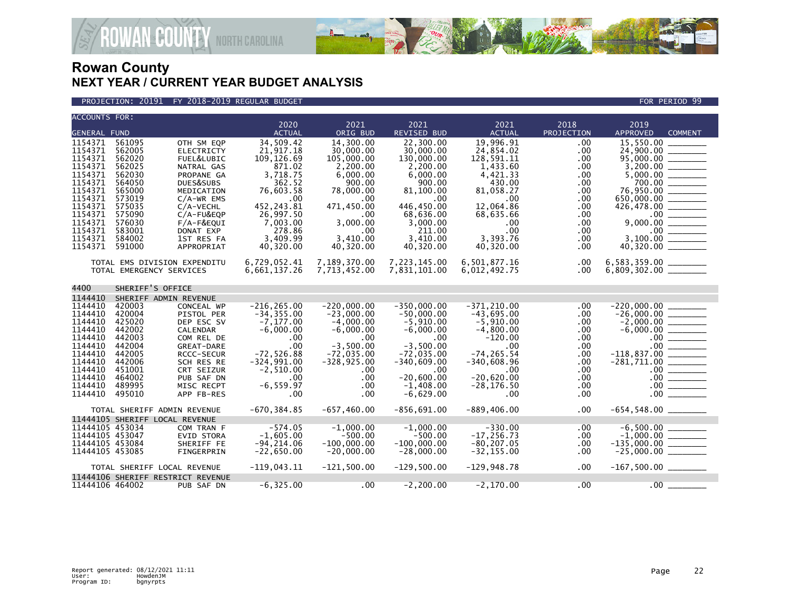

### PROJECTION: 20191 FY 2018-2019 REGULAR BUDGET FOR PERIOD 99

| <b>ACCOUNTS FOR:</b> |                                   |                   | 2020                    | 2021           | 2021                   | 2021                    | 2018       | 2019                                          |                |  |
|----------------------|-----------------------------------|-------------------|-------------------------|----------------|------------------------|-------------------------|------------|-----------------------------------------------|----------------|--|
| <b>GENERAL FUND</b>  |                                   |                   | <b>ACTUAL</b>           | ORIG BUD       | REVISED BUD            | <b>ACTUAL</b>           | PROJECTION | <b>APPROVED</b>                               | <b>COMMENT</b> |  |
| 1154371              | 561095                            |                   |                         |                | 22.300.00              |                         |            |                                               |                |  |
| 1154371              |                                   | OTH SM EQP        | 34,509.42               | 14,300.00      |                        | 19,996.91               | .00        | 15,550.00                                     |                |  |
| 1154371              | 562005                            | <b>ELECTRICTY</b> | 21,917.18<br>109,126.69 | 30,000.00      | 30,000.00              | 24,854.02<br>128,591.11 | .00        | 24,900.00                                     |                |  |
| 1154371              | 562020<br>562025                  | FUEL&LUBIC        |                         | 105,000.00     | 130,000.00<br>2,200.00 |                         | .00        | 95,000.00<br>3,200.00                         |                |  |
|                      |                                   | NATRAL GAS        | 871.02                  | 2,200.00       |                        | 1,433.60                | .00        |                                               |                |  |
| 1154371<br>1154371   | 562030                            | PROPANE GA        | 3,718.75                | 6,000.00       | 6,000.00               | 4,421.33                | .00        | 5,000.00                                      | 700.00         |  |
|                      | 564050                            | DUES&SUBS         | 362.52                  | 900.00         | 900.00                 | 430.00                  | .00        |                                               |                |  |
| 1154371              | 565000                            | MEDICATION        | 76,603.58               | 78,000.00      | 81,100.00              | 81,058.27               | .00        | 76,950.00 _______                             |                |  |
| 1154371<br>1154371   | 573019                            | $C/A-WR$ EMS      | .00                     | .00            | .00                    | .00.                    | .00        |                                               |                |  |
|                      | 575035                            | C/A-VECHL         | 452,243.81              | 471,450.00     | 446,450.00             | 12.064.86               | .00.       |                                               |                |  |
| 1154371              | 575090                            | $C/A$ -FU&EQP     | 26,997.50               | .00            | 68,636.00              | 68,635.66               | .00.       |                                               |                |  |
| 1154371              | 576030                            | F/A-F&EQUI        | 7,003.00                | 3,000.00       | 3,000.00               | .00                     | .00        | 9,000.00                                      |                |  |
| 1154371              | 583001                            | DONAT EXP         | 278.86                  | .00            | 211.00                 | .00                     | .00.       |                                               |                |  |
| 1154371              | 584002                            | 1ST RES FA        | 3,409.99                | 3,410.00       | 3,410.00               | 3,393.76                | .00        | 3,100.00                                      |                |  |
| 1154371              | 591000                            | APPROPRIAT        | 40,320.00               | 40,320.00      | 40,320.00              | 40,320.00               | .00.       |                                               |                |  |
|                      | TOTAL EMS DIVISION EXPENDITU      |                   | 6,729,052.41            | 7,189,370.00   | 7,223,145.00           | 6,501,877.16            | .00        | 6,583,359.00 ________                         |                |  |
|                      | TOTAL EMERGENCY SERVICES          |                   | 6,661,137.26            | 7,713,452.00   | 7,831,101.00           | 6,012,492.75            | .00        | $6,809,302.00$ _________                      |                |  |
|                      |                                   |                   |                         |                |                        |                         |            |                                               |                |  |
| 4400                 | SHERIFF'S OFFICE                  |                   |                         |                |                        |                         |            |                                               |                |  |
| 1144410              | SHERIFF ADMIN REVENUE             |                   |                         |                |                        |                         |            |                                               |                |  |
| 1144410              | 420003                            | CONCEAL WP        | $-216, 265.00$          | $-220.000.00$  | $-350.000.00$          | $-371.210.00$           | .00        | $-220.000.00$                                 |                |  |
| 1144410              | 420004                            | PISTOL PER        | $-34, 355.00$           | $-23,000.00$   | $-50,000.00$           | $-43,695.00$            | .00        |                                               |                |  |
| 1144410              | 425020                            | DEP ESC SV        | $-7, 177.00$            | $-4,000.00$    | $-5,910.00$            | $-5,910.00$             | .00.       |                                               |                |  |
| 1144410              | 442002                            | CALENDAR          | $-6,000.00$             | $-6,000.00$    | $-6,000.00$            | $-4,800.00$             | .00        |                                               |                |  |
| 1144410              | 442003                            | COM REL DE        | .00                     | .00            | .00                    | $-120.00$               | .00        |                                               |                |  |
| 1144410              | 442004                            | GREAT-DARE        | .00                     | $-3,500.00$    | $-3,500.00$            | $.00 \,$                | .00        |                                               |                |  |
| 1144410              | 442005                            | RCCC-SECUR        | $-72, 526.88$           | $-72,035.00$   | $-72,035.00$           | $-74, 265.54$           | .00.       | $-118,837.00$                                 |                |  |
| 1144410              | 442006                            | SCH RES RE        | $-324,991.00$           | $-328, 925.00$ | $-340,609.00$          | $-340,608.96$           | .00        |                                               |                |  |
| 1144410              | 451001                            | CRT SEIZUR        | $-2,510.00$             | .00            | .00                    | $.00 \times$            | .00.       |                                               |                |  |
| 1144410              | 464002                            | PUB SAF DN        | .00                     | .00            | $-20,600.00$           | $-20,620.00$            | .00        |                                               |                |  |
| 1144410              | 489995                            | MISC RECPT        | $-6, 559.97$            | .00            | $-1,408.00$            | $-28, 176.50$           | $.00 \,$   |                                               |                |  |
| 1144410              | 495010                            | APP FB-RES        | .00                     | .00            | $-6,629.00$            | .00                     | .00        | $.00 \,$                                      |                |  |
|                      | TOTAL SHERIFF ADMIN REVENUE       |                   | $-670, 384.85$          | $-657, 460.00$ | $-856.691.00$          | $-889, 406.00$          | .00        |                                               |                |  |
|                      | 11444105 SHERIFF LOCAL REVENUE    |                   |                         |                |                        |                         |            |                                               |                |  |
| 11444105 453034      |                                   | COM TRAN F        | $-574.05$               | $-1,000.00$    | $-1,000.00$            | $-330.00$               | .00        |                                               |                |  |
| 11444105 453047      |                                   | <b>EVID STORA</b> | $-1,605.00$             | $-500.00$      | $-500.00$              | $-17, 256.73$           | .00.       |                                               |                |  |
| 11444105 453084      |                                   | SHERIFF FE        | $-94, 214.06$           | $-100,000.00$  | $-100,000.00$          | $-80, 207.05$           | .00.       |                                               |                |  |
| 11444105 453085      |                                   | FINGERPRIN        | $-22,650.00$            | $-20,000.00$   | $-28,000.00$           | $-32, 155.00$           | .00.       | $-135,000.00$ ________<br>-25,000.00 ________ |                |  |
|                      |                                   |                   |                         |                |                        |                         |            |                                               |                |  |
|                      | TOTAL SHERIFF LOCAL REVENUE       |                   | $-119,043.11$           | $-121,500.00$  | $-129,500.00$          | $-129,948.78$           | .00        | $-167,500.00$ _______                         |                |  |
|                      | 11444106 SHERIFF RESTRICT REVENUE |                   |                         |                |                        |                         |            |                                               |                |  |
| 11444106 464002      |                                   | PUB SAF DN        | $-6, 325.00$            | .00.           | $-2, 200.00$           | $-2, 170.00$            | $.00 \,$   | $.00 \,$                                      |                |  |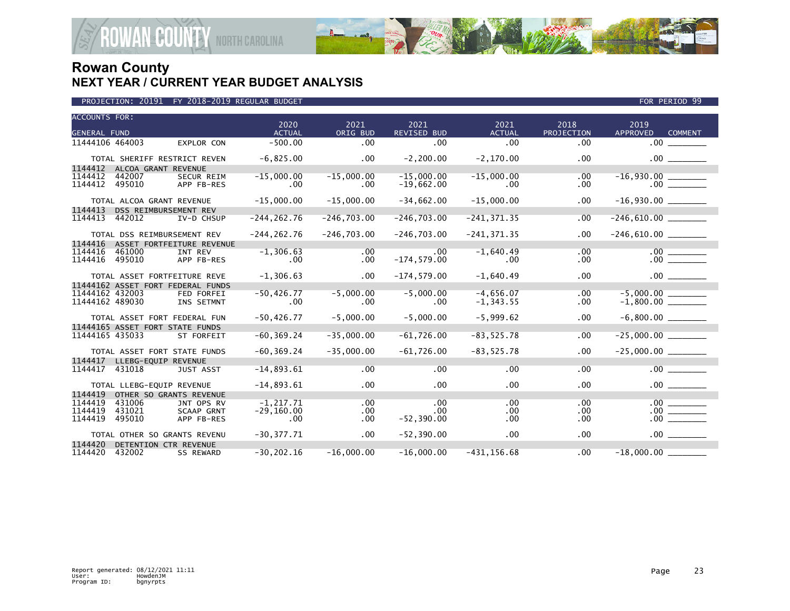

| PROJECTION: 20191 |  |  | FY 2018-2019 REGULAR BUDGET |
|-------------------|--|--|-----------------------------|
|-------------------|--|--|-----------------------------|

| <b>ACCOUNTS FOR:</b><br><b>GENERAL FUND</b>         |                           | 2020<br><b>ACTUAL</b> | 2021<br>ORIG BUD | 2021<br><b>REVISED BUD</b> | 2021<br><b>ACTUAL</b> | 2018<br>PROJECTION | 2019<br><b>APPROVED</b><br><b>COMMENT</b> |
|-----------------------------------------------------|---------------------------|-----------------------|------------------|----------------------------|-----------------------|--------------------|-------------------------------------------|
| 11444106 464003                                     | <b>EXPLOR CON</b>         | $-500.00$             | .00              | .00                        | .00                   | .00                | .00                                       |
| TOTAL SHERIFF RESTRICT REVEN                        |                           | $-6,825.00$           | .00              | $-2, 200.00$               | $-2, 170.00$          | .00                | $.00$ $\qquad$                            |
| 1144412<br>ALCOA GRANT REVENUE<br>1144412<br>442007 | <b>SECUR REIM</b>         | $-15,000.00$          | $-15,000.00$     | $-15,000.00$               | $-15,000.00$          | .00                |                                           |
| 1144412<br>495010                                   | APP FB-RES                | .00.                  | .00              | $-19,662.00$               | .00                   | .00                | .00                                       |
| TOTAL ALCOA GRANT REVENUE                           |                           | $-15,000.00$          | $-15,000.00$     | $-34,662.00$               | $-15,000.00$          | .00                |                                           |
| 1144413                                             | DSS REIMBURSEMENT REV     |                       |                  |                            |                       |                    |                                           |
| 1144413<br>442012                                   | IV-D CHSUP                | $-244, 262, 76$       | $-246,703.00$    | $-246,703.00$              | $-241, 371.35$        | .00                |                                           |
| TOTAL DSS REIMBURSEMENT REV                         |                           | $-244, 262, 76$       | $-246,703.00$    | $-246,703.00$              | $-241, 371.35$        | .00                | $-246,610.00$ _________                   |
| 1144416                                             | ASSET FORTFEITURE REVENUE |                       |                  |                            |                       |                    |                                           |
| 1144416<br>461000<br>1144416<br>495010              | INT REV<br>APP FB-RES     | $-1, 306.63$<br>.00.  | .00<br>.00       | .00<br>$-174, 579.00$      | $-1.640.49$<br>.00    | .00<br>.00.        |                                           |
|                                                     |                           |                       |                  |                            |                       |                    |                                           |
| TOTAL ASSET FORTFEITURE REVE                        |                           | $-1,306.63$           | .00              | $-174,579.00$              | $-1,640.49$           | .00                | .00                                       |
| 11444162 ASSET FORT FEDERAL FUNDS                   |                           |                       |                  |                            |                       |                    |                                           |
| 11444162 432003                                     | <b>FED FORFEI</b>         | $-50, 426.77$         | $-5,000.00$      | $-5,000.00$                | $-4,656.07$           | .00.               |                                           |
| 11444162 489030                                     | INS SETMNT                | .00.                  | .00              | .00                        | $-1, 343.55$          | .00.               |                                           |
| TOTAL ASSET FORT FEDERAL FUN                        |                           | $-50, 426.77$         | $-5,000.00$      | $-5,000.00$                | $-5,999.62$           | .00                |                                           |
| 11444165 ASSET FORT STATE FUNDS                     |                           |                       |                  |                            |                       |                    |                                           |
| 11444165 435033                                     | <b>ST FORFEIT</b>         | $-60, 369.24$         | $-35,000.00$     | $-61,726.00$               | $-83, 525.78$         | .00                | $-25,000.00$ _______                      |
| TOTAL ASSET FORT STATE FUNDS                        |                           | $-60, 369.24$         | $-35,000.00$     | $-61,726.00$               | $-83,525.78$          | .00                | $-25,000.00$ _________                    |
| 1144417<br>LLEBG-EQUIP REVENUE                      |                           |                       |                  |                            |                       |                    |                                           |
| 1144417<br>431018                                   | <b>JUST ASST</b>          | $-14,893.61$          | .00              | .00                        | .00                   | .00                | .00                                       |
| TOTAL LLEBG-EQUIP REVENUE                           |                           | $-14,893.61$          | .00              | $.00 \,$                   | .00                   | .00                | $.00$ $\qquad \qquad$                     |
| 1144419                                             | OTHER SO GRANTS REVENUE   |                       |                  |                            |                       |                    |                                           |
| 1144419<br>431006                                   | JNT OPS RV                | $-1.217.71$           | .00              | .00                        | .00                   | .00                | .00                                       |
| 1144419<br>431021                                   | <b>SCAAP GRNT</b>         | $-29,160.00$          | .00              | $.00 \times$               | .00                   | .00                | 00                                        |
| 1144419<br>495010                                   | APP FB-RES                | .00.                  | .00              | $-52, 390.00$              | .00                   | .00                | $.00 \,$                                  |
| TOTAL OTHER SO GRANTS REVENU                        |                           | $-30, 377.71$         | .00              | $-52, 390.00$              | .00                   | .00                | $.00$ $\qquad$                            |
| 1144420                                             | DETENTION CTR REVENUE     |                       |                  |                            |                       |                    |                                           |
| 1144420<br>432002                                   | <b>SS REWARD</b>          | $-30, 202.16$         | $-16,000.00$     | $-16,000.00$               | $-431, 156.68$        | .00                | $-18,000.00$                              |

FOR PERIOD 99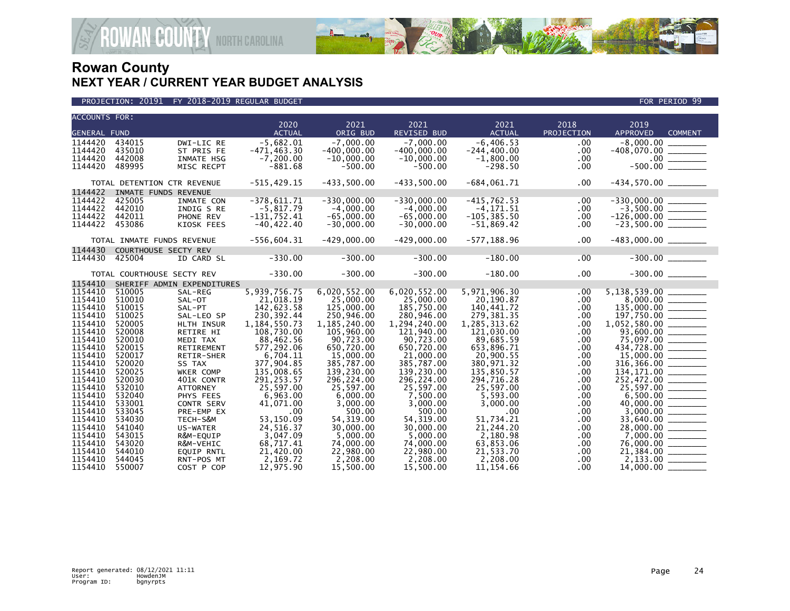

| <b>ACCOUNTS FOR:</b> |        |                             | 2020            | 2021          | 2021          | 2021           | 2018       | 2019                                    |
|----------------------|--------|-----------------------------|-----------------|---------------|---------------|----------------|------------|-----------------------------------------|
| <b>GENERAL FUND</b>  |        |                             | <b>ACTUAL</b>   | ORIG BUD      | REVISED BUD   | <b>ACTUAL</b>  | PROJECTION | <b>APPROVED</b><br><b>COMMENT</b>       |
| 1144420              | 434015 | DWI-LIC RE                  | $-5,682.01$     | $-7,000.00$   | $-7,000.00$   | $-6, 406.53$   | .00        | $-8,000.00$                             |
| 1144420              | 435010 | ST PRIS FE                  | $-471, 463.30$  | $-400,000.00$ | $-400,000.00$ | $-244, 400.00$ | .00        | $-408,070.00$ ________                  |
| 1144420              | 442008 | INMATE HSG                  | $-7, 200, 00$   | $-10,000.00$  | $-10,000.00$  | $-1,800.00$    | .00        |                                         |
| 1144420              | 489995 | MISC RECPT                  | $-881.68$       | $-500.00$     | $-500.00$     | $-298.50$      | .00        |                                         |
|                      |        |                             |                 |               |               |                |            |                                         |
|                      |        | TOTAL DETENTION CTR REVENUE | $-515,429.15$   | $-433,500.00$ | $-433,500.00$ | $-684,061.71$  | .00        | $-434,570.00$ ________                  |
| 1144422              |        | INMATE FUNDS REVENUE        |                 |               |               |                |            |                                         |
| 1144422              | 425005 | INMATE CON                  | $-378,611.71$   | $-330,000.00$ | $-330,000.00$ | $-415,762.53$  | $.00 \,$   |                                         |
| 1144422              | 442010 | INDIG S RE                  | $-5,817.79$     | $-4,000.00$   | $-4.000.00$   | $-4, 171.51$   | .00        | $-3,500.00$ ________                    |
| 1144422              | 442011 | PHONE REV                   | $-131,752.41$   | $-65,000.00$  | $-65,000.00$  | $-105, 385.50$ | .00        | $-126,000.00$ $\overline{\hspace{1cm}}$ |
| 1144422              | 453086 | KIOSK FEES                  | $-40, 422.40$   | $-30,000.00$  | $-30.000.00$  | $-51,869.42$   | .00        |                                         |
|                      |        | TOTAL INMATE FUNDS REVENUE  | $-556,604.31$   | $-429,000.00$ | $-429,000.00$ | $-577, 188.96$ | $.00 \,$   | $-483,000.00$ ________                  |
| 1144430              |        | COURTHOUSE SECTY REV        |                 |               |               |                |            |                                         |
| 1144430              | 425004 | ID CARD SL                  | $-330.00$       | $-300.00$     | $-300.00$     | $-180.00$      | .00        | $-300.00$                               |
|                      |        |                             |                 |               |               |                |            |                                         |
|                      |        | TOTAL COURTHOUSE SECTY REV  | $-330.00$       | $-300.00$     | $-300.00$     | $-180.00$      | .00        | $-300.00$ ________                      |
| 1154410              |        | SHERIFF ADMIN EXPENDITURES  |                 |               |               |                |            |                                         |
| 1154410              | 510005 | SAL-REG                     | 5,939,756.75    | 6,020,552.00  | 6,020,552.00  | 5,971,906.30   | $.00 \,$   |                                         |
| 1154410              | 510010 | SAL-OT                      | 21,018.19       | 25,000.00     | 25,000.00     | 20,190.87      | .00        |                                         |
| 1154410              | 510015 | SAL-PT                      | 142,623.58      | 125,000.00    | 185,750.00    | 140,441.72     | .00        | $135,000.00$ ________                   |
| 1154410              | 510025 | SAL-LEO SP                  | 230,392.44      | 250,946.00    | 280,946.00    | 279,381.35     | .00        |                                         |
| 1154410              | 520005 | HLTH INSUR                  | 1, 184, 550. 73 | 1,185,240.00  | 1,294,240.00  | 1,285,313.62   | .00        |                                         |
| 1154410              | 520008 | RETIRE HI                   | 108,730.00      | 105,960.00    | 121,940.00    | 121,030.00     | .00.       |                                         |
| 1154410              | 520010 | MEDI TAX                    | 88,462.56       | 90.723.00     | 90,723.00     | 89,685.59      | .00        |                                         |
| 1154410              | 520015 | RETIREMENT                  | 577,292.06      | 650,720.00    | 650,720.00    | 653,896.71     | .00        | 434,728.00 ______                       |
| 1154410              | 520017 | RETIR-SHER                  | 6,704.11        | 15,000,00     | 21,000.00     | 20,900.55      | .00        |                                         |
| 1154410              | 520020 | SS TAX                      | 377.904.85      | 385.787.00    | 385.787.00    | 380.971.32     | .00        | $316, 366.00$ ________                  |
| 1154410              | 520025 | WKER COMP                   | 135,008.65      | 139,230.00    | 139,230.00    | 135,850.57     | .00        |                                         |
| 1154410              | 520030 | 401K CONTR                  | 291, 253.57     | 296,224.00    | 296,224.00    | 294,716.28     | .00        | 252,472.00 ________                     |
| 1154410              | 532010 | <b>ATTORNEY</b>             | 25,597.00       | 25,597.00     | 25,597.00     | 25,597.00      | .00        |                                         |
| 1154410              | 532040 | PHYS FEES                   | 6,963.00        | 6,000.00      | 7,500.00      | 5,593.00       | .00        |                                         |
| 1154410              | 533001 | CONTR SERV                  | 41,071.00       | 3,000.00      | 3,000.00      | 3,000.00       | .00        |                                         |
| 1154410              | 533045 | PRE-EMP EX                  | .00             | 500.00        | 500.00        | .00            | .00        |                                         |
| 1154410              | 534030 | TECH-S&M                    | 53,150.09       | 54, 319.00    | 54, 319.00    | 51,734.21      | .00        |                                         |
| 1154410              | 541040 | US-WATER                    | 24,516.37       | 30,000.00     | 30,000.00     | 21,244.20      | .00        |                                         |
| 1154410              | 543015 | R&M-EQUIP                   | 3,047.09        | 5,000.00      | 5,000.00      | 2,180.98       | .00        |                                         |
| 1154410              | 543020 | R&M-VEHIC                   | 68,717.41       | 74,000.00     | 74,000.00     | 63,853.06      | .00        |                                         |
| 1154410              | 544010 | <b>EQUIP RNTL</b>           | 21,420.00       | 22,980.00     | 22,980.00     | 21,533.70      | .00        |                                         |
| 1154410              | 544045 | RNT-POS MT                  | 2,169.72        | 2,208.00      | 2,208.00      | 2,208.00       | .00        |                                         |
| 1154410              | 550007 | COST P COP                  | 12,975.90       | 15,500.00     | 15,500.00     | 11.154.66      | .00        | $14,000.00$ $\_\_$                      |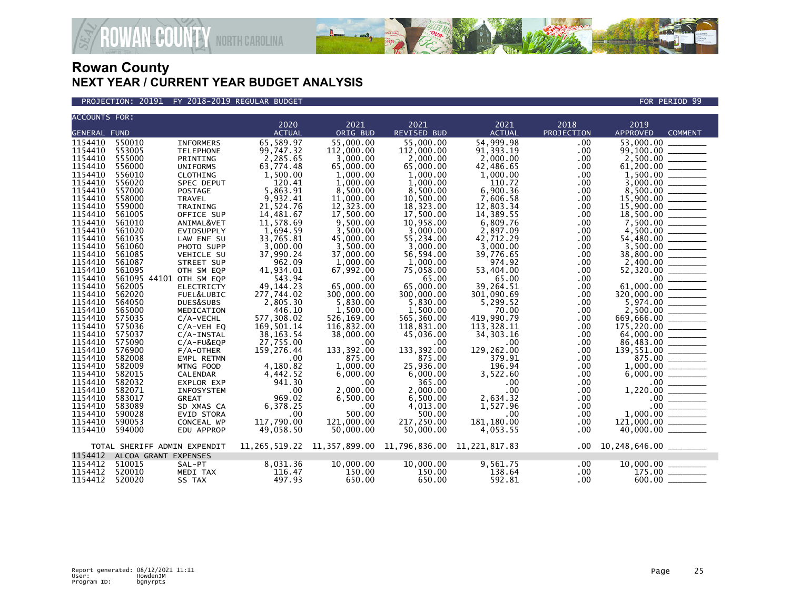

PROJECTION: 20191 FY 2018-2019 REGULAR BUDGET FOR PERIOD 99

| <b>ACCOUNTS FOR:</b> |        |                              |               |            |                                                                     |               |              |                                                                      |                       |
|----------------------|--------|------------------------------|---------------|------------|---------------------------------------------------------------------|---------------|--------------|----------------------------------------------------------------------|-----------------------|
|                      |        |                              | 2020          | 2021       | 2021                                                                | 2021          | 2018         | 2019                                                                 |                       |
| <b>GENERAL FUND</b>  |        |                              | <b>ACTUAL</b> | ORIG BUD   | <b>REVISED BUD</b>                                                  | <b>ACTUAL</b> | PROJECTION   | <b>APPROVED</b>                                                      | <b>COMMENT</b>        |
| 1154410              | 550010 | <b>INFORMERS</b>             | 65,589.97     | 55,000.00  | 55.000.00                                                           | 54,999.98     | .00          | 53,000.00                                                            |                       |
| 1154410              | 553005 | <b>TELEPHONE</b>             | 99,747.32     | 112,000.00 | 112,000.00                                                          | 91, 393.19    | .00          | 99,100.00                                                            |                       |
| 1154410              | 555000 | PRINTING                     | 2,285.65      | 3,000.00   | 2,000.00                                                            | 2,000.00      | .00          |                                                                      |                       |
| 1154410              | 556000 | <b>UNIFORMS</b>              | 63,774.48     | 65,000.00  | 65,000.00                                                           | 42,486.65     | .00          |                                                                      |                       |
| 1154410              | 556010 | CLOTHING                     | 1,500.00      | 1,000.00   | 1,000.00                                                            | 1,000.00      | .00          |                                                                      |                       |
| 1154410              | 556020 | SPEC DEPUT                   | 120.41        | 1,000.00   | 1.000.00                                                            | 110.72        | .00          |                                                                      |                       |
| 1154410              | 557000 | <b>POSTAGE</b>               | 5,863.91      | 8,500.00   | 8,500.00                                                            | 6,900.36      | .00          | 8,500.00                                                             |                       |
| 1154410              | 558000 | <b>TRAVEL</b>                | 9,932.41      | 11,000.00  | 10.500.00                                                           | 7,606.58      | .00          | $15,900.00$ ________                                                 |                       |
| 1154410              | 559000 | TRAINING                     | 21,524.76     | 12,323.00  | 18,323.00                                                           | 12,803.34     | .00          |                                                                      |                       |
| 1154410              | 561005 | OFFICE SUP                   | 14,481.67     | 17,500.00  | 17,500.00                                                           | 14,389.55     | .00          |                                                                      |                       |
| 1154410              | 561010 | ANIMAL&VET                   | 11,578.69     | 9,500.00   | 10,958.00                                                           | 6,809.76      | .00          |                                                                      |                       |
| 1154410              | 561020 | EVIDSUPPLY                   | 1,694.59      | 3,500.00   | 3,000.00                                                            | 2,897.09      | .00          | 4,500.00                                                             |                       |
| 1154410              | 561035 | LAW ENF SU                   | 33,765.81     | 45,000.00  | 55,234.00                                                           | 42,712.29     | .00          | 54,480.00                                                            |                       |
| 1154410              | 561060 | PHOTO SUPP                   | 3,000.00      | 3,500.00   | 3,000.00                                                            | 3,000.00      | .00          |                                                                      |                       |
| 1154410              | 561085 | VEHICLE SU                   | 37,990.24     | 37,000.00  | 56,594.00                                                           | 39,776.65     | .00          | 38,800.00 _______                                                    |                       |
| 1154410              | 561087 | STREET SUP                   | 962.09        | 1,000.00   | 1,000.00                                                            | 974.92        | .00          |                                                                      |                       |
| 1154410              | 561095 | OTH SM EQP                   | 41,934.01     | 67,992.00  | 75.058.00                                                           | 53.404.00     | .00          |                                                                      |                       |
| 1154410              |        | 561095 44101 OTH SM EQP      | 543.94        | .00        | 65.00                                                               | 65.00         | .00          |                                                                      |                       |
| 1154410              | 562005 | <b>ELECTRICTY</b>            | 49, 144, 23   | 65,000.00  | 65,000.00                                                           | 39,264.51     | .00          | $\begin{array}{r} 52,320.00 \ \hline 61,000.00 \ \hline \end{array}$ |                       |
| 1154410              | 562020 | FUEL&LUBIC                   | 277,744.02    | 300,000.00 | 300,000.00                                                          | 301,090.69    | .00          | 320,000.00 _______                                                   |                       |
| 1154410              | 564050 | DUES&SUBS                    | 2,805.30      | 5,830.00   | 5,830.00                                                            | 5,299.52      | .00          |                                                                      |                       |
| 1154410              | 565000 | MEDICATION                   | 446.10        | 1,500.00   | 1,500.00                                                            | 70.00         | .00          |                                                                      |                       |
| 1154410              | 575035 | $C/A$ -VECHL                 | 577,308.02    | 526,169.00 | 565,360.00                                                          | 419,990.79    | .00          | 669,666.00 ______                                                    |                       |
| 1154410              | 575036 |                              | 169,501.14    | 116,832.00 | 118,831.00                                                          |               |              |                                                                      |                       |
| 1154410              | 575037 | $C/A-VEH$ EQ                 | 38,163.54     |            |                                                                     | 113,328.11    | .00<br>.00   |                                                                      |                       |
| 1154410              |        | $C/A$ -INSTAL                |               | 38,000.00  | 45,036.00                                                           | 34,303.16     |              |                                                                      |                       |
|                      | 575090 | $C/A$ -FU&EQP                | 27,755.00     | .00        | $.00 \,$                                                            | .00           | .00          | 86,483.00 _______                                                    |                       |
| 1154410              | 576900 | $F/A$ -OTHER                 | 159,276.44    | 133,392.00 | 133,392.00                                                          | 129,262.00    | .00          | $139,551.00$ $875.00$                                                |                       |
| 1154410              | 582008 | EMPL RETMN                   | .00           | 875.00     | 875.00                                                              | 379.91        | .00          |                                                                      |                       |
| 1154410              | 582009 | MTNG FOOD                    | 4,180.82      | 1.000.00   | 25,936.00                                                           | 196.94        | .00          | $1,000.00$ _________                                                 |                       |
| 1154410              | 582015 | CALENDAR                     | 4,442.52      | 6,000.00   | 6.000.00                                                            | 3,522.60      | .00          |                                                                      |                       |
| 1154410              | 582032 | EXPLOR EXP                   | 941.30        | .00        | 365.00                                                              | .00           | .00          | 1,220.00                                                             |                       |
| 1154410              | 582071 | INFOSYSTEM                   | .00           | 2,000.00   | 2,000.00                                                            | .00           | .00          |                                                                      |                       |
| 1154410              | 583017 | <b>GREAT</b>                 | 969.02        | 6,500.00   | 6,500.00                                                            | 2,634.32      | .00          |                                                                      |                       |
| 1154410              | 583089 | SD XMAS CA                   | 6,378.25      | .00        | 4,013.00                                                            | 1,527.96      | .00          | $.00 \,$                                                             | <u> Terministan e</u> |
| 1154410              | 590028 | <b>EVID STORA</b>            | .00           | 500.00     | 500.00                                                              | .00           | .00          |                                                                      |                       |
| 1154410              | 590053 | CONCEAL WP                   | 117,790.00    | 121,000.00 | 217,250.00                                                          | 181,180.00    | .00          |                                                                      |                       |
| 1154410              | 594000 | EDU APPROP                   | 49,058.50     | 50,000.00  | 50,000.00                                                           | 4,053.55      | .00          | 40,000.00 _______                                                    |                       |
|                      |        | TOTAL SHERIFF ADMIN EXPENDIT |               |            | 11, 265, 519, 22 11, 357, 899, 00 11, 796, 836, 00 11, 221, 817, 83 |               | $.00 \,$     | 10,248,646.00 ________                                               |                       |
| 1154412              |        | ALCOA GRANT EXPENSES         |               |            |                                                                     |               |              |                                                                      |                       |
| 1154412              | 510015 | SAL-PT                       | 8,031.36      | 10,000.00  | 10,000.00                                                           | 9,561.75      | $.00 \,$     |                                                                      |                       |
| 1154412              | 520010 | MEDI TAX                     | 116.47        | 150.00     | 150.00                                                              | 138.64        | .00.         |                                                                      |                       |
| 1154412              | 520020 | SS TAX                       | 497.93        | 650.00     | 650.00                                                              | 592.81        | $.00 \times$ | 600.00                                                               |                       |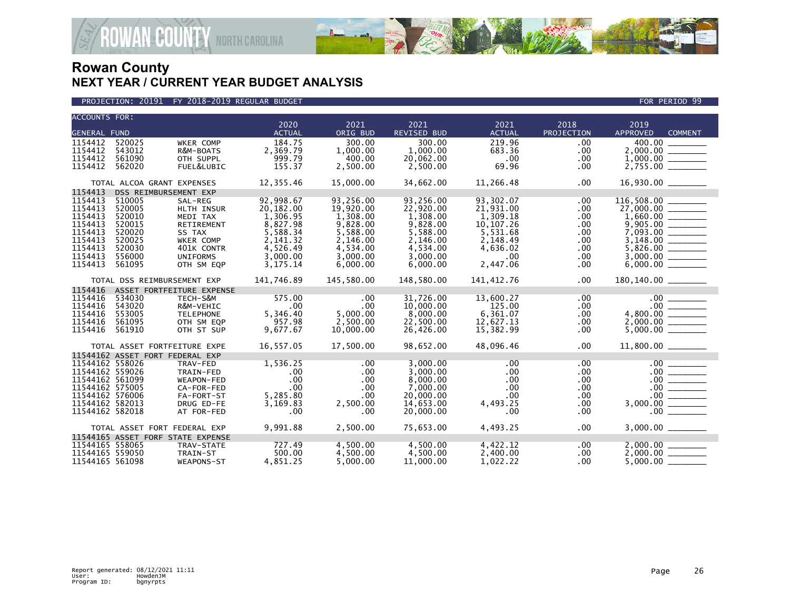

PROJECTION: 20191 FY 2018-2019 REGULAR BUDGET FOR PERIOD 99

| <b>ACCOUNTS FOR:</b>               |        |                                   |                       |                  |                            |                       |                    |                                           |  |
|------------------------------------|--------|-----------------------------------|-----------------------|------------------|----------------------------|-----------------------|--------------------|-------------------------------------------|--|
| <b>GENERAL FUND</b>                |        |                                   | 2020<br><b>ACTUAL</b> | 2021<br>ORIG BUD | 2021<br><b>REVISED BUD</b> | 2021<br><b>ACTUAL</b> | 2018<br>PROJECTION | 2019<br><b>APPROVED</b><br><b>COMMENT</b> |  |
| 1154412                            | 520025 |                                   | 184.75                | 300.00           | 300.00                     | 219.96                |                    | 400.00                                    |  |
| 1154412                            | 543012 | WKER COMP<br>R&M-BOATS            | 2,369.79              | 1,000.00         | 1,000.00                   | 683.36                | .00<br>.00         |                                           |  |
| 1154412                            | 561090 | OTH SUPPL                         | 999.79                | 400.00           | 20,062.00                  | .00                   | .00                |                                           |  |
| 1154412                            | 562020 | FUEL&LUBIC                        | 155.37                | 2,500.00         | 2,500.00                   | 69.96                 | .00.               |                                           |  |
|                                    |        |                                   |                       |                  |                            |                       |                    |                                           |  |
|                                    |        | TOTAL ALCOA GRANT EXPENSES        | 12,355.46             | 15,000.00        | 34,662.00                  | 11,266.48             | .00                |                                           |  |
| 1154413                            |        | DSS REIMBURSEMENT EXP             |                       |                  |                            |                       |                    |                                           |  |
| 1154413                            | 510005 | SAL-REG                           | 92,998.67             | 93,256.00        | 93.256.00                  | 93,302.07             | .00                |                                           |  |
| 1154413                            | 520005 | HLTH INSUR                        | 20,182.00             | 19,920.00        | 22,920.00                  | 21,931.00             | .00                |                                           |  |
| 1154413                            | 520010 | MEDI TAX                          | 1,306.95              | 1,308.00         | 1,308.00                   | 1,309.18              | .00                |                                           |  |
| 1154413                            | 520015 | RETIREMENT                        | 8,827.98              | 9,828.00         | 9,828.00                   | 10, 107.26            | .00                |                                           |  |
| 1154413                            | 520020 | SS TAX                            | 5,588.34              | 5,588.00         | 5,588.00                   | 5,531.68              | .00                |                                           |  |
| 1154413                            | 520025 | WKER COMP                         | 2,141.32              | 2,146.00         | 2,146.00                   | 2,148.49              | .00                |                                           |  |
| 1154413                            | 520030 | 401K CONTR                        | 4,526.49              | 4,534.00         | 4,534.00                   | 4,636.02              | .00.               |                                           |  |
| 1154413<br>1154413                 | 556000 | <b>UNIFORMS</b>                   | 3,000.00              | 3.000.00         | 3.000.00                   | .00                   | .00.               |                                           |  |
|                                    | 561095 | OTH SM EQP                        | 3, 175. 14            | 6,000.00         | 6,000.00                   | 2,447.06              | .00.               |                                           |  |
|                                    |        | TOTAL DSS REIMBURSEMENT EXP       | 141,746.89            | 145,580.00       | 148.580.00                 | 141,412.76            | .00                | 180,140.00 ________                       |  |
| 1154416                            |        | ASSET FORTFEITURE EXPENSE         |                       |                  |                            |                       |                    |                                           |  |
| 1154416                            | 534030 | TECH-S&M                          | 575.00                | .00              | 31,726.00                  | 13,600.27             | .00                |                                           |  |
| 1154416                            | 543020 | R&M-VEHIC                         | .00                   | $.00 \,$         | 10,000,00                  | 125.00                | $.00 \,$           |                                           |  |
| 1154416                            | 553005 | <b>TELEPHONE</b>                  | 5,346.40              | 5,000.00         | 8,000.00                   | 6,361.07              | .00.               | 4,800.00 _______                          |  |
| 1154416                            | 561095 | OTH SM EQP                        | 957.98                | 2,500.00         | 22,500.00                  | 12,627.13             | $.00 \,$           |                                           |  |
| 1154416                            | 561910 | OTH ST SUP                        | 9,677.67              | 10,000.00        | 26,426.00                  | 15,382.99             | .00                |                                           |  |
|                                    |        | TOTAL ASSET FORTFEITURE EXPE      | 16,557.05             | 17,500.00        | 98,652.00                  | 48,096.46             | .00                |                                           |  |
|                                    |        | 11544162 ASSET FORT FEDERAL EXP   |                       |                  |                            |                       |                    |                                           |  |
| 11544162 558026                    |        | TRAV-FED                          | 1,536.25              | $.00 \,$         | 3.000.00                   | $.00 \,$              | .00.               | .00                                       |  |
| 11544162 559026                    |        | TRAIN-FED                         | .00                   | $.00 \,$         | 3,000.00                   | .00                   | .00                |                                           |  |
| 11544162 561099                    |        | WEAPON-FED                        | .00                   | $.00 \,$         | 8,000.00                   | .00                   | .00                | $\frac{00}{00}$                           |  |
| 11544162 575005<br>11544162 576006 |        | CA-FOR-FED                        | .00                   | $.00 \,$         | 7,000.00                   | .00                   | .00                |                                           |  |
| 11544162 582013                    |        | FA-FORT-ST                        | 5,285.80<br>3,169.83  | .00<br>2,500.00  | 20,000.00<br>14,653.00     | .00                   | .00.               | 3,000.00                                  |  |
| 11544162 582018                    |        | DRUG ED-FE<br>AT FOR-FED          | .00                   | .00              | 20,000.00                  | 4,493.25<br>.00       | $.00 \,$<br>.00    | $.00 \,$                                  |  |
|                                    |        |                                   |                       |                  |                            |                       |                    |                                           |  |
|                                    |        | TOTAL ASSET FORT FEDERAL EXP      | 9,991.88              | 2,500.00         | 75,653.00                  | 4,493.25              | $.00 \,$           |                                           |  |
|                                    |        | 11544165 ASSET FORF STATE EXPENSE |                       |                  |                            |                       |                    |                                           |  |
| 11544165 558065                    |        | TRAV-STATE                        | 727.49                | 4.500.00         | 4,500.00                   | 4,422.12              | $.00 \,$           | 2,000.00 ______                           |  |
| 11544165 559050                    |        | TRAIN-ST                          | 500.00                | 4,500.00         | 4,500.00                   | 2,400.00              | .00.               |                                           |  |
| 11544165 561098                    |        | WEAPONS-ST                        | 4.851.25              | 5.000.00         | 11,000,00                  | 1.022.22              | .00                | 5.000.00                                  |  |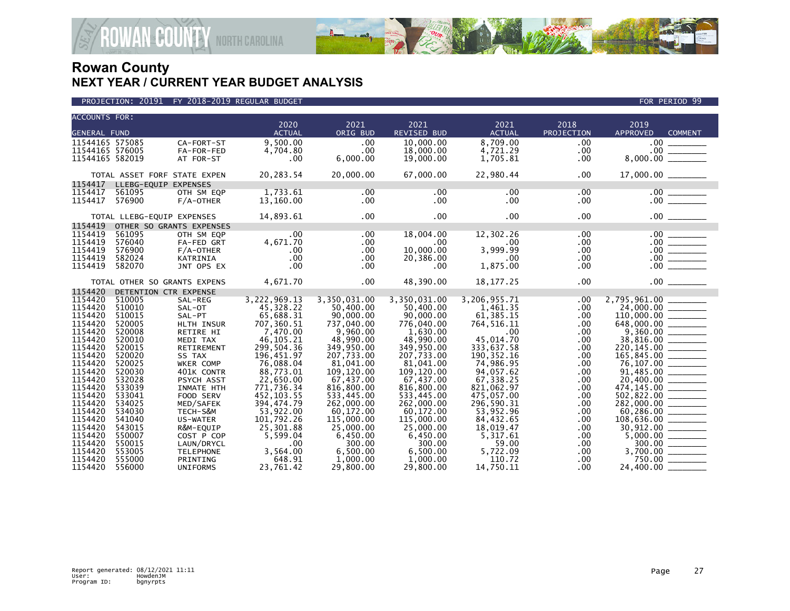

| <b>ACCOUNTS FOR:</b> |                              |                          |               |                  |              |               |            |                            |
|----------------------|------------------------------|--------------------------|---------------|------------------|--------------|---------------|------------|----------------------------|
|                      |                              |                          | 2020          | 2021<br>ORIG BUD | 2021         | 2021          | 2018       | 2019                       |
| <b>GENERAL FUND</b>  |                              |                          | <b>ACTUAL</b> |                  | REVISED BUD  | <b>ACTUAL</b> | PROJECTION | APPROVED<br><b>COMMENT</b> |
| 11544165 575085      |                              | CA-FORT-ST               | 9.500.00      | .00              | 10,000.00    | 8.709.00      | .00        | $.00 \,$                   |
| 11544165 576005      |                              | FA-FOR-FED               | 4.704.80      | .00              | 18,000.00    | 4,721.29      | .00        |                            |
| 11544165 582019      |                              | AT FOR-ST                | .00           | 6,000.00         | 19,000.00    | 1,705.81      | .00        |                            |
|                      | TOTAL ASSET FORF STATE EXPEN |                          | 20,283.54     | 20,000.00        | 67,000.00    | 22,980.44     | .00.       |                            |
| 1154417              | LLEBG-EQUIP EXPENSES         |                          |               |                  |              |               |            |                            |
| 1154417              | 561095                       | OTH SM EOP               | 1.733.61      | .00              | .00          | .00           | .00        |                            |
| 1154417              | 576900                       | F/A-OTHER                | 13,160.00     | .00              | .00.         | .00           | .00        |                            |
|                      |                              |                          |               |                  |              |               |            |                            |
|                      | TOTAL LLEBG-EQUIP EXPENSES   |                          | 14,893.61     | $.00 \,$         | $.00 \times$ | .00           | .00        | $.00$ $\qquad$             |
| 1154419              |                              | OTHER SO GRANTS EXPENSES |               |                  |              |               |            |                            |
| 1154419              | 561095                       | OTH SM EOP               | $.00 \,$      | $.00 \,$         | 18,004.00    | 12,302.26     | .00.       | .00 <sub>1</sub>           |
| 1154419              | 576040                       | FA-FED GRT               | 4,671.70      | $.00 \,$         | $.00 \times$ | .00.          | .00        |                            |
| 1154419              | 576900                       | $F/A$ -OTHER             | .00           | .00              | 10,000.00    | 3,999.99      | .00        |                            |
| 1154419              | 582024                       | KATRINIA                 | .00           | .00              | 20,386.00    | .00           | .00        |                            |
| 1154419              | 582070                       | JNT OPS EX               | .00           | .00              | $.00 \,$     | 1,875.00      | .00        |                            |
|                      | TOTAL OTHER SO GRANTS EXPENS |                          | 4,671.70      | $.00 \,$         | 48,390.00    | 18, 177. 25   | .00        | $.00$ $\qquad \qquad$      |
| 1154420              | DETENTION CTR EXPENSE        |                          |               |                  |              |               |            |                            |
| 1154420              | 510005                       | SAL-REG                  | 3,222,969.13  | 3,350,031.00     | 3,350,031.00 | 3,206,955.71  | .00        | 2,795,961.00               |
| 1154420              | 510010                       | SAL-OT                   | 45,328.22     | 50,400.00        | 50,400.00    | 1,461.35      | .00        | 24,000.00 ______           |
| 1154420              | 510015                       | SAL-PT                   | 65.688.31     | 90,000,00        | 90,000,00    | 61.385.15     | .00        | 110,000.00 _______         |
| 1154420              | 520005                       | HLTH INSUR               | 707,360.51    | 737,040.00       | 776,040.00   | 764,516.11    | .00        |                            |
| 1154420              | 520008                       | RETIRE HI                | 7,470.00      | 9,960.00         | 1,630.00     | .00           | .00        |                            |
| 1154420              | 520010                       | MEDI TAX                 | 46, 105. 21   | 48,990.00        | 48,990.00    | 45.014.70     | .00        |                            |
| 1154420              | 520015                       | <b>RETIREMENT</b>        | 299.504.36    | 349.950.00       | 349.950.00   | 333,637.58    | .00        |                            |
| 1154420              | 520020                       | SS TAX                   | 196,451.97    | 207,733.00       | 207,733.00   | 190, 352. 16  | .00        | 165,845.00 _______         |
| 1154420              | 520025                       | WKER COMP                | 76,088.04     | 81,041.00        | 81,041.00    | 74,986.95     | .00        | 76,107.00                  |
| 1154420              | 520030                       | 401K CONTR               | 88,773.01     | 109,120.00       | 109,120.00   | 94,057.62     | .00        | $91,485.00$<br>20,400.00   |
| 1154420              | 532028                       | PSYCH ASST               | 22,650.00     | 67,437.00        | 67,437.00    | 67,338.25     | .00        |                            |
| 1154420              | 533039                       | <b>INMATE HTH</b>        | 771.736.34    | 816,800,00       | 816.800.00   | 821.062.97    | .00        |                            |
| 1154420              | 533041                       | FOOD SERV                | 452, 103.55   | 533,445.00       | 533,445.00   | 475,057.00    | .00        | $502,822.00$ ________      |
| 1154420              | 534025                       | MED/SAFEK                | 394,474.79    | 262,000.00       | 262,000.00   | 296,590.31    | .00        | $282,000.00$ _________     |
| 1154420              | 534030                       | TECH-S&M                 | 53,922.00     | 60,172.00        | 60,172.00    | 53,952.96     | .00        |                            |
| 1154420              | 541040                       | US-WATER                 | 101,792.26    | 115,000.00       | 115,000.00   | 84,432.65     | .00        |                            |
| 1154420              | 543015                       | R&M-EQUIP                | 25,301.88     | 25,000.00        | 25,000.00    | 18,019.47     | .00        |                            |
| 1154420              | 550007                       | COST P COP               | 5,599.04      | 6,450.00         | 6,450.00     | 5,317.61      | .00        |                            |
| 1154420              | 550015                       | LAUN/DRYCL               | .00           | 300.00           | 300.00       | 59.00         | .00        |                            |
| 1154420              | 553005                       | <b>TELEPHONE</b>         | 3,564.00      | 6,500.00         | 6,500.00     | 5,722.09      | .00        |                            |
| 1154420              | 555000                       | PRINTING                 | 648.91        | 1,000.00         | 1,000.00     | 110.72        | .00        | 750.00                     |
| 1154420              | 556000                       | <b>UNIFORMS</b>          | 23.761.42     | 29,800,00        | 29,800,00    | 14.750.11     | .00        | 24,400,00                  |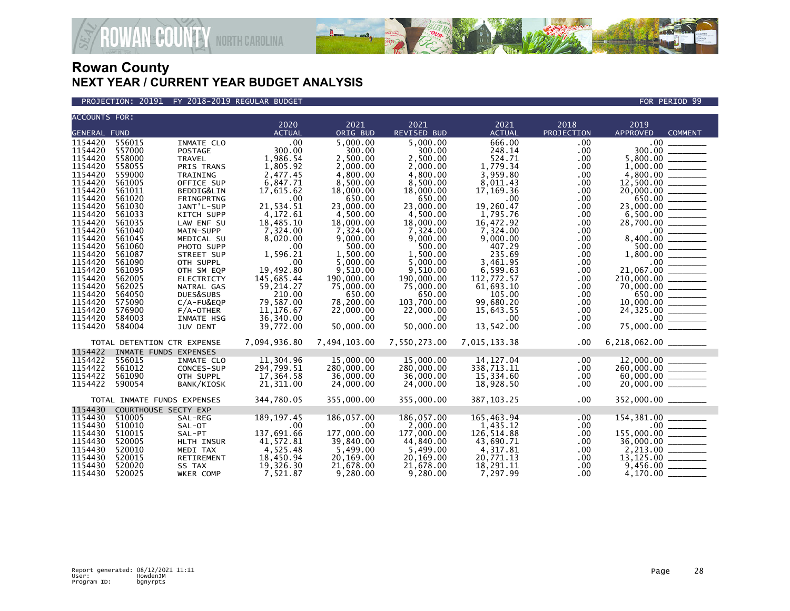

PROJECTION: 20191 FY 2018-2019 REGULAR BUDGET AND REGULAR HOLD CONTROL CONTROL CONTROL CONTROL POR PERIOD 99

|                     | <b>ACCOUNTS FOR:</b> |                                 |                  |                        |                        |                        |            |                                                                                |                |  |  |
|---------------------|----------------------|---------------------------------|------------------|------------------------|------------------------|------------------------|------------|--------------------------------------------------------------------------------|----------------|--|--|
|                     |                      |                                 | 2020             | 2021                   | 2021                   | 2021                   | 2018       | 2019                                                                           |                |  |  |
| <b>GENERAL FUND</b> |                      |                                 | <b>ACTUAL</b>    | ORIG BUD               | REVISED BUD            | <b>ACTUAL</b>          | PROJECTION | APPROVED                                                                       | <b>COMMENT</b> |  |  |
| 1154420             | 556015               | INMATE CLO                      | .00              | 5,000.00               | 5,000.00               | 666.00                 | .00        | .00 <sub>1</sub>                                                               |                |  |  |
| 1154420             | 557000               | <b>POSTAGE</b>                  | 300.00           | 300.00                 | 300.00                 | 248.14                 | .00        | 300.00                                                                         |                |  |  |
| 1154420             | 558000               | <b>TRAVEL</b>                   | 1,986.54         | 2,500.00               | 2,500.00               | 524.71                 | .00        | 5,800.00                                                                       |                |  |  |
| 1154420             | 558055               | PRIS TRANS                      | 1,805.92         | 2,000.00               | 2,000.00               | 1,779.34               | .00        |                                                                                |                |  |  |
| 1154420             | 559000               | TRAINING                        | 2,477.45         | 4,800.00               | 4,800.00               | 3,959.80               | .00        |                                                                                |                |  |  |
| 1154420             | 561005               | OFFICE SUP                      | 6,847.71         | 8,500.00               | 8,500.00               | 8,011.43               | .00.       |                                                                                |                |  |  |
| 1154420             | 561011               | BEDDIG&LIN                      | 17,615.62        | 18,000.00              | 18,000.00              | 17,169.36              | .00        |                                                                                |                |  |  |
| 1154420             | 561020               | FRINGPRTNG                      | .00              | 650.00                 | 650.00                 | .00                    | .00        | $650.00$ $\overline{\hspace{1.5cm}}$<br>23,000.00                              |                |  |  |
| 1154420             | 561030               | JANT'L-SUP                      | 21,534.51        | 23,000.00              | 23,000.00              | 19,260.47              | .00        |                                                                                |                |  |  |
| 1154420             | 561033               | KITCH SUPP                      | 4,172.61         | 4,500.00               | 4,500.00               | 1,795.76               | .00        |                                                                                |                |  |  |
| 1154420             | 561035               | LAW ENF SU                      | 18,485.10        | 18,000.00              | 18,000.00              | 16,472.92              | .00.       | 28,700.00 ______                                                               |                |  |  |
| 1154420             | 561040               | MAIN-SUPP                       | 7,324.00         | 7,324.00               | 7,324.00               | 7,324.00               | .00        |                                                                                |                |  |  |
| 1154420             | 561045               | MEDICAL SU                      | 8,020.00         | 9,000.00               | 9,000.00               | 9,000.00               | .00        |                                                                                |                |  |  |
| 1154420             | 561060               | PHOTO SUPP                      | .00              | 500.00                 | 500.00                 | 407.29                 | .00        | $8,400.00$<br>$8,400.00$<br>$500.00$<br>$1,800.00$<br>$1,800.00$<br>$1,800.00$ |                |  |  |
| 1154420             | 561087               | STREET SUP                      | 1,596.21         | 1.500.00               | 1.500.00               | 235.69                 | .00        |                                                                                |                |  |  |
| 1154420<br>1154420  | 561090               | OTH SUPPL                       | .00<br>19.492.80 | 5,000.00               | 5,000.00               | 3,461.95               | .00        |                                                                                |                |  |  |
| 1154420             | 561095<br>562005     | OTH SM EQP<br><b>ELECTRICTY</b> | 145,685.44       | 9.510.00<br>190,000.00 | 9.510.00<br>190,000.00 | 6,599.63<br>112,772.57 | .00.       |                                                                                |                |  |  |
| 1154420             | 562025               | NATRAL GAS                      | 59,214.27        | 75,000.00              | 75,000.00              | 61,693.10              | .00<br>.00 |                                                                                |                |  |  |
| 1154420             | 564050               | DUES&SUBS                       | 210.00           | 650.00                 | 650.00                 | 105.00                 | .00        | $\begin{array}{r} 21,067.00 \\ 210,000.00 \\ 70,000.00 \\ \hline \end{array}$  |                |  |  |
| 1154420             | 575090               | C/A-FU&EQP                      | 79,587.00        | 78,200.00              | 103,700.00             | 99,680.20              | .00.       |                                                                                |                |  |  |
| 1154420             | 576900               | $F/A$ -OTHER                    | 11, 176.67       | 22,000.00              | 22,000.00              | 15,643.55              | .00        |                                                                                |                |  |  |
| 1154420             | 584003               | INMATE HSG                      | 36,340.00        | $.00 \,$               | .00                    | .00                    | .00        |                                                                                |                |  |  |
| 1154420             | 584004               | <b>JUV DENT</b>                 | 39,772.00        | 50,000.00              | 50,000.00              | 13,542.00              | .00.       |                                                                                |                |  |  |
|                     |                      |                                 |                  |                        |                        |                        |            |                                                                                |                |  |  |
|                     |                      | TOTAL DETENTION CTR EXPENSE     | 7,094,936.80     | 7,494,103.00           | 7,550,273.00           | 7,015,133.38           | .00        |                                                                                |                |  |  |
| 1154422             |                      | INMATE FUNDS EXPENSES           |                  |                        |                        |                        |            |                                                                                |                |  |  |
| 1154422             | 556015               | INMATE CLO                      | 11,304.96        | 15,000.00              | 15,000.00              | 14, 127.04             | .00        |                                                                                |                |  |  |
| 1154422             | 561012               | CONCES-SUP                      | 294,799.51       | 280,000.00             | 280,000.00             | 338,713.11             | .00        |                                                                                |                |  |  |
| 1154422             | 561090               | OTH SUPPL                       | 17,364.58        | 36,000.00              | 36,000.00              | 15,334.60              | .00        | 60,000.00 _______                                                              |                |  |  |
| 1154422             | 590054               | BANK/KIOSK                      | 21,311.00        | 24,000.00              | 24,000.00              | 18,928.50              | .00        |                                                                                |                |  |  |
|                     |                      | TOTAL INMATE FUNDS EXPENSES     | 344,780.05       | 355,000.00             | 355,000.00             | 387, 103.25            | .00        |                                                                                |                |  |  |
| 1154430             |                      | COURTHOUSE SECTY EXP            |                  |                        |                        |                        |            |                                                                                |                |  |  |
| 1154430             | 510005               | SAL-REG                         | 189, 197.45      | 186,057.00             | 186,057.00             | 165,463.94             | .00        |                                                                                |                |  |  |
| 1154430             | 510010               | SAL-OT                          | .00              | .00                    | 2,000.00               | 1,435.12               | .00        |                                                                                |                |  |  |
| 1154430             | 510015               | SAL-PT                          | 137,691.66       | 177,000.00             | 177,000.00             | 126,514.88             | .00        | $155,000.00$ $\overline{\hspace{1.5cm}}$                                       |                |  |  |
| 1154430             | 520005               | HLTH INSUR                      | 41,572.81        | 39,840.00              | 44,840.00              | 43,690.71              | .00        |                                                                                |                |  |  |
| 1154430             | 520010               | MEDI TAX                        | 4,525.48         | 5,499.00               | 5,499.00               | 4,317.81               | .00        | $2,213.00$<br>13,125.00                                                        |                |  |  |
| 1154430             | 520015               | RETIREMENT                      | 18,450.94        | 20,169.00              | 20,169.00              | 20,771.13              | .00        |                                                                                |                |  |  |
| 1154430             | 520020               | SS TAX                          | 19,326.30        | 21,678.00              | 21,678.00              | 18,291.11              | .00        |                                                                                |                |  |  |
| 1154430             | 520025               | WKER COMP                       | 7,521.87         | 9,280.00               | 9,280.00               | 7,297.99               | .00        | 4,170.00                                                                       |                |  |  |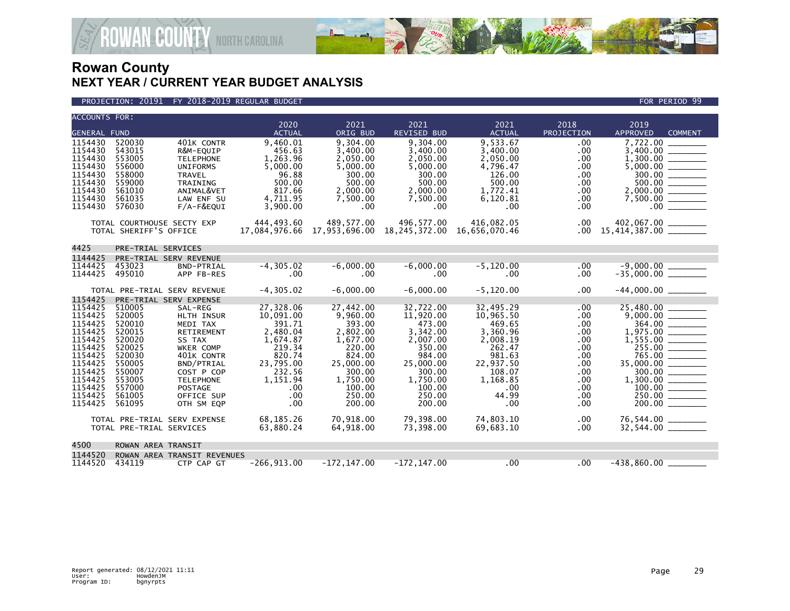

#### PROJECTION: 20191 FY 2018-2019 REGULAR BUDGET FOR PERIOD 99

| <b>ACCOUNTS FOR:</b>                                                                                                                        |                                                                                                                                                            |                                                                                                                                                                                                                           | 2020                                                                                                                                                           | 2021                                                                                                                                                                   | 2021                                                                                                                                                                    | 2021                                                                                                                                                             | 2018                                                                                                          | 2019                                                                                             |  |
|---------------------------------------------------------------------------------------------------------------------------------------------|------------------------------------------------------------------------------------------------------------------------------------------------------------|---------------------------------------------------------------------------------------------------------------------------------------------------------------------------------------------------------------------------|----------------------------------------------------------------------------------------------------------------------------------------------------------------|------------------------------------------------------------------------------------------------------------------------------------------------------------------------|-------------------------------------------------------------------------------------------------------------------------------------------------------------------------|------------------------------------------------------------------------------------------------------------------------------------------------------------------|---------------------------------------------------------------------------------------------------------------|--------------------------------------------------------------------------------------------------|--|
| <b>GENERAL FUND</b>                                                                                                                         |                                                                                                                                                            |                                                                                                                                                                                                                           | <b>ACTUAL</b>                                                                                                                                                  | ORIG BUD                                                                                                                                                               | <b>REVISED BUD</b>                                                                                                                                                      | <b>ACTUAL</b>                                                                                                                                                    | PROJECTION                                                                                                    | <b>APPROVED</b><br><b>COMMENT</b>                                                                |  |
| 1154430<br>1154430<br>1154430<br>1154430<br>1154430<br>1154430<br>1154430<br>1154430<br>1154430                                             | 520030<br>543015<br>553005<br>556000<br>558000<br>559000<br>561010<br>561035<br>576030                                                                     | 401K CONTR<br>R&M-EQUIP<br><b>TELEPHONE</b><br><b>UNIFORMS</b><br><b>TRAVEL</b><br>TRAINING<br>ANIMAL&VET<br>LAW ENF SU<br>$F/A-F&EQUI$                                                                                   | 9,460.01<br>456.63<br>1,263.96<br>5.000.00<br>96.88<br>500.00<br>817.66<br>4,711.95<br>3,900.00                                                                | 9.304.00<br>3.400.00<br>2.050.00<br>5,000.00<br>300.00<br>500.00<br>2,000.00<br>7.500.00<br>.00                                                                        | 9,304.00<br>3.400.00<br>2.050.00<br>5.000.00<br>300.00<br>500.00<br>2,000.00<br>7.500.00<br>.00.                                                                        | 9.533.67<br>3.400.00<br>2,050.00<br>4,796.47<br>126.00<br>500.00<br>1,772.41<br>6.120.81<br>.00.                                                                 | .00<br>.00<br>.00<br>.00<br>.00<br>.00<br>.00<br>.00<br>.00                                                   | 7.722.00<br>3.400.00<br>300.00<br>500.00<br>2,000.00<br>.00                                      |  |
|                                                                                                                                             | TOTAL COURTHOUSE SECTY EXP<br>TOTAL SHERIFF'S OFFICE                                                                                                       |                                                                                                                                                                                                                           | 444,493.60<br>17,084,976.66                                                                                                                                    | 489,577.00<br>17,953,696.00                                                                                                                                            | 496,577.00<br>18,245,372.00                                                                                                                                             | 416,082.05<br>16,656,070.46                                                                                                                                      | .00.<br>$.00 \,$                                                                                              |                                                                                                  |  |
| 4425                                                                                                                                        | PRE-TRIAL SERVICES                                                                                                                                         |                                                                                                                                                                                                                           |                                                                                                                                                                |                                                                                                                                                                        |                                                                                                                                                                         |                                                                                                                                                                  |                                                                                                               |                                                                                                  |  |
| 1144425<br>1144425<br>1144425                                                                                                               | 453023<br>495010                                                                                                                                           | PRE-TRIAL SERV REVENUE<br>BND-PTRIAL<br>APP FB-RES                                                                                                                                                                        | $-4, 305.02$<br>.00                                                                                                                                            | $-6,000.00$<br>.00                                                                                                                                                     | $-6,000.00$<br>.00                                                                                                                                                      | $-5, 120.00$<br>.00.                                                                                                                                             | .00.<br>.00                                                                                                   | $-9,000.00$ ________<br>-35,000.00 ________                                                      |  |
|                                                                                                                                             |                                                                                                                                                            | TOTAL PRE-TRIAL SERV REVENUE                                                                                                                                                                                              | $-4, 305.02$                                                                                                                                                   | $-6,000.00$                                                                                                                                                            | $-6,000.00$                                                                                                                                                             | $-5, 120.00$                                                                                                                                                     | $.00 \,$                                                                                                      |                                                                                                  |  |
| 1154425                                                                                                                                     |                                                                                                                                                            | PRE-TRIAL SERV EXPENSE                                                                                                                                                                                                    |                                                                                                                                                                |                                                                                                                                                                        |                                                                                                                                                                         |                                                                                                                                                                  |                                                                                                               |                                                                                                  |  |
| 1154425<br>1154425<br>1154425<br>1154425<br>1154425<br>1154425<br>1154425<br>1154425<br>1154425<br>1154425<br>1154425<br>1154425<br>1154425 | 510005<br>520005<br>520010<br>520015<br>520020<br>520025<br>520030<br>550005<br>550007<br>553005<br>557000<br>561005<br>561095<br>TOTAL PRE-TRIAL SERVICES | SAL-REG<br>HLTH INSUR<br>MEDI TAX<br><b>RETIREMENT</b><br>SS TAX<br>WKER COMP<br>401K CONTR<br>BND/PTRIAL<br>COST P COP<br><b>TELEPHONE</b><br><b>POSTAGE</b><br>OFFICE SUP<br>OTH SM EQP<br>TOTAL PRE-TRIAL SERV EXPENSE | 27,328.06<br>10,091.00<br>391.71<br>2,480.04<br>1,674.87<br>219.34<br>820.74<br>23,795.00<br>232.56<br>1,151.94<br>.00<br>.00<br>.00<br>68,185.26<br>63,880.24 | 27,442.00<br>9,960.00<br>393.00<br>2,802.00<br>1,677.00<br>220.00<br>824.00<br>25,000.00<br>300.00<br>1,750.00<br>100.00<br>250.00<br>200.00<br>70,918.00<br>64,918.00 | 32,722.00<br>11,920.00<br>473.00<br>3,342.00<br>2.007.00<br>350.00<br>984.00<br>25,000.00<br>300.00<br>1,750.00<br>100.00<br>250.00<br>200.00<br>79,398.00<br>73,398.00 | 32,495.29<br>10,965.50<br>469.65<br>3,360.96<br>2,008.19<br>262.47<br>981.63<br>22,937.50<br>108.07<br>1,168.85<br>.00<br>44.99<br>.00<br>74,803.10<br>69,683.10 | .00<br>.00<br>.00.<br>.00<br>.00<br>.00<br>.00<br>.00<br>.00.<br>.00<br>.00<br>.00.<br>.00<br>$.00 \,$<br>.00 | 25,480.00<br>364.00<br>255.00 _______<br>765.00 ________<br>35,000.00 ______<br>100.00<br>250.00 |  |
| 4500                                                                                                                                        | ROWAN AREA TRANSIT                                                                                                                                         |                                                                                                                                                                                                                           |                                                                                                                                                                |                                                                                                                                                                        |                                                                                                                                                                         |                                                                                                                                                                  |                                                                                                               |                                                                                                  |  |
| 1144520<br>1144520                                                                                                                          | 434119                                                                                                                                                     | ROWAN AREA TRANSIT REVENUES<br>CTP CAP GT                                                                                                                                                                                 | $-266.913.00$                                                                                                                                                  | $-172.147.00$                                                                                                                                                          | $-172.147.00$                                                                                                                                                           | .00                                                                                                                                                              | .00                                                                                                           | $-438.860.00$                                                                                    |  |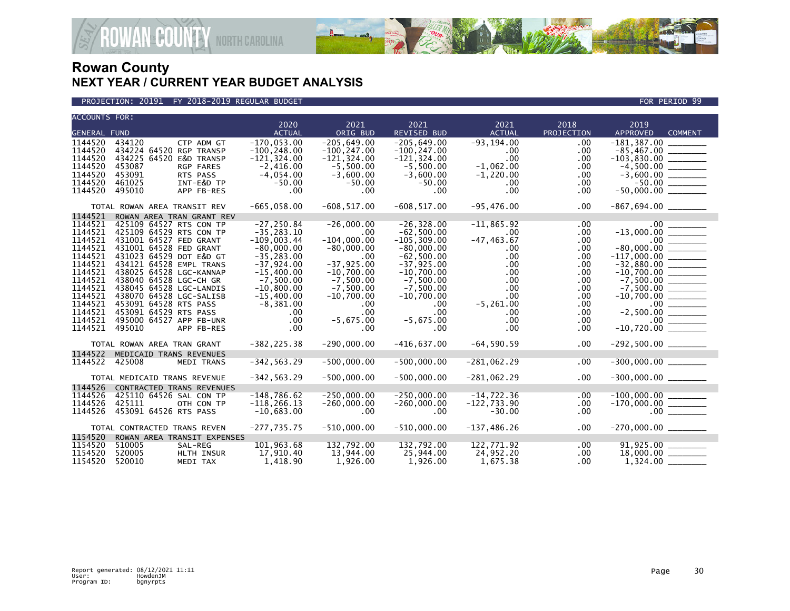

PROJECTION: 20191 FY 2018-2019 REGULAR BUDGET FOR PERIOD 99

| <b>ACCOUNTS FOR:</b>                                                                                                                                              |                                                                                                                                                                                                                                                                                                                                                                                                           | 2020                                                                                                                                                                                                | 2021                                                                                                                                                                                     | 2021                                                                                                                                                                                                         | 2021                                                                                                                                 | 2018                                                                                               | 2019                                                                                                                                           |                |  |  |
|-------------------------------------------------------------------------------------------------------------------------------------------------------------------|-----------------------------------------------------------------------------------------------------------------------------------------------------------------------------------------------------------------------------------------------------------------------------------------------------------------------------------------------------------------------------------------------------------|-----------------------------------------------------------------------------------------------------------------------------------------------------------------------------------------------------|------------------------------------------------------------------------------------------------------------------------------------------------------------------------------------------|--------------------------------------------------------------------------------------------------------------------------------------------------------------------------------------------------------------|--------------------------------------------------------------------------------------------------------------------------------------|----------------------------------------------------------------------------------------------------|------------------------------------------------------------------------------------------------------------------------------------------------|----------------|--|--|
| <b>GENERAL FUND</b>                                                                                                                                               |                                                                                                                                                                                                                                                                                                                                                                                                           | <b>ACTUAL</b>                                                                                                                                                                                       | ORIG BUD                                                                                                                                                                                 | <b>REVISED BUD</b>                                                                                                                                                                                           | <b>ACTUAL</b>                                                                                                                        | PROJECTION                                                                                         | <b>APPROVED</b>                                                                                                                                | <b>COMMENT</b> |  |  |
| 1144520<br>1144520<br>1144520<br>1144520<br>1144520<br>1144520<br>1144520                                                                                         | 434120<br>CTP ADM GT<br>434224 64520 RGP TRANSP<br>434225 64520 E&D TRANSP<br>453087<br>RGP FARES<br>453091<br>RTS PASS<br>461025<br>INT-E&D TP<br>495010<br>APP FB-RES                                                                                                                                                                                                                                   | $-170,053.00$<br>$-100, 248.00$<br>$-121, 324.00$<br>$-2,416.00$<br>$-4,054.00$<br>$-50.00$<br>.00                                                                                                  | $-205, 649.00$<br>$-100.247.00$<br>$-121, 324.00$<br>$-5,500.00$<br>$-3,600.00$<br>$-50.00$<br>.00                                                                                       | $-205,649.00$<br>$-100.247.00$<br>$-121, 324.00$<br>$-5,500.00$<br>$-3,600.00$<br>$-50.00$<br>$.00 \times$                                                                                                   | $-93, 194.00$<br>.00<br>.00<br>$-1,062.00$<br>$-1,220.00$<br>$.00 \,$<br>$.00 \,$                                                    | .00.<br>.00<br>.00<br>.00<br>.00<br>.00<br>.00.                                                    | $-181, 387.00$<br>$-50.00$ ______                                                                                                              |                |  |  |
|                                                                                                                                                                   | TOTAL ROWAN AREA TRANSIT REV                                                                                                                                                                                                                                                                                                                                                                              | $-665,058.00$                                                                                                                                                                                       | $-608, 517.00$                                                                                                                                                                           | $-608, 517.00$                                                                                                                                                                                               | $-95,476.00$                                                                                                                         | .00                                                                                                | $-867,694.00$ ________                                                                                                                         |                |  |  |
| 1144521<br>1144521<br>1144521<br>1144521<br>1144521<br>1144521<br>1144521<br>1144521<br>1144521<br>1144521<br>1144521<br>1144521<br>1144521<br>1144521<br>1144521 | ROWAN AREA TRAN GRANT REV<br>425109 64527 RTS CON TP<br>425109 64529 RTS CON TP<br>431001 64527 FED GRANT<br>431001 64528 FED GRANT<br>431023 64529 DOT E&D GT<br>434121 64528 EMPL TRANS<br>438025 64528 LGC-KANNAP<br>438040 64528 LGC-CH GR<br>438045 64528 LGC-LANDIS<br>438070 64528 LGC-SALISB<br>453091 64528 RTS PASS<br>453091 64529 RTS PASS<br>495000 64527 APP FB-UNR<br>495010<br>APP FB-RES | $-27, 250.84$<br>$-35, 283.10$<br>$-109.003.44$<br>$-80,000.00$<br>$-35, 283.00$<br>$-37,924.00$<br>$-15,400.00$<br>$-7,500.00$<br>$-10,800.00$<br>$-15,400.00$<br>$-8,381.00$<br>.00<br>.00<br>.00 | $-26,000.00$<br>$.00 \,$<br>$-104,000.00$<br>$-80,000.00$<br>.00<br>$-37, 925.00$<br>$-10,700.00$<br>$-7,500.00$<br>$-7,500.00$<br>$-10,700.00$<br>$.00 \,$<br>.00<br>$-5,675.00$<br>.00 | $-26, 328.00$<br>$-62,500.00$<br>$-105, 309.00$<br>$-80,000.00$<br>$-62,500.00$<br>$-37,925.00$<br>$-10,700.00$<br>$-7,500.00$<br>$-7,500.00$<br>$-10,700.00$<br>$.00 \,$<br>$.00 \,$<br>$-5,675.00$<br>.00. | $-11,865.92$<br>$.00 \,$<br>$-47, 463.67$<br>.00<br>.00<br>.00<br>$.00 \,$<br>.00<br>.00<br>.00<br>$-5, 261.00$<br>.00<br>.00<br>.00 | .00<br>.00.<br>.00<br>.00<br>.00.<br>.00<br>.00<br>.00<br>.00<br>.00.<br>.00<br>.00.<br>.00<br>.00 | $-13,000.00$<br>$-80,000.00$<br>$-80,000.00$<br>$-117,000.00$<br>$-32,880.00$<br>$-10,700.00$ _________<br>$-7,500.00$ $-7,500.00$ $-7,500.00$ |                |  |  |
|                                                                                                                                                                   | TOTAL ROWAN AREA TRAN GRANT                                                                                                                                                                                                                                                                                                                                                                               | $-382, 225.38$                                                                                                                                                                                      | $-290,000.00$                                                                                                                                                                            | $-416,637.00$                                                                                                                                                                                                | $-64, 590.59$                                                                                                                        | .00                                                                                                | $-292,500.00$ ________                                                                                                                         |                |  |  |
| 1144522<br>1144522                                                                                                                                                | MEDICAID TRANS REVENUES<br>425008<br><b>MEDI TRANS</b>                                                                                                                                                                                                                                                                                                                                                    | $-342, 563.29$                                                                                                                                                                                      | $-500,000.00$                                                                                                                                                                            | $-500,000.00$                                                                                                                                                                                                | $-281,062.29$                                                                                                                        | .00                                                                                                | $-300,000.00$ ________                                                                                                                         |                |  |  |
|                                                                                                                                                                   | TOTAL MEDICAID TRANS REVENUE                                                                                                                                                                                                                                                                                                                                                                              | $-342, 563.29$                                                                                                                                                                                      | $-500,000.00$                                                                                                                                                                            | $-500,000.00$                                                                                                                                                                                                | $-281,062.29$                                                                                                                        | .00.                                                                                               | $-300,000.00$ _______                                                                                                                          |                |  |  |
| 1144526<br>1144526<br>1144526<br>1144526                                                                                                                          | CONTRACTED TRANS REVENUES<br>425110 64526 SAL CON TP<br>425111<br>OTH CON TP<br>453091 64526 RTS PASS                                                                                                                                                                                                                                                                                                     | $-148,786.62$<br>$-118, 266.13$<br>$-10,683.00$                                                                                                                                                     | $-250,000.00$<br>$-260,000.00$<br>$.00 \,$                                                                                                                                               | $-250,000.00$<br>$-260,000.00$<br>.00                                                                                                                                                                        | $-14,722.36$<br>$-122,733.90$<br>$-30.00$                                                                                            | .00<br>.00<br>.00                                                                                  | $-100,000.00$<br>$-170,000.00$<br>$00$<br>$00$                                                                                                 |                |  |  |
|                                                                                                                                                                   | TOTAL CONTRACTED TRANS REVEN                                                                                                                                                                                                                                                                                                                                                                              | $-277,735.75$                                                                                                                                                                                       | $-510,000.00$                                                                                                                                                                            | $-510,000.00$                                                                                                                                                                                                | $-137, 486.26$                                                                                                                       | $.00 \,$                                                                                           |                                                                                                                                                |                |  |  |
| 1154520<br>1154520<br>1154520<br>1154520                                                                                                                          | ROWAN AREA TRANSIT EXPENSES<br>510005<br>SAL-REG<br>520005<br>HLTH INSUR<br>520010<br>MEDI TAX                                                                                                                                                                                                                                                                                                            | 101,963.68<br>17,910.40<br>1,418.90                                                                                                                                                                 | 132.792.00<br>13,944.00<br>1.926.00                                                                                                                                                      | 132,792.00<br>25,944.00<br>1,926.00                                                                                                                                                                          | 122,771.92<br>24,952.20<br>1,675.38                                                                                                  | .00.<br>.00<br>.00                                                                                 | 91,925.00<br>$18,000.00$ _______                                                                                                               |                |  |  |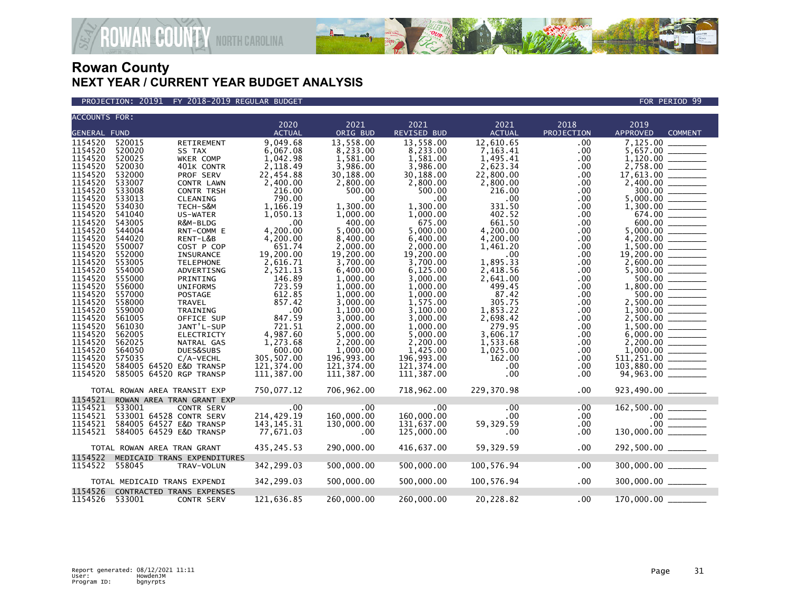

PROJECTION: 20191 FY 2018-2019 REGULAR BUDGET FOR PERIOD 99

| <b>ACCOUNTS FOR:</b> |                                                    |                           |                          |                       |                       |                  |                                                                                                                                                                     |
|----------------------|----------------------------------------------------|---------------------------|--------------------------|-----------------------|-----------------------|------------------|---------------------------------------------------------------------------------------------------------------------------------------------------------------------|
|                      |                                                    | 2020                      | 2021                     | 2021                  | 2021                  | 2018             | 2019                                                                                                                                                                |
| <b>GENERAL FUND</b>  |                                                    | <b>ACTUAL</b>             | ORIG BUD                 | REVISED BUD           | <b>ACTUAL</b>         | PROJECTION       | <b>APPROVED</b><br><b>COMMENT</b>                                                                                                                                   |
| 1154520              | 520015<br>RETIREMENT                               | 9.049.68                  | 13.558.00                | 13.558.00             | 12,610.65             | .00              | 7.125.00                                                                                                                                                            |
| 1154520              | 520020<br>SS TAX                                   | 6,067.08                  | 8,233.00                 | 8,233.00              | 7,163.41              | .00              |                                                                                                                                                                     |
| 1154520<br>1154520   | 520025<br>WKER COMP                                | 1,042.98                  | 1,581.00                 | 1,581.00              | 1,495.41              | .00.             |                                                                                                                                                                     |
|                      | 520030<br>401K CONTR                               | 2,118.49                  | 3,986.00                 | 3,986.00              | 2,623.34              | .00              |                                                                                                                                                                     |
| 1154520              | 532000<br>PROF SERV                                | 22,454.88                 | 30,188.00                | 30,188.00             | 22,800.00             | .00.             |                                                                                                                                                                     |
| 1154520<br>1154520   | 533007<br>CONTR LAWN<br>533008                     | 2,400.00<br>216.00        | 2,800.00                 | 2,800.00<br>500.00    | 2,800.00<br>216.00    | .00              |                                                                                                                                                                     |
| 1154520              | CONTR TRSH<br>533013                               | 790.00                    | 500.00<br>.00            | .00                   | $.00 \,$              | .00              | 300.00                                                                                                                                                              |
| 1154520              | CLEANING<br>534030<br>TECH-S&M                     | 1,166.19                  | 1,300.00                 | 1,300.00              | 331.50                | .00<br>$.00 \,$  |                                                                                                                                                                     |
| 1154520              | 541040<br>US-WATER                                 | 1,050.13                  | 1,000.00                 | 1,000.00              | 402.52                | .00              | $5,000.00$<br>1,300.00                                                                                                                                              |
| 1154520              | 543005<br>R&M-BLDG                                 | .00                       | 400.00                   | 675.00                | 661.50                | $.00 \,$         |                                                                                                                                                                     |
| 1154520              | 544004<br>RNT-COMM E                               | 4,200.00                  | 5,000.00                 | 5.000.00              | 4,200.00              | .00              | $5,000.00$<br>$4,200.00$                                                                                                                                            |
| 1154520              | 544020<br>RENT-L&B                                 | 4,200.00                  | 8,400.00                 | 6,400.00              | 4,200.00              | .00              |                                                                                                                                                                     |
| 1154520              | 550007<br>COST P COP                               | 651.74                    | 2.000.00                 | 2.000.00              | 1,461.20              | .00              |                                                                                                                                                                     |
| 1154520              | 552000<br>INSURANCE                                | 19,200.00                 | 19,200.00                | 19,200.00             | $.00 \,$              | .00.             | $19,200.00$ ________                                                                                                                                                |
| 1154520              | 553005<br><b>TELEPHONE</b>                         | 2,616.71                  | 3,700.00                 | 3,700.00              | 1,895.33              | .00              |                                                                                                                                                                     |
| 1154520              | 554000<br>ADVERTISNG                               | 2,521.13                  | 6,400.00                 | 6,125.00              | 2,418.56              | .00              |                                                                                                                                                                     |
| 1154520              | 555000<br>PRINTING                                 | 146.89                    | 1,000.00                 | 3,000.00              | 2,641.00              | .00              | $5,300.00$ $\overline{\phantom{0}}$                                                                                                                                 |
| 1154520              | 556000<br><b>UNIFORMS</b>                          | 723.59                    | 1,000.00                 | 1,000.00              | 499.45                | .00              |                                                                                                                                                                     |
| 1154520              | 557000<br>POSTAGE                                  | 612.85                    | 1,000.00                 | 1,000.00              | 87.42                 | .00              | 500.00                                                                                                                                                              |
| 1154520              | 558000<br>TRAVEL                                   | 857.42                    | 3,000.00                 | 1,575.00              | 305.75                | $.00 \,$         | 2,500.00                                                                                                                                                            |
| 1154520              | 559000<br>TRAINING                                 | .00                       | 1,100.00                 | 3,100.00              | 1,853.22              | $.00 \,$         |                                                                                                                                                                     |
| 1154520              | 561005<br>OFFICE SUP                               | 847.59                    | 3,000.00                 | 3,000.00              | 2,698.42              | .00              |                                                                                                                                                                     |
| 1154520              | 561030<br>JANT'L-SUP                               | 721.51                    | 2,000.00                 | 1,000.00              | 279.95                | .00              |                                                                                                                                                                     |
| 1154520              | 562005<br><b>ELECTRICTY</b>                        | 4,987.60                  | 5,000.00                 | 5,000.00              | 3,606.17              | .00              |                                                                                                                                                                     |
| 1154520              | 562025<br>NATRAL GAS                               | 1,273.68                  | 2,200.00                 | 2,200.00              | 1,533.68              | .00              |                                                                                                                                                                     |
| 1154520              | 564050<br>DUES&SUBS                                | 600.00                    | 1,000.00                 | 1,425.00              | 1,025.00              | .00              |                                                                                                                                                                     |
| 1154520              | 575035<br>C/A-VECHL                                | 305,507.00                | 196,993.00               | 196,993.00            | 162.00                | .00.             | $51\overline{1}$ , $25\overline{1}$ . 00 ______                                                                                                                     |
| 1154520              | 584005 64520 E&D TRANSP                            | 121,374.00                | 121,374.00               | 121, 374.00           | $.00 \,$              | .00.             |                                                                                                                                                                     |
| 1154520              | 585005 64520 RGP TRANSP                            | 111,387.00                | 111,387.00               | 111,387.00            | $.00 \times$          | .00.             |                                                                                                                                                                     |
|                      |                                                    |                           |                          |                       |                       |                  |                                                                                                                                                                     |
|                      | TOTAL ROWAN AREA TRANSIT EXP                       | 750,077.12                | 706,962.00               | 718,962.00            | 229,370.98            | .00              | 923,490.00 ________                                                                                                                                                 |
| 1154521<br>1154521   | ROWAN AREA TRAN GRANT EXP                          |                           |                          |                       |                       |                  |                                                                                                                                                                     |
| 1154521              | 533001<br><b>CONTR SERV</b>                        | .00<br>214, 429. 19       | $.00 \ \,$<br>160,000.00 | $.00\,$<br>160,000.00 | $.00 \,$<br>$.00 \,$  | $.00 \,$         |                                                                                                                                                                     |
| 1154521              | 533001 64528 CONTR SERV                            |                           |                          |                       |                       | $.00 \,$         |                                                                                                                                                                     |
| 1154521              | 584005 64527 E&D TRANSP<br>584005 64529 E&D TRANSP | 143, 145. 31<br>77,671.03 | 130,000.00               | 131,637.00            | 59,329.59<br>$.00 \,$ | $.00 \,$<br>.00. | $\begin{array}{r} 162\, ,500\, .00\, \; \underline{\hspace{1cm}} \\ 00\, \; \underline{\hspace{1cm}} \\ 130\, ,000\, .00\, \; \underline{\hspace{1cm}} \end{array}$ |
|                      |                                                    |                           | $.00 \,$                 | 125,000.00            |                       |                  |                                                                                                                                                                     |
|                      | TOTAL ROWAN AREA TRAN GRANT                        | 435, 245.53               | 290,000.00               | 416,637.00            | 59,329.59             | .00              | 292,500.00 _______                                                                                                                                                  |
|                      | 1154522 MEDICAID TRANS EXPENDITURES                |                           |                          |                       |                       |                  |                                                                                                                                                                     |
| 1154522              | 558045<br>TRAV-VOLUN                               | 342,299.03                | 500,000.00               | 500,000.00            | 100,576.94            | .00              | $300,000.00$ ________                                                                                                                                               |
|                      | TOTAL MEDICAID TRANS EXPENDI                       | 342,299.03                | 500,000.00               | 500,000.00            | 100,576.94            | $.00 \,$         | 300,000.00 ______                                                                                                                                                   |
| 1154526              | <b>CONTRACTED TRANS EXPENSES</b>                   |                           |                          |                       |                       |                  |                                                                                                                                                                     |
| 1154526 533001       | <b>CONTR SERV</b>                                  | 121,636.85                | 260,000.00               | 260,000.00            | 20,228.82             | .00              | 170,000.00                                                                                                                                                          |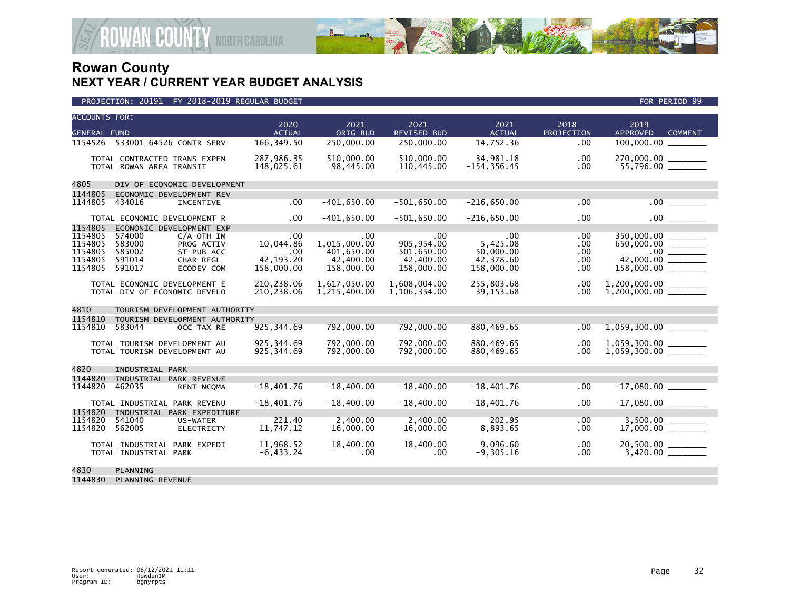

|                                                                | PROJECTION: 20191 FY 2018-2019 REGULAR BUDGET                                                                                                      |                                                             |                                                              |                                                            |                                                         |                                 | FOR PERIOD 99                                      |
|----------------------------------------------------------------|----------------------------------------------------------------------------------------------------------------------------------------------------|-------------------------------------------------------------|--------------------------------------------------------------|------------------------------------------------------------|---------------------------------------------------------|---------------------------------|----------------------------------------------------|
| <b>ACCOUNTS FOR:</b><br>GENERAL FUND                           |                                                                                                                                                    | 2020<br><b>ACTUAL</b>                                       | 2021<br>ORIG BUD                                             | 2021<br>REVISED BUD                                        | 2021<br><b>ACTUAL</b>                                   | 2018<br>PROJECTION              | 2019<br><b>APPROVED</b><br><b>COMMENT</b>          |
| 1154526                                                        | 533001 64526 CONTR SERV                                                                                                                            | 166, 349.50                                                 | 250,000.00                                                   | 250,000,00                                                 | 14,752.36                                               | .00                             | 100,000.00                                         |
|                                                                | TOTAL CONTRACTED TRANS EXPEN<br>TOTAL ROWAN AREA TRANSIT                                                                                           | 287,986.35<br>148,025.61                                    | 510.000.00<br>98,445.00                                      | 510,000.00<br>110,445.00                                   | 34.981.18<br>$-154, 356.45$                             | .00<br>$.00 \,$                 |                                                    |
| 4805                                                           | DIV OF ECONOMIC DEVELOPMENT                                                                                                                        |                                                             |                                                              |                                                            |                                                         |                                 |                                                    |
| 1144805<br>1144805                                             | ECONOMIC DEVELOPMENT REV<br>434016<br>INCENTIVE                                                                                                    | .00                                                         | $-401.650.00$                                                | $-501.650.00$                                              | $-216,650.00$                                           | .00                             | .00 <sub>1</sub>                                   |
|                                                                | TOTAL ECONOMIC DEVELOPMENT R                                                                                                                       | .00                                                         | $-401,650.00$                                                | $-501,650.00$                                              | $-216,650.00$                                           | .00                             |                                                    |
| 1154805<br>1154805<br>1154805<br>1154805<br>1154805<br>1154805 | ECONONIC DEVELOPMENT EXP<br>574000<br>$C/A$ -OTH IM<br>583000<br>PROG ACTIV<br>585002<br>ST-PUB ACC<br>591014<br>CHAR REGL<br>591017<br>ECODEV COM | $.00 \ \,$<br>10,044.86<br>.00<br>42, 193. 20<br>158,000.00 | .00<br>1.015.000.00<br>401,650.00<br>42,400.00<br>158,000.00 | .00<br>905.954.00<br>501,650.00<br>42,400.00<br>158,000.00 | .00<br>5,425.08<br>50,000.00<br>42,378.60<br>158,000.00 | .00<br>.00<br>.00<br>.00<br>.00 | 350,000.00<br>650,000.00<br>$\frac{00}{42,000.00}$ |
|                                                                | TOTAL ECONONIC DEVELOPMENT E<br>TOTAL DIV OF ECONOMIC DEVELO                                                                                       | 210,238.06<br>210,238.06                                    | 1,617,050.00<br>1,215,400.00                                 | 1,608,004.00<br>1,106,354.00                               | 255,803.68<br>39, 153.68                                | .00<br>.00                      |                                                    |
| 4810                                                           | TOURISM DEVELOPMENT AUTHORITY                                                                                                                      |                                                             |                                                              |                                                            |                                                         |                                 |                                                    |
| 1154810<br>1154810                                             | TOURISM DEVELOPMENT AUTHORITY<br>583044<br>OCC TAX RE                                                                                              | 925, 344.69                                                 | 792,000.00                                                   | 792,000.00                                                 | 880,469.65                                              | .00                             |                                                    |
|                                                                | TOTAL TOURISM DEVELOPMENT AU<br>TOTAL TOURISM DEVELOPMENT AU                                                                                       | 925, 344.69<br>925, 344.69                                  | 792.000.00<br>792,000.00                                     | 792.000.00<br>792,000.00                                   | 880,469.65<br>880,469.65                                | .00<br>$.00 \,$                 |                                                    |
| 4820                                                           | INDUSTRIAL PARK                                                                                                                                    |                                                             |                                                              |                                                            |                                                         |                                 |                                                    |
| 1144820<br>1144820                                             | INDUSTRIAL PARK REVENUE<br>462035<br>RENT-NCQMA                                                                                                    | $-18,401.76$                                                | $-18,400.00$                                                 | $-18,400.00$                                               | $-18,401.76$                                            | .00                             | $-17,080.00$ _________                             |
| 1154820                                                        | TOTAL INDUSTRIAL PARK REVENU<br>INDUSTRIAL PARK EXPEDITURE                                                                                         | $-18,401.76$                                                | $-18,400.00$                                                 | $-18,400.00$                                               | $-18,401.76$                                            | .00                             |                                                    |
| 1154820<br>1154820                                             | 541040<br>US-WATER<br>562005<br><b>ELECTRICTY</b>                                                                                                  | 221.40<br>11,747.12                                         | 2,400.00<br>16,000.00                                        | 2,400.00<br>16,000.00                                      | 202.95<br>8,893.65                                      | .00<br>.00.                     | $3,500.00$<br>17,000.00                            |
|                                                                | TOTAL INDUSTRIAL PARK EXPEDI<br>TOTAL INDUSTRIAL PARK                                                                                              | 11,968.52<br>$-6, 433.24$                                   | 18,400.00<br>.00                                             | 18,400.00<br>.00                                           | 9,096.60<br>$-9, 305.16$                                | .00<br>$.00 \,$                 |                                                    |
| 4830                                                           | PLANNING                                                                                                                                           |                                                             |                                                              |                                                            |                                                         |                                 |                                                    |
| 1144830                                                        | PLANNING REVENUE                                                                                                                                   |                                                             |                                                              |                                                            |                                                         |                                 |                                                    |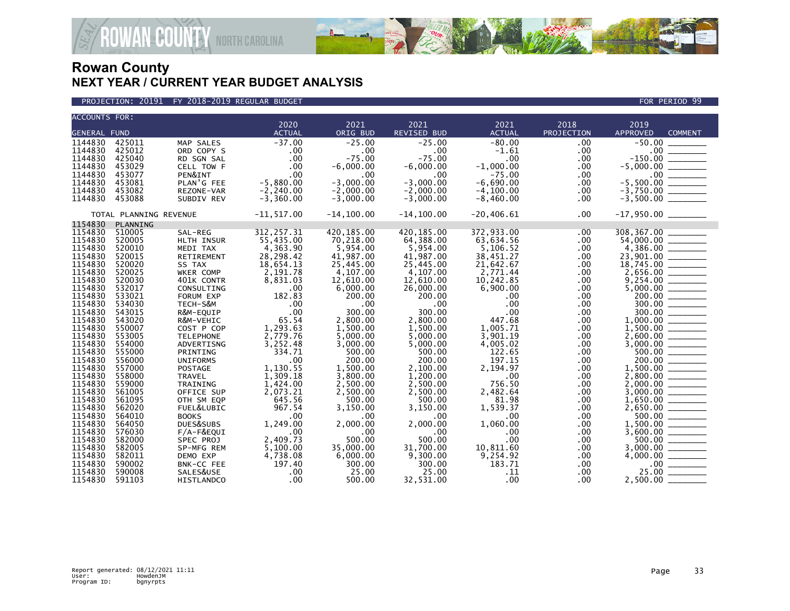



| <b>ACCOUNTS FOR:</b><br>2020<br>2021<br>2018<br>2021<br>2021<br>2019<br><b>GENERAL FUND</b><br><b>ACTUAL</b><br>ORIG BUD<br><b>REVISED BUD</b><br><b>ACTUAL</b><br>PROJECTION<br><b>APPROVED</b><br>$-37.00$<br>$-25.00$<br>$-25.00$<br>425011<br>$-80.00$<br>.00<br>$-50.00$<br>1144830<br>MAP SALES<br>425012<br>$-30.00$<br>$-150.00$<br>$-5,000.00$<br>$-5,500.00$<br>$-3,750.00$<br>$-3,750.00$<br>.00<br>.00<br>.00<br>$-1.61$<br>.00<br>ORD COPY S<br>425040<br>$-75.00$<br>$-75.00$<br>RD SGN SAL<br>.00<br>$.00 \,$<br>.00.<br>$-6,000.00$<br>$-6,000.00$<br>453029<br>.00<br>$-1,000.00$<br>.00<br>CELL TOW F<br>.00<br>$-75.00$<br>.00<br>453077<br>PEN&INT<br>.00<br>.00<br>$-5,880.00$<br>$-3,000.00$<br>$-3,000.00$<br>453081<br>$-6,690.00$<br>.00<br>PLAN'G FEE |                |
|---------------------------------------------------------------------------------------------------------------------------------------------------------------------------------------------------------------------------------------------------------------------------------------------------------------------------------------------------------------------------------------------------------------------------------------------------------------------------------------------------------------------------------------------------------------------------------------------------------------------------------------------------------------------------------------------------------------------------------------------------------------------------------|----------------|
|                                                                                                                                                                                                                                                                                                                                                                                                                                                                                                                                                                                                                                                                                                                                                                                 |                |
|                                                                                                                                                                                                                                                                                                                                                                                                                                                                                                                                                                                                                                                                                                                                                                                 |                |
| 1144830                                                                                                                                                                                                                                                                                                                                                                                                                                                                                                                                                                                                                                                                                                                                                                         | <b>COMMENT</b> |
| 1144830<br>1144830<br>1144830<br>1144830                                                                                                                                                                                                                                                                                                                                                                                                                                                                                                                                                                                                                                                                                                                                        |                |
|                                                                                                                                                                                                                                                                                                                                                                                                                                                                                                                                                                                                                                                                                                                                                                                 |                |
|                                                                                                                                                                                                                                                                                                                                                                                                                                                                                                                                                                                                                                                                                                                                                                                 |                |
|                                                                                                                                                                                                                                                                                                                                                                                                                                                                                                                                                                                                                                                                                                                                                                                 |                |
|                                                                                                                                                                                                                                                                                                                                                                                                                                                                                                                                                                                                                                                                                                                                                                                 |                |
|                                                                                                                                                                                                                                                                                                                                                                                                                                                                                                                                                                                                                                                                                                                                                                                 |                |
| $-2, 240.00$<br>$-2,000.00$<br>$-2,000.00$<br>1144830<br>453082<br>$-4, 100.00$<br>REZONE-VAR<br>.00.                                                                                                                                                                                                                                                                                                                                                                                                                                                                                                                                                                                                                                                                           |                |
| 1144830<br>453088<br>$-3,000.00$<br>$-3,360.00$<br>$-3,000.00$<br>$-8,460.00$<br>SUBDIV REV<br>.00.                                                                                                                                                                                                                                                                                                                                                                                                                                                                                                                                                                                                                                                                             |                |
| $-11, 517.00$<br>$-14, 100.00$<br>$-14, 100.00$<br>$-20,406.61$<br>.00<br>TOTAL PLANNING REVENUE                                                                                                                                                                                                                                                                                                                                                                                                                                                                                                                                                                                                                                                                                |                |
| 1154830<br>PLANNING                                                                                                                                                                                                                                                                                                                                                                                                                                                                                                                                                                                                                                                                                                                                                             |                |
| 308, 367.00<br>54, 000.00<br>1154830<br>312, 257.31<br>420, 185.00<br>420.185.00<br>372,933.00<br>510005<br>SAL-REG<br>.00                                                                                                                                                                                                                                                                                                                                                                                                                                                                                                                                                                                                                                                      |                |
| 1154830<br>520005<br>55,435.00<br>70,218.00<br>64,388.00<br>63,634.56<br>.00<br>HLTH INSUR                                                                                                                                                                                                                                                                                                                                                                                                                                                                                                                                                                                                                                                                                      |                |
| 1154830<br>520010<br>4,363.90<br>5,954.00<br>.00<br>5,954.00<br>5,106.52<br>MEDI TAX                                                                                                                                                                                                                                                                                                                                                                                                                                                                                                                                                                                                                                                                                            |                |
| 1154830<br>28,298.42<br>41,987.00<br>520015<br>41,987.00<br>38,451.27<br>.00<br>RETIREMENT                                                                                                                                                                                                                                                                                                                                                                                                                                                                                                                                                                                                                                                                                      |                |
| 1154830<br>520020<br>SS TAX<br>18,654.13<br>25,445.00<br>25,445.00<br>21,642.67<br>.00.                                                                                                                                                                                                                                                                                                                                                                                                                                                                                                                                                                                                                                                                                         |                |
| 1154830<br>2,191.78<br>520025<br>WKER COMP<br>4,107.00<br>4,107.00<br>2,771.44<br>.00                                                                                                                                                                                                                                                                                                                                                                                                                                                                                                                                                                                                                                                                                           |                |
| 12,610.00<br>1154830<br>520030<br>401K CONTR<br>8,831.03<br>12,610.00<br>10,242.85<br>.00                                                                                                                                                                                                                                                                                                                                                                                                                                                                                                                                                                                                                                                                                       |                |
| 1154830<br>532017<br>.00<br>6,000.00<br>26,000.00<br>6,900.00<br>.00<br>CONSULTING                                                                                                                                                                                                                                                                                                                                                                                                                                                                                                                                                                                                                                                                                              |                |
| $4,386.00$<br>$2,3901.00$<br>$18,745.00$<br>$2,656.00$<br>$9,254.00$<br>$5,000.00$<br>$200.00$<br>1154830<br>533021<br>182.83<br>200.00<br>.00<br>FORUM EXP<br>200.00<br>$.00 \times$                                                                                                                                                                                                                                                                                                                                                                                                                                                                                                                                                                                           |                |
| .00<br>$\begin{array}{r} 200.00 \ \hline 300.00 \ \hline 300.00 \ \hline 1,000.00 \ \hline 1,500.00 \ \hline 2,600.00 \ \hline 3,000.00 \ \hline 500.00 \ \hline \end{array}$<br>1154830<br>534030<br>.00<br>.00<br>.00<br>.00<br>TECH-S&M                                                                                                                                                                                                                                                                                                                                                                                                                                                                                                                                      |                |
| .00<br>300.00<br>300.00<br>1154830<br>$.00 \,$<br>543015<br>R&M-EQUIP<br>.00.                                                                                                                                                                                                                                                                                                                                                                                                                                                                                                                                                                                                                                                                                                   |                |
| 1154830<br>543020<br>65.54<br>2,800.00<br>2,800.00<br>R&M-VEHIC<br>447.68<br>.00.                                                                                                                                                                                                                                                                                                                                                                                                                                                                                                                                                                                                                                                                                               |                |
| 1,293.63<br>1154830<br>1,500.00<br>1,005.71<br>550007<br>1,500.00<br>.00<br>COST P COP                                                                                                                                                                                                                                                                                                                                                                                                                                                                                                                                                                                                                                                                                          |                |
| 1154830<br>553005<br>2,779.76<br>5,000.00<br><b>TELEPHONE</b><br>5,000.00<br>3,901.19<br>.00.                                                                                                                                                                                                                                                                                                                                                                                                                                                                                                                                                                                                                                                                                   |                |
| 1154830<br>554000<br>3,252.48<br>4,005.02<br>.00<br>ADVERTISNG<br>3,000.00<br>5,000.00                                                                                                                                                                                                                                                                                                                                                                                                                                                                                                                                                                                                                                                                                          |                |
| 1154830<br>555000<br>334.71<br>500.00<br>500.00<br>122.65<br>.00<br>PRINTING                                                                                                                                                                                                                                                                                                                                                                                                                                                                                                                                                                                                                                                                                                    |                |
| 1154830<br>556000<br>.00<br>200.00<br>200.00<br>197.15<br><b>UNIFORMS</b><br>.00.                                                                                                                                                                                                                                                                                                                                                                                                                                                                                                                                                                                                                                                                                               |                |
| 1,130.55<br>1154830<br>557000<br>1,500.00<br>2,100.00<br>2,194.97<br>.00<br>POSTAGE                                                                                                                                                                                                                                                                                                                                                                                                                                                                                                                                                                                                                                                                                             |                |
| 1154830<br>558000<br>1,309.18<br>1,200.00<br>3,800.00<br>$.00 \,$<br>.00<br><b>TRAVEL</b>                                                                                                                                                                                                                                                                                                                                                                                                                                                                                                                                                                                                                                                                                       |                |
| $200.00$<br>$1,500.00$<br>$2,800.00$<br>$2,800.00$<br>$3,000.00$<br>$1,650.00$<br>$2,650.00$<br>1154830<br>1,424.00<br>756.50<br>559000<br>2,500.00<br>2,500.00<br>.00<br>TRAINING                                                                                                                                                                                                                                                                                                                                                                                                                                                                                                                                                                                              |                |
| 1154830<br>561005<br>2,073.21<br>2,500.00<br>2,500.00<br>2,482.64<br>.00<br>OFFICE SUP                                                                                                                                                                                                                                                                                                                                                                                                                                                                                                                                                                                                                                                                                          |                |
| 1154830<br>561095<br>645.56<br>500.00<br>500.00<br>.00<br>81.98<br>OTH SM EQP<br>1154830                                                                                                                                                                                                                                                                                                                                                                                                                                                                                                                                                                                                                                                                                        |                |
| 3,150.00<br>3,150.00<br>1,539.37<br>562020<br>967.54<br>.00.<br>FUEL&LUBIC<br>1154830                                                                                                                                                                                                                                                                                                                                                                                                                                                                                                                                                                                                                                                                                           |                |
| 564010<br><b>BOOKS</b><br>.00<br>.00.<br>.00<br>.00<br>.00<br>1154830<br>564050<br>DUES&SUBS<br>1,249.00<br>2,000.00<br>2,000.00<br>1,060.00<br>.00                                                                                                                                                                                                                                                                                                                                                                                                                                                                                                                                                                                                                             |                |
| 1154830<br>576030                                                                                                                                                                                                                                                                                                                                                                                                                                                                                                                                                                                                                                                                                                                                                               |                |
| F/A-F&EQUI<br>.00<br>.00<br>$.00 \,$<br>.00<br>.00<br>2,409.73<br>500.00<br>1154830<br>582000<br>500.00<br>$.00 \,$<br>SPEC PROJ<br>.00                                                                                                                                                                                                                                                                                                                                                                                                                                                                                                                                                                                                                                         |                |
| $\begin{array}{r} 2,030.00 \ \hline 500.00 \ \hline 1,500.00 \ \hline 3,600.00 \ \hline 500.00 \ \hline 500.00 \ \hline 7,00 \ \hline 4,000.00 \ \hline 7,00 \ \hline 0.00 \ \hline \end{array}$<br>1154830<br>5,100.00<br>35,000.00<br>31,700.00<br>582005<br>10,811.60<br>.00<br>SP-MFG REM                                                                                                                                                                                                                                                                                                                                                                                                                                                                                   |                |
| 1154830<br>582011<br>4,738.08<br>6,000.00<br>9,254.92<br>DEMO EXP<br>9,300.00<br>.00.                                                                                                                                                                                                                                                                                                                                                                                                                                                                                                                                                                                                                                                                                           |                |
| 1154830<br>590002<br>197.40<br>300.00<br>300.00<br>183.71<br>$.00 \,$<br>BNK-CC FEE                                                                                                                                                                                                                                                                                                                                                                                                                                                                                                                                                                                                                                                                                             |                |
| 1154830<br>590008<br>.00<br>25.00<br>.11<br>25.00<br>SALES&USE<br>25.00<br>.00                                                                                                                                                                                                                                                                                                                                                                                                                                                                                                                                                                                                                                                                                                  |                |
| .00<br>32,531.00<br>$.00 \,$<br>1154830<br>591103<br>500.00<br>.00<br><b>HISTLANDCO</b>                                                                                                                                                                                                                                                                                                                                                                                                                                                                                                                                                                                                                                                                                         |                |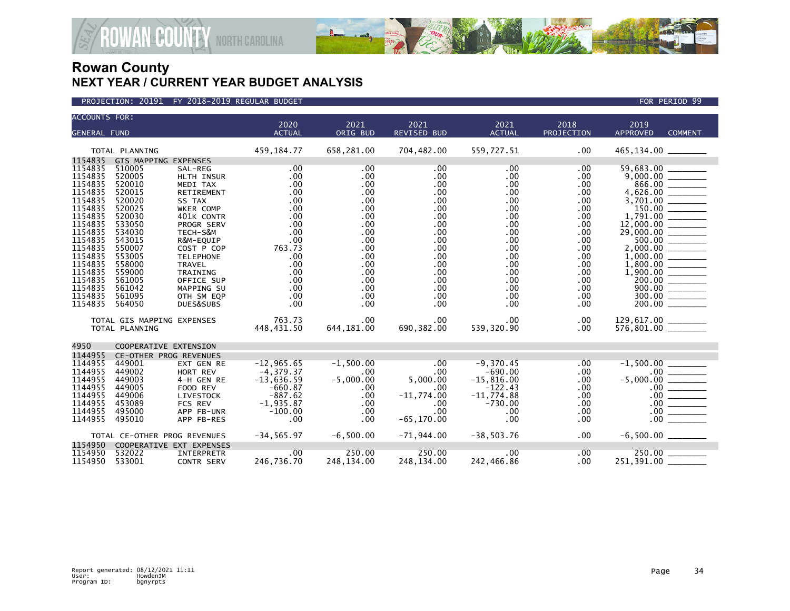



| <b>ACCOUNTS FOR:</b> |                              |                       |                        |                  |                            |                           |                    |                                                                                                                                                                                                                                                                                                                                                                                                                                                         |  |
|----------------------|------------------------------|-----------------------|------------------------|------------------|----------------------------|---------------------------|--------------------|---------------------------------------------------------------------------------------------------------------------------------------------------------------------------------------------------------------------------------------------------------------------------------------------------------------------------------------------------------------------------------------------------------------------------------------------------------|--|
| <b>GENERAL FUND</b>  |                              |                       | 2020<br><b>ACTUAL</b>  | 2021<br>ORIG BUD | 2021<br><b>REVISED BUD</b> | 2021<br><b>ACTUAL</b>     | 2018<br>PROJECTION | 2019<br><b>APPROVED</b><br><b>COMMENT</b>                                                                                                                                                                                                                                                                                                                                                                                                               |  |
|                      |                              |                       |                        |                  |                            |                           |                    |                                                                                                                                                                                                                                                                                                                                                                                                                                                         |  |
|                      | TOTAL PLANNING               |                       | 459,184.77             | 658,281.00       | 704,482.00                 | 559,727.51                | .00                |                                                                                                                                                                                                                                                                                                                                                                                                                                                         |  |
| 1154835              | GIS MAPPING EXPENSES         |                       |                        |                  |                            |                           |                    |                                                                                                                                                                                                                                                                                                                                                                                                                                                         |  |
| 1154835              | 510005                       | SAL-REG               | .00                    | .00              | $.00 \,$                   | $.00 \,$                  | .00                | 59,683.00                                                                                                                                                                                                                                                                                                                                                                                                                                               |  |
| 1154835              | 520005                       | HLTH INSUR            | .00                    | $.00 \,$         | $.00 \,$                   | $.00 \,$                  | .00                |                                                                                                                                                                                                                                                                                                                                                                                                                                                         |  |
| 1154835<br>1154835   | 520010<br>520015             | MEDI TAX              | .00<br>.00             | .00<br>.00       | $.00 \,$<br>$.00 \,$       | .00<br>$.00 \,$           | .00<br>.00         | 866.00<br>4,626.00                                                                                                                                                                                                                                                                                                                                                                                                                                      |  |
| 1154835              | 520020                       | RETIREMENT<br>SS TAX  | .00                    | .00              | $.00 \,$                   | $.00 \,$                  | .00                |                                                                                                                                                                                                                                                                                                                                                                                                                                                         |  |
| 1154835              | 520025                       | WKER COMP             | .00                    | .00              | .00                        | .00                       | .00                | 150.00                                                                                                                                                                                                                                                                                                                                                                                                                                                  |  |
| 1154835              | 520030                       | 401K CONTR            | .00                    | .00              | $.00 \,$                   | $.00 \,$                  | .00.               | 1.791.00                                                                                                                                                                                                                                                                                                                                                                                                                                                |  |
| 1154835              | 533050                       | PROGR SERV            | .00                    | .00              | $.00 \,$                   | .00                       | .00                |                                                                                                                                                                                                                                                                                                                                                                                                                                                         |  |
| 1154835              | 534030                       | TECH-S&M              | .00                    | .00              | .00                        | .00                       | .00                | 29,000.00                                                                                                                                                                                                                                                                                                                                                                                                                                               |  |
| 1154835              | 543015                       | R&M-EQUIP             | .00                    | .00              | $.00 \,$                   | .00                       | .00.               |                                                                                                                                                                                                                                                                                                                                                                                                                                                         |  |
| 1154835              | 550007                       | COST P COP            | 763.73                 | .00              | $.00 \,$                   | .00                       | .00                |                                                                                                                                                                                                                                                                                                                                                                                                                                                         |  |
| 1154835              | 553005                       | <b>TELEPHONE</b>      | .00                    | .00              | $.00 \,$                   | $.00 \times$              | .00.               | 1,000.00                                                                                                                                                                                                                                                                                                                                                                                                                                                |  |
| 1154835              | 558000                       | <b>TRAVEL</b>         | .00                    | .00              | $.00 \times$               | $.00 \,$                  | .00.               | 1,800.00                                                                                                                                                                                                                                                                                                                                                                                                                                                |  |
| 1154835              | 559000                       | <b>TRAINING</b>       | .00                    | .00              | $.00 \times$               | .00                       | .00                |                                                                                                                                                                                                                                                                                                                                                                                                                                                         |  |
| 1154835              | 561005                       | OFFICE SUP            | .00                    | .00              | $.00 \times$               | $.00 \,$                  | .00                | 200.00                                                                                                                                                                                                                                                                                                                                                                                                                                                  |  |
| 1154835              | 561042                       | MAPPING SU            | .00                    | .00              | $.00 \,$                   | $.00 \,$                  | .00.               |                                                                                                                                                                                                                                                                                                                                                                                                                                                         |  |
| 1154835              | 561095                       | OTH SM EQP            | .00                    | .00              | $.00 \,$                   | $.00 \,$                  | .00                | 300.00                                                                                                                                                                                                                                                                                                                                                                                                                                                  |  |
| 1154835              | 564050                       | DUES&SUBS             | .00                    | .00              | $.00 \,$                   | $.00 \times$              | .00                |                                                                                                                                                                                                                                                                                                                                                                                                                                                         |  |
|                      | TOTAL GIS MAPPING EXPENSES   |                       | 763.73                 | .00              | $.00 \,$                   | .00                       | .00                | 129,617.00 _______                                                                                                                                                                                                                                                                                                                                                                                                                                      |  |
|                      | TOTAL PLANNING               |                       | 448,431.50             | 644,181.00       | 690, 382.00                | 539,320.90                | .00                | 576,801.00 _______                                                                                                                                                                                                                                                                                                                                                                                                                                      |  |
|                      |                              |                       |                        |                  |                            |                           |                    |                                                                                                                                                                                                                                                                                                                                                                                                                                                         |  |
| 4950                 | COOPERATIVE EXTENSION        |                       |                        |                  |                            |                           |                    |                                                                                                                                                                                                                                                                                                                                                                                                                                                         |  |
| 1144955              | CE-OTHER PROG REVENUES       |                       |                        |                  |                            |                           |                    |                                                                                                                                                                                                                                                                                                                                                                                                                                                         |  |
| 1144955              | 449001                       | EXT GEN RE            | $-12, 965.65$          | $-1,500.00$      | $.00 \,$                   | $-9,370.45$               | .00.               | $-1,500.00$                                                                                                                                                                                                                                                                                                                                                                                                                                             |  |
| 1144955              | 449002                       | HORT REV              | $-4, 379.37$           | .00              | $.00 \ \,$                 | $-690.00$                 | .00.               | $.00 \,$                                                                                                                                                                                                                                                                                                                                                                                                                                                |  |
| 1144955<br>1144955   | 449003                       | 4-H GEN RE            | $-13,636.59$           | $-5,000.00$      | 5,000.00                   | $-15,816.00$              | .00                | $-5,000.00$                                                                                                                                                                                                                                                                                                                                                                                                                                             |  |
| 1144955              | 449005<br>449006             | FOOD REV<br>LIVESTOCK | $-660.87$<br>$-887.62$ | .00<br>.00       | $.00 \,$<br>$-11,774.00$   | $-122.43$<br>$-11,774.88$ | .00<br>.00         | $.00$ $\qquad \qquad$<br>$.00 \,$                                                                                                                                                                                                                                                                                                                                                                                                                       |  |
| 1144955              | 453089                       | <b>FCS REV</b>        | $-1,935.87$            | .00              | $.00 \,$                   | $-730.00$                 | .00.               | .00 <sub>1</sub><br>$\begin{tabular}{lcccccc} \multicolumn{2}{c }{\textbf{1} & \textbf{1} & \textbf{1} & \textbf{1} & \textbf{1} & \textbf{1} & \textbf{1} & \textbf{1} & \textbf{1} & \textbf{1} & \textbf{1} & \textbf{1} & \textbf{1} & \textbf{1} & \textbf{1} & \textbf{1} & \textbf{1} & \textbf{1} & \textbf{1} & \textbf{1} & \textbf{1} & \textbf{1} & \textbf{1} & \textbf{1} & \textbf{1} & \textbf{1} & \textbf{1} & \textbf{1} & \textbf{$ |  |
| 1144955              | 495000                       | APP FB-UNR            | $-100.00$              | .00              | .00 <sub>1</sub>           | .00                       | .00                | $.00 \,$                                                                                                                                                                                                                                                                                                                                                                                                                                                |  |
| 1144955              | 495010                       | APP FB-RES            | .00                    | .00              | $-65, 170.00$              | .00                       | .00                | .00 <sub>1</sub>                                                                                                                                                                                                                                                                                                                                                                                                                                        |  |
|                      |                              |                       |                        |                  |                            |                           |                    |                                                                                                                                                                                                                                                                                                                                                                                                                                                         |  |
|                      | TOTAL CE-OTHER PROG REVENUES |                       | $-34, 565.97$          | $-6,500.00$      | $-71,944.00$               | $-38,503.76$              | .00.               |                                                                                                                                                                                                                                                                                                                                                                                                                                                         |  |
| 1154950              | COOPERATIVE EXT EXPENSES     |                       |                        |                  |                            |                           |                    |                                                                                                                                                                                                                                                                                                                                                                                                                                                         |  |
| 1154950              | 532022                       | INTERPRETR            | .00                    | 250.00           | 250.00                     | $.00 \,$                  | .00                | 250.00                                                                                                                                                                                                                                                                                                                                                                                                                                                  |  |
| 1154950              | 533001                       | <b>CONTR SERV</b>     | 246,736.70             | 248,134.00       | 248,134.00                 | 242,466.86                | $.00 \,$           | 251,391.00                                                                                                                                                                                                                                                                                                                                                                                                                                              |  |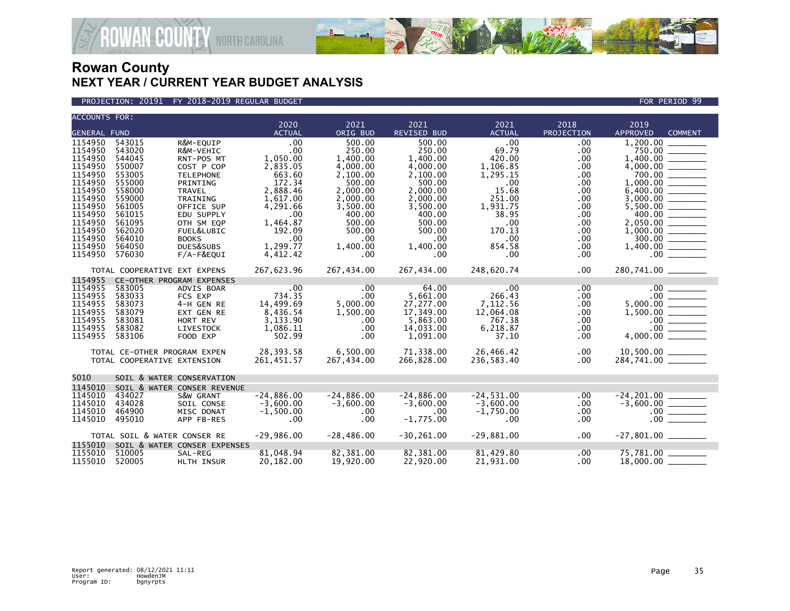

PROJECTION: 20191 FY 2018-2019 REGULAR BUDGET FOR PERIOD 99

| <b>ACCOUNTS FOR:</b> |                              |                              |               |              |               |               |            |                                              |  |  |
|----------------------|------------------------------|------------------------------|---------------|--------------|---------------|---------------|------------|----------------------------------------------|--|--|
|                      |                              |                              | 2020          | 2021         | 2021          | 2021          | 2018       | 2019                                         |  |  |
| <b>GENERAL FUND</b>  |                              |                              | <b>ACTUAL</b> | ORIG BUD     | REVISED BUD   | <b>ACTUAL</b> | PROJECTION | <b>APPROVED</b><br><b>COMMENT</b>            |  |  |
| 1154950              | 543015                       | R&M-EQUIP                    | .00           | 500.00       | 500.00        | .00           | .00.       |                                              |  |  |
| 1154950              | 543020                       | R&M-VEHIC                    | .00           | 250.00       | 250.00        | 69.79         | .00        | 750.00                                       |  |  |
| 1154950              | 544045                       | RNT-POS MT                   | 1,050.00      | 1,400.00     | 1,400.00      | 420.00        | .00        |                                              |  |  |
| 1154950              | 550007                       | COST P COP                   | 2,835.05      | 4,000.00     | 4,000.00      | 1,106.85      | .00        |                                              |  |  |
| 1154950              | 553005                       | <b>TELEPHONE</b>             | 663.60        | 2,100.00     | 2,100.00      | 1,295.15      | .00        | 700.00                                       |  |  |
| 1154950              | 555000                       | PRINTING                     | 172.34        | 500.00       | 500.00        | .00           | .00.       |                                              |  |  |
| 1154950              | 558000                       | <b>TRAVEL</b>                | 2,888.46      | 2,000.00     | 2,000.00      | 15.68         | .00.       |                                              |  |  |
| 1154950              | 559000                       | TRAINING                     | 1,617.00      | 2,000.00     | 2,000.00      | 251.00        | .00        |                                              |  |  |
| 1154950              | 561005                       | OFFICE SUP                   | 4,291.66      | 3,500.00     | 3,500.00      | 1,931.75      | .00        |                                              |  |  |
| 1154950              | 561015                       | EDU SUPPLY                   | .00           | 400.00       | 400.00        | 38.95         | .00        | 400.00 ________                              |  |  |
| 1154950              | 561095                       | OTH SM EQP                   | 1,464.87      | 500.00       | 500.00        | .00           | .00        | 2,050.00                                     |  |  |
| 1154950              | 562020                       | FUEL&LUBIC                   | 192.09        | 500.00       | 500.00        | 170.13        | .00.       |                                              |  |  |
| 1154950              | 564010                       | <b>BOOKS</b>                 | .00           | .00          | $.00 \,$      | .00           | .00.       | 300.00                                       |  |  |
| 1154950              | 564050                       | DUES&SUBS                    | 1,299.77      | 1,400.00     | 1,400.00      | 854.58        | .00.       |                                              |  |  |
| 1154950              | 576030                       | F/A-F&EQUI                   | 4,412.42      | .00          | .00.          | .00           | .00.       | 00                                           |  |  |
|                      | TOTAL COOPERATIVE EXT EXPENS |                              | 267,623.96    | 267,434.00   | 267,434.00    | 248,620.74    | .00        |                                              |  |  |
| 1154955              |                              | CE-OTHER PROGRAM EXPENSES    |               |              |               |               |            |                                              |  |  |
| 1154955              | 583005                       | ADVIS BOAR                   | .00           | .00          | 64.00         | .00.          | .00        | .00                                          |  |  |
| 1154955              | 583033                       | FCS EXP                      | 734.35        | .00          | 5,661.00      | 266.43        | .00.       | 00                                           |  |  |
| 1154955              | 583073                       | 4-H GEN RE                   | 14,499.69     | 5,000.00     | 27,277.00     | 7,112.56      | .00        |                                              |  |  |
| 1154955              | 583079                       | EXT GEN RE                   | 8,436.54      | 1,500.00     | 17,349.00     | 12,064.08     | .00.       |                                              |  |  |
| 1154955              | 583081                       | HORT REV                     | 3,133.90      | .00          | 5,863.00      | 767.38        | .00.       |                                              |  |  |
| 1154955              | 583082                       | LIVESTOCK                    | 1,086.11      | .00          | 14,033.00     | 6,218.87      | .00.       | $\frac{1}{00}$<br>$\frac{1}{00}$<br>4,000.00 |  |  |
| 1154955              | 583106                       | FOOD EXP                     | 502.99        | .00          | 1,091.00      | 37.10         | $.00 \,$   |                                              |  |  |
|                      | TOTAL CE-OTHER PROGRAM EXPEN |                              | 28,393.58     | 6,500.00     | 71,338.00     | 26,466.42     | .00        |                                              |  |  |
|                      | TOTAL COOPERATIVE EXTENSION  |                              | 261,451.57    | 267,434.00   | 266,828.00    | 236,583.40    | $.00 \,$   |                                              |  |  |
|                      |                              |                              |               |              |               |               |            |                                              |  |  |
| 5010                 |                              | SOIL & WATER CONSERVATION    |               |              |               |               |            |                                              |  |  |
| 1145010              |                              | SOIL & WATER CONSER REVENUE  |               |              |               |               |            |                                              |  |  |
| 1145010              | 434027                       | S&W GRANT                    | $-24.886.00$  | $-24.886.00$ | $-24.886.00$  | $-24.531.00$  | .00        | $-24, 201.00$                                |  |  |
| 1145010              | 434028                       | SOIL CONSE                   | $-3,600.00$   | $-3,600.00$  | $-3,600.00$   | $-3,600.00$   | .00.       |                                              |  |  |
| 1145010              | 464900                       | MISC DONAT                   | $-1,500.00$   | $.00 \,$     | $.00 \,$      | $-1,750.00$   | .00.       |                                              |  |  |
| 1145010              | 495010                       | APP FB-RES                   | .00           | .00          | $-1.775.00$   | $.00 \times$  | .00.       |                                              |  |  |
|                      | TOTAL SOIL & WATER CONSER RE |                              | $-29,986.00$  | $-28,486.00$ | $-30, 261.00$ | $-29,881.00$  | .00.       | $-27,801.00$ ________                        |  |  |
| 1155010              |                              | SOIL & WATER CONSER EXPENSES |               |              |               |               |            |                                              |  |  |
| 1155010              | 510005                       | SAL-REG                      | 81,048.94     | 82,381.00    | 82,381.00     | 81,429.80     | .00        | 75,781.00                                    |  |  |
| 1155010              | 520005                       | HLTH INSUR                   | 20,182.00     | 19,920.00    | 22,920.00     | 21,931.00     | $.00 \,$   | $18,000.00$ ________                         |  |  |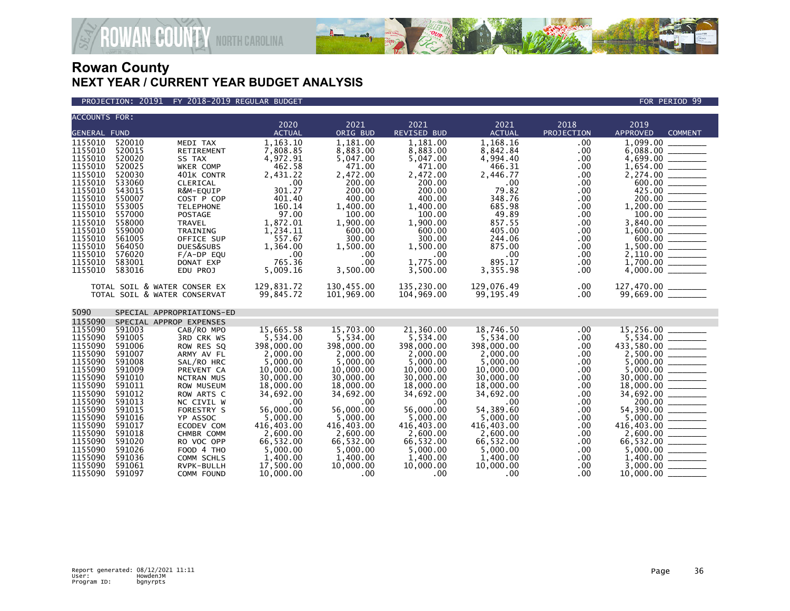

**COUNTY** NORTH CAROLINA

| <b>ACCOUNTS FOR:</b> |                  |                              | 2020               |                  |                     |                       |                    |                                                                                                                                                                                                                                                                                                                                                                                                                                                                                                     |  |
|----------------------|------------------|------------------------------|--------------------|------------------|---------------------|-----------------------|--------------------|-----------------------------------------------------------------------------------------------------------------------------------------------------------------------------------------------------------------------------------------------------------------------------------------------------------------------------------------------------------------------------------------------------------------------------------------------------------------------------------------------------|--|
| <b>GENERAL FUND</b>  |                  |                              | <b>ACTUAL</b>      | 2021<br>ORIG BUD | 2021<br>REVISED BUD | 2021<br><b>ACTUAL</b> | 2018<br>PROJECTION | 2019<br><b>APPROVED</b><br><b>COMMENT</b>                                                                                                                                                                                                                                                                                                                                                                                                                                                           |  |
| 1155010              | 520010           | MEDI TAX                     | 1,163.10           | 1,181.00         | 1.181.00            | 1,168.16              | .00                | 1.099.00                                                                                                                                                                                                                                                                                                                                                                                                                                                                                            |  |
| 1155010              | 520015           | RETIREMENT                   | 7,808.85           | 8,883.00         | 8,883.00            | 8,842.84              | .00                |                                                                                                                                                                                                                                                                                                                                                                                                                                                                                                     |  |
| 1155010              | 520020           | SS TAX                       | 4,972.91           | 5,047.00         | 5,047.00            | 4,994.40              | .00                |                                                                                                                                                                                                                                                                                                                                                                                                                                                                                                     |  |
| 1155010              | 520025           | WKER COMP                    | 462.58             | 471.00           | 471.00              | 466.31                | .00                |                                                                                                                                                                                                                                                                                                                                                                                                                                                                                                     |  |
| 1155010              | 520030           | 401K CONTR                   | 2,431.22           | 2,472.00         | 2,472.00            | 2,446.77              | .00                |                                                                                                                                                                                                                                                                                                                                                                                                                                                                                                     |  |
| 1155010              | 533060           | CLERICAL                     | .00                | 200.00           | 200.00              | .00                   | .00                | $\begin{array}{c}\n 600.00 \\  +25.00\n \end{array}$                                                                                                                                                                                                                                                                                                                                                                                                                                                |  |
| 1155010              | 543015           | R&M-EQUIP                    | 301.27             | 200.00           | 200.00              | 79.82                 | .00                |                                                                                                                                                                                                                                                                                                                                                                                                                                                                                                     |  |
| 1155010              | 550007           | COST P COP                   | 401.40             | 400.00           | 400.00              | 348.76                | .00                | 200.00                                                                                                                                                                                                                                                                                                                                                                                                                                                                                              |  |
| 1155010              | 553005           | <b>TELEPHONE</b>             | 160.14             | 1,400.00         | 1,400.00            | 685.98                | .00.               |                                                                                                                                                                                                                                                                                                                                                                                                                                                                                                     |  |
| 1155010              | 557000           | POSTAGE                      | 97.00              | 100.00           | 100.00              | 49.89                 | .00                |                                                                                                                                                                                                                                                                                                                                                                                                                                                                                                     |  |
| 1155010              | 558000           | <b>TRAVEL</b>                | 1,872.01           | 1,900.00         | 1.900.00            | 857.55                | .00                | 3,840.00 _______                                                                                                                                                                                                                                                                                                                                                                                                                                                                                    |  |
| 1155010<br>1155010   | 559000<br>561005 | TRAINING<br>OFFICE SUP       | 1,234.11<br>557.67 | 600.00<br>300.00 | 600.00<br>300.00    | 405.00<br>244.06      | .00<br>.00         | $600.00$                                                                                                                                                                                                                                                                                                                                                                                                                                                                                            |  |
| 1155010              | 564050           | DUES&SUBS                    | 1,364.00           | 1,500.00         | 1,500.00            | 875.00                | .00                |                                                                                                                                                                                                                                                                                                                                                                                                                                                                                                     |  |
| 1155010              | 576020           | $F/A-DP$ EQU                 | .00                | .00              | $.00 \,$            | .00                   | .00                |                                                                                                                                                                                                                                                                                                                                                                                                                                                                                                     |  |
| 1155010              | 583001           | DONAT EXP                    | 765.36             | .00              | 1,775.00            | 895.17                | .00.               | $2,110.00$ $\overline{\hspace{1.5cm}1,700.00}$ $\overline{\hspace{1.5cm}}$                                                                                                                                                                                                                                                                                                                                                                                                                          |  |
| 1155010              | 583016           | EDU PROJ                     | 5,009.16           | 3,500.00         | 3,500.00            | 3,355.98              | .00.               |                                                                                                                                                                                                                                                                                                                                                                                                                                                                                                     |  |
|                      |                  |                              |                    |                  |                     |                       |                    |                                                                                                                                                                                                                                                                                                                                                                                                                                                                                                     |  |
|                      |                  | TOTAL SOIL & WATER CONSER EX | 129,831.72         | 130,455.00       | 135,230.00          | 129,076.49            | .00                |                                                                                                                                                                                                                                                                                                                                                                                                                                                                                                     |  |
|                      |                  | TOTAL SOIL & WATER CONSERVAT | 99,845.72          | 101,969.00       | 104,969.00          | 99,195.49             | .00                |                                                                                                                                                                                                                                                                                                                                                                                                                                                                                                     |  |
| 5090                 |                  | SPECIAL APPROPRIATIONS-ED    |                    |                  |                     |                       |                    |                                                                                                                                                                                                                                                                                                                                                                                                                                                                                                     |  |
| 1155090              |                  | SPECIAL APPROP EXPENSES      |                    |                  |                     |                       |                    |                                                                                                                                                                                                                                                                                                                                                                                                                                                                                                     |  |
| 1155090              | 591003           | CAB/RO MPO                   | 15,665.58          | 15,703.00        | 21,360.00           | 18,746.50             | .00.               |                                                                                                                                                                                                                                                                                                                                                                                                                                                                                                     |  |
| 1155090              | 591005           | 3RD CRK WS                   | 5,534.00           | 5,534.00         | 5,534.00            | 5,534.00              | .00                |                                                                                                                                                                                                                                                                                                                                                                                                                                                                                                     |  |
| 1155090              | 591006           | ROW RES SQ                   | 398,000.00         | 398,000.00       | 398,000.00          | 398,000.00            | .00.               |                                                                                                                                                                                                                                                                                                                                                                                                                                                                                                     |  |
| 1155090              | 591007           | ARMY AV FL                   | 2.000.00           | 2,000.00         | 2.000.00            | 2.000.00              | .00                |                                                                                                                                                                                                                                                                                                                                                                                                                                                                                                     |  |
| 1155090              | 591008           | SAL/RO HRC                   | 5,000.00           | 5,000.00         | 5,000.00            | 5,000.00              | .00                |                                                                                                                                                                                                                                                                                                                                                                                                                                                                                                     |  |
| 1155090              | 591009           | PREVENT CA                   | 10,000.00          | 10,000.00        | 10,000.00           | 10,000.00             | .00.               |                                                                                                                                                                                                                                                                                                                                                                                                                                                                                                     |  |
| 1155090              | 591010           | NCTRAN MUS                   | 30,000.00          | 30,000.00        | 30,000.00           | 30,000.00             | .00                | 30,000,00<br>$\begin{array}{cccccccccc} \multicolumn{2}{c}{} & \multicolumn{2}{c}{} & \multicolumn{2}{c}{} & \multicolumn{2}{c}{} & \multicolumn{2}{c}{} & \multicolumn{2}{c}{} & \multicolumn{2}{c}{} & \multicolumn{2}{c}{} & \multicolumn{2}{c}{} & \multicolumn{2}{c}{} & \multicolumn{2}{c}{} & \multicolumn{2}{c}{} & \multicolumn{2}{c}{} & \multicolumn{2}{c}{} & \multicolumn{2}{c}{} & \multicolumn{2}{c}{} & \multicolumn{2}{c}{} & \multicolumn{2}{c}{} & \multicolumn{2}{c}{} & \mult$ |  |
| 1155090              | 591011           | ROW MUSEUM                   | 18,000.00          | 18,000.00        | 18,000.00           | 18,000.00             | .00                | $18,000.00$<br>34,692.00                                                                                                                                                                                                                                                                                                                                                                                                                                                                            |  |
| 1155090              | 591012           | ROW ARTS C                   | 34,692.00          | 34,692.00        | 34,692.00           | 34,692.00             | .00                |                                                                                                                                                                                                                                                                                                                                                                                                                                                                                                     |  |
| 1155090<br>1155090   | 591013<br>591015 | NC CIVIL W<br>FORESTRY S     | .00<br>56,000.00   | .00<br>56,000.00 | .00<br>56,000.00    | .00<br>54,389.60      | .00<br>.00.        | 200.00<br>54,390.00                                                                                                                                                                                                                                                                                                                                                                                                                                                                                 |  |
| 1155090              | 591016           | YP ASSOC                     | 5,000.00           | 5,000.00         | 5,000.00            | 5,000.00              | .00                | $\begin{tabular}{ll} \multicolumn{3}{c} {\textbf{1}} & \multicolumn{3}{c} {\textbf{1}} & \multicolumn{3}{c} {\textbf{1}} \\ \multicolumn{3}{c} {\textbf{1}} & \multicolumn{3}{c} {\textbf{1}} & \multicolumn{3}{c} {\textbf{1}} \\ \multicolumn{3}{c} {\textbf{1}} & \multicolumn{3}{c} {\textbf{1}} & \multicolumn{3}{c} {\textbf{1}} \\ \multicolumn{3}{c} {\textbf{1}} & \multicolumn{3}{c} {\textbf{1}} & \multicolumn{3}{c} {\textbf{1}} \\ \multicolumn{3}{c} {\textbf{1}} & \multicolumn$    |  |
| 1155090              | 591017           | ECODEV COM                   | 416.403.00         | 416,403.00       | 416.403.00          | 416.403.00            | .00                | 416,403,00                                                                                                                                                                                                                                                                                                                                                                                                                                                                                          |  |
| 1155090              | 591018           | CHMBR COMM                   | 2,600.00           | 2,600.00         | 2.600.00            | 2.600.00              | .00                |                                                                                                                                                                                                                                                                                                                                                                                                                                                                                                     |  |
| 1155090              | 591020           | RO VOC OPP                   | 66,532.00          | 66,532.00        | 66,532.00           | 66,532.00             | .00                | 66,532.00 ________                                                                                                                                                                                                                                                                                                                                                                                                                                                                                  |  |
| 1155090              | 591026           | FOOD 4 THO                   | 5,000.00           | 5,000.00         | 5,000.00            | 5,000.00              | .00                |                                                                                                                                                                                                                                                                                                                                                                                                                                                                                                     |  |
| 1155090              | 591036           | COMM SCHLS                   | 1,400.00           | 1,400.00         | 1,400.00            | 1,400.00              | .00                | 1,400.00<br>$\begin{array}{cccccccccc} \multicolumn{2}{c}{} & \multicolumn{2}{c}{} & \multicolumn{2}{c}{} & \multicolumn{2}{c}{} & \multicolumn{2}{c}{} & \multicolumn{2}{c}{} & \multicolumn{2}{c}{} & \multicolumn{2}{c}{} & \multicolumn{2}{c}{} & \multicolumn{2}{c}{} & \multicolumn{2}{c}{} & \multicolumn{2}{c}{} & \multicolumn{2}{c}{} & \multicolumn{2}{c}{} & \multicolumn{2}{c}{} & \multicolumn{2}{c}{} & \multicolumn{2}{c}{} & \multicolumn{2}{c}{} & \multicolumn{2}{c}{} & \mult$  |  |
| 1155090              | 591061           | RVPK-BULLH                   | 17,500.00          | 10,000.00        | 10,000.00           | 10,000.00             | .00                | 3,000.00                                                                                                                                                                                                                                                                                                                                                                                                                                                                                            |  |
| 1155090              | 591097           | COMM FOUND                   | 10,000,00          | $.00 \,$         | $.00 \ \,$          | $.00 \,$              | .00                | 10,000.00                                                                                                                                                                                                                                                                                                                                                                                                                                                                                           |  |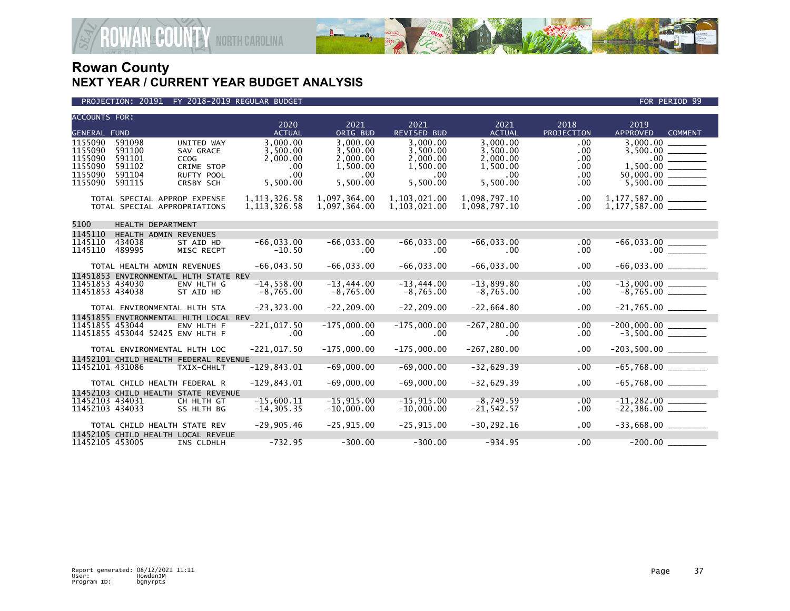

#### PROJECTION: 20191 FY 2018-2019 REGULAR BUDGET FOR PERIOD 99

| <b>ACCOUNTS FOR:</b>               |                                                              |                                                                  | 2020                             | 2021                             | 2021                             | 2021                             | 2018               | 2019                                             |  |
|------------------------------------|--------------------------------------------------------------|------------------------------------------------------------------|----------------------------------|----------------------------------|----------------------------------|----------------------------------|--------------------|--------------------------------------------------|--|
| <b>GENERAL FUND</b>                |                                                              |                                                                  | <b>ACTUAL</b>                    | ORIG BUD                         | <b>REVISED BUD</b>               | <b>ACTUAL</b>                    | PROJECTION         | <b>APPROVED</b><br><b>COMMENT</b>                |  |
| 1155090<br>1155090<br>1155090      | 591098<br>591100<br>591101                                   | UNITED WAY<br>SAV GRACE<br><b>CCOG</b>                           | 3.000.00<br>3,500.00<br>2,000.00 | 3.000.00<br>3.500.00<br>2,000.00 | 3.000.00<br>3.500.00<br>2,000.00 | 3.000.00<br>3.500.00<br>2,000.00 | .00<br>.00.<br>.00 | 3.000.00<br>3,500.00<br>$.00$ $\qquad$           |  |
| 1155090<br>1155090                 | 591102<br>591104                                             | <b>CRIME STOP</b><br>RUFTY POOL                                  | .00<br>.00                       | 1,500.00<br>.00                  | 1,500.00<br>.00                  | 1,500.00<br>$.00 \,$             | .00<br>.00.        | 1,500.00                                         |  |
| 1155090                            | 591115                                                       | CRSBY SCH                                                        | 5,500.00                         | 5,500.00                         | 5,500.00                         | 5,500.00                         | .00.               |                                                  |  |
|                                    | TOTAL SPECIAL APPROP EXPENSE<br>TOTAL SPECIAL APPROPRIATIONS |                                                                  | 1, 113, 326.58<br>1, 113, 326.58 | 1,097,364.00<br>1,097,364.00     | 1,103,021.00<br>1,103,021.00     | 1,098,797.10<br>1,098,797.10     | .00.<br>.00        | 1,177,587.00 _______<br>$1,177,587.00$ _________ |  |
| 5100                               | HEALTH DEPARTMENT                                            |                                                                  |                                  |                                  |                                  |                                  |                    |                                                  |  |
| 1145110<br>1145110                 | HEALTH ADMIN REVENUES<br>434038                              | ST AID HD                                                        | $-66,033.00$                     | $-66,033.00$                     | $-66,033.00$                     | $-66,033.00$                     | $.00 \,$           |                                                  |  |
| 1145110                            | 489995                                                       | MISC RECPT                                                       | $-10.50$                         | $.00 \,$                         | $.00 \,$                         | $.00 \,$                         | .00.               |                                                  |  |
|                                    | TOTAL HEALTH ADMIN REVENUES                                  |                                                                  | $-66,043.50$                     | $-66,033.00$                     | $-66,033.00$                     | $-66,033.00$                     | $.00 \,$           |                                                  |  |
| 11451853 434030<br>11451853 434038 |                                                              | 11451853 ENVIRONMENTAL HLTH STATE REV<br>ENV HLTH G<br>ST AID HD | $-14,558.00$<br>$-8,765.00$      | $-13,444.00$<br>$-8,765.00$      | $-13,444.00$<br>$-8,765.00$      | $-13,899.80$<br>$-8,765.00$      | .00<br>.00.        | $-13,000.00$<br>$-8,765.00$                      |  |
|                                    | TOTAL ENVIRONMENTAL HLTH STA                                 |                                                                  | $-23, 323.00$                    | $-22, 209.00$                    | $-22, 209.00$                    | $-22,664.80$                     | .00                |                                                  |  |
|                                    |                                                              | 11451855 ENVIRONMENTAL HLTH LOCAL REV                            |                                  |                                  |                                  |                                  |                    |                                                  |  |
| 11451855 453044                    | 11451855 453044 52425 ENV HLTH F                             | ENV HLTH F                                                       | $-221,017.50$<br>.00             | $-175,000.00$<br>.00             | $-175,000.00$<br>$.00 \times$    | $-267, 280.00$<br>$.00 \,$       | .00<br>$.00 \,$    |                                                  |  |
|                                    | TOTAL ENVIRONMENTAL HLTH LOC                                 |                                                                  | $-221,017.50$                    | $-175,000.00$                    | $-175,000.00$                    | $-267, 280.00$                   | .00                |                                                  |  |
| 11452101 431086                    |                                                              | 11452101 CHILD HEALTH FEDERAL REVENUE<br>TXIX-CHHLT              | $-129,843.01$                    | $-69,000.00$                     | $-69,000.00$                     | $-32,629.39$                     | .00                | $-65,768.00$                                     |  |
|                                    | TOTAL CHILD HEALTH FEDERAL R                                 |                                                                  | $-129,843.01$                    | $-69,000.00$                     | $-69,000.00$                     | $-32,629.39$                     | .00                |                                                  |  |
| 11452103 434031<br>11452103 434033 |                                                              | 11452103 CHILD HEALTH STATE REVENUE<br>CH HLTH GT<br>SS HLTH BG  | $-15,600.11$<br>$-14, 305.35$    | $-15.915.00$<br>$-10,000.00$     | $-15.915.00$<br>$-10,000.00$     | $-8.749.59$<br>$-21,542.57$      | .00<br>.00.        | $-22,386.00$ ________                            |  |
|                                    | TOTAL CHILD HEALTH STATE REV                                 |                                                                  | $-29,905.46$                     | $-25, 915.00$                    | $-25,915.00$                     | $-30, 292.16$                    | .00                | $-33,668.00$ ________                            |  |
| 11452105 453005                    | 11452105 CHILD HEALTH LOCAL REVEUE                           | INS CLDHLH                                                       | $-732.95$                        | $-300.00$                        | $-300.00$                        | $-934.95$                        | .00                |                                                  |  |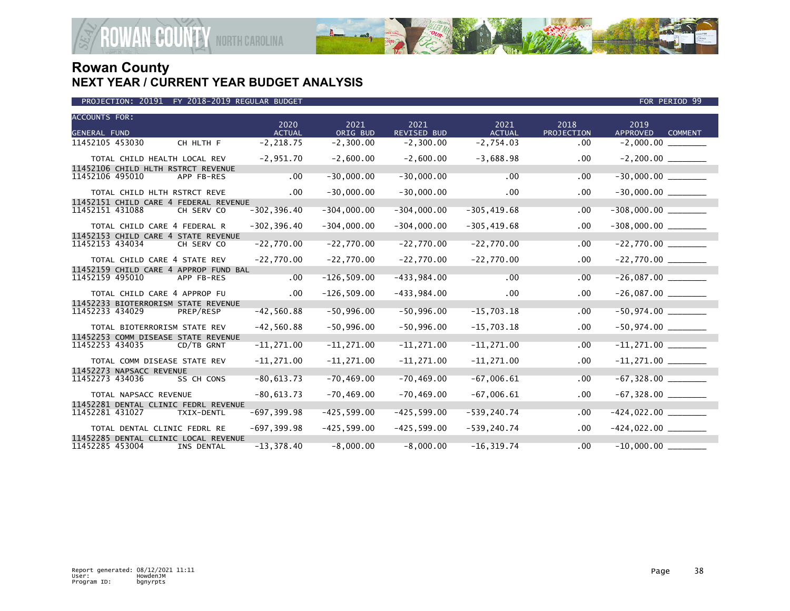

|                      |                              | PROJECTION: 20191 FY 2018-2019 REGULAR BUDGET       |                |                |                |                |            | FOR PERIOD 99                     |
|----------------------|------------------------------|-----------------------------------------------------|----------------|----------------|----------------|----------------|------------|-----------------------------------|
| <b>ACCOUNTS FOR:</b> |                              |                                                     | 2020           | 2021           | 2021           | 2021           | 2018       | 2019                              |
| <b>GENERAL FUND</b>  |                              |                                                     | <b>ACTUAL</b>  | ORIG BUD       | REVISED BUD    | <b>ACTUAL</b>  | PROJECTION | <b>APPROVED</b><br><b>COMMENT</b> |
| 11452105 453030      |                              | CH HLTH F                                           | $-2, 218.75$   | $-2,300.00$    | $-2,300.00$    | $-2,754.03$    | $.00 \,$   |                                   |
|                      | TOTAL CHILD HEALTH LOCAL REV |                                                     | $-2,951.70$    | $-2,600.00$    | $-2,600.00$    | $-3,688.98$    | $.00 \,$   |                                   |
| 11452106 495010      |                              | 11452106 CHILD HLTH RSTRCT REVENUE<br>APP FB-RES    | .00            | $-30,000.00$   | $-30,000.00$   | .00            | .00        |                                   |
|                      | TOTAL CHILD HLTH RSTRCT REVE |                                                     | .00            | $-30,000.00$   | $-30,000.00$   | .00            | .00        | $-30,000.00$ ________             |
| 11452151 431088      |                              | 11452151 CHILD CARE 4 FEDERAL REVENUE<br>CH SERV CO | $-302, 396.40$ | $-304,000.00$  | $-304,000.00$  | $-305, 419.68$ | $.00 \,$   |                                   |
|                      | TOTAL CHILD CARE 4 FEDERAL R |                                                     | $-302, 396.40$ | $-304,000.00$  | $-304,000.00$  | $-305, 419.68$ | $.00 \,$   | $-308,000.00$ ________            |
| 11452153 434034      |                              | 11452153 CHILD CARE 4 STATE REVENUE<br>CH SERV CO   | $-22,770.00$   | $-22,770.00$   | $-22,770.00$   | $-22,770.00$   | $.00 \,$   | $-22,770.00$                      |
|                      | TOTAL CHILD CARE 4 STATE REV |                                                     | $-22,770.00$   | $-22,770.00$   | $-22,770.00$   | $-22,770.00$   | $.00 \,$   | $-22,770.00$ ________             |
| 11452159 495010      |                              | 11452159 CHILD CARE 4 APPROP FUND BAL<br>APP FB-RES | .00            | $-126, 509.00$ | $-433,984.00$  | .00            | .00        | $-26,087.00$                      |
|                      | TOTAL CHILD CARE 4 APPROP FU |                                                     | .00            | $-126, 509.00$ | $-433,984.00$  | .00            | $.00 \,$   | $-26,087.00$ ________             |
| 11452233 434029      |                              | 11452233 BIOTERRORISM STATE REVENUE<br>PREP/RESP    | $-42,560.88$   | $-50,996.00$   | $-50,996.00$   | $-15,703.18$   | .00        |                                   |
|                      | TOTAL BIOTERRORISM STATE REV |                                                     | $-42,560.88$   | $-50,996.00$   | $-50,996.00$   | $-15,703.18$   | $.00 \,$   |                                   |
| 11452253 434035      |                              | 11452253 COMM DISEASE STATE REVENUE<br>CD/TB GRNT   | $-11, 271.00$  | $-11,271.00$   | $-11, 271.00$  | $-11,271.00$   | $.00 \,$   |                                   |
|                      | TOTAL COMM DISEASE STATE REV |                                                     | $-11, 271.00$  | $-11, 271.00$  | $-11, 271.00$  | $-11,271.00$   | $.00 \,$   | $-11,271.00$ _______              |
| 11452273 434036      | 11452273 NAPSACC REVENUE     | SS CH CONS                                          | $-80,613.73$   | $-70, 469.00$  | $-70, 469.00$  | $-67,006.61$   | .00        |                                   |
|                      | TOTAL NAPSACC REVENUE        |                                                     | $-80,613.73$   | $-70,469.00$   | $-70, 469.00$  | $-67,006.61$   | $.00 \,$   |                                   |
| 11452281 431027      |                              | 11452281 DENTAL CLINIC FEDRL REVENUE<br>TXIX-DENTL  | $-697, 399.98$ | $-425, 599.00$ | $-425, 599.00$ | $-539, 240.74$ | .00        |                                   |
|                      | TOTAL DENTAL CLINIC FEDRL RE |                                                     | $-697, 399.98$ | $-425, 599.00$ | $-425,599.00$  | $-539, 240.74$ | $.00 \,$   |                                   |
| 11452285 453004      |                              | 11452285 DENTAL CLINIC LOCAL REVENUE<br>INS DENTAL  | $-13, 378.40$  | $-8,000.00$    | $-8,000.00$    | $-16, 319.74$  | .00        | $-10,000.00$                      |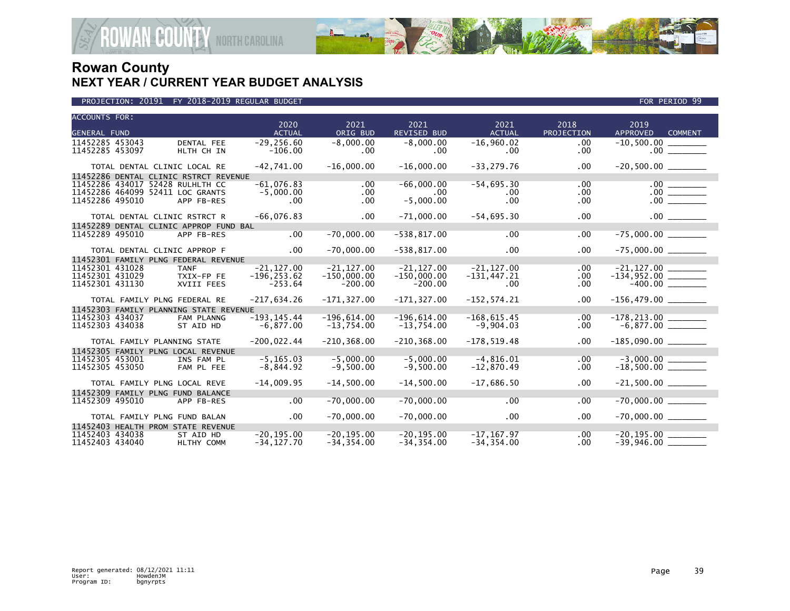

| <b>ACCOUNTS FOR:</b>                                |             | 2020                    | 2021                 | 2021                        | 2021           | 2018                 | 2019                                             |  |
|-----------------------------------------------------|-------------|-------------------------|----------------------|-----------------------------|----------------|----------------------|--------------------------------------------------|--|
| <b>GENERAL FUND</b>                                 |             | <b>ACTUAL</b>           | ORIG BUD             | <b>REVISED BUD</b>          | <b>ACTUAL</b>  | PROJECTION           | APPROVED<br><b>COMMENT</b>                       |  |
| 11452285 453043                                     | DENTAL FEE  | $-29, 256.60$           | $-8,000.00$          | $-8,000.00$                 | $-16,960.02$   | $.00 \,$             |                                                  |  |
| 11452285 453097                                     | HLTH CH IN  | $-106.00$               | $.00 \,$             | $.00 \,$                    | $.00 \,$       | .00                  |                                                  |  |
| TOTAL DENTAL CLINIC LOCAL RE                        |             | $-42,741.00$            | $-16,000.00$         | $-16,000.00$                | $-33, 279.76$  | $.00 \,$             |                                                  |  |
| 11452286 DENTAL CLINIC RSTRCT REVENUE               |             |                         |                      |                             |                |                      |                                                  |  |
| 11452286 434017 52428 RULHLTH CC                    |             | $-61.076.83$            | $.00 \ \,$           | $-66.000.00$                | $-54.695.30$   | $.00 \,$             |                                                  |  |
| 11452286 464099 52411 LOC GRANTS<br>11452286 495010 | APP FB-RES  | $-5,000.00$<br>$.00 \,$ | $.00 \,$<br>$.00 \,$ | $.00 \times$<br>$-5,000.00$ | .00.<br>.00    | $.00 \,$<br>$.00 \,$ |                                                  |  |
|                                                     |             |                         |                      |                             |                |                      |                                                  |  |
| TOTAL DENTAL CLINIC RSTRCT R                        |             | $-66,076.83$            | $.00 \,$             | $-71.000.00$                | $-54,695.30$   | .00                  |                                                  |  |
| 11452289 DENTAL CLINIC APPROP FUND BAL              |             |                         |                      |                             |                |                      |                                                  |  |
| 11452289 495010                                     | APP FB-RES  | .00                     | $-70,000.00$         | $-538, 817.00$              | $.00 \,$       | .00                  | $-75,000.00$ _________                           |  |
| TOTAL DENTAL CLINIC APPROP F                        |             | $.00 \,$                | $-70,000.00$         | $-538, 817.00$              | $.00 \times$   | $.00 \,$             |                                                  |  |
| 11452301 FAMILY PLNG FEDERAL REVENUE                |             |                         |                      |                             |                |                      |                                                  |  |
| 11452301 431028                                     | <b>TANF</b> | $-21, 127.00$           | $-21, 127.00$        | $-21, 127.00$               | $-21, 127.00$  | $.00 \,$             |                                                  |  |
| 11452301 431029                                     | TXIX-FP FE  | $-196, 253.62$          | $-150,000.00$        | $-150,000.00$               | $-131, 447.21$ | $.00 \,$             | $-134,952.00$ $\overline{\qquad \qquad -400.00}$ |  |
| 11452301 431130                                     | XVIII FEES  | $-253.64$               | $-200.00$            | $-200.00$                   | $.00 \,$       | .00                  |                                                  |  |
| TOTAL FAMILY PLNG FEDERAL RE                        |             | $-217,634.26$           | $-171, 327.00$       | $-171, 327.00$              | $-152, 574.21$ | $.00 \,$             | $-156,479.00$ ________                           |  |
| 11452303 FAMILY PLANNING STATE REVENUE              |             |                         |                      |                             |                |                      |                                                  |  |
| 11452303 434037                                     | FAM PLANNG  | $-193, 145.44$          | $-196,614.00$        | $-196,614.00$               | $-168,615.45$  | .00                  |                                                  |  |
| 11452303 434038                                     | ST AID HD   | $-6,877.00$             | $-13,754.00$         | $-13,754.00$                | $-9,904.03$    | .00                  |                                                  |  |
| TOTAL FAMILY PLANNING STATE                         |             | $-200,022.44$           | $-210, 368.00$       | $-210, 368.00$              | $-178, 519.48$ | $.00 \,$             |                                                  |  |
| 11452305 FAMILY PLNG LOCAL REVENUE                  |             |                         |                      |                             |                |                      |                                                  |  |
| 11452305 453001                                     | INS FAM PL  | $-5, 165.03$            | $-5,000.00$          | $-5,000.00$                 | $-4,816.01$    | .00                  | $-3,000.00$<br>$-18,500.00$                      |  |
| 11452305 453050                                     | FAM PL FEE  | $-8,844.92$             | $-9,500.00$          | $-9,500.00$                 | $-12,870.49$   | $.00 \,$             |                                                  |  |
| TOTAL FAMILY PLNG LOCAL REVE                        |             | $-14,009.95$            | $-14,500.00$         | $-14,500.00$                | $-17,686.50$   | $.00 \,$             |                                                  |  |
| 11452309 FAMILY PLNG FUND BALANCE                   |             |                         |                      |                             |                |                      |                                                  |  |
| 11452309 495010                                     | APP FB-RES  | .00                     | $-70,000.00$         | $-70,000.00$                | .00            | .00                  | $-70,000.00$ _________                           |  |
| TOTAL FAMILY PLNG FUND BALAN                        |             | $.00 \,$                | $-70,000.00$         | $-70,000.00$                | $.00 \times$   | $.00 \,$             | $-70,000.00$ _________                           |  |
| 11452403 HEALTH PROM STATE REVENUE                  |             |                         |                      |                             |                |                      |                                                  |  |
| 11452403 434038                                     | ST AID HD   | $-20.195.00$            | $-20.195.00$         | $-20, 195.00$               | $-17.167.97$   | .00                  |                                                  |  |
| 11452403 434040                                     | HLTHY COMM  | $-34.127.70$            | $-34.354.00$         | $-34.354.00$                | $-34.354.00$   | $.00 \,$             | $-39.946.00$                                     |  |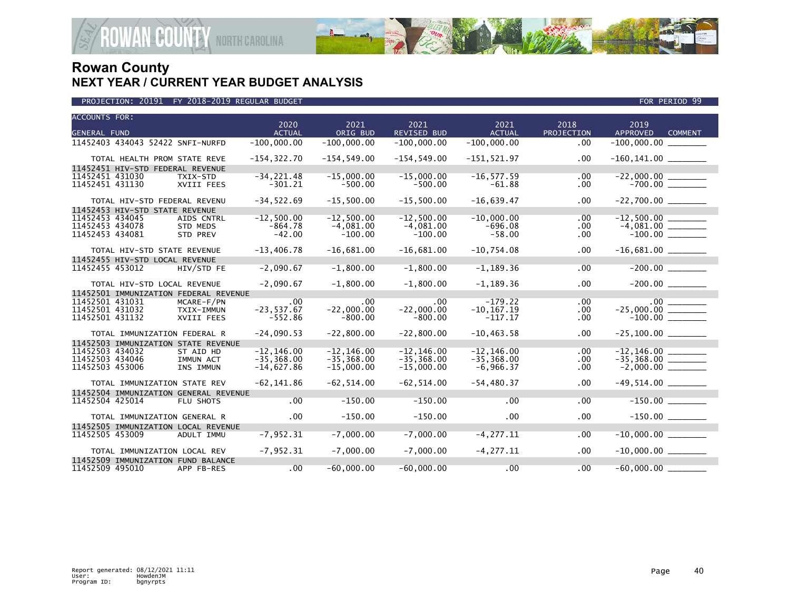

| <b>ACCOUNTS FOR:</b>                             | 2020                       | 2021                      | 2021               | 2021                       | 2018       | 2019                              |  |
|--------------------------------------------------|----------------------------|---------------------------|--------------------|----------------------------|------------|-----------------------------------|--|
| <b>GENERAL FUND</b>                              | <b>ACTUAL</b>              | ORIG BUD                  | <b>REVISED BUD</b> | <b>ACTUAL</b>              | PROJECTION | <b>APPROVED</b><br><b>COMMENT</b> |  |
| 11452403 434043 52422 SNFI-NURFD                 | $-100,000.00$              | $-100,000.00$             | $-100,000.00$      | $-100,000.00$              | .00        | $-100,000.00$                     |  |
| TOTAL HEALTH PROM STATE REVE                     | $-154, 322.70$             | $-154, 549.00$            | $-154, 549.00$     | $-151,521.97$              | $.00 \,$   |                                   |  |
| 11452451 HIV-STD FEDERAL REVENUE                 |                            |                           |                    |                            |            |                                   |  |
| 11452451 431030<br>TXIX-STD                      | $-34, 221.48$              | $-15,000.00$              | $-15,000.00$       | $-16, 577.59$              | .00        |                                   |  |
| 11452451 431130<br>XVIII FEES                    | $-301.21$                  | $-500.00$                 | $-500.00$          | $-61.88$                   | .00.       |                                   |  |
| TOTAL HIV-STD FEDERAL REVENU                     | $-34,522.69$               | $-15,500.00$              | $-15,500.00$       | $-16,639.47$               | $.00 \,$   |                                   |  |
| 11452453 HIV-STD STATE REVENUE                   |                            |                           |                    |                            |            |                                   |  |
| 11452453 434045                                  | $-12,500.00$<br>AIDS CNTRL | $-12,500.00$              | $-12,500.00$       | $-10,000.00$               | .00        |                                   |  |
| 11452453 434078<br><b>STD MEDS</b>               | $-864.78$                  | $-4,081.00$               | $-4,081.00$        | $-696.08$                  | .00.       |                                   |  |
| 11452453 434081<br>STD PREV                      | $-42.00$                   | $-100.00$                 | $-100.00$          | $-58.00$                   | .00        |                                   |  |
| TOTAL HIV-STD STATE REVENUE                      | $-13,406.78$               | $-16,681.00$              | $-16,681.00$       | $-10,754.08$               | $.00 \,$   |                                   |  |
| 11452455 HIV-STD LOCAL REVENUE                   |                            |                           |                    |                            |            |                                   |  |
| 11452455 453012                                  | $-2,090.67$<br>HIV/STD FE  | $-1,800.00$               | $-1,800.00$        | $-1, 189.36$               | .00        |                                   |  |
| TOTAL HIV-STD LOCAL REVENUE                      | $-2,090.67$                | $-1,800.00$               | $-1,800.00$        | $-1, 189.36$               | $.00 \,$   |                                   |  |
| 11452501 IMMUNIZATION FEDERAL REVENUE            |                            |                           |                    |                            |            |                                   |  |
| 11452501 431031<br>MCARE-F/PN                    | $.00 \,$                   | $.00 \,$                  | .00.               | $-179.22$                  | .00        |                                   |  |
| 11452501 431032<br>TXIX-IMMUN<br>11452501 431132 | $-23, 537.67$              | $-22,000.00$<br>$-800.00$ | $-22,000.00$       | $-10, 167.19$<br>$-117.17$ | $.00 \,$   | $-25,000.00$ ________             |  |
| XVIII FEES                                       | $-552.86$                  |                           | $-800.00$          |                            | .00        |                                   |  |
| TOTAL IMMUNIZATION FEDERAL R                     | $-24,090.53$               | $-22,800.00$              | $-22,800.00$       | $-10, 463.58$              | $.00 \,$   | $-25,100.00$ _________            |  |
| 11452503 IMMUNIZATION STATE REVENUE              |                            |                           |                    |                            |            |                                   |  |
| 11452503 434032<br>ST AID HD                     | $-12, 146.00$              | $-12.146.00$              | $-12, 146.00$      | $-12.146.00$               | .00        |                                   |  |
| 11452503 434046<br>IMMUN ACT                     | $-35,368.00$               | $-35, 368.00$             | $-35, 368.00$      | $-35, 368.00$              | .00        |                                   |  |
| 11452503 453006<br>INS IMMUN                     | $-14,627.86$               | $-15,000.00$              | $-15,000.00$       | $-6,966.37$                | $.00 \,$   | $-2,000.00$ ________              |  |
| TOTAL IMMUNIZATION STATE REV                     | $-62, 141.86$              | $-62, 514.00$             | $-62, 514.00$      | $-54, 480.37$              | $.00 \,$   |                                   |  |
| 11452504 IMMUNIZATION GENERAL REVENUE            |                            |                           |                    |                            |            |                                   |  |
| 11452504 425014<br>FLU SHOTS                     | .00                        | $-150.00$                 | $-150.00$          | .00                        | .00        |                                   |  |
| TOTAL IMMUNIZATION GENERAL R                     | .00                        | $-150.00$                 | $-150.00$          | .00                        | .00        |                                   |  |
| 11452505 IMMUNIZATION LOCAL REVENUE              |                            |                           |                    |                            |            |                                   |  |
| 11452505 453009<br>ADULT IMMU                    | $-7,952.31$                | $-7,000.00$               | $-7,000.00$        | $-4, 277.11$               | .00        |                                   |  |
| TOTAL IMMUNIZATION LOCAL REV                     | $-7,952.31$                | $-7,000.00$               | $-7,000.00$        | $-4, 277.11$               | $.00 \,$   |                                   |  |
| 11452509 IMMUNIZATION FUND BALANCE               |                            |                           |                    |                            |            |                                   |  |
| 11452509 495010<br>APP FB-RES                    | .00                        | $-60,000.00$              | $-60.000.00$       | .00                        | .00        | $-60,000.00$                      |  |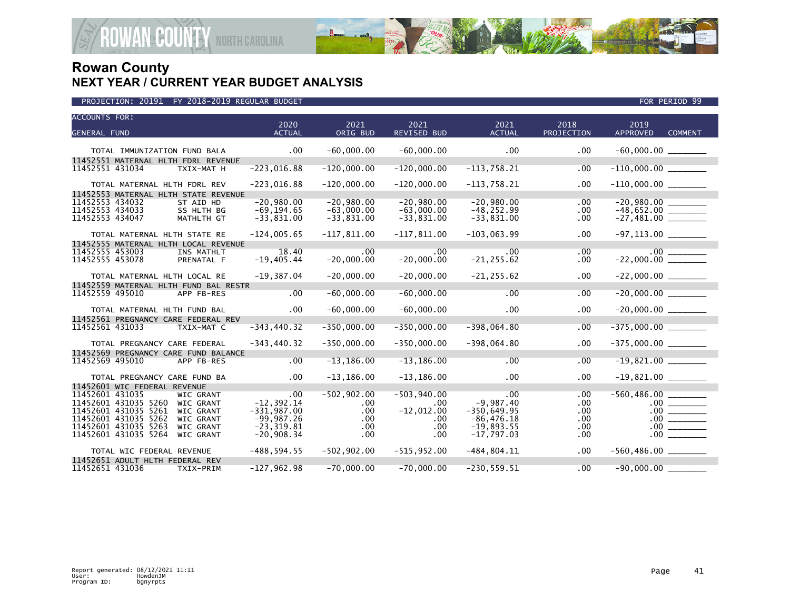

| <b>ACCOUNTS FOR:</b>                                                                                                                                                                                                                                                                     | 2020                                                                                           | 2021                                                                       | 2021                                                                | 2021                                                                                     | 2018                                       | 2019                              |  |
|------------------------------------------------------------------------------------------------------------------------------------------------------------------------------------------------------------------------------------------------------------------------------------------|------------------------------------------------------------------------------------------------|----------------------------------------------------------------------------|---------------------------------------------------------------------|------------------------------------------------------------------------------------------|--------------------------------------------|-----------------------------------|--|
| <b>GENERAL FUND</b>                                                                                                                                                                                                                                                                      | <b>ACTUAL</b>                                                                                  | ORIG BUD                                                                   | <b>REVISED BUD</b>                                                  | <b>ACTUAL</b>                                                                            | PROJECTION                                 | <b>APPROVED</b><br><b>COMMENT</b> |  |
| TOTAL IMMUNIZATION FUND BALA                                                                                                                                                                                                                                                             | $.00 \,$                                                                                       | $-60,000.00$                                                               | $-60,000.00$                                                        | $.00 \,$                                                                                 | .00                                        |                                   |  |
| 11452551 MATERNAL HLTH FDRL REVENUE<br>11452551 431034<br>TXIX-MAT H                                                                                                                                                                                                                     | $-223,016.88$                                                                                  | $-120,000.00$                                                              | $-120,000.00$                                                       | $-113,758.21$                                                                            | .00                                        |                                   |  |
| TOTAL MATERNAL HLTH FDRL REV                                                                                                                                                                                                                                                             | $-223,016.88$                                                                                  | $-120,000.00$                                                              | $-120,000.00$                                                       | $-113,758.21$                                                                            | .00                                        |                                   |  |
| 11452553 MATERNAL HLTH STATE REVENUE<br>11452553 434032<br>ST AID HD<br>11452553 434033<br>SS HLTH BG<br>11452553 434047<br>MATHLTH GT                                                                                                                                                   | $-20,980.00$<br>$-69, 194.65$<br>$-33,831.00$                                                  | $-20,980.00$<br>$-63,000.00$<br>$-33,831.00$                               | $-20,980.00$<br>$-63,000.00$<br>$-33,831.00$                        | $-20,980.00$<br>$-48, 252.99$<br>$-33,831.00$                                            | .00<br>.00<br>.00.                         | $-48,652.00$<br>$-27,481.00$      |  |
| TOTAL MATERNAL HLTH STATE RE                                                                                                                                                                                                                                                             | $-124,005.65$                                                                                  | $-117,811.00$                                                              | $-117,811.00$                                                       | $-103,063.99$                                                                            | .00                                        | $-97, 113.00$ ________            |  |
| 11452555 MATERNAL HLTH LOCAL REVENUE<br>11452555 453003<br>INS MATHLT<br>11452555 453078<br>PRENATAL F                                                                                                                                                                                   | 18.40<br>$-19,405.44$                                                                          | .00<br>$-20,000.00$                                                        | .00<br>$-20,000.00$                                                 | .00<br>$-21, 255.62$                                                                     | .00<br>.00                                 |                                   |  |
| TOTAL MATERNAL HLTH LOCAL RE<br>11452559 MATERNAL HLTH FUND BAL RESTR                                                                                                                                                                                                                    | $-19, 387.04$                                                                                  | $-20,000.00$                                                               | $-20,000.00$                                                        | $-21, 255.62$                                                                            | .00                                        |                                   |  |
| 11452559 495010<br>APP FB-RES                                                                                                                                                                                                                                                            | .00                                                                                            | $-60,000.00$                                                               | $-60,000.00$                                                        | .00                                                                                      | .00                                        | $-20,000.00$                      |  |
| TOTAL MATERNAL HLTH FUND BAL                                                                                                                                                                                                                                                             | .00                                                                                            | $-60,000.00$                                                               | $-60,000.00$                                                        | .00                                                                                      | .00                                        |                                   |  |
| 11452561 PREGNANCY CARE FEDERAL REV<br>11452561 431033<br>TXIX-MAT C                                                                                                                                                                                                                     | $-343, 440.32$                                                                                 | $-350,000.00$                                                              | $-350,000.00$                                                       | $-398,064.80$                                                                            | .00.                                       | $-375,000.00$ _________           |  |
| TOTAL PREGNANCY CARE FEDERAL                                                                                                                                                                                                                                                             | $-343, 440.32$                                                                                 | $-350,000.00$                                                              | $-350,000.00$                                                       | $-398,064.80$                                                                            | .00                                        |                                   |  |
| 11452569 PREGNANCY CARE FUND BALANCE<br>11452569 495010<br>APP FB-RES                                                                                                                                                                                                                    | .00                                                                                            | $-13, 186.00$                                                              | $-13, 186.00$                                                       | $.00 \,$                                                                                 | .00                                        |                                   |  |
| TOTAL PREGNANCY CARE FUND BA                                                                                                                                                                                                                                                             | .00                                                                                            | $-13, 186.00$                                                              | $-13, 186.00$                                                       | $.00 \times$                                                                             | .00                                        | $-19,821.00$ ________             |  |
| 11452601 WIC FEDERAL REVENUE<br>11452601 431035<br><b>WIC GRANT</b><br>11452601 431035 5260<br><b>WIC GRANT</b><br>11452601 431035 5261<br>WIC GRANT<br>11452601 431035 5262<br><b>WIC GRANT</b><br>11452601 431035 5263<br><b>WIC GRANT</b><br>11452601 431035 5264<br><b>WIC GRANT</b> | $.00 \times$<br>$-12.392.14$<br>$-331,987.00$<br>$-99,987.26$<br>$-23, 319.81$<br>$-20.908.34$ | $-502, 902.00$<br>$.00 \,$<br>$.00 \,$<br>$.00 \,$<br>$.00 \,$<br>$.00 \,$ | $-503,940.00$<br>$.00 \,$<br>$-12,012.00$<br>.00<br>$.00 \,$<br>.00 | $.00 \,$<br>$-9.987.40$<br>$-350,649.95$<br>$-86,476.18$<br>$-19,893.55$<br>$-17,797.03$ | .00.<br>.00.<br>.00.<br>.00<br>.00.<br>.00 | $-560, 486.00$<br>00              |  |
| TOTAL WIC FEDERAL REVENUE                                                                                                                                                                                                                                                                | $-488, 594.55$                                                                                 | $-502, 902.00$                                                             | $-515,952.00$                                                       | $-484, 804.11$                                                                           | $.00 \,$                                   | $-560,486.00$ _________           |  |
| 11452651 ADULT HLTH FEDERAL REV<br>11452651 431036<br>TXIX-PRIM                                                                                                                                                                                                                          | $-127,962.98$                                                                                  | $-70,000.00$                                                               | $-70,000.00$                                                        | $-230, 559.51$                                                                           | .00                                        | $-90,000.00$                      |  |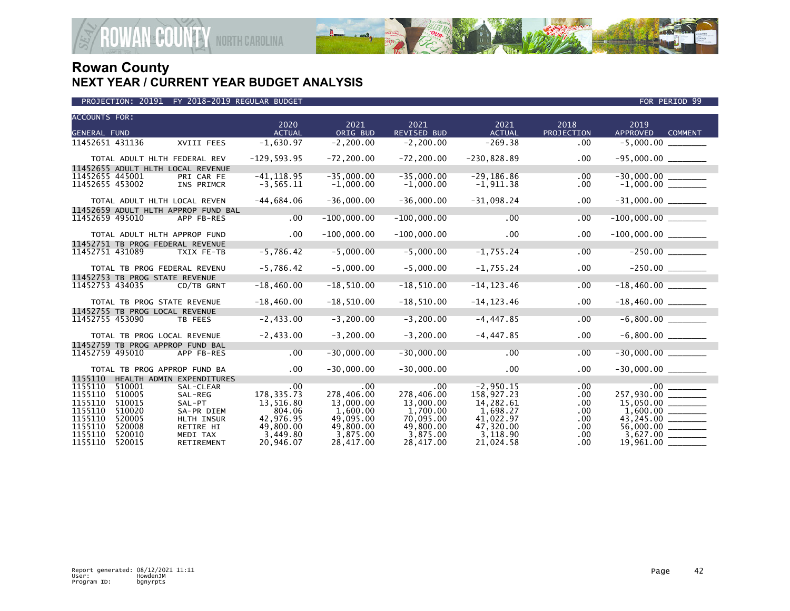

|  |  |  | PROJECTION: 20191 FY 2018-2019 REGULAR BUDGET |
|--|--|--|-----------------------------------------------|
|--|--|--|-----------------------------------------------|

| <b>ACCOUNTS FOR:</b><br><b>GENERAL FUND</b>                                                           |                                                            | 2020<br><b>ACTUAL</b>                                         | 2021<br>ORIG BUD                                              | 2021<br><b>REVISED BUD</b>                                    | 2021<br><b>ACTUAL</b>                                         | 2018<br>PROJECTION               | 2019<br><b>APPROVED</b><br><b>COMMENT</b>                                  |  |
|-------------------------------------------------------------------------------------------------------|------------------------------------------------------------|---------------------------------------------------------------|---------------------------------------------------------------|---------------------------------------------------------------|---------------------------------------------------------------|----------------------------------|----------------------------------------------------------------------------|--|
| 11452651 431136                                                                                       | XVIII FEES                                                 | $-1,630.97$                                                   | $-2, 200.00$                                                  | $-2, 200.00$                                                  | $-269.38$                                                     | .00                              |                                                                            |  |
|                                                                                                       | TOTAL ADULT HLTH FEDERAL REV                               | $-129,593.95$                                                 | $-72, 200.00$                                                 | $-72, 200.00$                                                 | $-230,828.89$                                                 | .00                              | $-95,000.00$ _________                                                     |  |
| 11452655 ADULT HLTH LOCAL REVENUE<br>11452655 445001<br>11452655 453002                               | PRI CAR FE<br>INS PRIMCR                                   | $-41.118.95$<br>$-3, 565.11$                                  | $-35.000.00$<br>$-1,000.00$                                   | $-35.000.00$<br>$-1,000.00$                                   | $-29.186.86$<br>$-1,911.38$                                   | .00<br>$.00 \,$                  | $-1,000.00$ ________                                                       |  |
|                                                                                                       | TOTAL ADULT HLTH LOCAL REVEN                               | $-44,684.06$                                                  | $-36,000.00$                                                  | $-36,000.00$                                                  | $-31,098.24$                                                  | .00                              | $-31,000.00$ _______                                                       |  |
| 11452659 ADULT HLTH APPROP FUND BAL<br>11452659 495010                                                | APP FB-RES                                                 | .00                                                           | $-100,000.00$                                                 | $-100,000.00$                                                 | .00                                                           | .00                              | $-100,000.00$ _________                                                    |  |
|                                                                                                       | TOTAL ADULT HLTH APPROP FUND                               | $.00 \,$                                                      | $-100,000.00$                                                 | $-100,000.00$                                                 | $.00 \times$                                                  | .00                              |                                                                            |  |
| 11452751 TB PROG FEDERAL REVENUE<br>11452751 431089                                                   | TXIX FE-TB                                                 | $-5,786.42$                                                   | $-5,000.00$                                                   | $-5,000.00$                                                   | $-1,755.24$                                                   | .00                              | $-250.00$ ________                                                         |  |
|                                                                                                       | TOTAL TB PROG FEDERAL REVENU                               | $-5,786.42$                                                   | $-5,000.00$                                                   | $-5,000.00$                                                   | $-1,755.24$                                                   | $.00 \,$                         |                                                                            |  |
| 11452753 TB PROG STATE REVENUE<br>11452753 434035                                                     | CD/TB GRNT                                                 | $-18,460.00$                                                  | $-18,510.00$                                                  | $-18,510.00$                                                  | $-14, 123.46$                                                 | .00                              |                                                                            |  |
| TOTAL TB PROG STATE REVENUE                                                                           |                                                            | $-18,460.00$                                                  | $-18,510.00$                                                  | $-18,510.00$                                                  | $-14, 123.46$                                                 | .00.                             |                                                                            |  |
| 11452755 TB PROG LOCAL REVENUE<br>11452755 453090                                                     | TB FEES                                                    | $-2,433.00$                                                   | $-3, 200.00$                                                  | $-3, 200.00$                                                  | $-4, 447.85$                                                  | .00                              | $-6,800.00$                                                                |  |
| TOTAL TB PROG LOCAL REVENUE                                                                           |                                                            | $-2,433.00$                                                   | $-3, 200.00$                                                  | $-3,200.00$                                                   | $-4,447.85$                                                   | .00                              |                                                                            |  |
| 11452759 TB PROG APPROP FUND BAL<br>11452759 495010                                                   | APP FB-RES                                                 | .00                                                           | $-30,000.00$                                                  | $-30,000.00$                                                  | .00                                                           | .00                              | $-30,000.00$ _________                                                     |  |
|                                                                                                       | TOTAL TB PROG APPROP FUND BA                               | $.00 \,$                                                      | $-30,000.00$                                                  | $-30,000.00$                                                  | .00                                                           | .00                              |                                                                            |  |
| 1155110<br>1155110<br>510001                                                                          | HEALTH ADMIN EXPENDITURES<br>SAL-CLEAR                     | .00                                                           | $.00 \ \,$                                                    | .00                                                           | $-2,950.15$                                                   | .00.                             | $.00$ $\qquad \qquad$                                                      |  |
| 1155110<br>510005<br>1155110<br>510015<br>1155110<br>510020<br>1155110<br>520005<br>1155110<br>520008 | SAL-REG<br>SAL-PT<br>SA-PR DIEM<br>HLTH INSUR<br>RETIRE HI | 178, 335. 73<br>13,516.80<br>804.06<br>42,976.95<br>49,800.00 | 278.406.00<br>13,000.00<br>1.600.00<br>49,095.00<br>49,800,00 | 278,406.00<br>13,000.00<br>1.700.00<br>70,095.00<br>49,800.00 | 158.927.23<br>14,282.61<br>1,698.27<br>41,022.97<br>47,320.00 | .00.<br>.00<br>.00<br>.00<br>.00 | 257,930.00 _______<br>$15,050.00$ _______<br>1.600.00<br>43,245.00 _______ |  |
| 1155110<br>520010<br>1155110<br>520015                                                                | MEDI TAX<br><b>RETIREMENT</b>                              | 3,449.80<br>20,946.07                                         | 3,875.00<br>28.417.00                                         | 3,875.00<br>28,417.00                                         | 3,118.90<br>21.024.58                                         | .00<br>$.00 \,$                  | 19,961.00                                                                  |  |

FOR PERIOD 99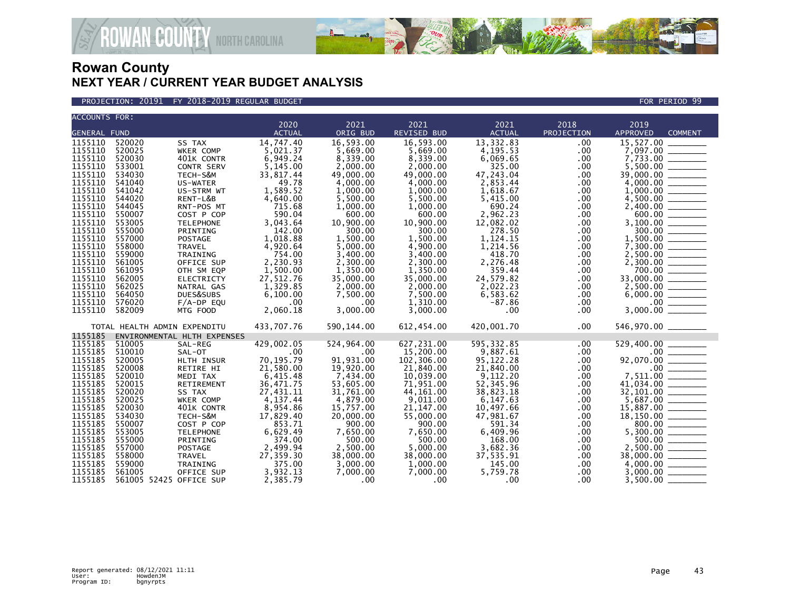

PROJECTION: 20191 FY 2018-2019 REGULAR BUDGET FOR PERIOD 99

| <b>ACCOUNTS FOR:</b> |                              |                             |               |              |             |               |            |                                                                                                                                                                                                                                                                                                                             |
|----------------------|------------------------------|-----------------------------|---------------|--------------|-------------|---------------|------------|-----------------------------------------------------------------------------------------------------------------------------------------------------------------------------------------------------------------------------------------------------------------------------------------------------------------------------|
|                      |                              |                             | 2020          | 2021         | 2021        | 2021          | 2018       | 2019                                                                                                                                                                                                                                                                                                                        |
| <b>GENERAL FUND</b>  |                              |                             | <b>ACTUAL</b> | ORIG BUD     | REVISED BUD | <b>ACTUAL</b> | PROJECTION | APPROVED<br><b>COMMENT</b>                                                                                                                                                                                                                                                                                                  |
| 1155110              | 520020                       | SS TAX                      | 14,747.40     | 16,593.00    | 16,593.00   | 13,332.83     | $.00 \,$   | 15,527.00                                                                                                                                                                                                                                                                                                                   |
| 1155110              | 520025                       | WKER COMP                   | 5,021.37      | 5,669.00     | 5,669.00    | 4,195.53      | $.00 \,$   |                                                                                                                                                                                                                                                                                                                             |
| 1155110              | 520030                       | 401K CONTR                  | 6,949.24      | 8,339.00     | 8,339.00    | 6,069.65      | .00        |                                                                                                                                                                                                                                                                                                                             |
| 1155110              | 533001                       | CONTR SERV                  | 5,145.00      | 2,000.00     | 2,000.00    | 325.00        | .00        |                                                                                                                                                                                                                                                                                                                             |
| 1155110              | 534030                       | TECH-S&M                    | 33,817.44     | 49,000.00    | 49,000.00   | 47,243.04     | .00        |                                                                                                                                                                                                                                                                                                                             |
| 1155110              | 541040                       | US-WATER                    | 49.78         | 4,000.00     | 4,000.00    | 2,853.44      | $.00 \,$   |                                                                                                                                                                                                                                                                                                                             |
| 1155110              | 541042                       | US-STRM WT                  | 1,589.52      | 1,000.00     | 1,000.00    | 1,618.67      | $.00 \,$   | $\begin{array}{c}\n 39,000.00 \\  +0.000.00 \\  \hline\n 1,000.00\n \end{array}$                                                                                                                                                                                                                                            |
| 1155110              | 544020                       | RENT-L&B                    | 4,640.00      | 5,500.00     | 5,500.00    | 5,415.00      | $.00 \,$   |                                                                                                                                                                                                                                                                                                                             |
| 1155110              | 544045                       | RNT-POS MT                  | 715.68        | 1.000.00     | 1,000.00    | 690.24        | $.00 \,$   |                                                                                                                                                                                                                                                                                                                             |
| 1155110              | 550007                       | COST P COP                  | 590.04        | 600.00       | 600.00      | 2,962.23      | $.00 \,$   |                                                                                                                                                                                                                                                                                                                             |
| 1155110              | 553005                       | <b>TELEPHONE</b>            | 3,043.64      | 10,900.00    | 10.900.00   | 12,082.02     | $.00 \,$   |                                                                                                                                                                                                                                                                                                                             |
| 1155110              | 555000                       | PRINTING                    | 142.00        | 300.00       | 300.00      | 278.50        | $.00 \,$   |                                                                                                                                                                                                                                                                                                                             |
| 1155110              | 557000                       | <b>POSTAGE</b>              | 1,018.88      | 1,500.00     | 1,500.00    | 1,124.15      | $.00 \,$   |                                                                                                                                                                                                                                                                                                                             |
| 1155110              | 558000                       | TRAVEL                      | 4,920.64      | 5.000.00     | 4,900.00    | 1,214.56      | $.00 \,$   |                                                                                                                                                                                                                                                                                                                             |
| 1155110              | 559000                       | TRAINING                    | 754.00        | 3,400.00     | 3,400.00    | 418.70        | $.00 \,$   |                                                                                                                                                                                                                                                                                                                             |
| 1155110              | 561005                       | OFFICE SUP                  | 2,230.93      | 2,300.00     | 2,300.00    | 2,276.48      | .00        |                                                                                                                                                                                                                                                                                                                             |
| 1155110              | 561095                       | OTH SM EQP                  | 1,500.00      | 1,350.00     | 1,350.00    | 359.44        | .00        |                                                                                                                                                                                                                                                                                                                             |
| 1155110              | 562005                       | <b>ELECTRICTY</b>           | 27,512.76     | 35,000.00    | 35,000.00   | 24,579.82     | $.00 \,$   |                                                                                                                                                                                                                                                                                                                             |
| 1155110              | 562025                       | NATRAL GAS                  | 1,329.85      | 2,000.00     | 2,000.00    | 2,022.23      | .00.       |                                                                                                                                                                                                                                                                                                                             |
| 1155110              | 564050                       | DUES&SUBS                   | 6.100.00      | 7,500.00     | 7,500.00    | 6,583.62      | .00        |                                                                                                                                                                                                                                                                                                                             |
| 1155110              | 576020                       | $F/A-DP$ EQU                | .00           | .00          | 1,310.00    | $-87.86$      | .00        |                                                                                                                                                                                                                                                                                                                             |
| 1155110              | 582009                       | MTG FOOD                    | 2,060.18      | 3,000.00     | 3,000.00    | .00           | $.00 \,$   | $\begin{array}{r} 1,000.00 \ \hline 4,500.00 \ \hline 2,400.00 \ \hline 600.00 \ \hline 3,100.00 \ \hline 3,100.00 \ \hline 3,00.00 \ \hline 1,500.00 \ \hline 2,500.00 \ \hline 2,500.00 \ \hline 2,300.00 \ \hline 3,000.00 \ \hline 6,000.00 \ \hline 6,000.00 \ \hline 3,000.00 \ \hline 3,000.00 \ \hline \end{array}$ |
|                      |                              |                             |               |              |             |               |            |                                                                                                                                                                                                                                                                                                                             |
|                      | TOTAL HEALTH ADMIN EXPENDITU |                             | 433,707.76    | 590, 144.00  | 612,454.00  | 420,001.70    | .00        | 546,970.00 _______                                                                                                                                                                                                                                                                                                          |
| 1155185              |                              | ENVIRONMENTAL HLTH EXPENSES |               |              |             |               |            |                                                                                                                                                                                                                                                                                                                             |
| 1155185              | 510005                       | SAL-REG                     | 429,002.05    | 524,964.00   | 627,231.00  | 595,332.85    | .00        | 529,400.00                                                                                                                                                                                                                                                                                                                  |
| 1155185              | 510010                       | SAL-OT                      | .00           | .00          | 15,200.00   | 9,887.61      | .00        |                                                                                                                                                                                                                                                                                                                             |
| 1155185              | 520005                       | HLTH INSUR                  | 70, 195. 79   | 91,931.00    | 102,306.00  | 95,122.28     | .00        |                                                                                                                                                                                                                                                                                                                             |
| 1155185              | 520008                       | RETIRE HI                   | 21,580.00     | 19,920.00    | 21,840.00   | 21,840.00     | .00        |                                                                                                                                                                                                                                                                                                                             |
| 1155185              | 520010                       | MEDI TAX                    | 6,415.48      | 7,434.00     | 10,039.00   | 9,112.20      | $.00 \,$   |                                                                                                                                                                                                                                                                                                                             |
| 1155185              | 520015                       | RETIREMENT                  | 36,471.75     | 53,605.00    | 71,951.00   | 52,345.96     | $.00 \,$   |                                                                                                                                                                                                                                                                                                                             |
| 1155185              | 520020                       | SS TAX                      | 27,431.11     | 31,761.00    | 44,161.00   | 38,823.18     | $.00 \,$   |                                                                                                                                                                                                                                                                                                                             |
| 1155185              | 520025                       | WKER COMP                   | 4,137.44      | 4,879.00     | 9,011.00    | 6,147.63      | .00        |                                                                                                                                                                                                                                                                                                                             |
| 1155185              | 520030                       | 401K CONTR                  | 8,954.86      | 15,757.00    | 21, 147.00  | 10,497.66     | $.00 \,$   |                                                                                                                                                                                                                                                                                                                             |
| 1155185              | 534030                       | TECH-S&M                    | 17,829.40     | 20,000.00    | 55,000.00   | 47,981.67     | $.00 \,$   |                                                                                                                                                                                                                                                                                                                             |
| 1155185              | 550007                       | COST P COP                  | 853.71        | 900.00       | 900.00      | 591.34        | .00        |                                                                                                                                                                                                                                                                                                                             |
| 1155185              | 553005                       | <b>TELEPHONE</b>            | 6,629.49      | 7.650.00     | 7.650.00    | 6.409.96      | $.00 \,$   |                                                                                                                                                                                                                                                                                                                             |
| 1155185              | 555000                       | PRINTING                    | 374.00        | 500.00       | 500.00      | 168.00        | $.00 \,$   |                                                                                                                                                                                                                                                                                                                             |
| 1155185              | 557000                       | <b>POSTAGE</b>              | 2,499.94      | 2,500.00     | 5.000.00    | 3,682.36      | $.00 \,$   | $\begin{array}{r} 52,101.00 \ \hline 15,687.00 \ \hline 15,887.00 \ \hline 18,150.00 \ \hline 800.00 \ \hline 5,300.00 \ \hline 2,500.00 \ \hline 38,000.00 \ \hline 4,000.00 \ \hline \end{array}$                                                                                                                         |
| 1155185              | 558000                       | TRAVEL                      | 27,359.30     | 38,000.00    | 38,000.00   | 37,535.91     | $.00 \,$   |                                                                                                                                                                                                                                                                                                                             |
| 1155185              | 559000                       | TRAINING                    | 375.00        | 3,000.00     | 1,000.00    | 145.00        | $.00 \,$   |                                                                                                                                                                                                                                                                                                                             |
| 1155185              | 561005                       | OFFICE SUP                  | 3,932.13      | 7,000.00     | 7,000.00    | 5.759.78      | $.00 \,$   |                                                                                                                                                                                                                                                                                                                             |
| 1155185              |                              | 561005 52425 OFFICE SUP     | 2,385.79      | $.00 \times$ | $.00 \,$    | $.00 \,$      | .00.       | 3,500.00                                                                                                                                                                                                                                                                                                                    |
|                      |                              |                             |               |              |             |               |            |                                                                                                                                                                                                                                                                                                                             |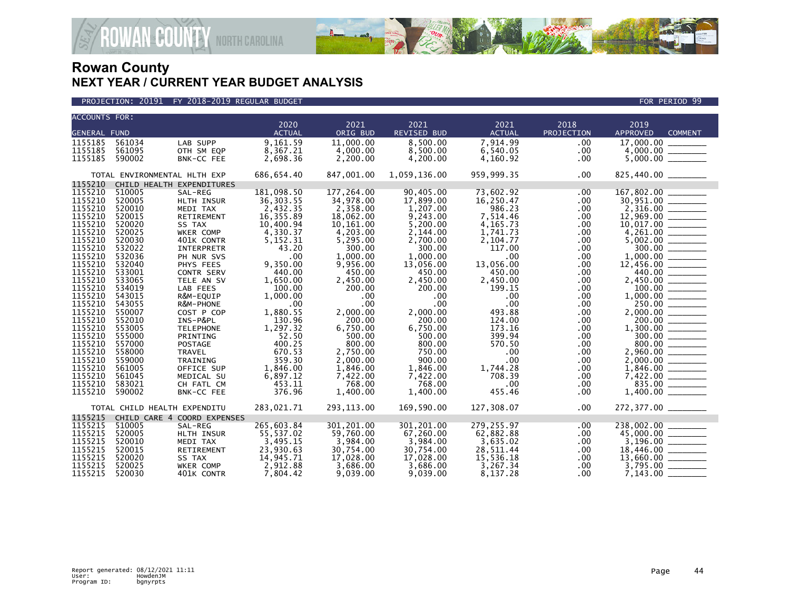



| <b>ACCOUNTS FOR:</b> |                              |                             |               |            |                    |                  |             |                                                                                                                                                                                                                                                                                                                                                                                                          |
|----------------------|------------------------------|-----------------------------|---------------|------------|--------------------|------------------|-------------|----------------------------------------------------------------------------------------------------------------------------------------------------------------------------------------------------------------------------------------------------------------------------------------------------------------------------------------------------------------------------------------------------------|
|                      |                              |                             | 2020          | 2021       | 2021               | 2021             | 2018        | 2019                                                                                                                                                                                                                                                                                                                                                                                                     |
| <b>GENERAL FUND</b>  |                              |                             | <b>ACTUAL</b> | ORIG BUD   | <b>REVISED BUD</b> | <b>ACTUAL</b>    | PROJECTION  | <b>APPROVED</b><br><b>COMMENT</b>                                                                                                                                                                                                                                                                                                                                                                        |
| 1155185              | 561034                       | LAB SUPP                    | 9,161.59      | 11,000.00  | 8.500.00           | 7.914.99         | .00         | $\begin{array}{r} 17,000.00 \\ 4,000.00 \\ 5,000.00 \end{array} \begin{array}{r} \begin{array}{c} \rule{2mm}{2mm} \rule{2mm}{2mm} \rule{2mm}{2mm} \rule{2mm}{2mm} \rule{2mm}{2mm} \rule{2mm}{2mm} \rule{2mm}{2mm} \rule{2mm}{2mm} \rule{2mm}{2mm} \rule{2mm}{2mm} \rule{2mm}{2mm} \rule{2mm}{2mm} \rule{2mm}{2mm} \rule{2mm}{2mm} \rule{2mm}{2mm} \rule{2mm}{2mm} \rule{2mm}{2mm} \rule{2mm}{2mm} \rule$ |
| 1155185              | 561095                       | OTH SM EQP                  | 8,367.21      | 4,000.00   | 8,500.00           | 6,540.05         | $.00 \,$    |                                                                                                                                                                                                                                                                                                                                                                                                          |
| 1155185              | 590002                       | BNK-CC FEE                  | 2,698.36      | 2,200.00   | 4,200.00           | 4,160.92         | $.00 \,$    |                                                                                                                                                                                                                                                                                                                                                                                                          |
|                      | TOTAL ENVIRONMENTAL HLTH EXP |                             | 686,654.40    | 847,001.00 | 1,059,136.00       | 959,999.35       | .00         | 825,440.00 _______                                                                                                                                                                                                                                                                                                                                                                                       |
| 1155210              |                              | CHILD HEALTH EXPENDITURES   |               |            |                    |                  |             |                                                                                                                                                                                                                                                                                                                                                                                                          |
| 1155210              | 510005                       | SAL-REG                     | 181,098.50    | 177,264.00 | 90,405.00          | 73,602.92        | $.00 \,$    | $\begin{array}{r} 167,802.00 \ \hline 30,951.00 \ \hline 2,316.00 \ \hline 12,969.00 \ \hline 10,017.00 \ \hline 4,261.00 \ \hline 5,002.00 \ \hline 10,000.00 \ \hline 1,000.00 \ \hline \end{array}$                                                                                                                                                                                                   |
| 1155210              | 520005                       | HLTH INSUR                  | 36, 303.55    | 34,978.00  | 17,899.00          | 16, 250.47       | .00         |                                                                                                                                                                                                                                                                                                                                                                                                          |
| 1155210              | 520010                       | MEDI TAX                    | 2,432.35      | 2,358.00   | 1,207.00           | 986.23           | $.00 \,$    |                                                                                                                                                                                                                                                                                                                                                                                                          |
| 1155210              | 520015                       | RETIREMENT                  | 16,355.89     | 18,062.00  | 9,243.00           | 7,514.46         | $.00 \,$    |                                                                                                                                                                                                                                                                                                                                                                                                          |
| 1155210              | 520020                       | SS TAX                      | 10,400.94     | 10,161.00  | 5,200.00           | 4, 165. 73       | .00         |                                                                                                                                                                                                                                                                                                                                                                                                          |
| 1155210              | 520025                       | WKER COMP                   | 4,330.37      | 4,203.00   | 2,144.00           | 1,741.73         | $.00 \,$    |                                                                                                                                                                                                                                                                                                                                                                                                          |
| 1155210              | 520030                       | 401K CONTR                  | 5,152.31      | 5,295.00   | 2,700.00           | 2,104.77         | $.00 \,$    |                                                                                                                                                                                                                                                                                                                                                                                                          |
| 1155210              | 532022                       | <b>INTERPRETR</b>           | 43.20         | 300.00     | 300.00             | 117.00           | $.00 \,$    |                                                                                                                                                                                                                                                                                                                                                                                                          |
| 1155210              | 532036                       | PH NUR SVS                  | .00           | 1,000.00   | 1,000.00           | .00.             | .00         | $1,000.00$<br>12,456.00<br>12,456.00<br>440.00<br>2,450.00<br>1,000.00<br>1,000.00                                                                                                                                                                                                                                                                                                                       |
| 1155210              | 532040                       | PHYS FEES                   | 9,350.00      | 9,956.00   | 13,056.00          | 13,056.00        | $.00 \,$    |                                                                                                                                                                                                                                                                                                                                                                                                          |
| 1155210              | 533001                       | CONTR SERV                  | 440.00        | 450.00     | 450.00             | 450.00           | $.00 \,$    |                                                                                                                                                                                                                                                                                                                                                                                                          |
| 1155210              | 533065                       | TELE AN SV                  | 1,650.00      | 2,450.00   | 2,450.00           | 2,450.00         | $.00 \,$    |                                                                                                                                                                                                                                                                                                                                                                                                          |
| 1155210              | 534019                       | LAB FEES                    | 100.00        | 200.00     | 200.00             | 199.15           | $.00 \,$    |                                                                                                                                                                                                                                                                                                                                                                                                          |
| 1155210              | 543015                       | R&M-EQUIP                   | 1,000.00      | .00        | $.00 \,$           | $.00 \,$         | .00         |                                                                                                                                                                                                                                                                                                                                                                                                          |
| 1155210              | 543055                       | R&M-PHONE                   | .00           | .00        | $.00 \times$       | .00 <sub>1</sub> | .00         |                                                                                                                                                                                                                                                                                                                                                                                                          |
| 1155210              | 550007                       | COST P COP                  | 1,880.55      | 2,000.00   | 2,000.00           | 493.88           | $.00 \,$    |                                                                                                                                                                                                                                                                                                                                                                                                          |
| 1155210              | 552010                       | INS-P&PL                    | 130.96        | 200.00     | 200.00             | 124.00           | $.00 \,$    |                                                                                                                                                                                                                                                                                                                                                                                                          |
| 1155210              | 553005                       | <b>TELEPHONE</b>            | 1,297.32      | 6,750.00   | 6,750.00           | 173.16           | $.00 \,$    | $2,000.00$<br>$2,000.00$<br>$200.00$<br>$1,300.00$                                                                                                                                                                                                                                                                                                                                                       |
| 1155210              | 555000                       | PRINTING                    | 52.50         | 500.00     | 500.00             | 399.94           | .00         |                                                                                                                                                                                                                                                                                                                                                                                                          |
| 1155210              | 557000                       | <b>POSTAGE</b>              | 400.25        | 800.00     | 800.00             | 570.50           | $.00 \,$    |                                                                                                                                                                                                                                                                                                                                                                                                          |
| 1155210              | 558000                       | <b>TRAVEL</b>               | 670.53        | 2,750.00   | 750.00             | $.00 \,$         | $.00 \,$    |                                                                                                                                                                                                                                                                                                                                                                                                          |
| 1155210              | 559000                       | TRAINING                    | 359.30        | 2,000.00   | 900.00             | .00 <sub>1</sub> | .00         |                                                                                                                                                                                                                                                                                                                                                                                                          |
| 1155210              | 561005                       | OFFICE SUP                  | 1,846.00      | 1,846.00   | 1,846.00           | 1,744.28         | $.00 \,$    |                                                                                                                                                                                                                                                                                                                                                                                                          |
| 1155210              | 561045                       | MEDICAL SU                  | 6,897.12      | 7,422.00   | 7,422.00           | 708.39           | $.00 \,$    |                                                                                                                                                                                                                                                                                                                                                                                                          |
| 1155210              | 583021                       | CH FATL CM                  | 453.11        | 768.00     | 768.00             | $.00 \,$         | $.00 \,$    |                                                                                                                                                                                                                                                                                                                                                                                                          |
| 1155210              | 590002                       | BNK-CC FEE                  | 376.96        | 1,400.00   | 1,400.00           | 455.46           | $.00 \cdot$ | $\begin{array}{r} 1,300.00 \ \hline 300.00 \ \hline 800.00 \ \hline 2,960.00 \ \hline 2,000.00 \ \hline 1,846.00 \ \hline 1,846.00 \ \hline 835.00 \ \hline 1,400.00 \ \hline \end{array}$                                                                                                                                                                                                               |
|                      | TOTAL CHILD HEALTH EXPENDITU |                             | 283,021.71    | 293,113.00 | 169,590.00         | 127,308.07       | $.00 \,$    | 272,377.00                                                                                                                                                                                                                                                                                                                                                                                               |
| 1155215              |                              | CHILD CARE 4 COORD EXPENSES |               |            |                    |                  |             |                                                                                                                                                                                                                                                                                                                                                                                                          |
| 1155215              | 510005                       | SAL-REG                     | 265,603.84    | 301,201.00 | 301.201.00         | 279.255.97       | $.00 \,$    | $\begin{array}{r} 238,002.00 \\ 45,000.00 \\ 3,196.00 \\ 18,446.00 \\ 13,660.00 \\ \hline \end{array}$                                                                                                                                                                                                                                                                                                   |
| 1155215              | 520005                       | HLTH INSUR                  | 55,537.02     | 59,760.00  | 67,260.00          | 62,882.88        | $.00 \,$    |                                                                                                                                                                                                                                                                                                                                                                                                          |
| 1155215              | 520010                       | MEDI TAX                    | 3,495.15      | 3,984.00   | 3,984.00           | 3,635.02         | .00         |                                                                                                                                                                                                                                                                                                                                                                                                          |
| 1155215              | 520015                       | RETIREMENT                  | 23,930.63     | 30,754.00  | 30,754.00          | 28,511.44        | $.00 \,$    |                                                                                                                                                                                                                                                                                                                                                                                                          |
| 1155215              | 520020                       | SS TAX                      | 14,945.71     | 17,028.00  | 17,028.00          | 15,536.18        | .00         |                                                                                                                                                                                                                                                                                                                                                                                                          |
| 1155215              | 520025                       | WKER COMP                   | 2,912.88      | 3,686.00   | 3,686.00           | 3,267.34         | $.00 \,$    |                                                                                                                                                                                                                                                                                                                                                                                                          |
| 1155215              | 520030                       | 401K CONTR                  | 7,804.42      | 9,039.00   | 9,039.00           | 8,137.28         | .00.        | 7,143.00                                                                                                                                                                                                                                                                                                                                                                                                 |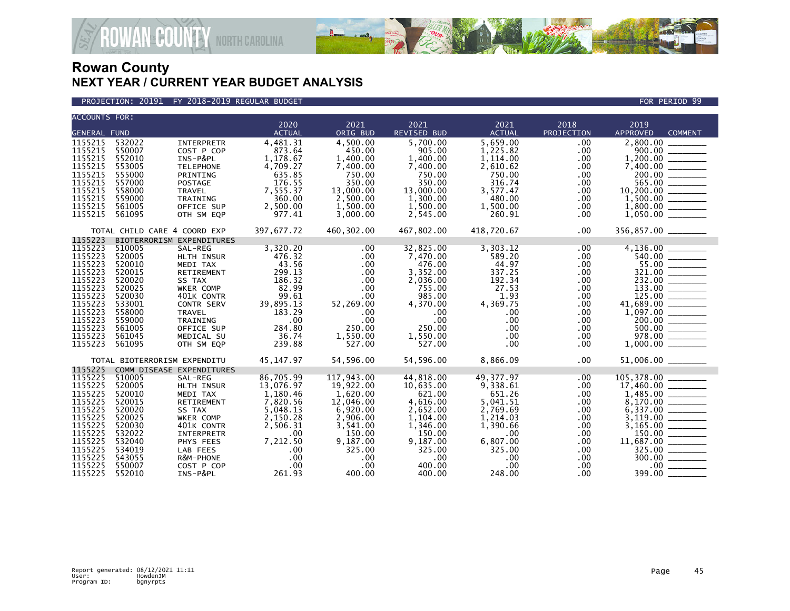

**AN&COUNTY NORTH CAROLINA** 

| <b>ACCOUNTS FOR:</b> |                              |                           |                    |                    |                      |                      |                  |                                                                                                                                        |
|----------------------|------------------------------|---------------------------|--------------------|--------------------|----------------------|----------------------|------------------|----------------------------------------------------------------------------------------------------------------------------------------|
|                      |                              |                           | 2020               | 2021               | 2021                 | 2021                 | 2018             | 2019                                                                                                                                   |
| <b>GENERAL FUND</b>  |                              |                           | <b>ACTUAL</b>      | ORIG BUD           | <b>REVISED BUD</b>   | <b>ACTUAL</b>        | PROJECTION       | <b>APPROVED</b><br><b>COMMENT</b>                                                                                                      |
| 1155215              | 532022                       | INTERPRETR                | 4,481.31           | 4,500.00           | 5,700.00             | 5,659.00             | .00.             |                                                                                                                                        |
| 1155215<br>1155215   | 550007<br>552010             | COST P COP<br>INS-P&PL    | 873.64<br>1,178.67 | 450.00<br>1,400.00 | 905.00<br>1,400.00   | 1,225.82<br>1,114.00 | .00<br>.00       | $\frac{900.00}{1,200.00}$                                                                                                              |
| 1155215              | 553005                       | <b>TELEPHONE</b>          | 4,709.27           | 7,400.00           | 7,400.00             | 2,610.62             | .00.             |                                                                                                                                        |
| 1155215              | 555000                       | PRINTING                  | 635.85             | 750.00             | 750.00               | 750.00               | .00              |                                                                                                                                        |
| 1155215              | 557000                       | POSTAGE                   | 176.55             | 350.00             | 350.00               | 316.74               | .00.             |                                                                                                                                        |
| 1155215              | 558000                       | TRAVEL                    | 7,555.37           | 13,000.00          | 13,000.00            | 3,577.47             | $.00 \,$         |                                                                                                                                        |
| 1155215              | 559000                       | TRAINING                  | 360.00             | 2,500.00           | 1,300.00             | 480.00               | .00              | $\begin{array}{r} 565.00 \ \hline 565.00 \ \hline 1,500.00 \ \hline 1,500.00 \ \hline 1,800.00 \ \hline 1,050.00 \ \hline \end{array}$ |
| 1155215              | 561005                       | OFFICE SUP                | 2,500.00           | 1,500.00           | 1,500.00             | 1,500.00             | .00.             |                                                                                                                                        |
| 1155215              | 561095                       | OTH SM EQP                | 977.41             | 3,000.00           | 2,545.00             | 260.91               | .00              |                                                                                                                                        |
|                      |                              |                           |                    |                    |                      |                      |                  |                                                                                                                                        |
|                      | TOTAL CHILD CARE 4 COORD EXP |                           | 397,677.72         | 460,302.00         | 467,802.00           | 418,720.67           | $.00 \,$         |                                                                                                                                        |
| 1155223              |                              | BIOTERRORISM EXPENDITURES |                    |                    |                      |                      |                  |                                                                                                                                        |
| 1155223              | 510005                       | SAL-REG                   | 3,320.20           | $.00 \ \,$         | 32,825.00            | 3,303.12             | $.00 \,$         |                                                                                                                                        |
| 1155223              | 520005                       | HLTH INSUR                | 476.32             | .00                | 7,470.00             | 589.20               | .00              |                                                                                                                                        |
| 1155223              | 520010                       | MEDI TAX                  | 43.56              | .00                | 476.00               | 44.97<br>337.25      | $.00 \times$     | $\begin{array}{c}\n 540.00 \\  \hline\n 55.00 \\  \hline\n 321.00\n \end{array}$                                                       |
| 1155223<br>1155223   | 520015<br>520020             | RETIREMENT                | 299.13<br>186.32   | .00<br>.00         | 3,352.00<br>2,036.00 | 192.34               | $.00 \,$<br>.00  |                                                                                                                                        |
| 1155223              | 520025                       | SS TAX<br>WKER COMP       | 82.99              | .00                | 755.00               | 27.53                | $.00 \,$         |                                                                                                                                        |
| 1155223              | 520030                       | 401K CONTR                | 99.61              | .00                | 985.00               | 1.93                 | .00.             |                                                                                                                                        |
| 1155223              | 533001                       | CONTR SERV                | 39,895.13          | 52,269.00          | 4,370.00             | 4,369.75             | $.00 \,$         |                                                                                                                                        |
| 1155223              | 558000                       | <b>TRAVEL</b>             | 183.29             | .00.               | $.00 \,$             | $.00 \,$             | .00.             |                                                                                                                                        |
| 1155223              | 559000                       | TRAINING                  | .00                | .00                | $.00 \,$             | $.00 \times$         | .00.             |                                                                                                                                        |
| 1155223              | 561005                       | OFFICE SUP                | 284.80             | 250.00             | 250.00               | .00                  | .00              |                                                                                                                                        |
| 1155223              | 561045                       | MEDICAL SU                | 36.74              | 1,550.00           | 1,550.00             | .00                  | .00.             |                                                                                                                                        |
| 1155223              | 561095                       | OTH SM EQP                | 239.88             | 527.00             | 527.00               | .00                  | $.00 \,$         | $1,097.00$<br>$200.00$<br>$500.00$<br>$978.00$<br>$1,000.00$                                                                           |
|                      | TOTAL BIOTERRORISM EXPENDITU |                           | 45, 147. 97        | 54,596.00          | 54,596.00            | 8,866.09             | $.00 \times$     | 51,006.00 _______                                                                                                                      |
| 1155225              |                              | COMM DISEASE EXPENDITURES |                    |                    |                      |                      |                  |                                                                                                                                        |
| 1155225              | 510005                       | SAL-REG                   | 86,705.99          | 117,943.00         | 44,818.00            | 49,377.97            | .00              | 105,378.00                                                                                                                             |
| 1155225              | 520005                       | HLTH INSUR                | 13,076.97          | 19,922.00          | 10,635.00            | 9,338.61             | .00              |                                                                                                                                        |
| 1155225              | 520010                       | MEDI TAX                  | 1,180.46           | 1,620.00           | 621.00               | 651.26               | .00              |                                                                                                                                        |
| 1155225              | 520015                       | RETIREMENT                | 7,820.56           | 12,046.00          | 4,616.00             | 5,041.51             | .00              | $17,460.00$<br>1,485.00<br>8,170.00                                                                                                    |
| 1155225              | 520020                       | SS TAX                    | 5,048.13           | 6,920.00           | 2,652.00             | 2,769.69             | .00              |                                                                                                                                        |
| 1155225              | 520025                       | WKER COMP                 | 2,150.28           | 2,906.00           | 1,104.00             | 1,214.03             | .00.             |                                                                                                                                        |
| 1155225              | 520030                       | 401K CONTR                | 2,506.31           | 3,541.00           | 1,346.00             | 1,390.66             | .00              | $3,165.00$<br>150.00                                                                                                                   |
| 1155225              | 532022                       | INTERPRETR                | .00                | 150.00             | 150.00               | $.00 \,$             | .00.             |                                                                                                                                        |
| 1155225              | 532040                       | PHYS FEES                 | 7,212.50           | 9,187.00           | 9,187.00             | 6,807.00             | .00.             |                                                                                                                                        |
| 1155225              | 534019                       | LAB FEES                  | .00                | 325.00             | 325.00               | 325.00               | $.00 \,$         | $\frac{325.00}{300.00}$                                                                                                                |
| 1155225              | 543055                       | R&M-PHONE                 | .00                | .00                | .00                  | $.00 \,$             | $.00 \,$         |                                                                                                                                        |
|                      |                              |                           |                    |                    |                      |                      |                  |                                                                                                                                        |
| 1155225<br>1155225   | 550007<br>552010             | COST P COP<br>INS-P&PL    | .00<br>261.93      | .00<br>400.00      | 400.00<br>400.00     | .00<br>248.00        | $.00 \,$<br>.00. | $\frac{100}{399.00}$                                                                                                                   |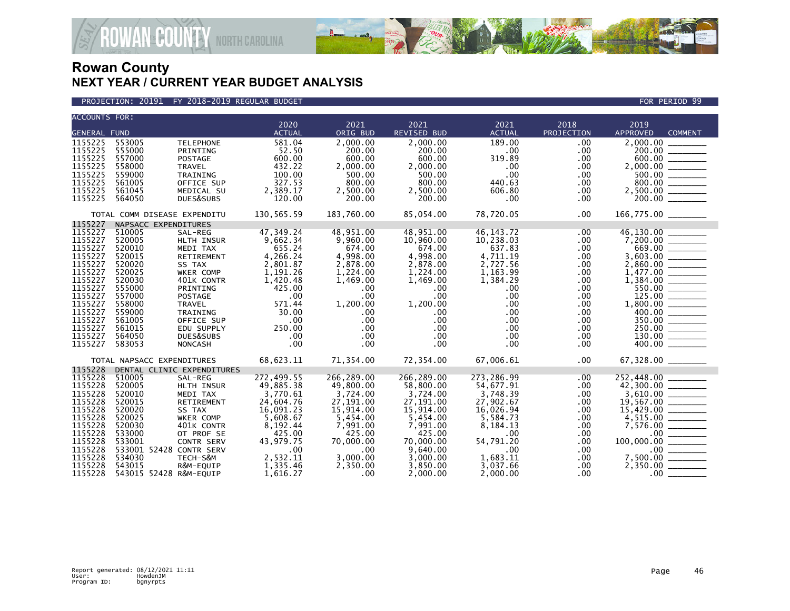



| <b>ACCOUNTS FOR:</b>                                                                                                                                                         |                                                                                                                                                                            |                                                                                                                                                                                                                                     | 2020                                                                                                                                                    | 2021                                                                                                                                                                | 2021                                                                                                                                                                            | 2021                                                                                                                                                                             | 2018                                                                                                                                                         | 2019                                                                                                                                                                                                                                                                                                               |
|------------------------------------------------------------------------------------------------------------------------------------------------------------------------------|----------------------------------------------------------------------------------------------------------------------------------------------------------------------------|-------------------------------------------------------------------------------------------------------------------------------------------------------------------------------------------------------------------------------------|---------------------------------------------------------------------------------------------------------------------------------------------------------|---------------------------------------------------------------------------------------------------------------------------------------------------------------------|---------------------------------------------------------------------------------------------------------------------------------------------------------------------------------|----------------------------------------------------------------------------------------------------------------------------------------------------------------------------------|--------------------------------------------------------------------------------------------------------------------------------------------------------------|--------------------------------------------------------------------------------------------------------------------------------------------------------------------------------------------------------------------------------------------------------------------------------------------------------------------|
| <b>GENERAL FUND</b>                                                                                                                                                          |                                                                                                                                                                            |                                                                                                                                                                                                                                     | <b>ACTUAL</b>                                                                                                                                           | ORIG BUD                                                                                                                                                            | <b>REVISED BUD</b>                                                                                                                                                              | <b>ACTUAL</b>                                                                                                                                                                    | PROJECTION                                                                                                                                                   | <b>APPROVED</b><br><b>COMMENT</b>                                                                                                                                                                                                                                                                                  |
| 1155225<br>1155225<br>1155225<br>1155225<br>1155225<br>1155225<br>1155225<br>1155225                                                                                         | 553005<br>555000<br>557000<br>558000<br>559000<br>561005<br>561045<br>564050                                                                                               | <b>TELEPHONE</b><br>PRINTING<br>POSTAGE<br><b>TRAVEL</b><br>TRAINING<br>OFFICE SUP<br>MEDICAL SU<br>DUES&SUBS                                                                                                                       | 581.04<br>52.50<br>600.00<br>432.22<br>100.00<br>327.53<br>2,389.17<br>120.00                                                                           | 2,000.00<br>200.00<br>600.00<br>2,000.00<br>500.00<br>800.00<br>2,500.00<br>200.00                                                                                  | 2,000.00<br>200.00<br>600.00<br>2,000.00<br>500.00<br>800.00<br>2,500.00<br>200.00                                                                                              | 189.00<br>$.00 \,$<br>319.89<br>$.00 \,$<br>$.00 \times$<br>440.63<br>606.80<br>.00.                                                                                             | .00<br>.00<br>.00<br>$.00 \,$<br>$.00 \,$<br>.00<br>$.00 \,$<br>$.00 \,$                                                                                     | 2,000.00<br>$200.00$<br>$600.00$<br>$2,000.00$<br>$500.00$                                                                                                                                                                                                                                                         |
|                                                                                                                                                                              |                                                                                                                                                                            | TOTAL COMM DISEASE EXPENDITU                                                                                                                                                                                                        | 130,565.59                                                                                                                                              | 183,760.00                                                                                                                                                          | 85.054.00                                                                                                                                                                       | 78,720.05                                                                                                                                                                        | $.00 \,$                                                                                                                                                     | 166,775.00 _______                                                                                                                                                                                                                                                                                                 |
| 1155227<br>1155227<br>1155227<br>1155227<br>1155227<br>1155227<br>1155227<br>1155227<br>1155227<br>1155227<br>1155227<br>1155227<br>1155227<br>1155227<br>1155227<br>1155227 | NAPSACC EXPENDITURES<br>510005<br>520005<br>520010<br>520015<br>520020<br>520025<br>520030<br>555000<br>557000<br>558000<br>559000<br>561005<br>561015<br>564050<br>583053 | SAL-REG<br>HLTH INSUR<br>MEDI TAX<br>RETIREMENT<br>SS TAX<br>WKER COMP<br>401K CONTR<br>PRINTING<br>POSTAGE<br>TRAVEL<br>TRAINING<br>OFFICE SUP<br>EDU SUPPLY<br>DUES&SUBS<br><b>NONCASH</b>                                        | 47,349.24<br>9,662.34<br>655.24<br>4,266.24<br>2,801.87<br>1,191.26<br>1,420.48<br>425.00<br>.00<br>571.44<br>30.00<br>.00<br>250.00<br>.00<br>.00      | 48,951.00<br>9,960.00<br>674.00<br>4,998.00<br>2,878.00<br>1,224.00<br>1,469.00<br>.00<br>.00<br>1,200.00<br>.00<br>$.00 \times$<br>$.00 \,$<br>$.00 \times$<br>.00 | 48,951.00<br>10,960.00<br>674.00<br>4,998.00<br>2,878.00<br>1,224.00<br>1,469.00<br>$.00 \,$<br>$.00 \,$<br>1,200.00<br>$.00 \,$<br>$.00 \times$<br>$.00 \,$<br>$.00 \,$<br>.00 | 46, 143. 72<br>10,238.03<br>637.83<br>4,711.19<br>2,727.56<br>1,163.99<br>1,384.29<br>$.00 \,$<br>$.00 \,$<br>.00<br>$.00 \,$<br>.00<br>$.00 \,$<br>$.00 \,$<br>.00 <sub>1</sub> | $.00 \,$<br>$.00 \,$<br>$.00 \,$<br>.00<br>$.00 \,$<br>.00<br>$.00 \,$<br>.00<br>$.00 \,$<br>.00<br>$.00 \,$<br>$.00 \,$<br>$.00 \,$<br>$.00 \,$<br>$.00 \,$ | $\begin{array}{r} 46,130.00 \\ 7,200.00 \\ 669.00 \\ \hline 3,603.00 \\ 2,860.00 \\ \hline \end{array}$<br>$\begin{array}{r} 2,800.00\ \hline 1,477.00\ \hline 550.00\ \hline 125.00\ \hline 125.00\ \hline 400.00\ \hline 350.00\ \hline 350.00\ \hline 250.00\ \hline 130.00\ \hline 400.00\ \hline \end{array}$ |
|                                                                                                                                                                              | TOTAL NAPSACC EXPENDITURES                                                                                                                                                 |                                                                                                                                                                                                                                     | 68,623.11                                                                                                                                               | 71,354.00                                                                                                                                                           | 72,354.00                                                                                                                                                                       | 67,006.61                                                                                                                                                                        | $.00 \,$                                                                                                                                                     |                                                                                                                                                                                                                                                                                                                    |
| 1155228<br>1155228<br>1155228<br>1155228<br>1155228<br>1155228<br>1155228<br>1155228<br>1155228<br>1155228<br>1155228<br>1155228<br>1155228<br>1155228                       | 510005<br>520005<br>520010<br>520015<br>520020<br>520025<br>520030<br>533000<br>533001<br>534030<br>543015                                                                 | DENTAL CLINIC EXPENDITURES<br>SAL-REG<br>HLTH INSUR<br>MEDI TAX<br>RETIREMENT<br>SS TAX<br>WKER COMP<br>401K CONTR<br>OT PROF SE<br><b>CONTR SERV</b><br>533001 52428 CONTR SERV<br>TECH-S&M<br>R&M-EQUIP<br>543015 52428 R&M-EQUIP | 272,499.55<br>49,885.38<br>3,770.61<br>24,604.76<br>16,091.23<br>5,608.67<br>8,192.44<br>425.00<br>43,979.75<br>.00<br>2,532.11<br>1,335.46<br>1,616.27 | 266,289.00<br>49,800.00<br>3,724.00<br>27,191.00<br>15,914.00<br>5,454.00<br>7,991.00<br>425.00<br>70,000.00<br>.00<br>3,000.00<br>2,350.00<br>.00                  | 266,289.00<br>58,800.00<br>3,724.00<br>27,191.00<br>15,914.00<br>5,454.00<br>7,991.00<br>425.00<br>70,000.00<br>9,640.00<br>3,000.00<br>3,850.00<br>2,000.00                    | 273,286.99<br>54,677.91<br>3,748.39<br>27,902.67<br>16,026.94<br>5,584.73<br>8,184.13<br>$.00 \,$<br>54,791.20<br>.00<br>1.683.11<br>3,037.66<br>2,000.00                        | $.00 \,$<br>$.00 \,$<br>.00<br>.00<br>.00.<br>.00.<br>.00<br>.00.<br>.00.<br>$.00 \,$<br>$.00 \,$<br>$.00 \,$<br>.00.                                        | 252,448.00<br>$252,448.00$<br>$3,610.00$<br>$3,610.00$<br>$19,567.00$<br>$15,429.00$<br>$4,515.00$<br>$7,576.00$<br>$100,000.00$<br>$7,500.00$<br>$7,500.00$<br>$7,500.00$<br>2,350.00<br>$.00 -$                                                                                                                  |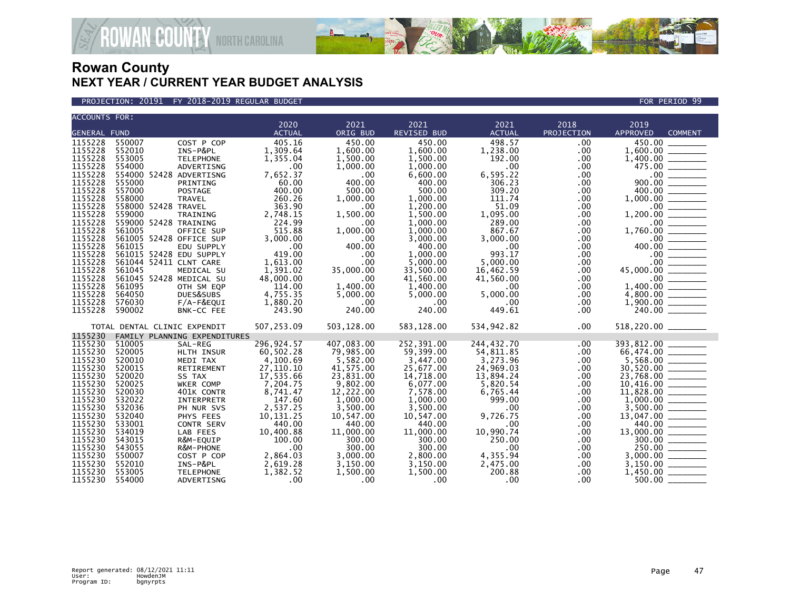

PROJECTION: 20191 FY 2018-2019 REGULAR BUDGET FOR PERIOD 99

| <b>ACCOUNTS FOR:</b> |                              |                              |               |              |              |                  |            |                                                               |                |
|----------------------|------------------------------|------------------------------|---------------|--------------|--------------|------------------|------------|---------------------------------------------------------------|----------------|
|                      |                              |                              | 2020          | 2021         | 2021         | 2021             | 2018       | 2019                                                          |                |
| GENERAL FUND         |                              |                              | <b>ACTUAL</b> | ORIG BUD     | REVISED BUD  | <b>ACTUAL</b>    | PROJECTION | APPROVED                                                      | <b>COMMENT</b> |
| 1155228              | 550007                       | COST P COP                   | 405.16        | 450.00       | 450.00       | 498.57           | .00        | 450.00                                                        |                |
| 1155228              | 552010                       | INS-P&PL                     | 1,309.64      | 1,600.00     | 1,600.00     | 1,238.00         | .00        |                                                               |                |
| 1155228              | 553005                       | <b>TELEPHONE</b>             | 1,355.04      | 1,500.00     | 1,500.00     | 192.00           | .00        |                                                               |                |
| 1155228              | 554000                       | ADVERTISNG                   | .00           | 1,000.00     | 1,000.00     | $.00 \,$         | .00        |                                                               |                |
| 1155228              | 554000 52428 ADVERTISNG      |                              | 7,652.37      | .00          | 6,600.00     | 6,595.22         | .00        | .00                                                           |                |
| 1155228              | 555000                       | PRINTING                     | 60.00         | 400.00       | 400.00       | 306.23           | .00        | 900.00                                                        |                |
| 1155228              | 557000                       | <b>POSTAGE</b>               | 400.00        | 500.00       | 500.00       | 309.20           | .00.       | 400.00                                                        |                |
| 1155228              | 558000                       | <b>TRAVEL</b>                | 260.26        | 1,000.00     | 1,000.00     | 111.74           | .00        | $1,000.00$<br>$0$ 00<br>$1,200.00$                            |                |
| 1155228              | 558000 52428 TRAVEL          |                              | 363.90        | .00          | 1,200.00     | 51.09            | .00        |                                                               |                |
| 1155228              | 559000                       | TRAINING                     | 2,748.15      | 1,500.00     | 1,500.00     | 1,095.00         | .00        |                                                               |                |
| 1155228              | 559000 52428 TRAINING        |                              | 224.99        | .00          | 1,000.00     | 289.00           | .00        | .00                                                           |                |
| 1155228              | 561005                       | OFFICE SUP                   | 515.88        | 1,000.00     | 1,000.00     | 867.67           | .00        | 1,760.00                                                      |                |
| 1155228              | 561005 52428 OFFICE SUP      |                              | 3,000.00      | .00          | 3,000.00     | 3,000.00         | .00.       | $.00 \,$                                                      |                |
| 1155228              | 561015                       | EDU SUPPLY                   | .00           | 400.00       | 400.00       | .00              | .00        | 400.00                                                        |                |
| 1155228              | 561015 52428 EDU SUPPLY      |                              | 419.00        | .00          | 1,000.00     | 993.17           | .00        | $.00 \,$                                                      |                |
| 1155228              | 561044 52411 CLNT CARE       |                              | 1,613.00      | .00          | 5,000.00     | 5,000.00         | .00        | .00 <sub>1</sub>                                              |                |
| 1155228              | 561045                       | MEDICAL SU                   | 1,391.02      | 35,000.00    | 33,500.00    | 16,462.59        | .00        | 45,000.00                                                     |                |
| 1155228              | 561045 52428 MEDICAL SU      |                              | 48,000.00     | .00          | 41,560.00    | 41,560.00        | .00        | $.00 \,$                                                      |                |
| 1155228              | 561095                       | OTH SM EQP                   | 114.00        | 1,400.00     | 1,400.00     | .00              | $.00 \,$   | 1,400.00                                                      |                |
| 1155228              | 564050                       | DUES&SUBS                    | 4,755.35      | 5,000.00     | 5,000.00     | 5,000.00         | .00        |                                                               |                |
| 1155228              | 576030                       | $F/A-F&EQUI$                 | 1,880.20      | .00          | .00          | $.00 \,$         | .00.       |                                                               |                |
| 1155228              | 590002                       | BNK-CC FEE                   | 243.90        | 240.00       | 240.00       | 449.61           | .00.       | $4,800.00$<br>1,900.00<br>240.00                              |                |
|                      |                              |                              |               |              |              |                  |            |                                                               |                |
|                      | TOTAL DENTAL CLINIC EXPENDIT |                              | 507,253.09    | 503,128.00   | 583,128.00   | 534,942.82       | .00        | 518,220.00 _______                                            |                |
| 1155230              |                              | FAMILY PLANNING EXPENDITURES |               |              |              |                  |            |                                                               |                |
| 1155230              | 510005                       | SAL-REG                      | 296,924.57    | 407,083.00   | 252,391.00   | 244,432.70       | .00        | 393,812.00                                                    |                |
| 1155230              | 520005                       | HLTH INSUR                   | 60,502.28     | 79,985.00    | 59,399.00    | 54,811.85        | .00        | 66,474.00                                                     |                |
| 1155230              | 520010                       | MEDI TAX                     | 4,100.69      | 5,582.00     | 3,447.00     | 3,273.96         | .00        |                                                               |                |
| 1155230              | 520015                       | RETIREMENT                   | 27,110.10     | 41,575.00    | 25,677.00    | 24,969.03        | .00        | $\frac{5,568.00}{30,520.00}$                                  |                |
| 1155230              | 520020                       | SS TAX                       | 17,535.66     | 23,831.00    | 14,718.00    | 13,894.24        | .00        |                                                               |                |
| 1155230              | 520025                       | WKER COMP                    | 7,204.75      | 9,802.00     | 6,077.00     | 5,820.54         | .00        | $23,768.00$<br>10,416.00<br>11,828.00<br>1,000.00<br>3,500.00 |                |
| 1155230              | 520030                       | 401K CONTR                   | 8,741.47      | 12,222.00    | 7,578.00     | 6,765.44         | .00        |                                                               |                |
| 1155230              | 532022                       | INTERPRETR                   | 147.60        | 1,000.00     | 1,000.00     | 999.00           | .00        |                                                               |                |
| 1155230              | 532036                       | PH NUR SVS                   | 2,537.25      | 3,500.00     | 3,500.00     | $.00 \,$         | .00        |                                                               |                |
| 1155230              | 532040                       | PHYS FEES                    | 10, 131.25    | 10,547.00    | 10,547.00    | 9,726.75         | .00        |                                                               |                |
| 1155230              | 533001                       | <b>CONTR SERV</b>            | 440.00        | 440.00       | 440.00       | .00 <sub>1</sub> | .00        |                                                               |                |
| 1155230              | 534019                       | LAB FEES                     | 10,400.88     | 11,000.00    | 11,000.00    | 10,990.74        | .00        | 13,000.00                                                     |                |
| 1155230              | 543015                       | R&M-EQUIP                    | 100.00        | 300.00       | 300.00       | 250.00           | .00.       | $\frac{000.00}{300.00}$                                       |                |
| 1155230              | 543055                       | R&M-PHONE                    | .00           | 300.00       | 300.00       | $.00 \,$         | .00        |                                                               |                |
| 1155230              | 550007                       | COST P COP                   | 2,864.03      | 3,000.00     | 2,800.00     | 4,355.94         | .00.       |                                                               |                |
| 1155230              | 552010                       | INS-P&PL                     | 2,619.28      | 3,150.00     | 3,150.00     | 2,475.00         | .00.       |                                                               |                |
| 1155230              | 553005                       | <b>TELEPHONE</b>             | 1,382.52      | 1,500.00     | 1,500.00     | 200.88           | .00        | 1,450.00                                                      |                |
| 1155230              | 554000                       | ADVERTISNG                   | .00           | $.00 \times$ | $.00 \times$ | $.00 \times$     | .00        | 500.00                                                        |                |
|                      |                              |                              |               |              |              |                  |            |                                                               |                |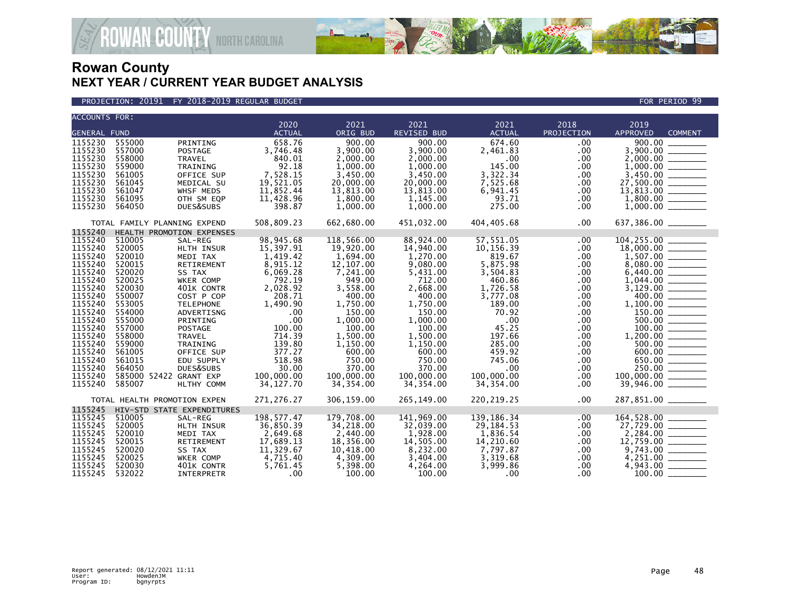

**JAN<sup>&</sup>COUNTY** NORTH CAROLINA

| <b>ACCOUNTS FOR:</b> |                  |                              |                       |                    |                     |                       |                      |                                                                                                                                                                                                                                                                                                                                                                                         |
|----------------------|------------------|------------------------------|-----------------------|--------------------|---------------------|-----------------------|----------------------|-----------------------------------------------------------------------------------------------------------------------------------------------------------------------------------------------------------------------------------------------------------------------------------------------------------------------------------------------------------------------------------------|
| <b>GENERAL FUND</b>  |                  |                              | 2020<br><b>ACTUAL</b> | 2021<br>ORIG BUD   | 2021<br>REVISED BUD | 2021<br><b>ACTUAL</b> | 2018<br>PROJECTION   | 2019<br><b>APPROVED</b><br><b>COMMENT</b>                                                                                                                                                                                                                                                                                                                                               |
| 1155230              | 555000           | PRINTING                     | 658.76                | 900.00             | 900.00              | 674.60                | .00                  |                                                                                                                                                                                                                                                                                                                                                                                         |
| 1155230              | 557000           | POSTAGE                      | 3,746.48              | 3,900.00           | 3,900.00            | 2,461.83              | .00                  | $\begin{array}{r} 3,900.00 \ \hline 2,000.00 \ \hline 1,000.00 \ \hline 3,450.00 \ \hline 3,450.00 \ \hline 2,000.00 \ \hline 3,450.00 \ \hline 1,800.00 \ \hline 1,800.00 \ \hline 1,000.00 \ \hline \end{array}$                                                                                                                                                                      |
| 1155230              | 558000           | <b>TRAVEL</b>                | 840.01                | 2,000.00           | 2,000.00            | $.00 \,$              | .00                  |                                                                                                                                                                                                                                                                                                                                                                                         |
| 1155230              | 559000           | TRAINING                     | 92.18                 | 1,000.00           | 1,000.00            | 145.00                | .00                  |                                                                                                                                                                                                                                                                                                                                                                                         |
| 1155230              | 561005           | OFFICE SUP                   | 7,528.15              | 3,450.00           | 3,450.00            | 3,322.34              | .00                  |                                                                                                                                                                                                                                                                                                                                                                                         |
| 1155230              | 561045           | MEDICAL SU                   | 19,521.05             | 20,000.00          | 20,000.00           | 7,525.68              | .00.                 |                                                                                                                                                                                                                                                                                                                                                                                         |
| 1155230              | 561047           | WHSF MEDS                    | 11,852.44             | 13,813.00          | 13,813.00           | 6,941.45              | .00                  |                                                                                                                                                                                                                                                                                                                                                                                         |
| 1155230              | 561095           | OTH SM EQP                   | 11,428.96             | 1,800.00           | 1,145.00            | 93.71                 | .00                  |                                                                                                                                                                                                                                                                                                                                                                                         |
| 1155230              | 564050           | DUES&SUBS                    | 398.87                | 1,000.00           | 1,000.00            | 275.00                | .00                  |                                                                                                                                                                                                                                                                                                                                                                                         |
|                      |                  | TOTAL FAMILY PLANNING EXPEND | 508,809.23            | 662,680.00         | 451,032.00          | 404,405.68            | $.00 \,$             | 637,386.00 ________                                                                                                                                                                                                                                                                                                                                                                     |
| 1155240              |                  | HEALTH PROMOTION EXPENSES    |                       |                    |                     |                       |                      |                                                                                                                                                                                                                                                                                                                                                                                         |
| 1155240              | 510005           | SAL-REG                      | 98, 945.68            | 118,566.00         | 88,924.00           | 57,551.05             | .00                  |                                                                                                                                                                                                                                                                                                                                                                                         |
| 1155240              | 520005           | HLTH INSUR                   | 15,397.91             | 19,920.00          | 14,940.00           | 10,156.39             | .00                  |                                                                                                                                                                                                                                                                                                                                                                                         |
| 1155240              | 520010           | MEDI TAX                     | 1,419.42              | 1,694.00           | 1,270.00            | 819.67                | .00                  |                                                                                                                                                                                                                                                                                                                                                                                         |
| 1155240              | 520015           | RETIREMENT                   | 8,915.12              | 12,107.00          | 9,080.00            | 5,875.98              | .00                  |                                                                                                                                                                                                                                                                                                                                                                                         |
| 1155240<br>1155240   | 520020<br>520025 | SS TAX                       | 6,069.28<br>792.19    | 7,241.00<br>949.00 | 5,431.00<br>712.00  | 3,504.83<br>460.86    | .00                  |                                                                                                                                                                                                                                                                                                                                                                                         |
| 1155240              | 520030           | WKER COMP<br>401K CONTR      | 2,028.92              | 3,558.00           | 2,668.00            | 1,726.58              | $.00 \,$<br>$.00 \,$ |                                                                                                                                                                                                                                                                                                                                                                                         |
| 1155240              | 550007           | COST P COP                   | 1208.71               | 400.00             | 400.00              | 3,777.08              | $.00 \,$             |                                                                                                                                                                                                                                                                                                                                                                                         |
| 1155240              | 553005           | <b>TELEPHONE</b>             | 1,490.90              | 1,750.00           | 1,750.00            | 189.00                | .00                  |                                                                                                                                                                                                                                                                                                                                                                                         |
| 1155240              | 554000           | ADVERTISNG                   | .00                   | 150.00             | 150.00              | 70.92                 | $.00 \,$             |                                                                                                                                                                                                                                                                                                                                                                                         |
| 1155240              | 555000           | PRINTING                     | .00                   | 1,000.00           | 1,000.00            | $.00 \,$              | $.00 \,$             |                                                                                                                                                                                                                                                                                                                                                                                         |
| 1155240              | 557000           | POSTAGE                      | 100.00                | 100.00             | 100.00              | 45.25                 | $.00 \,$             |                                                                                                                                                                                                                                                                                                                                                                                         |
| 1155240              | 558000           | <b>TRAVEL</b>                | 714.39                | 1,500.00           | 1,500.00            | 197.66                | $.00 \,$             |                                                                                                                                                                                                                                                                                                                                                                                         |
| 1155240              | 559000           | TRAINING                     | 139.80                | 1,150.00           | 1,150.00            | 285.00                | $.00 \,$             |                                                                                                                                                                                                                                                                                                                                                                                         |
| 1155240              | 561005           | OFFICE SUP                   | 377.27                | 600.00             | 600.00              | 459.92                | $.00 \,$             |                                                                                                                                                                                                                                                                                                                                                                                         |
| 1155240              | 561015           | EDU SUPPLY                   | 518.98                | 750.00             | 750.00              | 745.06                | $.00 \,$             |                                                                                                                                                                                                                                                                                                                                                                                         |
| 1155240              | 564050           | DUES&SUBS                    | 30.00                 | 370.00             | 370.00              | $.00 \,$              | .00                  |                                                                                                                                                                                                                                                                                                                                                                                         |
| 1155240              |                  | 585000 52422 GRANT EXP       | 100,000.00            | 100,000.00         | 100,000.00          | 100,000.00            | .00.                 |                                                                                                                                                                                                                                                                                                                                                                                         |
| 1155240              | 585007           | HLTHY COMM                   | 34,127.70             | 34, 354, 00        | 34,354.00           | 34,354.00             | .00                  | $\begin{array}{r} 104\,, 255\,.\,00\, \underline{\hskip 1mm} \\ 18\,, 000\,. 00\, \underline{\hskip 1mm} \\ 1\, , 507\,. 00\, \underline{\hskip 1mm} \\ 8\, , 080\,. 00\, \underline{\hskip 1mm} \\ 6\, , 440\,. 00\, \underline{\hskip 1mm} \\ 1\, , 044\,. 00\, \underline{\hskip 1mm} \\ 1\, , 044\,. 00\, \underline{\hskip 1mm} \\ 1\, , 044\,. 00\, \underline{\hskip 1mm} \\ 1\$ |
|                      |                  | TOTAL HEALTH PROMOTION EXPEN | 271,276.27            | 306,159.00         | 265,149.00          | 220,219.25            | .00                  | 287,851.00 ________                                                                                                                                                                                                                                                                                                                                                                     |
| 1155245              |                  | HIV-STD STATE EXPENDITURES   |                       |                    |                     |                       |                      |                                                                                                                                                                                                                                                                                                                                                                                         |
| 1155245              | 510005           | SAL-REG                      | 198, 577.47           | 179,708.00         | 141,969.00          | 139,186.34            | $.00 \ \,$           | 164,528.00                                                                                                                                                                                                                                                                                                                                                                              |
| 1155245              | 520005           | HLTH INSUR                   | 36,850.39             | 34,218.00          | 32,039.00           | 29, 184. 53           | .00                  |                                                                                                                                                                                                                                                                                                                                                                                         |
| 1155245              | 520010           | MEDI TAX                     | 2,649.68              | 2,440.00           | 1,928.00            | 1.836.54              | $.00 \,$             |                                                                                                                                                                                                                                                                                                                                                                                         |
| 1155245              | 520015           | RETIREMENT                   | 17,689.13             | 18,356.00          | 14,505.00           | 14,210.60             | $.00 \,$             | $27,729.00$<br>$2,284.00$<br>$12,759.00$<br>$9,743.00$<br>$4,943.00$<br>$4,943.00$<br>$100.00$                                                                                                                                                                                                                                                                                          |
| 1155245              | 520020           | SS TAX                       | 11,329.67             | 10,418.00          | 8,232.00            | 7.797.87              | $.00 \,$             |                                                                                                                                                                                                                                                                                                                                                                                         |
| 1155245              | 520025           | WKER COMP                    | 4,715.40              | 4,309.00           | 3,404.00            | 3,319.68              | $.00 \,$             |                                                                                                                                                                                                                                                                                                                                                                                         |
| 1155245              | 520030           | 401K CONTR                   | 5,761.45              | 5,398.00           | 4,264.00            | 3,999.86              | $.00 \,$             |                                                                                                                                                                                                                                                                                                                                                                                         |
| 1155245              | 532022           | INTERPRETR                   | $.00 \,$              | 100.00             | 100.00              | $.00 \,$              | .00 <sub>1</sub>     |                                                                                                                                                                                                                                                                                                                                                                                         |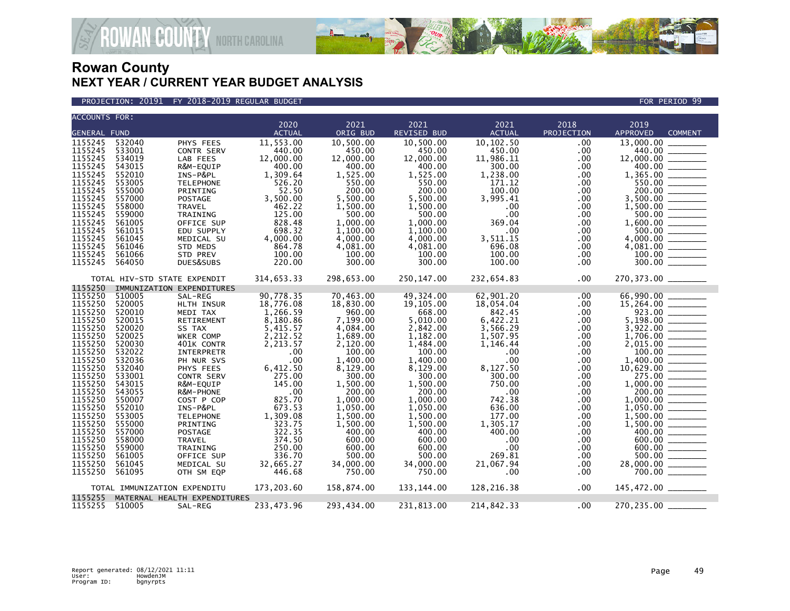

PROJECTION: 20191 FY 2018-2019 REGULAR BUDGET FOR PERIOD 99

| <b>ACCOUNTS FOR:</b> |        |                                         |               |            |                    |                          |             |                                   |  |
|----------------------|--------|-----------------------------------------|---------------|------------|--------------------|--------------------------|-------------|-----------------------------------|--|
|                      |        |                                         | 2020          | 2021       | 2021               | 2021                     | 2018        | 2019                              |  |
| <b>GENERAL FUND</b>  |        |                                         | <b>ACTUAL</b> | ORIG BUD   | REVISED BUD        | <b>ACTUAL</b>            | PROJECTION  | <b>APPROVED</b><br><b>COMMENT</b> |  |
| 1155245              | 532040 | PHYS FEES                               | 11,553.00     | 10,500.00  | 10,500.00          | 10,102.50                | .00.        | 13,000.00                         |  |
| 1155245              | 533001 | <b>CONTR SERV</b>                       | 440.00        | 450.00     | 450.00             | 450.00                   | .00         | 440.00                            |  |
| 1155245              | 534019 | LAB FEES                                | 12,000.00     | 12,000.00  | 12,000.00          | 11,986.11                | .00         | 12,000.00                         |  |
| 1155245              | 543015 | R&M-EQUIP                               | 400.00        | 400.00     | 400.00             | 300.00                   | .00         |                                   |  |
| 1155245              | 552010 | INS-P&PL                                | 1,309.64      | 1,525.00   | 1,525.00           | 1,238.00                 | .00         | 1,365.00                          |  |
| 1155245              | 553005 | <b>TELEPHONE</b>                        | 526.20        | 550.00     | 550.00             | 171.12                   | .00         | 550.00 _______                    |  |
| 1155245              | 555000 | PRINTING                                | 52.50         | 200.00     | 200.00             | 100.00                   | .00         | 200.00                            |  |
| 1155245              | 557000 | POSTAGE                                 | 3,500.00      | 5,500.00   | 5,500.00           | 3,995.41                 | .00         |                                   |  |
| 1155245              | 558000 |                                         |               | 1,500.00   |                    |                          | .00.        |                                   |  |
| 1155245              | 559000 | <b>TRAVEL</b>                           | 462.22        |            | 1,500.00<br>500.00 | $.00 \,$<br>$.00 \times$ |             |                                   |  |
|                      |        | TRAINING                                | 125.00        | 500.00     |                    |                          | .00         | 500.00                            |  |
| 1155245              | 561005 | OFFICE SUP                              | 828.48        | 1,000.00   | 1,000.00           | 369.04                   | .00.        |                                   |  |
| 1155245              | 561015 | EDU SUPPLY                              | 698.32        | 1.100.00   | 1,100,00           | .00                      | .00         | 500.00 _______                    |  |
| 1155245              | 561045 | MEDICAL SU                              | 4,000.00      | 4,000.00   | 4,000.00           | 3,511.15                 | .00.        | 4,000.00                          |  |
| 1155245              | 561046 | STD MEDS                                | 864.78        | 4,081.00   | 4,081.00           | 696.08                   | .00         | 4,081.00                          |  |
| 1155245              | 561066 | STD PREV                                | 100.00        | 100.00     | 100.00             | 100.00                   | .00.        | 100.00                            |  |
| 1155245              | 564050 | DUES&SUBS                               | 220.00        | 300.00     | 300.00             | 100.00                   | .00         | 300.00                            |  |
|                      |        | TOTAL HIV-STD STATE EXPENDIT            | 314,653.33    | 298,653.00 | 250,147.00         | 232,654.83               | .00         |                                   |  |
| 1155250              |        | IMMUNIZATION EXPENDITURES               |               |            |                    |                          |             |                                   |  |
| 1155250              | 510005 | SAL-REG                                 | 90,778.35     | 70,463.00  | 49,324.00          | 62,901.20                | $.00 \cdot$ | 66,990.00                         |  |
| 1155250              | 520005 | HLTH INSUR                              | 18,776.08     | 18,830.00  | 19,105.00          | 18,054.04                | .00         | 15,264.00                         |  |
| 1155250              | 520010 | MEDI TAX                                | 1,266.59      | 960.00     | 668.00             | 842.45                   | .00         | 923.00                            |  |
| 1155250              | 520015 | RETIREMENT                              | 8,180.86      | 7,199.00   | 5,010.00           | 6,422.21                 | .00         |                                   |  |
| 1155250              | 520020 | SS TAX                                  | 5,415.57      | 4,084.00   | 2,842.00           | 3,566.29                 | .00.        | 3,922.00                          |  |
| 1155250              | 520025 | WKER COMP                               | 2,212.52      | 1,689.00   | 1,182.00           | 1,507.95                 | .00         | 1,706.00                          |  |
| 1155250              | 520030 |                                         | 2,213.57      | 2,120.00   | 1,484.00           | 1,146.44                 | .00.        | 2,015.00                          |  |
| 1155250              |        | 401K CONTR                              |               |            |                    |                          |             |                                   |  |
|                      | 532022 | INTERPRETR                              | .00           | 100.00     | 100.00             | .00                      | .00         | 100.00                            |  |
| 1155250              | 532036 | PH NUR SVS                              | .00           | 1,400.00   | 1,400.00           | .00                      | .00.        | 1,400.00                          |  |
| 1155250              | 532040 | PHYS FEES                               | 6,412.50      | 8,129.00   | 8,129.00           | 8,127.50                 | .00         | 10,629.00                         |  |
| 1155250              | 533001 | <b>CONTR SERV</b>                       | 275.00        | 300.00     | 300.00             | 300.00                   | .00         | 275.00                            |  |
| 1155250              | 543015 | R&M-EQUIP                               | 145.00        | 1,500.00   | 1,500.00           | 750.00                   | .00.        | 1,000.00                          |  |
| 1155250              | 543055 | R&M-PHONE                               | .00           | 200.00     | 200.00             | .00                      | .00         |                                   |  |
| 1155250              | 550007 | COST P COP                              | 825.70        | 1,000.00   | 1,000.00           | 742.38                   | .00.        | 1,000.00                          |  |
| 1155250              | 552010 | INS-P&PL                                | 673.53        | 1,050.00   | 1,050.00           | 636.00                   | .00         |                                   |  |
| 1155250              | 553005 | <b>TELEPHONE</b>                        | 1,309.08      | 1,500.00   | 1,500.00           | 177.00                   | .00.        |                                   |  |
| 1155250              | 555000 | PRINTING                                | 323.75        | 1,500.00   | 1,500.00           | 1,305.17                 | .00         |                                   |  |
| 1155250              | 557000 | POSTAGE                                 | 322.35        | 400.00     | 400.00             | 400.00                   | .00.        | 400.00                            |  |
| 1155250              | 558000 | TRAVEL                                  | 374.50        | 600.00     | 600.00             | .00                      | .00         |                                   |  |
| 1155250              | 559000 | TRAINING                                | 250.00        | 600.00     | 600.00             | .00                      | .00.        |                                   |  |
| 1155250              | 561005 | OFFICE SUP                              | 336.70        | 500.00     | 500.00             | 269.81                   | .00.        | 500.00                            |  |
| 1155250              | 561045 | MEDICAL SU                              | 32,665.27     | 34,000.00  | 34,000.00          | 21,067.94                | .00         | 28,000.00                         |  |
| 1155250              | 561095 | OTH SM EQP                              | 446.68        | 750.00     | 750.00             | .00                      | .00         | 700.00                            |  |
|                      |        | TOTAL IMMUNIZATION EXPENDITU            | 173,203.60    | 158,874.00 | 133,144.00         | 128,216.38               | .00         |                                   |  |
| 1155255              |        |                                         |               |            |                    |                          |             |                                   |  |
| 1155255              | 510005 | MATERNAL HEALTH EXPENDITURES<br>SAL-REG | 233,473.96    | 293,434.00 | 231,813.00         | 214,842.33               | .00.        | 270,235.00                        |  |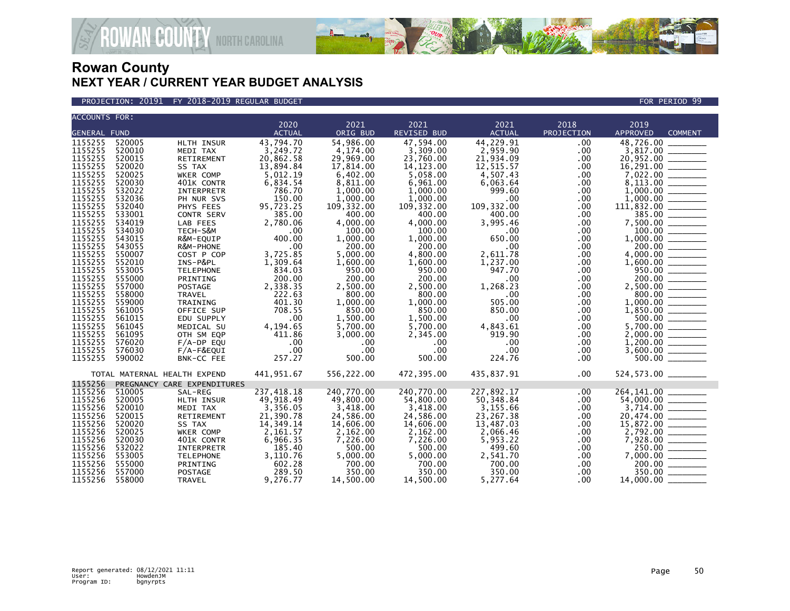

PROJECTION: 20191 FY 2018-2019 REGULAR BUDGET FOR PERIOD 99

| <b>ACCOUNTS FOR:</b><br>2020<br>2021<br>2021<br>2021<br>2018<br>2019<br><b>GENERAL FUND</b><br><b>ACTUAL</b><br>REVISED BUD<br><b>ACTUAL</b><br>PROJECTION<br><b>APPROVED</b><br><b>COMMENT</b><br>ORIG BUD<br>1155255<br>520005<br>43,794.70<br>54,986.00<br>47,594.00<br>44,229.91<br>48,726.00<br>HLTH INSUR<br>.00<br>3,249.72<br>1155255<br>520010<br>4,174.00<br>3,309.00<br>2,959.90<br>MEDI TAX<br>.00<br>1155255<br>20,952.00<br>520015<br>20,862.58<br>29,969.00<br>23,760.00<br>21,934.09<br>RETIREMENT<br>.00<br>1155255<br>520020<br>13,894.84<br>17,814.00<br>14, 123.00<br>12,515.57<br>SS TAX<br>.00<br>$7,022.00$ $\overline{\hspace{1cm}}$<br>8,113.00 $\overline{\hspace{1cm}}$<br>520025<br>WKER COMP<br>5,012.19<br>6,402.00<br>5,058.00<br>4,507.43<br>.00<br>520030<br>6,834.54<br>8,811.00<br>6,961.00<br>6,063.64<br>.00<br>401K CONTR<br>532022<br>786.70<br>999.60<br>1,000.00<br>1,000.00<br>INTERPRETR<br>.00<br>532036<br>150.00<br>1.000.00<br>1.000.00<br>.00<br>.00<br>PH NUR SVS<br>111.832.00<br>532040<br>95,723.25<br>109,332.00<br>109,332.00<br>109,332.00<br>PHYS FEES<br>.00<br>533001<br>385.00<br>385.00<br>400.00<br>400.00<br>.00<br>400.00<br>CONTR SERV<br>534019<br>$7,500.00$<br>$100.00$<br>$1,000.00$<br>LAB FEES<br>2,780.06<br>4,000.00<br>4,000.00<br>3,995.46<br>.00<br>534030<br>TECH-S&M<br>.00<br>100.00<br>100.00<br>.00<br>.00<br>400.00<br>1,000.00<br>650.00<br>543015<br>1,000.00<br>R&M-EQUIP<br>.00<br>200.00<br>543055<br>.00<br>200.00<br>200.00<br>.00<br>R&M-PHONE<br>.00<br>550007<br>3,725.85<br>2,611.78<br>5,000.00<br>4,800.00<br>.00<br>COST P COP<br>552010<br>1,309.64<br>1,237.00<br>INS-P&PL<br>1,600.00<br>1,600.00<br>.00<br>1155255<br>553005<br>$\frac{950.00}{200.00}$<br>834.03<br>950.00<br>950.00<br>947.70<br><b>TELEPHONE</b><br>.00<br>1155255<br>555000<br>200.00<br>200.00<br>200.00<br>.00<br>.00<br>PRINTING<br>557000<br>2,338.35<br>1,268.23<br>POSTAGE<br>2,500.00<br>2,500.00<br>.00<br>1155255<br>558000<br>222.63<br>800.00<br>800.00<br>.00<br>.00<br>TRAVEL<br>1155255<br>559000<br>401.30<br>1,000.00<br>1,000.00<br>505.00<br>TRAINING<br>.00<br>708.55<br>1155255<br>561005<br>850.00<br>850.00<br>850.00<br>.00<br>OFFICE SUP<br>1155255<br>561015<br>.00<br>1,500.00<br>1.500.00<br>.00<br>500.00<br>.00.<br>EDU SUPPLY<br>1155255<br>561045<br>4,194.65<br>5,700.00<br>5,700.00<br>4,843.61<br>MEDICAL SU<br>.00<br>1155255<br>411.86<br>561095<br>919.90<br>$2,000.00$ ________<br>OTH SM EQP<br>3,000.00<br>2,345.00<br>.00.<br>1155255<br>576020<br>$F/A-DP$ EQU<br>.00<br>$.00 \,$<br>$.00 \times$<br>.00<br>.00<br>1155255<br>576030<br>.00<br>$.00 \,$<br>.00<br>3,600.00<br>$F/A-F&EQUI$<br>.00<br>.00<br>$\begin{array}{cccccccccc} \multicolumn{2}{c}{} & \multicolumn{2}{c}{} & \multicolumn{2}{c}{} & \multicolumn{2}{c}{} & \multicolumn{2}{c}{} & \multicolumn{2}{c}{} & \multicolumn{2}{c}{} & \multicolumn{2}{c}{} & \multicolumn{2}{c}{} & \multicolumn{2}{c}{} & \multicolumn{2}{c}{} & \multicolumn{2}{c}{} & \multicolumn{2}{c}{} & \multicolumn{2}{c}{} & \multicolumn{2}{c}{} & \multicolumn{2}{c}{} & \multicolumn{2}{c}{} & \multicolumn{2}{c}{} & \multicolumn{2}{c}{} & \mult$<br>257.27<br>500.00<br>224.76<br>1155255<br>590002<br>500.00<br>500.00<br>.00<br>BNK-CC FEE<br>441,951.67<br>556,222.00<br>472,395.00<br>435,837.91<br>$.00 \,$<br>TOTAL MATERNAL HEALTH EXPEND<br>PREGNANCY CARE EXPENDITURES<br>237,418.18<br>240,770.00<br>240.770.00<br>227,892.17<br>510005<br>.00<br>SAL-REG<br>520005<br>49,918.49<br>49,800.00<br>54,800.00<br>50,348.84<br>54,000.00 _______<br>HLTH INSUR<br>.00<br>520010<br>3,356.05<br>3,155.66<br>3,418.00<br>3,418.00<br>.00<br>3,714.00<br>MEDI TAX<br>$\overline{\phantom{a}}$<br>520015<br>21,390.78<br>24,586.00<br>24,586.00<br>23,267.38<br>.00<br>RETIREMENT<br>$15,872.00$<br>$2,792.00$<br>$7,928.00$<br>520020<br>14,349.14<br>14,606.00<br>14,606.00<br>13,487.03<br>SS TAX<br>.00<br>520025<br>2,161.57<br>2,162.00<br>2,162.00<br>2,066.46<br>.00<br>WKER COMP<br>520030<br>5,953.22<br>6,966.35<br>7,226.00<br>7,226.00<br>401K CONTR<br>.00.<br>250.00<br>532022<br>185.40<br>500.00<br>500.00<br>499.60<br>INTERPRETR<br>.00<br>553005<br>7,000.00<br>3,110.76<br>5,000.00<br>5,000.00<br>2,541.70<br>.00<br><b>TELEPHONE</b><br><u>a shekara ta 1999</u><br>555000<br>700.00<br>700.00<br>200.00<br>602.28<br>700.00<br>PRINTING<br>.00<br>557000<br>289.50<br>350.00<br>POSTAGE<br>350.00<br>350.00<br>350.00<br>.00 |         |        |        |          |           |           |          |          |           |  |
|---------------------------------------------------------------------------------------------------------------------------------------------------------------------------------------------------------------------------------------------------------------------------------------------------------------------------------------------------------------------------------------------------------------------------------------------------------------------------------------------------------------------------------------------------------------------------------------------------------------------------------------------------------------------------------------------------------------------------------------------------------------------------------------------------------------------------------------------------------------------------------------------------------------------------------------------------------------------------------------------------------------------------------------------------------------------------------------------------------------------------------------------------------------------------------------------------------------------------------------------------------------------------------------------------------------------------------------------------------------------------------------------------------------------------------------------------------------------------------------------------------------------------------------------------------------------------------------------------------------------------------------------------------------------------------------------------------------------------------------------------------------------------------------------------------------------------------------------------------------------------------------------------------------------------------------------------------------------------------------------------------------------------------------------------------------------------------------------------------------------------------------------------------------------------------------------------------------------------------------------------------------------------------------------------------------------------------------------------------------------------------------------------------------------------------------------------------------------------------------------------------------------------------------------------------------------------------------------------------------------------------------------------------------------------------------------------------------------------------------------------------------------------------------------------------------------------------------------------------------------------------------------------------------------------------------------------------------------------------------------------------------------------------------------------------------------------------------------------------------------------------------------------------------------------------------------------------------------------------------------------------------------------------------------------------------------------------------------------------------------------------------------------------------------------------------------------------------------------------------------------------------------------------------------------------------------------------------------------------------------------------------------------------------------------------------------------------------------------------------------------------------------------------------------------------------------------------------------------------------------------------------------------------------------------------------------------------------------------------------------------------------------------------------------------------------------------------------------------------------------------------------------------------------------------------------------------------------------------------------------------------------------------------------------------------------------------------------------------------------------------------------------------------------------------------------------------------------------------------------------------------------------------|---------|--------|--------|----------|-----------|-----------|----------|----------|-----------|--|
|                                                                                                                                                                                                                                                                                                                                                                                                                                                                                                                                                                                                                                                                                                                                                                                                                                                                                                                                                                                                                                                                                                                                                                                                                                                                                                                                                                                                                                                                                                                                                                                                                                                                                                                                                                                                                                                                                                                                                                                                                                                                                                                                                                                                                                                                                                                                                                                                                                                                                                                                                                                                                                                                                                                                                                                                                                                                                                                                                                                                                                                                                                                                                                                                                                                                                                                                                                                                                                                                                                                                                                                                                                                                                                                                                                                                                                                                                                                                                                                                                                                                                                                                                                                                                                                                                                                                                                                                                                                                                                                           |         |        |        |          |           |           |          |          |           |  |
|                                                                                                                                                                                                                                                                                                                                                                                                                                                                                                                                                                                                                                                                                                                                                                                                                                                                                                                                                                                                                                                                                                                                                                                                                                                                                                                                                                                                                                                                                                                                                                                                                                                                                                                                                                                                                                                                                                                                                                                                                                                                                                                                                                                                                                                                                                                                                                                                                                                                                                                                                                                                                                                                                                                                                                                                                                                                                                                                                                                                                                                                                                                                                                                                                                                                                                                                                                                                                                                                                                                                                                                                                                                                                                                                                                                                                                                                                                                                                                                                                                                                                                                                                                                                                                                                                                                                                                                                                                                                                                                           |         |        |        |          |           |           |          |          |           |  |
|                                                                                                                                                                                                                                                                                                                                                                                                                                                                                                                                                                                                                                                                                                                                                                                                                                                                                                                                                                                                                                                                                                                                                                                                                                                                                                                                                                                                                                                                                                                                                                                                                                                                                                                                                                                                                                                                                                                                                                                                                                                                                                                                                                                                                                                                                                                                                                                                                                                                                                                                                                                                                                                                                                                                                                                                                                                                                                                                                                                                                                                                                                                                                                                                                                                                                                                                                                                                                                                                                                                                                                                                                                                                                                                                                                                                                                                                                                                                                                                                                                                                                                                                                                                                                                                                                                                                                                                                                                                                                                                           |         |        |        |          |           |           |          |          |           |  |
|                                                                                                                                                                                                                                                                                                                                                                                                                                                                                                                                                                                                                                                                                                                                                                                                                                                                                                                                                                                                                                                                                                                                                                                                                                                                                                                                                                                                                                                                                                                                                                                                                                                                                                                                                                                                                                                                                                                                                                                                                                                                                                                                                                                                                                                                                                                                                                                                                                                                                                                                                                                                                                                                                                                                                                                                                                                                                                                                                                                                                                                                                                                                                                                                                                                                                                                                                                                                                                                                                                                                                                                                                                                                                                                                                                                                                                                                                                                                                                                                                                                                                                                                                                                                                                                                                                                                                                                                                                                                                                                           |         |        |        |          |           |           |          |          |           |  |
|                                                                                                                                                                                                                                                                                                                                                                                                                                                                                                                                                                                                                                                                                                                                                                                                                                                                                                                                                                                                                                                                                                                                                                                                                                                                                                                                                                                                                                                                                                                                                                                                                                                                                                                                                                                                                                                                                                                                                                                                                                                                                                                                                                                                                                                                                                                                                                                                                                                                                                                                                                                                                                                                                                                                                                                                                                                                                                                                                                                                                                                                                                                                                                                                                                                                                                                                                                                                                                                                                                                                                                                                                                                                                                                                                                                                                                                                                                                                                                                                                                                                                                                                                                                                                                                                                                                                                                                                                                                                                                                           |         |        |        |          |           |           |          |          |           |  |
|                                                                                                                                                                                                                                                                                                                                                                                                                                                                                                                                                                                                                                                                                                                                                                                                                                                                                                                                                                                                                                                                                                                                                                                                                                                                                                                                                                                                                                                                                                                                                                                                                                                                                                                                                                                                                                                                                                                                                                                                                                                                                                                                                                                                                                                                                                                                                                                                                                                                                                                                                                                                                                                                                                                                                                                                                                                                                                                                                                                                                                                                                                                                                                                                                                                                                                                                                                                                                                                                                                                                                                                                                                                                                                                                                                                                                                                                                                                                                                                                                                                                                                                                                                                                                                                                                                                                                                                                                                                                                                                           |         |        |        |          |           |           |          |          |           |  |
|                                                                                                                                                                                                                                                                                                                                                                                                                                                                                                                                                                                                                                                                                                                                                                                                                                                                                                                                                                                                                                                                                                                                                                                                                                                                                                                                                                                                                                                                                                                                                                                                                                                                                                                                                                                                                                                                                                                                                                                                                                                                                                                                                                                                                                                                                                                                                                                                                                                                                                                                                                                                                                                                                                                                                                                                                                                                                                                                                                                                                                                                                                                                                                                                                                                                                                                                                                                                                                                                                                                                                                                                                                                                                                                                                                                                                                                                                                                                                                                                                                                                                                                                                                                                                                                                                                                                                                                                                                                                                                                           |         |        |        |          |           |           |          |          |           |  |
|                                                                                                                                                                                                                                                                                                                                                                                                                                                                                                                                                                                                                                                                                                                                                                                                                                                                                                                                                                                                                                                                                                                                                                                                                                                                                                                                                                                                                                                                                                                                                                                                                                                                                                                                                                                                                                                                                                                                                                                                                                                                                                                                                                                                                                                                                                                                                                                                                                                                                                                                                                                                                                                                                                                                                                                                                                                                                                                                                                                                                                                                                                                                                                                                                                                                                                                                                                                                                                                                                                                                                                                                                                                                                                                                                                                                                                                                                                                                                                                                                                                                                                                                                                                                                                                                                                                                                                                                                                                                                                                           | 1155255 |        |        |          |           |           |          |          |           |  |
|                                                                                                                                                                                                                                                                                                                                                                                                                                                                                                                                                                                                                                                                                                                                                                                                                                                                                                                                                                                                                                                                                                                                                                                                                                                                                                                                                                                                                                                                                                                                                                                                                                                                                                                                                                                                                                                                                                                                                                                                                                                                                                                                                                                                                                                                                                                                                                                                                                                                                                                                                                                                                                                                                                                                                                                                                                                                                                                                                                                                                                                                                                                                                                                                                                                                                                                                                                                                                                                                                                                                                                                                                                                                                                                                                                                                                                                                                                                                                                                                                                                                                                                                                                                                                                                                                                                                                                                                                                                                                                                           | 1155255 |        |        |          |           |           |          |          |           |  |
|                                                                                                                                                                                                                                                                                                                                                                                                                                                                                                                                                                                                                                                                                                                                                                                                                                                                                                                                                                                                                                                                                                                                                                                                                                                                                                                                                                                                                                                                                                                                                                                                                                                                                                                                                                                                                                                                                                                                                                                                                                                                                                                                                                                                                                                                                                                                                                                                                                                                                                                                                                                                                                                                                                                                                                                                                                                                                                                                                                                                                                                                                                                                                                                                                                                                                                                                                                                                                                                                                                                                                                                                                                                                                                                                                                                                                                                                                                                                                                                                                                                                                                                                                                                                                                                                                                                                                                                                                                                                                                                           | 1155255 |        |        |          |           |           |          |          |           |  |
|                                                                                                                                                                                                                                                                                                                                                                                                                                                                                                                                                                                                                                                                                                                                                                                                                                                                                                                                                                                                                                                                                                                                                                                                                                                                                                                                                                                                                                                                                                                                                                                                                                                                                                                                                                                                                                                                                                                                                                                                                                                                                                                                                                                                                                                                                                                                                                                                                                                                                                                                                                                                                                                                                                                                                                                                                                                                                                                                                                                                                                                                                                                                                                                                                                                                                                                                                                                                                                                                                                                                                                                                                                                                                                                                                                                                                                                                                                                                                                                                                                                                                                                                                                                                                                                                                                                                                                                                                                                                                                                           | 1155255 |        |        |          |           |           |          |          |           |  |
|                                                                                                                                                                                                                                                                                                                                                                                                                                                                                                                                                                                                                                                                                                                                                                                                                                                                                                                                                                                                                                                                                                                                                                                                                                                                                                                                                                                                                                                                                                                                                                                                                                                                                                                                                                                                                                                                                                                                                                                                                                                                                                                                                                                                                                                                                                                                                                                                                                                                                                                                                                                                                                                                                                                                                                                                                                                                                                                                                                                                                                                                                                                                                                                                                                                                                                                                                                                                                                                                                                                                                                                                                                                                                                                                                                                                                                                                                                                                                                                                                                                                                                                                                                                                                                                                                                                                                                                                                                                                                                                           | 1155255 |        |        |          |           |           |          |          |           |  |
|                                                                                                                                                                                                                                                                                                                                                                                                                                                                                                                                                                                                                                                                                                                                                                                                                                                                                                                                                                                                                                                                                                                                                                                                                                                                                                                                                                                                                                                                                                                                                                                                                                                                                                                                                                                                                                                                                                                                                                                                                                                                                                                                                                                                                                                                                                                                                                                                                                                                                                                                                                                                                                                                                                                                                                                                                                                                                                                                                                                                                                                                                                                                                                                                                                                                                                                                                                                                                                                                                                                                                                                                                                                                                                                                                                                                                                                                                                                                                                                                                                                                                                                                                                                                                                                                                                                                                                                                                                                                                                                           | 1155255 |        |        |          |           |           |          |          |           |  |
|                                                                                                                                                                                                                                                                                                                                                                                                                                                                                                                                                                                                                                                                                                                                                                                                                                                                                                                                                                                                                                                                                                                                                                                                                                                                                                                                                                                                                                                                                                                                                                                                                                                                                                                                                                                                                                                                                                                                                                                                                                                                                                                                                                                                                                                                                                                                                                                                                                                                                                                                                                                                                                                                                                                                                                                                                                                                                                                                                                                                                                                                                                                                                                                                                                                                                                                                                                                                                                                                                                                                                                                                                                                                                                                                                                                                                                                                                                                                                                                                                                                                                                                                                                                                                                                                                                                                                                                                                                                                                                                           | 1155255 |        |        |          |           |           |          |          |           |  |
|                                                                                                                                                                                                                                                                                                                                                                                                                                                                                                                                                                                                                                                                                                                                                                                                                                                                                                                                                                                                                                                                                                                                                                                                                                                                                                                                                                                                                                                                                                                                                                                                                                                                                                                                                                                                                                                                                                                                                                                                                                                                                                                                                                                                                                                                                                                                                                                                                                                                                                                                                                                                                                                                                                                                                                                                                                                                                                                                                                                                                                                                                                                                                                                                                                                                                                                                                                                                                                                                                                                                                                                                                                                                                                                                                                                                                                                                                                                                                                                                                                                                                                                                                                                                                                                                                                                                                                                                                                                                                                                           | 1155255 |        |        |          |           |           |          |          |           |  |
|                                                                                                                                                                                                                                                                                                                                                                                                                                                                                                                                                                                                                                                                                                                                                                                                                                                                                                                                                                                                                                                                                                                                                                                                                                                                                                                                                                                                                                                                                                                                                                                                                                                                                                                                                                                                                                                                                                                                                                                                                                                                                                                                                                                                                                                                                                                                                                                                                                                                                                                                                                                                                                                                                                                                                                                                                                                                                                                                                                                                                                                                                                                                                                                                                                                                                                                                                                                                                                                                                                                                                                                                                                                                                                                                                                                                                                                                                                                                                                                                                                                                                                                                                                                                                                                                                                                                                                                                                                                                                                                           | 1155255 |        |        |          |           |           |          |          |           |  |
|                                                                                                                                                                                                                                                                                                                                                                                                                                                                                                                                                                                                                                                                                                                                                                                                                                                                                                                                                                                                                                                                                                                                                                                                                                                                                                                                                                                                                                                                                                                                                                                                                                                                                                                                                                                                                                                                                                                                                                                                                                                                                                                                                                                                                                                                                                                                                                                                                                                                                                                                                                                                                                                                                                                                                                                                                                                                                                                                                                                                                                                                                                                                                                                                                                                                                                                                                                                                                                                                                                                                                                                                                                                                                                                                                                                                                                                                                                                                                                                                                                                                                                                                                                                                                                                                                                                                                                                                                                                                                                                           | 1155255 |        |        |          |           |           |          |          |           |  |
|                                                                                                                                                                                                                                                                                                                                                                                                                                                                                                                                                                                                                                                                                                                                                                                                                                                                                                                                                                                                                                                                                                                                                                                                                                                                                                                                                                                                                                                                                                                                                                                                                                                                                                                                                                                                                                                                                                                                                                                                                                                                                                                                                                                                                                                                                                                                                                                                                                                                                                                                                                                                                                                                                                                                                                                                                                                                                                                                                                                                                                                                                                                                                                                                                                                                                                                                                                                                                                                                                                                                                                                                                                                                                                                                                                                                                                                                                                                                                                                                                                                                                                                                                                                                                                                                                                                                                                                                                                                                                                                           | 1155255 |        |        |          |           |           |          |          |           |  |
|                                                                                                                                                                                                                                                                                                                                                                                                                                                                                                                                                                                                                                                                                                                                                                                                                                                                                                                                                                                                                                                                                                                                                                                                                                                                                                                                                                                                                                                                                                                                                                                                                                                                                                                                                                                                                                                                                                                                                                                                                                                                                                                                                                                                                                                                                                                                                                                                                                                                                                                                                                                                                                                                                                                                                                                                                                                                                                                                                                                                                                                                                                                                                                                                                                                                                                                                                                                                                                                                                                                                                                                                                                                                                                                                                                                                                                                                                                                                                                                                                                                                                                                                                                                                                                                                                                                                                                                                                                                                                                                           | 1155255 |        |        |          |           |           |          |          |           |  |
|                                                                                                                                                                                                                                                                                                                                                                                                                                                                                                                                                                                                                                                                                                                                                                                                                                                                                                                                                                                                                                                                                                                                                                                                                                                                                                                                                                                                                                                                                                                                                                                                                                                                                                                                                                                                                                                                                                                                                                                                                                                                                                                                                                                                                                                                                                                                                                                                                                                                                                                                                                                                                                                                                                                                                                                                                                                                                                                                                                                                                                                                                                                                                                                                                                                                                                                                                                                                                                                                                                                                                                                                                                                                                                                                                                                                                                                                                                                                                                                                                                                                                                                                                                                                                                                                                                                                                                                                                                                                                                                           |         |        |        |          |           |           |          |          |           |  |
|                                                                                                                                                                                                                                                                                                                                                                                                                                                                                                                                                                                                                                                                                                                                                                                                                                                                                                                                                                                                                                                                                                                                                                                                                                                                                                                                                                                                                                                                                                                                                                                                                                                                                                                                                                                                                                                                                                                                                                                                                                                                                                                                                                                                                                                                                                                                                                                                                                                                                                                                                                                                                                                                                                                                                                                                                                                                                                                                                                                                                                                                                                                                                                                                                                                                                                                                                                                                                                                                                                                                                                                                                                                                                                                                                                                                                                                                                                                                                                                                                                                                                                                                                                                                                                                                                                                                                                                                                                                                                                                           |         |        |        |          |           |           |          |          |           |  |
|                                                                                                                                                                                                                                                                                                                                                                                                                                                                                                                                                                                                                                                                                                                                                                                                                                                                                                                                                                                                                                                                                                                                                                                                                                                                                                                                                                                                                                                                                                                                                                                                                                                                                                                                                                                                                                                                                                                                                                                                                                                                                                                                                                                                                                                                                                                                                                                                                                                                                                                                                                                                                                                                                                                                                                                                                                                                                                                                                                                                                                                                                                                                                                                                                                                                                                                                                                                                                                                                                                                                                                                                                                                                                                                                                                                                                                                                                                                                                                                                                                                                                                                                                                                                                                                                                                                                                                                                                                                                                                                           | 1155255 |        |        |          |           |           |          |          |           |  |
|                                                                                                                                                                                                                                                                                                                                                                                                                                                                                                                                                                                                                                                                                                                                                                                                                                                                                                                                                                                                                                                                                                                                                                                                                                                                                                                                                                                                                                                                                                                                                                                                                                                                                                                                                                                                                                                                                                                                                                                                                                                                                                                                                                                                                                                                                                                                                                                                                                                                                                                                                                                                                                                                                                                                                                                                                                                                                                                                                                                                                                                                                                                                                                                                                                                                                                                                                                                                                                                                                                                                                                                                                                                                                                                                                                                                                                                                                                                                                                                                                                                                                                                                                                                                                                                                                                                                                                                                                                                                                                                           |         |        |        |          |           |           |          |          |           |  |
|                                                                                                                                                                                                                                                                                                                                                                                                                                                                                                                                                                                                                                                                                                                                                                                                                                                                                                                                                                                                                                                                                                                                                                                                                                                                                                                                                                                                                                                                                                                                                                                                                                                                                                                                                                                                                                                                                                                                                                                                                                                                                                                                                                                                                                                                                                                                                                                                                                                                                                                                                                                                                                                                                                                                                                                                                                                                                                                                                                                                                                                                                                                                                                                                                                                                                                                                                                                                                                                                                                                                                                                                                                                                                                                                                                                                                                                                                                                                                                                                                                                                                                                                                                                                                                                                                                                                                                                                                                                                                                                           |         |        |        |          |           |           |          |          |           |  |
|                                                                                                                                                                                                                                                                                                                                                                                                                                                                                                                                                                                                                                                                                                                                                                                                                                                                                                                                                                                                                                                                                                                                                                                                                                                                                                                                                                                                                                                                                                                                                                                                                                                                                                                                                                                                                                                                                                                                                                                                                                                                                                                                                                                                                                                                                                                                                                                                                                                                                                                                                                                                                                                                                                                                                                                                                                                                                                                                                                                                                                                                                                                                                                                                                                                                                                                                                                                                                                                                                                                                                                                                                                                                                                                                                                                                                                                                                                                                                                                                                                                                                                                                                                                                                                                                                                                                                                                                                                                                                                                           |         |        |        |          |           |           |          |          |           |  |
|                                                                                                                                                                                                                                                                                                                                                                                                                                                                                                                                                                                                                                                                                                                                                                                                                                                                                                                                                                                                                                                                                                                                                                                                                                                                                                                                                                                                                                                                                                                                                                                                                                                                                                                                                                                                                                                                                                                                                                                                                                                                                                                                                                                                                                                                                                                                                                                                                                                                                                                                                                                                                                                                                                                                                                                                                                                                                                                                                                                                                                                                                                                                                                                                                                                                                                                                                                                                                                                                                                                                                                                                                                                                                                                                                                                                                                                                                                                                                                                                                                                                                                                                                                                                                                                                                                                                                                                                                                                                                                                           |         |        |        |          |           |           |          |          |           |  |
|                                                                                                                                                                                                                                                                                                                                                                                                                                                                                                                                                                                                                                                                                                                                                                                                                                                                                                                                                                                                                                                                                                                                                                                                                                                                                                                                                                                                                                                                                                                                                                                                                                                                                                                                                                                                                                                                                                                                                                                                                                                                                                                                                                                                                                                                                                                                                                                                                                                                                                                                                                                                                                                                                                                                                                                                                                                                                                                                                                                                                                                                                                                                                                                                                                                                                                                                                                                                                                                                                                                                                                                                                                                                                                                                                                                                                                                                                                                                                                                                                                                                                                                                                                                                                                                                                                                                                                                                                                                                                                                           |         |        |        |          |           |           |          |          |           |  |
|                                                                                                                                                                                                                                                                                                                                                                                                                                                                                                                                                                                                                                                                                                                                                                                                                                                                                                                                                                                                                                                                                                                                                                                                                                                                                                                                                                                                                                                                                                                                                                                                                                                                                                                                                                                                                                                                                                                                                                                                                                                                                                                                                                                                                                                                                                                                                                                                                                                                                                                                                                                                                                                                                                                                                                                                                                                                                                                                                                                                                                                                                                                                                                                                                                                                                                                                                                                                                                                                                                                                                                                                                                                                                                                                                                                                                                                                                                                                                                                                                                                                                                                                                                                                                                                                                                                                                                                                                                                                                                                           |         |        |        |          |           |           |          |          |           |  |
|                                                                                                                                                                                                                                                                                                                                                                                                                                                                                                                                                                                                                                                                                                                                                                                                                                                                                                                                                                                                                                                                                                                                                                                                                                                                                                                                                                                                                                                                                                                                                                                                                                                                                                                                                                                                                                                                                                                                                                                                                                                                                                                                                                                                                                                                                                                                                                                                                                                                                                                                                                                                                                                                                                                                                                                                                                                                                                                                                                                                                                                                                                                                                                                                                                                                                                                                                                                                                                                                                                                                                                                                                                                                                                                                                                                                                                                                                                                                                                                                                                                                                                                                                                                                                                                                                                                                                                                                                                                                                                                           |         |        |        |          |           |           |          |          |           |  |
|                                                                                                                                                                                                                                                                                                                                                                                                                                                                                                                                                                                                                                                                                                                                                                                                                                                                                                                                                                                                                                                                                                                                                                                                                                                                                                                                                                                                                                                                                                                                                                                                                                                                                                                                                                                                                                                                                                                                                                                                                                                                                                                                                                                                                                                                                                                                                                                                                                                                                                                                                                                                                                                                                                                                                                                                                                                                                                                                                                                                                                                                                                                                                                                                                                                                                                                                                                                                                                                                                                                                                                                                                                                                                                                                                                                                                                                                                                                                                                                                                                                                                                                                                                                                                                                                                                                                                                                                                                                                                                                           |         |        |        |          |           |           |          |          |           |  |
|                                                                                                                                                                                                                                                                                                                                                                                                                                                                                                                                                                                                                                                                                                                                                                                                                                                                                                                                                                                                                                                                                                                                                                                                                                                                                                                                                                                                                                                                                                                                                                                                                                                                                                                                                                                                                                                                                                                                                                                                                                                                                                                                                                                                                                                                                                                                                                                                                                                                                                                                                                                                                                                                                                                                                                                                                                                                                                                                                                                                                                                                                                                                                                                                                                                                                                                                                                                                                                                                                                                                                                                                                                                                                                                                                                                                                                                                                                                                                                                                                                                                                                                                                                                                                                                                                                                                                                                                                                                                                                                           |         |        |        |          |           |           |          |          |           |  |
|                                                                                                                                                                                                                                                                                                                                                                                                                                                                                                                                                                                                                                                                                                                                                                                                                                                                                                                                                                                                                                                                                                                                                                                                                                                                                                                                                                                                                                                                                                                                                                                                                                                                                                                                                                                                                                                                                                                                                                                                                                                                                                                                                                                                                                                                                                                                                                                                                                                                                                                                                                                                                                                                                                                                                                                                                                                                                                                                                                                                                                                                                                                                                                                                                                                                                                                                                                                                                                                                                                                                                                                                                                                                                                                                                                                                                                                                                                                                                                                                                                                                                                                                                                                                                                                                                                                                                                                                                                                                                                                           |         |        |        |          |           |           |          |          |           |  |
|                                                                                                                                                                                                                                                                                                                                                                                                                                                                                                                                                                                                                                                                                                                                                                                                                                                                                                                                                                                                                                                                                                                                                                                                                                                                                                                                                                                                                                                                                                                                                                                                                                                                                                                                                                                                                                                                                                                                                                                                                                                                                                                                                                                                                                                                                                                                                                                                                                                                                                                                                                                                                                                                                                                                                                                                                                                                                                                                                                                                                                                                                                                                                                                                                                                                                                                                                                                                                                                                                                                                                                                                                                                                                                                                                                                                                                                                                                                                                                                                                                                                                                                                                                                                                                                                                                                                                                                                                                                                                                                           |         |        |        |          |           |           |          |          |           |  |
|                                                                                                                                                                                                                                                                                                                                                                                                                                                                                                                                                                                                                                                                                                                                                                                                                                                                                                                                                                                                                                                                                                                                                                                                                                                                                                                                                                                                                                                                                                                                                                                                                                                                                                                                                                                                                                                                                                                                                                                                                                                                                                                                                                                                                                                                                                                                                                                                                                                                                                                                                                                                                                                                                                                                                                                                                                                                                                                                                                                                                                                                                                                                                                                                                                                                                                                                                                                                                                                                                                                                                                                                                                                                                                                                                                                                                                                                                                                                                                                                                                                                                                                                                                                                                                                                                                                                                                                                                                                                                                                           | 1155256 |        |        |          |           |           |          |          |           |  |
|                                                                                                                                                                                                                                                                                                                                                                                                                                                                                                                                                                                                                                                                                                                                                                                                                                                                                                                                                                                                                                                                                                                                                                                                                                                                                                                                                                                                                                                                                                                                                                                                                                                                                                                                                                                                                                                                                                                                                                                                                                                                                                                                                                                                                                                                                                                                                                                                                                                                                                                                                                                                                                                                                                                                                                                                                                                                                                                                                                                                                                                                                                                                                                                                                                                                                                                                                                                                                                                                                                                                                                                                                                                                                                                                                                                                                                                                                                                                                                                                                                                                                                                                                                                                                                                                                                                                                                                                                                                                                                                           | 1155256 |        |        |          |           |           |          |          |           |  |
|                                                                                                                                                                                                                                                                                                                                                                                                                                                                                                                                                                                                                                                                                                                                                                                                                                                                                                                                                                                                                                                                                                                                                                                                                                                                                                                                                                                                                                                                                                                                                                                                                                                                                                                                                                                                                                                                                                                                                                                                                                                                                                                                                                                                                                                                                                                                                                                                                                                                                                                                                                                                                                                                                                                                                                                                                                                                                                                                                                                                                                                                                                                                                                                                                                                                                                                                                                                                                                                                                                                                                                                                                                                                                                                                                                                                                                                                                                                                                                                                                                                                                                                                                                                                                                                                                                                                                                                                                                                                                                                           | 1155256 |        |        |          |           |           |          |          |           |  |
|                                                                                                                                                                                                                                                                                                                                                                                                                                                                                                                                                                                                                                                                                                                                                                                                                                                                                                                                                                                                                                                                                                                                                                                                                                                                                                                                                                                                                                                                                                                                                                                                                                                                                                                                                                                                                                                                                                                                                                                                                                                                                                                                                                                                                                                                                                                                                                                                                                                                                                                                                                                                                                                                                                                                                                                                                                                                                                                                                                                                                                                                                                                                                                                                                                                                                                                                                                                                                                                                                                                                                                                                                                                                                                                                                                                                                                                                                                                                                                                                                                                                                                                                                                                                                                                                                                                                                                                                                                                                                                                           | 1155256 |        |        |          |           |           |          |          |           |  |
|                                                                                                                                                                                                                                                                                                                                                                                                                                                                                                                                                                                                                                                                                                                                                                                                                                                                                                                                                                                                                                                                                                                                                                                                                                                                                                                                                                                                                                                                                                                                                                                                                                                                                                                                                                                                                                                                                                                                                                                                                                                                                                                                                                                                                                                                                                                                                                                                                                                                                                                                                                                                                                                                                                                                                                                                                                                                                                                                                                                                                                                                                                                                                                                                                                                                                                                                                                                                                                                                                                                                                                                                                                                                                                                                                                                                                                                                                                                                                                                                                                                                                                                                                                                                                                                                                                                                                                                                                                                                                                                           | 1155256 |        |        |          |           |           |          |          |           |  |
|                                                                                                                                                                                                                                                                                                                                                                                                                                                                                                                                                                                                                                                                                                                                                                                                                                                                                                                                                                                                                                                                                                                                                                                                                                                                                                                                                                                                                                                                                                                                                                                                                                                                                                                                                                                                                                                                                                                                                                                                                                                                                                                                                                                                                                                                                                                                                                                                                                                                                                                                                                                                                                                                                                                                                                                                                                                                                                                                                                                                                                                                                                                                                                                                                                                                                                                                                                                                                                                                                                                                                                                                                                                                                                                                                                                                                                                                                                                                                                                                                                                                                                                                                                                                                                                                                                                                                                                                                                                                                                                           | 1155256 |        |        |          |           |           |          |          |           |  |
|                                                                                                                                                                                                                                                                                                                                                                                                                                                                                                                                                                                                                                                                                                                                                                                                                                                                                                                                                                                                                                                                                                                                                                                                                                                                                                                                                                                                                                                                                                                                                                                                                                                                                                                                                                                                                                                                                                                                                                                                                                                                                                                                                                                                                                                                                                                                                                                                                                                                                                                                                                                                                                                                                                                                                                                                                                                                                                                                                                                                                                                                                                                                                                                                                                                                                                                                                                                                                                                                                                                                                                                                                                                                                                                                                                                                                                                                                                                                                                                                                                                                                                                                                                                                                                                                                                                                                                                                                                                                                                                           | 1155256 |        |        |          |           |           |          |          |           |  |
|                                                                                                                                                                                                                                                                                                                                                                                                                                                                                                                                                                                                                                                                                                                                                                                                                                                                                                                                                                                                                                                                                                                                                                                                                                                                                                                                                                                                                                                                                                                                                                                                                                                                                                                                                                                                                                                                                                                                                                                                                                                                                                                                                                                                                                                                                                                                                                                                                                                                                                                                                                                                                                                                                                                                                                                                                                                                                                                                                                                                                                                                                                                                                                                                                                                                                                                                                                                                                                                                                                                                                                                                                                                                                                                                                                                                                                                                                                                                                                                                                                                                                                                                                                                                                                                                                                                                                                                                                                                                                                                           | 1155256 |        |        |          |           |           |          |          |           |  |
|                                                                                                                                                                                                                                                                                                                                                                                                                                                                                                                                                                                                                                                                                                                                                                                                                                                                                                                                                                                                                                                                                                                                                                                                                                                                                                                                                                                                                                                                                                                                                                                                                                                                                                                                                                                                                                                                                                                                                                                                                                                                                                                                                                                                                                                                                                                                                                                                                                                                                                                                                                                                                                                                                                                                                                                                                                                                                                                                                                                                                                                                                                                                                                                                                                                                                                                                                                                                                                                                                                                                                                                                                                                                                                                                                                                                                                                                                                                                                                                                                                                                                                                                                                                                                                                                                                                                                                                                                                                                                                                           | 1155256 |        |        |          |           |           |          |          |           |  |
|                                                                                                                                                                                                                                                                                                                                                                                                                                                                                                                                                                                                                                                                                                                                                                                                                                                                                                                                                                                                                                                                                                                                                                                                                                                                                                                                                                                                                                                                                                                                                                                                                                                                                                                                                                                                                                                                                                                                                                                                                                                                                                                                                                                                                                                                                                                                                                                                                                                                                                                                                                                                                                                                                                                                                                                                                                                                                                                                                                                                                                                                                                                                                                                                                                                                                                                                                                                                                                                                                                                                                                                                                                                                                                                                                                                                                                                                                                                                                                                                                                                                                                                                                                                                                                                                                                                                                                                                                                                                                                                           | 1155256 |        |        |          |           |           |          |          |           |  |
|                                                                                                                                                                                                                                                                                                                                                                                                                                                                                                                                                                                                                                                                                                                                                                                                                                                                                                                                                                                                                                                                                                                                                                                                                                                                                                                                                                                                                                                                                                                                                                                                                                                                                                                                                                                                                                                                                                                                                                                                                                                                                                                                                                                                                                                                                                                                                                                                                                                                                                                                                                                                                                                                                                                                                                                                                                                                                                                                                                                                                                                                                                                                                                                                                                                                                                                                                                                                                                                                                                                                                                                                                                                                                                                                                                                                                                                                                                                                                                                                                                                                                                                                                                                                                                                                                                                                                                                                                                                                                                                           | 1155256 |        |        |          |           |           |          |          |           |  |
|                                                                                                                                                                                                                                                                                                                                                                                                                                                                                                                                                                                                                                                                                                                                                                                                                                                                                                                                                                                                                                                                                                                                                                                                                                                                                                                                                                                                                                                                                                                                                                                                                                                                                                                                                                                                                                                                                                                                                                                                                                                                                                                                                                                                                                                                                                                                                                                                                                                                                                                                                                                                                                                                                                                                                                                                                                                                                                                                                                                                                                                                                                                                                                                                                                                                                                                                                                                                                                                                                                                                                                                                                                                                                                                                                                                                                                                                                                                                                                                                                                                                                                                                                                                                                                                                                                                                                                                                                                                                                                                           | 1155256 |        |        |          |           |           |          |          |           |  |
|                                                                                                                                                                                                                                                                                                                                                                                                                                                                                                                                                                                                                                                                                                                                                                                                                                                                                                                                                                                                                                                                                                                                                                                                                                                                                                                                                                                                                                                                                                                                                                                                                                                                                                                                                                                                                                                                                                                                                                                                                                                                                                                                                                                                                                                                                                                                                                                                                                                                                                                                                                                                                                                                                                                                                                                                                                                                                                                                                                                                                                                                                                                                                                                                                                                                                                                                                                                                                                                                                                                                                                                                                                                                                                                                                                                                                                                                                                                                                                                                                                                                                                                                                                                                                                                                                                                                                                                                                                                                                                                           | 1155256 | 558000 | TRAVEL | 9,276.77 | 14,500.00 | 14,500.00 | 5,277.64 | $.00 \,$ | 14,000.00 |  |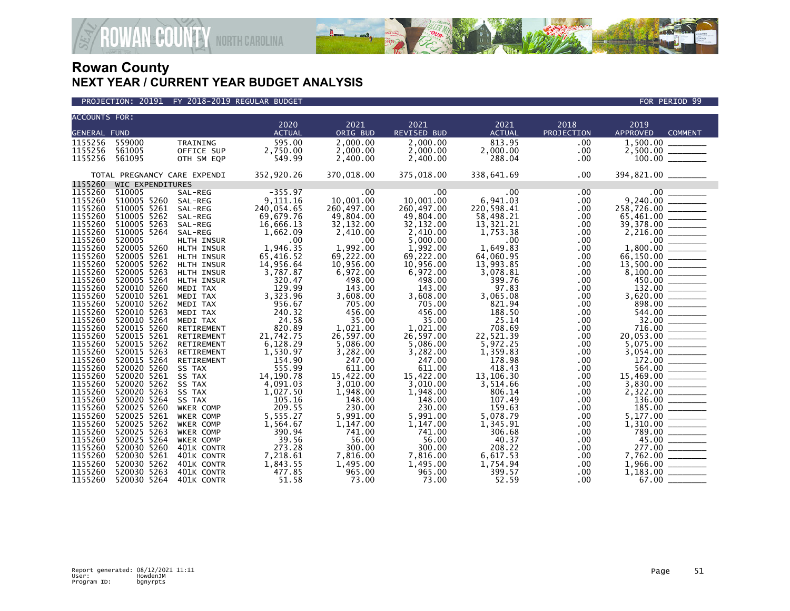

| <b>ACCOUNTS FOR:</b> |                              |                      |                    |                    |                    |                    |            |                                                  |  |
|----------------------|------------------------------|----------------------|--------------------|--------------------|--------------------|--------------------|------------|--------------------------------------------------|--|
|                      |                              |                      | 2020               | 2021               | 2021               | 2021               | 2018       | 2019                                             |  |
| <b>GENERAL FUND</b>  |                              |                      | <b>ACTUAL</b>      | ORIG BUD           | <b>REVISED BUD</b> | <b>ACTUAL</b>      | PROJECTION | <b>APPROVED</b><br><b>COMMENT</b>                |  |
| 1155256              | 559000                       | TRAINING             | 595.00             | 2,000.00           | 2,000.00           | 813.95             | .00        | 1,500.00                                         |  |
| 1155256              | 561005                       | OFFICE SUP           | 2,750.00           | 2,000.00           | 2,000.00           | 2,000.00           | .00        |                                                  |  |
| 1155256              | 561095                       | OTH SM EQP           | 549.99             | 2,400.00           | 2,400.00           | 288.04             | .00        |                                                  |  |
|                      | TOTAL PREGNANCY CARE EXPENDI |                      | 352,920.26         | 370,018.00         | 375,018.00         | 338,641.69         | $.00 \,$   | 394,821.00                                       |  |
| 1155260              | WIC EXPENDITURES             |                      |                    |                    |                    |                    |            |                                                  |  |
| 1155260              | 510005                       | SAL-REG              | $-355.97$          | $.00 \,$           | $.00 \ \,$         | $.00 \times$       | $.00 \,$   |                                                  |  |
| 1155260              | 510005 5260                  | SAL-REG              | 9,111.16           | 10,001.00          | 10,001.00          | 6,941.03           | $.00 \,$   |                                                  |  |
| 1155260              | 510005 5261                  | SAL-REG              | 240,054.65         | 260,497.00         | 260,497.00         | 220,598.41         | .00        | $258,726.00$ $\overline{\hspace{2cm}}$ 65,461.00 |  |
| 1155260              | 510005 5262                  | SAL-REG              | 69,679.76          | 49,804.00          | 49,804.00          | 58,498.21          | .00        |                                                  |  |
| 1155260              | 510005 5263                  | SAL-REG              | 16,666.13          | 32, 132.00         | 32,132.00          | 13,321.21          | .00        | 39,378.00 _______                                |  |
| 1155260              | 510005 5264                  | SAL-REG              | 1,662.09           | 2,410.00           | 2,410.00           | 1,753.38           | .00        | $2,216.00$<br>$00$<br>$1,800.00$<br>$66,150.00$  |  |
| 1155260              | 520005                       | HLTH INSUR           | .00                | .00                | 5,000.00           | .00                | .00        |                                                  |  |
| 1155260              | 520005 5260                  | HLTH INSUR           | 1,946.35           | 1,992.00           | 1,992.00           | 1,649.83           | .00        |                                                  |  |
| 1155260              | 520005 5261                  | HLTH INSUR           | 65,416.52          | 69,222.00          | 69,222.00          | 64,060.95          | .00        |                                                  |  |
| 1155260              | 520005 5262                  | HLTH INSUR           | 14,956.64          | 10,956.00          | 10,956.00          | 13,993.85          | .00        |                                                  |  |
| 1155260              | 520005 5263                  | HLTH INSUR           | 3,787.87           | 6,972.00           | 6,972.00           | 3,078.81           | .00        |                                                  |  |
| 1155260              | 520005 5264                  | HLTH INSUR           | 320.47             | 498.00             | 498.00             | 399.76             | .00        | $\frac{450.00}{132.00}$                          |  |
| 1155260<br>1155260   | 520010 5260<br>520010 5261   | MEDI TAX             | 129.99             | 143.00             | 143.00             | 97.83              | $.00 \,$   |                                                  |  |
| 1155260              | 520010 5262                  | MEDI TAX             | 3,323.96<br>956.67 | 3,608.00<br>705.00 | 3,608.00           | 3,065.08<br>821.94 | .00<br>.00 |                                                  |  |
| 1155260              | 520010 5263                  | MEDI TAX<br>MEDI TAX | 240.32             | 456.00             | 705.00<br>456.00   | 188.50             | .00        | 898.00<br>$544.00$ $\overline{\phantom{277}}$    |  |
| 1155260              | 520010 5264                  | MEDI TAX             | 24.58              | 35.00              | 35.00              | 25.14              | .00        |                                                  |  |
| 1155260              | 520015 5260                  | RETIREMENT           | 820.89             | 1,021.00           | 1,021.00           | 708.69             | $.00 \,$   |                                                  |  |
| 1155260              | 520015 5261                  | RETIREMENT           | 21,742.75          | 26,597.00          | 26,597.00          | 22,521.39          | .00        |                                                  |  |
| 1155260              | 520015 5262                  | RETIREMENT           | 6,128.29           | 5,086.00           | 5,086.00           | 5,972.25           | .00        |                                                  |  |
| 1155260              | 520015 5263                  | RETIREMENT           | 1,530.97           | 3,282.00           | 3,282.00           | 1,359.83           | .00        |                                                  |  |
| 1155260              | 520015 5264                  | RETIREMENT           | 154.90             | 247.00             | 247.00             | 178.98             | .00        |                                                  |  |
| 1155260              | 520020 5260                  | SS TAX               | 555.99             | 611.00             | 611.00             | 418.43             | .00        | 564.00 ______                                    |  |
| 1155260              | 520020 5261                  | SS TAX               | 14, 190. 78        | 15,422.00          | 15,422.00          | 13,106.30          | .00        | 15,469.00 ______                                 |  |
| 1155260              | 520020 5262                  | SS TAX               | 4,091.03           | 3,010.00           | 3,010.00           | 3,514.66           | .00        |                                                  |  |
| 1155260              | 520020 5263                  | SS TAX               | 1,027.50           | 1,948.00           | 1,948.00           | 806.14             | .00        |                                                  |  |
| 1155260              | 520020 5264                  | SS TAX               | 105.16             | 148.00             | 148.00             | 107.49             | .00        |                                                  |  |
| 1155260              | 520025 5260                  | WKER COMP            | 209.55             | 230.00             | 230.00             | 159.63             | .00        | 185.00                                           |  |
| 1155260              | 520025 5261                  | WKER COMP            | 5,555.27           | 5,991.00           | 5,991.00           | 5,078.79           | .00        |                                                  |  |
| 1155260              | 520025 5262                  | <b>WKER COMP</b>     | 1,564.67           | 1,147.00           | 1,147.00           | 1,345.91           | .00        |                                                  |  |
| 1155260              | 520025 5263                  | <b>WKER COMP</b>     | 390.94             | 741.00             | 741.00             | 306.68             | .00        |                                                  |  |
| 1155260              | 520025 5264                  | WKER COMP            | 39.56              | 56.00              | 56.00              | 40.37              | $.00 \,$   | $\frac{45.00}{277.00}$                           |  |
| 1155260              | 520030 5260                  | 401K CONTR           | 273.28             | 300.00             | 300.00             | 208.22             | .00        |                                                  |  |
| 1155260              | 520030 5261                  | 401K CONTR           | 7,218.61           | 7,816.00           | 7,816.00           | 6,617.53           | .00        |                                                  |  |
| 1155260              | 520030 5262                  | 401K CONTR           | 1,843.55           | 1,495.00           | 1,495.00           | 1,754.94           | $.00 \,$   |                                                  |  |
| 1155260              | 520030 5263                  | 401K CONTR           | 477.85             | 965.00             | 965.00             | 399.57             | .00        | 1,183.00                                         |  |
| 1155260              | 520030 5264                  | 401K CONTR           | 51.58              | 73.00              | 73.00              | 52.59              | $.00 \,$   | 67.00                                            |  |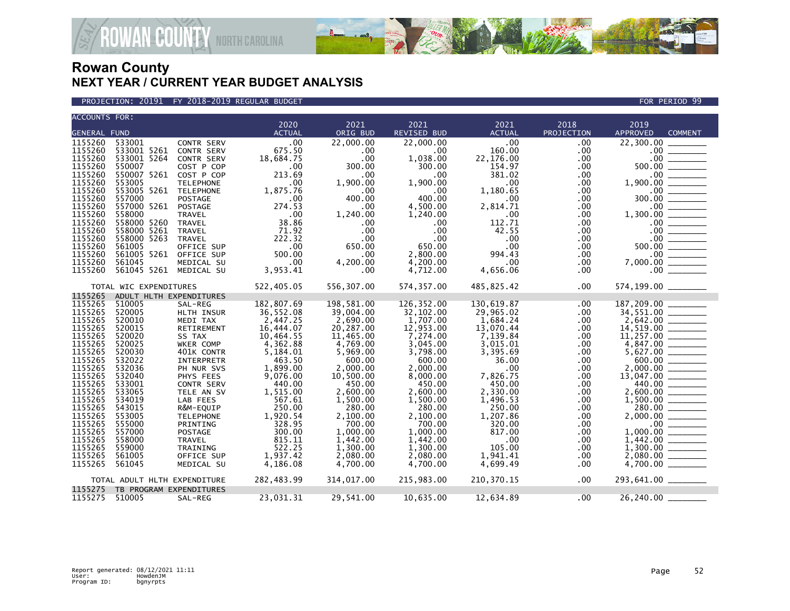

#### PROJECTION: 20191 FY 2018-2019 REGULAR BUDGET FOR PERIOD 99

| <b>ACCOUNTS FOR:</b> |                              |                   |               |             |             |               |            |                                                                                                                                                                                                                                                                                                                                             |
|----------------------|------------------------------|-------------------|---------------|-------------|-------------|---------------|------------|---------------------------------------------------------------------------------------------------------------------------------------------------------------------------------------------------------------------------------------------------------------------------------------------------------------------------------------------|
|                      |                              |                   | 2020          | 2021        | 2021        | 2021          | 2018       | 2019                                                                                                                                                                                                                                                                                                                                        |
| <b>GENERAL FUND</b>  |                              |                   | <b>ACTUAL</b> | ORIG BUD    | REVISED BUD | <b>ACTUAL</b> | PROJECTION | <b>APPROVED</b><br><b>COMMENT</b>                                                                                                                                                                                                                                                                                                           |
| 1155260              | 533001                       | <b>CONTR SERV</b> | .00           | 22,000.00   | 22,000.00   | .00           | .00        | 22,300.00                                                                                                                                                                                                                                                                                                                                   |
| 1155260              | 533001 5261                  | CONTR SERV        | 675.50        | $.00 \,$    | .00.        | 160.00        | $.00 \,$   |                                                                                                                                                                                                                                                                                                                                             |
| 1155260              | 533001 5264                  | CONTR SERV        | 18,684.75     | .00         | 1,038.00    | 22,176.00     | .00        |                                                                                                                                                                                                                                                                                                                                             |
| 1155260              | 550007                       | COST P COP        | .00           | 300.00      | 300.00      | 154.97        | $.00 \,$   |                                                                                                                                                                                                                                                                                                                                             |
| 1155260              | 550007 5261 COST P COP       |                   | 213.69        | .00         | .00         | 381.02        | $.00 \,$   | $\begin{array}{r} .00 \ \hline 0.00 \ 0.00 \ 0.00 \ 0.00 \ \hline 0.00 \ 0.00 \ \hline 1,900.00 \ \hline 300.00 \ \hline 1,300.00 \ \hline 1,300.00 \ \hline 0.00 \ \hline 500.00 \ \hline 7,000.00 \ \hline 0.00 \ \hline 0.00 \ \hline 0.00 \ \hline 0.00 \ \hline 0.00 \ \hline 0.00 \ \hline 0.00 \ \hline 0.00 \ \hline 0.00 \ \hline$ |
| 1155260              | 553005                       | <b>TELEPHONE</b>  | $.00 \,$      | 1,900.00    | 1,900.00    | $.00 \cdot$   | $.00 \,$   |                                                                                                                                                                                                                                                                                                                                             |
| 1155260              | 553005 5261 TELEPHONE        |                   | 1,875.76      | $.00 \,$    | $.00 \,$    | 1,180.65      | .00        |                                                                                                                                                                                                                                                                                                                                             |
| 1155260              | 557000                       | POSTAGE           | .00           | 400.00      | 400.00      | .00           | .00        |                                                                                                                                                                                                                                                                                                                                             |
| 1155260              | 557000 5261 POSTAGE          |                   | 274.53        | .00         | 4,500.00    | 2,814.71      | .00        |                                                                                                                                                                                                                                                                                                                                             |
| 1155260              | 558000                       | TRAVEL            | .00           | 1,240.00    | 1,240.00    | $.00 \,$      | $.00 \,$   |                                                                                                                                                                                                                                                                                                                                             |
| 1155260              | 558000 5260                  | <b>TRAVEL</b>     | 38.86         | $.00 \,$    | $.00 \,$    | 112.71        | $.00 \,$   |                                                                                                                                                                                                                                                                                                                                             |
| 1155260              | 558000 5261                  | TRAVEL            | 71.92         | $.00 \,$    | $.00 \,$    | 42.55         | $.00 \,$   |                                                                                                                                                                                                                                                                                                                                             |
| 1155260              | 558000 5263                  | TRAVEL            | 222.32        | .00         | $.00 \,$    | $.00 \,$      | $.00 \,$   |                                                                                                                                                                                                                                                                                                                                             |
| 1155260              | 561005                       | OFFICE SUP        | .00           | 650.00      | 650.00      | $.00 \times$  | $.00 \,$   |                                                                                                                                                                                                                                                                                                                                             |
| 1155260              | 561005 5261 OFFICE SUP       |                   | 500.00        | $.00 \cdot$ | 2,800.00    | 994.43        | $.00 \,$   |                                                                                                                                                                                                                                                                                                                                             |
| 1155260              | 561045                       | MEDICAL SU        | .00           | 4,200.00    | 4,200.00    | .00           | .00.       |                                                                                                                                                                                                                                                                                                                                             |
| 1155260              | 561045 5261                  | MEDICAL SU        | 3,953.41      | $.00 \,$    | 4,712.00    | 4,656.06      | $.00 \,$   |                                                                                                                                                                                                                                                                                                                                             |
|                      |                              |                   |               |             |             |               |            |                                                                                                                                                                                                                                                                                                                                             |
|                      | TOTAL WIC EXPENDITURES       |                   | 522,405.05    | 556,307.00  | 574,357.00  | 485,825.42    | $.00 \,$   |                                                                                                                                                                                                                                                                                                                                             |
| 1155265              | ADULT HLTH EXPENDITURES      |                   |               |             |             |               |            |                                                                                                                                                                                                                                                                                                                                             |
| 1155265              | 510005                       | SAL-REG           | 182,807.69    | 198,581.00  | 126, 352.00 | 130,619.87    | .00        | 187,209.00                                                                                                                                                                                                                                                                                                                                  |
| 1155265              | 520005                       | HLTH INSUR        | 36,552.08     | 39,004.00   | 32,102.00   | 29,965.02     | $.00 \,$   |                                                                                                                                                                                                                                                                                                                                             |
| 1155265              | 520010                       | MEDI TAX          | 2,447.25      | 2,690.00    | 1,707.00    | 1,684.24      | $.00 \,$   |                                                                                                                                                                                                                                                                                                                                             |
| 1155265              | 520015                       | RETIREMENT        | 16,444.07     | 20,287.00   | 12,953.00   | 13,070.44     | $.00 \,$   |                                                                                                                                                                                                                                                                                                                                             |
| 1155265              | 520020                       | SS TAX            | 10,464.55     | 11,465.00   | 7,274.00    | 7,139.84      | $.00 \,$   |                                                                                                                                                                                                                                                                                                                                             |
| 1155265              | 520025                       | WKER COMP         | 4,362.88      | 4,769.00    | 3,045.00    | 3,015.01      | .00        | $2,642.00$<br>$14,519.00$<br>$11,257.00$<br>$4,847.00$                                                                                                                                                                                                                                                                                      |
| 1155265              | 520030                       | 401K CONTR        | 5,184.01      | 5,969.00    | 3,798.00    | 3,395.69      | $.00 \,$   |                                                                                                                                                                                                                                                                                                                                             |
| 1155265              | 532022                       | INTERPRETR        | 463.50        | 600.00      | 600.00      | 36.00         | $.00 \,$   |                                                                                                                                                                                                                                                                                                                                             |
| 1155265              | 532036                       | PH NUR SVS        | 1,899.00      | 2,000.00    | 2,000.00    | $.00 \,$      | $.00 \,$   |                                                                                                                                                                                                                                                                                                                                             |
| 1155265              | 532040                       | PHYS FEES         | 9,076.00      | 10,500.00   | 8,000.00    | 7,826.75      | $.00 \,$   |                                                                                                                                                                                                                                                                                                                                             |
| 1155265              | 533001                       | <b>CONTR SERV</b> | 440.00        | 450.00      | 450.00      | 450.00        | $.00 \,$   |                                                                                                                                                                                                                                                                                                                                             |
| 1155265              | 533065                       | TELE AN SV        | 1,515.00      | 2,600.00    | 2,600.00    | 2,330.00      | $.00 \,$   |                                                                                                                                                                                                                                                                                                                                             |
| 1155265              | 534019                       | LAB FEES          | 567.61        | 1,500.00    | 1,500.00    | 1,496.53      | $.00 \,$   |                                                                                                                                                                                                                                                                                                                                             |
| 1155265              | 543015                       | R&M-EQUIP         | 250.00        | 280.00      | 280.00      | 250.00        | $.00 \,$   |                                                                                                                                                                                                                                                                                                                                             |
| 1155265              | 553005                       | <b>TELEPHONE</b>  | 1,920.54      | 2,100.00    | 2,100.00    | 1,207.86      | $.00 \,$   |                                                                                                                                                                                                                                                                                                                                             |
| 1155265              | 555000                       | PRINTING          | 328.95        | 700.00      | 700.00      | 320.00        | .00        |                                                                                                                                                                                                                                                                                                                                             |
| 1155265              | 557000                       | <b>POSTAGE</b>    | 300.00        | 1,000.00    | 1,000.00    | 817.00        | $.00 \,$   |                                                                                                                                                                                                                                                                                                                                             |
| 1155265              | 558000                       | <b>TRAVEL</b>     | 815.11        | 1,442.00    | 1,442.00    | $.00 \,$      | $.00 \,$   |                                                                                                                                                                                                                                                                                                                                             |
| 1155265              | 559000                       | TRAINING          | 522.25        | 1,300.00    | 1,300.00    | 105.00        | $.00 \,$   |                                                                                                                                                                                                                                                                                                                                             |
| 1155265              | 561005                       | OFFICE SUP        | 1,937.42      | 2,080.00    | 2,080.00    | 1,941.41      | $.00 \,$   |                                                                                                                                                                                                                                                                                                                                             |
| 1155265              | 561045                       | MEDICAL SU        | 4,186.08      | 4,700.00    | 4,700.00    | 4,699.49      | .00.       |                                                                                                                                                                                                                                                                                                                                             |
|                      |                              |                   |               |             |             |               |            | $\begin{array}{r} 4,847.00 \ \hline 5,627.00 \ \hline 600.00 \ \hline 13,047.00 \ \hline 140.00 \ \hline 2,600.00 \ \hline 13,047.00 \ \hline 440.00 \ \hline 2,600.00 \ \hline 1,500.00 \ \hline 280.00 \ \hline 2,000.00 \ \hline 1,442.00 \ \hline 1,442.00 \ \hline 1,300.00 \ \hline 2,080.00 \ \hline 4,700.00 \ \$                   |
|                      | TOTAL ADULT HLTH EXPENDITURE |                   | 282,483.99    | 314,017.00  | 215,983.00  | 210,370.15    | $.00 \,$   | 293,641.00 _______                                                                                                                                                                                                                                                                                                                          |
| 1155275              | TB PROGRAM EXPENDITURES      |                   |               |             |             |               |            |                                                                                                                                                                                                                                                                                                                                             |
| 1155275 510005       |                              | SAL-REG           | 23,031.31     | 29,541.00   | 10,635.00   | 12,634.89     | .00        | 26,240.00                                                                                                                                                                                                                                                                                                                                   |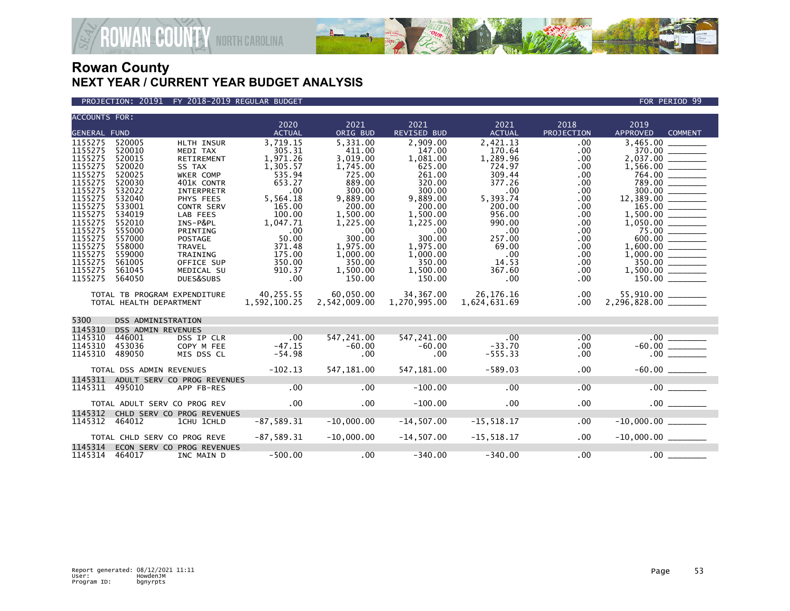

#### PROJECTION: 20191 FY 2018-2019 REGULAR BUDGET FOR PERIOD 99

| <b>ACCOUNTS FOR:</b>                                                                                                                                                         |                                                                                                                                                              |                                                                                                                                                                                                                                   | 2020                                                                                                                                                            | 2021                                                                                                                                                                      | 2021                                                                                                                                                                         | 2021                                                                                                                                                    | 2018                                                                                                                   | 2019                                             |  |
|------------------------------------------------------------------------------------------------------------------------------------------------------------------------------|--------------------------------------------------------------------------------------------------------------------------------------------------------------|-----------------------------------------------------------------------------------------------------------------------------------------------------------------------------------------------------------------------------------|-----------------------------------------------------------------------------------------------------------------------------------------------------------------|---------------------------------------------------------------------------------------------------------------------------------------------------------------------------|------------------------------------------------------------------------------------------------------------------------------------------------------------------------------|---------------------------------------------------------------------------------------------------------------------------------------------------------|------------------------------------------------------------------------------------------------------------------------|--------------------------------------------------|--|
| <b>GENERAL FUND</b>                                                                                                                                                          |                                                                                                                                                              |                                                                                                                                                                                                                                   | <b>ACTUAL</b>                                                                                                                                                   | ORIG BUD                                                                                                                                                                  | <b>REVISED BUD</b>                                                                                                                                                           | <b>ACTUAL</b>                                                                                                                                           | <b>PROJECTION</b>                                                                                                      | <b>APPROVED</b><br><b>COMMENT</b>                |  |
| 1155275<br>1155275<br>1155275<br>1155275<br>1155275<br>1155275<br>1155275<br>1155275<br>1155275<br>1155275<br>1155275<br>1155275<br>1155275<br>1155275<br>1155275<br>1155275 | 520005<br>520010<br>520015<br>520020<br>520025<br>520030<br>532022<br>532040<br>533001<br>534019<br>552010<br>555000<br>557000<br>558000<br>559000<br>561005 | <b>HLTH INSUR</b><br>MEDI TAX<br>RETIREMENT<br>SS TAX<br><b>WKER COMP</b><br>401K CONTR<br><b>INTERPRETR</b><br>PHYS FEES<br>CONTR SERV<br>LAB FEES<br>INS-P&PL<br>PRINTING<br>POSTAGE<br><b>TRAVEL</b><br>TRAINING<br>OFFICE SUP | 3,719.15<br>305.31<br>1,971.26<br>1,305.57<br>535.94<br>653.27<br>.00<br>5,564.18<br>165.00<br>100.00<br>1,047.71<br>.00<br>50.00<br>371.48<br>175.00<br>350.00 | 5,331.00<br>411.00<br>3,019.00<br>1,745.00<br>725.00<br>889.00<br>300.00<br>9,889.00<br>200.00<br>1,500.00<br>1,225.00<br>.00<br>300.00<br>1,975.00<br>1,000.00<br>350.00 | 2,909.00<br>147.00<br>1,081.00<br>625.00<br>261.00<br>320.00<br>300.00<br>9,889.00<br>200.00<br>1,500.00<br>1,225.00<br>$.00 \,$<br>300.00<br>1,975.00<br>1,000.00<br>350.00 | 2,421.13<br>170.64<br>1,289.96<br>724.97<br>309.44<br>377.26<br>.00<br>5,393.74<br>200.00<br>956.00<br>990.00<br>.00<br>257.00<br>69.00<br>.00<br>14.53 | .00<br>.00<br>.00<br>.00<br>.00<br>.00<br>.00<br>.00<br>.00<br>.00<br>.00<br>.00<br>.00<br>$.00 \,$<br>.00<br>$.00 \,$ | 3,465.00<br>370.00<br>764.00<br>789.00<br>600.00 |  |
| 1155275<br>1155275                                                                                                                                                           | 561045<br>564050<br>TOTAL TB PROGRAM EXPENDITURE<br>TOTAL HEALTH DEPARTMENT                                                                                  | MEDICAL SU<br>DUES&SUBS                                                                                                                                                                                                           | 910.37<br>.00<br>40,255.55<br>1,592,100.25                                                                                                                      | 1,500.00<br>150.00<br>60,050.00<br>2,542,009.00                                                                                                                           | 1,500.00<br>150.00<br>34, 367, 00<br>1,270,995.00                                                                                                                            | 367.60<br>.00<br>26, 176. 16<br>1,624,631.69                                                                                                            | $.00 \,$<br>.00<br>$.00 \,$<br>$.00 \,$                                                                                | 55,910.00 ______<br>2,296,828.00 ________        |  |
| 5300                                                                                                                                                                         | DSS ADMINISTRATION                                                                                                                                           |                                                                                                                                                                                                                                   |                                                                                                                                                                 |                                                                                                                                                                           |                                                                                                                                                                              |                                                                                                                                                         |                                                                                                                        |                                                  |  |
| 1145310<br>1145310<br>1145310<br>1145310                                                                                                                                     | <b>DSS ADMIN REVENUES</b><br>446001<br>453036<br>489050                                                                                                      | DSS IP CLR<br>COPY M FEE<br>MIS DSS CL                                                                                                                                                                                            | $\overline{\phantom{0}}$ .00<br>$-47.15$<br>$-54.98$                                                                                                            | 547,241.00<br>$-60.00$<br>.00                                                                                                                                             | 547,241.00<br>$-60.00$<br>.00                                                                                                                                                | .00<br>$-33.70$<br>$-555.33$                                                                                                                            | .00<br>$.00 \,$<br>$.00 \,$                                                                                            | $-60.00$<br>.00                                  |  |
|                                                                                                                                                                              | TOTAL DSS ADMIN REVENUES                                                                                                                                     |                                                                                                                                                                                                                                   | $-102.13$                                                                                                                                                       | 547,181.00                                                                                                                                                                | 547,181.00                                                                                                                                                                   | $-589.03$                                                                                                                                               | $.00 \,$                                                                                                               |                                                  |  |
| 1145311<br>1145311                                                                                                                                                           | 495010                                                                                                                                                       | ADULT SERV CO PROG REVENUES<br>APP FB-RES                                                                                                                                                                                         | .00                                                                                                                                                             | .00                                                                                                                                                                       | $-100.00$                                                                                                                                                                    | .00                                                                                                                                                     | .00                                                                                                                    | $.00$ $\qquad \qquad$                            |  |
|                                                                                                                                                                              | TOTAL ADULT SERV CO PROG REV                                                                                                                                 |                                                                                                                                                                                                                                   | .00                                                                                                                                                             | $.00 \times$                                                                                                                                                              | $-100.00$                                                                                                                                                                    | .00                                                                                                                                                     | .00                                                                                                                    | .00                                              |  |
| 1145312<br>1145312                                                                                                                                                           | 464012                                                                                                                                                       | CHLD SERV CO PROG REVENUES<br>1CHU 1CHLD                                                                                                                                                                                          | $-87,589.31$                                                                                                                                                    | $-10.000.00$                                                                                                                                                              | $-14,507.00$                                                                                                                                                                 | $-15, 518.17$                                                                                                                                           | $.00 \,$                                                                                                               | $-10,000.00$                                     |  |
|                                                                                                                                                                              | TOTAL CHLD SERV CO PROG REVE                                                                                                                                 |                                                                                                                                                                                                                                   | $-87,589.31$                                                                                                                                                    | $-10,000.00$                                                                                                                                                              | $-14,507.00$                                                                                                                                                                 | $-15,518.17$                                                                                                                                            | .00                                                                                                                    | $-10,000.00$ _________                           |  |
| 1145314<br>1145314                                                                                                                                                           | 464017                                                                                                                                                       | ECON SERV CO PROG REVENUES<br>INC MAIN D                                                                                                                                                                                          | $-500.00$                                                                                                                                                       | .00                                                                                                                                                                       | $-340.00$                                                                                                                                                                    | $-340.00$                                                                                                                                               | .00                                                                                                                    | .00                                              |  |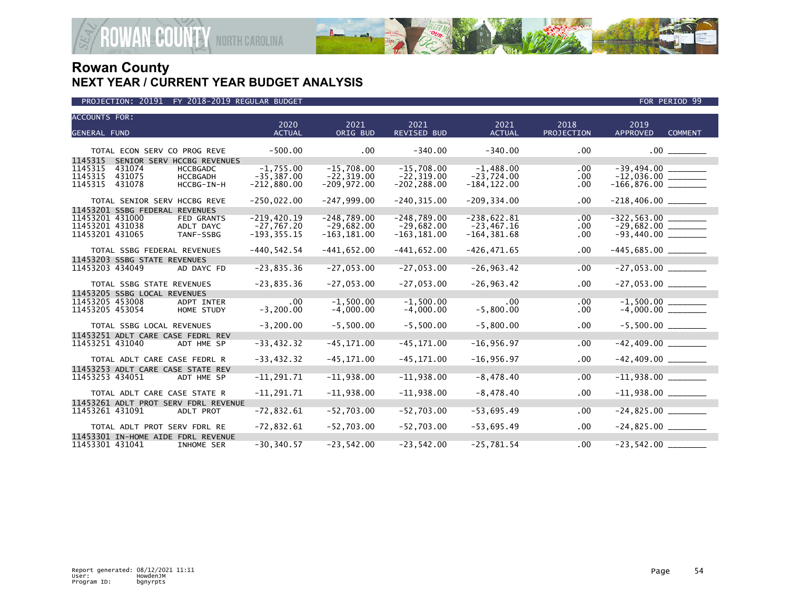

| <b>ACCOUNTS FOR:</b><br><b>GENERAL FUND</b>                                                                                            | 2020<br><b>ACTUAL</b>                           | 2021<br>ORIG BUD                                | 2021<br>REVISED BUD                             | 2021<br><b>ACTUAL</b>                            | 2018<br>PROJECTION     | 2019<br><b>APPROVED</b><br><b>COMMENT</b> |  |
|----------------------------------------------------------------------------------------------------------------------------------------|-------------------------------------------------|-------------------------------------------------|-------------------------------------------------|--------------------------------------------------|------------------------|-------------------------------------------|--|
|                                                                                                                                        |                                                 |                                                 |                                                 |                                                  |                        |                                           |  |
| TOTAL ECON SERV CO PROG REVE<br>1145315                                                                                                | $-500.00$                                       | $.00 \times$                                    | $-340.00$                                       | $-340.00$                                        | .00                    |                                           |  |
| SENIOR SERV HCCBG REVENUES<br>1145315<br>431074<br><b>HCCBGADC</b><br>1145315<br>431075<br><b>HCCBGADH</b>                             | $-1,755.00$<br>$-35, 387.00$                    | $-15,708.00$<br>$-22, 319.00$                   | $-15,708.00$<br>$-22, 319.00$                   | $-1,488.00$<br>$-23,724.00$                      | .00<br>$.00 \,$        | $-12,036.00$ ________                     |  |
| 1145315<br>431078<br>HCCBG-IN-H                                                                                                        | $-212,880.00$                                   | $-209, 972.00$                                  | $-202, 288.00$                                  | $-184, 122.00$                                   | .00.                   |                                           |  |
| TOTAL SENIOR SERV HCCBG REVE                                                                                                           | $-250,022.00$                                   | $-247,999.00$                                   | $-240, 315.00$                                  | $-209, 334.00$                                   | $.00 \,$               | $-218,406.00$ ________                    |  |
| 11453201 SSBG FEDERAL REVENUES<br>11453201 431000<br><b>FED GRANTS</b><br>11453201 431038<br>ADLT DAYC<br>11453201 431065<br>TANF-SSBG | $-219,420.19$<br>$-27,767.20$<br>$-193, 355.15$ | $-248,789.00$<br>$-29,682.00$<br>$-163, 181.00$ | $-248,789.00$<br>$-29,682.00$<br>$-163, 181.00$ | $-238,622.81$<br>$-23, 467.16$<br>$-164, 381.68$ | $.00 \,$<br>.00<br>.00 |                                           |  |
| TOTAL SSBG FEDERAL REVENUES                                                                                                            | $-440, 542.54$                                  | $-441.652.00$                                   | $-441,652.00$                                   | $-426, 471.65$                                   | .00                    |                                           |  |
| 11453203 SSBG STATE REVENUES                                                                                                           |                                                 |                                                 |                                                 |                                                  |                        |                                           |  |
| 11453203 434049<br>AD DAYC FD                                                                                                          | $-23,835.36$                                    | $-27,053.00$                                    | $-27,053.00$                                    | $-26, 963.42$                                    | $.00 \,$               |                                           |  |
| TOTAL SSBG STATE REVENUES                                                                                                              | $-23,835.36$                                    | $-27,053.00$                                    | $-27,053.00$                                    | $-26, 963.42$                                    | .00                    |                                           |  |
| 11453205 SSBG LOCAL REVENUES                                                                                                           |                                                 |                                                 |                                                 |                                                  |                        |                                           |  |
| 11453205 453008<br>ADPT INTER<br>11453205 453054<br>HOME STUDY                                                                         | $.00 \times$<br>$-3, 200.00$                    | $-1,500.00$<br>$-4,000.00$                      | $-1,500.00$<br>$-4,000.00$                      | .00<br>$-5,800.00$                               | .00<br>.00             | $-1,500.00$<br>$-4,000.00$                |  |
| TOTAL SSBG LOCAL REVENUES                                                                                                              | $-3,200.00$                                     | $-5,500.00$                                     | $-5,500.00$                                     | $-5,800.00$                                      | .00.                   | $-5,500.00$ ________                      |  |
| 11453251 ADLT CARE CASE FEDRL REV<br>11453251 431040<br>ADT HME SP                                                                     | $-33,432.32$                                    | $-45, 171.00$                                   | $-45, 171.00$                                   | $-16, 956.97$                                    | .00                    |                                           |  |
| TOTAL ADLT CARE CASE FEDRL R                                                                                                           | $-33,432.32$                                    | $-45, 171.00$                                   | $-45, 171.00$                                   | $-16,956.97$                                     | .00                    |                                           |  |
| 11453253 ADLT CARE CASE STATE REV<br>11453253 434051<br>ADT HME SP                                                                     | $-11, 291.71$                                   | $-11,938.00$                                    | $-11,938.00$                                    | $-8,478.40$                                      | .00                    | $-11,938.00$                              |  |
| TOTAL ADLT CARE CASE STATE R                                                                                                           | $-11, 291.71$                                   | $-11,938.00$                                    | $-11,938.00$                                    | $-8,478.40$                                      | $.00 \,$               | $-11,938.00$ _______                      |  |
| 11453261 ADLT PROT SERV FDRL REVENUE<br>11453261 431091<br>ADLT PROT                                                                   | $-72,832.61$                                    | $-52,703.00$                                    | $-52,703.00$                                    | $-53,695.49$                                     | $.00 \,$               | $-24,825.00$                              |  |
| TOTAL ADLT PROT SERV FDRL RE                                                                                                           | $-72,832.61$                                    | $-52,703.00$                                    | $-52,703.00$                                    | $-53,695.49$                                     | .00                    |                                           |  |
| 11453301 IN-HOME AIDE FDRL REVENUE<br>11453301 431041<br>INHOME SER                                                                    | $-30, 340.57$                                   | $-23,542.00$                                    | $-23,542.00$                                    | $-25,781.54$                                     | .00                    | $-23,542.00$                              |  |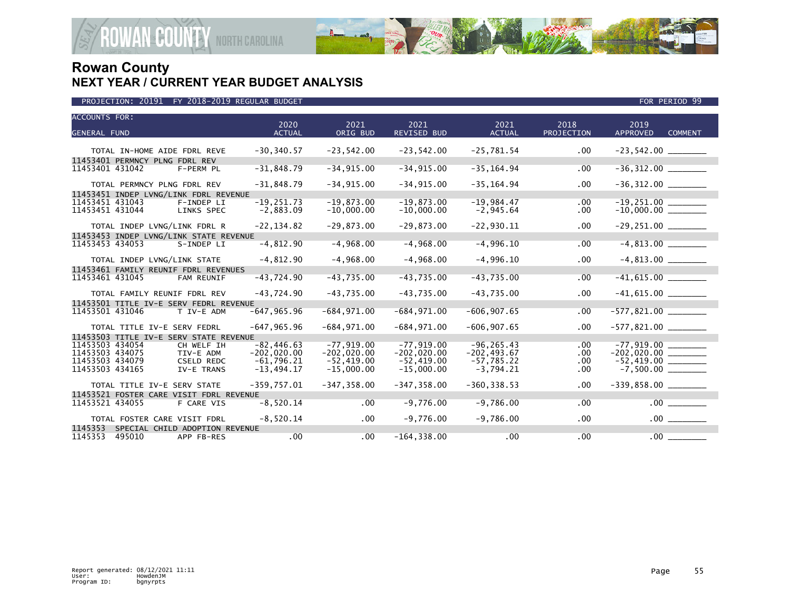

| <b>ACCOUNTS FOR:</b>                      | 2020           | 2021           | 2021           | 2021           | 2018       | 2019                              |
|-------------------------------------------|----------------|----------------|----------------|----------------|------------|-----------------------------------|
| <b>GENERAL FUND</b>                       | <b>ACTUAL</b>  | ORIG BUD       | REVISED BUD    | <b>ACTUAL</b>  | PROJECTION | <b>APPROVED</b><br><b>COMMENT</b> |
|                                           |                |                |                |                |            |                                   |
| TOTAL IN-HOME AIDE FDRL REVE              | $-30, 340.57$  | $-23,542.00$   | $-23,542.00$   | $-25,781.54$   | $.00 \,$   |                                   |
| 11453401 PERMNCY PLNG FDRL REV            | $-31,848.79$   | $-34, 915.00$  | $-34,915.00$   | $-35, 164.94$  | .00        |                                   |
| 11453401 431042<br>F-PERM PL              |                |                |                |                |            |                                   |
| TOTAL PERMNCY PLNG FDRL REV               | $-31,848.79$   | $-34, 915.00$  | $-34,915.00$   | $-35, 164.94$  | .00        |                                   |
| 11453451 INDEP LVNG/LINK FDRL REVENUE     |                |                |                |                |            |                                   |
| 11453451 431043<br>F-INDEP LI             | $-19, 251.73$  | $-19.873.00$   | $-19.873.00$   | $-19,984.47$   | .00        |                                   |
| 11453451 431044<br>LINKS SPEC             | $-2,883.09$    | $-10,000.00$   | $-10,000.00$   | $-2,945.64$    | $.00 \,$   |                                   |
| TOTAL INDEP LVNG/LINK FDRL R              | $-22, 134.82$  | $-29,873.00$   | $-29,873.00$   | $-22,930.11$   | $.00 \,$   | $-29,251.00$ _______              |
| 11453453 INDEP LVNG/LINK STATE REVENUE    |                |                |                |                |            |                                   |
| 11453453 434053<br>S-INDEP LI             | $-4,812.90$    | $-4,968.00$    | $-4,968.00$    | $-4,996.10$    | $.00 \,$   |                                   |
| TOTAL INDEP LVNG/LINK STATE               | $-4,812.90$    | $-4,968.00$    | $-4,968.00$    | $-4,996.10$    | $.00 \,$   |                                   |
| 11453461 FAMILY REUNIF FDRL REVENUES      |                |                |                |                |            |                                   |
| 11453461 431045<br>FAM REUNIF             | $-43,724.90$   | $-43,735.00$   | $-43,735.00$   | $-43,735.00$   | $.00 \,$   |                                   |
|                                           |                |                |                |                |            |                                   |
| TOTAL FAMILY REUNIF FDRL REV              | $-43,724.90$   | $-43,735.00$   | $-43,735.00$   | $-43,735.00$   | $.00 \,$   | $-41,615.00$ _______              |
| 11453501 TITLE IV-E SERV FEDRL REVENUE    |                |                |                |                |            |                                   |
| 11453501 431046<br>T IV-E ADM             | $-647, 965.96$ | $-684, 971.00$ | $-684, 971.00$ | $-606, 907.65$ | .00        |                                   |
| TOTAL TITLE IV-E SERV FEDRL               | $-647, 965.96$ | $-684,971.00$  | $-684,971.00$  | $-606, 907.65$ | $.00 \,$   | $-577,821.00$ _________           |
| 11453503 TITLE IV-E SERV STATE REVENUE    |                |                |                |                |            |                                   |
| 11453503 434054<br>CH WELF IH             | $-82, 446.63$  | $-77,919.00$   | $-77,919.00$   | $-96, 265.43$  | .00        |                                   |
| 11453503 434075<br>TIV-E ADM              | $-202,020.00$  | $-202,020.00$  | $-202,020.00$  | $-202, 493.67$ | $.00 \,$   |                                   |
| 11453503 434079<br><b>CSELD REDC</b>      | $-61,796.21$   | $-52,419.00$   | $-52,419.00$   | $-57,785.22$   | .00        |                                   |
| 11453503 434165<br>IV-E TRANS             | $-13,494.17$   | $-15,000.00$   | $-15,000.00$   | $-3,794.21$    | .00        |                                   |
| TOTAL TITLE IV-E SERV STATE               | $-359,757.01$  | $-347, 358.00$ | $-347, 358.00$ | $-360, 338.53$ | $.00 \,$   | $-339,858.00$ _________           |
| 11453521 FOSTER CARE VISIT FDRL REVENUE   |                |                |                |                |            |                                   |
| 11453521 434055<br>F CARE VIS             | $-8,520.14$    | .00            | $-9,776.00$    | $-9,786.00$    | .00        | .00 <sub>1</sub>                  |
| TOTAL FOSTER CARE VISIT FDRL              | $-8,520.14$    | $.00 \,$       | $-9,776.00$    | $-9,786.00$    | $.00 \,$   |                                   |
| 1145353<br>SPECIAL CHILD ADOPTION REVENUE |                |                |                |                |            |                                   |
| 1145353<br>495010<br>APP FB-RES           | .00            | .00            | $-164, 338.00$ | .00            | .00        | .00 <sub>1</sub>                  |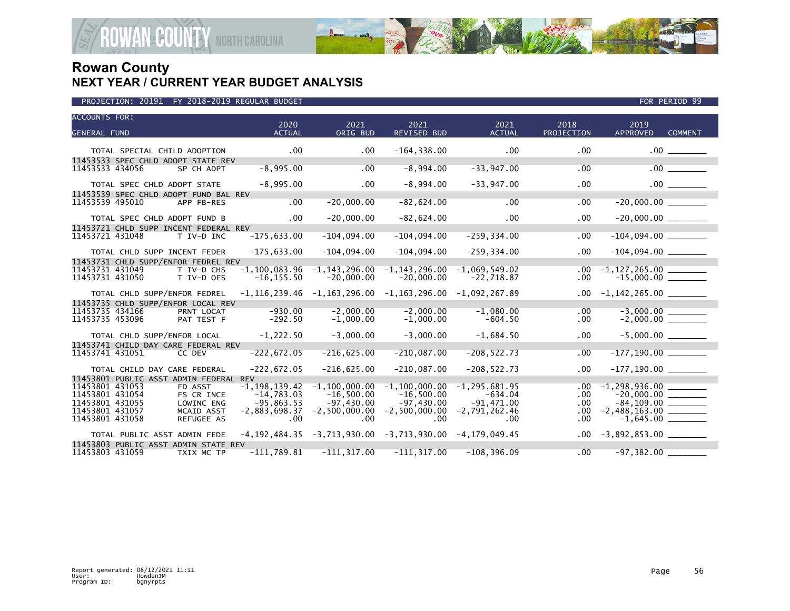

| <b>ACCOUNTS FOR:</b><br><b>GENERAL FUND</b>                                                                                                                                                                     | 2020<br><b>ACTUAL</b>                                                       | 2021<br>ORIG BUD                                                            | 2021<br><b>REVISED BUD</b>                                                  | 2021<br><b>ACTUAL</b>                                                     | 2018<br><b>PROJECTION</b>            | 2019<br><b>APPROVED</b><br><b>COMMENT</b>  |
|-----------------------------------------------------------------------------------------------------------------------------------------------------------------------------------------------------------------|-----------------------------------------------------------------------------|-----------------------------------------------------------------------------|-----------------------------------------------------------------------------|---------------------------------------------------------------------------|--------------------------------------|--------------------------------------------|
| TOTAL SPECIAL CHILD ADOPTION                                                                                                                                                                                    | $.00 \,$                                                                    | $.00 \times$                                                                | $-164, 338.00$                                                              | $.00 \,$                                                                  | .00                                  | 00                                         |
| 11453533 SPEC CHLD ADOPT STATE REV<br>11453533 434056<br>SP CH ADPT                                                                                                                                             | $-8,995.00$                                                                 | .00                                                                         | $-8,994.00$                                                                 | $-33,947.00$                                                              | .00                                  |                                            |
| TOTAL SPEC CHLD ADOPT STATE                                                                                                                                                                                     | $-8,995.00$                                                                 | .00                                                                         | $-8,994.00$                                                                 | $-33,947.00$                                                              | .00                                  |                                            |
| 11453539 SPEC CHLD ADOPT FUND BAL REV<br>11453539 495010<br>APP FB-RES                                                                                                                                          | .00                                                                         | $-20,000.00$                                                                | $-82,624.00$                                                                | .00                                                                       | .00                                  | $-20,000.00$                               |
| TOTAL SPEC CHLD ADOPT FUND B                                                                                                                                                                                    | $.00 \,$                                                                    | $-20,000.00$                                                                | $-82,624.00$                                                                | .00                                                                       | $.00 \,$                             | $-20,000.00$ _________                     |
| 11453721 CHLD SUPP INCENT FEDERAL REV<br>11453721 431048<br>T IV-D INC                                                                                                                                          | $-175,633.00$                                                               | $-104,094.00$                                                               | $-104,094.00$                                                               | $-259, 334.00$                                                            | .00                                  |                                            |
| TOTAL CHLD SUPP INCENT FEDER<br>11453731 CHLD SUPP/ENFOR FEDREL REV                                                                                                                                             | $-175,633.00$                                                               | $-104,094.00$                                                               | $-104,094.00$                                                               | $-259, 334.00$                                                            | .00                                  | $-104,094.00$ ________                     |
| 11453731 431049<br>T IV-D CHS<br>11453731 431050<br>T IV-D OFS                                                                                                                                                  | $-1, 100, 083.96$<br>$-16, 155.50$                                          | $-1, 143, 296.00$<br>$-20,000.00$                                           | $-1, 143, 296.00$<br>$-20,000.00$                                           | $-1,069,549.02$<br>$-22,718.87$                                           | $.00 \,$<br>.00                      |                                            |
| TOTAL CHLD SUPP/ENFOR FEDREL                                                                                                                                                                                    |                                                                             | $-1, 116, 239.46$ $-1, 163, 296.00$ $-1, 163, 296.00$                       |                                                                             | $-1,092,267.89$                                                           | $.00 \,$                             |                                            |
| 11453735 CHLD SUPP/ENFOR LOCAL REV<br>11453735 434166<br>PRNT LOCAT<br>11453735 453096<br>PAT TEST F                                                                                                            | $-930.00$<br>$-292.50$                                                      | $-2,000.00$<br>$-1,000.00$                                                  | $-2.000.00$<br>$-1,000.00$                                                  | $-1.080.00$<br>$-604.50$                                                  | .00<br>$.00 \,$                      | $-3,000.00$<br>$-2,000.00$                 |
| TOTAL CHLD SUPP/ENFOR LOCAL                                                                                                                                                                                     | $-1,222.50$                                                                 | $-3,000.00$                                                                 | $-3,000.00$                                                                 | $-1,684.50$                                                               | $.00 \,$                             |                                            |
| 11453741 CHILD DAY CARE FEDERAL REV<br>11453741 431051<br>CC DEV                                                                                                                                                | $-222,672.05$                                                               | $-216,625.00$                                                               | $-210,087.00$                                                               | $-208, 522.73$                                                            | .00                                  | $-177,190.00$ ________                     |
| TOTAL CHILD DAY CARE FEDERAL                                                                                                                                                                                    | $-222,672.05$                                                               | $-216,625.00$                                                               | $-210,087.00$                                                               | $-208, 522.73$                                                            | $.00 \,$                             | $-177, 190.00$ ________                    |
| 11453801 PUBLIC ASST ADMIN FEDERAL REV<br>11453801 431053<br>FD ASST<br>11453801 431054<br>FS CR INCE<br>11453801 431055<br>LOWINC ENG<br>11453801 431057<br>MCAID ASST<br>11453801 431058<br><b>REFUGEE AS</b> | $-1, 198, 139.42$<br>$-14,783.03$<br>$-95,863.53$<br>$-2,883,698.37$<br>.00 | $-1, 100, 000.00$<br>$-16,500.00$<br>$-97,430.00$<br>$-2,500,000.00$<br>.00 | $-1,100,000.00$<br>$-16.500.00$<br>-97,430.00<br>$-2,500,000.00$<br>.00     | $-1, 295, 681.95$<br>-634.04<br>-91,471.00<br>$-2.791.262.46$<br>$.00 \,$ | .00<br>.00<br>.00<br>$.00 \,$<br>.00 | $-1, 298, 936.00$<br>$-20,000.00$ ________ |
| TOTAL PUBLIC ASST ADMIN FEDE                                                                                                                                                                                    |                                                                             |                                                                             | $-4, 192, 484, 35$ $-3, 713, 930, 00$ $-3, 713, 930, 00$ $-4, 179, 049, 45$ |                                                                           | .00                                  |                                            |
| 11453803 PUBLIC ASST ADMIN STATE REV<br>11453803 431059<br>TXIX MC TP                                                                                                                                           | $-111,789.81$                                                               | $-111, 317.00$                                                              | $-111, 317.00$                                                              | $-108, 396.09$                                                            | .00                                  | $-97,382.00$                               |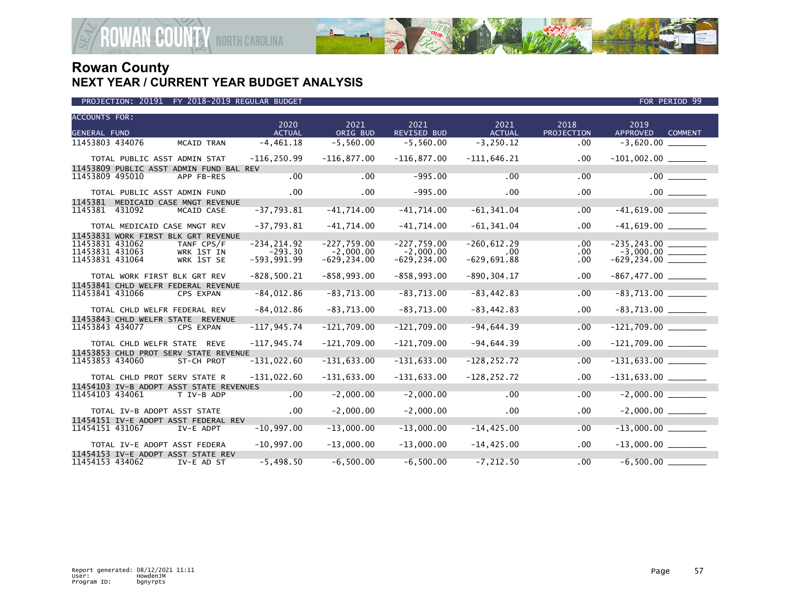

|                                        | PROJECTION: 20191            | FY 2018-2019 REGULAR BUDGET                       |                       |                  |                            |                       |                    | FOR PERIOD 99                             |
|----------------------------------------|------------------------------|---------------------------------------------------|-----------------------|------------------|----------------------------|-----------------------|--------------------|-------------------------------------------|
| <b>ACCOUNTS FOR:</b>                   |                              |                                                   | 2020<br><b>ACTUAL</b> | 2021<br>ORIG BUD | 2021<br><b>REVISED BUD</b> | 2021<br><b>ACTUAL</b> | 2018<br>PROJECTION | 2019<br><b>APPROVED</b><br><b>COMMENT</b> |
| <b>GENERAL FUND</b><br>11453803 434076 |                              | <b>MCAID TRAN</b>                                 | $-4, 461.18$          | $-5,560.00$      | $-5,560.00$                | $-3, 250.12$          | .00                |                                           |
|                                        |                              | TOTAL PUBLIC ASST ADMIN STAT                      | $-116, 250.99$        | $-116, 877.00$   | $-116,877.00$              | $-111,646.21$         | .00                | $-101,002.00$ _______                     |
|                                        |                              | 11453809 PUBLIC ASST ADMIN FUND BAL REV           | .00                   | .00              | $-995.00$                  | .00                   | .00                | $.00$ $\qquad$                            |
| 11453809 495010                        |                              | APP FB-RES                                        |                       |                  |                            |                       |                    |                                           |
|                                        |                              | TOTAL PUBLIC ASST ADMIN FUND                      | .00                   | $.00 \,$         | $-995.00$                  | .00                   | $.00 \,$           |                                           |
| 1145381                                |                              | MEDICAID CASE MNGT REVENUE                        |                       |                  |                            |                       |                    |                                           |
| 1145381                                | 431092                       | MCAID CASE                                        | $-37,793.81$          | $-41,714.00$     | $-41,714.00$               | $-61, 341.04$         | .00                |                                           |
|                                        |                              | TOTAL MEDICAID CASE MNGT REV                      | $-37,793.81$          | $-41,714.00$     | $-41,714.00$               | $-61, 341.04$         | .00                |                                           |
| 11453831 431062                        |                              | 11453831 WORK FIRST BLK GRT REVENUE<br>TANF CPS/F | $-234.214.92$         | $-227.759.00$    | $-227,759.00$              | $-260, 612.29$        | $.00 \,$           |                                           |
| 11453831 431063                        |                              | WRK 1ST IN                                        | $-293.30$             | $-2,000.00$      | $-2,000.00$                | $.00 \,$              | .00                | $-3,000.00$ _________                     |
| 11453831 431064                        |                              | WRK 1ST SE                                        | $-593,991.99$         | $-629, 234.00$   | $-629, 234.00$             | $-629,691.88$         | $.00 \,$           | $-629, 234.00$ ________                   |
|                                        |                              | TOTAL WORK FIRST BLK GRT REV                      | $-828,500.21$         | $-858, 993.00$   | $-858,993.00$              | $-890, 304.17$        | .00.               | $-867,477.00$ _________                   |
| 11453841 431066                        |                              | 11453841 CHLD WELFR FEDERAL REVENUE<br>CPS EXPAN  | $-84,012.86$          | $-83,713.00$     | $-83,713.00$               | $-83, 442.83$         | .00                |                                           |
|                                        |                              |                                                   |                       |                  |                            |                       |                    |                                           |
|                                        | TOTAL CHLD WELFR FEDERAL REV |                                                   | $-84,012.86$          | $-83,713.00$     | $-83,713.00$               | $-83, 442.83$         | .00                |                                           |
|                                        | 11453843 CHLD WELFR STATE    | <b>REVENUE</b>                                    |                       |                  |                            |                       |                    |                                           |
| 11453843 434077                        |                              | CPS EXPAN                                         | $-117, 945.74$        | $-121,709.00$    | $-121,709.00$              | $-94,644.39$          | .00                |                                           |
|                                        |                              | TOTAL CHLD WELFR STATE REVE                       | $-117, 945.74$        | $-121,709.00$    | $-121,709.00$              | $-94,644.39$          | .00                | $-121,709.00$ _________                   |
|                                        |                              | 11453853 CHLD PROT SERV STATE REVENUE             |                       |                  |                            |                       |                    |                                           |
| 11453853 434060                        |                              | ST-CH PROT                                        | $-131,022.60$         | $-131,633.00$    | $-131,633.00$              | $-128, 252.72$        | .00                | $-131,633.00$                             |
|                                        |                              | TOTAL CHLD PROT SERV STATE R                      | $-131,022.60$         | $-131,633.00$    | $-131,633.00$              | $-128, 252.72$        | .00.               | $-131,633.00$ _______                     |
|                                        |                              | 11454103 IV-B ADOPT ASST STATE REVENUES           |                       |                  |                            |                       |                    |                                           |
| 11454103 434061                        |                              | T IV-B ADP                                        | .00                   | $-2,000.00$      | $-2,000.00$                | .00                   | .00                | $-2,000.00$                               |
|                                        | TOTAL IV-B ADOPT ASST STATE  |                                                   | .00                   | $-2,000.00$      | $-2,000.00$                | .00                   | .00                |                                           |
| 11454151 431067                        |                              | 11454151 IV-E ADOPT ASST FEDERAL REV<br>IV-E ADPT | $-10,997.00$          | $-13,000.00$     | $-13,000.00$               | $-14, 425.00$         | .00                |                                           |
|                                        |                              |                                                   |                       |                  |                            |                       |                    |                                           |
|                                        |                              | TOTAL IV-E ADOPT ASST FEDERA                      | $-10,997.00$          | $-13,000.00$     | $-13,000.00$               | $-14, 425.00$         | $.00 \,$           | $-13,000.00$ ________                     |
| 11454153 434062                        |                              | 11454153 IV-E ADOPT ASST STATE REV<br>IV-E AD ST  | $-5,498.50$           | $-6,500.00$      | $-6,500.00$                | $-7, 212.50$          | .00                | $-6,500.00$ __                            |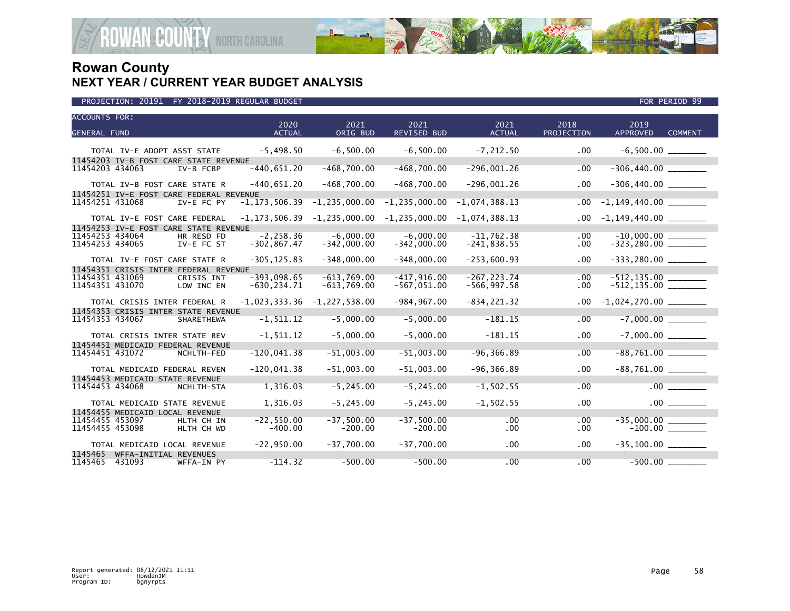

| <b>ACCOUNTS FOR:</b>               |        |                                                                       | 2020                            | 2021                           | 2021                           | 2021                             | 2018            | 2019                     |                |
|------------------------------------|--------|-----------------------------------------------------------------------|---------------------------------|--------------------------------|--------------------------------|----------------------------------|-----------------|--------------------------|----------------|
| <b>GENERAL FUND</b>                |        |                                                                       | <b>ACTUAL</b>                   | ORIG BUD                       | <b>REVISED BUD</b>             | <b>ACTUAL</b>                    | PROJECTION      | <b>APPROVED</b>          | <b>COMMENT</b> |
|                                    |        | TOTAL IV-E ADOPT ASST STATE                                           | $-5,498.50$                     | $-6,500.00$                    | $-6,500.00$                    | $-7, 212.50$                     | .00             | $-6,500.00$ _________    |                |
| 11454203 434063                    |        | 11454203 IV-B FOST CARE STATE REVENUE<br>IV-B FCBP                    | $-440,651.20$                   | $-468,700.00$                  | $-468,700.00$                  | $-296,001.26$                    | .00             |                          |                |
|                                    |        | TOTAL IV-B FOST CARE STATE R                                          | $-440,651.20$                   | $-468,700.00$                  | $-468,700.00$                  | $-296,001.26$                    | .00.            |                          |                |
|                                    |        | 11454251 IV-E FOST CARE FEDERAL REVENUE                               |                                 |                                |                                |                                  |                 |                          |                |
| 11454251 431068                    |        | IV-E FC PY                                                            | $-1, 173, 506.39$               | $-1, 235, 000.00$              | $-1, 235, 000.00$              | $-1,074,388.13$                  | .00             | $-1,149,440.00$ ________ |                |
|                                    |        | TOTAL IV-E FOST CARE FEDERAL<br>11454253 IV-E FOST CARE STATE REVENUE | $-1, 173, 506.39$               | $-1, 235, 000.00$              | $-1, 235, 000.00$              | $-1,074,388.13$                  | .00             | $-1,149,440.00$ ________ |                |
|                                    |        |                                                                       |                                 | $-6,000.00$                    | $-6,000.00$                    |                                  | .00             |                          |                |
| 11454253 434064<br>11454253 434065 |        | HR RESD FD<br>IV-E FC ST                                              | $-2, 258.36$<br>$-302, 867.47$  | $-342,000.00$                  | $-342,000.00$                  | $-11,762.38$<br>$-241,838.55$    | $.00 \,$        |                          |                |
|                                    |        | TOTAL IV-E FOST CARE STATE R                                          | $-305, 125.83$                  | $-348,000.00$                  | $-348,000.00$                  | $-253,600.93$                    | $.00 \,$        |                          |                |
|                                    |        | 11454351 CRISIS INTER FEDERAL REVENUE                                 |                                 |                                |                                |                                  |                 |                          |                |
| 11454351 431069<br>11454351 431070 |        | CRISIS INT<br>LOW INC EN                                              | $-393,098.65$<br>$-630, 234.71$ | $-613.769.00$<br>$-613,769.00$ | $-417,916.00$<br>$-567,051.00$ | $-267, 223.74$<br>$-566, 997.58$ | $.00 \,$<br>.00 |                          |                |
|                                    |        | TOTAL CRISIS INTER FEDERAL R                                          | $-1,023,333.36$                 | $-1, 227, 538.00$              | $-984, 967.00$                 | $-834, 221.32$                   | $.00 \,$        |                          |                |
|                                    |        | 11454353 CRISIS INTER STATE REVENUE                                   |                                 |                                |                                |                                  |                 |                          |                |
| 11454353 434067                    |        | <b>SHARETHEWA</b>                                                     | $-1, 511.12$                    | $-5,000.00$                    | $-5,000.00$                    | $-181.15$                        | .00             | $-7,000.00$              |                |
|                                    |        | TOTAL CRISIS INTER STATE REV                                          | $-1, 511.12$                    | $-5,000.00$                    | $-5,000.00$                    | $-181.15$                        | .00             |                          |                |
| 11454451 431072                    |        | 11454451 MEDICAID FEDERAL REVENUE<br>NCHLTH-FED                       | $-120,041.38$                   | $-51,003.00$                   | $-51,003.00$                   | $-96, 366.89$                    | .00             |                          |                |
|                                    |        | TOTAL MEDICAID FEDERAL REVEN                                          | $-120,041.38$                   | $-51,003.00$                   | $-51,003.00$                   | $-96, 366.89$                    | .00             |                          |                |
|                                    |        | 11454453 MEDICAID STATE REVENUE                                       |                                 |                                |                                |                                  |                 |                          |                |
| 11454453 434068                    |        | NCHLTH-STA                                                            | 1,316.03                        | $-5, 245.00$                   | $-5, 245.00$                   | $-1, 502.55$                     | .00             |                          |                |
|                                    |        | TOTAL MEDICAID STATE REVENUE                                          | 1,316.03                        | $-5, 245.00$                   | $-5, 245.00$                   | $-1,502.55$                      | .00             |                          |                |
|                                    |        | 11454455 MEDICAID LOCAL REVENUE                                       |                                 |                                |                                |                                  |                 |                          |                |
| 11454455 453097<br>11454455 453098 |        | HLTH CH IN<br>HLTH CH WD                                              | $-22,550.00$<br>$-400.00$       | $-37,500.00$<br>$-200.00$      | $-37,500.00$<br>$-200.00$      | .00<br>.00                       | .00<br>.00.     |                          |                |
|                                    |        | TOTAL MEDICAID LOCAL REVENUE                                          | $-22,950.00$                    | $-37,700.00$                   | $-37,700.00$                   | .00                              | .00             |                          |                |
| 1145465                            |        | WFFA-INITIAL REVENUES                                                 |                                 |                                |                                |                                  |                 |                          |                |
| 1145465                            | 431093 | WFFA-IN PY                                                            | $-114.32$                       | $-500.00$                      | $-500.00$                      | .00                              | .00             | $-500.00$                |                |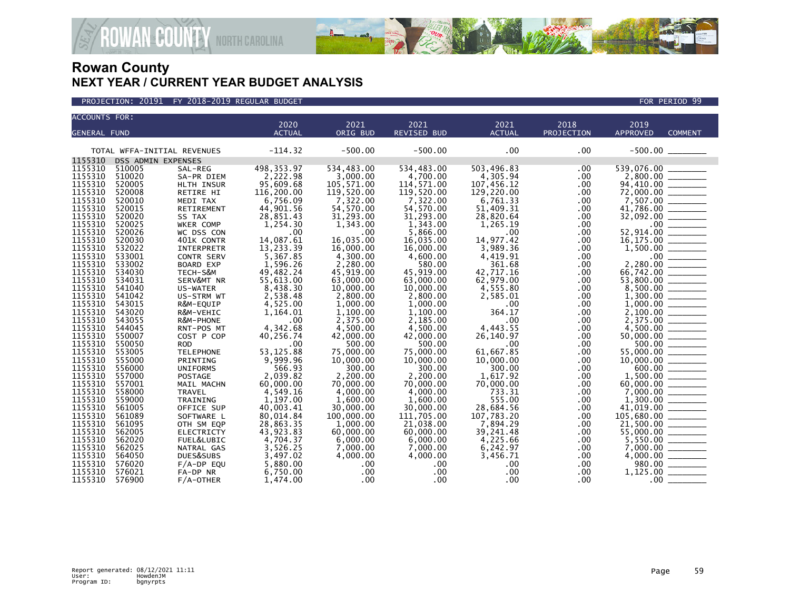

| <b>ACCOUNTS FOR:</b> |                    |                             | 2020                 | 2021                   | 2021                   | 2021                 | 2018       | 2019                              |  |
|----------------------|--------------------|-----------------------------|----------------------|------------------------|------------------------|----------------------|------------|-----------------------------------|--|
| <b>GENERAL FUND</b>  |                    |                             | <b>ACTUAL</b>        | ORIG BUD               | <b>REVISED BUD</b>     | <b>ACTUAL</b>        | PROJECTION | <b>APPROVED</b><br><b>COMMENT</b> |  |
|                      |                    |                             |                      |                        |                        |                      |            |                                   |  |
|                      |                    | TOTAL WFFA-INITIAL REVENUES | $-114.32$            | $-500.00$              | $-500.00$              | .00                  | .00        |                                   |  |
| 1155310              | DSS ADMIN EXPENSES |                             |                      |                        |                        |                      |            |                                   |  |
| 1155310              | 510005             | SAL-REG                     | 498, 353.97          | 534,483.00             | 534,483.00             | 503,496.83           | .00        | 539,076.00                        |  |
| 1155310              | 510020             | SA-PR DIEM                  | 2,222.98             | 3,000.00               | 4,700.00               | 4,305.94             | .00        | 2,800.00                          |  |
| 1155310              | 520005             | HLTH INSUR                  | 95,609.68            | 105,571.00             | 114,571.00             | 107,456.12           | .00        | 94,410.00                         |  |
| 1155310              | 520008             | RETIRE HI                   | 116,200.00           | 119,520.00             | 119,520.00             | 129,220.00           | .00        |                                   |  |
| 1155310              | 520010             | MEDI TAX                    | 6,756.09             | 7,322.00               | 7,322.00               | 6,761.33             | .00        | 7,507.00                          |  |
| 1155310              | 520015             | RETIREMENT                  | 44,901.56            | 54,570.00              | 54,570.00              | 51,409.31            | .00        | 41,786.00                         |  |
| 1155310              | 520020             | SS TAX                      | 28,851.43            | 31,293.00              | 31,293.00              | 28,820.64            | .00        | 32,092.00                         |  |
| 1155310              | 520025             | WKER COMP                   | 1,254.30             | 1,343.00               | 1,343.00               | 1,265.19             | .00        | .00 <sub>1</sub>                  |  |
| 1155310              | 520026             | WC DSS CON                  | .00                  | .00                    | 5.866.00               | .00                  | .00        | 52,914.00                         |  |
| 1155310              | 520030             | 401K CONTR                  | 14,087.61            | 16.035.00              | 16,035.00              | 14,977.42            | .00        | 16,175.00                         |  |
| 1155310              | 532022             | <b>INTERPRETR</b>           | 13,233.39            | 16,000.00              | 16,000.00              | 3,989.36             | .00        | 1,500.00                          |  |
| 1155310              | 533001             | <b>CONTR SERV</b>           | 5.367.85             | 4.300.00               | 4,600.00               | 4,419.91             | .00        | .00 <sub>1</sub>                  |  |
| 1155310              | 533002             | <b>BOARD EXP</b>            | 1,596.26             | 2,280.00               | 580.00                 | 361.68               | .00        | 2,280.00                          |  |
| 1155310<br>1155310   | 534030             | TECH-S&M                    | 49,482.24            | 45,919.00              | 45,919.00              | 42,717.16            | .00        | 66,742.00                         |  |
| 1155310              | 534031<br>541040   | SERV&MT NR                  | 55,613.00            | 63,000.00<br>10,000.00 | 63,000.00<br>10,000.00 | 62,979.00            | .00        | 53,800.00                         |  |
| 1155310              | 541042             | US-WATER<br>US-STRM WT      | 8,438.30<br>2,538.48 | 2,800.00               | 2,800.00               | 4,555.80<br>2,585.01 | .00<br>.00 | 8,500.00<br>1,300.00              |  |
| 1155310              | 543015             | R&M-EQUIP                   | 4,525.00             | 1,000.00               | 1,000.00               | .00                  | .00        | 1,000.00                          |  |
| 1155310              | 543020             | R&M-VEHIC                   | 1,164.01             | 1,100.00               | 1,100.00               | 364.17               | .00        | 2,100.00                          |  |
| 1155310              | 543055             | R&M-PHONE                   | .00                  | 2,375.00               | 2,185.00               | .00                  | .00        | 2,375.00                          |  |
| 1155310              | 544045             | RNT-POS MT                  | 4,342.68             | 4.500.00               | 4.500.00               | 4,443.55             | .00        | 4.500.00                          |  |
| 1155310              | 550007             | COST P COP                  | 40,256.74            | 42,000.00              | 42,000.00              | 26,140.97            | .00        |                                   |  |
| 1155310              | 550050             | <b>ROD</b>                  | .00                  | 500.00                 | 500.00                 | .00                  | .00        |                                   |  |
| 1155310              | 553005             | <b>TELEPHONE</b>            | 53, 125.88           | 75,000,00              | 75,000,00              | 61.667.85            | .00        | 55,000,00                         |  |
| 1155310              | 555000             | PRINTING                    | 9,999.96             | 10,000.00              | 10,000.00              | 10,000.00            | .00        | 10,000.00                         |  |
| 1155310              | 556000             | <b>UNIFORMS</b>             | 566.93               | 300.00                 | 300.00                 | 300.00               | .00.       |                                   |  |
| 1155310              | 557000             | <b>POSTAGE</b>              | 2,039.82             | 2.200.00               | 2,200.00               | 1.617.92             | .00        | 1.500.00                          |  |
| 1155310              | 557001             | MAIL MACHN                  | 60,000.00            | 70,000,00              | 70,000,00              | 70,000,00            | .00.       | 60,000.00                         |  |
| 1155310              | 558000             | <b>TRAVEL</b>               | 4,549.16             | 4,000.00               | 4,000.00               | 733.31               | .00        |                                   |  |
| 1155310              | 559000             | TRAINING                    | 1,197.00             | 1,600.00               | 1,600.00               | 555.00               | .00        | 1,300.00                          |  |
| 1155310              | 561005             | OFFICE SUP                  | 40,003.41            | 30,000.00              | 30,000.00              | 28,684.56            | .00.       | 41,019.00                         |  |
| 1155310              | 561089             | SOFTWARE L                  | 80,014.84            | 100,000.00             | 111,705.00             | 107,783.20           | .00        | 105,680.00                        |  |
| 1155310              | 561095             | OTH SM EQP                  | 28,863.35            | 1.000.00               | 21.038.00              | 7,894.29             | .00        | 21,500.00                         |  |
| 1155310              | 562005             | <b>ELECTRICTY</b>           | 43,923.83            | 60,000.00              | 60,000.00              | 39,241.48            | .00        | 55,000.00                         |  |
| 1155310              | 562020             | FUEL&LUBIC                  | 4,704.37             | 6,000.00               | 6,000.00               | 4,225.66             | .00        | 5,550.00                          |  |
| 1155310              | 562025             | NATRAL GAS                  | 3,526.25             | 7,000,00               | 7,000.00               | 6,242.97             | .00        | 7,000,00                          |  |
| 1155310              | 564050             | DUES&SUBS                   | 3,497.02             | 4,000.00               | 4,000.00               | 3,456.71             | .00        | 4,000.00                          |  |
| 1155310              | 576020             | $F/A-DP$ EQU                | 5,880.00             | $.00 \,$               | $.00 \,$               | .00                  | .00        | 980.00                            |  |
| 1155310              | 576021             | FA-DP NR                    | 6,750.00             | $.00 \,$               | .00 <sub>1</sub>       | .00<br>.00           | .00<br>.00 | 1,125.00                          |  |
| 1155310              | 576900             | $F/A$ -OTHER                | 1,474.00             | $.00 \times$           | $.00 \,$               |                      |            | .00 <sub>1</sub>                  |  |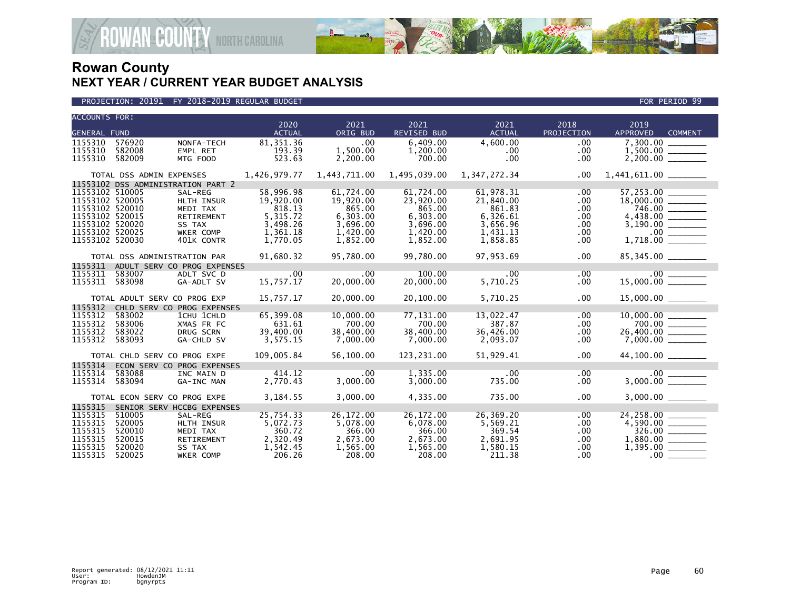

| <b>ACCOUNTS FOR:</b>               |                          |                                    |                       |                      |                            |                       |                    |                                           |
|------------------------------------|--------------------------|------------------------------------|-----------------------|----------------------|----------------------------|-----------------------|--------------------|-------------------------------------------|
| <b>GENERAL FUND</b>                |                          |                                    | 2020<br><b>ACTUAL</b> | 2021<br>ORIG BUD     | 2021<br><b>REVISED BUD</b> | 2021<br><b>ACTUAL</b> | 2018<br>PROJECTION | 2019<br><b>APPROVED</b><br><b>COMMENT</b> |
| 1155310                            | 576920                   | NONFA-TECH                         | 81, 351.36            | .00                  | 6.409.00                   | 4,600.00              | .00                | 7.300.00                                  |
| 1155310                            | 582008                   | EMPL RET                           | 193.39                | 1,500.00             | 1,200.00                   | .00                   | .00                | 1,500.00                                  |
| 1155310                            | 582009                   | MTG FOOD                           | 523.63                | 2,200.00             | 700.00                     | .00                   | .00                |                                           |
|                                    |                          |                                    |                       |                      |                            |                       |                    |                                           |
|                                    | TOTAL DSS ADMIN EXPENSES |                                    | 1,426,979.77          | 1,443,711.00         | 1,495,039.00               | 1,347,272.34          | $.00 \,$           |                                           |
|                                    |                          | 11553102 DSS ADMINISTRATION PART 2 |                       |                      |                            |                       |                    |                                           |
| 11553102 510005                    |                          | SAL-REG                            | 58,996.98             | 61,724.00            | 61,724.00                  | 61,978.31             | .00                | 57,253.00                                 |
| 11553102 520005                    |                          | HLTH INSUR                         | 19,920.00             | 19,920.00            | 23,920.00                  | 21,840.00             | .00.               |                                           |
| 11553102 520010                    |                          | MEDI TAX                           | 818.13                | 865.00               | 865.00                     | 861.83                | .00                | 746.00 ______                             |
| 11553102 520015<br>11553102 520020 |                          | <b>RETIREMENT</b><br>SS TAX        | 5, 315.72             | 6,303.00<br>3,696.00 | 6,303.00<br>3,696.00       | 6,326.61<br>3,656.96  | .00<br>.00         | 4,438.00 ______                           |
| 11553102 520025                    |                          | WKER COMP                          | 3,498.26<br>1,361.18  | 1,420.00             | 1,420.00                   | 1,431.13              | .00                |                                           |
| 11553102 520030                    |                          | 401K CONTR                         | 1,770.05              | 1,852.00             | 1,852.00                   | 1,858.85              | .00.               |                                           |
|                                    |                          |                                    |                       |                      |                            |                       |                    |                                           |
|                                    |                          | TOTAL DSS ADMINISTRATION PAR       | 91,680.32             | 95,780.00            | 99,780.00                  | 97,953.69             | .00                |                                           |
| 1155311                            |                          | ADULT SERV CO PROG EXPENSES        |                       |                      |                            |                       |                    |                                           |
| 1155311                            | 583007                   | ADLT SVC D                         | .00                   | .00                  | 100.00                     | .00                   | .00                | 15,000.00                                 |
| 1155311                            | 583098                   | GA-ADLT SV                         | 15,757.17             | 20,000.00            | 20,000.00                  | 5,710.25              | .00                |                                           |
|                                    |                          | TOTAL ADULT SERV CO PROG EXP       | 15,757.17             | 20,000.00            | 20,100.00                  | 5,710.25              | .00                | 15,000.00                                 |
| 1155312                            |                          | CHLD SERV CO PROG EXPENSES         |                       |                      |                            |                       |                    |                                           |
| 1155312                            | 583002                   | 1CHU 1CHLD                         | 65,399.08             | 10,000.00            | 77,131.00                  | 13,022.47             | .00.               |                                           |
| 1155312                            | 583006                   | XMAS FR FC                         | 631.61                | 700.00               | 700.00                     | 387.87                | .00                | 700.00                                    |
| 1155312                            | 583022                   | DRUG SCRN                          | 39,400.00             | 38,400.00            | 38,400.00                  | 36,426.00             | .00                |                                           |
| 1155312                            | 583093                   | GA-CHLD SV                         | 3,575.15              | 7,000.00             | 7,000.00                   | 2,093.07              | .00                |                                           |
|                                    |                          | TOTAL CHLD SERV CO PROG EXPE       | 109.005.84            | 56.100.00            | 123.231.00                 | 51.929.41             | $.00 \,$           | 44,100.00 _______                         |
| 1155314                            |                          | ECON SERV CO PROG EXPENSES         |                       |                      |                            |                       |                    |                                           |
| 1155314                            | 583088                   | INC MAIN D                         | 414.12                | $.00 \,$             | 1,335.00                   | $.00 \,$              | .00                |                                           |
| 1155314                            | 583094                   | GA-INC MAN                         | 2,770.43              | 3,000.00             | 3,000.00                   | 735.00                | .00.               |                                           |
|                                    |                          | TOTAL ECON SERV CO PROG EXPE       | 3,184.55              | 3,000.00             | 4,335.00                   | 735.00                | .00                |                                           |
| 1155315                            |                          | SENIOR SERV HCCBG EXPENSES         |                       |                      |                            |                       |                    |                                           |
| 1155315                            | 510005                   | SAL-REG                            | 25,754.33             | 26, 172.00           | 26,172.00                  | 26,369.20             | .00.               |                                           |
| 1155315                            | 520005                   | HLTH INSUR                         | 5,072.73              | 5,078.00             | 6,078.00                   | 5,569.21              | .00                |                                           |
| 1155315                            | 520010                   | MEDI TAX                           | 360.72                | 366.00               | 366.00                     | 369.54                | .00.               |                                           |
| 1155315                            | 520015                   | RETIREMENT                         | 2,320.49              | 2,673.00             | 2,673.00                   | 2,691.95              | .00                |                                           |
| 1155315                            | 520020                   | SS TAX                             | 1,542.45              | 1,565.00             | 1,565.00                   | 1,580.15              | .00                | 1,395.00                                  |
| 1155315                            | 520025                   | WKER COMP                          | 206.26                | 208.00               | 208.00                     | 211.38                | $.00 \,$           | $.00 \,$                                  |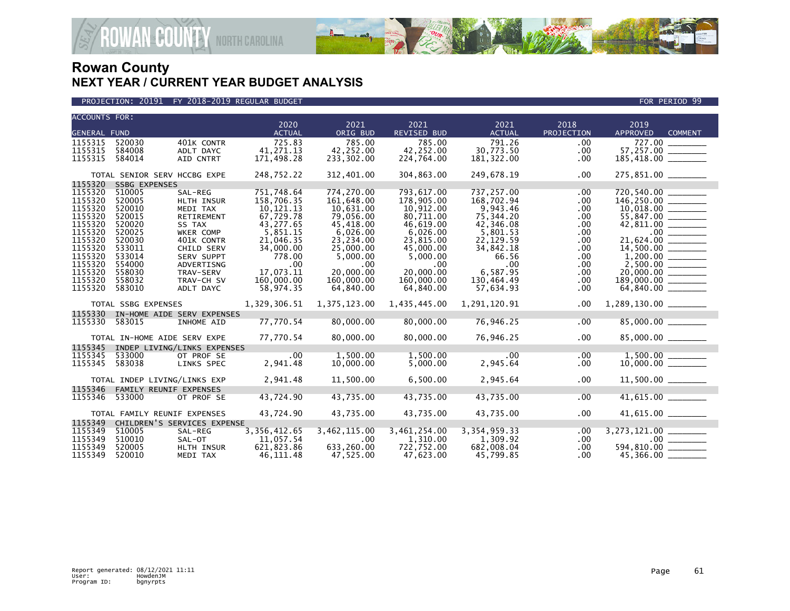

PROJECTION: 20191 FY 2018-2019 REGULAR BUDGET FOR PERIOD 99

| <b>ACCOUNTS FOR:</b> |                              |                             | 2020                | 2021                 | 2021               | 2021            | 2018       | 2019                              |  |
|----------------------|------------------------------|-----------------------------|---------------------|----------------------|--------------------|-----------------|------------|-----------------------------------|--|
| <b>GENERAL FUND</b>  |                              |                             | <b>ACTUAL</b>       | ORIG BUD             | <b>REVISED BUD</b> | <b>ACTUAL</b>   | PROJECTION | <b>APPROVED</b><br><b>COMMENT</b> |  |
| 1155315              | 520030                       | 401K CONTR                  | 725.83              | 785.00               | 785.00             | 791.26          | .00        |                                   |  |
| 1155315              | 584008                       | ADLT DAYC                   | 41,271.13           | 42,252.00            | 42,252.00          | 30,773.50       | .00        |                                   |  |
| 1155315              | 584014                       | AID CNTRT                   | 171,498.28          | 233,302.00           | 224,764.00         | 181,322.00      | .00        | $185,418.00$ ________             |  |
|                      |                              |                             |                     |                      |                    |                 |            |                                   |  |
|                      | TOTAL SENIOR SERV HCCBG EXPE |                             | 248,752.22          | 312,401.00           | 304,863.00         | 249,678.19      | .00        | 275,851.00 ______                 |  |
| 1155320              | <b>SSBG EXPENSES</b>         |                             |                     |                      |                    |                 |            |                                   |  |
| 1155320              | 510005                       | SAL-REG                     | 751,748.64          | 774,270.00           | 793,617.00         | 737,257.00      | .00        |                                   |  |
| 1155320              | 520005                       | HLTH INSUR                  | 158,706.35          | 161,648.00           | 178,905.00         | 168,702.94      | .00        |                                   |  |
| 1155320              | 520010                       | MEDI TAX                    | 10,121.13           | 10,631.00            | 10,912.00          | 9.943.46        | .00        |                                   |  |
| 1155320              | 520015                       | <b>RETIREMENT</b>           | 67,729.78           | 79,056.00            | 80,711.00          | 75,344.20       | .00.       | 55,847.00 _______                 |  |
| 1155320              | 520020                       | SS TAX                      | 43,277.65           | 45,418.00            | 46,619.00          | 42,346.08       | .00.       | 42,811.00 _______                 |  |
| 1155320              | 520025                       | WKER COMP                   | 5,851.15            | 6,026.00             | 6,026.00           | 5,801.53        | .00        |                                   |  |
| 1155320              | 520030                       | 401K CONTR                  | 21,046.35           | 23,234.00            | 23,815.00          | 22,129.59       | .00        | 21,624.00                         |  |
| 1155320              | 533011<br>533014             | CHILD SERV                  | 34,000.00<br>778.00 | 25,000.00            | 45,000.00          | 34,842.18       | .00        |                                   |  |
| 1155320<br>1155320   | 554000                       | SERV SUPPT<br>ADVERTISNG    | .00                 | 5,000.00<br>$.00 \,$ | 5,000.00<br>.00    | 66.56<br>.00    | .00        | $2,500.00$ ________               |  |
| 1155320              | 558030                       | TRAV-SERV                   | 17,073.11           | 20,000,00            | 20,000.00          | 6,587.95        | .00<br>.00 |                                   |  |
| 1155320              | 558032                       | TRAV-CH SV                  | 160,000.00          | 160,000.00           | 160,000.00         | 130,464.49      | .00        | 189,000.00 ______                 |  |
| 1155320              | 583010                       | ADLT DAYC                   | 58,974.35           | 64,840.00            | 64,840.00          | 57,634.93       | .00.       |                                   |  |
|                      |                              |                             |                     |                      |                    |                 |            |                                   |  |
|                      | TOTAL SSBG EXPENSES          |                             | 1,329,306.51        | 1,375,123.00         | 1,435,445.00       | 1,291,120.91    | .00        |                                   |  |
| 1155330              |                              | IN-HOME AIDE SERV EXPENSES  |                     |                      |                    |                 |            |                                   |  |
| 1155330              | 583015                       | INHOME AID                  | 77,770.54           | 80,000.00            | 80,000.00          | 76,946.25       | .00        | $85,000.00$ _______               |  |
|                      | TOTAL IN-HOME AIDE SERV EXPE |                             | 77,770.54           | 80,000.00            | 80,000.00          | 76,946.25       | .00        | 85,000.00 ______                  |  |
| 1155345              |                              | INDEP LIVING/LINKS EXPENSES |                     |                      |                    |                 |            |                                   |  |
| 1155345              | 533000                       | OT PROF SE                  | .00                 | 1,500.00             | 1,500.00           | .00             | .00        |                                   |  |
| 1155345              | 583038                       | LINKS SPEC                  | 2,941.48            | 10,000.00            | 5,000.00           | 2,945.64        | .00.       | $10,000.00$ _______               |  |
|                      |                              |                             |                     |                      |                    |                 |            |                                   |  |
|                      | TOTAL INDEP LIVING/LINKS EXP |                             | 2,941.48            | 11,500.00            | 6,500.00           | 2,945.64        | .00        | $11,500.00$ ________              |  |
| 1155346              | FAMILY REUNIF EXPENSES       |                             |                     |                      |                    |                 |            |                                   |  |
| 1155346              | 533000                       | OT PROF SE                  | 43,724.90           | 43,735.00            | 43,735.00          | 43,735.00       | .00        | $41,615.00$ _______               |  |
|                      | TOTAL FAMILY REUNIF EXPENSES |                             | 43,724.90           | 43,735.00            | 43,735.00          | 43,735.00       | .00        | 41,615.00                         |  |
| 1155349              |                              | CHILDREN'S SERVICES EXPENSE |                     |                      |                    |                 |            |                                   |  |
| 1155349              | 510005                       | SAL-REG                     | 3, 356, 412.65      | 3,462,115.00         | 3,461,254.00       | 3, 354, 959. 33 | .00        |                                   |  |
| 1155349              | 510010                       | SAL-OT                      | 11,057.54           | $.00 \cdot$          | 1,310.00           | 1,309.92        | .00        |                                   |  |
| 1155349              | 520005                       | HLTH INSUR                  | 621,823.86          | 633,260.00           | 722,752.00         | 682,008.04      | .00.       | 594,810.00 _______                |  |
| 1155349              | 520010                       | MEDI TAX                    | 46,111.48           | 47,525.00            | 47,623.00          | 45,799.85       | .00        | 45,366.00 _____                   |  |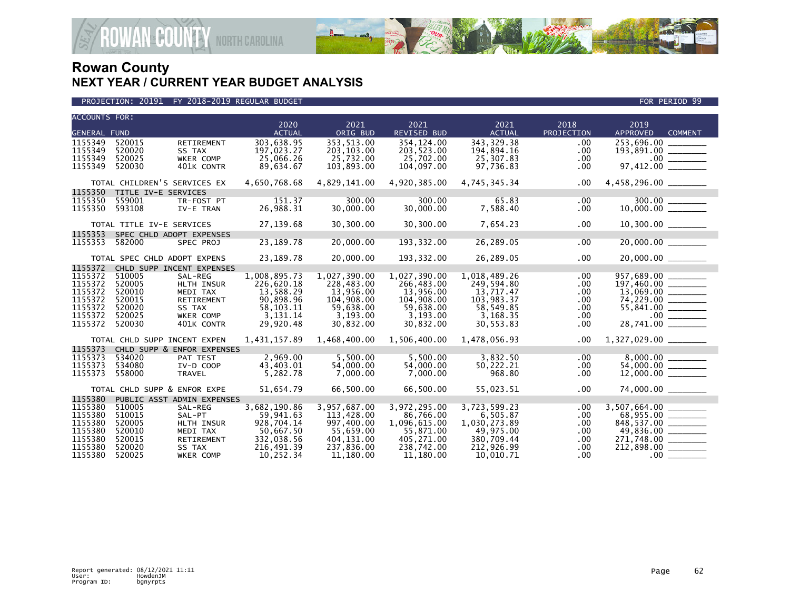

| <b>ACCOUNTS FOR:</b> |                              |                            | 2020                       | 2021                       | 2021                       |                            | 2018             | 2019                                                                                                                                                                                                                                                                                                      |
|----------------------|------------------------------|----------------------------|----------------------------|----------------------------|----------------------------|----------------------------|------------------|-----------------------------------------------------------------------------------------------------------------------------------------------------------------------------------------------------------------------------------------------------------------------------------------------------------|
| <b>GENERAL FUND</b>  |                              |                            | <b>ACTUAL</b>              | ORIG BUD                   | <b>REVISED BUD</b>         | 2021<br><b>ACTUAL</b>      | PROJECTION       | <b>APPROVED</b><br><b>COMMENT</b>                                                                                                                                                                                                                                                                         |
| 1155349              | 520015                       | RETIREMENT                 | 303,638.95                 | 353,513.00                 | 354, 124.00                | 343, 329. 38               | .00              | 253,696.00 _______                                                                                                                                                                                                                                                                                        |
| 1155349              | 520020                       | SS TAX                     | 197,023.27                 | 203,103.00                 | 203,523.00                 | 194,894.16                 | .00.             | 193,891.00 _______                                                                                                                                                                                                                                                                                        |
| 1155349              | 520025                       | WKER COMP                  | 25,066.26                  | 25,732.00                  | 25,702.00                  | 25,307.83                  | .00              |                                                                                                                                                                                                                                                                                                           |
| 1155349              | 520030                       | 401K CONTR                 | 89,634.67                  | 103,893.00                 | 104,097.00                 | 97,736.83                  | $.00 \,$         |                                                                                                                                                                                                                                                                                                           |
|                      | TOTAL CHILDREN'S SERVICES EX |                            | 4,650,768.68               | 4,829,141.00               | 4,920,385.00               | 4,745,345.34               | $.00 \,$         | 4,458,296.00 ________                                                                                                                                                                                                                                                                                     |
| 1155350              | TITLE IV-E SERVICES          |                            |                            |                            |                            |                            |                  |                                                                                                                                                                                                                                                                                                           |
| 1155350              | 559001                       | TR-FOST PT                 | 151.37                     | 300.00                     | 300.00                     | 65.83                      | .00              | $300.00$<br>10,000.00                                                                                                                                                                                                                                                                                     |
| 1155350              | 593108                       | IV-E TRAN                  | 26,988.31                  | 30,000.00                  | 30,000.00                  | 7,588.40                   | $.00 \,$         |                                                                                                                                                                                                                                                                                                           |
|                      | TOTAL TITLE IV-E SERVICES    |                            | 27,139.68                  | 30,300.00                  | 30,300.00                  | 7,654.23                   | $.00 \,$         | 10,300.00 ______                                                                                                                                                                                                                                                                                          |
| 1155353              | SPEC CHLD ADOPT EXPENSES     |                            |                            |                            |                            |                            |                  |                                                                                                                                                                                                                                                                                                           |
| 1155353              | 582000                       | SPEC PROJ                  | 23,189.78                  | 20,000.00                  | 193,332.00                 | 26,289.05                  | $.00 \,$         | 20,000.00                                                                                                                                                                                                                                                                                                 |
|                      | TOTAL SPEC CHLD ADOPT EXPENS |                            | 23,189.78                  | 20,000.00                  | 193,332.00                 | 26,289.05                  | $.00 \,$         | 20,000.00 _______                                                                                                                                                                                                                                                                                         |
| 1155372              |                              | CHLD SUPP INCENT EXPENSES  |                            |                            |                            |                            |                  |                                                                                                                                                                                                                                                                                                           |
| 1155372<br>1155372   | 510005<br>520005             | SAL-REG<br>HLTH INSUR      | 1,008,895.73<br>226,620.18 | 1,027,390.00<br>228,483.00 | 1,027,390.00<br>266,483.00 | 1,018,489.26<br>249,594.80 | .00<br>$.00 \,$  | 957,689.00                                                                                                                                                                                                                                                                                                |
| 1155372              | 520010                       | MEDI TAX                   | 13.588.29                  | 13,956.00                  | 13,956.00                  | 13.717.47                  | .00              |                                                                                                                                                                                                                                                                                                           |
| 1155372              | 520015                       | RETIREMENT                 | 90,898.96                  | 104,908.00                 | 104,908.00                 | 103,983.37                 | $.00 \,$         |                                                                                                                                                                                                                                                                                                           |
| 1155372              | 520020                       | SS TAX                     | 58,103.11                  | 59,638.00                  | 59,638.00                  | 58,549.85                  | $.00 \,$         |                                                                                                                                                                                                                                                                                                           |
| 1155372              | 520025                       | <b>WKER COMP</b>           | 3,131.14                   | 3,193.00                   | 3.193.00                   | 3,168.35                   | $.00 \,$         |                                                                                                                                                                                                                                                                                                           |
| 1155372              | 520030                       | 401K CONTR                 | 29,920.48                  | 30,832.00                  | 30,832.00                  | 30,553.83                  | $.00 \,$         |                                                                                                                                                                                                                                                                                                           |
|                      | TOTAL CHLD SUPP INCENT EXPEN |                            | 1,431,157.89               | 1,468,400.00               | 1,506,400.00               | 1,478,056.93               | $.00 \,$         | $1,327,029.00$ _________                                                                                                                                                                                                                                                                                  |
| 1155373              |                              | CHLD SUPP & ENFOR EXPENSES |                            |                            |                            |                            |                  |                                                                                                                                                                                                                                                                                                           |
| 1155373              | 534020                       | PAT TEST                   | 2.969.00                   | 5.500.00                   | 5.500.00                   | 3,832.50                   | .00              | $\begin{array}{c} 8,000.00 \\ 54,000.00 \\ 12,000.00 \end{array} \begin{array}{c} \begin{array}{c} \begin{array}{c} \begin{array}{c} \begin{array}{c} \end{array} \\ \begin{array}{c} \end{array} \\ \begin{array}{c} \end{array} \\ \end{array} \\ \begin{array}{c} \end{array} \end{array} \end{array}$ |
| 1155373              | 534080                       | IV-D COOP                  | 43,403.01                  | 54,000.00                  | 54,000.00                  | 50,222.21                  | $.00 \,$         |                                                                                                                                                                                                                                                                                                           |
| 1155373              | 558000                       | <b>TRAVEL</b>              | 5,282.78                   | 7,000.00                   | 7,000.00                   | 968.80                     | $.00 \,$         |                                                                                                                                                                                                                                                                                                           |
|                      | TOTAL CHLD SUPP & ENFOR EXPE |                            | 51,654.79                  | 66,500.00                  | 66,500.00                  | 55,023.51                  | $.00 \,$         |                                                                                                                                                                                                                                                                                                           |
| 1155380              |                              | PUBLIC ASST ADMIN EXPENSES |                            |                            |                            |                            |                  |                                                                                                                                                                                                                                                                                                           |
| 1155380              | 510005                       | SAL-REG                    | 3,682,190.86               | 3,957,687.00               | 3,972,295.00               | 3,723,599.23               | $.00 \,$         | 3,507,664.00                                                                                                                                                                                                                                                                                              |
| 1155380<br>1155380   | 510015<br>520005             | SAL-PT<br>HLTH INSUR       | 59,941.63<br>928,704.14    | 113,428.00                 | 86,766.00                  | 6,505.87<br>1,030,273.89   | .00.<br>$.00 \,$ | 68,955.00 _______                                                                                                                                                                                                                                                                                         |
| 1155380              | 520010                       | MEDI TAX                   | 50.667.50                  | 997,400.00<br>55,659.00    | 1,096,615.00<br>55,871.00  | 49.975.00                  | $.00 \,$         | 848, 537.00                                                                                                                                                                                                                                                                                               |
| 1155380              | 520015                       | RETIREMENT                 | 332,038.56                 | 404,131.00                 | 405,271.00                 | 380,709.44                 | .00.             | $49,836.00$<br>271,748.00                                                                                                                                                                                                                                                                                 |
| 1155380              | 520020                       | SS TAX                     | 216,491.39                 | 237,836.00                 | 238,742.00                 | 212,926.99                 | .00.             | 212,898.00                                                                                                                                                                                                                                                                                                |
| 1155380              | 520025                       | WKER COMP                  | 10,252.34                  | 11,180.00                  | 11,180.00                  | 10.010.71                  | .00.             |                                                                                                                                                                                                                                                                                                           |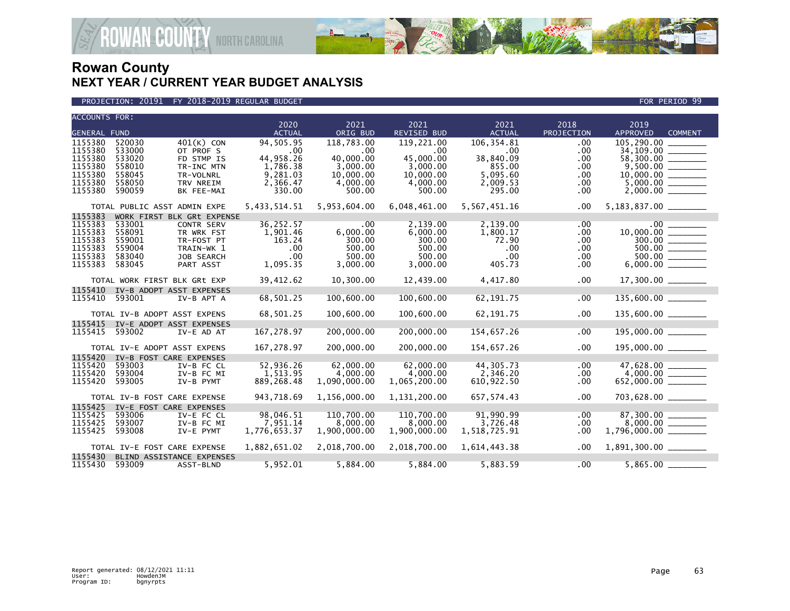

PROJECTION: 20191 FY 2018-2019 REGULAR BUDGET FOR PERIOD 99

| <b>ACCOUNTS FOR:</b> |                  |                              | 2020                     | 2021                     | 2021                     | 2021                     | 2018        | 2019                  |                |
|----------------------|------------------|------------------------------|--------------------------|--------------------------|--------------------------|--------------------------|-------------|-----------------------|----------------|
| <b>GENERAL FUND</b>  |                  |                              | <b>ACTUAL</b>            | ORIG BUD                 | REVISED BUD              | <b>ACTUAL</b>            | PROJECTION  | <b>APPROVED</b>       | <b>COMMENT</b> |
| 1155380              | 520030           | $401(K)$ CON                 | 94,505.95                | 118,783.00               | 119,221.00               | 106, 354.81              | .00         | 105,290.00            |                |
| 1155380              | 533000           | OT PROF S                    | .00                      | .00                      | .00                      | .00                      | .00         |                       |                |
| 1155380              | 533020           | FD STMP IS                   | 44.958.26                | 40.000.00                | 45.000.00                | 38,840.09                | .00         | 58,300.00             |                |
| 1155380              | 558010           | TR-INC MTN                   | 1,786.38                 | 3,000.00                 | 3,000.00                 | 855.00                   | .00.        |                       |                |
| 1155380              | 558045           | TR-VOLNRL                    | 9,281.03                 | 10,000.00                | 10,000.00                | 5,095.60                 | .00.        |                       |                |
| 1155380              | 558050           | TRV NREIM                    | 2,366.47                 | 4,000.00                 | 4,000.00                 | 2,009.53                 | .00         |                       |                |
| 1155380              | 590059           | BK FEE-MAI                   | 330.00                   | 500.00                   | 500.00                   | 295.00                   | .00         |                       |                |
|                      |                  | TOTAL PUBLIC ASST ADMIN EXPE | 5,433,514.51             | 5,953,604.00             | 6,048,461.00             | 5,567,451.16             | $.00 \,$    |                       |                |
| 1155383              |                  | WORK FIRST BLK GRt EXPENSE   |                          |                          |                          |                          |             |                       |                |
| 1155383              | 533001           | <b>CONTR SERV</b>            | 36,252.57                | .00                      | 2,139.00                 | 2,139.00                 | .00         | .00                   |                |
| 1155383              | 558091           | TR WRK FST                   | 1,901.46                 | 6,000.00                 | 6.000.00                 | 1,800.17                 | .00.        |                       |                |
| 1155383<br>1155383   | 559001<br>559004 | TR-FOST PT<br>TRAIN-WK 1     | 163.24<br>.00            | 300.00<br>500.00         | 300.00<br>500.00         | 72.90<br>.00             | .00<br>.00  | 300.00                |                |
| 1155383              | 583040           | JOB SEARCH                   | .00                      | 500.00                   | 500.00                   | .00                      | .00         | 500.00                |                |
| 1155383              | 583045           | PART ASST                    | 1,095.35                 | 3,000.00                 | 3,000.00                 | 405.73                   | .00.        |                       |                |
|                      |                  |                              |                          |                          |                          |                          |             |                       |                |
|                      |                  | TOTAL WORK FIRST BLK GRt EXP | 39,412.62                | 10,300.00                | 12,439.00                | 4,417.80                 | .00         | $17,300.00$ _________ |                |
| 1155410<br>1155410   | 593001           | IV-B ADOPT ASST EXPENSES     | 68,501.25                | 100,600.00               | 100,600.00               | 62, 191.75               | .00         |                       |                |
|                      |                  | IV-B APT A                   |                          |                          |                          |                          |             |                       |                |
|                      |                  | TOTAL IV-B ADOPT ASST EXPENS | 68,501.25                | 100,600.00               | 100,600.00               | 62, 191.75               | .00.        | $135,600.00$ _______  |                |
| 1155415              |                  | IV-E ADOPT ASST EXPENSES     |                          |                          |                          |                          |             |                       |                |
| 1155415              | 593002           | IV-E AD AT                   | 167,278.97               | 200,000.00               | 200,000.00               | 154,657.26               | .00         | $195,000.00$ ________ |                |
|                      |                  | TOTAL IV-E ADOPT ASST EXPENS | 167, 278.97              | 200,000,00               | 200,000.00               | 154,657.26               | .00         | 195,000.00 _______    |                |
| 1155420              |                  | IV-B FOST CARE EXPENSES      |                          |                          |                          |                          |             |                       |                |
| 1155420<br>1155420   | 593003<br>593004 | IV-B FC CL                   | 52,936.26                | 62,000.00<br>4,000.00    | 62,000.00                | 44,305.73<br>2,346.20    | .00         | 47,628.00             |                |
| 1155420              | 593005           | IV-B FC MI<br>IV-B PYMT      | 1,513.95<br>889,268.48   | 1,090,000.00             | 4,000.00<br>1,065,200.00 | 610,922.50               | .00<br>.00. |                       |                |
|                      |                  |                              |                          |                          |                          |                          |             |                       |                |
|                      |                  | TOTAL IV-B FOST CARE EXPENSE | 943,718.69               | 1,156,000.00             | 1,131,200.00             | 657,574.43               | .00         | 703,628.00 _______    |                |
| 1155425              |                  | IV-E FOST CARE EXPENSES      |                          |                          |                          |                          |             |                       |                |
| 1155425              | 593006           | IV-E FC CL                   | 98,046.51                | 110,700.00               | 110,700.00               | 91,990.99                | .00         | 87,300.00             |                |
| 1155425<br>1155425   | 593007<br>593008 | IV-B FC MI<br>IV-E PYMT      | 7,951.14<br>1,776,653.37 | 8,000.00<br>1,900,000.00 | 8,000.00<br>1,900,000.00 | 3,726.48<br>1,518,725.91 | .00.<br>.00 |                       |                |
|                      |                  |                              |                          |                          |                          |                          |             |                       |                |
|                      |                  | TOTAL IV-E FOST CARE EXPENSE | 1,882,651.02             | 2,018,700.00             | 2,018,700.00             | 1,614,443.38             | .00         |                       |                |
| 1155430              |                  | BLIND ASSISTANCE EXPENSES    |                          |                          |                          |                          |             |                       |                |
| 1155430              | 593009           | ASST-BLND                    | 5,952.01                 | 5,884.00                 | 5,884.00                 | 5,883.59                 | .00         |                       |                |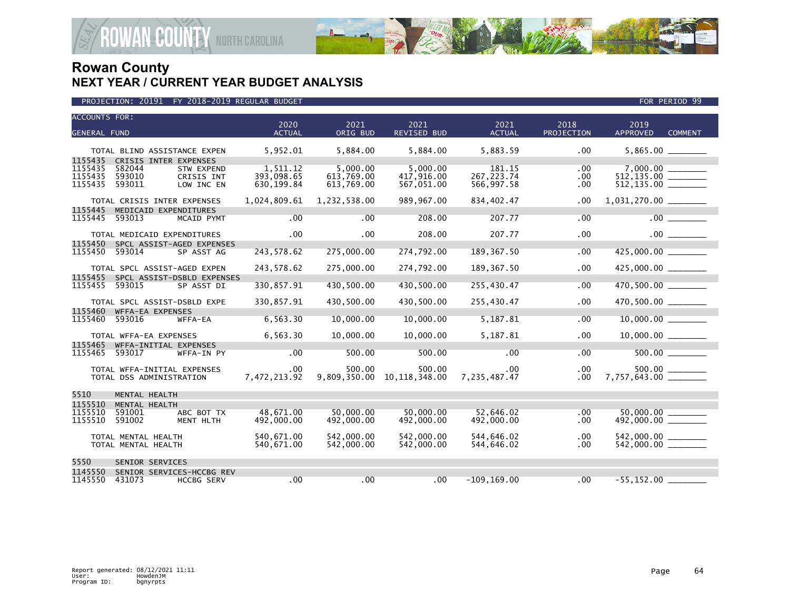

| <b>ACCOUNTS FOR:</b><br><b>GENERAL FUND</b> |                                 |                            | 2020<br><b>ACTUAL</b> | 2021<br>ORIG BUD | 2021<br><b>REVISED BUD</b> | 2021<br><b>ACTUAL</b> | 2018<br>PROJECTION | 2019<br><b>APPROVED</b> | <b>COMMENT</b> |
|---------------------------------------------|---------------------------------|----------------------------|-----------------------|------------------|----------------------------|-----------------------|--------------------|-------------------------|----------------|
|                                             |                                 |                            |                       |                  |                            |                       |                    |                         |                |
|                                             | TOTAL BLIND ASSISTANCE EXPEN    |                            | 5,952.01              | 5,884.00         | 5,884.00                   | 5,883.59              | .00                |                         |                |
| 1155435<br>1155435                          | CRISIS INTER EXPENSES<br>582044 | <b>STW EXPEND</b>          | 1,511.12              | 5.000.00         | 5.000.00                   | 181.15                | .00                |                         |                |
| 1155435                                     | 593010                          | CRISIS INT                 | 393,098.65            | 613,769.00       | 417,916.00                 | 267, 223.74           | $.00 \,$           | $512, 135.00$ _________ |                |
| 1155435                                     | 593011                          | LOW INC EN                 | 630, 199.84           | 613,769.00       | 567,051.00                 | 566,997.58            | .00                | 512, 135.00             |                |
|                                             | TOTAL CRISIS INTER EXPENSES     |                            | 1,024,809.61          | 1,232,538.00     | 989,967.00                 | 834,402.47            | .00                |                         |                |
| 1155445                                     | MEDICAID EXPENDITURES           |                            |                       |                  |                            |                       |                    |                         |                |
| 1155445                                     | 593013                          | MCAID PYMT                 | .00                   | .00              | 208.00                     | 207.77                | .00                |                         | $.00$ $\qquad$ |
|                                             | TOTAL MEDICAID EXPENDITURES     |                            | $.00 \,$              | .00              | 208.00                     | 207.77                | .00                |                         | $.00$ $\qquad$ |
| 1155450                                     | SPCL ASSIST-AGED EXPENSES       |                            |                       |                  |                            |                       |                    |                         |                |
| 1155450                                     | 593014                          | SP ASST AG                 | 243,578.62            | 275,000.00       | 274,792.00                 | 189,367.50            | .00                | 425,000.00 _______      |                |
|                                             | TOTAL SPCL ASSIST-AGED EXPEN    |                            | 243,578.62            | 275,000.00       | 274,792.00                 | 189, 367.50           | .00                | 425,000.00 _______      |                |
| 1155455                                     |                                 | SPCL ASSIST-DSBLD EXPENSES |                       |                  |                            |                       |                    |                         |                |
| 1155455                                     | 593015                          | SP ASST DI                 | 330,857.91            | 430,500.00       | 430,500.00                 | 255,430.47            | .00                | 470,500.00              |                |
|                                             | TOTAL SPCL ASSIST-DSBLD EXPE    |                            | 330,857.91            | 430,500.00       | 430,500.00                 | 255,430.47            | .00                | 470,500.00 _______      |                |
| 1155460<br>1155460                          | WFFA-EA EXPENSES<br>593016      | WFFA-EA                    | 6,563.30              | 10,000.00        | 10,000.00                  | 5,187.81              | .00                | $10,000.00$ ________    |                |
|                                             |                                 |                            |                       |                  |                            |                       |                    |                         |                |
|                                             | TOTAL WFFA-EA EXPENSES          |                            | 6,563.30              | 10,000.00        | 10,000.00                  | 5,187.81              | .00                |                         |                |
| 1155465                                     | WFFA-INITIAL EXPENSES           |                            |                       |                  |                            |                       |                    |                         |                |
| 1155465                                     | 593017                          | WFFA-IN PY                 | .00                   | 500.00           | 500.00                     | .00                   | .00                |                         | 500.00         |
|                                             | TOTAL WFFA-INITIAL EXPENSES     |                            | $.00 \,$              | 500.00           | 500.00                     | .00.                  | .00                |                         |                |
|                                             | TOTAL DSS ADMINISTRATION        |                            | 7,472,213.92          | 9,809,350.00     | 10, 118, 348, 00           | 7,235,487.47          | .00                |                         |                |
| 5510                                        | MENTAL HEALTH                   |                            |                       |                  |                            |                       |                    |                         |                |
| 1155510                                     | MENTAL HEALTH                   |                            |                       |                  |                            |                       |                    |                         |                |
| 1155510                                     | 591001                          | ABC BOT TX                 | 48,671.00             | 50,000,00        | 50.000.00                  | 52.646.02             | .00                |                         |                |
| 1155510                                     | 591002                          | MENT HLTH                  | 492,000.00            | 492,000.00       | 492,000.00                 | 492,000.00            | .00                | 492,000.00 _______      |                |
|                                             | TOTAL MENTAL HEALTH             |                            | 540,671.00            | 542,000.00       | 542,000.00                 | 544,646.02            | .00                |                         |                |
|                                             | TOTAL MENTAL HEALTH             |                            | 540,671.00            | 542,000.00       | 542,000.00                 | 544,646.02            | .00                |                         |                |
| 5550                                        | SENIOR SERVICES                 |                            |                       |                  |                            |                       |                    |                         |                |
| 1145550                                     | SENIOR SERVICES-HCCBG REV       |                            |                       |                  |                            |                       |                    |                         |                |
| 1145550                                     | 431073                          | <b>HCCBG SERV</b>          | .00                   | .00              | .00                        | $-109, 169.00$        | .00                | $-55, 152.00$           |                |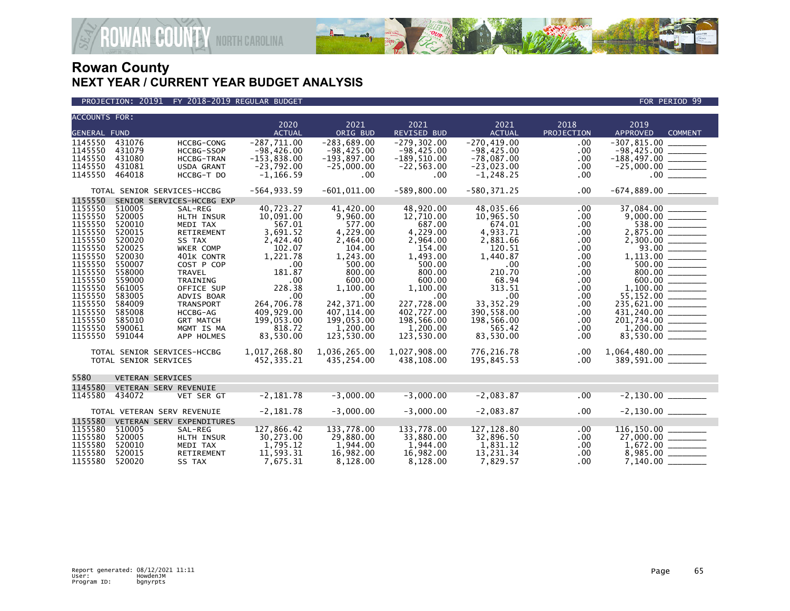

PROJECTION: 20191 FY 2018-2019 REGULAR BUDGET FOR PERIOD 99

| <b>ACCOUNTS FOR:</b> |        |                             | 2020           | 2021          | 2021               | 2021           | 2018         | 2019                                                                                                                                                                                                                                                                                                                                                                                        |                |
|----------------------|--------|-----------------------------|----------------|---------------|--------------------|----------------|--------------|---------------------------------------------------------------------------------------------------------------------------------------------------------------------------------------------------------------------------------------------------------------------------------------------------------------------------------------------------------------------------------------------|----------------|
| <b>GENERAL FUND</b>  |        |                             | <b>ACTUAL</b>  | ORIG BUD      | <b>REVISED BUD</b> | <b>ACTUAL</b>  | PROJECTION   | APPROVED                                                                                                                                                                                                                                                                                                                                                                                    | <b>COMMENT</b> |
| 1145550              | 431076 | <b>HCCBG-CONG</b>           | $-287.711.00$  | $-283.689.00$ | $-279, 302.00$     | $-270, 419.00$ | .00          | $-307.815.00$                                                                                                                                                                                                                                                                                                                                                                               |                |
| 1145550              | 431079 | HCCBG-SSOP                  | $-98,426.00$   | $-98,425.00$  | $-98,425.00$       | $-98,425.00$   | .00          |                                                                                                                                                                                                                                                                                                                                                                                             |                |
| 1145550              | 431080 | <b>HCCBG-TRAN</b>           | $-153,838.00$  | $-193,897.00$ | $-189,510.00$      | $-78,087.00$   | .00          |                                                                                                                                                                                                                                                                                                                                                                                             |                |
| 1145550              | 431081 | USDA GRANT                  | $-23,792.00$   | $-25,000.00$  | $-22,563.00$       | $-23,023.00$   | .00          | $-25,000.00$ ________                                                                                                                                                                                                                                                                                                                                                                       |                |
| 1145550              | 464018 | HCCBG-T DO                  | $-1, 166.59$   | $.00 \,$      | .00.               | $-1, 248.25$   | .00          |                                                                                                                                                                                                                                                                                                                                                                                             | .00            |
|                      |        | TOTAL SENIOR SERVICES-HCCBG | $-564, 933.59$ | $-601,011.00$ | $-589, 800.00$     | $-580, 371.25$ | $.00 \,$     |                                                                                                                                                                                                                                                                                                                                                                                             |                |
| 1155550              |        | SENIOR SERVICES-HCCBG EXP   |                |               |                    |                |              |                                                                                                                                                                                                                                                                                                                                                                                             |                |
| 1155550              | 510005 | SAL-REG                     | 40,723.27      | 41,420.00     | 48,920.00          | 48,035.66      | .00.         | $\begin{tabular}{ c c } \hline 37,084.00 & \hline \multicolumn{2}{ c }{39,000.00} & \hline \multicolumn{2}{ c }{39,000.00} & \hline \multicolumn{2}{ c }{538.00} & \hline \multicolumn{2}{ c }{538.00} & \hline \multicolumn{2}{ c }{538.00} & \hline \multicolumn{2}{ c }{538.00} & \hline \multicolumn{2}{ c }{538.00} & \hline \multicolumn{2}{ c }{538.00} & \hline \multicolumn{2}{ c$ |                |
| 1155550              | 520005 | HLTH INSUR                  | 10,091.00      | 9,960.00      | 12,710.00          | 10,965.50      | $.00 \,$     |                                                                                                                                                                                                                                                                                                                                                                                             |                |
| 1155550              | 520010 | MEDI TAX                    | 567.01         | 577.00        | 687.00             | 674.01         | .00          |                                                                                                                                                                                                                                                                                                                                                                                             |                |
| 1155550              | 520015 | RETIREMENT                  | 3,691.52       | 4,229.00      | 4,229.00           | 4,933.71       | .00          |                                                                                                                                                                                                                                                                                                                                                                                             |                |
| 1155550              | 520020 | SS TAX                      | 2,424.40       | 2,464.00      | 2,964.00           | 2,881.66       | $.00 \,$     |                                                                                                                                                                                                                                                                                                                                                                                             |                |
| 1155550              | 520025 | WKER COMP                   | 102.07         | 104.00        | 154.00             | 120.51         | .00          |                                                                                                                                                                                                                                                                                                                                                                                             |                |
| 1155550              | 520030 | 401K CONTR                  | 1,221.78       | 1,243.00      | 1,493.00           | 1,440.87       | $.00 \,$     |                                                                                                                                                                                                                                                                                                                                                                                             |                |
| 1155550              | 550007 | COST P COP                  | .00            | 500.00        | 500.00             | .00            | $.00 \,$     |                                                                                                                                                                                                                                                                                                                                                                                             |                |
| 1155550              | 558000 | <b>TRAVEL</b>               | 181.87         | 800.00        | 800.00             | 210.70         | .00.         |                                                                                                                                                                                                                                                                                                                                                                                             |                |
| 1155550              | 559000 | TRAINING                    | .00            | 600.00        | 600.00             | 68.94          | $.00 \,$     |                                                                                                                                                                                                                                                                                                                                                                                             |                |
| 1155550              | 561005 | OFFICE SUP                  | 228.38         | 1,100.00      | 1,100.00           | 313.51         | $.00 \,$     | $\begin{array}{c} 600.00 \ \hline 1,100.00 \ \hline \end{array}$ 1,100.00                                                                                                                                                                                                                                                                                                                   |                |
| 1155550              | 583005 | ADVIS BOAR                  | .00            | .00           | $.00 \times$       | .00            | $.00 \,$     |                                                                                                                                                                                                                                                                                                                                                                                             |                |
| 1155550              | 584009 | <b>TRANSPORT</b>            | 264,706.78     | 242, 371.00   | 227,728.00         | 33, 352. 29    | .00          |                                                                                                                                                                                                                                                                                                                                                                                             |                |
| 1155550              | 585008 | HCCBG-AG                    | 409,929.00     | 407, 114.00   | 402,727.00         | 390,558.00     | .00          | 235,621.00<br>431,240.00<br>201,734.00                                                                                                                                                                                                                                                                                                                                                      |                |
| 1155550              | 585010 | <b>GRT MATCH</b>            | 199,053.00     | 199,053.00    | 198,566.00         | 198,566.00     | .00          |                                                                                                                                                                                                                                                                                                                                                                                             |                |
| 1155550              | 590061 | MGMT IS MA                  | 818.72         | 1,200.00      | 1,200.00           | 565.42         | .00          | $1,200.00$ $\longrightarrow$ 83,530.00                                                                                                                                                                                                                                                                                                                                                      |                |
| 1155550              | 591044 | APP HOLMES                  | 83,530.00      | 123,530.00    | 123,530.00         | 83,530.00      | .00          |                                                                                                                                                                                                                                                                                                                                                                                             |                |
|                      |        | TOTAL SENIOR SERVICES-HCCBG | 1,017,268.80   | 1,036,265.00  | 1,027,908.00       | 776,216.78     | $.00 \,$     |                                                                                                                                                                                                                                                                                                                                                                                             |                |
|                      |        | TOTAL SENIOR SERVICES       | 452,335.21     | 435,254.00    | 438,108.00         | 195,845.53     | $.00 \,$     |                                                                                                                                                                                                                                                                                                                                                                                             |                |
| 5580                 |        | VETERAN SERVICES            |                |               |                    |                |              |                                                                                                                                                                                                                                                                                                                                                                                             |                |
| 1145580              |        | VETERAN SERV REVENUIE       |                |               |                    |                |              |                                                                                                                                                                                                                                                                                                                                                                                             |                |
| 1145580              | 434072 | VET SER GT                  | $-2,181.78$    | $-3,000.00$   | $-3.000.00$        | $-2,083.87$    | .00          | $-2,130.00$ ________                                                                                                                                                                                                                                                                                                                                                                        |                |
|                      |        | TOTAL VETERAN SERV REVENUIE | $-2, 181.78$   | $-3,000.00$   | $-3,000.00$        | $-2,083.87$    | $.00 \,$     |                                                                                                                                                                                                                                                                                                                                                                                             |                |
| 1155580              |        | VETERAN SERV EXPENDITURES   |                |               |                    |                |              |                                                                                                                                                                                                                                                                                                                                                                                             |                |
| 1155580              | 510005 | SAL-REG                     | 127,866.42     | 133,778.00    | 133,778.00         | 127, 128.80    | .00          | $\frac{116,150.00}{27,000.00}$                                                                                                                                                                                                                                                                                                                                                              |                |
| 1155580              | 520005 | HLTH INSUR                  | 30,273.00      | 29,880.00     | 33,880.00          | 32,896.50      | $.00 \,$     |                                                                                                                                                                                                                                                                                                                                                                                             |                |
| 1155580              | 520010 | MEDI TAX                    | 1,795.12       | 1,944.00      | 1,944.00           | 1,831.12       | $.00 \,$     |                                                                                                                                                                                                                                                                                                                                                                                             |                |
| 1155580              | 520015 | RETIREMENT                  | 11,593.31      | 16,982.00     | 16,982.00          | 13,231.34      | .00          | $8,985.00$ _________                                                                                                                                                                                                                                                                                                                                                                        |                |
| 1155580              | 520020 | SS TAX                      | 7.675.31       | 8.128.00      | 8.128.00           | 7,829.57       | $.00 \times$ | 7.140.00                                                                                                                                                                                                                                                                                                                                                                                    |                |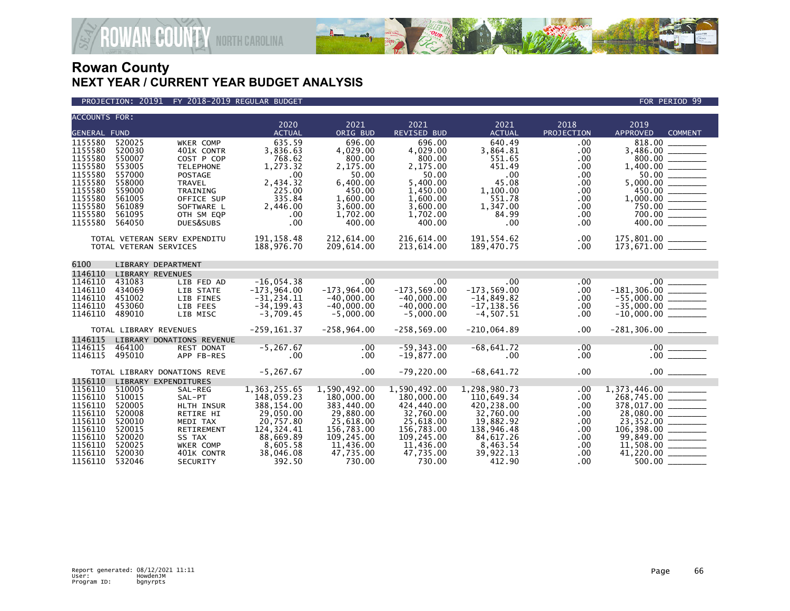

**AN&COUNTY NORTH CAROLINA** 

| <b>ACCOUNTS FOR:</b> |                        |                              |                              |                             |                              |                              |                    |                                                               |
|----------------------|------------------------|------------------------------|------------------------------|-----------------------------|------------------------------|------------------------------|--------------------|---------------------------------------------------------------|
| <b>GENERAL FUND</b>  |                        |                              | 2020<br><b>ACTUAL</b>        | 2021<br>ORIG BUD            | 2021<br><b>REVISED BUD</b>   | 2021<br><b>ACTUAL</b>        | 2018<br>PROJECTION | 2019<br><b>APPROVED</b><br><b>COMMENT</b>                     |
| 1155580              | 520025                 | WKER COMP                    | 635.59                       | 696.00                      | 696.00                       | 640.49                       | .00                |                                                               |
| 1155580              | 520030                 | 401K CONTR                   | 3,836.63                     | 4,029.00                    | 4.029.00                     | 3,864.81                     | .00                |                                                               |
| 1155580              | 550007                 | COST P COP                   | 768.62                       | 800.00                      | 800.00                       | 551.65                       | .00                |                                                               |
| 1155580              | 553005                 | <b>TELEPHONE</b>             | 1,273.32                     | 2,175.00                    | 2,175.00                     | 451.49                       | .00                |                                                               |
| 1155580              | 557000                 | <b>POSTAGE</b>               | .00                          | 50.00                       | 50.00                        | .00                          | .00                |                                                               |
| 1155580              | 558000                 | <b>TRAVEL</b>                | 2,434.32                     | 6,400.00                    | 5,400.00                     | 45.08                        | .00                |                                                               |
| 1155580              | 559000                 | TRAINING                     | 225.00                       | 450.00                      | 1,450.00                     | 1,100.00                     | .00                | 450.00 _______                                                |
| 1155580              | 561005                 | OFFICE SUP                   | 335.84                       | 1.600.00                    | 1.600.00                     | 551.78                       | .00                |                                                               |
| 1155580              | 561089                 | SOFTWARE L                   | 2,446.00                     | 3,600.00                    | 3,600.00                     | 1,347.00                     | .00.               |                                                               |
| 1155580              | 561095                 | OTH SM EQP                   | .00                          | 1,702.00                    | 1,702.00                     | 84.99                        | .00                |                                                               |
| 1155580              | 564050                 | DUES&SUBS                    | .00                          | 400.00                      | 400.00                       | .00                          | .00                | 400.00 ________                                               |
|                      |                        | TOTAL VETERAN SERV EXPENDITU | 191, 158.48                  | 212,614.00                  | 216,614.00                   | 191.554.62                   | .00                |                                                               |
|                      | TOTAL VETERAN SERVICES |                              | 188,976.70                   | 209,614.00                  | 213,614.00                   | 189,470.75                   | .00                | 173,671.00 _______                                            |
|                      |                        |                              |                              |                             |                              |                              |                    |                                                               |
| 6100                 | LIBRARY DEPARTMENT     |                              |                              |                             |                              |                              |                    |                                                               |
| 1146110              | LIBRARY REVENUES       |                              |                              |                             |                              |                              |                    |                                                               |
| 1146110              | 431083                 | LIB FED AD                   | $-16,054.38$                 | $.00 \,$                    | $.00 \,$                     | .00                          | .00                |                                                               |
| 1146110              | 434069                 | LIB STATE                    | $-173,964.00$                | $-173,964.00$               | $-173,569.00$                | $-173,569.00$                | .00                |                                                               |
| 1146110<br>1146110   | 451002<br>453060       | LIB FINES                    | $-31, 234.11$                | $-40,000.00$                | $-40,000.00$<br>$-40.000.00$ | $-14,849.82$                 | .00                |                                                               |
| 1146110              | 489010                 | LIB FEES<br>LIB MISC         | $-34, 199.43$<br>$-3,709.45$ | $-40,000.00$<br>$-5,000.00$ | $-5,000.00$                  | $-17, 138.56$<br>$-4,507.51$ | .00<br>.00         | $-181,306.00$<br>$-55,000.00$<br>$-35,000.00$<br>$-10,000.00$ |
|                      |                        |                              |                              |                             |                              |                              |                    |                                                               |
|                      | TOTAL LIBRARY REVENUES |                              | $-259, 161.37$               | $-258,964.00$               | $-258,569.00$                | $-210,064.89$                | .00.               |                                                               |
| 1146115              |                        | LIBRARY DONATIONS REVENUE    |                              |                             |                              |                              |                    |                                                               |
| 1146115              | 464100                 | <b>REST DONAT</b>            | $-5, 267.67$                 | .00                         | $-59, 343.00$                | $-68,641.72$                 | .00                |                                                               |
| 1146115              | 495010                 | APP FB-RES                   | $.00 \,$                     | $.00 \,$                    | $-19,877.00$                 | $.00 \,$                     | $.00 \,$           |                                                               |
|                      |                        | TOTAL LIBRARY DONATIONS REVE | $-5, 267.67$                 | $.00 \,$                    | $-79, 220.00$                | $-68,641.72$                 | .00                | $.00$ $\qquad$                                                |
| 1156110              | LIBRARY EXPENDITURES   |                              |                              |                             |                              |                              |                    |                                                               |
| 1156110              | 510005                 | SAL-REG                      | 1, 363, 255.65               | 1,590,492.00                | 1,590,492.00                 | 1,298,980.73                 | .00                |                                                               |
| 1156110              | 510015                 | SAL-PT                       | 148,059.23                   | 180,000.00                  | 180,000.00                   | 110,649.34                   | .00                | 268,745.00                                                    |
| 1156110              | 520005                 | HLTH INSUR                   | 388,154.00                   | 383,440.00                  | 424,440.00                   | 420,238.00                   | .00                |                                                               |
| 1156110              | 520008                 | RETIRE HI                    | 29,050.00                    | 29,880.00                   | 32.760.00                    | 32.760.00                    | .00                |                                                               |
| 1156110              | 520010                 | MEDI TAX                     | 20,757.80                    | 25,618,00                   | 25,618.00                    | 19,882.92                    | .00                |                                                               |
| 1156110<br>1156110   | 520015<br>520020       | RETIREMENT                   | 124,324.41<br>88,669.89      | 156,783.00<br>109,245.00    | 156,783.00                   | 138,946.48                   | .00                | 106,398.00 _______                                            |
| 1156110              | 520025                 | SS TAX<br>WKER COMP          | 8,605.58                     | 11,436.00                   | 109,245.00<br>11,436.00      | 84,617.26<br>8,463.54        | .00.<br>.00        |                                                               |
| 1156110              | 520030                 | 401K CONTR                   | 38,046.08                    | 47,735.00                   | 47,735.00                    | 39,922.13                    | .00                |                                                               |
| 1156110              | 532046                 | <b>SECURITY</b>              | 392.50                       | 730.00                      | 730.00                       | 412.90                       | .00                | $500.00$ $-$                                                  |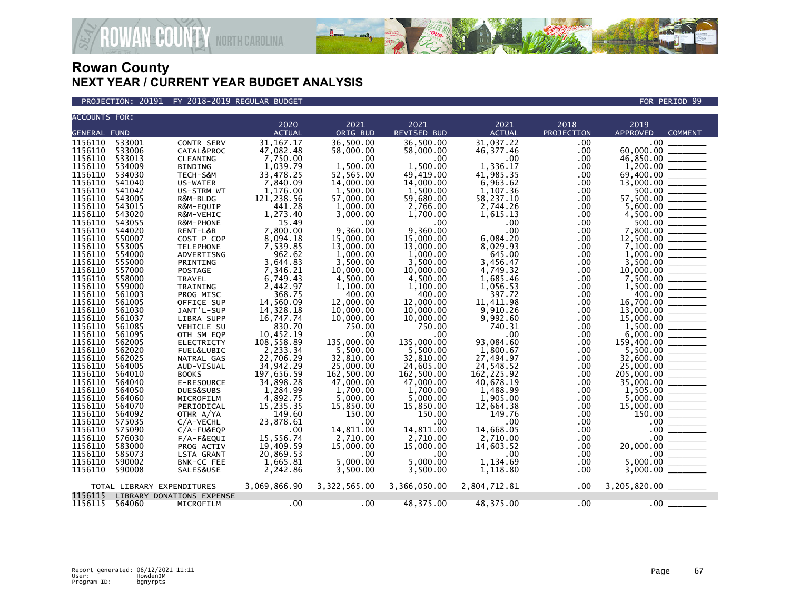

PROJECTION: 20191 FY 2018-2019 REGULAR BUDGET FOR PERIOD 99

| <b>ACCOUNTS FOR:</b> |        |                            |                       |                         |                            |                       |                    |                                           |
|----------------------|--------|----------------------------|-----------------------|-------------------------|----------------------------|-----------------------|--------------------|-------------------------------------------|
| <b>GENERAL FUND</b>  |        |                            | 2020<br><b>ACTUAL</b> | 2021<br><b>ORIG BUD</b> | 2021<br><b>REVISED BUD</b> | 2021<br><b>ACTUAL</b> | 2018<br>PROJECTION | 2019<br><b>APPROVED</b><br><b>COMMENT</b> |
| 1156110              | 533001 | CONTR SERV                 | 31.167.17             | 36.500.00               | 36.500.00                  | 31.037.22             | .00                | .00                                       |
| 1156110              | 533006 | CATAL&PROC                 | 47,082.48             | 58,000.00               | 58,000.00                  | 46, 377.46            | .00                | 60,000.00                                 |
| 1156110              | 533013 | CLEANING                   | 7,750.00              | $.00 \,$                | .00                        | $.00 \,$              | .00                | 46,850.00                                 |
| 1156110              | 534009 | <b>BINDING</b>             | 1,039.79              | 1,500.00                | 1.500.00                   | 1.336.17              | .00                | $1,200.00$ ________                       |
| 1156110              | 534030 | TECH-S&M                   | 33,478.25             | 52,565.00               | 49,419.00                  | 41,985.35             | .00                | 69,400.00                                 |
| 1156110              | 541040 | US-WATER                   | 7,840.09              | 14,000.00               | 14,000.00                  | 6,963.62              | .00                | 13,000.00                                 |
| 1156110              | 541042 | US-STRM WT                 | 1,176.00              | 1,500.00                | 1,500.00                   | 1.107.36              | .00                | 500.00                                    |
| 1156110              | 543005 | R&M-BLDG                   | 121,238.56            | 57,000.00               | 59,680.00                  | 58,237.10             | .00                | 57.500.00                                 |
| 1156110              | 543015 | R&M-EQUIP                  | 441.28                | 1,000.00                | 2,766.00                   | 2,744.26              | .00                |                                           |
| 1156110              | 543020 | R&M-VEHIC                  | 1,273.40              | 3,000.00                | 1,700.00                   | 1,615.13              | .00                |                                           |
| 1156110              | 543055 | R&M-PHONE                  | 15.49                 | .00                     | .00                        | .00                   | .00                | 500.00                                    |
| 1156110              | 544020 | RENT-L&B                   | 7.800.00              | 9,360.00                | 9.360.00                   | .00                   | .00                | 7.800.00                                  |
| 1156110              | 550007 | COST P COP                 | 8,094.18              | 15,000.00               | 15,000.00                  | 6,084.20              | .00                |                                           |
| 1156110              | 553005 | <b>TELEPHONE</b>           | 7,539.85              | 13,000.00               | 13,000.00                  | 8,029.93              | .00                | 7.100.00                                  |
| 1156110              | 554000 | ADVERTISNG                 | 962.62                | 1,000.00                | 1,000.00                   | 645.00                | .00                |                                           |
| 1156110              | 555000 | PRINTING                   | 3,644.83              | 3,500.00                | 3,500.00                   | 3,456.47              | .00                | 3,500.00                                  |
| 1156110              | 557000 | <b>POSTAGE</b>             | 7.346.21              | 10,000.00               | 10,000.00                  | 4,749.32              | .00                | 10,000.00                                 |
| 1156110              | 558000 | <b>TRAVEL</b>              | 6,749.43              | 4.500.00                | 4,500.00                   | 1,685.46              | .00                | 7.500.00                                  |
| 1156110              | 559000 | TRAINING                   | 2,442.97              | 1,100.00                | 1,100.00                   | 1,056.53              | .00                |                                           |
| 1156110              | 561003 | PROG MISC                  | 368.75                | 400.00                  | 400.00                     | 397.72                | .00                | 400.00 _______                            |
| 1156110              | 561005 | OFFICE SUP                 | 14,560.09             | 12,000.00               | 12,000,00                  | 11.411.98             | .00                | 16.700.00                                 |
| 1156110              | 561030 | JANT'L-SUP                 | 14,328.18             | 10,000.00               | 10,000.00                  | 9,910.26              | .00                | 13,000.00                                 |
| 1156110              | 561037 | LIBRA SUPP                 | 16,747.74             | 10,000.00               | 10,000.00                  | 9,992.60              | .00                | 15,000.00                                 |
| 1156110              | 561085 | <b>VEHICLE SU</b>          | 830.70                | 750.00                  | 750.00                     | 740.31                | .00                |                                           |
| 1156110              | 561095 | OTH SM EQP                 | 10,452.19             | .00                     | .00                        | .00                   | .00                |                                           |
| 1156110              | 562005 | <b>ELECTRICTY</b>          | 108,558.89            | 135,000.00              | 135,000.00                 | 93.084.60             | .00                | 159,400.00 ________                       |
| 1156110              | 562020 | FUEL&LUBIC                 | 2,233.34              | 5,500.00                | 5,500.00                   | 1,800.67              | .00                | 5,500.00                                  |
| 1156110              | 562025 | NATRAL GAS                 | 22,706.29             | 32,810.00               | 32,810.00                  | 27,494.97             | .00                |                                           |
| 1156110              | 564005 | AUD-VISUAL                 | 34,942.29             | 25,000,00               | 24,605.00                  | 24.548.52             | .00                | 25,000,00                                 |
| 1156110              | 564010 | <b>BOOKS</b>               | 197,656.59            | 162,500.00              | 162,500.00                 | 162,225.92            | .00                | 205,000.00                                |
| 1156110              | 564040 | E-RESOURCE                 | 34,898.28             | 47,000.00               | 47,000.00                  | 40,678.19             | .00                | 35,000.00 _______                         |
| 1156110              | 564050 | DUES&SUBS                  | 1,284.99              | 1.700.00                | 1.700.00                   | 1.488.99              | .00                |                                           |
| 1156110              | 564060 | MICROFILM                  | 4,892.75              | 5,000.00                | 5,000.00                   | 1,905.00              | .00                | 5,000.00                                  |
| 1156110              | 564070 | PERIODICAL                 | 15,235.35             | 15,850.00               | 15,850.00                  | 12,664.38             | .00                | 15,000.00                                 |
| 1156110              | 564092 | OTHR A/YA                  | 149.60                | 150.00                  | 150.00                     | 149.76                | .00                | 150.00                                    |
| 1156110              | 575035 | C/A-VECHL                  | 23,878.61             | .00                     | .00                        | .00                   | .00                | $.00 \,$                                  |
| 1156110              | 575090 | C/A-FU&EQP                 | .00                   | 14,811.00               | 14,811.00                  | 14,668.05             | .00                | .00                                       |
| 1156110              | 576030 | F/A-F&EQUI                 | 15,556.74             | 2,710.00                | 2,710.00                   | 2,710.00              | .00.               | .00                                       |
| 1156110              | 583000 | PROG ACTIV                 | 19,409.59             | 15,000.00               | 15,000.00                  | 14,603.52             | .00                | 20,000.00                                 |
| 1156110              | 585073 | LSTA GRANT                 | 20,869.53             | .00                     | $.00 \,$                   | .00                   | .00                | $.00 \,$                                  |
| 1156110              | 590002 | BNK-CC FEE                 | 1,665.81              | 5,000.00                | 5,000.00                   | 1,134.69              | .00                | 5,000.00                                  |
| 1156110              | 590008 | SALES&USE                  | 2,242.86              | 3,500.00                | 3,500.00                   | 1,118.80              | .00                | 3,000.00                                  |
|                      |        |                            |                       |                         |                            |                       |                    |                                           |
|                      |        | TOTAL LIBRARY EXPENDITURES | 3,069,866.90          | 3,322,565.00            | 3,366,050.00               | 2,804,712.81          | .00                | 3,205,820.00 ________                     |
| 1156115              |        | LIBRARY DONATIONS EXPENSE  |                       |                         |                            |                       |                    |                                           |
| 1156115              | 564060 | MICROFILM                  | .00                   | .00                     | 48,375.00                  | 48,375.00             | .00                | $.00 \,$                                  |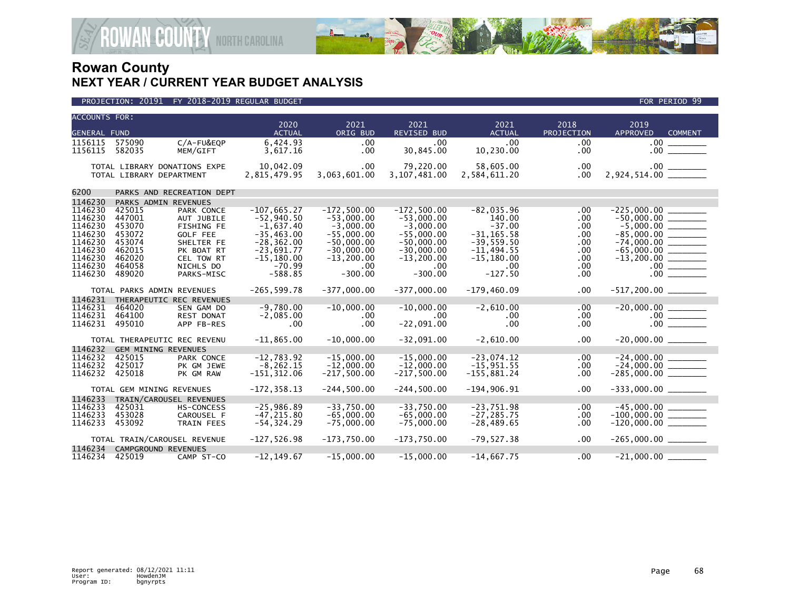

| <b>ACCOUNTS FOR:</b> |                  |                                                          | 2020                           | 2021                          | 2021                         | 2021                          | 2018       | 2019                                            |
|----------------------|------------------|----------------------------------------------------------|--------------------------------|-------------------------------|------------------------------|-------------------------------|------------|-------------------------------------------------|
| <b>GENERAL FUND</b>  |                  |                                                          | <b>ACTUAL</b>                  | ORIG BUD                      | <b>REVISED BUD</b>           | <b>ACTUAL</b>                 | PROJECTION | <b>APPROVED</b><br><b>COMMENT</b>               |
| 1156115<br>1156115   | 575090<br>582035 | C/A-FU&EQP<br>MEM/GIFT                                   | 6,424.93<br>3,617.16           | .00<br>$.00 \times$           | .00<br>30,845.00             | .00<br>10,230.00              | .00<br>.00 | $.00 \cdot$                                     |
|                      |                  |                                                          |                                |                               |                              |                               |            |                                                 |
|                      |                  | TOTAL LIBRARY DONATIONS EXPE<br>TOTAL LIBRARY DEPARTMENT | 10,042.09<br>2,815,479.95      | $.00 \,$<br>3,063,601.00      | 79,220.00<br>3,107,481.00    | 58,605.00<br>2,584,611.20     | .00<br>.00 |                                                 |
| 6200                 |                  | PARKS AND RECREATION DEPT                                |                                |                               |                              |                               |            |                                                 |
| 1146230              |                  | PARKS ADMIN REVENUES                                     |                                |                               |                              |                               |            |                                                 |
| 1146230              | 425015           | PARK CONCE                                               | $-107.665.27$                  | $-172.500.00$                 | $-172,500.00$                | $-82,035.96$                  | $.00 \,$   | $-225.000.00$                                   |
| 1146230              | 447001           | AUT JUBILE                                               | $-52.940.50$                   | $-53.000.00$                  | $-53,000.00$                 | 140.00                        | .00        | $-50,000.00$ ________                           |
| 1146230              | 453070           | <b>FISHING FE</b>                                        | $-1,637.40$                    | $-3,000.00$                   | $-3,000.00$                  | $-37.00$                      | .00        | $-5,000.00$ ________                            |
| 1146230<br>1146230   | 453072<br>453074 | <b>GOLF FEE</b><br>SHELTER FE                            | $-35,463.00$<br>$-28, 362.00$  | $-55.000.00$<br>$-50,000.00$  | $-55.000.00$<br>$-50.000.00$ | $-31.165.58$<br>$-39,559.50$  | .00<br>.00 | $-85,000.00$ _________<br>$-74,000.00$ ________ |
| 1146230              | 462015           | PK BOAT RT                                               | $-23,691.77$                   | $-30,000.00$                  | $-30,000.00$                 | $-11,494.55$                  | .00        | $-65,000.00$ _________                          |
| 1146230              | 462020           | CEL TOW RT                                               | $-15, 180.00$                  | $-13, 200.00$                 | $-13, 200.00$                | $-15, 180.00$                 | .00        | $-13,200.00$ _______                            |
| 1146230              | 464058           | NICHLS DO                                                | $-70.99$                       | .00                           | .00                          | .00                           | .00        |                                                 |
| 1146230              | 489020           | PARKS-MISC                                               | $-588.85$                      | $-300.00$                     | $-300.00$                    | $-127.50$                     | .00        |                                                 |
|                      |                  | TOTAL PARKS ADMIN REVENUES                               | $-265, 599.78$                 | $-377,000.00$                 | $-377,000.00$                | $-179,460.09$                 | .00        |                                                 |
| 1146231              |                  | THERAPEUTIC REC REVENUES                                 |                                |                               |                              |                               |            |                                                 |
| 1146231              | 464020           | SEN GAM DO                                               | $-9,780.00$                    | $-10,000.00$                  | $-10,000.00$                 | $-2,610.00$                   | .00        |                                                 |
| 1146231              | 464100           | REST DONAT                                               | $-2,085.00$                    | $.00 \,$                      | $.00 \,$                     | $.00 \,$                      | $.00 \,$   |                                                 |
| 1146231              | 495010           | APP FB-RES                                               | .00                            | .00 <sub>1</sub>              | $-22,091.00$                 | .00                           | .00        |                                                 |
|                      |                  | TOTAL THERAPEUTIC REC REVENU                             | $-11,865.00$                   | $-10.000.00$                  | $-32.091.00$                 | $-2,610.00$                   | $.00 \,$   |                                                 |
| 1146232              |                  | <b>GEM MINING REVENUES</b>                               |                                |                               |                              |                               |            |                                                 |
| 1146232              | 425015           | PARK CONCE                                               | $-12,783.92$                   | $-15,000.00$                  | $-15,000.00$                 | $-23,074.12$                  | .00        | $-24,000.00$                                    |
| 1146232<br>1146232   | 425017<br>425018 | PK GM JEWE                                               | $-8, 262.15$<br>$-151, 312.06$ | $-12,000.00$<br>$-217,500.00$ | $-12,000.00$                 | $-15,951.55$<br>$-155,881.24$ | .00<br>.00 |                                                 |
|                      |                  | PK GM RAW                                                |                                |                               | $-217,500.00$                |                               |            |                                                 |
|                      |                  | TOTAL GEM MINING REVENUES                                | $-172, 358.13$                 | $-244,500.00$                 | $-244,500.00$                | $-194,906.91$                 | .00        |                                                 |
| 1146233              |                  | TRAIN/CAROUSEL REVENUES                                  |                                |                               |                              |                               |            |                                                 |
| 1146233              | 425031           | <b>HS-CONCESS</b>                                        | $-25,986.89$                   | $-33,750.00$                  | $-33,750.00$                 | $-23,751.98$                  | .00        |                                                 |
| 1146233              | 453028           | CAROUSEL F                                               | $-47, 215.80$                  | $-65,000.00$                  | $-65,000.00$                 | $-27, 285.75$                 | .00        |                                                 |
| 1146233              | 453092           | <b>TRAIN FEES</b>                                        | $-54, 324.29$                  | $-75.000.00$                  | $-75.000.00$                 | $-28,489.65$                  | .00        |                                                 |
|                      |                  | TOTAL TRAIN/CAROUSEL REVENUE                             | $-127,526.98$                  | $-173,750.00$                 | $-173,750.00$                | $-79,527.38$                  | .00        | $-265,000.00$ ________                          |
| 1146234              |                  | CAMPGROUND REVENUES                                      |                                |                               |                              |                               |            |                                                 |
| 1146234              | 425019           | CAMP ST-CO                                               | $-12, 149.67$                  | $-15,000.00$                  | $-15,000.00$                 | $-14,667.75$                  | .00        | $-21,000.00$                                    |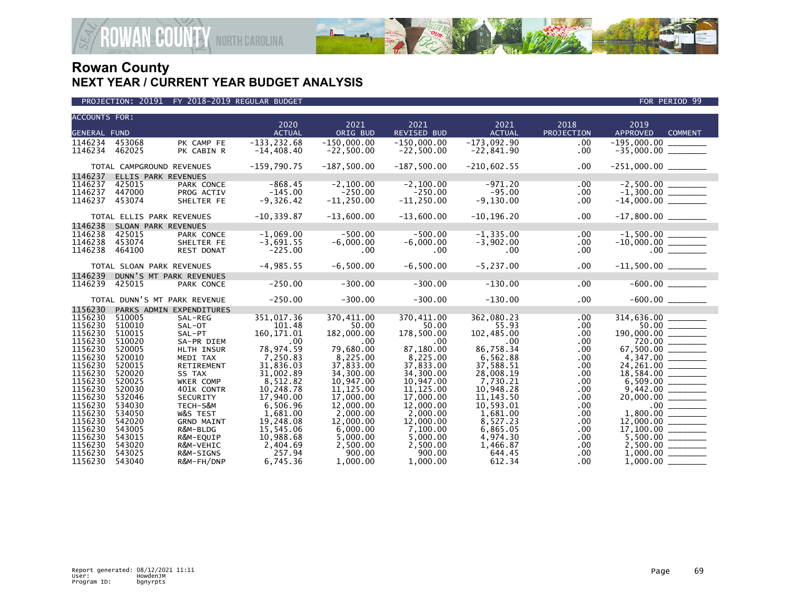

| <b>ACCOUNTS FOR:</b> |                           |                              |                       |                  |                     |                             |                    |                                           |
|----------------------|---------------------------|------------------------------|-----------------------|------------------|---------------------|-----------------------------|--------------------|-------------------------------------------|
| <b>GENERAL FUND</b>  |                           |                              | 2020<br><b>ACTUAL</b> | 2021<br>ORIG BUD | 2021<br>REVISED BUD | 2021<br><b>ACTUAL</b>       | 2018<br>PROJECTION | 2019<br><b>APPROVED</b><br><b>COMMENT</b> |
| 1146234 453068       |                           | PK CAMP FE                   | $-133, 232.68$        | $-150,000.00$    | $-150.000.00$       | $-173,092.90$               | .00                | $-195,000.00$                             |
| 1146234              | 462025                    | PK CABIN R                   | $-14,408.40$          | $-22,500.00$     | $-22,500.00$        | $-22,841.90$                | .00                |                                           |
|                      |                           |                              |                       |                  |                     |                             |                    |                                           |
|                      | TOTAL CAMPGROUND REVENUES |                              | $-159,790.75$         | $-187,500.00$    | $-187,500.00$       | $-210,602.55$               | .00                | $-251,000.00$ _________                   |
| 1146237              | ELLIS PARK REVENUES       |                              |                       |                  |                     |                             |                    |                                           |
| 1146237              | 425015                    | PARK CONCE                   | $-868.45$             | $-2, 100.00$     | $-2.100.00$         | $-971.20$                   | $.00 \,$           |                                           |
| 1146237              | 447000                    | PROG ACTIV                   | $-145.00$             | $-250.00$        | $-250.00$           | $-95.00$                    | .00.               |                                           |
| 1146237              | 453074                    | SHELTER FE                   | $-9,326.42$           | $-11, 250.00$    | $-11, 250.00$       | $-9,130.00$                 | .00                |                                           |
|                      |                           |                              |                       |                  |                     |                             |                    |                                           |
|                      | TOTAL ELLIS PARK REVENUES |                              | $-10, 339.87$         | $-13,600.00$     | $-13,600.00$        | $-10, 196.20$               | .00.               | $-17,800.00$ ________                     |
| 1146238<br>1146238   | SLOAN PARK REVENUES       |                              | $-1,069.00$           | $-500.00$        | $-500.00$           |                             |                    |                                           |
| 1146238              | 425015<br>453074          | PARK CONCE<br>SHELTER FE     | $-3,691.55$           | $-6,000.00$      | $-6,000.00$         | $-1, 335.00$<br>$-3,902.00$ | .00<br>$.00 \,$    |                                           |
| 1146238              | 464100                    | <b>REST DONAT</b>            | $-225.00$             | .00              | .00.                | .00                         | .00.               |                                           |
|                      |                           |                              |                       |                  |                     |                             |                    |                                           |
|                      | TOTAL SLOAN PARK REVENUES |                              | $-4,985.55$           | $-6, 500.00$     | $-6,500.00$         | $-5, 237.00$                | $.00 \,$           | $-11,500.00$ ________                     |
| 1146239              |                           | DUNN'S MT PARK REVENUES      |                       |                  |                     |                             |                    |                                           |
| 1146239              | 425015                    | PARK CONCE                   | $-250.00$             | $-300.00$        | $-300.00$           | $-130.00$                   | $.00 \,$           |                                           |
|                      |                           |                              |                       |                  |                     |                             |                    |                                           |
|                      |                           | TOTAL DUNN'S MT PARK REVENUE | $-250.00$             | $-300.00$        | $-300.00$           | $-130.00$                   | $.00 \,$           | $-600.00$                                 |
| 1156230              |                           | PARKS ADMIN EXPENDITURES     |                       |                  |                     |                             |                    |                                           |
| 1156230              | 510005                    | SAL-REG                      | 351,017.36            | 370,411.00       | 370,411.00          | 362,080.23                  | .00.               | 314,636.00                                |
| 1156230<br>1156230   | 510010<br>510015          | SAL-OT                       | 101.48                | 50.00            | 50.00               | 55.93                       | .00                | $50.00$ ________                          |
| 1156230              |                           | SAL-PT                       | 160, 171.01           | 182,000.00       | 178,500.00          | 102,485.00                  | .00                | 190,000.00 _______                        |
| 1156230              | 510020<br>520005          | SA-PR DIEM<br>HLTH INSUR     | .00<br>78,974.59      | .00<br>79,680.00 | .00<br>87.180.00    | $.00 \,$<br>86,758.34       | .00<br>.00         | 720.00<br>67,500.00 ______                |
| 1156230              | 520010                    | MEDI TAX                     | 7,250.83              | 8,225.00         | 8,225.00            | 6,562.88                    | .00                |                                           |
| 1156230              | 520015                    | RETIREMENT                   | 31,836.03             | 37,833.00        | 37,833.00           | 37,588.51                   | .00                | 24, 261.00 ________                       |
| 1156230              | 520020                    | SS TAX                       | 31,002.89             | 34,300.00        | 34,300.00           | 28,008.19                   | .00                | 18,584.00                                 |
| 1156230              | 520025                    | WKER COMP                    | 8,512.82              | 10,947.00        | 10,947.00           | 7,730.21                    | .00                |                                           |
| 1156230              | 520030                    | 401K CONTR                   | 10,248.78             | 11, 125.00       | 11, 125.00          | 10,948.28                   | .00                |                                           |
| 1156230              | 532046                    | SECURITY                     | 17,940.00             | 17,000.00        | 17,000.00           | 11.143.50                   | .00                |                                           |
| 1156230              | 534030                    | TECH-S&M                     | 6,506.96              | 12,000.00        | 12,000.00           | 10,593.01                   | .00                |                                           |
| 1156230              | 534050                    | W&S TEST                     | 1,681.00              | 2,000.00         | 2,000.00            | 1,681.00                    | .00                |                                           |
| 1156230              | 542020                    | <b>GRND MAINT</b>            | 19,248.08             | 12,000.00        | 12,000,00           | 8.527.23                    | .00                |                                           |
| 1156230              | 543005                    | R&M-BLDG                     | 15,545.06             | 6,000.00         | 7,100.00            | 6,865.05                    | .00                |                                           |
| 1156230              | 543015                    | R&M-EQUIP                    | 10,988.68             | 5,000.00         | 5,000.00            | 4,974.30                    | .00.               | $\frac{5,500.00}{2,500.00}$ ________      |
| 1156230              | 543020                    | R&M-VEHIC                    | 2,404.69              | 2,500.00         | 2,500.00            | 1,466.87                    | .00                |                                           |
| 1156230              | 543025                    | R&M-SIGNS                    | 257.94                | 900.00           | 900.00              | 644.45                      | .00                |                                           |
| 1156230              | 543040                    | R&M-FH/DNP                   | 6,745.36              | 1.000.00         | 1.000.00            | 612.34                      | .00                | 1,000.00                                  |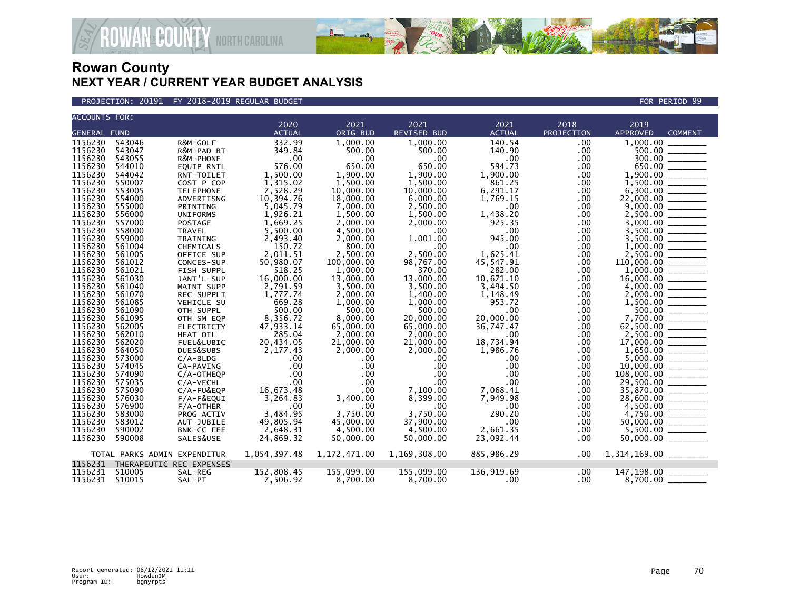

#### PROJECTION: 20191 FY 2018-2019 REGULAR BUDGET FOR PERIOD 99

|                     | <b>ACCOUNTS FOR:</b>         |                          |                      |              |                    |                  |            |                                                                      |
|---------------------|------------------------------|--------------------------|----------------------|--------------|--------------------|------------------|------------|----------------------------------------------------------------------|
|                     |                              |                          | 2020                 | 2021         | 2021               | 2021             | 2018       | 2019                                                                 |
| <b>GENERAL FUND</b> |                              |                          | <b>ACTUAL</b>        | ORIG BUD     | <b>REVISED BUD</b> | <b>ACTUAL</b>    | PROJECTION | <b>APPROVED</b><br><b>COMMENT</b>                                    |
| 1156230             | 543046                       | R&M-GOLF                 | 332.99               | 1,000.00     | 1,000.00           | 140.54           | .00        | 1,000.00                                                             |
| 1156230             | 543047                       | R&M-PAD BT               | 349.84               | 500.00       | 500.00             | 140.90           | .00        | 500.00                                                               |
| 1156230             | 543055                       | R&M-PHONE                | .00                  | .00          | .00                | .00              | .00        |                                                                      |
| 1156230             | 544010                       | <b>EQUIP RNTL</b>        | 576.00               | 650.00       | 650.00             | 594.73           | .00        |                                                                      |
| 1156230             | 544042                       | RNT-TOILET               | 1,500.00             | 1,900.00     | 1,900.00           | 1,900.00         | .00.       |                                                                      |
| 1156230             | 550007                       | COST P COP               |                      | 1,500.00     | 1,500.00           | 861.25           | .00        |                                                                      |
| 1156230             | 553005                       | <b>TELEPHONE</b>         | 1,315.02<br>7,528.29 | 10,000.00    | 10,000.00          | 6,291.17         | .00        | $\overline{1,500.00}$ $\overline{1,500.00}$                          |
| 1156230             | 554000                       | ADVERTISNG               | 10,394.76            | 18,000.00    | 6,000.00           | 1,769.15         | .00        | 22,000.00                                                            |
| 1156230             | 555000                       |                          | 5,045.79             | 7,000.00     | 2,500.00           |                  |            |                                                                      |
|                     |                              | PRINTING                 |                      |              |                    | $.00 \,$         | .00        |                                                                      |
| 1156230             | 556000                       | <b>UNIFORMS</b>          | 1,926.21             | 1,500.00     | 1,500.00           | 1,438.20         | .00.       |                                                                      |
| 1156230             | 557000                       | POSTAGE                  | 1,669.25             | 2,000.00     | 2,000.00           | 925.35           | .00        |                                                                      |
| 1156230             | 558000                       | <b>TRAVEL</b>            | 5,500.00             | 4,500.00     | .00.               | .00              | .00        |                                                                      |
| 1156230             | 559000                       | TRAINING                 | 2,493.40             | 2,000.00     | 1,001.00           | 945.00           | .00        |                                                                      |
| 1156230             | 561004                       | CHEMICALS                | 150.72               | 800.00       | .00                | .00              | .00        |                                                                      |
| 1156230             | 561005                       | OFFICE SUP               | 2,011.51             | 2,500.00     | 2,500.00           | 1,625.41         | .00.       | $\begin{array}{r} 2,500.00 \\ 110,000.00 \\ 1,000.00 \\ \end{array}$ |
| 1156230             | 561012                       | CONCES-SUP               | 50,980.07            | 100,000.00   | 98,767.00          | 45,547.91        | .00        |                                                                      |
| 1156230             | 561021                       | FISH SUPPL               | 518.25               | 1,000.00     | 370.00             | 282.00           | .00        |                                                                      |
| 1156230             | 561030                       | JANT'L-SUP               | 16,000.00            | 13,000.00    | 13,000.00          | 10,671.10        | .00        |                                                                      |
| 1156230             | 561040                       | MAINT SUPP               | 2,791.59             | 3,500.00     | 3,500.00           | 3,494.50         | .00        | $16,000.00$<br>4,000.00                                              |
| 1156230             | 561070                       | REC SUPPLI               | 1,777.74             | 2,000.00     | 1,400.00           | 1,148.49         | .00        |                                                                      |
| 1156230             | 561085                       | VEHICLE SU               | 669.28               | 1,000.00     | 1,000.00           | 953.72           | .00        |                                                                      |
| 1156230             | 561090                       | OTH SUPPL                | 500.00               | 500.00       | 500.00             | .00              | .00        |                                                                      |
| 1156230             | 561095                       | OTH SM EQP               | 8,356.72             | 8,000.00     | 20,000,00          | 20,000.00        | .00        |                                                                      |
| 1156230             | 562005                       | <b>ELECTRICTY</b>        | 47,933.14            | 65,000.00    | 65,000.00          | 36,747.47        | .00.       |                                                                      |
| 1156230             |                              |                          |                      |              |                    |                  |            |                                                                      |
|                     | 562010                       | HEAT OIL                 | 285.04               | 2,000.00     | 2,000.00           | .00              | .00        | $62,500.00$ $2,500.00$ $17,000.00$ $17.0$                            |
| 1156230             | 562020                       | FUEL&LUBIC               | 20,434.05            | 21,000.00    | 21,000.00          | 18,734.94        | .00        |                                                                      |
| 1156230             | 564050                       | DUES&SUBS                | 2,177.43             | 2,000.00     | 2,000.00           | 1,986.76         | .00.       |                                                                      |
| 1156230             | 573000                       | $C/A-BLDG$               | .00                  | .00          | .00                | $.00 \,$         | .00        |                                                                      |
| 1156230             | 574045                       | CA-PAVING                | .00                  | .00          | .00                | .00              | .00.       | $1,650.00$<br>5,000.00                                               |
| 1156230             | 574090                       | C/A-OTHEQP               | .00                  | .00          | $.00 \,$           | .00              | .00        |                                                                      |
| 1156230             | 575035                       | C/A-VECHL                | .00                  | .00          | .00                | .00              | .00        | $\frac{108,000.00}{29,500.00}$                                       |
| 1156230             | 575090                       | $C/A$ -FU&EQP            | 16,673.48            | .00          | 7,100.00           | 7,068.41         | .00        | 35,870.00<br>$35,870.00$ ________<br>28,600.00 ________              |
| 1156230             | 576030                       | F/A-F&EQUI               | 3,264.83             | 3,400.00     | 8,399.00           | 7,949.98         | .00        |                                                                      |
| 1156230             | 576900                       | $F/A$ -OTHER             | .00                  | .00          | .00                | .00 <sub>1</sub> | .00.       | $4,500.00$<br>$4,750.00$<br>$50,000.00$                              |
| 1156230             | 583000                       | PROG ACTIV               | 3,484.95             | 3,750.00     | 3,750.00           | 290.20           | .00        |                                                                      |
| 1156230             | 583012                       | AUT JUBILE               | 49,805.94            | 45,000.00    | 37,900.00          | .00              | .00.       |                                                                      |
| 1156230             | 590002                       | BNK-CC FEE               | 2,648.31             | 4,500.00     | 4,500.00           | 2,661.35         | .00        |                                                                      |
| 1156230             | 590008                       | SALES&USE                | 24,869.32            | 50,000.00    | 50,000.00          | 23,092.44        | .00        | $\frac{5,500.00}{50,000.00}$<br>50,000.00                            |
|                     |                              |                          |                      |              |                    |                  |            |                                                                      |
|                     | TOTAL PARKS ADMIN EXPENDITUR |                          | 1,054,397.48         | 1,172,471.00 | 1,169,308.00       | 885,986.29       | .00        |                                                                      |
| 1156231             |                              | THERAPEUTIC REC EXPENSES |                      |              |                    |                  |            |                                                                      |
| 1156231             | 510005                       | SAL-REG                  | 152,808.45           | 155,099.00   | 155.099.00         | 136,919.69       | .00        | 147.198.00                                                           |
| 1156231             | 510015                       | SAL-PT                   | 7,506.92             | 8.700.00     | 8.700.00           | $.00 \,$         | $.00 \,$   | $8,700.00$ $\_\_$                                                    |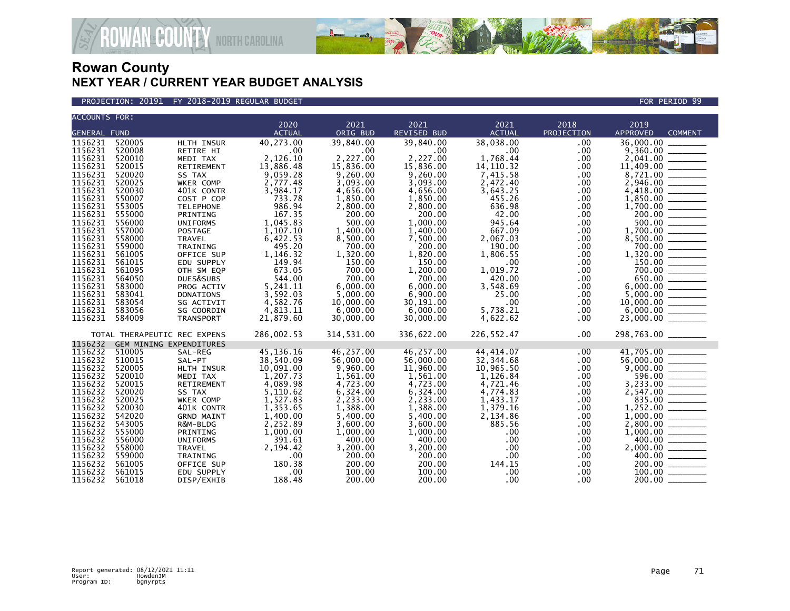

#### PROJECTION: 20191 FY 2018-2019 REGULAR BUDGET FOR PERIOD 99

| <b>ACCOUNTS FOR:</b>                                                                                                                                                                                                                                                                                                                                                                                                                                                                         |                                                                                                                                                                                                                                                                                                                            | 2020                                                                                                                                                                                                                                                             | 2021                                                                                                                                                                                                                                                                | 2021                                                                                                                                                                                                                                                                    | 2021                                                                                                                                                                                                                                                               | 2018                                                                                                                                                          | 2019                                                                                                                                                                                                                                                                                                                                                |
|----------------------------------------------------------------------------------------------------------------------------------------------------------------------------------------------------------------------------------------------------------------------------------------------------------------------------------------------------------------------------------------------------------------------------------------------------------------------------------------------|----------------------------------------------------------------------------------------------------------------------------------------------------------------------------------------------------------------------------------------------------------------------------------------------------------------------------|------------------------------------------------------------------------------------------------------------------------------------------------------------------------------------------------------------------------------------------------------------------|---------------------------------------------------------------------------------------------------------------------------------------------------------------------------------------------------------------------------------------------------------------------|-------------------------------------------------------------------------------------------------------------------------------------------------------------------------------------------------------------------------------------------------------------------------|--------------------------------------------------------------------------------------------------------------------------------------------------------------------------------------------------------------------------------------------------------------------|---------------------------------------------------------------------------------------------------------------------------------------------------------------|-----------------------------------------------------------------------------------------------------------------------------------------------------------------------------------------------------------------------------------------------------------------------------------------------------------------------------------------------------|
| <b>GENERAL FUND</b>                                                                                                                                                                                                                                                                                                                                                                                                                                                                          |                                                                                                                                                                                                                                                                                                                            | <b>ACTUAL</b>                                                                                                                                                                                                                                                    | ORIG BUD                                                                                                                                                                                                                                                            | <b>REVISED BUD</b>                                                                                                                                                                                                                                                      | <b>ACTUAL</b>                                                                                                                                                                                                                                                      | PROJECTION                                                                                                                                                    | <b>APPROVED</b><br><b>COMMENT</b>                                                                                                                                                                                                                                                                                                                   |
| 1156231<br>520005<br>1156231 520008<br>1156231<br>520010<br>1156231<br>520015<br>1156231<br>520020<br>1156231<br>520025<br>1156231<br>520030<br>1156231<br>550007<br>1156231<br>553005<br>1156231<br>555000<br>1156231<br>556000<br>1156231<br>557000<br>1156231<br>558000<br>1156231<br>559000<br>1156231<br>561005<br>1156231<br>561015<br>1156231<br>561095<br>1156231<br>564050<br>1156231<br>583000<br>1156231<br>583041<br>1156231<br>583054<br>1156231<br>583056<br>1156231<br>584009 | HLTH INSUR<br>RETIRE HI<br>MEDI TAX<br>RETIREMENT<br>SS TAX<br>WKER COMP<br>401K CONTR<br>COST P COP<br><b>TELEPHONE</b><br>PRINTING<br><b>UNIFORMS</b><br>POSTAGE<br>TRAVEL<br>TRAINING<br>OFFICE SUP<br>EDU SUPPLY<br>OTH SM EQP<br>DUES&SUBS<br>PROG ACTIV<br><b>DONATIONS</b><br>SG ACTIVIT<br>SG COORDIN<br>TRANSPORT | 40,273.00<br>.00<br>2,126.10<br>13,886.48<br>9,059.28<br>2,777.48<br>3,984.17<br>733.78<br>986.94<br>167.35<br>1,045.83<br>1,107.10<br>6,422.53<br>495.20<br>1,146.32<br>149.94<br>673.05<br>544.00<br>5,241.11<br>3,592.03<br>4,582.76<br>4,813.11<br>21,879.60 | 39,840.00<br>.00<br>2,227.00<br>15,836.00<br>9,260.00<br>3,093.00<br>4,656.00<br>1,850.00<br>2,800.00<br>200.00<br>500.00<br>1,400.00<br>8,500.00<br>700.00<br>1,320.00<br>150.00<br>700.00<br>700.00<br>6,000.00<br>5,000.00<br>10,000.00<br>6,000.00<br>30,000.00 | 39,840.00<br>.00<br>2,227.00<br>15,836.00<br>9,260.00<br>3,093.00<br>4,656.00<br>1,850.00<br>2,800.00<br>200.00<br>1,000.00<br>1.400.00<br>7,500.00<br>200.00<br>1,820.00<br>150.00<br>1.200.00<br>700.00<br>6,000.00<br>6,900.00<br>30,191.00<br>6,000.00<br>30,000.00 | 38,038.00<br>$.00 \,$<br>1,768.44<br>14, 110. 32<br>7,415.58<br>2,472.40<br>3,643.25<br>455.26<br>636.98<br>42.00<br>945.64<br>667.09<br>2,067.03<br>190.00<br>1.806.55<br>$.00 \,$<br>1,019.72<br>420.00<br>3,548.69<br>25.00<br>$.00 \,$<br>5,738.21<br>4,622.62 | .00<br>.00<br>.00<br>.00<br>.00<br>.00<br>.00<br>.00<br>.00<br>.00<br>.00<br>.00<br>.00<br>.00<br>.00<br>.00<br>.00<br>.00<br>.00<br>.00<br>.00<br>.00<br>.00 | 36,000.00<br>$2,041.00$ $11,409.00$<br>$\footnotesize \begin{array}{r} 4,418.00 \ \hline 1,850.00 \ \hline 1,700.00 \ \hline 200.00 \ \hline 500.00 \ \hline 500.00 \ \hline 1,700.00 \ \hline 8,500.00 \ \hline 1,320.00 \ \hline 1,320.00 \ \hline 650.00 \ \hline 650.00 \ \hline 6,000.00 \ \hline \end{array}$<br>$\frac{5,000.00}{10,000.00}$ |
|                                                                                                                                                                                                                                                                                                                                                                                                                                                                                              | TOTAL THERAPEUTIC REC EXPENS                                                                                                                                                                                                                                                                                               | 286,002.53                                                                                                                                                                                                                                                       | 314,531.00                                                                                                                                                                                                                                                          | 336,622.00                                                                                                                                                                                                                                                              | 226,552.47                                                                                                                                                                                                                                                         | .00                                                                                                                                                           | 298,763.00 _______                                                                                                                                                                                                                                                                                                                                  |
| 1156232                                                                                                                                                                                                                                                                                                                                                                                                                                                                                      | GEM MINING EXPENDITURES                                                                                                                                                                                                                                                                                                    |                                                                                                                                                                                                                                                                  |                                                                                                                                                                                                                                                                     |                                                                                                                                                                                                                                                                         |                                                                                                                                                                                                                                                                    |                                                                                                                                                               |                                                                                                                                                                                                                                                                                                                                                     |
| 1156232<br>510005<br>1156232<br>510015<br>1156232<br>520005<br>1156232<br>520010<br>1156232<br>520015<br>1156232<br>520020<br>1156232<br>520025<br>1156232<br>520030<br>1156232<br>542020<br>1156232<br>543005<br>1156232<br>555000<br>1156232<br>556000<br>1156232<br>558000<br>1156232<br>559000<br>1156232<br>561005<br>1156232<br>561015                                                                                                                                                 | SAL-REG<br>SAL-PT<br>HLTH INSUR<br>MEDI TAX<br>RETIREMENT<br>SS TAX<br>WKER COMP<br>401K CONTR<br><b>GRND MAINT</b><br>R&M-BLDG<br>PRINTING<br><b>UNIFORMS</b><br><b>TRAVEL</b><br>TRAINING<br>OFFICE SUP<br>EDU SUPPLY                                                                                                    | 45, 136. 16<br>38,540.09<br>10,091.00<br>1,207.73<br>4,089.98<br>5,110.62<br>1,527.83<br>1,353.65<br>1,400.00<br>2,252.89<br>1,000.00<br>391.61<br>2,194.42<br>.00<br>180.38<br>.00                                                                              | 46.257.00<br>56,000.00<br>9,960.00<br>1,561.00<br>4,723.00<br>6,324.00<br>2,233.00<br>1,388.00<br>5,400.00<br>3,600.00<br>1,000.00<br>400.00<br>3,200.00<br>200.00<br>200.00<br>100.00                                                                              | 46,257.00<br>56,000.00<br>11,960.00<br>1,561.00<br>4,723.00<br>6,324.00<br>2,233.00<br>1,388.00<br>5,400.00<br>3,600.00<br>1,000.00<br>400.00<br>3,200.00<br>200.00<br>200.00<br>100.00                                                                                 | 44.414.07<br>32,344.68<br>10,965.50<br>1.126.84<br>4,721.46<br>4,774.83<br>1,433.17<br>1,379.16<br>2,134.86<br>885.56<br>$.00 \,$<br>$.00 \,$<br>$.00 \,$<br>.00<br>144.15<br>.00                                                                                  | .00<br>.00<br>.00<br>.00<br>.00<br>.00<br>.00<br>.00<br>.00<br>.00<br>.00<br>.00<br>.00<br>.00<br>.00<br>.00                                                  | $\frac{6}{56,000.00}$<br>$\frac{56,000.00}{9,000.00}$<br>$\frac{596.00}{2,547.00}$<br>$\frac{2,547.00}{835.00}$<br>$\frac{3,252.00}{2,5547.00}$<br>$1,000.00$<br>$2,800.00$<br>$1,000.00$<br>$400.00$<br>$2,000.00$<br>$200.00$<br>$200.00$                                                                                                         |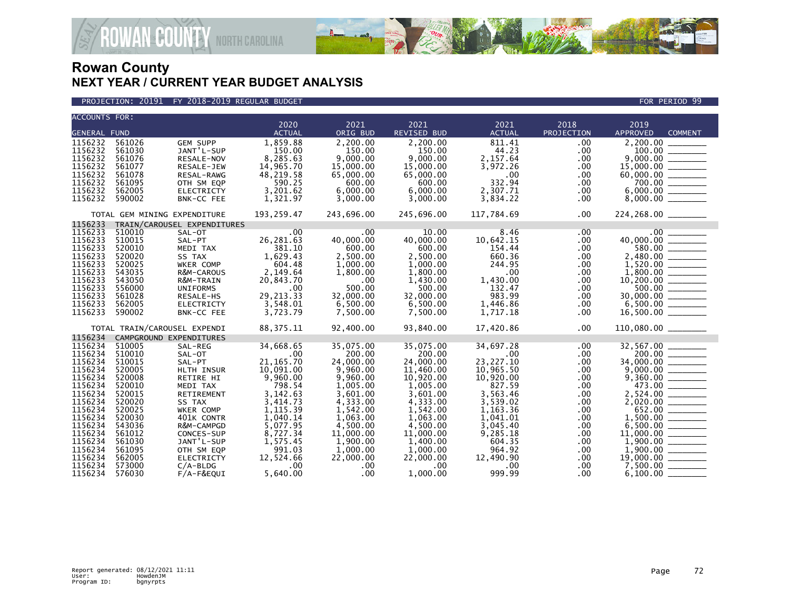

**COUNTY NORTH CAROLINA** 

|                                        | ACCOUNTS FOR:       |                              |               |            |             |               |              |                                                                                                                                                                        |
|----------------------------------------|---------------------|------------------------------|---------------|------------|-------------|---------------|--------------|------------------------------------------------------------------------------------------------------------------------------------------------------------------------|
|                                        |                     |                              | 2020          | 2021       | 2021        | 2021          | 2018         | 2019                                                                                                                                                                   |
|                                        | <b>GENERAL FUND</b> |                              | <b>ACTUAL</b> | ORIG BUD   | REVISED BUD | <b>ACTUAL</b> | PROJECTION   | <b>APPROVED</b><br><b>COMMENT</b>                                                                                                                                      |
| 1156232                                | 561026              | <b>GEM SUPP</b>              | 1,859.88      | 2.200.00   | 2,200.00    | 811.41        | .00          | 2,200.00                                                                                                                                                               |
| 1156232                                | 561030              | JANT'L-SUP                   | 150.00        | 150.00     | 150.00      | 44.23         | .00          | $100.00$                                                                                                                                                               |
| 1156232                                | 561076              | RESALE-NOV                   | 8,285.63      | 9,000.00   | 9.000.00    | 2,157.64      | .00          |                                                                                                                                                                        |
| 1156232                                | 561077              | RESALE-JEW                   | 14,965.70     | 15,000.00  | 15,000.00   | 3,972.26      | .00.         |                                                                                                                                                                        |
| 1156232                                | 561078              | RESAL-RAWG                   | 48,219.58     | 65,000.00  | 65,000.00   | $.00 \,$      | .00          |                                                                                                                                                                        |
| 1156232                                | 561095              | OTH SM EQP                   | 590.25        | 600.00     | 600.00      | 332.94        | .00          | $\begin{array}{c}\n 60,000.00 \\  \hline\n 700.00\n \end{array}$                                                                                                       |
| 1156232                                | 562005              | <b>ELECTRICTY</b>            | 3,201.62      | 6,000.00   | 6,000.00    | 2,307.71      | .00.         |                                                                                                                                                                        |
| 1156232                                | 590002              | BNK-CC FEE                   | 1,321.97      | 3.000.00   | 3,000.00    | 3,834.22      | .00          |                                                                                                                                                                        |
|                                        |                     |                              |               |            |             |               |              |                                                                                                                                                                        |
|                                        |                     | TOTAL GEM MINING EXPENDITURE | 193,259.47    | 243,696.00 | 245,696.00  | 117,784.69    | .00.         | 224,268.00                                                                                                                                                             |
| 1156233<br>TRAIN/CAROUSEL EXPENDITURES |                     |                              |               |            |             |               |              |                                                                                                                                                                        |
| 1156233                                | 510010              | SAL-OT                       | .00           | .00        | 10.00       | 8.46          | $.00 \,$     | $\begin{array}{r} .00 \ \hline .00 \ 580.00 \ \hline .00 \ 2,480.00 \ \hline .00 \ 1,520.00 \ \hline .00 \ 1,800.00 \ \hline .00 \ 10,200.00 \ \hline .00 \end{array}$ |
| 1156233                                | 510015              | SAL-PT                       | 26, 281.63    | 40,000.00  | 40,000.00   | 10,642.15     | .00.         |                                                                                                                                                                        |
| 1156233                                | 520010              | MEDI TAX                     | 381.10        | 600.00     | 600.00      | 154.44        | .00          |                                                                                                                                                                        |
| 1156233                                | 520020              | SS TAX                       | 1.629.43      | 2.500.00   | 2.500.00    | 660.36        | .00.         |                                                                                                                                                                        |
| 1156233                                | 520025              | WKER COMP                    | 604.48        | 1,000.00   | 1,000.00    | 244.95        | .00.         |                                                                                                                                                                        |
| 1156233                                | 543035              | <b>R&amp;M-CAROUS</b>        | 2,149.64      | 1,800.00   | 1,800.00    | $.00 \times$  | .00          |                                                                                                                                                                        |
| 1156233                                | 543050              | R&M-TRAIN                    | 20,843.70     | .00        | 1,430.00    | 1,430.00      | .00          |                                                                                                                                                                        |
| 1156233                                | 556000              | <b>UNIFORMS</b>              | .00           | 500.00     | 500.00      | 132.47        | .00.         |                                                                                                                                                                        |
| 1156233                                | 561028              | RESALE-HS                    | 29, 213. 33   | 32,000.00  | 32,000,00   | 983.99        | .00.         | $\frac{10000000}{500000}$                                                                                                                                              |
| 1156233                                | 562005              | <b>ELECTRICTY</b>            | 3,548.01      | 6,500.00   | 6,500.00    | 1,446.86      | .00.         |                                                                                                                                                                        |
| 1156233                                | 590002              | BNK-CC FEE                   | 3,723.79      | 7,500.00   | 7,500.00    | 1,717.18      | .00.         |                                                                                                                                                                        |
|                                        |                     |                              |               |            |             |               |              |                                                                                                                                                                        |
| TOTAL TRAIN/CAROUSEL EXPENDI           |                     |                              | 88, 375. 11   | 92,400.00  | 93,840.00   | 17,420.86     | .00          |                                                                                                                                                                        |
| 1156234<br>CAMPGROUND EXPENDITURES     |                     |                              |               |            |             |               |              |                                                                                                                                                                        |
| 1156234                                | 510005              | SAL-REG                      | 34,668.65     | 35,075.00  | 35,075.00   | 34,697.28     | .00          |                                                                                                                                                                        |
| 1156234                                | 510010              | SAL-OT                       | .00           | 200.00     | 200.00      | $.00 \,$      | .00.         |                                                                                                                                                                        |
| 1156234                                | 510015              | SAL-PT                       | 21, 165.70    | 24,000.00  | 24,000.00   | 23,227.10     | .00          |                                                                                                                                                                        |
| 1156234                                | 520005              | HLTH INSUR                   | 10,091.00     | 9,960.00   | 11,460.00   | 10,965.50     | .00          | $34,000.00$ $9,000.00$ $0.0001$                                                                                                                                        |
| 1156234                                | 520008              | RETIRE HI                    | 9,960.00      | 9.960.00   | 10.920.00   | 10,920.00     | .00          | $9,360.00$<br>$473.00$<br>$2,524.00$<br>$2,020.00$                                                                                                                     |
| 1156234                                | 520010              | MEDI TAX                     | 798.54        | 1,005.00   | 1,005.00    | 827.59        | .00.         |                                                                                                                                                                        |
| 1156234                                | 520015              | RETIREMENT                   | 3,142.63      | 3,601.00   | 3,601.00    | 3,563.46      | .00.         |                                                                                                                                                                        |
| 1156234                                | 520020              | SS TAX                       | 3,414.73      | 4,333.00   | 4,333.00    | 3,539.02      | $.00 \,$     |                                                                                                                                                                        |
| 1156234                                | 520025              | WKER COMP                    | 1,115.39      | 1,542.00   | 1,542.00    | 1.163.36      | $.00 \times$ |                                                                                                                                                                        |
| 1156234                                | 520030              | 401K CONTR                   | 1,040.14      | 1,063.00   | 1,063.00    | 1,041.01      | .00          |                                                                                                                                                                        |
| 1156234                                | 543036              | R&M-CAMPGD                   | 5,077.95      | 4,500.00   | 4,500.00    | 3,045.40      | .00.         | $\begin{array}{r} 2,0200 \ \hline 652.00 \ \hline 1,500.00 \ \hline 6,500.00 \ \hline 11,000.00 \ \hline 1,900.00 \ \hline \end{array}$                                |
| 1156234                                | 561012              | CONCES-SUP                   | 8,727.34      | 11,000.00  | 11,000.00   | 9,285.18      | .00.         |                                                                                                                                                                        |
| 1156234                                | 561030              | JANT'L-SUP                   | 1,575.45      | 1,900.00   | 1,400.00    | 604.35        | .00.         |                                                                                                                                                                        |
| 1156234                                | 561095              | OTH SM EQP                   | 991.03        | 1,000.00   | 1,000.00    | 964.92        | .00          |                                                                                                                                                                        |
| 1156234                                | 562005              | <b>ELECTRICTY</b>            | 12,524.66     | 22,000.00  | 22,000.00   | 12,490.90     | .00.         |                                                                                                                                                                        |
| 1156234                                | 573000              | $C/A-BLDG$                   | $.00 \,$      | .00        | .00.        | $.00 \,$      | .00.         | $7,500.00$ ________                                                                                                                                                    |
| 1156234                                | 576030              | F/A-F&EQUI                   | 5,640.00      | .00        | 1,000.00    | 999.99        | .00          | 6,100.00                                                                                                                                                               |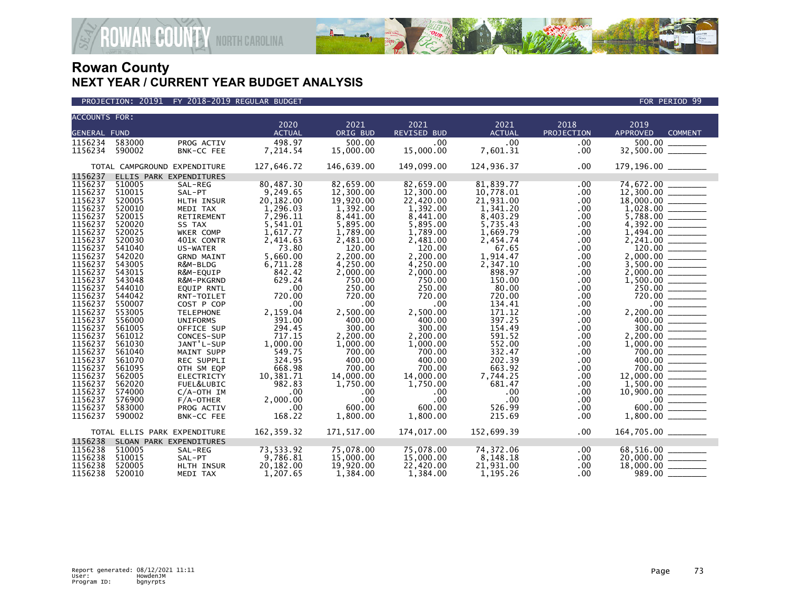

| <b>ACCOUNTS FOR:</b> |        |                              |                       |                  |                            |                       |                      |                                                   |  |
|----------------------|--------|------------------------------|-----------------------|------------------|----------------------------|-----------------------|----------------------|---------------------------------------------------|--|
| <b>GENERAL FUND</b>  |        |                              | 2020<br><b>ACTUAL</b> | 2021<br>ORIG BUD | 2021<br><b>REVISED BUD</b> | 2021<br><b>ACTUAL</b> | 2018<br>PROJECTION   | 2019<br>APPROVED<br><b>COMMENT</b>                |  |
|                      |        |                              |                       |                  |                            |                       |                      |                                                   |  |
| 1156234              | 583000 | PROG ACTIV                   | 498.97                | 500.00           | .00.                       | .00                   | .00                  | 500.00                                            |  |
| 1156234              | 590002 | BNK-CC FEE                   | 7,214.54              | 15,000.00        | 15,000.00                  | 7,601.31              | .00                  | 32,500.00 ________                                |  |
|                      |        | TOTAL CAMPGROUND EXPENDITURE | 127,646.72            | 146,639.00       | 149,099.00                 | 124,936.37            | .00                  |                                                   |  |
| 1156237              |        | ELLIS PARK EXPENDITURES      |                       |                  |                            |                       |                      |                                                   |  |
| 1156237              | 510005 | SAL-REG                      | 80,487.30             | 82.659.00        | 82.659.00                  | 81.839.77             | .00                  |                                                   |  |
| 1156237              | 510015 | SAL-PT                       | 9,249.65              | 12,300.00        | 12,300.00                  | 10,778.01             | .00.                 |                                                   |  |
| 1156237              | 520005 | HLTH INSUR                   | 20,182.00             | 19,920.00        | 22,420.00                  | 21,931.00             | .00.                 | $18,000.00$ $\overline{\hspace{1cm}}$<br>1,028.00 |  |
| 1156237              | 520010 | MEDI TAX                     | 1,296.03              | 1,392.00         | 1,392.00                   | 1,341.20              | .00                  |                                                   |  |
| 1156237              | 520015 | RETIREMENT                   | 7,296.11              | 8,441.00         | 8,441.00                   | 8,403.29              | .00                  |                                                   |  |
| 1156237              | 520020 | SS TAX                       | 5,541.01              | 5,895.00         | 5,895.00                   | 5,735.43              | .00                  |                                                   |  |
| 1156237              | 520025 | WKER COMP                    | 1,617.77              | 1,789.00         | 1,789.00                   | 1,669.79              | .00.                 |                                                   |  |
| 1156237              | 520030 | 401K CONTR                   | 2,414.63              | 2,481.00         | 2,481.00                   | 2,454.74              | .00.                 |                                                   |  |
| 1156237              | 541040 | US-WATER                     | 73.80                 | 120.00           | 120.00                     | 67.65                 | .00                  | $120.00$ $\overline{\phantom{255721}}$            |  |
| 1156237              | 542020 | <b>GRND MAINT</b>            | 5,660.00              | 2,200.00         | 2,200.00                   | 1,914.47              | .00.                 | 2,000.00 _______                                  |  |
| 1156237              | 543005 | R&M-BLDG                     | 6,711.28              | 4,250.00         | 4,250.00                   | 2,347.10              | .00                  |                                                   |  |
| 1156237              | 543015 | R&M-EQUIP                    | 842.42                | 2,000.00         | 2,000.00                   | 898.97                | .00                  |                                                   |  |
| 1156237              | 543048 | R&M-PKGRND                   | 629.24                | 750.00           | 750.00                     | 150.00                | .00.                 |                                                   |  |
| 1156237              | 544010 | <b>EQUIP RNTL</b>            | .00                   | 250.00           | 250.00                     | 80.00                 | .00                  |                                                   |  |
| 1156237              | 544042 | RNT-TOILET                   | 720.00                | 720.00           | 720.00                     | 720.00                | .00.                 | $\frac{250.00}{720.00}$                           |  |
| 1156237              | 550007 | COST P COP                   | .00                   | .00              | $.00 \times$               | 134.41                | .00.                 |                                                   |  |
| 1156237              | 553005 | <b>TELEPHONE</b>             | 2,159.04              | 2,500.00         | 2,500.00                   | 171.12                | .00                  |                                                   |  |
| 1156237              | 556000 | <b>UNIFORMS</b>              | 391.00                | 400.00           | 400.00                     | 397.25                | .00                  |                                                   |  |
| 1156237              | 561005 | OFFICE SUP                   | 294.45                | 300.00           | 300.00                     | 154.49                | .00                  | 300.00                                            |  |
| 1156237              | 561012 | CONCES-SUP                   | 717.15                | 2,200.00         | 2,200.00                   | 591.52                | .00.                 | 2,200.00                                          |  |
| 1156237              | 561030 | JANT'L-SUP                   | 1,000.00              | 1,000.00         | 1,000.00                   | 552.00                | .00.                 |                                                   |  |
| 1156237              | 561040 | <b>MAINT SUPP</b>            | 549.75                | 700.00           | 700.00                     | 332.47                | .00.                 | 700.00                                            |  |
| 1156237              | 561070 | REC SUPPLI                   | 324.95                | 400.00           | 400.00                     | 202.39                | .00.                 |                                                   |  |
| 1156237              | 561095 | OTH SM EQP                   | 668.98                | 700.00           | 700.00                     | 663.92                | .00                  | $\frac{400.00}{700.00}$                           |  |
| 1156237              | 562005 | <b>ELECTRICTY</b>            | 10,381.71             | 14,000.00        | 14,000.00                  | 7,744.25              | .00                  | 12,000.00 _______                                 |  |
| 1156237              | 562020 | FUEL&LUBIC                   | 982.83                | 1,750.00         | 1,750.00                   | 681.47                | .00.                 |                                                   |  |
| 1156237              | 574000 | $C/A$ -OTH IM                | .00                   | .00              | $.00 \,$                   | .00                   | .00.                 |                                                   |  |
| 1156237              | 576900 | $F/A$ -OTHER                 | 2,000.00              | .00              | $.00 \times$               | .00                   | .00                  |                                                   |  |
| 1156237              | 583000 | PROG ACTIV                   | .00                   | 600.00           | 600.00                     | 526.99                | .00.                 | $\frac{1}{00}$ 00 $\frac{1}{00}$<br>600.00        |  |
| 1156237              | 590002 | BNK-CC FEE                   | 168.22                | 1,800.00         | 1,800.00                   | 215.69                | .00.                 |                                                   |  |
|                      |        |                              |                       |                  |                            |                       |                      |                                                   |  |
|                      |        | TOTAL ELLIS PARK EXPENDITURE | 162, 359.32           | 174,017.00       | 152,699.39                 | .00                   | $164,705.00$ _______ |                                                   |  |
| 1156238              |        | SLOAN PARK EXPENDITURES      |                       |                  |                            |                       |                      |                                                   |  |
| 1156238              | 510005 | SAL-REG                      | 73,533.92             | 75,078.00        | 75,078.00                  | 74,372.06             | .00.                 | 68,516.00                                         |  |
| 1156238              | 510015 | SAL-PT                       | 9,786.81              | 15,000.00        | 15,000.00                  | 8,148.18              | .00.                 | $20,000.00$ ________                              |  |
| 1156238              | 520005 | HLTH INSUR                   | 20,182.00             | 19,920.00        | 22,420.00                  | 21,931.00             | .00.                 |                                                   |  |
| 1156238              | 520010 | MEDI TAX                     | 1,207.65              | 1,384.00         | 1,384.00                   | 1.195.26              | $.00 \,$             | 989.00                                            |  |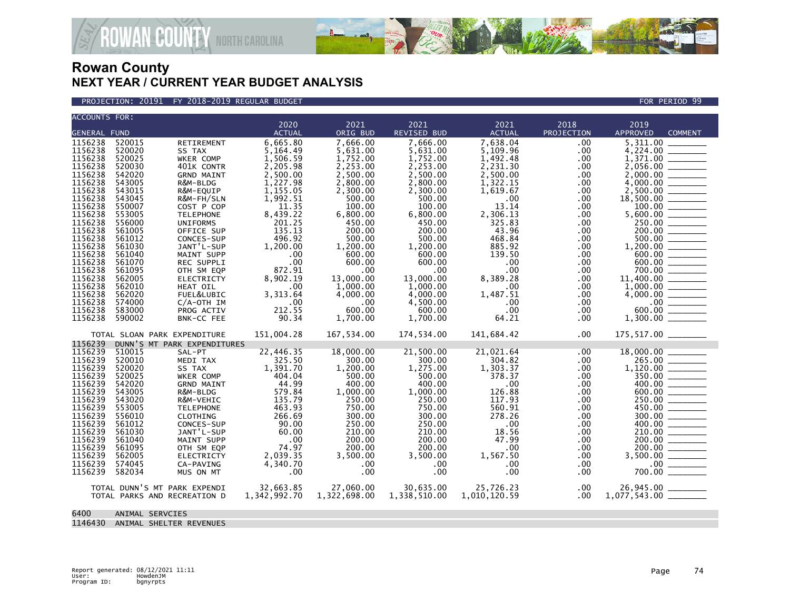

PROJECTION: 20191 FY 2018-2019 REGULAR BUDGET FOR PERIOD 99

| <b>ACCOUNTS FOR:</b>                                                                                                                                                                                                                |                                                                                                                                                                                                                |                                                                                                                                                                                                                                                                                                                             | 2020                                                                                                                                                                                                                      | 2021                                                                                                                                                                                                                              | 2021                                                                                                                                                                                                                                        | 2021                                                                                                                                                                                                                   | 2018                                                                                                                                               | 2019                                                                                                                                                                                  |
|-------------------------------------------------------------------------------------------------------------------------------------------------------------------------------------------------------------------------------------|----------------------------------------------------------------------------------------------------------------------------------------------------------------------------------------------------------------|-----------------------------------------------------------------------------------------------------------------------------------------------------------------------------------------------------------------------------------------------------------------------------------------------------------------------------|---------------------------------------------------------------------------------------------------------------------------------------------------------------------------------------------------------------------------|-----------------------------------------------------------------------------------------------------------------------------------------------------------------------------------------------------------------------------------|---------------------------------------------------------------------------------------------------------------------------------------------------------------------------------------------------------------------------------------------|------------------------------------------------------------------------------------------------------------------------------------------------------------------------------------------------------------------------|----------------------------------------------------------------------------------------------------------------------------------------------------|---------------------------------------------------------------------------------------------------------------------------------------------------------------------------------------|
| <b>GENERAL FUND</b>                                                                                                                                                                                                                 |                                                                                                                                                                                                                |                                                                                                                                                                                                                                                                                                                             | <b>ACTUAL</b>                                                                                                                                                                                                             | ORIG BUD                                                                                                                                                                                                                          | <b>REVISED BUD</b>                                                                                                                                                                                                                          | <b>ACTUAL</b>                                                                                                                                                                                                          | PROJECTION                                                                                                                                         | <b>APPROVED</b><br><b>COMMENT</b>                                                                                                                                                     |
| 1156238<br>1156238<br>1156238<br>1156238<br>1156238<br>1156238<br>1156238<br>1156238<br>1156238<br>1156238<br>1156238<br>1156238<br>1156238<br>1156238<br>1156238<br>1156238<br>1156238<br>1156238<br>1156238<br>1156238<br>1156238 | 520015<br>520020<br>520025<br>520030<br>542020<br>543005<br>543015<br>543045<br>550007<br>553005<br>556000<br>561005<br>561012<br>561030<br>561040<br>561070<br>561095<br>562005<br>562010<br>562020<br>574000 | RETIREMENT<br>SS TAX<br>WKER COMP<br>401K CONTR<br><b>GRND MAINT</b><br>R&M-BLDG<br>R&M-EQUIP<br>R&M-FH/SLN<br>COST P COP<br><b>TELEPHONE</b><br><b>UNIFORMS</b><br>OFFICE SUP<br>CONCES-SUP<br>JANT'L-SUP<br>MAINT SUPP<br>REC SUPPLI<br>OTH SM EOP<br><b>ELECTRICTY</b><br><b>HEAT OIL</b><br>FUEL&LUBIC<br>$C/A$ -OTH IM | 6,665.80<br>5.164.49<br>1,506.59<br>2,205.98<br>2,500.00<br>1,227.98<br>1,155.05<br>1,992.51<br>11.35<br>8,439.22<br>201.25<br>135.13<br>496.92<br>1,200.00<br>.00<br>.00<br>872.91<br>8,902.19<br>.00<br>3,313.64<br>.00 | 7.666.00<br>5,631.00<br>1,752.00<br>2,253.00<br>2.500.00<br>2,800.00<br>2,300.00<br>500.00<br>100.00<br>6,800.00<br>450.00<br>200.00<br>500.00<br>1,200.00<br>600.00<br>600.00<br>.00<br>13,000.00<br>1,000.00<br>4,000.00<br>.00 | 7,666.00<br>5,631.00<br>1,752.00<br>2,253.00<br>2,500.00<br>2,800.00<br>2,300.00<br>500.00<br>100.00<br>6,800.00<br>450.00<br>200.00<br>500.00<br>1.200.00<br>600.00<br>600.00<br>$.00 \,$<br>13,000.00<br>1,000.00<br>4,000.00<br>4,500.00 | 7,638.04<br>5,109.96<br>1,492.48<br>2,231.30<br>2,500.00<br>1,322.15<br>1,619.67<br>.00<br>13.14<br>2,306.13<br>325.83<br>43.96<br>468.84<br>885.92<br>139.50<br>.00<br>.00<br>8,389.28<br>$.00 \,$<br>1,487.51<br>.00 | .00<br>.00<br>.00<br>.00<br>.00<br>.00<br>.00<br>.00<br>.00<br>.00<br>.00<br>.00<br>.00<br>.00<br>.00.<br>.00<br>.00<br>.00<br>.00<br>.00.<br>.00. | 5,311.00<br>4,224.00<br>1,371.00<br>2,056.00<br>2,000.00<br>4,000.00<br>2,500.00<br>100.00<br>5,600.00<br>250.00<br>200.00<br>500.00<br>1,200.00<br>600.00<br>600.00<br>700.00<br>.00 |
| 1156238                                                                                                                                                                                                                             | 583000                                                                                                                                                                                                         | PROG ACTIV                                                                                                                                                                                                                                                                                                                  | 212.55                                                                                                                                                                                                                    | 600.00                                                                                                                                                                                                                            | 600.00                                                                                                                                                                                                                                      | .00                                                                                                                                                                                                                    | .00.                                                                                                                                               |                                                                                                                                                                                       |
| 1156238<br>1156239                                                                                                                                                                                                                  | 590002                                                                                                                                                                                                         | BNK-CC FEE<br>TOTAL SLOAN PARK EXPENDITURE<br>DUNN'S MT PARK EXPENDITURES                                                                                                                                                                                                                                                   | 90.34<br>151,004.28                                                                                                                                                                                                       | 1,700.00<br>167,534.00                                                                                                                                                                                                            | 1,700.00<br>174,534.00                                                                                                                                                                                                                      | 64.21<br>141,684.42                                                                                                                                                                                                    | .00<br>.00.                                                                                                                                        |                                                                                                                                                                                       |
| 1156239<br>1156239<br>1156239<br>1156239<br>1156239<br>1156239<br>1156239<br>1156239<br>1156239<br>1156239<br>1156239<br>1156239<br>1156239<br>1156239<br>1156239<br>1156239                                                        | 510015<br>520010<br>520020<br>520025<br>542020<br>543005<br>543020<br>553005<br>556010<br>561012<br>561030<br>561040<br>561095<br>562005<br>574045<br>582034                                                   | SAL-PT<br>MEDI TAX<br>SS TAX<br>WKER COMP<br><b>GRND MAINT</b><br>R&M-BLDG<br>R&M-VEHIC<br><b>TELEPHONE</b><br>CLOTHING<br>CONCES-SUP<br>JANT'L-SUP<br><b>MAINT SUPP</b><br>OTH SM EQP<br><b>ELECTRICTY</b><br>CA-PAVING<br>MUS ON MT                                                                                       | 22,446.35<br>325.50<br>1,391.70<br>404.04<br>44.99<br>579.84<br>135.79<br>463.93<br>266.69<br>90.00<br>60.00<br>.00<br>74.97<br>2,039.35<br>4,340.70<br>.00                                                               | 18,000.00<br>300.00<br>1,200.00<br>500.00<br>400.00<br>1,000.00<br>250.00<br>750.00<br>300.00<br>250.00<br>210.00<br>200.00<br>200.00<br>3,500.00<br>.00<br>.00                                                                   | 21,500.00<br>300.00<br>1,275.00<br>500.00<br>400.00<br>1,000.00<br>250.00<br>750.00<br>300.00<br>250.00<br>210.00<br>200.00<br>200.00<br>3.500.00<br>$.00 \,$<br>.00                                                                        | 21,021.64<br>304.82<br>1,303.37<br>378.37<br>.00<br>126.88<br>117.93<br>560.91<br>278.26<br>.00<br>18.56<br>47.99<br>.00<br>1,567.50<br>.00<br>.00                                                                     | .00<br>.00<br>.00<br>.00<br>.00<br>.00<br>.00<br>.00<br>.00.<br>.00<br>.00<br>.00<br>.00.<br>.00<br>.00<br>.00                                     | 18,000.00<br>350.00<br>400.00<br>600.00<br>250.00<br>450.00<br>300.00<br>400.00<br>210.00<br>200.00<br>200.00<br>3.500.00<br>.00<br>$\frac{1}{1}$<br>700.00                           |
|                                                                                                                                                                                                                                     |                                                                                                                                                                                                                | TOTAL DUNN'S MT PARK EXPENDI<br>TOTAL PARKS AND RECREATION D                                                                                                                                                                                                                                                                | 32,663.85<br>1,342,992.70                                                                                                                                                                                                 | 27,060.00<br>1,322,698.00                                                                                                                                                                                                         | 30,635.00<br>1,338,510.00                                                                                                                                                                                                                   | 25,726.23<br>1,010,120.59                                                                                                                                                                                              | .00<br>.00.                                                                                                                                        | 26,945.00 ______                                                                                                                                                                      |

- 6400 ANIMAL SERVCIES
- 1146430 ANIMAL SHELTER REVENUES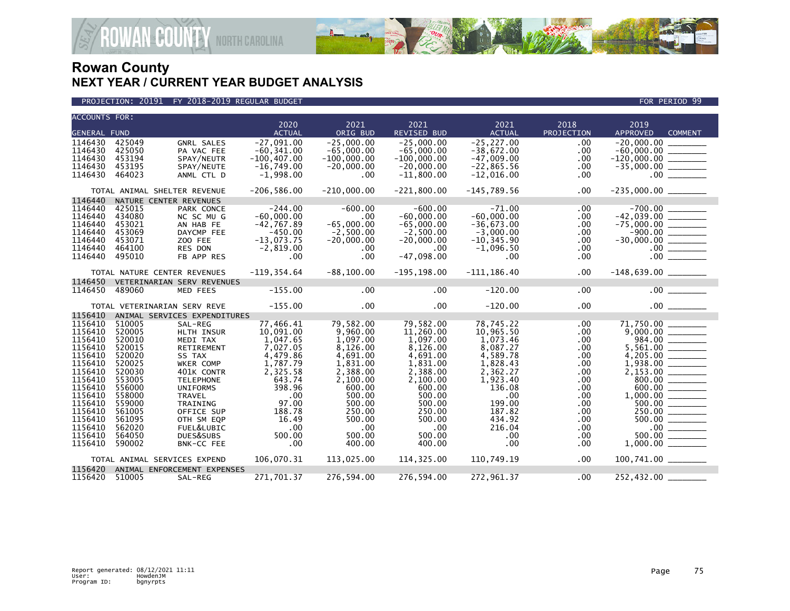

PROJECTION: 20191 FY 2018-2019 REGULAR BUDGET FOR PERIOD 99

| <b>ACCOUNTS FOR:</b> |        |                              | 2020                         | 2021          | 2021               | 2021           | 2018       | 2019                              |
|----------------------|--------|------------------------------|------------------------------|---------------|--------------------|----------------|------------|-----------------------------------|
| <b>GENERAL FUND</b>  |        |                              | <b>ACTUAL</b>                | ORIG BUD      | <b>REVISED BUD</b> | <b>ACTUAL</b>  | PROJECTION | <b>APPROVED</b><br><b>COMMENT</b> |
| 1146430              | 425049 | GNRL SALES                   | $-27,091.00$                 | $-25,000.00$  | $-25,000.00$       | $-25, 227.00$  | .00        | $-20,000.00$                      |
| 1146430 425050       |        | PA VAC FEE                   | $-60, 341.00$                | $-65,000.00$  | $-65,000.00$       | $-38,672.00$   | .00        |                                   |
| 1146430              | 453194 | SPAY/NEUTR                   | $-100, 407.00$               | $-100,000.00$ | $-100,000.00$      | $-47,009.00$   | .00        |                                   |
| 1146430              | 453195 | SPAY/NEUTE                   | $-16,749.00$                 | $-20,000.00$  | $-20,000.00$       | $-22,865.56$   | .00        | $-35,000.00$ ________             |
| 1146430              | 464023 | ANML CTL D                   | $-1,998.00$                  | .00           | $-11,800.00$       | $-12,016.00$   | .00        | .00                               |
|                      |        | TOTAL ANIMAL SHELTER REVENUE | $-206,586.00$                | $-210,000.00$ | $-221,800.00$      | $-145,789.56$  | .00        | $-235,000.00$ ________            |
| 1146440              |        | NATURE CENTER REVENUES       |                              |               |                    |                |            |                                   |
| 1146440              | 425015 | PARK CONCE                   | $-244.00$                    | $-600.00$     | $-600.00$          | $-71.00$       | .00        | $-700.00$                         |
| 1146440              | 434080 | NC SC MU G                   | $-60,000.00$                 | .00           | $-60.000.00$       | $-60.000.00$   | .00.       |                                   |
| 1146440              | 453021 | AN HAB FE                    | $-42,767.89$                 | $-65,000.00$  | $-65,000.00$       | $-36,673.00$   | .00        | $-75,000.00$ ________             |
| 1146440              | 453069 | DAYCMP FEE                   | $-450.00$                    | $-2,500.00$   | $-2,500.00$        | $-3,000.00$    | .00        |                                   |
| 1146440              | 453071 | ZOO FEE                      | $-13,073.75$                 | $-20,000.00$  | $-20,000.00$       | $-10, 345.90$  | .00.       |                                   |
| 1146440              | 464100 | <b>RES DON</b>               | -2,819.00                    | $.00 \,$      | .00                | $-1,096.50$    | .00.       |                                   |
| 1146440              | 495010 | FB APP RES                   | .00                          | $.00 \,$      | $-47,098.00$       | $.00 \,$       | .00        | .00                               |
|                      |        | TOTAL NATURE CENTER REVENUES | $-119, 354.64$               | $-88, 100.00$ | $-195, 198.00$     | $-111, 186.40$ | .00        | $-148,639.00$ _________           |
| 1146450              |        | VETERINARIAN SERV REVENUES   |                              |               |                    |                |            |                                   |
| 1146450              | 489060 | <b>MED FEES</b>              | $-155.00$                    | .00           | $.00 \times$       | $-120.00$      | $.00 \,$   | $.00$ $\qquad \qquad$             |
|                      |        | TOTAL VETERINARIAN SERV REVE | $-155.00$                    | .00           | .00                | $-120.00$      | .00        |                                   |
| 1156410              |        | ANIMAL SERVICES EXPENDITURES |                              |               |                    |                |            |                                   |
| 1156410              | 510005 | SAL-REG                      | 77,466.41                    | 79,582.00     | 79,582.00          | 78,745.22      | .00        | 71,750.00                         |
| 1156410              | 520005 | HLTH INSUR                   | 10,091.00                    | 9.960.00      | 11,260.00          | 10,965.50      | .00.       |                                   |
| 1156410              | 520010 | MEDI TAX                     | 1,047.65                     | 1.097.00      | 1,097.00           | 1,073.46       | .00        | 984.00                            |
| 1156410              | 520015 | RETIREMENT                   | 7,027.05                     | 8,126.00      | 8,126.00           | 8,087.27       | .00        |                                   |
| 1156410              | 520020 | SS TAX                       | 4,479.86                     | 4,691.00      | 4,691.00           | 4,589.78       | .00        |                                   |
| 1156410              | 520025 | WKER COMP                    | 1,787.79                     | 1,831.00      | 1,831.00           | 1,828.43       | .00        |                                   |
| 1156410              | 520030 | 401K CONTR                   | 2,325.58                     | 2,388.00      | 2,388.00           | 2,362.27       | .00        |                                   |
| 1156410              | 553005 | <b>TELEPHONE</b>             | 643.74                       | 2,100.00      | 2,100.00           | 1,923.40       | .00        | 800.00                            |
| 1156410              | 556000 | <b>UNIFORMS</b>              | 398.96                       | 600.00        | 600.00             | 136.08         | .00.       |                                   |
| 1156410              | 558000 | <b>TRAVEL</b>                | $\overline{\phantom{0}}$ .00 | 500.00        | 500.00             | .00            | .00.       |                                   |
| 1156410              | 559000 | TRAINING                     | 97.00                        | 500.00        | 500.00             | 199.00         | .00        | 500.00                            |
| 1156410              | 561005 | OFFICE SUP                   | 188.78                       | 250.00        | 250.00             | 187.82         | .00        | 250.00                            |
| 1156410              | 561095 | OTH SM EQP                   | 16.49                        | 500.00        | 500.00             | 434.92         | .00        | $500.00$ _______                  |
| 1156410              | 562020 | FUEL&LUBIC                   | .00                          | $.00 \,$      | $.00 \cdot$        | 216.04         | .00        | 00                                |
| 1156410              | 564050 | DUES&SUBS                    | 500.00                       | 500.00        | 500.00             | $.00 \,$       | .00        | 500.00                            |
| 1156410              | 590002 | BNK-CC FEE                   | .00                          | 400.00        | 400.00             | .00            | .00        |                                   |
|                      |        | TOTAL ANIMAL SERVICES EXPEND | 106,070.31                   | 113,025.00    | 114,325.00         | 110,749.19     | .00.       |                                   |
| 1156420              |        | ANIMAL ENFORCEMENT EXPENSES  |                              |               |                    |                |            |                                   |
| 1156420 510005       |        | SAL-REG                      | 271,701.37                   | 276,594.00    | 276,594.00         | 272,961.37     | .00        | 252,432.00                        |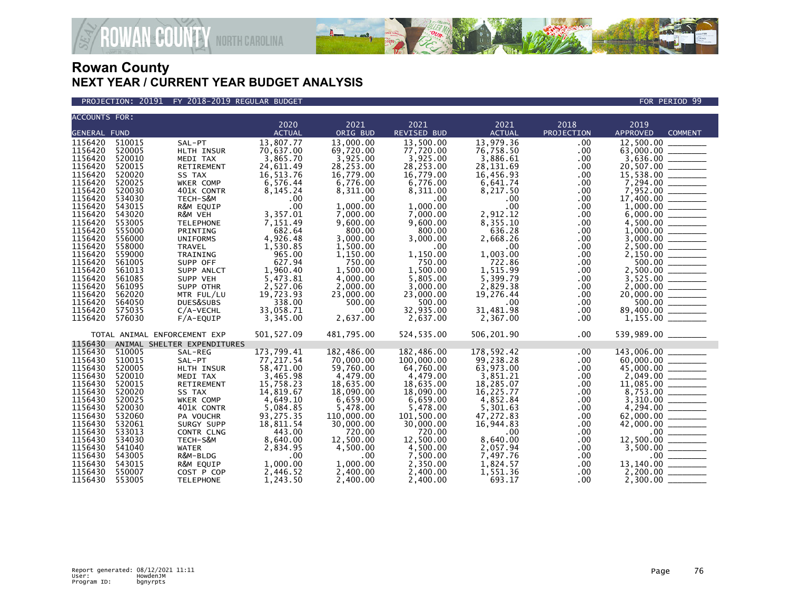

PROJECTION: 20191 FY 2018-2019 REGULAR BUDGET FOR PERIOD 99

| <b>ACCOUNTS FOR:</b> |        |                              |               |              |              |               |            |                                                                                                                                                                                   |
|----------------------|--------|------------------------------|---------------|--------------|--------------|---------------|------------|-----------------------------------------------------------------------------------------------------------------------------------------------------------------------------------|
|                      |        |                              | 2020          | 2021         | 2021         | 2021          | 2018       | 2019                                                                                                                                                                              |
| <b>GENERAL FUND</b>  |        |                              | <b>ACTUAL</b> | ORIG BUD     | REVISED BUD  | <b>ACTUAL</b> | PROJECTION | <b>APPROVED</b><br><b>COMMENT</b>                                                                                                                                                 |
| 1156420              | 510015 | SAL-PT                       | 13,807.77     | 13,000.00    | 13,500.00    | 13,979.36     | .00        | 12,500.00 _                                                                                                                                                                       |
| 1156420              | 520005 | HLTH INSUR                   | 70,637.00     | 69,720.00    | 77,720.00    | 76,758.50     | .00        |                                                                                                                                                                                   |
| 1156420              | 520010 | MEDI TAX                     | 3,865.70      | 3,925.00     | 3,925.00     | 3,886.61      | .00        |                                                                                                                                                                                   |
| 1156420              | 520015 | RETIREMENT                   | 24,611.49     | 28,253.00    | 28,253.00    | 28, 131.69    | .00        |                                                                                                                                                                                   |
| 1156420              | 520020 | SS TAX                       | 16,513.76     | 16,779.00    | 16,779.00    | 16,456.93     | .00        |                                                                                                                                                                                   |
| 1156420              | 520025 | WKER COMP                    | 6,576.44      | 6,776.00     | 6,776.00     | 6,641.74      | .00        | $15,538.00$<br>$7,294.00$<br>$7,952.00$                                                                                                                                           |
| 1156420              | 520030 | 401K CONTR                   | 8,145.24      | 8,311.00     | 8,311.00     | 8,217.50      | .00        |                                                                                                                                                                                   |
| 1156420              | 534030 | TECH-S&M                     | .00           | $.00 \times$ | .00          | $.00 \,$      | .00        |                                                                                                                                                                                   |
| 1156420              | 543015 | R&M EQUIP                    | .00           | 1.000.00     | 1.000.00     | $.00 \,$      | .00        |                                                                                                                                                                                   |
| 1156420              | 543020 | R&M VEH                      | 3,357.01      | 7,000.00     | 7,000.00     | 2,912.12      | .00.       |                                                                                                                                                                                   |
| 1156420              | 553005 | <b>TELEPHONE</b>             | 7,151.49      | 9.600.00     | 9,600.00     | 8,355.10      | .00        |                                                                                                                                                                                   |
| 1156420              | 555000 | PRINTING                     | 682.64        | 800.00       | 800.00       | 636.28        | .00        |                                                                                                                                                                                   |
| 1156420              | 556000 | <b>UNIFORMS</b>              | 4,926.48      | 3,000.00     | 3,000.00     | 2,668.26      | .00        |                                                                                                                                                                                   |
| 1156420              | 558000 | TRAVEL                       | 1,530.85      | 1.500.00     | $.00 \times$ | $.00 \times$  | .00        |                                                                                                                                                                                   |
| 1156420              | 559000 | TRAINING                     | 965.00        | 1,150.00     | 1,150.00     | 1,003.00      | .00        | $\frac{1,000.00}{1,000.00}$<br>$\frac{1,000.00}{2,500.00}$<br>$\frac{2,500.00}{500.00}$                                                                                           |
| 1156420              | 561005 | SUPP OFF                     | 627.94        | 750.00       | 750.00       | 722.86        | .00        |                                                                                                                                                                                   |
| 1156420              | 561013 | SUPP ANLCT                   | 1,960.40      | 1.500.00     | 1,500.00     | 1.515.99      | .00        |                                                                                                                                                                                   |
| 1156420              | 561085 | SUPP VEH                     | 5,473.81      | 4,000.00     | 5,805.00     | 5.399.79      | .00        |                                                                                                                                                                                   |
| 1156420              | 561095 | SUPP OTHR                    | 2,527.06      | 2,000.00     | 3,000.00     | 2,829.38      | .00        |                                                                                                                                                                                   |
| 1156420              | 562020 | MTR FUL/LU                   | 19,723.93     | 23,000.00    | 23,000.00    | 19,276.44     | .00        |                                                                                                                                                                                   |
| 1156420              | 564050 | DUES&SUBS                    | 338.00        | 500.00       | 500.00       | $.00 \,$      | .00        |                                                                                                                                                                                   |
| 1156420              | 575035 | C/A-VECHL                    | 33,058.71     | .00          | 32,935.00    | 31,481.98     | .00        | $89,400.00$ ________<br>1,155.00                                                                                                                                                  |
| 1156420              | 576030 | $F/A$ -EQUIP                 | 3,345.00      | 2,637.00     | 2,637.00     | 2,367.00      | .00        |                                                                                                                                                                                   |
|                      |        | TOTAL ANIMAL ENFORCEMENT EXP | 501, 527.09   | 481,795.00   | 524,535.00   | 506,201.90    | .00        | 539,989.00 ______                                                                                                                                                                 |
| 1156430              |        | ANIMAL SHELTER EXPENDITURES  |               |              |              |               |            |                                                                                                                                                                                   |
| 1156430              | 510005 | SAL-REG                      | 173,799.41    | 182,486.00   | 182,486.00   | 178,592.42    | .00        | 143,006.00                                                                                                                                                                        |
| 1156430              | 510015 | SAL-PT                       | 77,217.54     | 70,000.00    | 100,000.00   | 99,238.28     | $.00 \,$   |                                                                                                                                                                                   |
| 1156430              | 520005 | HLTH INSUR                   | 58,471.00     | 59,760.00    | 64,760.00    | 63,973.00     | .00        |                                                                                                                                                                                   |
| 1156430              | 520010 | MEDI TAX                     | 3,465.98      | 4,479.00     | 4,479.00     | 3,851.21      | .00        |                                                                                                                                                                                   |
| 1156430              | 520015 | RETIREMENT                   | 15,758.23     | 18,635.00    | 18,635.00    | 18,285.07     | .00        | $\begin{array}{r} 43,000.00 \ \hline 66,000.00 \ \hline 2,049.00 \ \hline 11,085.00 \ \hline 2,049.00 \ \hline 3,753.00 \ \hline 3,310.00 \ \hline 4,294.00 \ \hline \end{array}$ |
| 1156430              | 520020 | SS TAX                       | 14,819.67     | 18,090.00    | 18,090.00    | 16,225.77     | .00        |                                                                                                                                                                                   |
| 1156430              | 520025 | WKER COMP                    | 4,649.10      | 6,659.00     | 6,659.00     | 4,852.84      | .00        |                                                                                                                                                                                   |
| 1156430              | 520030 | 401K CONTR                   | 5,084.85      | 5,478.00     | 5,478.00     | 5,301.63      | .00        |                                                                                                                                                                                   |
| 1156430              | 532060 | PA VOUCHR                    | 93,275.35     | 110,000.00   | 101,500.00   | 47,272.83     | .00        |                                                                                                                                                                                   |
| 1156430              | 532061 | SURGY SUPP                   | 18,811.54     | 30,000,00    | 30,000,00    | 16,944.83     | .00        |                                                                                                                                                                                   |
| 1156430              | 533013 | CONTR CLNG                   | 443.00        | 720.00       | 720.00       | $.00 \,$      | .00        | $62,000.00$<br>$62,000.00$<br>$42,000.00$<br>$12,500.00$<br>$3,500.00$<br>$00$<br>$00$<br>$13,140.00$                                                                             |
| 1156430              | 534030 | TECH-S&M                     | 8,640.00      | 12,500.00    | 12,500.00    | 8,640.00      | $.00 \,$   |                                                                                                                                                                                   |
| 1156430              | 541040 | <b>WATER</b>                 | 2,834.95      | 4,500.00     | 4,500.00     | 2.057.94      | .00        |                                                                                                                                                                                   |
| 1156430              | 543005 | R&M-BLDG                     | .00           | $.00 \times$ | 7,500.00     | 7,497.76      | $.00 \,$   |                                                                                                                                                                                   |
| 1156430              | 543015 | R&M EQUIP                    | 1,000.00      | 1.000.00     | 2,350.00     | 1,824.57      | .00.       |                                                                                                                                                                                   |
| 1156430              | 550007 | COST P COP                   | 2,446.52      | 2,400.00     | 2,400.00     | 1,551.36      | .00        |                                                                                                                                                                                   |
| 1156430              | 553005 | <b>TELEPHONE</b>             | 1,243.50      | 2,400.00     | 2,400.00     | 693.17        | .00        |                                                                                                                                                                                   |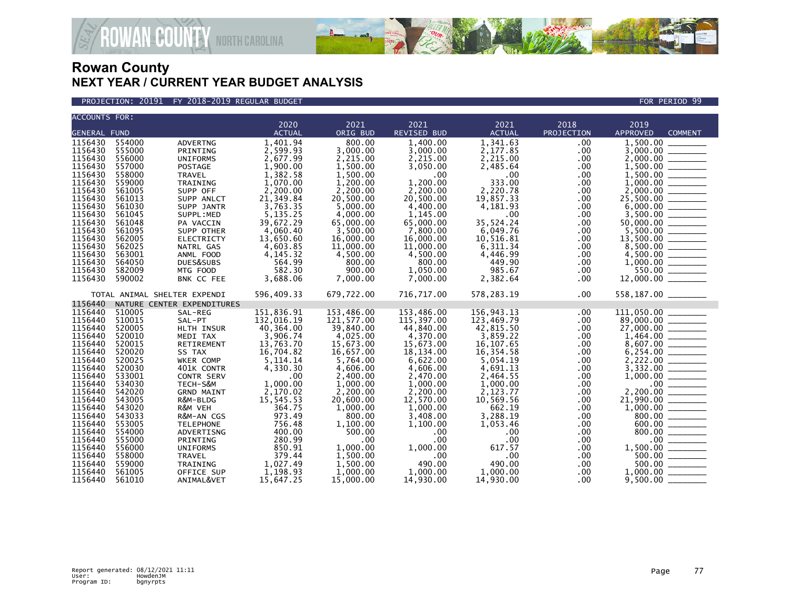

#### PROJECTION: 20191 FY 2018-2019 REGULAR BUDGET FOR PERIOD 99

| <b>ACCOUNTS FOR:</b>                     |                                      |                                                     |                                          |                                              |                                       |                                     |                                         |                                                                                                                                                                                                                                                                                                                         |
|------------------------------------------|--------------------------------------|-----------------------------------------------------|------------------------------------------|----------------------------------------------|---------------------------------------|-------------------------------------|-----------------------------------------|-------------------------------------------------------------------------------------------------------------------------------------------------------------------------------------------------------------------------------------------------------------------------------------------------------------------------|
|                                          |                                      |                                                     | 2020                                     | 2021                                         | 2021                                  | 2021                                | 2018                                    | 2019                                                                                                                                                                                                                                                                                                                    |
| <b>GENERAL FUND</b>                      |                                      |                                                     | <b>ACTUAL</b>                            | ORIG BUD                                     | <b>REVISED BUD</b>                    | <b>ACTUAL</b>                       | PROJECTION                              | APPROVED<br><b>COMMENT</b>                                                                                                                                                                                                                                                                                              |
| 1156430                                  | 554000                               | ADVERTNG                                            | 1,401.94                                 | 800.00                                       | 1,400.00                              | 1,341.63                            | .00                                     |                                                                                                                                                                                                                                                                                                                         |
| 1156430                                  | 555000                               | PRINTING                                            | 2,599.93                                 | 3,000.00                                     | 3,000.00                              | 2,177.85                            | .00                                     |                                                                                                                                                                                                                                                                                                                         |
| 1156430                                  | 556000                               | <b>UNIFORMS</b>                                     | 2,677.99                                 | 2,215.00                                     | 2,215.00                              | 2,215.00                            | .00                                     |                                                                                                                                                                                                                                                                                                                         |
| 1156430                                  | 557000                               | POSTAGE                                             | 1,900.00                                 | 1,500.00                                     | 3,050.00                              | 2,485.64                            | .00                                     |                                                                                                                                                                                                                                                                                                                         |
| 1156430                                  | 558000                               | TRAVEL                                              | 1,382.58                                 | 1,500.00                                     | $.00 \times$                          | $.00 \,$                            | .00                                     |                                                                                                                                                                                                                                                                                                                         |
| 1156430                                  | 559000                               | TRAINING                                            | 1,070.00                                 | 1,200.00                                     | 1.200.00                              | 333.00                              | $.00 \,$                                |                                                                                                                                                                                                                                                                                                                         |
| 1156430                                  | 561005                               | SUPP OFF                                            | 2,200.00                                 | 2,200.00                                     | 2,200.00                              | 2,220.78                            | $.00 \,$                                |                                                                                                                                                                                                                                                                                                                         |
| 1156430                                  | 561013                               | SUPP ANLCT                                          | 21,349.84                                | 20,500.00                                    | 20,500.00                             | 19,857.33                           | .00                                     |                                                                                                                                                                                                                                                                                                                         |
| 1156430                                  | 561030                               | SUPP JANTR                                          | 3,763.35                                 | 5,000.00                                     | 4,400.00                              | 4,181.93                            | .00                                     |                                                                                                                                                                                                                                                                                                                         |
| 1156430                                  | 561045                               | SUPPL:MED                                           | 5,135.25                                 | 4,000.00                                     | 1,145.00                              | $.00 \,$                            | .00                                     |                                                                                                                                                                                                                                                                                                                         |
| 1156430                                  | 561048                               | PA VACCIN                                           | 39,672.29                                | 65,000.00                                    | 65,000.00                             | 35,524.24                           | $.00 \,$                                |                                                                                                                                                                                                                                                                                                                         |
| 1156430                                  | 561095                               | SUPP OTHER                                          | 4,060.40                                 | 3,500.00                                     | 7,800.00                              | 6,049.76                            | .00                                     |                                                                                                                                                                                                                                                                                                                         |
| 1156430                                  | 562005                               | ELECTRICTY                                          | 13,650.60                                | 16,000.00                                    | 16,000.00                             | 10,516.81                           | .00                                     |                                                                                                                                                                                                                                                                                                                         |
| 1156430                                  | 562025                               | NATRL GAS                                           | 4,603.85                                 | 11,000.00                                    | 11,000.00                             | 6,311.34                            | .00                                     | $\begin{array}{r} 3,000.00 \ -2,000.00 \ -1,500.00 \ \hline 1,500.00 \ \hline 1,500.00 \ \hline 2,000.00 \ \hline 2,000.00 \ \hline 6,000.00 \ \hline 5,500.00 \ \hline 5,500.00 \ \hline 7,500.00 \ \hline 8,500.00 \ \hline 8,500.00 \ \hline 8,500.00 \ \hline 8,500.00 \ \hline 4,500.00 \ \hline \end{array}$      |
| 1156430                                  | 563001                               | ANML FOOD                                           | 4, 145. 32                               | 4,500.00                                     | 4,500.00                              | 4,446.99                            | $.00 \,$                                |                                                                                                                                                                                                                                                                                                                         |
| 1156430                                  | 564050                               | DUES&SUBS                                           | 564.99                                   | 800.00                                       | 800.00                                | 449.90                              | $.00 \,$                                |                                                                                                                                                                                                                                                                                                                         |
| 1156430                                  | 582009                               | MTG FOOD                                            | 582.30                                   | 900.00                                       | 1,050.00                              | 985.67                              | $.00 \,$                                |                                                                                                                                                                                                                                                                                                                         |
| 1156430                                  | 590002                               | <b>BNK CC FEE</b>                                   | 3,688.06                                 | 7,000.00                                     | 7,000.00                              | 2,382.64                            | .00                                     |                                                                                                                                                                                                                                                                                                                         |
|                                          |                                      | TOTAL ANIMAL SHELTER EXPENDI                        | 596,409.33                               | 679,722.00                                   | 716,717.00                            | 578,283.19                          | $.00 \,$                                | 558,187.00 ________                                                                                                                                                                                                                                                                                                     |
| 1156440                                  |                                      | NATURE CENTER EXPENDITURES                          |                                          |                                              |                                       |                                     |                                         |                                                                                                                                                                                                                                                                                                                         |
| 1156440                                  | 510005                               | SAL-REG                                             | 151,836.91                               | 153,486.00                                   | 153,486.00                            | 156,943.13                          | .00                                     |                                                                                                                                                                                                                                                                                                                         |
| 1156440                                  | 510015                               | SAL-PT                                              | 132,016.19                               | 121,577.00                                   | 115,397.00                            | 123,469.79                          | .00                                     |                                                                                                                                                                                                                                                                                                                         |
| 1156440                                  | 520005                               | HLTH INSUR                                          | 40,364.00                                | 39,840.00                                    | 44,840.00                             | 42,815.50                           | $.00 \,$                                |                                                                                                                                                                                                                                                                                                                         |
| 1156440                                  | 520010                               | MEDI TAX                                            | 3,906.74                                 | 4,025.00                                     | 4,370.00                              | 3,859.22                            | .00                                     |                                                                                                                                                                                                                                                                                                                         |
| 1156440                                  | 520015                               | RETIREMENT                                          | 13,763.70                                | 15,673.00                                    | 15,673.00                             | 16, 107.65                          | $.00 \,$                                |                                                                                                                                                                                                                                                                                                                         |
| 1156440                                  | 520020                               | SS TAX                                              | 16,704.82                                | 16,657.00                                    | 18,134.00                             | 16,354.58                           | .00                                     |                                                                                                                                                                                                                                                                                                                         |
| 1156440                                  | 520025                               | WKER COMP                                           | 5,114.14                                 | 5,764.00                                     | 6,622.00                              | 5.054.19                            | .00 <sub>1</sub>                        |                                                                                                                                                                                                                                                                                                                         |
| 1156440                                  | 520030                               | 401K CONTR                                          | 4,330.30                                 | 4,606.00                                     | 4,606.00                              | 4,691.13                            | .00                                     |                                                                                                                                                                                                                                                                                                                         |
| 1156440                                  | 533001                               | CONTR SERV                                          | .00                                      | 2,400.00                                     | 2,470.00                              | 2,464.55                            | .00                                     |                                                                                                                                                                                                                                                                                                                         |
| 1156440                                  | 534030                               | TECH-S&M                                            | 1,000.00                                 | 1,000.00                                     | 1,000.00                              | 1,000.00                            | .00                                     |                                                                                                                                                                                                                                                                                                                         |
| 1156440                                  | 542020                               | <b>GRND MAINT</b>                                   | 2,170.02                                 | 2,200.00                                     | 2,200.00                              | 2,123.77                            | $.00 \,$                                |                                                                                                                                                                                                                                                                                                                         |
| 1156440                                  | 543005                               | R&M-BLDG                                            | 15,545.53                                | 20,600.00                                    | 12,570.00                             | 10,569.56                           | .00                                     |                                                                                                                                                                                                                                                                                                                         |
| 1156440                                  | 543020                               | R&M VEH                                             | 364.75                                   | 1,000.00                                     | 1,000.00                              | 662.19                              | $.00 \,$                                |                                                                                                                                                                                                                                                                                                                         |
| 1156440                                  | 543033                               | R&M-AN CGS                                          | 973.49                                   | 800.00                                       | 3,408.00                              | 3,288.19                            | $.00 \,$                                |                                                                                                                                                                                                                                                                                                                         |
| 1156440<br>1156440                       | 553005<br>554000                     | <b>TELEPHONE</b>                                    | 756.48<br>400.00                         | 1,100.00<br>500.00                           | 1,100.00                              | 1,053.46                            | .00                                     |                                                                                                                                                                                                                                                                                                                         |
| 1156440                                  | 555000                               | ADVERTISNG                                          | 280.99                                   | .00                                          | .00<br>.00 <sub>1</sub>               | .00<br>$.00 \,$                     | $.00 \,$<br>$.00 \,$                    |                                                                                                                                                                                                                                                                                                                         |
|                                          |                                      | PRINTING                                            |                                          |                                              |                                       |                                     |                                         |                                                                                                                                                                                                                                                                                                                         |
|                                          |                                      |                                                     |                                          |                                              |                                       |                                     |                                         |                                                                                                                                                                                                                                                                                                                         |
|                                          |                                      |                                                     |                                          |                                              |                                       |                                     |                                         |                                                                                                                                                                                                                                                                                                                         |
|                                          |                                      |                                                     |                                          |                                              |                                       |                                     |                                         |                                                                                                                                                                                                                                                                                                                         |
| 1156440                                  | 561010                               | ANIMAL&VET                                          | 15,647.25                                | 15,000.00                                    | 14,930.00                             | 14,930.00                           | .00.                                    | 9,500.00                                                                                                                                                                                                                                                                                                                |
| 1156440<br>1156440<br>1156440<br>1156440 | 556000<br>558000<br>559000<br>561005 | <b>UNIFORMS</b><br>TRAVEL<br>TRAINING<br>OFFICE SUP | 850.91<br>379.44<br>1,027.49<br>1,198.93 | 1,000.00<br>1,500.00<br>1,500.00<br>1,000.00 | 1,000.00<br>.00<br>490.00<br>1.000.00 | 617.57<br>.00<br>490.00<br>1.000.00 | $.00 \,$<br>$.00 \,$<br>$.00 \,$<br>.00 | $\begin{array}{r} 111,050.00 \ \hline 89,000.00 \ \hline 27,000.00 \ \hline 1,464.00 \ \hline 1,464.00 \ \hline 8,607.00 \ \hline 6,254.00 \ \hline 2,222.00 \ \hline 3,332.00 \ \hline 1,000.00 \ \hline 2,200.00 \ \hline 21,990.00 \ \hline 800.00 \ \hline 800.00 \ \hline 800.00 \ \hline 800.00 \ \hline 1,500.0$ |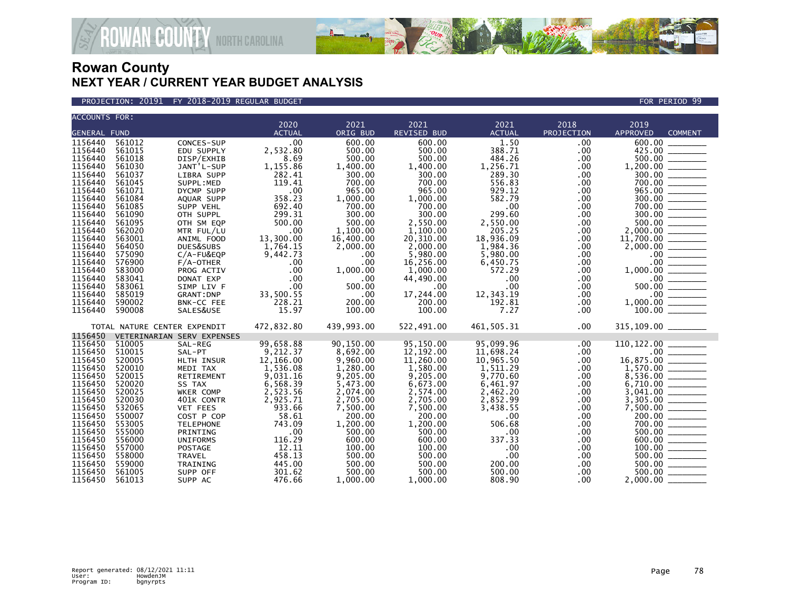

**IAN-COUNTY NORTH CAROLINA** 

| <b>ACCOUNTS FOR:</b> |                              |                            |               |            |             |               |            |                                                                                                                                                                     |
|----------------------|------------------------------|----------------------------|---------------|------------|-------------|---------------|------------|---------------------------------------------------------------------------------------------------------------------------------------------------------------------|
|                      |                              |                            | 2020          | 2021       | 2021        | 2021          | 2018       | 2019                                                                                                                                                                |
| <b>GENERAL FUND</b>  |                              |                            | <b>ACTUAL</b> | ORIG BUD   | REVISED BUD | <b>ACTUAL</b> | PROJECTION | APPROVED<br><b>COMMENT</b>                                                                                                                                          |
| 1156440              | 561012                       | CONCES-SUP                 | .00           | 600.00     | 600.00      | 1.50          | .00        | 600.00                                                                                                                                                              |
| 1156440              | 561015                       | EDU SUPPLY                 | 2,532.80      | 500.00     | 500.00      | 388.71        | .00        |                                                                                                                                                                     |
| 1156440              | 561018                       | DISP/EXHIB                 | 8.69          | 500.00     | 500.00      | 484.26        | .00        |                                                                                                                                                                     |
| 1156440              | 561030                       | JANT'L-SUP                 | 1,155.86      | 1,400.00   | 1,400.00    | 1,256.71      | .00        |                                                                                                                                                                     |
| 1156440              | 561037                       | LIBRA SUPP                 | 282.41        | 300.00     | 300.00      | 289.30        | .00        |                                                                                                                                                                     |
| 1156440              | 561045                       | SUPPL:MED                  | 119.41        | 700.00     | 700.00      | 556.83        | .00        |                                                                                                                                                                     |
| 1156440              | 561071                       | DYCMP SUPP                 | .00           | 965.00     | 965.00      | 929.12        | .00        | $\begin{array}{c} 300.00 \ \hline 300.00 \ \hline 700.00 \ \hline 965.00 \ \hline 300.00 \ \hline 300.00 \ \hline \end{array}$                                      |
| 1156440              | 561084                       | AQUAR SUPP                 | 358.23        | 1,000.00   | 1.000.00    | 582.79        | .00        |                                                                                                                                                                     |
| 1156440              | 561085                       | SUPP VEHL                  | 692.40        | 700.00     | 700.00      | .00           | .00        |                                                                                                                                                                     |
| 1156440              | 561090                       | OTH SUPPL                  | 299.31        | 300.00     | 300.00      | 299.60        | .00        | $300.00$                                                                                                                                                            |
| 1156440              | 561095                       | OTH SM EQP                 | 500.00        | 500.00     | 2,550.00    | 2,550.00      | .00        |                                                                                                                                                                     |
| 1156440              | 562020                       | MTR FUL/LU                 | .00           | 1,100.00   | 1,100.00    | 205.25        | .00        |                                                                                                                                                                     |
| 1156440              | 563001                       | ANIML FOOD                 | 13,300.00     | 16,400.00  | 20,310.00   | 18,936.09     | .00        |                                                                                                                                                                     |
| 1156440              | 564050                       | DUES&SUBS                  | 1,764.15      | 2,000.00   | 2.000.00    | 1.984.36      | .00        |                                                                                                                                                                     |
| 1156440              | 575090                       | $C/A$ -FU&EQP              | 9,442.73      | .00        | 5,980.00    | 5,980.00      | .00        |                                                                                                                                                                     |
| 1156440              | 576900                       | $F/A$ -OTHER               | .00           | .00        | 16,256.00   | 6,450.75      | .00        |                                                                                                                                                                     |
| 1156440              | 583000                       | PROG ACTIV                 | .00           | 1,000.00   | 1,000.00    | 572.29        | .00        |                                                                                                                                                                     |
| 1156440              | 583041                       | DONAT EXP                  | .00           | .00        | 44,490.00   | $.00 \times$  | .00        |                                                                                                                                                                     |
| 1156440              | 583061                       | SIMP LIV F                 | .00           | 500.00     | .00         | $.00 \times$  | .00        | $\begin{array}{r} 300.00 \ \hline 500.00 \ 2,000.00 \ \hline 11,700.00 \ \hline 2,000.00 \ \hline 0 \ 0 \ 0 \ \hline 1,000.00 \ \hline 500.00 \ \hline \end{array}$ |
| 1156440              | 585019                       | <b>GRANT: DNP</b>          | 33,500.55     | .00        | 17,244.00   | 12,343.19     | .00        |                                                                                                                                                                     |
| 1156440              | 590002                       | BNK-CC FEE                 | 228.21        | 200.00     | 200.00      | 192.81        | .00        |                                                                                                                                                                     |
| 1156440              | 590008                       | SALES&USE                  | 15.97         | 100.00     | 100.00      | 7.27          | .00        |                                                                                                                                                                     |
|                      |                              |                            |               |            |             |               |            |                                                                                                                                                                     |
|                      | TOTAL NATURE CENTER EXPENDIT |                            | 472,832.80    | 439,993.00 | 522,491.00  | 461,505.31    | .00        |                                                                                                                                                                     |
| 1156450              |                              | VETERINARIAN SERV EXPENSES |               |            |             |               |            |                                                                                                                                                                     |
| 1156450              | 510005                       | SAL-REG                    | 99,658.88     | 90,150.00  | 95,150.00   | 95,099.96     | .00        |                                                                                                                                                                     |
| 1156450              | 510015                       | SAL-PT                     | 9,212.37      | 8,692.00   | 12,192.00   | 11,698.24     | .00        |                                                                                                                                                                     |
| 1156450              | 520005                       | HLTH INSUR                 | 12,166.00     | 9,960.00   | 11,260.00   | 10,965.50     | .00        |                                                                                                                                                                     |
| 1156450              | 520010                       | MEDI TAX                   | 1,536.08      | 1,280.00   | 1,580.00    | 1,511.29      | .00        |                                                                                                                                                                     |
| 1156450              | 520015                       | RETIREMENT                 | 9,031.16      | 9,205.00   | 9,205.00    | 9,770.60      | .00        |                                                                                                                                                                     |
| 1156450              | 520020                       | SS TAX                     | 6,568.39      | 5,473.00   | 6,673.00    | 6,461.97      | .00        | $16,875.00$<br>$1,570.00$<br>$8,536.00$<br>$6,710.00$<br>$3,941.00$<br>$3,941.00$                                                                                   |
| 1156450              | 520025                       | WKER COMP                  | 2,523.56      | 2,074.00   | 2,574.00    | 2,462.20      | .00        |                                                                                                                                                                     |
| 1156450              | 520030                       | 401K CONTR                 | 2,925.71      | 2,705.00   | 2,705.00    | 2,852.99      | .00        |                                                                                                                                                                     |
| 1156450              | 532065                       | <b>VET FEES</b>            | 933.66        | 7,500.00   | 7,500.00    | 3,438.55      | .00        |                                                                                                                                                                     |
| 1156450              | 550007                       | COST P COP                 | 58.61         | 200.00     | 200.00      | $.00 \,$      | .00.       |                                                                                                                                                                     |
| 1156450              | 553005                       | <b>TELEPHONE</b>           | 743.09        | 1.200.00   | 1.200.00    | 506.68        | .00        | $700.00$<br>500.00                                                                                                                                                  |
| 1156450              | 555000                       | PRINTING                   | .00           | 500.00     | 500.00      | $.00 \,$      | .00        |                                                                                                                                                                     |
| 1156450              | 556000                       | <b>UNIFORMS</b>            | 116.29        | 600.00     | 600.00      | 337.33        | .00        |                                                                                                                                                                     |
| 1156450              | 557000                       | <b>POSTAGE</b>             | 12.11         | 100.00     | 100.00      | $.00 \,$      | .00        |                                                                                                                                                                     |
| 1156450              | 558000                       | TRAVEL                     | 458.13        | 500.00     | 500.00      | $.00 \,$      | .00        |                                                                                                                                                                     |
| 1156450              | 559000                       | TRAINING                   | 445.00        | 500.00     | 500.00      | 200.00        | .00        | $\begin{array}{c}\n 100.00 \\  \hline\n 500.00 \\  \hline\n 500.00\n \end{array}$                                                                                   |
| 1156450              | 561005                       | SUPP OFF                   | 301.62        | 500.00     | 500.00      | 500.00        | .00        | 500.00                                                                                                                                                              |
| 1156450              | 561013                       | SUPP AC                    | 476.66        | 1,000.00   | 1.000.00    | 808.90        | .00        | $2,000.00$ $\_\_$                                                                                                                                                   |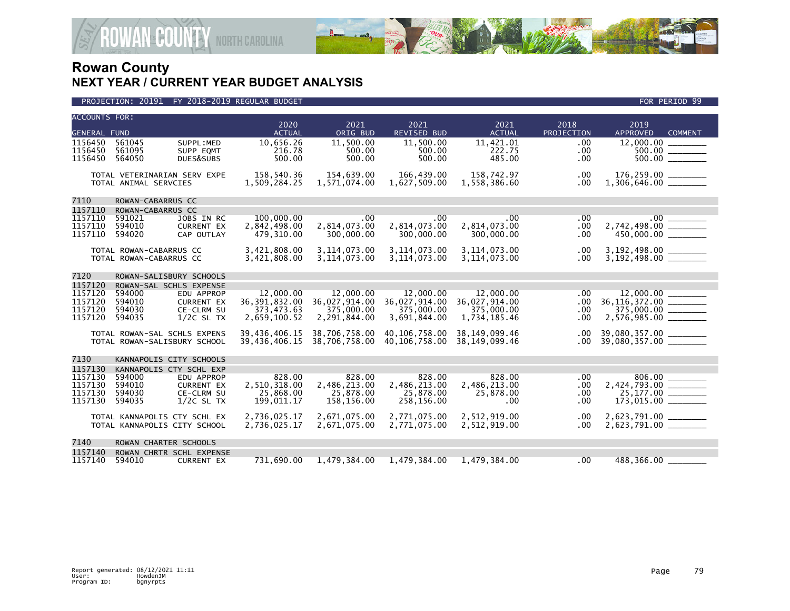

| <b>ACCOUNTS FOR:</b> |                                                              |                                 | 2020                           | 2021                           | 2021                           | 2021                                 | 2018            | 2019                                           |
|----------------------|--------------------------------------------------------------|---------------------------------|--------------------------------|--------------------------------|--------------------------------|--------------------------------------|-----------------|------------------------------------------------|
| <b>GENERAL FUND</b>  |                                                              |                                 | <b>ACTUAL</b>                  | ORIG BUD                       | <b>REVISED BUD</b>             | <b>ACTUAL</b>                        | PROJECTION      | <b>APPROVED</b><br><b>COMMENT</b>              |
| 1156450              | 561045                                                       | SUPPL:MED                       | 10,656.26                      | 11,500.00                      | 11,500.00                      | 11,421.01                            | .00             | 12,000.00                                      |
| 1156450              | 561095                                                       | SUPP EOMT                       | 216.78                         | 500.00                         | 500.00                         | 222.75                               | .00             |                                                |
| 1156450              | 564050                                                       | DUES&SUBS                       | 500.00                         | 500.00                         | 500.00                         | 485.00                               | .00             |                                                |
|                      | TOTAL VETERINARIAN SERV EXPE                                 |                                 | 158,540.36                     | 154,639.00                     | 166,439.00                     | 158,742.97                           | .00             | 176,259.00 _______                             |
|                      | TOTAL ANIMAL SERVCIES                                        |                                 | 1,509,284.25                   | 1,571,074.00                   | 1,627,509.00                   | 1,558,386.60                         | .00             | $1,306,646.00$ _________                       |
|                      |                                                              |                                 |                                |                                |                                |                                      |                 |                                                |
| 7110                 | ROWAN-CABARRUS CC                                            |                                 |                                |                                |                                |                                      |                 |                                                |
| 1157110<br>1157110   | ROWAN-CABARRUS CC<br>591021                                  | JOBS IN RC                      | 100,000,00                     | .00                            | $.00 \times$                   | .00                                  | .00             | .00                                            |
| 1157110              | 594010                                                       | <b>CURRENT EX</b>               | 2,842,498.00                   | 2,814,073.00                   | 2,814,073.00                   | 2,814,073.00                         | .00.            |                                                |
| 1157110              | 594020                                                       | CAP OUTLAY                      | 479,310.00                     | 300,000.00                     | 300,000.00                     | 300,000.00                           | .00             | 450,000.00 _______                             |
|                      | TOTAL ROWAN-CABARRUS CC                                      |                                 | 3,421,808.00                   | 3,114,073.00                   | 3, 114, 073.00                 | 3, 114, 073.00                       | .00             |                                                |
|                      | TOTAL ROWAN-CABARRUS CC                                      |                                 | 3,421,808.00                   | 3, 114, 073.00                 | 3, 114, 073.00                 | 3, 114, 073.00                       | .00             |                                                |
|                      |                                                              |                                 |                                |                                |                                |                                      |                 |                                                |
| 7120                 |                                                              | ROWAN-SALISBURY SCHOOLS         |                                |                                |                                |                                      |                 |                                                |
| 1157120              | ROWAN-SAL SCHLS EXPENSE                                      |                                 |                                |                                |                                |                                      |                 |                                                |
| 1157120<br>1157120   | 594000<br>594010                                             | EDU APPROP<br><b>CURRENT EX</b> | 12,000.00<br>36, 391, 832.00   | 12,000.00<br>36,027,914.00     | 12,000.00<br>36,027,914.00     | 12,000.00<br>36,027,914.00           | $.00 \,$<br>.00 |                                                |
| 1157120              | 594030                                                       | CE-CLRM SU                      | 373,473.63                     | 375,000.00                     | 375,000.00                     | 375,000.00                           | .00             | $375,000.00$ ________                          |
| 1157120              | 594035                                                       | $1/2C$ SL TX                    | 2,659,100.52                   | 2,291,844.00                   | 3,691,844.00                   | 1,734,185.46                         | .00             |                                                |
|                      |                                                              |                                 |                                |                                |                                |                                      |                 |                                                |
|                      | TOTAL ROWAN-SAL SCHLS EXPENS<br>TOTAL ROWAN-SALISBURY SCHOOL |                                 | 39,436,406.15<br>39,436,406.15 | 38,706,758.00<br>38,706,758.00 | 40,106,758.00<br>40,106,758.00 | 38, 149, 099. 46<br>38, 149, 099. 46 | .00<br>$.00 \,$ | 39,080,357.00 ________<br>39,080,357.00        |
|                      |                                                              |                                 |                                |                                |                                |                                      |                 |                                                |
| 7130                 |                                                              | KANNAPOLIS CITY SCHOOLS         |                                |                                |                                |                                      |                 |                                                |
| 1157130              | KANNAPOLIS CTY SCHL EXP                                      |                                 |                                |                                |                                |                                      |                 |                                                |
| 1157130              | 594000                                                       | EDU APPROP                      | 828.00                         | 828.00                         | 828.00                         | 828.00                               | .00             | 806.00                                         |
| 1157130<br>1157130   | 594010<br>594030                                             | <b>CURRENT EX</b><br>CE-CLRM SU | 2,510,318.00<br>25,868.00      | 2,486,213.00<br>25,878.00      | 2,486,213.00<br>25,878.00      | 2,486,213.00<br>25,878.00            | .00<br>.00      | 25,177.00 ________                             |
| 1157130              | 594035                                                       | $1/2C$ SL TX                    | 199,011.17                     | 158,156.00                     | 258,156.00                     | .00.                                 | .00             |                                                |
|                      |                                                              |                                 |                                |                                |                                |                                      |                 |                                                |
|                      | TOTAL KANNAPOLIS CTY SCHL EX<br>TOTAL KANNAPOLIS CITY SCHOOL |                                 | 2,736,025.17<br>2,736,025.17   | 2,671,075.00<br>2,671,075.00   | 2,771,075.00<br>2,771,075.00   | 2,512,919.00<br>2,512,919.00         | $.00 \,$<br>.00 | 2,623,791.00 ________<br>2,623,791.00 ________ |
|                      |                                                              |                                 |                                |                                |                                |                                      |                 |                                                |
| 7140                 | ROWAN CHARTER SCHOOLS                                        |                                 |                                |                                |                                |                                      |                 |                                                |
| 1157140              |                                                              | ROWAN CHRTR SCHL EXPENSE        |                                |                                |                                |                                      |                 |                                                |
| 1157140              | 594010                                                       | <b>CURRENT EX</b>               | 731,690.00                     | 1,479,384.00                   | 1,479,384.00                   | 1,479,384.00                         | .00             | 488,366.00                                     |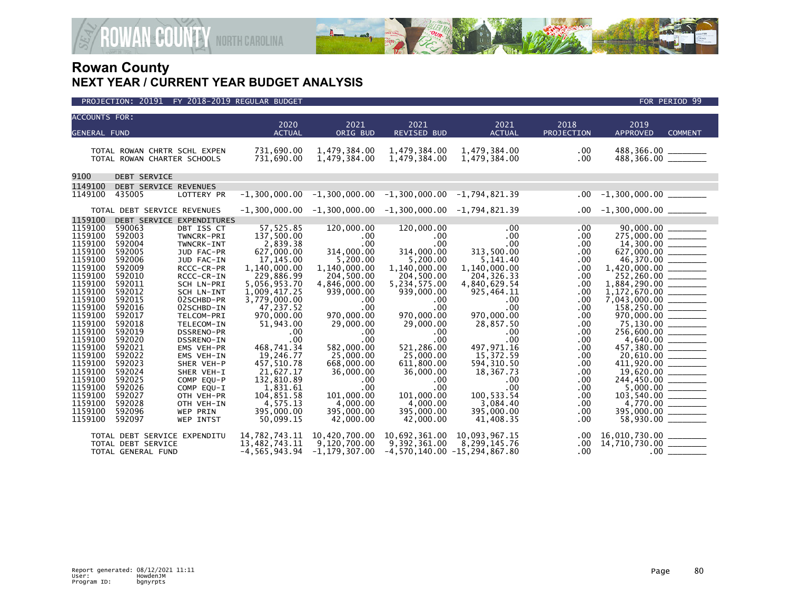

| <b>ACCOUNTS FOR:</b>                                                                                                                                                                                                                                                 |                                                                                                                                                                                                                                              |                                                                                                                                                                                                                                                                                                                                            |                                                                                                                                                                                                                                                                                                                            |                                                                                                                                                                                                                                                                                                                    |                                                                                                                                                                                                                                                                                                                   |                                                                                                                                                                                                                                                                                                                                     |                                                                                                                                                                                                                                                 |                                                                                                                                                                                                                                                                                         |                |
|----------------------------------------------------------------------------------------------------------------------------------------------------------------------------------------------------------------------------------------------------------------------|----------------------------------------------------------------------------------------------------------------------------------------------------------------------------------------------------------------------------------------------|--------------------------------------------------------------------------------------------------------------------------------------------------------------------------------------------------------------------------------------------------------------------------------------------------------------------------------------------|----------------------------------------------------------------------------------------------------------------------------------------------------------------------------------------------------------------------------------------------------------------------------------------------------------------------------|--------------------------------------------------------------------------------------------------------------------------------------------------------------------------------------------------------------------------------------------------------------------------------------------------------------------|-------------------------------------------------------------------------------------------------------------------------------------------------------------------------------------------------------------------------------------------------------------------------------------------------------------------|-------------------------------------------------------------------------------------------------------------------------------------------------------------------------------------------------------------------------------------------------------------------------------------------------------------------------------------|-------------------------------------------------------------------------------------------------------------------------------------------------------------------------------------------------------------------------------------------------|-----------------------------------------------------------------------------------------------------------------------------------------------------------------------------------------------------------------------------------------------------------------------------------------|----------------|
| <b>GENERAL FUND</b>                                                                                                                                                                                                                                                  |                                                                                                                                                                                                                                              |                                                                                                                                                                                                                                                                                                                                            | 2020<br><b>ACTUAL</b>                                                                                                                                                                                                                                                                                                      | 2021<br>ORIG BUD                                                                                                                                                                                                                                                                                                   | 2021<br><b>REVISED BUD</b>                                                                                                                                                                                                                                                                                        | 2021<br><b>ACTUAL</b>                                                                                                                                                                                                                                                                                                               | 2018<br>PROJECTION                                                                                                                                                                                                                              | 2019<br><b>APPROVED</b>                                                                                                                                                                                                                                                                 | <b>COMMENT</b> |
|                                                                                                                                                                                                                                                                      | TOTAL ROWAN CHRTR SCHL EXPEN<br>TOTAL ROWAN CHARTER SCHOOLS                                                                                                                                                                                  |                                                                                                                                                                                                                                                                                                                                            | 731,690.00<br>731,690.00                                                                                                                                                                                                                                                                                                   | 1,479,384.00<br>1,479,384.00                                                                                                                                                                                                                                                                                       | 1,479,384.00<br>1,479,384.00                                                                                                                                                                                                                                                                                      | 1,479,384.00<br>1,479,384.00                                                                                                                                                                                                                                                                                                        | $.00 \,$<br>$.00 \,$                                                                                                                                                                                                                            | 488,366.00 _______<br>488,366.00 ______                                                                                                                                                                                                                                                 |                |
| 9100                                                                                                                                                                                                                                                                 | DEBT SERVICE                                                                                                                                                                                                                                 |                                                                                                                                                                                                                                                                                                                                            |                                                                                                                                                                                                                                                                                                                            |                                                                                                                                                                                                                                                                                                                    |                                                                                                                                                                                                                                                                                                                   |                                                                                                                                                                                                                                                                                                                                     |                                                                                                                                                                                                                                                 |                                                                                                                                                                                                                                                                                         |                |
| 1149100<br>1149100                                                                                                                                                                                                                                                   | DEBT SERVICE REVENUES<br>435005                                                                                                                                                                                                              | LOTTERY PR                                                                                                                                                                                                                                                                                                                                 | $-1,300,000.00$                                                                                                                                                                                                                                                                                                            |                                                                                                                                                                                                                                                                                                                    | $-1,300,000.00 -1,300,000.00 -1,794,821.39$                                                                                                                                                                                                                                                                       |                                                                                                                                                                                                                                                                                                                                     | $.00 \cdot$                                                                                                                                                                                                                                     | $-1,300,000.00$ _________                                                                                                                                                                                                                                                               |                |
|                                                                                                                                                                                                                                                                      | TOTAL DEBT SERVICE REVENUES                                                                                                                                                                                                                  |                                                                                                                                                                                                                                                                                                                                            | $-1,300,000.00$                                                                                                                                                                                                                                                                                                            |                                                                                                                                                                                                                                                                                                                    | $-1,300,000.00 -1,300,000.00$                                                                                                                                                                                                                                                                                     | $-1,794,821.39$                                                                                                                                                                                                                                                                                                                     | $.00\,$                                                                                                                                                                                                                                         | $-1,300,000.00$ ________                                                                                                                                                                                                                                                                |                |
| 1159100                                                                                                                                                                                                                                                              | DEBT SERVICE EXPENDITURES                                                                                                                                                                                                                    |                                                                                                                                                                                                                                                                                                                                            |                                                                                                                                                                                                                                                                                                                            |                                                                                                                                                                                                                                                                                                                    |                                                                                                                                                                                                                                                                                                                   |                                                                                                                                                                                                                                                                                                                                     |                                                                                                                                                                                                                                                 |                                                                                                                                                                                                                                                                                         |                |
| 1159100<br>1159100<br>1159100<br>1159100<br>1159100<br>1159100<br>1159100<br>1159100<br>1159100<br>1159100<br>1159100<br>1159100<br>1159100<br>1159100<br>1159100<br>1159100<br>1159100<br>1159100<br>1159100<br>1159100<br>1159100<br>1159100<br>1159100<br>1159100 | 590063<br>592003<br>592004<br>592005<br>592006<br>592009<br>592010<br>592011<br>592012<br>592015<br>592016<br>592017<br>592018<br>592019<br>592020<br>592021<br>592022<br>592023<br>592024<br>592025<br>592026<br>592027<br>592028<br>592096 | DBT ISS CT<br>TWNCRK-PRI<br>TWNCRK-INT<br>JUD FAC-PR<br>JUD FAC-IN<br>RCCC-CR-PR<br>RCCC-CR-IN<br>SCH LN-PRI<br>SCH LN-INT<br>02SCHBD-PR<br>02SCHBD-IN<br>TELCOM-PRI<br>TELECOM-IN<br>DSSRENO-PR<br>DSSRENO-IN<br>EMS VEH-PR<br>EMS VEH-IN<br>SHER VEH-P<br>SHER VEH-I<br>COMP EQU-P<br>COMP EQU-I<br>OTH VEH-PR<br>OTH VEH-IN<br>WEP PRIN | 57,525.85<br>137,500.00<br>2,839.38<br>627,000.00<br>17,145.00<br>1,140,000.00<br>229,886.99<br>5,056,953.70<br>1,009,417.25<br>3,779,000.00<br>47,237.52<br>970,000.00<br>51,943.00<br>.00<br>.00<br>468,741.34<br>19,246.77<br>457,510.78<br>21,627.17<br>132,810.89<br>1,831.61<br>104,851.58<br>4,575.13<br>395,000.00 | 120,000.00<br>$.00 \,$<br>$.00 \times$<br>314,000.00<br>5,200.00<br>1,140,000.00<br>204,500.00<br>4,846,000.00<br>939,000.00<br>$.00 \,$<br>$.00 \,$<br>970,000.00<br>29,000.00<br>.00<br>$.00 \times$<br>582,000.00<br>25,000.00<br>668,000.00<br>36,000.00<br>.00<br>.00<br>101,000,00<br>4,000.00<br>395,000.00 | 120,000.00<br>$.00 \,$<br>$.00 \times$<br>314,000,00<br>5.200.00<br>1,140,000.00<br>204,500.00<br>5,234,575.00<br>939,000.00<br>.00<br>$.00 \,$<br>970,000.00<br>29,000.00<br>.00<br>.00 <sub>1</sub><br>521,286.00<br>25,000.00<br>611,800.00<br>36,000.00<br>.00<br>.00<br>101,000.00<br>4,000.00<br>395,000.00 | $.00 \,$<br>$.00 \,$<br>$.00 \times$<br>313,500.00<br>5,141.40<br>1,140,000.00<br>204, 326.33<br>4,840,629.54<br>925, 464. 11<br>$.00 \,$<br>.00 <sub>1</sub><br>970,000.00<br>28,857.50<br>$.00 \,$<br>$.00 \,$<br>497,971.16<br>15,372.59<br>594, 310.50<br>18,367.73<br>$.00 \,$<br>.00.<br>100,533.54<br>3,084.40<br>395,000.00 | $.00 \,$<br>$.00 \,$<br>$.00 \,$<br>$.00 \,$<br>$.00 \,$<br>.00<br>.00<br>.00<br>.00<br>.00<br>$.00 \,$<br>$.00 \,$<br>$.00 \,$<br>$.00 \,$<br>$.00 \,$<br>$.00 \,$<br>.00<br>$.00 \,$<br>.00<br>$.00 \,$<br>.00<br>$.00 \,$<br>$.00 \,$<br>.00 | $275,000.00$ _______<br>14,300.00 ______<br>1,420,000.00 ______<br>$252,260.00$<br>1,884,290.00<br>$7,043,000.00$ _________<br>$75, 250.00$<br>$970,000.00$<br>$75,130.00$<br>$256,600.00$<br>$4,640.00$<br>457,380.00<br>$411,920.00$<br>19,620.00<br>244,450.00<br>395,000.00 _______ |                |
| 1159100                                                                                                                                                                                                                                                              | 592097<br>TOTAL DEBT SERVICE EXPENDITU<br>TOTAL DEBT SERVICE                                                                                                                                                                                 | WEP INTST                                                                                                                                                                                                                                                                                                                                  | 50,099.15<br>14,782,743.11<br>13,482,743.11                                                                                                                                                                                                                                                                                | 42,000.00<br>10,420,700.00<br>9,120,700.00                                                                                                                                                                                                                                                                         | 42,000.00<br>10,692,361.00<br>9,392,361.00                                                                                                                                                                                                                                                                        | 41,408.35<br>10,093,967.15<br>8,299,145.76                                                                                                                                                                                                                                                                                          | $.00 \,$<br>$.00 \,$<br>$.00\,$                                                                                                                                                                                                                 | $58,930.00$ _________<br>16,010,730.00 _______<br>14,710,730.00 ______                                                                                                                                                                                                                  |                |
|                                                                                                                                                                                                                                                                      | TOTAL GENERAL FUND                                                                                                                                                                                                                           |                                                                                                                                                                                                                                                                                                                                            | $-4, 565, 943.94$                                                                                                                                                                                                                                                                                                          | $-1, 179, 307.00$                                                                                                                                                                                                                                                                                                  |                                                                                                                                                                                                                                                                                                                   | $-4,570,140.00 -15,294,867.80$                                                                                                                                                                                                                                                                                                      | $.00 \,$                                                                                                                                                                                                                                        |                                                                                                                                                                                                                                                                                         |                |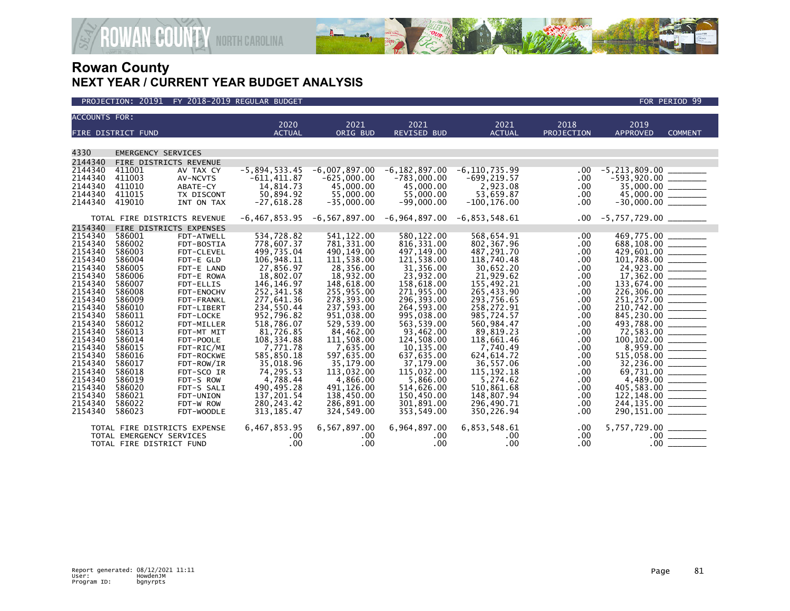

| <b>ACCOUNTS FOR:</b> |                              |                          | 2020                      | 2021                              | 2021                      | 2021                        | 2018       | 2019                                        |  |
|----------------------|------------------------------|--------------------------|---------------------------|-----------------------------------|---------------------------|-----------------------------|------------|---------------------------------------------|--|
|                      | FIRE DISTRICT FUND           |                          | <b>ACTUAL</b>             | ORIG BUD                          | <b>REVISED BUD</b>        | <b>ACTUAL</b>               | PROJECTION | <b>APPROVED</b><br><b>COMMENT</b>           |  |
|                      |                              |                          |                           |                                   |                           |                             |            |                                             |  |
| 4330                 | <b>EMERGENCY SERVICES</b>    |                          |                           |                                   |                           |                             |            |                                             |  |
| 2144340              | FIRE DISTRICTS REVENUE       |                          |                           |                                   |                           |                             |            |                                             |  |
| 2144340              | 411001                       | AV TAX CY                | $-5,894,533.45$           | $-6,007,897.00$                   | $-6, 182, 897, 00$        | $-6, 110, 735.99$           | .00        | $-5, 213, 809.00$                           |  |
| 2144340              | 411003                       | AV-NCVTS                 | $-611, 411.87$            | $-625,000.00$                     | $-783,000.00$             | $-699, 219.57$              | .00        | $-593,920.00$<br>$\sim$ 100 $\mu$ m $^{-1}$ |  |
| 2144340              | 411010                       | ABATE-CY                 | 14,814.73                 | 45,000.00                         | 45,000,00                 | 2,923.08                    | .00        | 35,000.00 ______                            |  |
| 2144340<br>2144340   | 411015<br>419010             | TX DISCONT<br>INT ON TAX | 50,894.92<br>$-27,618.28$ | 55,000.00<br>$-35,000.00$         | 55,000.00<br>$-99.000.00$ | 53,659.87<br>$-100, 176.00$ | .00<br>.00 |                                             |  |
|                      |                              |                          |                           |                                   |                           |                             |            |                                             |  |
|                      | TOTAL FIRE DISTRICTS REVENUE |                          | $-6, 467, 853.95$         | $-6, 567, 897.00 -6, 964, 897.00$ |                           | $-6,853,548.61$             | $.00 \,$   | $-5,757,729.00$ _________                   |  |
| 2154340              | FIRE DISTRICTS EXPENSES      |                          |                           |                                   |                           |                             |            |                                             |  |
| 2154340              | 586001                       | FDT-ATWELL               | 534,728.82                | 541, 122.00                       | 580, 122.00               | 568,654.91                  | .00        | 469,775.00                                  |  |
| 2154340              | 586002                       | FDT-BOSTIA               | 778,607.37                | 781, 331.00                       | 816, 331.00               | 802.367.96                  | .00        | 688,108.00 ______                           |  |
| 2154340<br>2154340   | 586003<br>586004             | FDT-CLEVEL               | 499.735.04                | 490,149.00                        | 497,149.00                | 487.291.70                  | .00        |                                             |  |
| 2154340              | 586005                       | FDT-E GLD                | 106,948.11                | 111,538.00                        | 121,538.00                | 118,740.48                  | .00        |                                             |  |
| 2154340              | 586006                       | FDT-E LAND<br>FDT-E ROWA | 27,856.97<br>18,802.07    | 28,356.00<br>18.932.00            | 31,356.00<br>23.932.00    | 30,652.20<br>21.929.62      | .00<br>.00 |                                             |  |
| 2154340              | 586007                       | FDT-ELLIS                | 146, 146. 97              | 148,618.00                        | 158,618.00                | 155,492.21                  | .00        |                                             |  |
| 2154340              | 586008                       | FDT-ENOCHV               | 252.341.58                | 255,955.00                        | 271.955.00                | 265.433.90                  | .00        | 226,306.00                                  |  |
| 2154340              | 586009                       | FDT-FRANKL               | 277,641.36                | 278,393.00                        | 296.393.00                | 293,756.65                  | .00        |                                             |  |
| 2154340              | 586010                       | FDT-LIBERT               | 234,550.44                | 237,593.00                        | 264,593.00                | 258,272.91                  | .00        | 251, 257.00                                 |  |
| 2154340              | 586011                       | FDT-LOCKE                | 952.796.82                | 951.038.00                        | 995.038.00                | 985.724.57                  | .00        | 845,230.00                                  |  |
| 2154340              | 586012                       | FDT-MILLER               | 518,786.07                | 529,539.00                        | 563,539.00                | 560,984.47                  | .00        | 493,788.00 _______                          |  |
| 2154340              | 586013                       | FDT-MT MIT               | 81,726.85                 | 84,462.00                         | 93,462.00                 | 89,819.23                   | .00        |                                             |  |
| 2154340              | 586014                       | FDT-POOLE                | 108, 334.88               | 111,508.00                        | 124,508.00                | 118,661.46                  | .00        |                                             |  |
| 2154340              | 586015                       | FDT-RIC/MI               | 7,771.78                  | 7,635.00                          | 10,135.00                 | 7,740.49                    | .00        |                                             |  |
| 2154340              | 586016                       | FDT-ROCKWE               | 585,850.18                | 597,635.00                        | 637,635.00                | 624, 614.72                 | .00        | $515,058.00$ ________                       |  |
| 2154340              | 586017                       | FDT-ROW/IR               | 35,018.96                 | 35,179.00                         | 37,179.00                 | 36,557.06                   | .00        |                                             |  |
| 2154340              | 586018                       | FDT-SCO IR               | 74,295.53                 | 113,032,00                        | 115,032.00                | 115.192.18                  | .00        | 69,731.00 _______                           |  |
| 2154340<br>2154340   | 586019                       | FDT-S ROW                | 4,788.44                  | 4,866.00                          | 5,866.00                  | 5.274.62                    | .00        |                                             |  |
| 2154340              | 586020<br>586021             | FDT-S SALI<br>FDT-UNION  | 490, 495.28<br>137,201.54 | 491,126.00<br>138,450.00          | 514,626.00<br>150,450.00  | 510.861.68<br>148.807.94    | .00<br>.00 | 405,583.00 ________                         |  |
| 2154340              | 586022                       | FDT-W ROW                | 280, 243.42               | 286,891.00                        | 301,891.00                | 296,490.71                  | .00        | 244, 135.00                                 |  |
| 2154340              | 586023                       | FDT-WOODLE               | 313, 185.47               | 324,549.00                        | 353,549.00                | 350,226.94                  | .00        |                                             |  |
|                      |                              |                          |                           |                                   |                           |                             |            |                                             |  |
|                      | TOTAL FIRE DISTRICTS EXPENSE |                          | 6,467,853.95              | 6,567,897.00                      | 6,964,897.00              | 6,853,548.61                | .00.       |                                             |  |
|                      | TOTAL EMERGENCY SERVICES     |                          | .00                       | .00                               | .00                       | $.00 \,$                    | .00        |                                             |  |
|                      | TOTAL FIRE DISTRICT FUND     |                          | .00                       | .00                               | .00                       | .00                         | .00        | .00 <sub>1</sub>                            |  |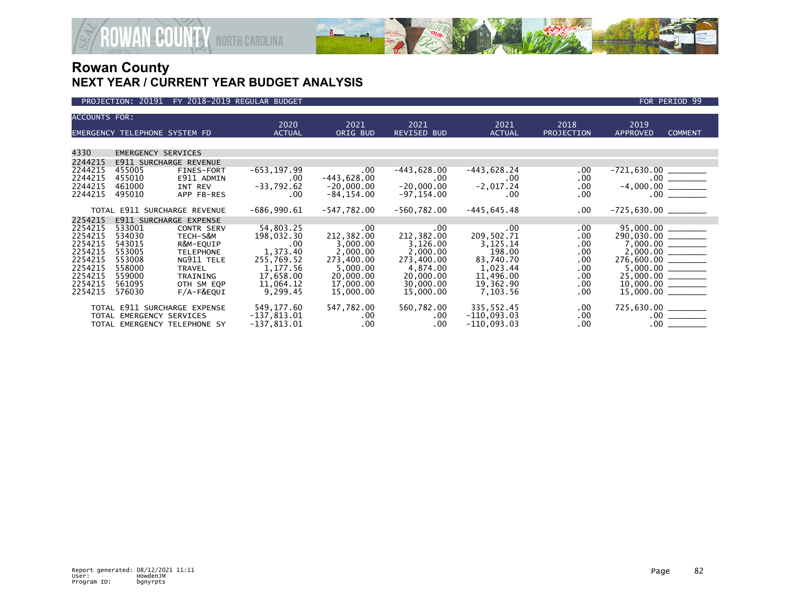

| <b>ACCOUNTS FOR:</b> |                               |                              | 2020           | 2021          | 2021               | 2021           | 2018              | 2019                                                                                                                                                                                |                |
|----------------------|-------------------------------|------------------------------|----------------|---------------|--------------------|----------------|-------------------|-------------------------------------------------------------------------------------------------------------------------------------------------------------------------------------|----------------|
|                      | EMERGENCY TELEPHONE SYSTEM FD |                              | <b>ACTUAL</b>  | ORIG BUD      | <b>REVISED BUD</b> | <b>ACTUAL</b>  | <b>PROJECTION</b> | <b>APPROVED</b>                                                                                                                                                                     | <b>COMMENT</b> |
|                      |                               |                              |                |               |                    |                |                   |                                                                                                                                                                                     |                |
| 4330                 | <b>EMERGENCY SERVICES</b>     |                              |                |               |                    |                |                   |                                                                                                                                                                                     |                |
| 2244215              | <b>E911 SURCHARGE REVENUE</b> |                              |                |               |                    |                |                   |                                                                                                                                                                                     |                |
| 2244215              | 455005                        | FINES-FORT                   | $-653, 197.99$ | $.00 \,$      | $-443,628.00$      | $-443,628.24$  | .00               | $-721,630.00$<br>$-0.00$<br>$-4,000.00$<br>$-0.00$                                                                                                                                  |                |
| 2244215              | 455010                        | E911 ADMIN                   | .00.           | $-443,628.00$ | .00.               | $.00 \,$       | $.00 \,$          |                                                                                                                                                                                     |                |
| 2244215              | 461000                        | INT REV                      | $-33,792.62$   | $-20,000.00$  | $-20,000.00$       | $-2,017.24$    | .00.              |                                                                                                                                                                                     |                |
| 2244215              | 495010                        | APP FB-RES                   | $.00 \,$       | $-84, 154.00$ | $-97, 154.00$      | $.00 \,$       | .00               |                                                                                                                                                                                     |                |
|                      |                               |                              |                |               |                    |                |                   |                                                                                                                                                                                     |                |
|                      |                               | TOTAL E911 SURCHARGE REVENUE | $-686,990.61$  | $-547,782.00$ | $-560,782.00$      | $-445, 645.48$ | .00               | $-725,630.00$ _________                                                                                                                                                             |                |
| 2254215              |                               | E911 SURCHARGE EXPENSE       |                |               |                    |                |                   |                                                                                                                                                                                     |                |
| 2254215              | 533001                        | <b>CONTR SERV</b>            | 54,803.25      | $.00 \,$      | .00                | $.00 \,$       | .00               | $\begin{array}{r} 95,000.00 \ \hline 290,030.00 \ \hline 7,000.00 \ \hline 2,000.00 \ \hline 2,000.00 \ \hline 5,000.00 \ \hline 25,000.00 \ \hline 25,000.00 \ \hline \end{array}$ |                |
| 2254215              | 534030                        | TECH-S&M                     | 198,032.30     | 212,382.00    | 212,382.00         | 209,502.71     | $.00 \,$          |                                                                                                                                                                                     |                |
| 2254215              | 543015                        | R&M-EQUIP                    | .00            | 3,000.00      | 3,126.00           | 3,125.14       | .00               |                                                                                                                                                                                     |                |
| 2254215              | 553005                        | <b>TELEPHONE</b>             | 1,373.40       | 2,000.00      | 2,000.00           | 198.00         | $.00 \,$          |                                                                                                                                                                                     |                |
| 2254215              | 553008                        | NG911 TELE                   | 255,769.52     | 273,400.00    | 273,400.00         | 83,740.70      | .00               |                                                                                                                                                                                     |                |
| 2254215              | 558000                        | TRAVEL                       | 1,177.56       | 5,000.00      | 4,874.00           | 1,023.44       | .00               |                                                                                                                                                                                     |                |
| 2254215              | 559000                        | TRAINING                     | 17,658.00      | 20,000.00     | 20,000.00          | 11,496.00      | $.00 \,$          |                                                                                                                                                                                     |                |
| 2254215              | 561095                        | OTH SM EQP                   | 11,064.12      | 17,000.00     | 30,000.00          | 19,362.90      | .00.              |                                                                                                                                                                                     |                |
| 2254215              | 576030                        | $F/A-F\&EQUI$                | 9,299.45       | 15,000.00     | 15,000.00          | 7,103.56       | .00               |                                                                                                                                                                                     |                |
|                      |                               | TOTAL E911 SURCHARGE EXPENSE | 549,177.60     | 547,782.00    | 560,782.00         | 335,552.45     | $.00 \,$          | 725,630.00 _______                                                                                                                                                                  |                |
|                      | TOTAL EMERGENCY SERVICES      |                              | $-137,813.01$  | $.00 \,$      | $.00 \,$           | $-110,093.03$  | $.00 \,$          |                                                                                                                                                                                     |                |
|                      |                               | TOTAL EMERGENCY TELEPHONE SY | $-137,813.01$  | $.00 \,$      | .00.               | $-110,093.03$  | .00               |                                                                                                                                                                                     |                |
|                      |                               |                              |                |               |                    |                |                   |                                                                                                                                                                                     |                |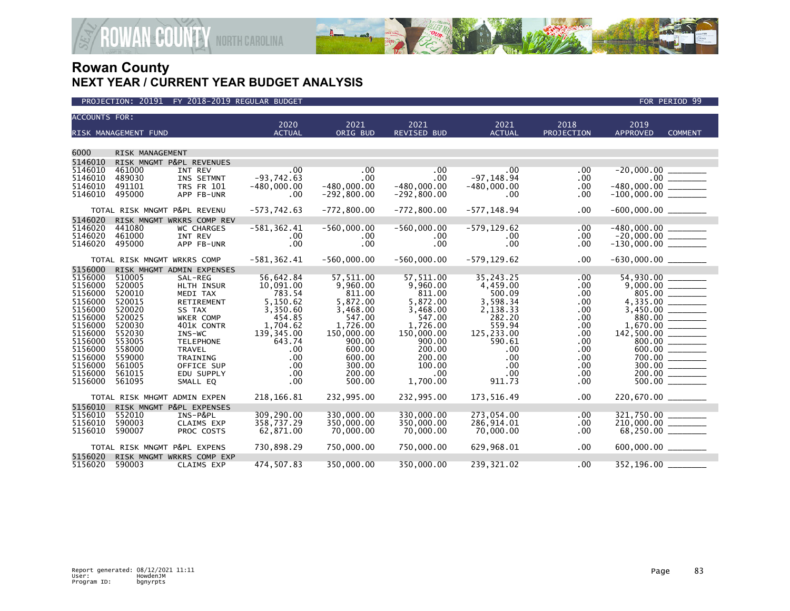

| <b>ACCOUNTS FOR:</b>                                                                                                                                              |                                                                                                                                                                       |                                                                                                                                                                                         | 2020                                                                                                                                           | 2021                                                                                                                                                    | 2021                                                                                                                                                        | 2021                                                                                                                                                           | 2018                                                                                                  | 2019                                              |                                                                                                                                   |
|-------------------------------------------------------------------------------------------------------------------------------------------------------------------|-----------------------------------------------------------------------------------------------------------------------------------------------------------------------|-----------------------------------------------------------------------------------------------------------------------------------------------------------------------------------------|------------------------------------------------------------------------------------------------------------------------------------------------|---------------------------------------------------------------------------------------------------------------------------------------------------------|-------------------------------------------------------------------------------------------------------------------------------------------------------------|----------------------------------------------------------------------------------------------------------------------------------------------------------------|-------------------------------------------------------------------------------------------------------|---------------------------------------------------|-----------------------------------------------------------------------------------------------------------------------------------|
|                                                                                                                                                                   | RISK MANAGEMENT FUND                                                                                                                                                  |                                                                                                                                                                                         | <b>ACTUAL</b>                                                                                                                                  | ORIG BUD                                                                                                                                                | REVISED BUD                                                                                                                                                 | <b>ACTUAL</b>                                                                                                                                                  | PROJECTION                                                                                            | <b>APPROVED</b>                                   | <b>COMMENT</b>                                                                                                                    |
|                                                                                                                                                                   |                                                                                                                                                                       |                                                                                                                                                                                         |                                                                                                                                                |                                                                                                                                                         |                                                                                                                                                             |                                                                                                                                                                |                                                                                                       |                                                   |                                                                                                                                   |
| 6000                                                                                                                                                              | RISK MANAGEMENT                                                                                                                                                       |                                                                                                                                                                                         |                                                                                                                                                |                                                                                                                                                         |                                                                                                                                                             |                                                                                                                                                                |                                                                                                       |                                                   |                                                                                                                                   |
| 5146010<br>5146010<br>5146010<br>5146010<br>5146010                                                                                                               | RISK MNGMT P&PL REVENUES<br>461000<br>489030<br>491101<br>495000                                                                                                      | INT REV<br>INS SETMNT<br><b>TRS FR 101</b><br>APP FB-UNR                                                                                                                                | .00<br>$-93,742.63$<br>$-480,000.00$<br>.00                                                                                                    | $.00 \,$<br>$.00 \times$<br>$-480,000.00$<br>$-292,800.00$                                                                                              | .00<br>$.00 \times$<br>$-480,000.00$<br>$-292,800.00$                                                                                                       | $.00 \,$<br>$-97, 148.94$<br>$-480,000.00$<br>$.00 \,$                                                                                                         | .00.<br>.00<br>.00<br>.00                                                                             | $-20,000.00$<br>$-480,000.00$ _________           |                                                                                                                                   |
|                                                                                                                                                                   | TOTAL RISK MNGMT P&PL REVENU                                                                                                                                          |                                                                                                                                                                                         | -573,742.63                                                                                                                                    | $-772,800.00$                                                                                                                                           | $-772,800.00$                                                                                                                                               | $-577, 148.94$                                                                                                                                                 | $.00 \,$                                                                                              | $-600,000.00$ _________                           |                                                                                                                                   |
| 5146020<br>5146020<br>5146020<br>5146020                                                                                                                          | RISK MNGMT WRKRS COMP REV<br>441080<br>461000<br>495000                                                                                                               | <b>WC CHARGES</b><br>INT REV<br>APP FB-UNR                                                                                                                                              | $-581, 362.41$<br>$.00 \,$<br>.00                                                                                                              | $-560,000.00$<br>$.00 \,$<br>.00                                                                                                                        | $-560,000.00$<br>$.00 \,$<br>.00 <sub>1</sub>                                                                                                               | $-579, 129.62$<br>$.00 \,$<br>.00                                                                                                                              | .00<br>.00.<br>.00.                                                                                   | $-480,000.00$ _________<br>$-130,000.00$ ________ |                                                                                                                                   |
|                                                                                                                                                                   | TOTAL RISK MNGMT WRKRS COMP                                                                                                                                           |                                                                                                                                                                                         | $-581, 362.41$                                                                                                                                 | $-560.000.00$                                                                                                                                           | $-560.000.00$                                                                                                                                               | $-579, 129.62$                                                                                                                                                 | $.00 \,$                                                                                              | $-630,000.00$ _________                           |                                                                                                                                   |
| 5156000<br>5156000<br>5156000<br>5156000<br>5156000<br>5156000<br>5156000<br>5156000<br>5156000<br>5156000<br>5156000<br>5156000<br>5156000<br>5156000<br>5156000 | RISK MHGMT ADMIN EXPENSES<br>510005<br>520005<br>520010<br>520015<br>520020<br>520025<br>520030<br>552030<br>553005<br>558000<br>559000<br>561005<br>561015<br>561095 | SAL-REG<br>HLTH INSUR<br>MEDI TAX<br><b>RETIREMENT</b><br>SS TAX<br>WKER COMP<br>401K CONTR<br>INS-WC<br><b>TELEPHONE</b><br>TRAVEL<br>TRAINING<br>OFFICE SUP<br>EDU SUPPLY<br>SMALL EQ | 56,642.84<br>10,091.00<br>783.54<br>5,150.62<br>3,350.60<br>454.85<br>1,704.62<br>139,345.00<br>643.74<br>.00<br>.00<br>.00<br>.00<br>$.00 \,$ | 57,511.00<br>9,960.00<br>811.00<br>5,872.00<br>3,468.00<br>547.00<br>1,726.00<br>150,000.00<br>900.00<br>600.00<br>600.00<br>300.00<br>200.00<br>500.00 | 57,511.00<br>9,960.00<br>811.00<br>5,872.00<br>3,468.00<br>547.00<br>1,726.00<br>150,000.00<br>900.00<br>200.00<br>200.00<br>100.00<br>$.00 \,$<br>1,700.00 | 35, 243. 25<br>4,459.00<br>500.09<br>3,598.34<br>2,138.33<br>282.20<br>559.94<br>125,233.00<br>590.61<br>$.00 \times$<br>$.00 \,$<br>.00<br>$.00 \,$<br>911.73 | .00<br>.00.<br>.00<br>.00<br>.00<br>.00<br>.00.<br>.00<br>.00<br>.00.<br>.00.<br>.00.<br>.00.<br>.00. |                                                   | $805.00$<br>4,335.00<br>3,450.00<br>880.00 ________<br>$800.00$ =<br>700.00 ______<br>300.00<br>200.00 ______<br>500.00 _________ |
|                                                                                                                                                                   | TOTAL RISK MHGMT ADMIN EXPEN                                                                                                                                          |                                                                                                                                                                                         | 218,166.81                                                                                                                                     | 232,995.00                                                                                                                                              | 232,995.00                                                                                                                                                  | 173,516.49                                                                                                                                                     | $.00 \,$                                                                                              | 220,670.00 _______                                |                                                                                                                                   |
| 5156010<br>5156010<br>5156010<br>5156010                                                                                                                          | RISK MNGMT P&PL EXPENSES<br>552010<br>590003<br>590007                                                                                                                | INS-P&PL<br>CLAIMS EXP<br>PROC COSTS                                                                                                                                                    | 309,290.00<br>358,737.29<br>62,871.00                                                                                                          | 330,000,00<br>350,000.00<br>70,000.00                                                                                                                   | 330.000.00<br>350,000.00<br>70,000.00                                                                                                                       | 273,054.00<br>286,914.01<br>70,000.00                                                                                                                          | .00<br>.00.<br>.00                                                                                    | 321,750.00<br>$210,000.00$<br>68,250.00           |                                                                                                                                   |
|                                                                                                                                                                   | TOTAL RISK MNGMT P&PL EXPENS                                                                                                                                          |                                                                                                                                                                                         | 730,898.29                                                                                                                                     | 750,000.00                                                                                                                                              | 750,000.00                                                                                                                                                  | 629,968.01                                                                                                                                                     | .00.                                                                                                  | $600,000.00$ _________                            |                                                                                                                                   |
| 5156020<br>5156020                                                                                                                                                | RISK MNGMT WRKRS COMP EXP<br>590003                                                                                                                                   | <b>CLAIMS EXP</b>                                                                                                                                                                       | 474,507.83                                                                                                                                     | 350,000.00                                                                                                                                              | 350,000.00                                                                                                                                                  | 239, 321.02                                                                                                                                                    | .00                                                                                                   |                                                   |                                                                                                                                   |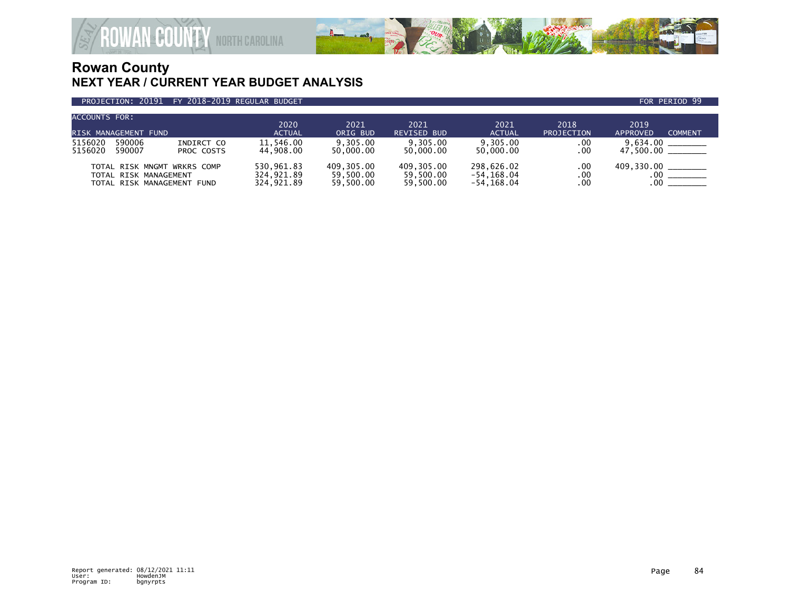

| <b>ACCOUNTS FOR:</b> |                             |            |               |            |                    |               |                   |                                   |
|----------------------|-----------------------------|------------|---------------|------------|--------------------|---------------|-------------------|-----------------------------------|
|                      |                             |            | 2020          | 2021       | 2021               | 2021          | 2018              | 2019                              |
|                      | RISK MANAGEMENT FUND        |            | <b>ACTUAL</b> | ORIG BUD   | <b>REVISED BUD</b> | <b>ACTUAL</b> | <b>PROJECTION</b> | <b>COMMENT</b><br><b>APPROVED</b> |
| 5156020              | 590006                      | INDIRCT CO | 11,546.00     | 9.305.00   | 9.305.00           | 9.305.00      | .00               | 9.634.00                          |
| 5156020              | 590007                      | PROC COSTS | 44,908.00     | 50.000.00  | 50,000.00          | 50,000.00     | .00               | 47.500.00                         |
|                      | TOTAL RISK MNGMT WRKRS COMP |            | 530,961.83    | 409,305.00 | 409.305.00         | 298,626.02    | .00               | 409,330.00 _______                |
|                      | TOTAL RISK MANAGEMENT       |            | 324,921.89    | 59,500.00  | 59,500.00          | -54,168.04    | .00               | $.00\,$                           |
|                      | TOTAL RISK MANAGEMENT FUND  |            | 324,921.89    | 59,500.00  | 59,500.00          | -54,168.04    | .00               | .00                               |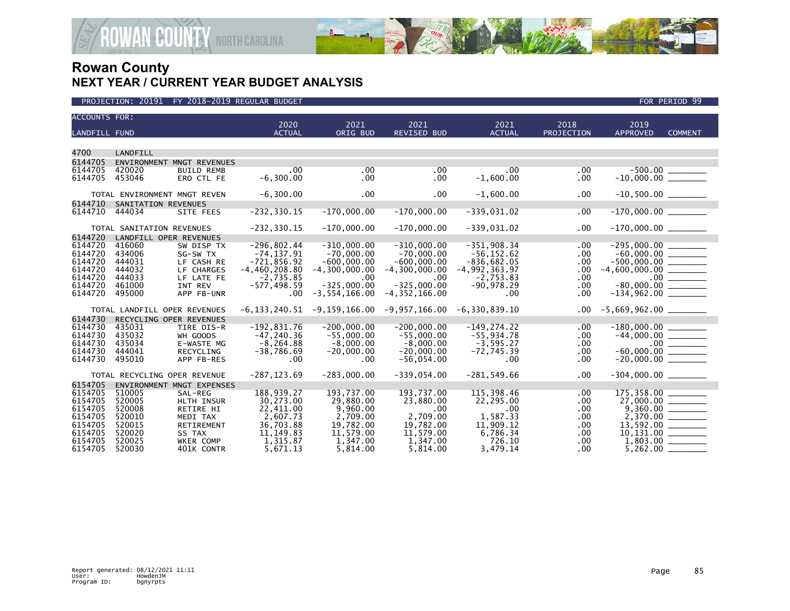

| <b>ACCOUNTS FOR:</b> |                              |                              |                       |                   |                            |                       |                           |                                     |                 |
|----------------------|------------------------------|------------------------------|-----------------------|-------------------|----------------------------|-----------------------|---------------------------|-------------------------------------|-----------------|
| <b>LANDFILL FUND</b> |                              |                              | 2020<br><b>ACTUAL</b> | 2021<br>ORIG BUD  | 2021<br><b>REVISED BUD</b> | 2021<br><b>ACTUAL</b> | 2018<br><b>PROJECTION</b> | 2019<br><b>APPROVED</b>             | <b>COMMENT</b>  |
|                      |                              |                              |                       |                   |                            |                       |                           |                                     |                 |
| 4700                 | LANDFILL                     |                              |                       |                   |                            |                       |                           |                                     |                 |
|                      |                              |                              |                       |                   |                            |                       |                           |                                     |                 |
| 6144705              |                              | ENVIRONMENT MNGT REVENUES    |                       |                   |                            |                       |                           |                                     |                 |
| 6144705              | 420020                       | <b>BUILD REMB</b>            | .00.                  | .00               | .00                        | .00.                  | .00                       | $-500.00$ $\overline{\hspace{1cm}}$ |                 |
| 6144705              | 453046                       | ERO CTL FE                   | $-6,300.00$           | .00               | .00                        | $-1,600.00$           | .00                       |                                     |                 |
|                      |                              | TOTAL ENVIRONMENT MNGT REVEN | $-6, 300.00$          | .00               | .00                        | $-1,600.00$           | .00                       |                                     |                 |
| 6144710              | SANITATION REVENUES          |                              |                       |                   |                            |                       |                           |                                     |                 |
| 6144710              | 444034                       | SITE FEES                    | $-232, 330.15$        | $-170,000.00$     | $-170,000.00$              | $-339,031.02$         | .00                       |                                     |                 |
|                      |                              |                              |                       |                   |                            |                       |                           |                                     |                 |
|                      | TOTAL SANITATION REVENUES    |                              | $-232, 330.15$        | $-170,000.00$     | $-170,000.00$              | $-339,031.02$         | .00                       | $-170,000.00$ ________              |                 |
| 6144720              | LANDFILL OPER REVENUES       |                              |                       |                   |                            |                       |                           |                                     |                 |
| 6144720              | 416060                       | SW DISP TX                   | $-296,802.44$         | $-310,000.00$     | $-310,000.00$              | $-351,908.34$         | $.00 \,$                  | $-295,000.00$                       |                 |
| 6144720              | 434006                       | SG-SW TX                     | $-74, 137.91$         | $-70,000.00$      | $-70,000.00$               | $-56, 152.62$         | .00                       | $-60,000.00$ ________               |                 |
| 6144720              | 444031                       | LF CASH RE                   | $-721,856.92$         | $-600,000.00$     | $-600,000.00$              | $-836,682.05$         | .00                       | $-500,000.00$ ________              |                 |
| 6144720              | 444032                       | LF CHARGES                   | $-4, 460, 208.80$     | $-4, 300, 000.00$ | $-4, 300, 000.00$          | $-4,992,363.97$       | .00                       | $-4,600,000.00$ ________            |                 |
| 6144720              | 444033                       | LF LATE FE                   | $-2.735.85$           | .00               | .00                        | $-2.753.83$           | .00                       |                                     | $\frac{1}{100}$ |
| 6144720              | 461000                       | INT REV                      | $-577, 498.59$        | $-325.000.00$     | $-325.000.00$              | $-90,978.29$          | .00                       | $-80.000.00$                        |                 |
| 6144720              | 495000                       | APP FB-UNR                   | .00                   | $-3, 554, 166.00$ | $-4, 352, 166.00$          | $.00 \,$              | .00                       |                                     |                 |
|                      |                              | TOTAL LANDFILL OPER REVENUES | $-6, 133, 240.51$     | -9,159,166.00     | -9,957,166.00              | $-6, 330, 839.10$     | $.00 \,$                  |                                     |                 |
|                      |                              |                              |                       |                   |                            |                       |                           |                                     |                 |
| 6144730              |                              | RECYCLING OPER REVENUES      |                       |                   |                            |                       |                           |                                     |                 |
| 6144730              | 435031                       | TIRE DIS-R                   | $-192,831.76$         | $-200,000.00$     | $-200.000.00$              | $-149, 274.22$        | .00                       |                                     |                 |
| 6144730              | 435032                       | WH GOODS                     | $-47, 240.36$         | $-55,000.00$      | $-55,000.00$               | $-55,934.78$          | .00                       |                                     |                 |
| 6144730              | 435034                       | E-WASTE MG                   | $-8, 264.88$          | $-8,000.00$       | $-8,000.00$                | $-3,595.27$           | .00                       |                                     |                 |
| 6144730              | 444041                       | RECYCLING                    | $-38,786.69$          | $-20,000.00$      | $-20.000.00$               | $-72.745.39$          | .00                       |                                     |                 |
| 6144730              | 495010                       | APP FB-RES                   | $.00 \,$              | $.00 \times$      | $-56,054.00$               | .00 <sub>1</sub>      | $.00 \,$                  |                                     |                 |
|                      | TOTAL RECYCLING OPER REVENUE |                              | $-287, 123.69$        | $-283,000.00$     | $-339,054.00$              | $-281,549.66$         | $.00 \,$                  |                                     |                 |
| 6154705              |                              | ENVIRONMENT MNGT EXPENSES    |                       |                   |                            |                       |                           |                                     |                 |
| 6154705              | 510005                       | SAL-REG                      | 188,939.27            | 193,737.00        | 193.737.00                 | 115,398.46            | .00                       | 175,358.00                          |                 |
| 6154705              | 520005                       | <b>HLTH INSUR</b>            | 30,273.00             | 29,880.00         | 23,880.00                  | 22,295.00             | .00                       |                                     |                 |
| 6154705              | 520008                       | RETIRE HI                    | 22,411.00             | 9,960.00          | .00                        | .00                   | .00                       | $9,360.00$ ________                 |                 |
| 6154705              | 520010                       | MEDI TAX                     | 2,607.73              | 2,709.00          | 2.709.00                   | 1,587.33              | .00                       |                                     |                 |
| 6154705              | 520015                       | RETIREMENT                   | 36,703.88             | 19,782.00         | 19,782.00                  | 11,909.12             | .00                       |                                     |                 |
| 6154705              | 520020                       | SS TAX                       | 11, 149.83            | 11,579.00         | 11.579.00                  | 6,786.34              | .00                       |                                     |                 |
| 6154705              | 520025                       | WKER COMP                    | 1,315.87              | 1,347.00          | 1,347.00                   | 726.10                | .00                       |                                     |                 |
| 6154705              | 520030                       | 401K CONTR                   | 5,671.13              | 5,814.00          | 5,814.00                   | 3,479.14              | .00                       | 5,262.00                            |                 |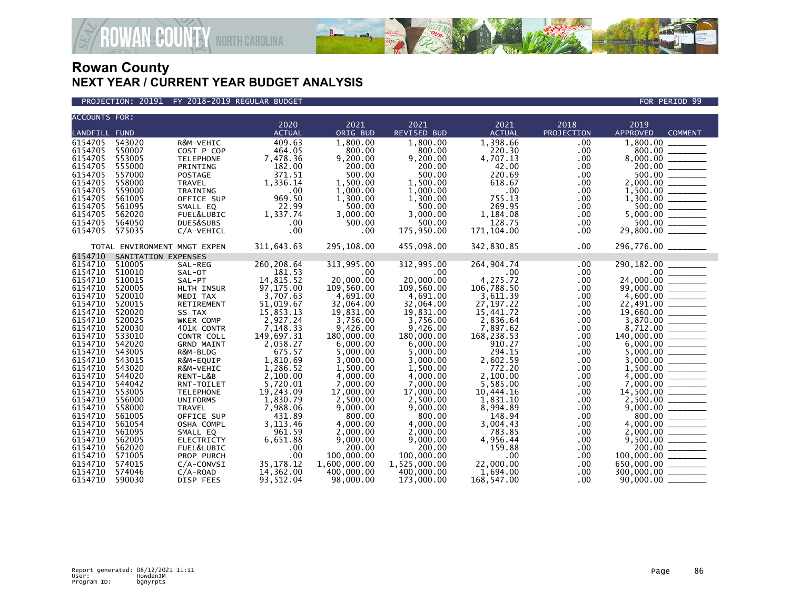

#### PROJECTION: 20191 FY 2018-2019 REGULAR BUDGET FOR PERIOD 99

| <b>ACCOUNTS FOR:</b> |                              |                   |               |              |                    |               |            |                                                                                                                                                                                                |
|----------------------|------------------------------|-------------------|---------------|--------------|--------------------|---------------|------------|------------------------------------------------------------------------------------------------------------------------------------------------------------------------------------------------|
|                      |                              |                   | 2020          | 2021         | 2021               | 2021          | 2018       | 2019                                                                                                                                                                                           |
| <b>LANDFILL FUND</b> |                              |                   | <b>ACTUAL</b> | ORIG BUD     | <b>REVISED BUD</b> | <b>ACTUAL</b> | PROJECTION | <b>APPROVED</b><br><b>COMMENT</b>                                                                                                                                                              |
| 6154705              | 543020                       | R&M-VEHIC         | 409.63        | 1,800.00     | 1,800.00           | 1,398.66      | .00.       | 1,800.00                                                                                                                                                                                       |
| 6154705              | 550007                       | COST P COP        | 464.05        | 800.00       | 800.00             | 220.30        | .00        | 800.00                                                                                                                                                                                         |
| 6154705              | 553005                       | <b>TELEPHONE</b>  | 7,478.36      | 9,200.00     | 9,200.00           | 4,707.13      | .00.       |                                                                                                                                                                                                |
| 6154705              | 555000                       | PRINTING          | 182.00        | 200.00       | 200.00             | 42.00         | .00.       |                                                                                                                                                                                                |
| 6154705              | 557000                       | POSTAGE           | 371.51        | 500.00       | 500.00             | 220.69        | .00        | $8,000.00$ $200.00$ $500.00$ $500.00$                                                                                                                                                          |
| 6154705              | 558000                       | <b>TRAVEL</b>     | 1,336.14      | 1,500.00     | 1,500.00           | 618.67        | .00        |                                                                                                                                                                                                |
| 6154705              | 559000                       | TRAINING          | .00           | 1,000.00     | 1,000.00           | $.00 \,$      | $.00 \,$   |                                                                                                                                                                                                |
| 6154705              | 561005                       | OFFICE SUP        | 969.50        | 1,300.00     | 1,300.00           | 755.13        | .00        | $1,300.00$<br>$500.00$<br>$5,000.00$<br>$500.00$<br>$29,800.00$                                                                                                                                |
| 6154705              | 561095                       | SMALL EQ          | 22.99         | 500.00       | 500.00             | 269.95        | .00        |                                                                                                                                                                                                |
| 6154705              | 562020                       | FUEL&LUBIC        | 1,337.74      | 3,000.00     | 3,000.00           | 1,184.08      | .00.       |                                                                                                                                                                                                |
| 6154705              | 564050                       | DUES&SUBS         | .00           | 500.00       | 500.00             | 128.75        | .00        |                                                                                                                                                                                                |
| 6154705              | 575035                       | C/A-VEHICL        | .00           | .00          | 175,950.00         | 171, 104.00   | $.00 \,$   |                                                                                                                                                                                                |
|                      | TOTAL ENVIRONMENT MNGT EXPEN |                   | 311,643.63    | 295,108.00   | 455,098.00         | 342,830.85    | .00        | 296,776.00 _______                                                                                                                                                                             |
| 6154710              | SANITATION EXPENSES          |                   |               |              |                    |               |            |                                                                                                                                                                                                |
| 6154710              | 510005                       | SAL-REG           | 260,208.64    | 313,995.00   | 312,995.00         | 264,904.74    | .00        | $\begin{array}{r} 290,182.00 \ \hline 0.00 \ \hline 0.00 \ \hline 24,000.00 \ \hline 99,000.00 \ \hline 4,600.00 \ \hline 22,491.00 \ \hline 19,660.00 \ \hline 3,870.00 \ \hline \end{array}$ |
| 6154710              | 510010                       | SAL-OT            | 181.53        | .00          | $.00 \times$       | $.00 \,$      | .00.       |                                                                                                                                                                                                |
| 6154710              | 510015                       | SAL-PT            | 14,815.52     | 20,000.00    | 20,000.00          | 4,275.72      | .00.       |                                                                                                                                                                                                |
| 6154710              | 520005                       | HLTH INSUR        | 97,175.00     | 109,560.00   | 109,560.00         | 106,788.50    | .00.       |                                                                                                                                                                                                |
| 6154710              | 520010                       | MEDI TAX          | 3,707.63      | 4,691.00     | 4,691.00           | 3,611.39      | .00.       |                                                                                                                                                                                                |
| 6154710              | 520015                       | RETIREMENT        | 51,019.67     | 32,064.00    | 32,064.00          | 27, 197.22    | .00        |                                                                                                                                                                                                |
| 6154710              | 520020                       | SS TAX            | 15,853.13     | 19,831.00    | 19,831.00          | 15,441.72     | .00.       |                                                                                                                                                                                                |
| 6154710              | 520025                       | WKER COMP         | 2,927.24      | 3,756.00     | 3,756.00           | 2,836.64      | .00.       |                                                                                                                                                                                                |
| 6154710              | 520030                       | 401K CONTR        | 7.148.33      | 9.426.00     | 9.426.00           | 7.897.62      | .00        |                                                                                                                                                                                                |
| 6154710              | 533010                       | CONTR COLL        | 149,697.31    | 180,000.00   | 180,000,00         | 168,238.53    | .00.       | $\begin{array}{r} 3,870.00 \\ 8,712.00 \\ 140,000.00 \\ 6,000.00 \\ \hline \end{array}$                                                                                                        |
| 6154710              | 542020                       | <b>GRND MAINT</b> | 2,058.27      | 6,000.00     | 6,000.00           | 910.27        | .00        |                                                                                                                                                                                                |
| 6154710              | 543005                       | R&M-BLDG          | 675.57        | 5.000.00     | 5.000.00           | 294.15        | .00        |                                                                                                                                                                                                |
| 6154710              | 543015                       | R&M-EQUIP         | 1,810.69      | 3,000.00     | 3,000.00           | 2,602.59      | .00        |                                                                                                                                                                                                |
| 6154710              | 543020                       | R&M-VEHIC         | 1,286.52      | 1,500.00     | 1,500.00           | 772.20        | .00.       |                                                                                                                                                                                                |
| 6154710              | 544020                       | RENT-L&B          | 2.100.00      | 4.000.00     | 4.000.00           | 2.100.00      | .00        |                                                                                                                                                                                                |
| 6154710              | 544042                       | RNT-TOILET        | 5,720.01      | 7.000.00     | 7.000.00           | 5,585.00      | .00        |                                                                                                                                                                                                |
| 6154710              | 553005                       | <b>TELEPHONE</b>  | 19,243.09     | 17,000.00    | 17,000.00          | 10,444.16     | .00.       |                                                                                                                                                                                                |
| 6154710              | 556000                       | <b>UNIFORMS</b>   | 1,830.79      | 2,500.00     | 2,500.00           | 1,831.10      | .00        |                                                                                                                                                                                                |
| 6154710              | 558000                       | <b>TRAVEL</b>     | 7,988.06      | 9,000.00     | 9,000.00           | 8,994.89      | .00.       |                                                                                                                                                                                                |
| 6154710              | 561005                       | OFFICE SUP        | 431.89        | 800.00       | 800.00             | 148.94        | .00        |                                                                                                                                                                                                |
| 6154710              | 561054                       | OSHA COMPL        | 3, 113.46     | 4.000.00     | 4.000.00           | 3,004.43      | .00        |                                                                                                                                                                                                |
| 6154710              | 561095                       | SMALL EQ          | 961.59        | 2,000.00     | 2,000.00           | 783.85        | .00        |                                                                                                                                                                                                |
| 6154710              | 562005                       | <b>ELECTRICTY</b> | 6,651.88      | 9,000.00     | 9,000.00           | 4,956.44      | .00.       | $\begin{array}{r} \text{300.00} \\ \text{4,000.00} \\ \text{2,000.00} \\ \text{9,500.00} \\ \text{9,500.00} \\ \text{9,200.00} \end{array}$                                                    |
| 6154710              | 562020                       | FUEL&LUBIC        | .00           | 200.00       | 200.00             | 159.88        | .00        |                                                                                                                                                                                                |
| 6154710              | 571005                       | PROP PURCH        | .00           | 100,000.00   | 100,000.00         | .00.          | .00.       | $100,000.00$<br>650,000.00                                                                                                                                                                     |
| 6154710              | 574015                       | $C/A$ -CONVSI     | 35, 178. 12   | 1,600,000.00 | 1,525,000.00       | 22,000.00     | .00.       |                                                                                                                                                                                                |
| 6154710              | 574046                       | $C/A$ -ROAD       | 14,362.00     | 400,000.00   | 400,000.00         | 1,694.00      | .00        | 300,000.00 ______                                                                                                                                                                              |
| 6154710              | 590030                       | DISP FEES         | 93,512.04     | 98,000.00    | 173,000.00         | 168,547.00    | .00        | $90,000.00$ $-$                                                                                                                                                                                |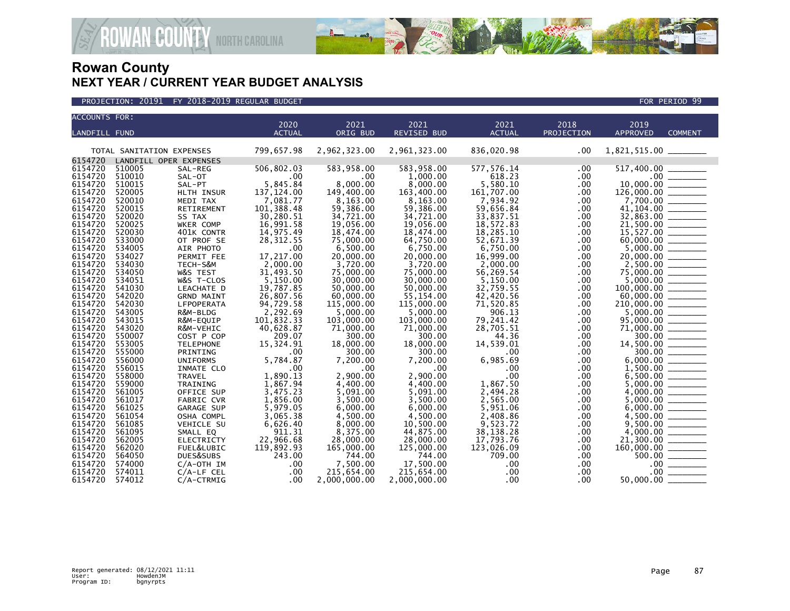

| <b>ACCOUNTS FOR:</b> |                           |                      | 2020          | 2021         | 2021                   | 2021          | 2018       | 2019             |                      |
|----------------------|---------------------------|----------------------|---------------|--------------|------------------------|---------------|------------|------------------|----------------------|
| <b>LANDFILL FUND</b> |                           |                      | <b>ACTUAL</b> | ORIG BUD     | <b>REVISED BUD</b>     | <b>ACTUAL</b> | PROJECTION | <b>APPROVED</b>  | <b>COMMENT</b>       |
|                      | TOTAL SANITATION EXPENSES |                      | 799,657.98    | 2,962,323.00 | 2,961,323.00           | 836,020.98    | .00        |                  |                      |
| 6154720              | LANDFILL OPER EXPENSES    |                      |               |              |                        |               |            |                  |                      |
| 6154720              | 510005                    | SAL-REG              | 506,802.03    | 583,958.00   | 583,958.00             | 577, 576.14   | .00        | 517,400.00       |                      |
| 6154720              | 510010                    | SAL-OT               | .00           | $.00 \,$     | 1,000.00               | 618.23        | .00        | $.00 \,$         |                      |
| 6154720              | 510015                    | SAL-PT               | 5,845.84      | 8,000.00     | 8,000.00               | 5,580.10      | .00        | 10,000.00        |                      |
| 6154720              | 520005                    | HLTH INSUR           | 137, 124.00   | 149,400.00   | 163,400.00             | 161,707.00    | .00        | 126,000.00       |                      |
| 6154720              | 520010                    | MEDI TAX             | 7,081.77      | 8,163.00     | 8,163.00               | 7,934.92      | .00        | 7,700.00         | $\sim$ $\sim$ $\sim$ |
| 6154720              | 520015                    |                      | 101,388.48    | 59,386.00    |                        | 59,656.84     |            | 41,104.00        |                      |
| 6154720              | 520020                    | RETIREMENT<br>SS TAX | 30,280.51     | 34,721.00    | 59,386.00<br>34,721.00 | 33,837.51     | .00<br>.00 | 32,863.00        |                      |
| 6154720              | 520025                    | WKER COMP            | 16,991.58     | 19,056.00    | 19,056.00              | 18,572.83     | .00        |                  |                      |
| 6154720              | 520030                    | 401K CONTR           | 14,975.49     | 18,474.00    | 18,474.00              | 18,285.10     |            | 15,527.00        |                      |
| 6154720              | 533000                    | OT PROF SE           | 28, 312.55    | 75,000.00    | 64,750.00              | 52,671.39     | .00        | 60,000.00        |                      |
| 6154720              | 534005                    | AIR PHOTO            | .00           | 6,500.00     | 6,750.00               | 6,750.00      | .00<br>.00 | 5,000.00         |                      |
| 6154720              | 534027                    |                      | 17,217.00     | 20,000,00    |                        | 16.999.00     |            | 20,000,00        |                      |
| 6154720              | 534030                    | PERMIT FEE           |               |              | 20,000.00              |               | .00        |                  |                      |
|                      | 534050                    | TECH-S&M             | 2,000.00      | 3,720.00     | 3,720.00               | 2,000.00      | .00        |                  |                      |
| 6154720<br>6154720   | 534051                    | W&S TEST             | 31,493.50     | 75,000.00    | 75,000.00              | 56,269.54     | .00        | 5,000.00         |                      |
|                      | 541030                    | W&S T-CLOS           | 5,150.00      | 30,000.00    | 30,000.00              | 5,150.00      | .00        |                  |                      |
| 6154720<br>6154720   | 542020                    | LEACHATE D           | 19,787.85     | 50,000.00    | 50,000.00              | 32,759.55     | .00        | 100,000.00       |                      |
| 6154720              | 542030                    | <b>GRND MAINT</b>    | 26,807.56     | 60,000.00    | 55,154.00              | 42,420.56     | .00        | 60,000.00        |                      |
|                      |                           | LFPOPERATA           | 94,729.58     | 115,000.00   | 115,000.00             | 71,520.85     | .00        | 210,000.00       |                      |
| 6154720              | 543005                    | R&M-BLDG             | 2,292.69      | 5,000.00     | 5,000.00               | 906.13        | .00        | 5,000.00         |                      |
| 6154720              | 543015                    | R&M-EQUIP            | 101,832.33    | 103,000.00   | 103,000.00             | 79,241.42     | .00        | 95,000.00        |                      |
| 6154720<br>6154720   | 543020                    | R&M-VEHIC            | 40,628.87     | 71,000.00    | 71,000.00              | 28,705.51     | .00        | 71,000.00        |                      |
|                      | 550007                    | COST P COP           | 209.07        | 300.00       | 300.00                 | 44.36         | .00        |                  | 300.00               |
| 6154720              | 553005                    | <b>TELEPHONE</b>     | 15,324.91     | 18,000.00    | 18,000.00              | 14,539.01     | .00        |                  |                      |
| 6154720              | 555000                    | PRINTING             | .00           | 300.00       | 300.00                 | .00           | .00        |                  | 300.00               |
| 6154720              | 556000                    | <b>UNIFORMS</b>      | 5,784.87      | 7,200.00     | 7,200.00               | 6,985.69      | .00        | 6,000.00         |                      |
| 6154720              | 556015                    | INMATE CLO           | .00           | .00          | .00.                   | .00           | .00        |                  |                      |
| 6154720              | 558000                    | <b>TRAVEL</b>        | 1,890.13      | 2,900.00     | 2,900.00               | .00           | .00        |                  |                      |
| 6154720              | 559000                    | TRAINING             | 1,867.94      | 4,400.00     | 4,400.00               | 1,867.50      | .00        | 5,000.00         |                      |
| 6154720              | 561005                    | OFFICE SUP           | 3,475.23      | 5,091.00     | 5,091.00               | 2,494.28      | .00        |                  |                      |
| 6154720              | 561017                    | <b>FABRIC CVR</b>    | 1,856.00      | 3,500.00     | 3,500.00               | 2,565.00      | .00        | 5,000.00         |                      |
| 6154720              | 561025                    | GARAGE SUP           | 5,979.05      | 6,000.00     | 6,000.00               | 5,951.06      | .00.       | 6,000.00         |                      |
| 6154720              | 561054                    | OSHA COMPL           | 3,065.38      | 4,500.00     | 4,500.00               | 2,408.86      | .00        | 4,500.00         |                      |
| 6154720              | 561085                    | VEHICLE SU           | 6,626.40      | 8,000.00     | 10,500.00              | 9,523.72      | .00        | 9,500.00         |                      |
| 6154720              | 561095                    | SMALL EQ             | 911.31        | 8,375.00     | 44,875.00              | 38,138.28     | .00        | 4,000.00         |                      |
| 6154720              | 562005                    | <b>ELECTRICTY</b>    | 22,966.68     | 28,000.00    | 28,000.00              | 17,793.76     | .00        | 21,300.00        |                      |
| 6154720              | 562020                    | FUEL&LUBIC           | 119,892.93    | 165,000.00   | 125,000.00             | 123,026.09    | .00        | 160,000.00       |                      |
| 6154720              | 564050                    | DUES&SUBS            | 243.00        | 744.00       | 744.00                 | 709.00        | .00        | 500.00           |                      |
| 6154720              | 574000                    | $C/A$ -OTH IM        | .00           | 7,500.00     | 17,500.00              | .00           | .00        | .00 <sub>1</sub> |                      |
| 6154720              | 574011                    | $C/A$ -LF CEL        | .00           | 215,654.00   | 215,654.00             | .00           | .00        | .00              |                      |
| 6154720              | 574012                    | $C/A$ -CTRMIG        | .00           | 2,000,000.00 | 2,000,000.00           | .00           | .00.       | 50,000.00        |                      |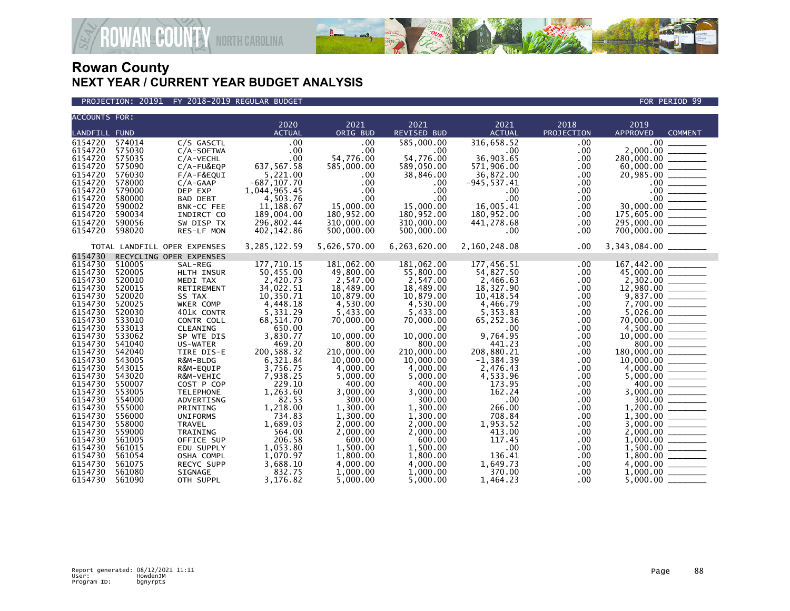

#### PROJECTION: 20191 FY 2018-2019 REGULAR BUDGET FOR PERIOD 99

| <b>ACCOUNTS FOR:</b> |                  |                               | 2020                    | 2021                    | 2021                    | 2021                    | 2018        | 2019                                                                                                             |
|----------------------|------------------|-------------------------------|-------------------------|-------------------------|-------------------------|-------------------------|-------------|------------------------------------------------------------------------------------------------------------------|
| <b>LANDFILL FUND</b> |                  |                               | <b>ACTUAL</b>           | ORIG BUD                | <b>REVISED BUD</b>      | <b>ACTUAL</b>           | PROJECTION  | <b>APPROVED</b><br><b>COMMENT</b>                                                                                |
| 6154720              | 574014           | C/S GASCTL                    | .00                     | .00                     | 585,000.00              | 316,658.52              | .00         | .00                                                                                                              |
| 6154720              | 575030           | C/A-SOFTWA                    | .00                     | .00                     | .00                     | $.00 \,$                | .00         | 2,000.00 _______                                                                                                 |
| 6154720              | 575035           | C/A-VECHL                     | .00                     | 54,776.00               | 54,776.00               | 36,903.65               | .00         |                                                                                                                  |
| 6154720              | 575090           | $C/A$ -FU&EQP                 | 637, 567.58             | 585,000.00              | 589,050.00              | 571,906.00              | .00         |                                                                                                                  |
| 6154720              | 576030           | $F/A-F\&EQUI$                 | 5,221.00                | $.00 \,$                | 38,846.00               | 36,872.00               | .00         |                                                                                                                  |
| 6154720              | 578000           | $C/A-GAAP$                    | $-687, 107.70$          | .00                     | .00                     | $-945, 537.41$          | $.00 \,$    | $280,000.00$<br>$60,000.00$<br>$20,985.00$<br>$\overline{\hspace{1.5em}}$<br>$00$<br>$\overline{\hspace{1.5em}}$ |
| 6154720              | 579000           | DEP EXP                       | 1,044,965.45            | .00                     | .00                     | $.00 \,$                | $.00 \,$    |                                                                                                                  |
| 6154720<br>6154720   | 580000<br>590002 | <b>BAD DEBT</b><br>BNK-CC FEE | 4,503.76<br>11, 188.67  | .00<br>15,000.00        | .00<br>15,000.00        | $.00 \,$<br>16,005.41   | .00<br>.00  | $\frac{30,000.00}{175,605.00}$                                                                                   |
| 6154720              | 590034           | INDIRCT CO                    | 189,004.00              | 180,952.00              | 180,952.00              | 180,952.00              | .00         |                                                                                                                  |
| 6154720              | 590056           | SW DISP TX                    | 296,802.44              | 310,000.00              | 310,000.00              | 441,278.68              | .00         |                                                                                                                  |
| 6154720              | 598020           | RES-LF MON                    | 402,142.86              | 500,000.00              | 500,000.00              | $.00 \,$                | .00         | 295,000.00<br>700,000.00                                                                                         |
|                      |                  |                               |                         |                         |                         |                         |             |                                                                                                                  |
|                      |                  | TOTAL LANDFILL OPER EXPENSES  | 3,285,122.59            | 5,626,570.00            | 6,263,620.00            | 2,160,248.08            | .00.        |                                                                                                                  |
| 6154730              |                  | RECYCLING OPER EXPENSES       |                         |                         |                         |                         |             |                                                                                                                  |
| 6154730<br>6154730   | 510005<br>520005 | SAL-REG<br>HLTH INSUR         | 177,710.15<br>50,455.00 | 181,062.00<br>49,800.00 | 181,062.00<br>55,800.00 | 177,456.51<br>54,827.50 | .00<br>.00. | 167,442.00                                                                                                       |
| 6154730              | 520010           | MEDI TAX                      | 2,420.73                | 2,547.00                | 2,547.00                | 2,466.63                | .00         |                                                                                                                  |
| 6154730              | 520015           | RETIREMENT                    | 34,022.51               | 18,489.00               | 18,489.00               | 18,327.90               | .00.        |                                                                                                                  |
| 6154730              | 520020           | SS TAX                        | 10,350.71               | 10,879.00               | 10,879.00               | 10,418.54               | .00.        | $\begin{array}{r} 45,000.00 \ \hline 2,302.00 \ \hline 12,980.00 \ \hline 9,837.00 \ \hline \end{array}$         |
| 6154730              | 520025           | WKER COMP                     | 4,448.18                | 4,530.00                | 4,530.00                | 4,466.79                | $.00 \,$    |                                                                                                                  |
| 6154730              | 520030           | 401K CONTR                    | 5,331.29                | 5,433.00                | 5,433.00                | 5,353.83                | .00         |                                                                                                                  |
| 6154730              | 533010           | CONTR COLL                    | 68,514.70               | 70,000.00               | 70,000.00               | 65,252.36               | .00         | $70,000.00$<br>$4,500.00$<br>$10,000.00$<br>$800.00$                                                             |
| 6154730              | 533013           | <b>CLEANING</b>               | 650.00                  | .00                     | .00                     | $.00 \times$            | .00         |                                                                                                                  |
| 6154730              | 533062           | SP WTE DIS                    | 3,830.77                | 10,000.00               | 10,000.00               | 9,764.95                | .00         |                                                                                                                  |
| 6154730              | 541040           | US-WATER                      | 469.20                  | 800.00                  | 800.00                  | 441.23                  | .00         |                                                                                                                  |
| 6154730              | 542040           | TIRE DIS-E                    | 200,588.32              | 210,000.00              | 210,000.00              | 208,880.21              | .00         | 180,000.00 _______                                                                                               |
| 6154730              | 543005           | R&M-BLDG                      | 6,321.84                | 10,000.00               | 10,000.00               | $-1, 384.39$            | .00         |                                                                                                                  |
| 6154730<br>6154730   | 543015<br>543020 | R&M-EQUIP<br>R&M-VEHIC        | 3,756.75<br>7,938.25    | 4,000.00<br>5,000.00    | 4,000.00<br>5,000.00    | 2,476.43<br>4,533.96    | .00<br>.00  |                                                                                                                  |
| 6154730              | 550007           | COST P COP                    | 229.10                  | 400.00                  | 400.00                  | 173.95                  | .00         |                                                                                                                  |
| 6154730              | 553005           | <b>TELEPHONE</b>              | 1,263.60                | 3,000.00                | 3,000.00                | 162.24                  | .00         |                                                                                                                  |
| 6154730              | 554000           | ADVERTISNG                    | 82.53                   | 300.00                  | 300.00                  | .00                     | .00         |                                                                                                                  |
| 6154730              | 555000           | PRINTING                      | 1,218.00                | 1,300.00                | 1.300.00                | 266.00                  | .00         |                                                                                                                  |
| 6154730              | 556000           | <b>UNIFORMS</b>               | 734.83                  | 1,300.00                | 1,300.00                | 708.84                  | .00         |                                                                                                                  |
| 6154730              | 558000           | <b>TRAVEL</b>                 | 1,689.03                | 2.000.00                | 2.000.00                | 1,953.52                | .00         |                                                                                                                  |
| 6154730              | 559000           | TRAINING                      | 564.00                  | 2,000.00                | 2,000.00                | 413.00                  | .00         |                                                                                                                  |
| 6154730              | 561005           | OFFICE SUP                    | 206.58                  | 600.00                  | 600.00                  | 117.45                  | .00.        |                                                                                                                  |
| 6154730              | 561015           | EDU SUPPLY                    | 1,053.80                | 1.500.00                | 1.500.00                | .00                     | $.00 \,$    |                                                                                                                  |
| 6154730              | 561054           | OSHA COMPL                    | 1,070.97                | 1,800.00                | 1,800.00                | 136.41                  | $.00 \,$    | $\frac{1,800.00}{4,000.00}$                                                                                      |
| 6154730<br>6154730   | 561075<br>561080 | RECYC SUPP                    | 3,688.10                | 4,000.00                | 4,000.00                | 1,649.73<br>370.00      | .00.        |                                                                                                                  |
|                      |                  | <b>SIGNAGE</b>                | 832.75                  | 1,000.00                | 1,000.00                |                         | .00         |                                                                                                                  |
| 6154730              | 561090           | OTH SUPPL                     | 3,176.82                | 5.000.00                | 5.000.00                | 1.464.23                | .00.        | $5,000.00$ $-$                                                                                                   |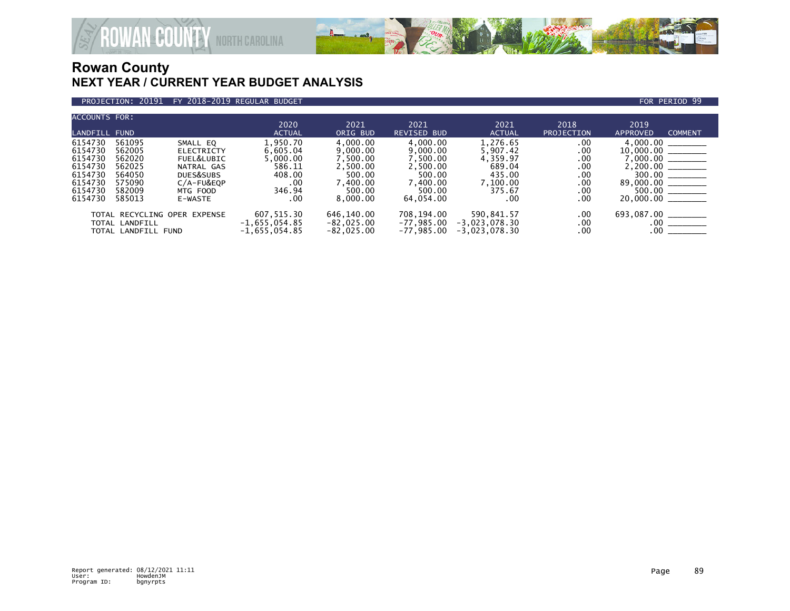

### PROJECTION: 20191 FY 2018-2019 REGULAR BUDGET FOR PERIOD 99

| <b>ACCOUNTS FOR:</b> |                     |                              |                 |              |                    |                 |                   |                                                                                                                                                                                                                                                                                                                                                                                                                                                                                                     |
|----------------------|---------------------|------------------------------|-----------------|--------------|--------------------|-----------------|-------------------|-----------------------------------------------------------------------------------------------------------------------------------------------------------------------------------------------------------------------------------------------------------------------------------------------------------------------------------------------------------------------------------------------------------------------------------------------------------------------------------------------------|
|                      |                     |                              | 2020            | 2021         | 2021               | 2021            | 2018              | 2019                                                                                                                                                                                                                                                                                                                                                                                                                                                                                                |
| LANDFILL FUND        |                     |                              | <b>ACTUAL</b>   | ORIG BUD     | <b>REVISED BUD</b> | <b>ACTUAL</b>   | <b>PROJECTION</b> | <b>COMMENT</b><br><b>APPROVED</b>                                                                                                                                                                                                                                                                                                                                                                                                                                                                   |
| 6154730              | 561095              | SMALL EO                     | 1,950.70        | 4.000.00     | 4.000.00           | 1.276.65        | .00               | 4.000.00                                                                                                                                                                                                                                                                                                                                                                                                                                                                                            |
| 6154730              | 562005              | <b>ELECTRICTY</b>            | 6,605.04        | 9.000.00     | 9.000.00           | 5,907.42        | .00               | $10,000.00$ ________                                                                                                                                                                                                                                                                                                                                                                                                                                                                                |
| 6154730              | 562020              | <b>FUEL&amp;LUBIC</b>        | 5,000.00        | 7,500.00     | 7,500.00           | 4,359.97        | .00               | <u> The Common State of</u><br>7,000.00                                                                                                                                                                                                                                                                                                                                                                                                                                                             |
| 6154730              | 562025              | NATRAL GAS                   | 586.11          | 2,500.00     | 2.500.00           | 689.04          | .00               | $2,200.00$ ________                                                                                                                                                                                                                                                                                                                                                                                                                                                                                 |
| 6154730              | 564050              | DUES&SUBS                    | 408.00          | 500.00       | 500.00             | 435.00          | .00               | $300.00$ ________                                                                                                                                                                                                                                                                                                                                                                                                                                                                                   |
| 6154730              | 575090              | $C/A-FU&EOP$                 | .00             | 7.400.00     | 7.400.00           | 7,100.00        | .00               | 89.000.00<br>$\begin{array}{cccccccccc} \multicolumn{2}{c}{} & \multicolumn{2}{c}{} & \multicolumn{2}{c}{} & \multicolumn{2}{c}{} & \multicolumn{2}{c}{} & \multicolumn{2}{c}{} & \multicolumn{2}{c}{} & \multicolumn{2}{c}{} & \multicolumn{2}{c}{} & \multicolumn{2}{c}{} & \multicolumn{2}{c}{} & \multicolumn{2}{c}{} & \multicolumn{2}{c}{} & \multicolumn{2}{c}{} & \multicolumn{2}{c}{} & \multicolumn{2}{c}{} & \multicolumn{2}{c}{} & \multicolumn{2}{c}{} & \multicolumn{2}{c}{} & \mult$ |
| 6154730              | 582009              | MTG FOOD                     | 346.94          | 500.00       | 500.00             | 375.67          | .00               | $500.00$                                                                                                                                                                                                                                                                                                                                                                                                                                                                                            |
| 6154730              | 585013              | E-WASTE                      | .00             | 8.000.00     | 64,054.00          | .00             | .00               | $20,000.00$ ________                                                                                                                                                                                                                                                                                                                                                                                                                                                                                |
|                      |                     | TOTAL RECYCLING OPER EXPENSE | 607,515.30      | 646,140.00   | 708.194.00         | 590,841.57      | .00               | 693,087.00                                                                                                                                                                                                                                                                                                                                                                                                                                                                                          |
|                      | TOTAL LANDFILL      |                              | $-1,655,054.85$ | $-82,025.00$ | $-77,985.00$       | $-3.023.078.30$ | .00               | .00                                                                                                                                                                                                                                                                                                                                                                                                                                                                                                 |
|                      | TOTAL LANDFILL FUND |                              | $-1,655,054.85$ | $-82,025.00$ | -77,985.00         | $-3,023,078.30$ | .00               | .00                                                                                                                                                                                                                                                                                                                                                                                                                                                                                                 |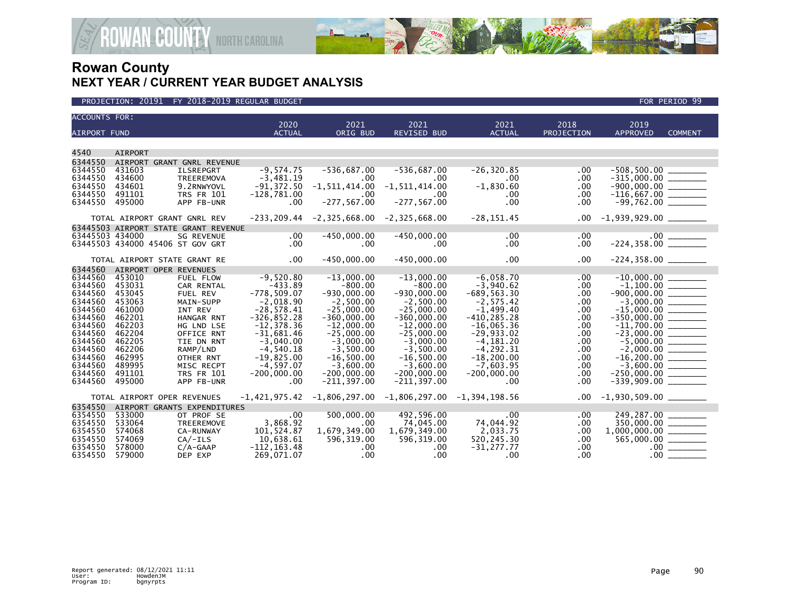

| <b>ACCOUNTS FOR:</b><br>2020<br>2021<br>2021<br>2021<br>2018<br>2019<br><b>ACTUAL</b><br><b>REVISED BUD</b><br><b>ACTUAL</b><br>PROJECTION<br><b>APPROVED</b><br><b>AIRPORT FUND</b><br>ORIG BUD<br><b>COMMENT</b><br>4540<br><b>AIRPORT</b><br>6344550<br>AIRPORT GRANT GNRL REVENUE<br>6344550<br>$-9.574.75$<br>$-536,687.00$<br>$-536,687.00$<br>$-26, 320.85$<br>$-508,500.00$ ______<br>431603<br><b>ILSREPGRT</b><br>.00<br>6344550<br>434600<br>$-3,481.19$<br>.00<br>.00.<br>.00<br>.00<br>TREEREMOVA<br>6344550<br>$-1, 511, 414.00$<br>$-900,000.00$ _________<br>434601<br>9.2RNWYOVL<br>$-91,372.50$<br>$-1, 511, 414.00$<br>$-1,830.60$<br>.00<br>$-116,667.00$<br>-99,762.00<br>6344550<br>491101<br><b>TRS FR 101</b><br>$-128,781.00$<br>.00<br>$.00 \,$<br>.00<br>$.00 \,$<br>$-277, 567.00$<br>$-277, 567.00$<br>.00<br>6344550<br>495000<br>.00<br>APP FB-UNR<br>.00<br>$-233, 209.44$ $-2, 325, 668.00$ $-2, 325, 668.00$<br>$-28, 151.45$<br>$-1,939,929.00$ ________<br>TOTAL AIRPORT GRANT GNRL REV<br>.00.<br>63445503 AIRPORT STATE GRANT REVENUE<br>.00<br>$-450,000.00$<br>$-450,000.00$<br>63445503 434000<br><b>SG REVENUE</b><br>.00<br>.00<br>$.00 \,$<br>.00<br>63445503 434000 45406 ST GOV GRT<br>$.00 \,$<br>.00<br>.00 |  |
|-------------------------------------------------------------------------------------------------------------------------------------------------------------------------------------------------------------------------------------------------------------------------------------------------------------------------------------------------------------------------------------------------------------------------------------------------------------------------------------------------------------------------------------------------------------------------------------------------------------------------------------------------------------------------------------------------------------------------------------------------------------------------------------------------------------------------------------------------------------------------------------------------------------------------------------------------------------------------------------------------------------------------------------------------------------------------------------------------------------------------------------------------------------------------------------------------------------------------------------------------------------|--|
|                                                                                                                                                                                                                                                                                                                                                                                                                                                                                                                                                                                                                                                                                                                                                                                                                                                                                                                                                                                                                                                                                                                                                                                                                                                             |  |
|                                                                                                                                                                                                                                                                                                                                                                                                                                                                                                                                                                                                                                                                                                                                                                                                                                                                                                                                                                                                                                                                                                                                                                                                                                                             |  |
|                                                                                                                                                                                                                                                                                                                                                                                                                                                                                                                                                                                                                                                                                                                                                                                                                                                                                                                                                                                                                                                                                                                                                                                                                                                             |  |
|                                                                                                                                                                                                                                                                                                                                                                                                                                                                                                                                                                                                                                                                                                                                                                                                                                                                                                                                                                                                                                                                                                                                                                                                                                                             |  |
|                                                                                                                                                                                                                                                                                                                                                                                                                                                                                                                                                                                                                                                                                                                                                                                                                                                                                                                                                                                                                                                                                                                                                                                                                                                             |  |
|                                                                                                                                                                                                                                                                                                                                                                                                                                                                                                                                                                                                                                                                                                                                                                                                                                                                                                                                                                                                                                                                                                                                                                                                                                                             |  |
|                                                                                                                                                                                                                                                                                                                                                                                                                                                                                                                                                                                                                                                                                                                                                                                                                                                                                                                                                                                                                                                                                                                                                                                                                                                             |  |
|                                                                                                                                                                                                                                                                                                                                                                                                                                                                                                                                                                                                                                                                                                                                                                                                                                                                                                                                                                                                                                                                                                                                                                                                                                                             |  |
|                                                                                                                                                                                                                                                                                                                                                                                                                                                                                                                                                                                                                                                                                                                                                                                                                                                                                                                                                                                                                                                                                                                                                                                                                                                             |  |
|                                                                                                                                                                                                                                                                                                                                                                                                                                                                                                                                                                                                                                                                                                                                                                                                                                                                                                                                                                                                                                                                                                                                                                                                                                                             |  |
|                                                                                                                                                                                                                                                                                                                                                                                                                                                                                                                                                                                                                                                                                                                                                                                                                                                                                                                                                                                                                                                                                                                                                                                                                                                             |  |
|                                                                                                                                                                                                                                                                                                                                                                                                                                                                                                                                                                                                                                                                                                                                                                                                                                                                                                                                                                                                                                                                                                                                                                                                                                                             |  |
|                                                                                                                                                                                                                                                                                                                                                                                                                                                                                                                                                                                                                                                                                                                                                                                                                                                                                                                                                                                                                                                                                                                                                                                                                                                             |  |
|                                                                                                                                                                                                                                                                                                                                                                                                                                                                                                                                                                                                                                                                                                                                                                                                                                                                                                                                                                                                                                                                                                                                                                                                                                                             |  |
| $.00 \,$<br>$-450,000.00$<br>$-450,000.00$<br>.00<br>$-224, 358.00$ _________<br>TOTAL AIRPORT STATE GRANT RE<br>.00.                                                                                                                                                                                                                                                                                                                                                                                                                                                                                                                                                                                                                                                                                                                                                                                                                                                                                                                                                                                                                                                                                                                                       |  |
| 6344560<br>AIRPORT OPER REVENUES                                                                                                                                                                                                                                                                                                                                                                                                                                                                                                                                                                                                                                                                                                                                                                                                                                                                                                                                                                                                                                                                                                                                                                                                                            |  |
| $-9,520.80$<br>$-13,000.00$<br>$-13,000.00$<br>$-6,058.70$<br>$-10,000.00$<br>6344560<br>453010<br>FUEL FLOW<br>.00.                                                                                                                                                                                                                                                                                                                                                                                                                                                                                                                                                                                                                                                                                                                                                                                                                                                                                                                                                                                                                                                                                                                                        |  |
| 6344560<br>$-433.89$<br>$-800.00$<br>$-3,940.62$<br>453031<br>$-800.00$<br>CAR RENTAL<br>.00.                                                                                                                                                                                                                                                                                                                                                                                                                                                                                                                                                                                                                                                                                                                                                                                                                                                                                                                                                                                                                                                                                                                                                               |  |
| $-778,509.07$<br>$-930.000.00$<br>6344560<br>$-930,000.00$<br>$-689.563.30$<br>453045<br>.00<br>FUEL REV<br>6344560<br>$-2,018.90$<br>$-2,500.00$<br>453063<br>MAIN-SUPP<br>$-2,500.00$<br>$-2,575.42$                                                                                                                                                                                                                                                                                                                                                                                                                                                                                                                                                                                                                                                                                                                                                                                                                                                                                                                                                                                                                                                      |  |
| .00<br>6344560<br>$-28,578.41$<br>$-1,499.40$<br>461000<br>INT REV<br>$-25,000.00$<br>$-25,000.00$<br>.00                                                                                                                                                                                                                                                                                                                                                                                                                                                                                                                                                                                                                                                                                                                                                                                                                                                                                                                                                                                                                                                                                                                                                   |  |
| 6344560<br>$-326, 852.28$<br>462201<br>$-360,000.00$<br>$-360,000.00$<br>$-410, 285.28$<br>HANGAR RNT<br>.00                                                                                                                                                                                                                                                                                                                                                                                                                                                                                                                                                                                                                                                                                                                                                                                                                                                                                                                                                                                                                                                                                                                                                |  |
| 6344560<br>$-12, 378.36$<br>$-12,000.00$<br>$-16,065.36$<br>462203<br>$-12,000.00$<br>HG LND LSE<br>.00                                                                                                                                                                                                                                                                                                                                                                                                                                                                                                                                                                                                                                                                                                                                                                                                                                                                                                                                                                                                                                                                                                                                                     |  |
| 6344560<br>$-25,000.00$<br>$-25.000.00$<br>$-29,933.02$<br>462204<br>$-31,681.46$<br>.00<br>OFFICE RNT                                                                                                                                                                                                                                                                                                                                                                                                                                                                                                                                                                                                                                                                                                                                                                                                                                                                                                                                                                                                                                                                                                                                                      |  |
| 6344560<br>462205<br>$-3.040.00$<br>$-3.000.00$<br>$-3.000.00$<br>$-4.181.20$<br>TIE DN RNT<br>.00                                                                                                                                                                                                                                                                                                                                                                                                                                                                                                                                                                                                                                                                                                                                                                                                                                                                                                                                                                                                                                                                                                                                                          |  |
| 6344560<br>$-4,540.18$<br>$-3,500.00$<br>$-3,500.00$<br>$-4, 292.31$<br>$-2,000.00$ _________<br>462206<br>RAMP/LND<br>.00                                                                                                                                                                                                                                                                                                                                                                                                                                                                                                                                                                                                                                                                                                                                                                                                                                                                                                                                                                                                                                                                                                                                  |  |
| 6344560<br>462995<br>$-19,825.00$<br>$-16,500.00$<br>$-16,500.00$<br>$-18, 200.00$<br>.00<br>OTHER RNT<br>6344560<br>489995<br>$-4,597.07$<br>$-3,600.00$<br>$-3.600.00$<br>$-7,603.95$                                                                                                                                                                                                                                                                                                                                                                                                                                                                                                                                                                                                                                                                                                                                                                                                                                                                                                                                                                                                                                                                     |  |
| .00<br>MISC RECPT<br>6344560<br>$-200.000.00$<br>$-200.000.00$<br>491101<br><b>TRS FR 101</b><br>$-200,000.00$<br>$-200,000.00$<br>.00                                                                                                                                                                                                                                                                                                                                                                                                                                                                                                                                                                                                                                                                                                                                                                                                                                                                                                                                                                                                                                                                                                                      |  |
| 6344560<br>$-211, 397.00$<br>.00<br>495000<br>APP FB-UNR<br>.00<br>$-211, 397.00$<br>.00                                                                                                                                                                                                                                                                                                                                                                                                                                                                                                                                                                                                                                                                                                                                                                                                                                                                                                                                                                                                                                                                                                                                                                    |  |
| $-1,421,975.42$<br>$-1,806,297.00$ $-1,806,297.00$<br>$-1,930,509.00$ ________<br>$-1,394,198.56$<br>$.00 \,$<br>TOTAL AIRPORT OPER REVENUES                                                                                                                                                                                                                                                                                                                                                                                                                                                                                                                                                                                                                                                                                                                                                                                                                                                                                                                                                                                                                                                                                                                |  |
| 6354550<br>AIRPORT GRANTS EXPENDITURES                                                                                                                                                                                                                                                                                                                                                                                                                                                                                                                                                                                                                                                                                                                                                                                                                                                                                                                                                                                                                                                                                                                                                                                                                      |  |
| 500,000,00<br>492.596.00<br>249,287.00<br>6354550<br>533000<br>.00<br>.00<br>OT PROF SE<br>.00                                                                                                                                                                                                                                                                                                                                                                                                                                                                                                                                                                                                                                                                                                                                                                                                                                                                                                                                                                                                                                                                                                                                                              |  |
| 3,868.92<br>6354550<br>74,045.00<br>74,044.92<br>533064<br>.00<br>.00<br><b>TREEREMOVE</b>                                                                                                                                                                                                                                                                                                                                                                                                                                                                                                                                                                                                                                                                                                                                                                                                                                                                                                                                                                                                                                                                                                                                                                  |  |
| 6354550<br>101,524.87<br>1,679,349.00<br>1,679,349.00<br>2,033.75<br>574068<br>CA-RUNWAY<br>.00                                                                                                                                                                                                                                                                                                                                                                                                                                                                                                                                                                                                                                                                                                                                                                                                                                                                                                                                                                                                                                                                                                                                                             |  |
| 6354550<br>10,638.61<br>596,319.00<br>520,245.30<br>574069<br>$CA/-ILS$<br>596,319.00<br>.00                                                                                                                                                                                                                                                                                                                                                                                                                                                                                                                                                                                                                                                                                                                                                                                                                                                                                                                                                                                                                                                                                                                                                                |  |
| 6354550<br>578000<br>$-112, 163.48$<br>$-31,277.77$<br>.00.<br>$C/A-GAAP$<br>.00<br>.00<br>.00.<br>6354550<br>579000<br>269,071.07<br>$.00 \times$<br>.00<br>.00 <sub>1</sub><br>DEP EXP<br>$.00 \,$                                                                                                                                                                                                                                                                                                                                                                                                                                                                                                                                                                                                                                                                                                                                                                                                                                                                                                                                                                                                                                                        |  |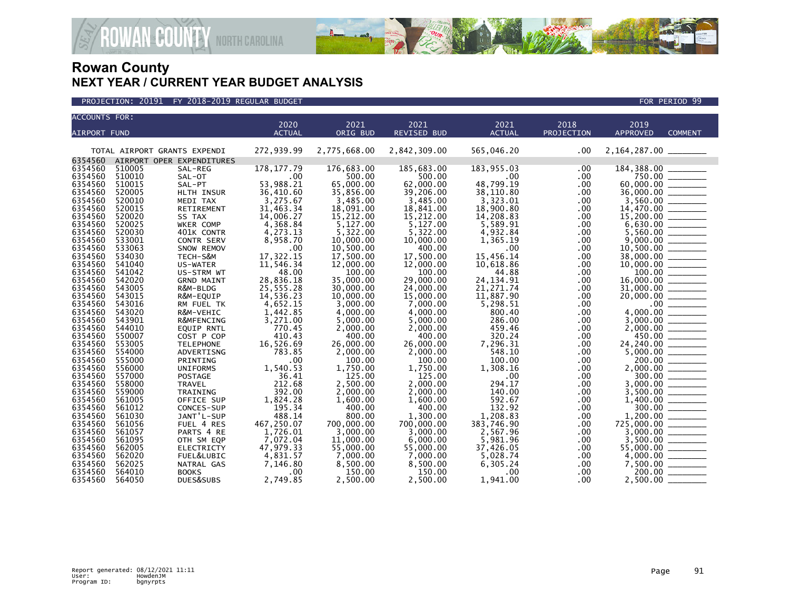

| <b>ACCOUNTS FOR:</b> |                              |                                 |                        |                        |                            |                        |                    |                         |                |
|----------------------|------------------------------|---------------------------------|------------------------|------------------------|----------------------------|------------------------|--------------------|-------------------------|----------------|
| <b>AIRPORT FUND</b>  |                              |                                 | 2020<br><b>ACTUAL</b>  | 2021<br>ORIG BUD       | 2021<br><b>REVISED BUD</b> | 2021<br><b>ACTUAL</b>  | 2018<br>PROJECTION | 2019<br><b>APPROVED</b> | <b>COMMENT</b> |
|                      |                              |                                 |                        |                        |                            |                        |                    |                         |                |
|                      | TOTAL AIRPORT GRANTS EXPENDI |                                 | 272,939.99             | 2,775,668.00           | 2,842,309.00               | 565,046.20             | .00                | 2,164,287.00            |                |
| 6354560              | AIRPORT OPER EXPENDITURES    |                                 |                        |                        |                            |                        |                    |                         |                |
| 6354560              | 510005                       | SAL-REG                         | 178, 177.79            | 176,683.00             | 185,683.00                 | 183,955.03             | .00                | 184, 388.00             |                |
| 6354560              | 510010                       | SAL-OT                          | .00                    | 500.00                 | 500.00                     | $.00 \,$               | .00                | 750.00                  |                |
| 6354560              | 510015                       | SAL-PT                          | 53,988.21              | 65,000,00              | 62,000.00                  | 48,799.19              | .00                | 60,000,00               |                |
| 6354560              | 520005                       | HLTH INSUR                      | 36,410.60              | 35,856.00              | 39,206.00                  | 38,110.80              | $.00 \,$           | 36,000.00               |                |
| 6354560              | 520010                       | MEDI TAX                        | 3,275.67               | 3,485.00               | 3,485.00                   | 3,323.01               | .00                | 3,560.00                |                |
| 6354560              | 520015                       | RETIREMENT                      | 31,463.34              | 18,091.00              | 18,841.00                  | 18,900.80              | .00                | 14,470.00               |                |
| 6354560              | 520020                       | SS TAX                          | 14,006.27              | 15,212.00              | 15,212.00                  | 14,208.83              | .00.               | 15,200.00               |                |
| 6354560              | 520025                       | WKER COMP                       | 4,368.84               | 5,127.00               | 5,127.00                   | 5,589.91               | .00                | 6,630.00                |                |
| 6354560              | 520030                       | 401K CONTR                      | 4,273.13               | 5,322.00               | 5,322.00                   | 4,932.84               | .00                | 5,560.00                |                |
| 6354560              | 533001                       | CONTR SERV                      | 8,958.70               | 10,000.00              | 10,000.00                  | 1,365.19               | .00                | 9,000,00                |                |
| 6354560              | 533063                       | SNOW REMOV                      | .00<br>17,322.15       | 10,500.00<br>17,500.00 | 400.00<br>17,500.00        | .00                    | .00                | 10,500.00<br>38,000.00  |                |
| 6354560<br>6354560   | 534030<br>541040             | TECH-S&M<br>US-WATER            | 11,546.34              | 12,000.00              | 12,000.00                  | 15,456.14<br>10,618.86 | .00.<br>.00        | 10,000.00               |                |
| 6354560              | 541042                       | US-STRM WT                      | 48.00                  | 100.00                 | 100.00                     | 44.88                  | .00.               | 100.00                  |                |
| 6354560              | 542020                       | <b>GRND MAINT</b>               | 28,836.18              | 35,000.00              | 29,000,00                  | 24, 134. 91            | .00                | 16,000,00               |                |
| 6354560              | 543005                       | R&M-BLDG                        | 25,555.28              | 30,000.00              | 24,000.00                  | 21, 271.74             | .00                | 31,000.00               |                |
| 6354560              | 543015                       | R&M-EQUIP                       | 14,536.23              | 10,000.00              | 15,000.00                  | 11,887.90              | .00                | 20,000.00               |                |
| 6354560              | 543016                       | RM FUEL TK                      | 4,652.15               | 3,000.00               | 7,000.00                   | 5,298.51               | .00                | $.00 \,$                |                |
| 6354560              | 543020                       | R&M-VEHIC                       | 1,442.85               | 4,000.00               | 4,000.00                   | 800.40                 | .00.               | 4,000.00                |                |
| 6354560              | 543901                       | R&MFENCING                      | 3,271.00               | 5,000.00               | 5,000.00                   | 286.00                 | .00                | 3,000.00                |                |
| 6354560              | 544010                       | <b>EQUIP RNTL</b>               | 770.45                 | 2,000.00               | 2,000.00                   | 459.46                 | .00                | 2,000.00                |                |
| 6354560              | 550007                       | COST P COP                      | 410.43                 | 400.00                 | 400.00                     | 320.24                 | .00                | 450.00                  |                |
| 6354560              | 553005                       | <b>TELEPHONE</b>                | 16,526.69              | 26,000.00              | 26,000.00                  | 7,296.31               | .00.               | 24,240.00               |                |
| 6354560              | 554000                       | ADVERTISNG                      | 783.85                 | 2,000.00               | 2,000.00                   | 548.10                 | .00                | 5,000,00                |                |
| 6354560              | 555000                       | PRINTING                        | .00                    | 100.00                 | 100.00                     | 100.00                 | .00                | 200.00                  |                |
| 6354560              | 556000                       | <b>UNIFORMS</b>                 | 1,540.53               | 1,750.00               | 1,750.00                   | 1,308.16               | .00.               | 2,000.00                |                |
| 6354560              | 557000                       | POSTAGE                         | 36.41                  | 125.00                 | 125.00                     | .00                    | .00                | 300.00                  |                |
| 6354560              | 558000                       | <b>TRAVEL</b>                   | 212.68                 | 2,500.00               | 2,000.00                   | 294.17                 | $.00 \,$           | 3,000.00                |                |
| 6354560              | 559000                       | TRAINING                        | 392.00                 | 2,000.00               | 2,000.00                   | 140.00                 | .00                | 3,500.00                |                |
| 6354560              | 561005                       | OFFICE SUP                      | 1,824.28               | 1,600.00               | 1,600.00                   | 592.67                 | .00                | 1,400.00                |                |
| 6354560              | 561012                       | CONCES-SUP                      | 195.34                 | 400.00                 | 400.00                     | 132.92                 | .00.               | 300.00                  |                |
| 6354560              | 561030                       | JANT'L-SUP                      | 488.14                 | 800.00                 | 1,300.00                   | 1,208.83               | .00                | 1,200.00                |                |
| 6354560<br>6354560   | 561056<br>561057             | FUEL 4 RES                      | 467,250.07<br>1,726.01 | 700,000,00             | 700,000,00                 | 383,746.90<br>2,567.96 | .00                | 725,000,00<br>3,000.00  |                |
| 6354560              | 561095                       | PARTS 4 RE                      | 7,072.04               | 3,000.00<br>11,000.00  | 3,000.00<br>6,000.00       | 5,981.96               | .00                | 3,500.00                |                |
| 6354560              | 562005                       | OTH SM EQP<br><b>ELECTRICTY</b> | 47,979.33              | 55,000.00              | 55,000.00                  | 37,426.05              | $.00 \,$<br>.00    | 55,000.00               |                |
| 6354560              | 562020                       | <b>FUEL&amp;LUBIC</b>           | 4,831.57               | 7,000.00               | 7,000.00                   | 5,028.74               | .00                | 4,000.00                |                |
| 6354560              | 562025                       | NATRAL GAS                      | 7,146.80               | 8,500.00               | 8,500.00                   | 6,305.24               | .00                | 7,500.00                |                |
| 6354560              | 564010                       | <b>BOOKS</b>                    | .00                    | 150.00                 | 150.00                     | .00                    | .00                | 200.00                  |                |
| 6354560              | 564050                       | DUES&SUBS                       | 2,749.85               | 2,500.00               | 2,500.00                   | 1,941.00               | .00                | 2,500.00                |                |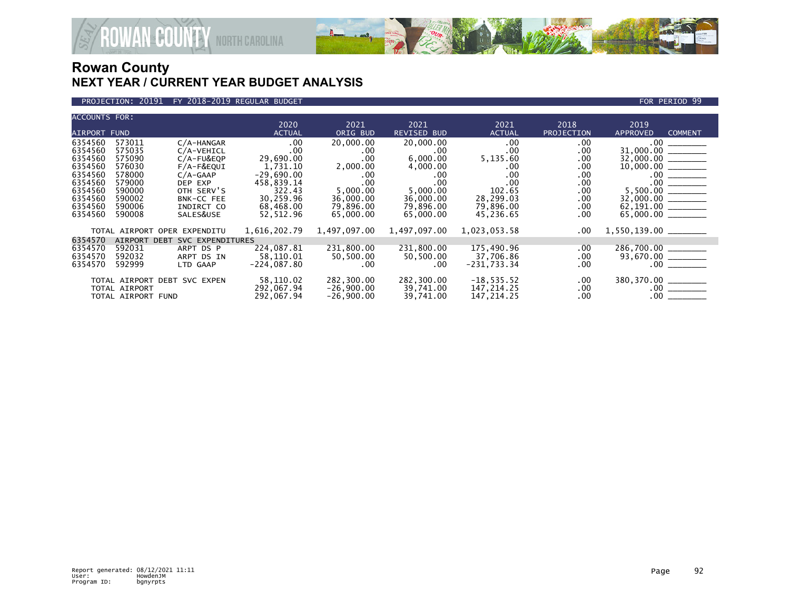

### PROJECTION: 20191 FY 2018-2019 REGULAR BUDGET FOR PERIOD 99

| <b>ACCOUNTS FOR:</b> |                    |                              |               |              |                    |               |            |                                             |
|----------------------|--------------------|------------------------------|---------------|--------------|--------------------|---------------|------------|---------------------------------------------|
|                      |                    |                              | 2020          | 2021         | 2021               | 2021          | 2018       | 2019                                        |
| AIRPORT FUND         |                    |                              | <b>ACTUAL</b> | ORIG BUD     | <b>REVISED BUD</b> | <b>ACTUAL</b> | PROJECTION | <b>APPROVED</b><br><b>COMMENT</b>           |
| 6354560              | 573011             | $C/A$ -HANGAR                | .00           | 20,000.00    | 20,000.00          | .00           | .00.       | .00                                         |
| 6354560              | 575035             | C/A-VEHICL                   | .00           | .00.         | .00                | .00.          | .00.       | 31,000.00 ______                            |
| 6354560              | 575090             | $C/A-FU&EOP$                 | 29,690.00     | .00          | 6.000.00           | 5,135.60      | .00        |                                             |
| 6354560              | 576030             | $F/A-F\&EQUI$                | 1,731.10      | 2,000.00     | 4,000.00           | .00.          | .00        |                                             |
| 6354560              | 578000             | $C/A-GAAP$                   | $-29,690.00$  | .00.         | .00.               | $.00 \,$      | .00        |                                             |
| 6354560              | 579000             | DEP EXP                      | 458,839.14    | .00.         | .00                | $.00 \,$      | .00.       |                                             |
| 6354560              | 590000             | OTH SERV'S                   | 322.43        | 5,000.00     | 5,000.00           | 102.65        | .00.       |                                             |
| 6354560              | 590002             | BNK-CC FEE                   | 30,259.96     | 36,000.00    | 36,000.00          | 28,299.03     | .00.       |                                             |
| 6354560              | 590006             | INDIRCT CO                   | 68,468.00     | 79,896.00    | 79,896.00          | 79,896.00     | .00.       | $62,191.00$ _________<br>65,000.00 ________ |
| 6354560              | 590008             | SALES&USE                    | 52, 512.96    | 65,000.00    | 65,000.00          | 45,236.65     | .00.       |                                             |
|                      |                    | TOTAL AIRPORT OPER EXPENDITU | 1,616,202.79  | 1,497,097.00 | 1,497,097.00       | 1,023,053.58  | $.00 \,$   | $1,550,139.00$ _________                    |
| 6354570              | AIRPORT DEBT       | SVC EXPENDITURES             |               |              |                    |               |            |                                             |
| 6354570              | 592031             | ARPT DS P                    | 224,087.81    | 231,800.00   | 231,800.00         | 175,490.96    | .00.       | 286,700.00 ______                           |
| 6354570              | 592032             | ARPT DS IN                   | 58,110.01     | 50,500.00    | 50,500.00          | 37,706.86     | .00.       | $93,670.00$ ________                        |
| 6354570              | 592999             | LTD GAAP                     | $-224,087.80$ | $.00 \,$     | $.00 \times$       | $-231,733.34$ | .00.       | .00                                         |
|                      |                    | TOTAL AIRPORT DEBT SVC EXPEN | 58,110.02     | 282,300.00   | 282,300.00         | $-18, 535.52$ | .00.       | 380,370.00 _______                          |
|                      | TOTAL AIRPORT      |                              | 292,067.94    | $-26,900.00$ | 39,741.00          | 147,214.25    | $.00 \,$   | $.00$ $\overline{\phantom{1.552}}$          |
|                      | TOTAL AIRPORT FUND |                              | 292,067.94    | $-26,900.00$ | 39,741.00          | 147,214.25    | $.00 \,$   | $.00$ $\qquad \qquad$                       |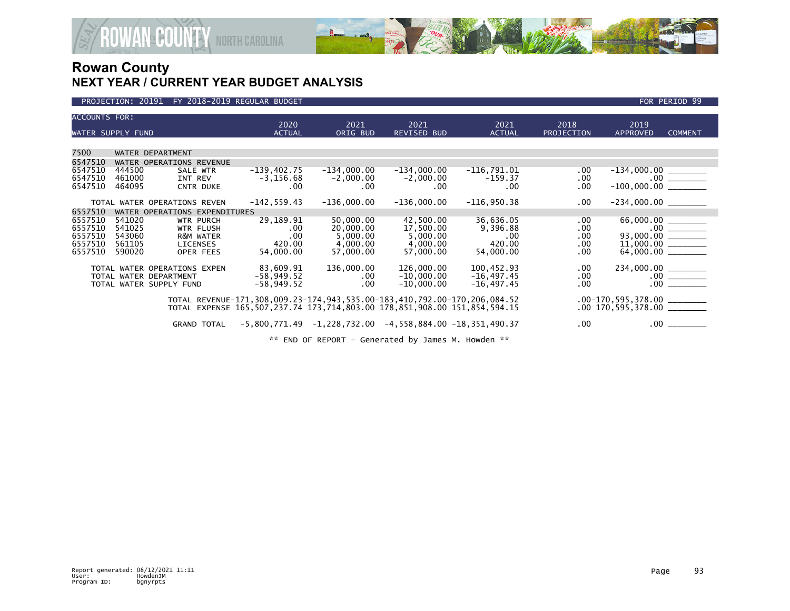

### PROJECTION: 20191 FY 2018-2019 REGULAR BUDGET FOR PERIOD 99

| <b>ACCOUNTS FOR:</b> |        |                              | 2020           | 2021               | 2021          | 2021                                                                                                                                                                                                                       | 2018            | 2019                                                                                                                                                                                                                                                                                                                                                                                  |  |
|----------------------|--------|------------------------------|----------------|--------------------|---------------|----------------------------------------------------------------------------------------------------------------------------------------------------------------------------------------------------------------------------|-----------------|---------------------------------------------------------------------------------------------------------------------------------------------------------------------------------------------------------------------------------------------------------------------------------------------------------------------------------------------------------------------------------------|--|
| WATER SUPPLY FUND    |        | <b>ACTUAL</b>                | ORIG BUD       | <b>REVISED BUD</b> | <b>ACTUAL</b> | <b>PROJECTION</b>                                                                                                                                                                                                          | <b>APPROVED</b> | <b>COMMENT</b>                                                                                                                                                                                                                                                                                                                                                                        |  |
|                      |        |                              |                |                    |               |                                                                                                                                                                                                                            |                 |                                                                                                                                                                                                                                                                                                                                                                                       |  |
| 7500                 |        | WATER DEPARTMENT             |                |                    |               |                                                                                                                                                                                                                            |                 |                                                                                                                                                                                                                                                                                                                                                                                       |  |
| 6547510              |        | WATER OPERATIONS REVENUE     |                |                    |               |                                                                                                                                                                                                                            |                 |                                                                                                                                                                                                                                                                                                                                                                                       |  |
| 6547510              | 444500 | SALE WTR                     | $-139,402.75$  | $-134,000.00$      | $-134,000.00$ | $-116,791.01$                                                                                                                                                                                                              | .00.            |                                                                                                                                                                                                                                                                                                                                                                                       |  |
| 6547510              | 461000 | INT REV                      | $-3, 156.68$   | $-2,000.00$        | $-2,000.00$   | $-159.37$                                                                                                                                                                                                                  | .00             |                                                                                                                                                                                                                                                                                                                                                                                       |  |
| 6547510              | 464095 | <b>CNTR DUKE</b>             | $.00 \,$       | $.00 \,$           | .00           | $.00 \,$                                                                                                                                                                                                                   | .00             |                                                                                                                                                                                                                                                                                                                                                                                       |  |
|                      |        |                              |                |                    |               |                                                                                                                                                                                                                            |                 |                                                                                                                                                                                                                                                                                                                                                                                       |  |
|                      |        | TOTAL WATER OPERATIONS REVEN | $-142, 559.43$ | $-136,000.00$      | $-136,000.00$ | $-116,950.38$                                                                                                                                                                                                              | .00.            |                                                                                                                                                                                                                                                                                                                                                                                       |  |
| 6557510              | WATER  | OPERATIONS EXPENDITURES      |                |                    |               |                                                                                                                                                                                                                            |                 |                                                                                                                                                                                                                                                                                                                                                                                       |  |
| 6557510              | 541020 | <b>WTR PURCH</b>             | 29,189.91      | 50,000.00          | 42,500.00     | 36,636.05                                                                                                                                                                                                                  | .00.            | $\begin{array}{r} 66,000.00 \ \underline{\hspace{1cm}} \rule{0pt}{2.5mm} \rule{0pt}{2.5mm} \rule{0pt}{2.5mm} \rule{0pt}{2.5mm} \rule{0pt}{2.5mm} \rule{0pt}{2.5mm} \rule{0pt}{2.5mm} \rule{0pt}{2.5mm} \rule{0pt}{2.5mm} \rule{0pt}{2.5mm} \rule{0pt}{2.5mm} \rule{0pt}{2.5mm} \rule{0pt}{2.5mm} \rule{0pt}{2.5mm} \rule{0pt}{2.5mm} \rule{0pt}{2.5mm} \rule{0pt}{2.5mm} \rule{0pt}{$ |  |
| 6557510              | 541025 | <b>WTR FLUSH</b>             | .00            | 20,000.00          | 17,500.00     | 9,396.88                                                                                                                                                                                                                   | .00             |                                                                                                                                                                                                                                                                                                                                                                                       |  |
| 6557510              | 543060 | R&M WATER                    | .00            | 5,000.00           | 5,000.00      | $.00 \,$                                                                                                                                                                                                                   | .00             |                                                                                                                                                                                                                                                                                                                                                                                       |  |
| 6557510              | 561105 | <b>LICENSES</b>              | 420.00         | 4,000.00           | 4,000.00      | 420.00                                                                                                                                                                                                                     | .00             |                                                                                                                                                                                                                                                                                                                                                                                       |  |
| 6557510              | 590020 | <b>OPER FEES</b>             | 54,000.00      | 57,000.00          | 57,000.00     | 54,000.00                                                                                                                                                                                                                  | .00             |                                                                                                                                                                                                                                                                                                                                                                                       |  |
|                      |        |                              |                |                    |               |                                                                                                                                                                                                                            |                 |                                                                                                                                                                                                                                                                                                                                                                                       |  |
|                      |        | TOTAL WATER OPERATIONS EXPEN | 83,609.91      | 136,000.00         | 126,000.00    | 100,452.93                                                                                                                                                                                                                 | .00.            |                                                                                                                                                                                                                                                                                                                                                                                       |  |
|                      |        | TOTAL WATER DEPARTMENT       | $-58,949.52$   | $.00 \,$           | $-10,000.00$  | $-16, 497.45$                                                                                                                                                                                                              | .00             |                                                                                                                                                                                                                                                                                                                                                                                       |  |
|                      |        | TOTAL WATER SUPPLY FUND      | $-58,949.52$   | $.00 \,$           | $-10,000.00$  | $-16, 497.45$                                                                                                                                                                                                              | .00             | $.00 \,$                                                                                                                                                                                                                                                                                                                                                                              |  |
|                      |        |                              |                |                    |               |                                                                                                                                                                                                                            |                 |                                                                                                                                                                                                                                                                                                                                                                                       |  |
|                      |        |                              |                |                    |               |                                                                                                                                                                                                                            |                 |                                                                                                                                                                                                                                                                                                                                                                                       |  |
|                      |        |                              |                |                    |               |                                                                                                                                                                                                                            |                 |                                                                                                                                                                                                                                                                                                                                                                                       |  |
|                      |        |                              |                |                    |               |                                                                                                                                                                                                                            |                 |                                                                                                                                                                                                                                                                                                                                                                                       |  |
|                      |        |                              |                |                    |               |                                                                                                                                                                                                                            |                 |                                                                                                                                                                                                                                                                                                                                                                                       |  |
|                      |        | GRAND TOTAL                  |                |                    |               | TOTAL REVENUE-171,308,009.23-174,943,535.00-183,410,792.00-170,206,084.52<br>TOTAL EXPENSE 165,507,237.74 173,714,803.00 178,851,908.00 151,854,594.15<br>$-5,800,771.49$ $-1,228,732.00$ $-4,558,884.00$ $-18,351,490.37$ | .00.            | $.00-170,595,378.00$ _________<br>$.00$ 170,595,378.00 $\_\_$<br>$.00\,$                                                                                                                                                                                                                                                                                                              |  |

\*\* END OF REPORT - Generated by James M. Howden \*\*